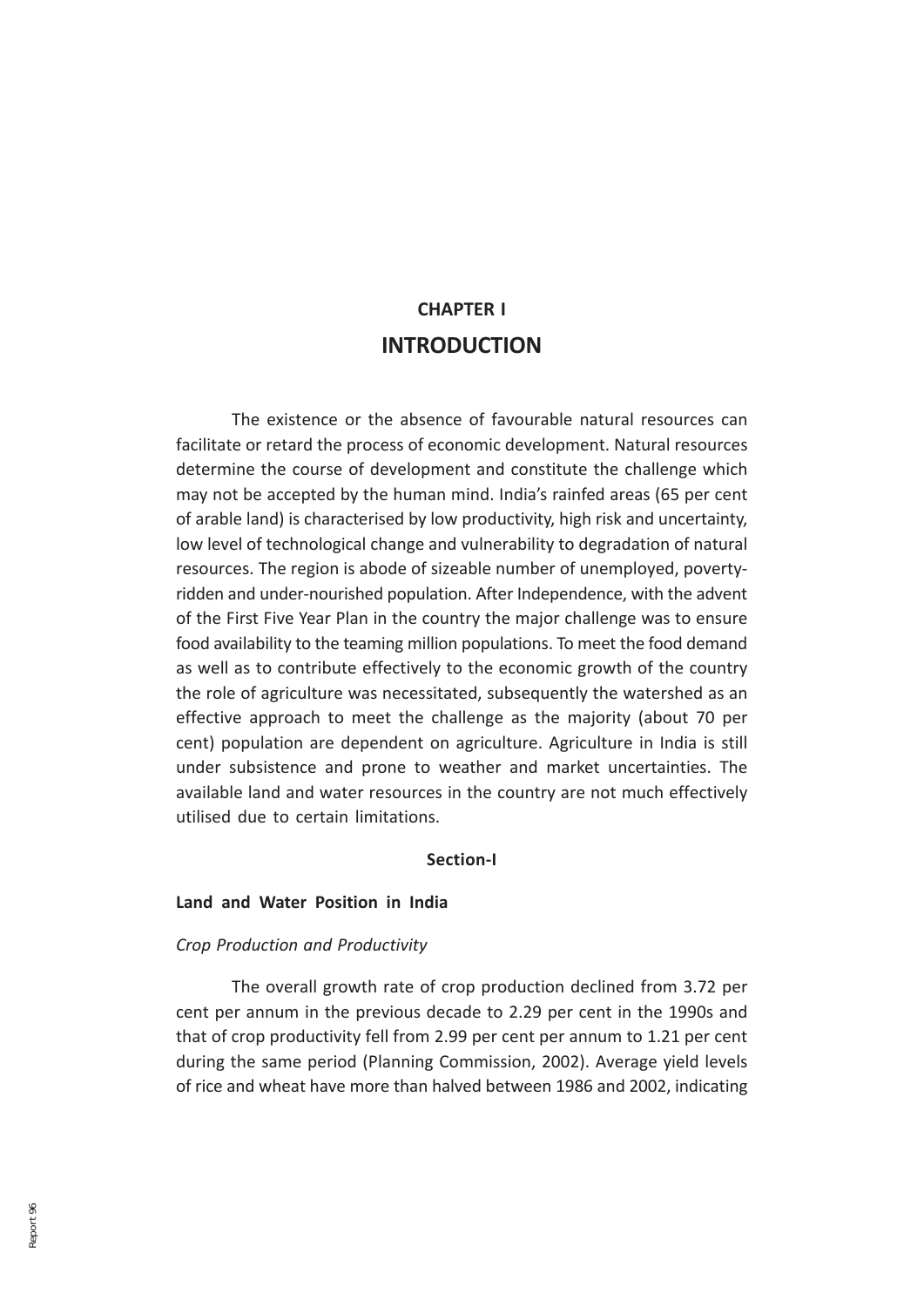# **CHAPTER I INTRODUCTION**

The existence or the absence of favourable natural resources can facilitate or retard the process of economic development. Natural resources determine the course of development and constitute the challenge which may not be accepted by the human mind. India's rainfed areas (65 per cent of arable land) is characterised by low productivity, high risk and uncertainty, low level of technological change and vulnerability to degradation of natural resources. The region is abode of sizeable number of unemployed, povertyridden and under-nourished population. After Independence, with the advent of the First Five Year Plan in the country the major challenge was to ensure food availability to the teaming million populations. To meet the food demand as well as to contribute effectively to the economic growth of the country the role of agriculture was necessitated, subsequently the watershed as an effective approach to meet the challenge as the majority (about 70 per cent) population are dependent on agriculture. Agriculture in India is still under subsistence and prone to weather and market uncertainties. The available land and water resources in the country are not much effectively utilised due to certain limitations.

#### **Section-I**

#### **Land and Water Position in India**

#### *Crop Production and Productivity*

The overall growth rate of crop production declined from 3.72 per cent per annum in the previous decade to 2.29 per cent in the 1990s and that of crop productivity fell from 2.99 per cent per annum to 1.21 per cent during the same period (Planning Commission, 2002). Average yield levels of rice and wheat have more than halved between 1986 and 2002, indicating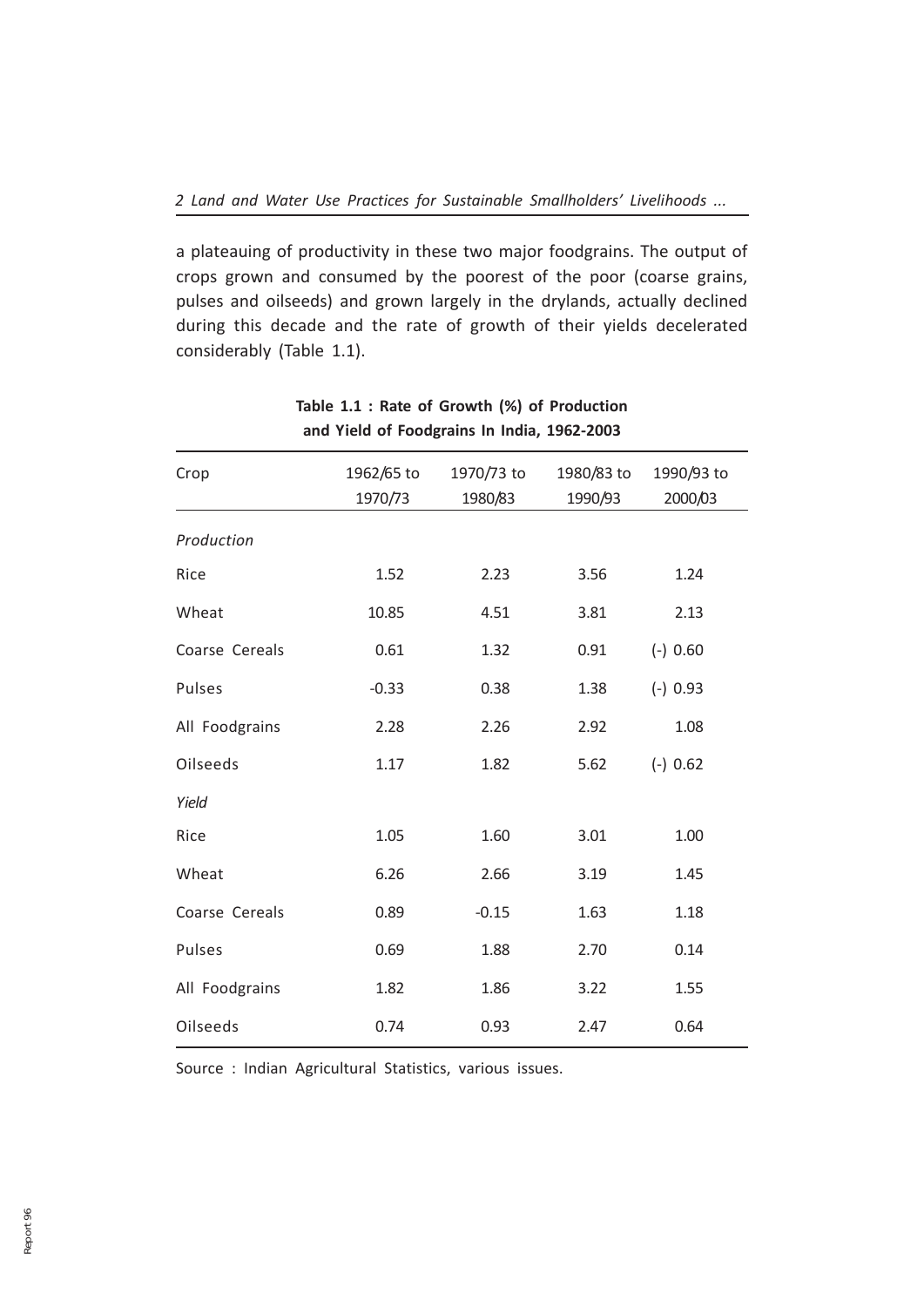a plateauing of productivity in these two major foodgrains. The output of crops grown and consumed by the poorest of the poor (coarse grains, pulses and oilseeds) and grown largely in the drylands, actually declined during this decade and the rate of growth of their yields decelerated considerably (Table 1.1).

| Crop           | 1962/65 to<br>1970/73 | 1970/73 to<br>1980/83 | 1980/83 to<br>1990/93 | 1990/93 to<br>2000/03 |
|----------------|-----------------------|-----------------------|-----------------------|-----------------------|
| Production     |                       |                       |                       |                       |
| Rice           | 1.52                  | 2.23                  | 3.56                  | 1.24                  |
| Wheat          | 10.85                 | 4.51                  | 3.81                  | 2.13                  |
| Coarse Cereals | 0.61                  | 1.32                  | 0.91                  | $(-) 0.60$            |
| Pulses         | $-0.33$               | 0.38                  | 1.38                  | $(-) 0.93$            |
| All Foodgrains | 2.28                  | 2.26                  | 2.92                  | 1.08                  |
| Oilseeds       | 1.17                  | 1.82                  | 5.62                  | $(-) 0.62$            |
| Yield          |                       |                       |                       |                       |
| Rice           | 1.05                  | 1.60                  | 3.01                  | 1.00                  |
| Wheat          | 6.26                  | 2.66                  | 3.19                  | 1.45                  |
| Coarse Cereals | 0.89                  | $-0.15$               | 1.63                  | 1.18                  |
| Pulses         | 0.69                  | 1.88                  | 2.70                  | 0.14                  |
| All Foodgrains | 1.82                  | 1.86                  | 3.22                  | 1.55                  |
| Oilseeds       | 0.74                  | 0.93                  | 2.47                  | 0.64                  |

# **Table 1.1 : Rate of Growth (%) of Production and Yield of Foodgrains In India, 1962-2003**

Source : Indian Agricultural Statistics, various issues.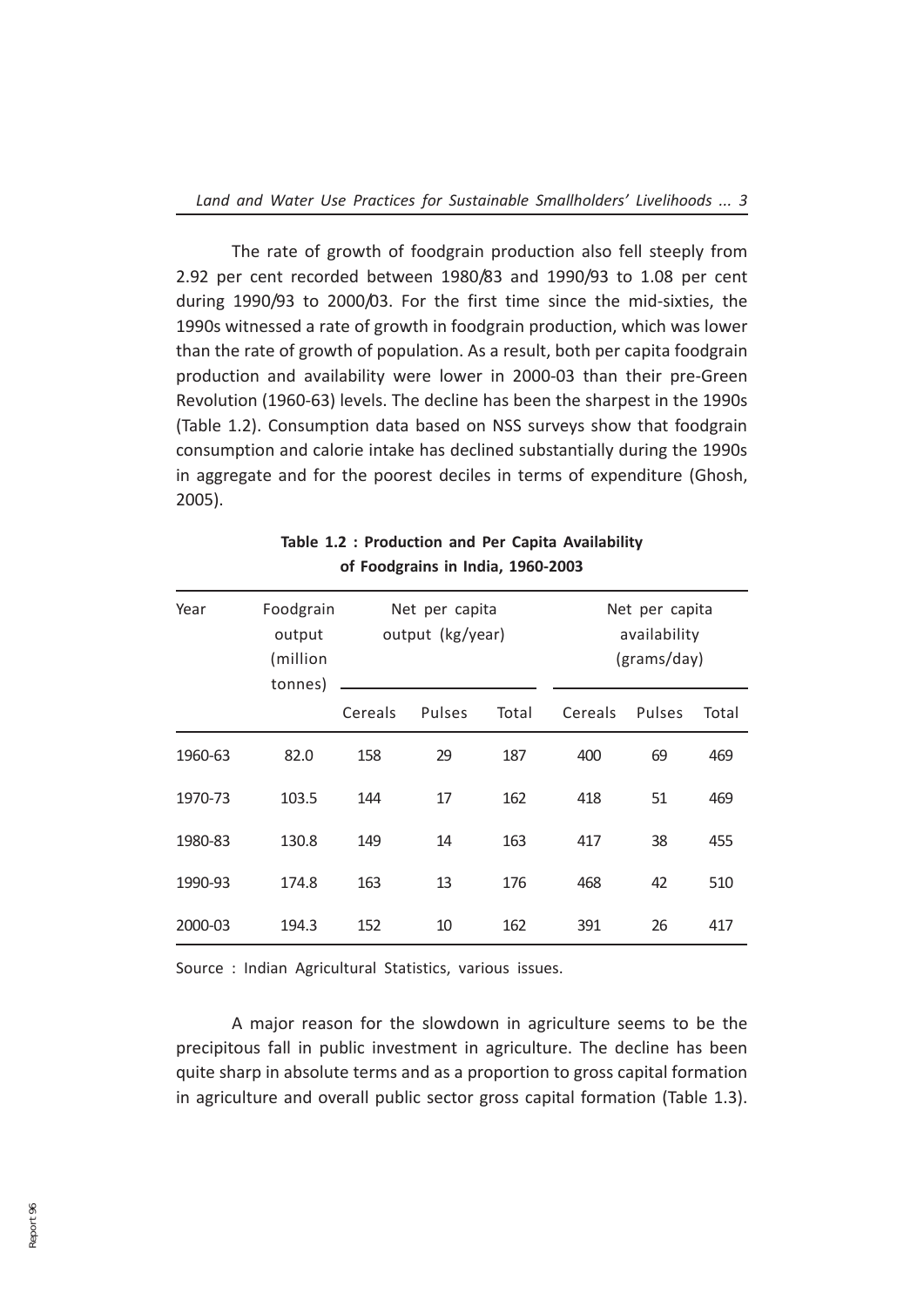The rate of growth of foodgrain production also fell steeply from 2.92 per cent recorded between 1980/83 and 1990/93 to 1.08 per cent during 1990/93 to 2000/03. For the first time since the mid-sixties, the 1990s witnessed a rate of growth in foodgrain production, which was lower than the rate of growth of population. As a result, both per capita foodgrain production and availability were lower in 2000-03 than their pre-Green Revolution (1960-63) levels. The decline has been the sharpest in the 1990s (Table 1.2). Consumption data based on NSS surveys show that foodgrain consumption and calorie intake has declined substantially during the 1990s in aggregate and for the poorest deciles in terms of expenditure (Ghosh, 2005).

| Year    | Foodgrain<br>output<br>(million<br>tonnes) |         | Net per capita<br>output (kg/year) |       |         | Net per capita<br>availability<br>(grams/day) |       |
|---------|--------------------------------------------|---------|------------------------------------|-------|---------|-----------------------------------------------|-------|
|         |                                            | Cereals | Pulses                             | Total | Cereals | Pulses                                        | Total |
| 1960-63 | 82.0                                       | 158     | 29                                 | 187   | 400     | 69                                            | 469   |
| 1970-73 | 103.5                                      | 144     | 17                                 | 162   | 418     | 51                                            | 469   |
| 1980-83 | 130.8                                      | 149     | 14                                 | 163   | 417     | 38                                            | 455   |
| 1990-93 | 174.8                                      | 163     | 13                                 | 176   | 468     | 42                                            | 510   |
| 2000-03 | 194.3                                      | 152     | 10                                 | 162   | 391     | 26                                            | 417   |

**Table 1.2 : Production and Per Capita Availability of Foodgrains in India, 1960-2003**

Source : Indian Agricultural Statistics, various issues.

A major reason for the slowdown in agriculture seems to be the precipitous fall in public investment in agriculture. The decline has been quite sharp in absolute terms and as a proportion to gross capital formation in agriculture and overall public sector gross capital formation (Table 1.3).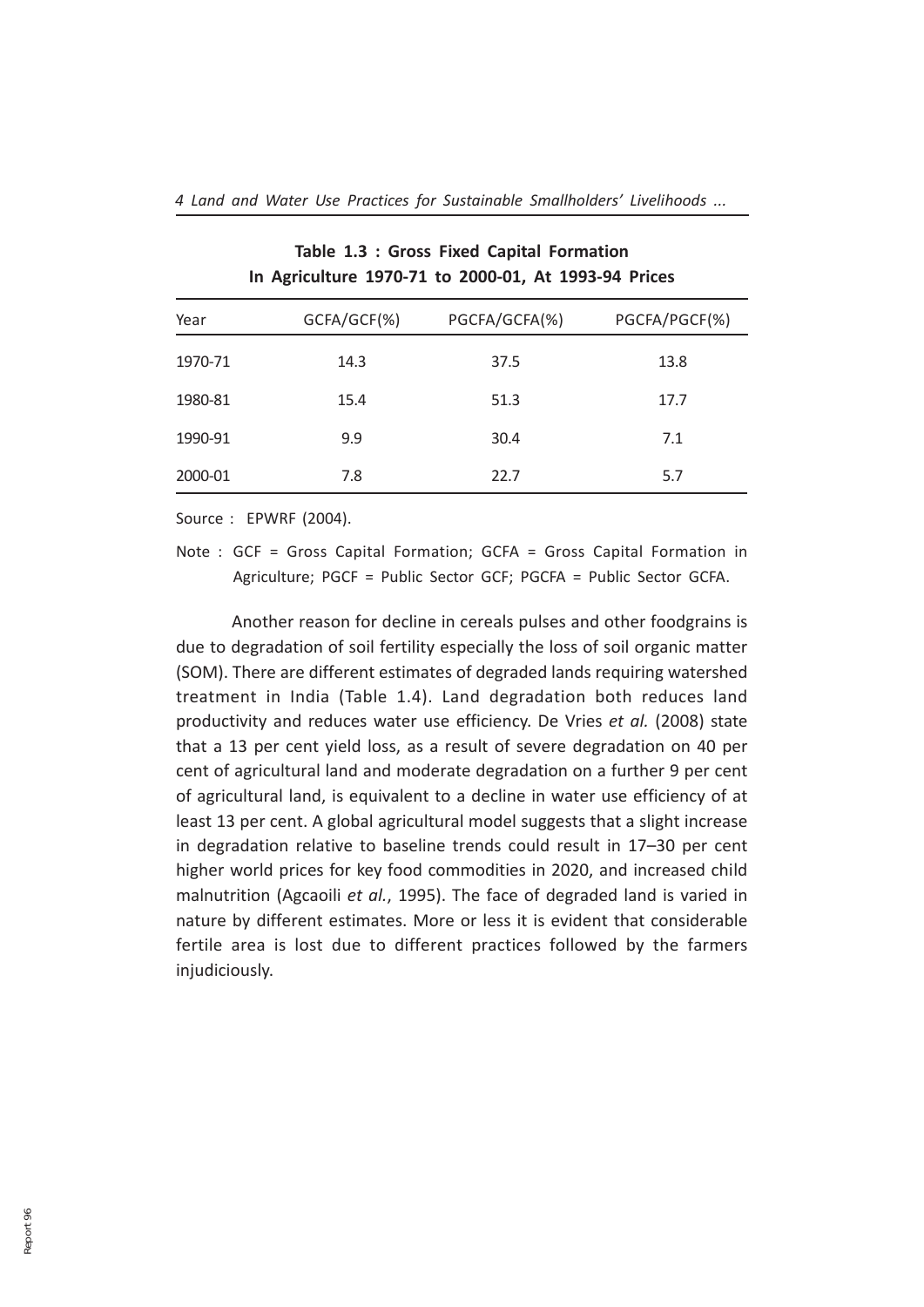| In Agriculture 1970-71 to 2000-01, At 1993-94 Prices |             |               |               |  |  |  |  |
|------------------------------------------------------|-------------|---------------|---------------|--|--|--|--|
| Year                                                 | GCFA/GCF(%) | PGCFA/GCFA(%) | PGCFA/PGCF(%) |  |  |  |  |
| 1970-71                                              | 14.3        | 37.5          | 13.8          |  |  |  |  |
| 1980-81                                              | 15.4        | 51.3          | 17.7          |  |  |  |  |
| 1990-91                                              | 9.9         | 30.4          | 7.1           |  |  |  |  |
| 2000-01                                              | 7.8         | 22.7          | 5.7           |  |  |  |  |

# *4 Land and Water Use Practices for Sustainable Smallholders' Livelihoods ...*

**Table 1.3 : Gross Fixed Capital Formation**

Source : EPWRF (2004).

Note : GCF = Gross Capital Formation; GCFA = Gross Capital Formation in Agriculture; PGCF = Public Sector GCF; PGCFA = Public Sector GCFA.

Another reason for decline in cereals pulses and other foodgrains is due to degradation of soil fertility especially the loss of soil organic matter (SOM). There are different estimates of degraded lands requiring watershed treatment in India (Table 1.4). Land degradation both reduces land productivity and reduces water use efficiency. De Vries *et al.* (2008) state that a 13 per cent yield loss, as a result of severe degradation on 40 per cent of agricultural land and moderate degradation on a further 9 per cent of agricultural land, is equivalent to a decline in water use efficiency of at least 13 per cent. A global agricultural model suggests that a slight increase in degradation relative to baseline trends could result in 17–30 per cent higher world prices for key food commodities in 2020, and increased child malnutrition (Agcaoili *et al.*, 1995). The face of degraded land is varied in nature by different estimates. More or less it is evident that considerable fertile area is lost due to different practices followed by the farmers injudiciously.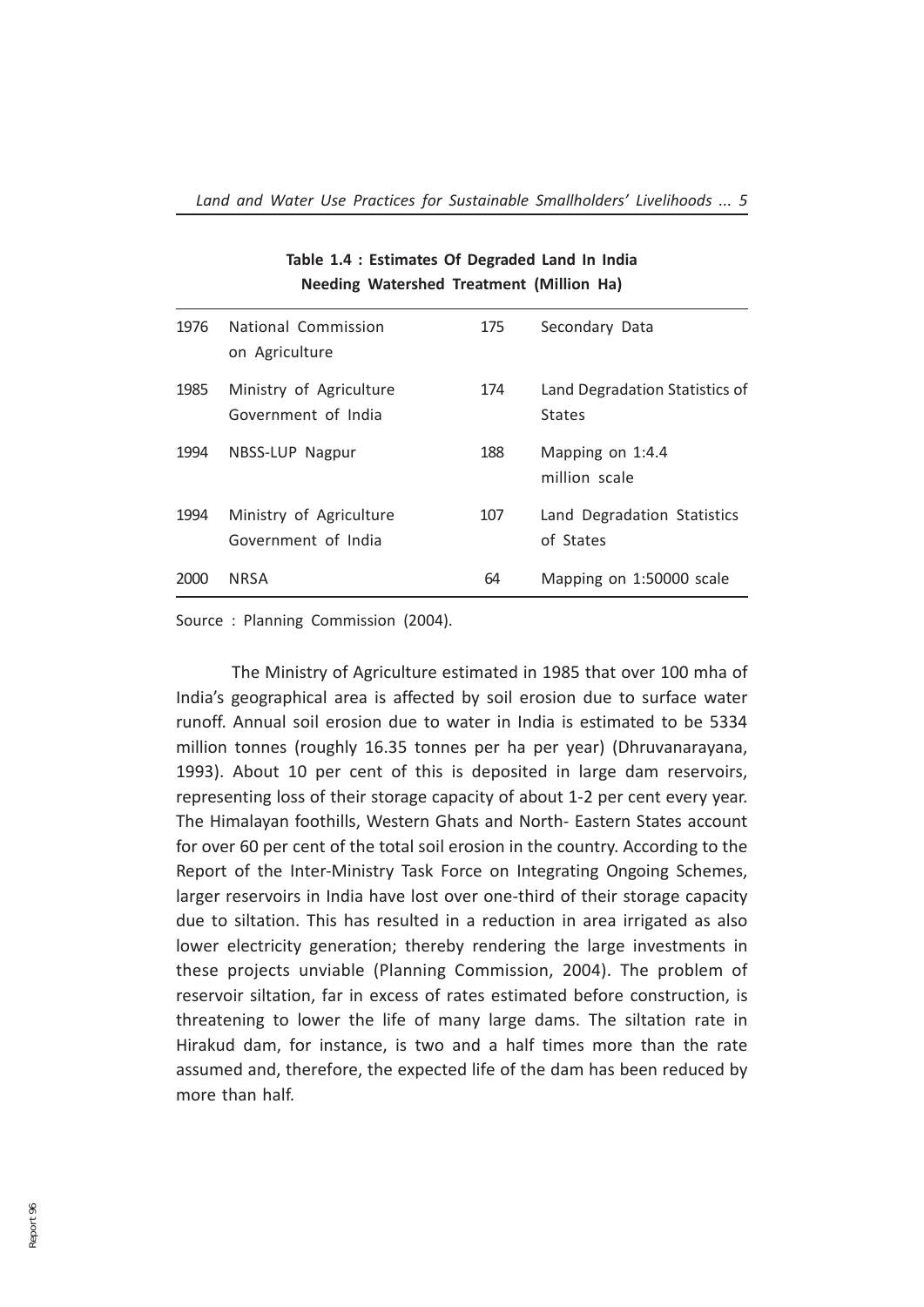|      | <b>Needing Watershed Treatment (Million Ha)</b> |     |                                                 |
|------|-------------------------------------------------|-----|-------------------------------------------------|
| 1976 | National Commission<br>on Agriculture           | 175 | Secondary Data                                  |
| 1985 | Ministry of Agriculture<br>Government of India  | 174 | Land Degradation Statistics of<br><b>States</b> |
| 1994 | NBSS-LUP Nagpur                                 | 188 | Mapping on 1:4.4<br>million scale               |
| 1994 | Ministry of Agriculture<br>Government of India  | 107 | Land Degradation Statistics<br>of States        |
| 2000 | <b>NRSA</b>                                     | 64  | Mapping on 1:50000 scale                        |

# **Table 1.4 : Estimates Of Degraded Land In India**

Source : Planning Commission (2004).

The Ministry of Agriculture estimated in 1985 that over 100 mha of India's geographical area is affected by soil erosion due to surface water runoff. Annual soil erosion due to water in India is estimated to be 5334 million tonnes (roughly 16.35 tonnes per ha per year) (Dhruvanarayana, 1993). About 10 per cent of this is deposited in large dam reservoirs, representing loss of their storage capacity of about 1-2 per cent every year. The Himalayan foothills, Western Ghats and North- Eastern States account for over 60 per cent of the total soil erosion in the country. According to the Report of the Inter-Ministry Task Force on Integrating Ongoing Schemes, larger reservoirs in India have lost over one-third of their storage capacity due to siltation. This has resulted in a reduction in area irrigated as also lower electricity generation; thereby rendering the large investments in these projects unviable (Planning Commission, 2004). The problem of reservoir siltation, far in excess of rates estimated before construction, is threatening to lower the life of many large dams. The siltation rate in Hirakud dam, for instance, is two and a half times more than the rate assumed and, therefore, the expected life of the dam has been reduced by more than half.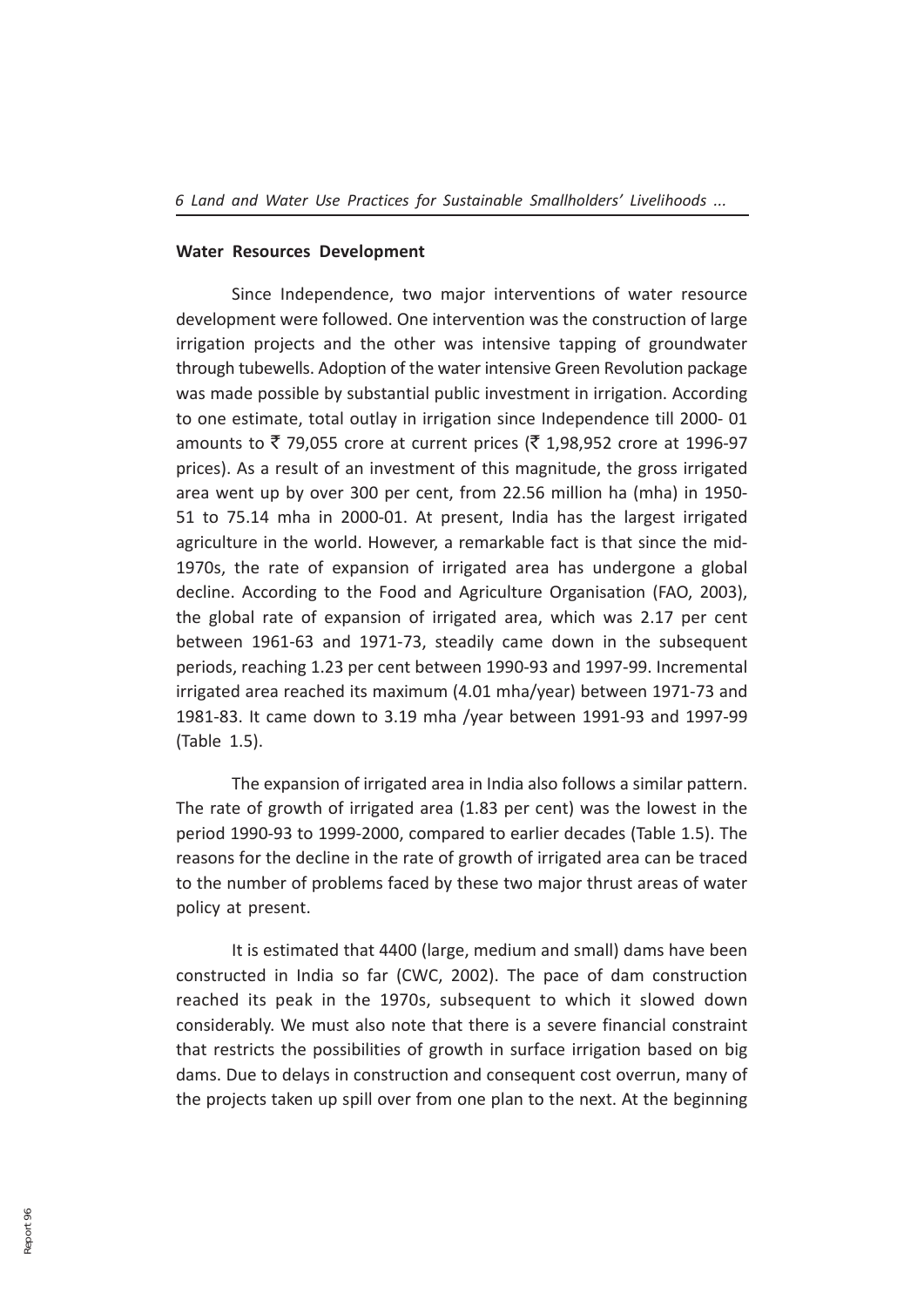#### **Water Resources Development**

Since Independence, two major interventions of water resource development were followed. One intervention was the construction of large irrigation projects and the other was intensive tapping of groundwater through tubewells. Adoption of the water intensive Green Revolution package was made possible by substantial public investment in irrigation. According to one estimate, total outlay in irrigation since Independence till 2000- 01 amounts to  $\overline{\zeta}$  79,055 crore at current prices ( $\overline{\zeta}$  1,98,952 crore at 1996-97 prices). As a result of an investment of this magnitude, the gross irrigated area went up by over 300 per cent, from 22.56 million ha (mha) in 1950- 51 to 75.14 mha in 2000-01. At present, India has the largest irrigated agriculture in the world. However, a remarkable fact is that since the mid-1970s, the rate of expansion of irrigated area has undergone a global decline. According to the Food and Agriculture Organisation (FAO, 2003), the global rate of expansion of irrigated area, which was 2.17 per cent between 1961-63 and 1971-73, steadily came down in the subsequent periods, reaching 1.23 per cent between 1990-93 and 1997-99. Incremental irrigated area reached its maximum (4.01 mha/year) between 1971-73 and 1981-83. It came down to 3.19 mha /year between 1991-93 and 1997-99 (Table 1.5).

The expansion of irrigated area in India also follows a similar pattern. The rate of growth of irrigated area (1.83 per cent) was the lowest in the period 1990-93 to 1999-2000, compared to earlier decades (Table 1.5). The reasons for the decline in the rate of growth of irrigated area can be traced to the number of problems faced by these two major thrust areas of water policy at present.

It is estimated that 4400 (large, medium and small) dams have been constructed in India so far (CWC, 2002). The pace of dam construction reached its peak in the 1970s, subsequent to which it slowed down considerably. We must also note that there is a severe financial constraint that restricts the possibilities of growth in surface irrigation based on big dams. Due to delays in construction and consequent cost overrun, many of the projects taken up spill over from one plan to the next. At the beginning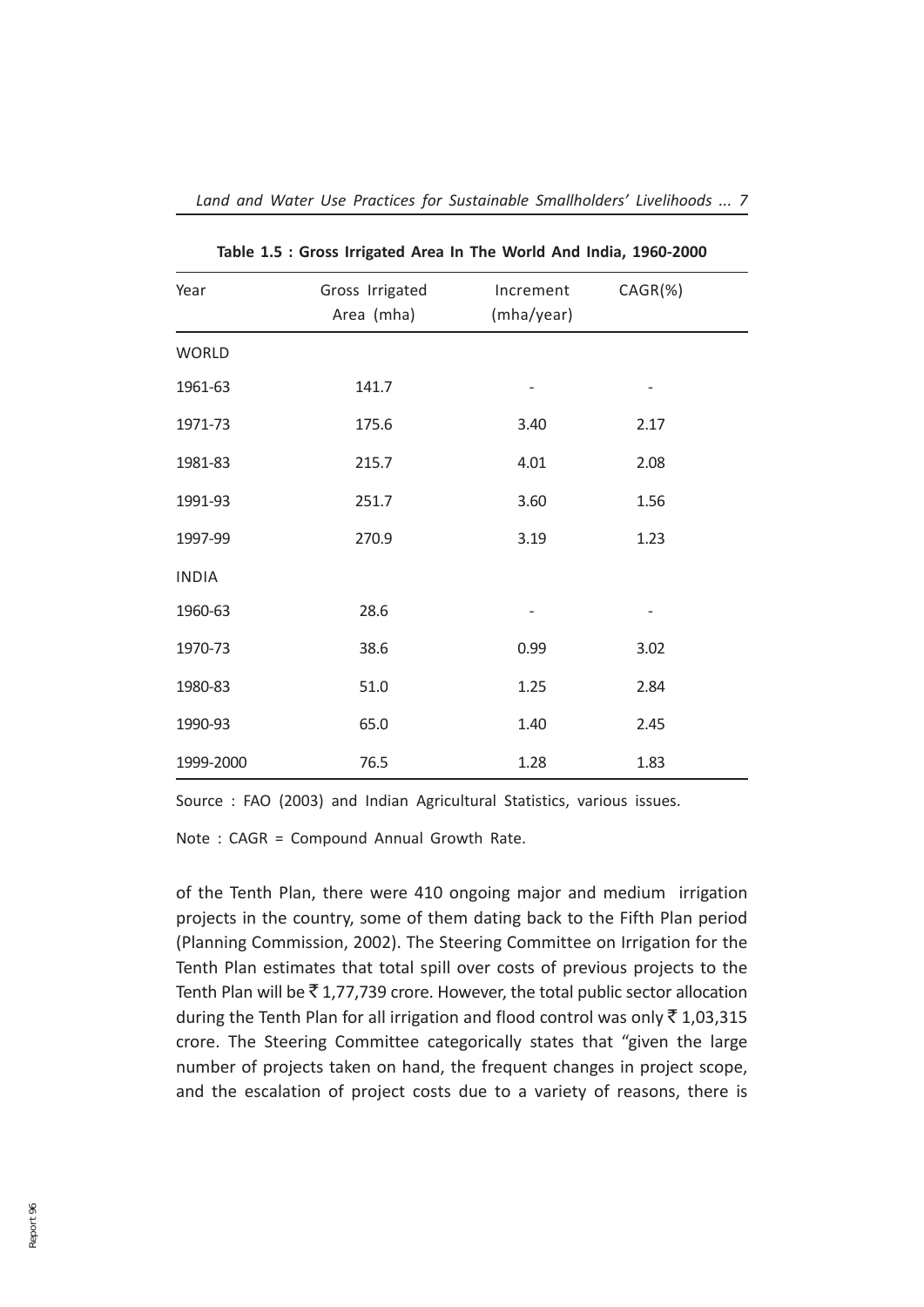|              | --- - -- --- -- - - - -       |                          |            |
|--------------|-------------------------------|--------------------------|------------|
| Year         | Gross Irrigated<br>Area (mha) | Increment<br>(mha/year)  | $CAGR(\%)$ |
| <b>WORLD</b> |                               |                          |            |
| 1961-63      | 141.7                         | $\qquad \qquad -$        | -          |
| 1971-73      | 175.6                         | 3.40                     | 2.17       |
| 1981-83      | 215.7                         | 4.01                     | 2.08       |
| 1991-93      | 251.7                         | 3.60                     | 1.56       |
| 1997-99      | 270.9                         | 3.19                     | 1.23       |
| <b>INDIA</b> |                               |                          |            |
| 1960-63      | 28.6                          | $\overline{\phantom{a}}$ |            |
| 1970-73      | 38.6                          | 0.99                     | 3.02       |
| 1980-83      | 51.0                          | 1.25                     | 2.84       |
| 1990-93      | 65.0                          | 1.40                     | 2.45       |
| 1999-2000    | 76.5                          | 1.28                     | 1.83       |

**Table 1.5 : Gross Irrigated Area In The World And India, 1960-2000**

Source : FAO (2003) and Indian Agricultural Statistics, various issues.

Note : CAGR = Compound Annual Growth Rate.

of the Tenth Plan, there were 410 ongoing major and medium irrigation projects in the country, some of them dating back to the Fifth Plan period (Planning Commission, 2002). The Steering Committee on Irrigation for the Tenth Plan estimates that total spill over costs of previous projects to the Tenth Plan will be  $\bar{z}$  1,77,739 crore. However, the total public sector allocation during the Tenth Plan for all irrigation and flood control was only  $\bar{z}$  1,03,315 crore. The Steering Committee categorically states that "given the large number of projects taken on hand, the frequent changes in project scope, and the escalation of project costs due to a variety of reasons, there is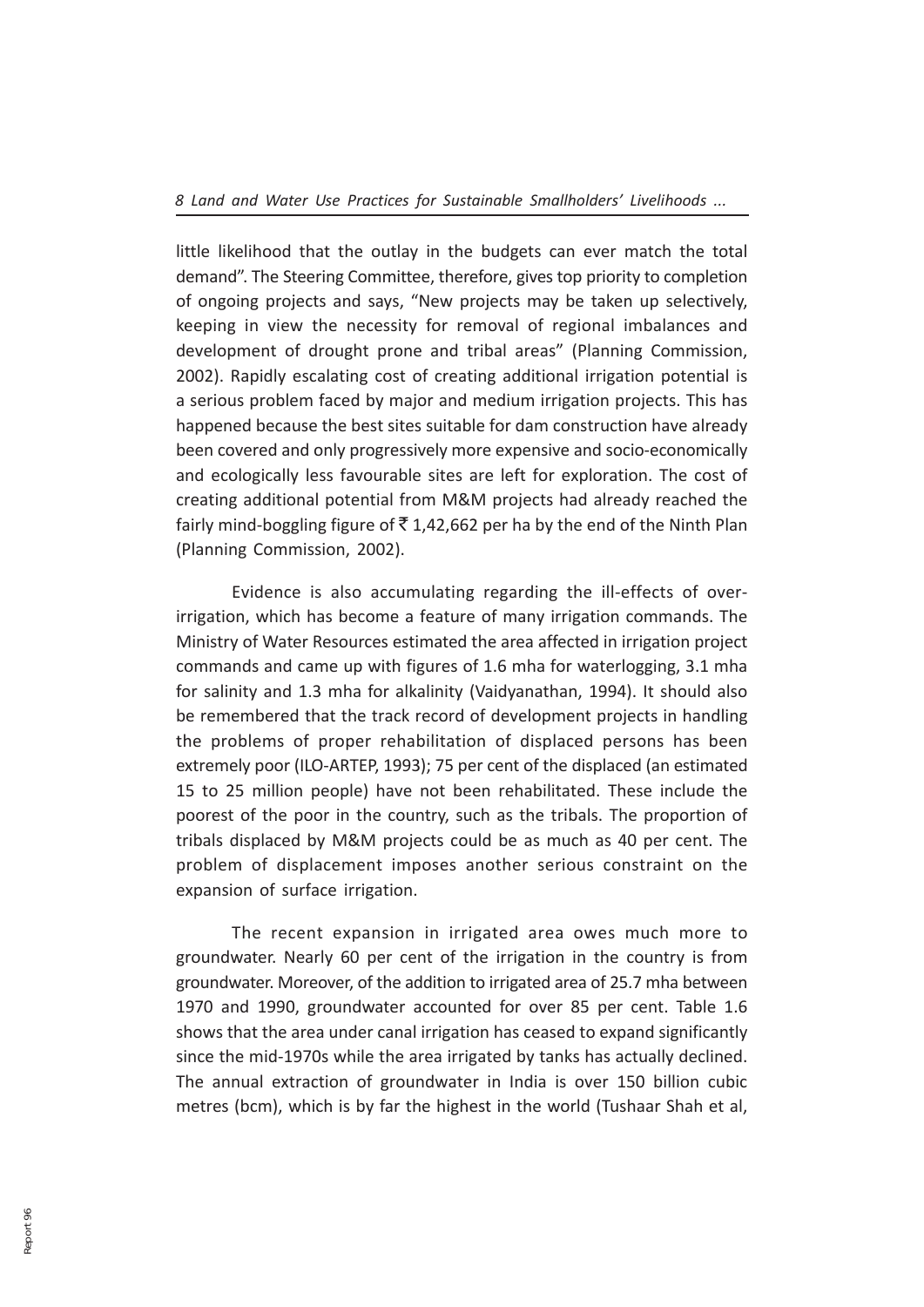little likelihood that the outlay in the budgets can ever match the total demand". The Steering Committee, therefore, gives top priority to completion of ongoing projects and says, "New projects may be taken up selectively, keeping in view the necessity for removal of regional imbalances and development of drought prone and tribal areas" (Planning Commission, 2002). Rapidly escalating cost of creating additional irrigation potential is a serious problem faced by major and medium irrigation projects. This has happened because the best sites suitable for dam construction have already been covered and only progressively more expensive and socio-economically and ecologically less favourable sites are left for exploration. The cost of creating additional potential from M&M projects had already reached the fairly mind-boggling figure of  $\bar{z}$  1,42,662 per ha by the end of the Ninth Plan (Planning Commission, 2002).

Evidence is also accumulating regarding the ill-effects of overirrigation, which has become a feature of many irrigation commands. The Ministry of Water Resources estimated the area affected in irrigation project commands and came up with figures of 1.6 mha for waterlogging, 3.1 mha for salinity and 1.3 mha for alkalinity (Vaidyanathan, 1994). It should also be remembered that the track record of development projects in handling the problems of proper rehabilitation of displaced persons has been extremely poor (ILO-ARTEP, 1993); 75 per cent of the displaced (an estimated 15 to 25 million people) have not been rehabilitated. These include the poorest of the poor in the country, such as the tribals. The proportion of tribals displaced by M&M projects could be as much as 40 per cent. The problem of displacement imposes another serious constraint on the expansion of surface irrigation.

The recent expansion in irrigated area owes much more to groundwater. Nearly 60 per cent of the irrigation in the country is from groundwater. Moreover, of the addition to irrigated area of 25.7 mha between 1970 and 1990, groundwater accounted for over 85 per cent. Table 1.6 shows that the area under canal irrigation has ceased to expand significantly since the mid-1970s while the area irrigated by tanks has actually declined. The annual extraction of groundwater in India is over 150 billion cubic metres (bcm), which is by far the highest in the world (Tushaar Shah et al,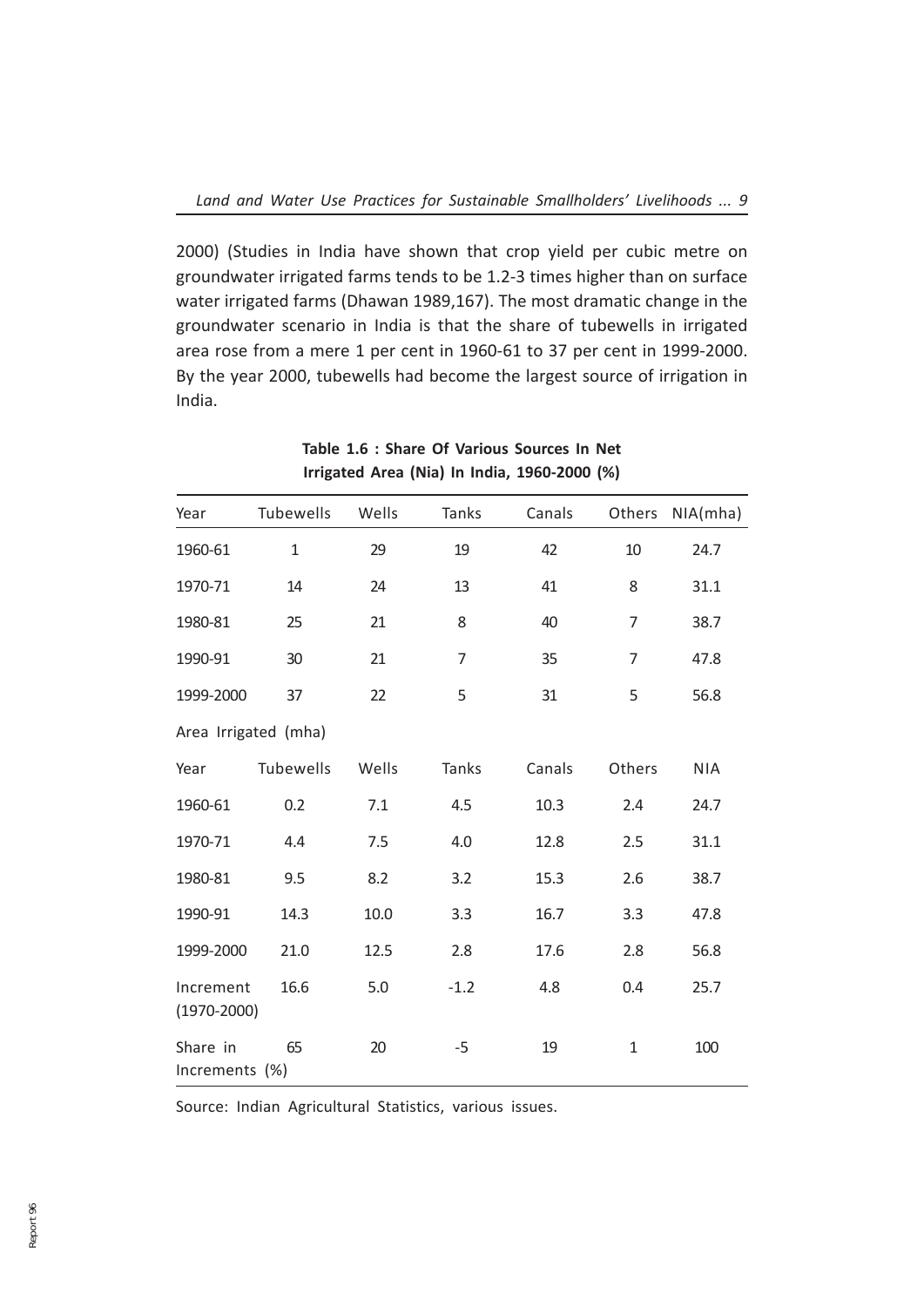2000) (Studies in India have shown that crop yield per cubic metre on groundwater irrigated farms tends to be 1.2-3 times higher than on surface water irrigated farms (Dhawan 1989,167). The most dramatic change in the groundwater scenario in India is that the share of tubewells in irrigated area rose from a mere 1 per cent in 1960-61 to 37 per cent in 1999-2000. By the year 2000, tubewells had become the largest source of irrigation in India.

| Year                         | Tubewells    | Wells | Tanks          | Canals | Others       | NIA(mha)   |
|------------------------------|--------------|-------|----------------|--------|--------------|------------|
| 1960-61                      | $\mathbf{1}$ | 29    | 19             | 42     | 10           | 24.7       |
| 1970-71                      | 14           | 24    | 13             | 41     | 8            | 31.1       |
| 1980-81                      | 25           | 21    | 8              | 40     | 7            | 38.7       |
| 1990-91                      | 30           | 21    | $\overline{7}$ | 35     | 7            | 47.8       |
| 1999-2000                    | 37           | 22    | 5              | 31     | 5            | 56.8       |
| Area Irrigated (mha)         |              |       |                |        |              |            |
| Year                         | Tubewells    | Wells | Tanks          | Canals | Others       | <b>NIA</b> |
| 1960-61                      | 0.2          | 7.1   | 4.5            | 10.3   | 2.4          | 24.7       |
| 1970-71                      | 4.4          | 7.5   | 4.0            | 12.8   | 2.5          | 31.1       |
| 1980-81                      | 9.5          | 8.2   | 3.2            | 15.3   | 2.6          | 38.7       |
| 1990-91                      | 14.3         | 10.0  | 3.3            | 16.7   | 3.3          | 47.8       |
| 1999-2000                    | 21.0         | 12.5  | 2.8            | 17.6   | 2.8          | 56.8       |
| Increment<br>$(1970 - 2000)$ | 16.6         | 5.0   | $-1.2$         | 4.8    | 0.4          | 25.7       |
| Share in<br>Increments (%)   | 65           | 20    | $-5$           | 19     | $\mathbf{1}$ | 100        |

# **Table 1.6 : Share Of Various Sources In Net Irrigated Area (Nia) In India, 1960-2000 (%)**

Source: Indian Agricultural Statistics, various issues.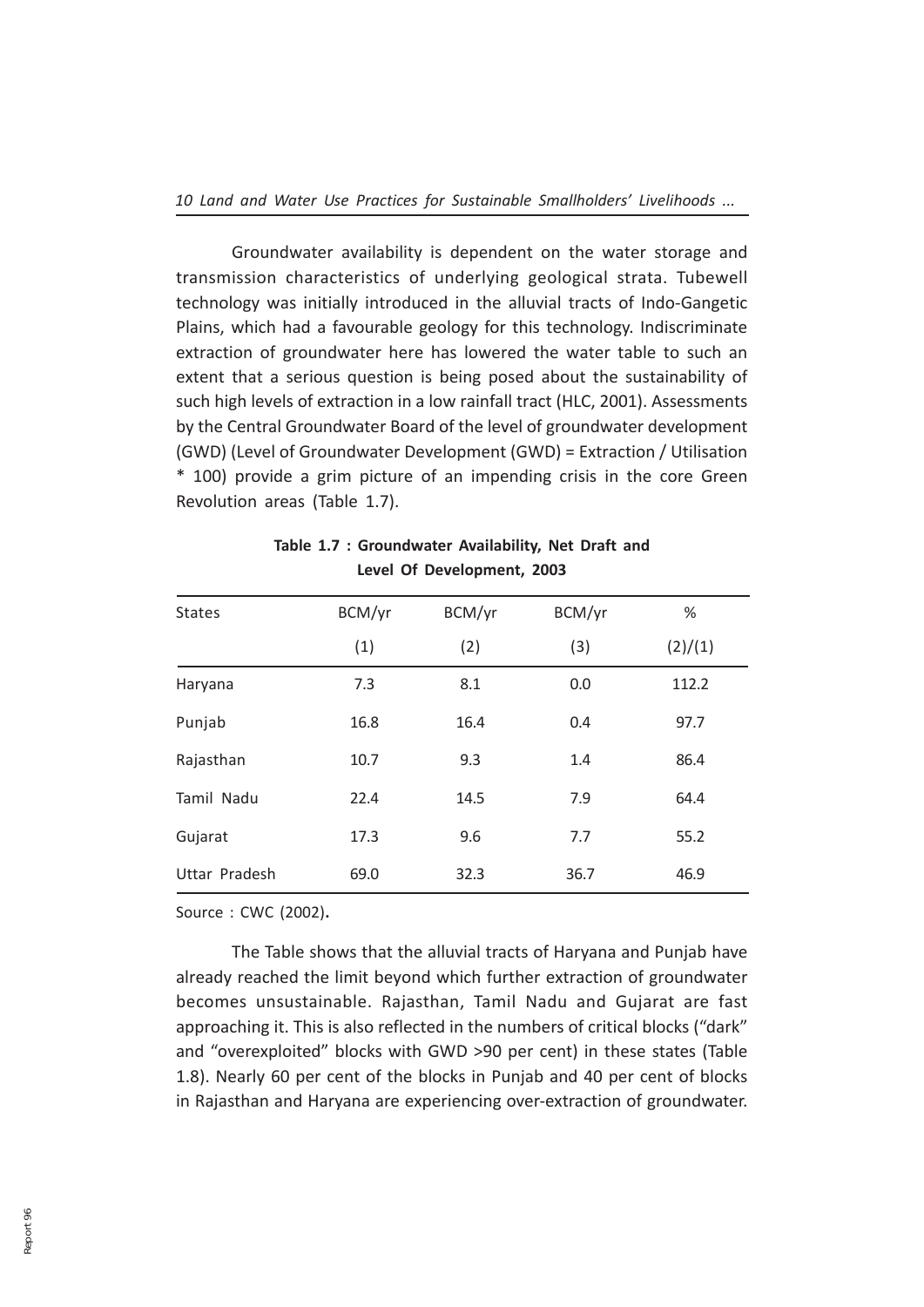Groundwater availability is dependent on the water storage and transmission characteristics of underlying geological strata. Tubewell technology was initially introduced in the alluvial tracts of Indo-Gangetic Plains, which had a favourable geology for this technology. Indiscriminate extraction of groundwater here has lowered the water table to such an extent that a serious question is being posed about the sustainability of such high levels of extraction in a low rainfall tract (HLC, 2001). Assessments by the Central Groundwater Board of the level of groundwater development (GWD) (Level of Groundwater Development (GWD) = Extraction / Utilisation \* 100) provide a grim picture of an impending crisis in the core Green Revolution areas (Table 1.7).

| <b>States</b> | BCM/yr | BCM/yr | BCM/yr | %       |
|---------------|--------|--------|--------|---------|
|               | (1)    | (2)    | (3)    | (2)/(1) |
| Haryana       | 7.3    | 8.1    | 0.0    | 112.2   |
| Punjab        | 16.8   | 16.4   | 0.4    | 97.7    |
| Rajasthan     | 10.7   | 9.3    | 1.4    | 86.4    |
| Tamil Nadu    | 22.4   | 14.5   | 7.9    | 64.4    |
| Gujarat       | 17.3   | 9.6    | 7.7    | 55.2    |
| Uttar Pradesh | 69.0   | 32.3   | 36.7   | 46.9    |

**Table 1.7 : Groundwater Availability, Net Draft and Level Of Development, 2003**

Source : CWC (2002)**.**

The Table shows that the alluvial tracts of Haryana and Punjab have already reached the limit beyond which further extraction of groundwater becomes unsustainable. Rajasthan, Tamil Nadu and Gujarat are fast approaching it. This is also reflected in the numbers of critical blocks ("dark" and "overexploited" blocks with GWD >90 per cent) in these states (Table 1.8). Nearly 60 per cent of the blocks in Punjab and 40 per cent of blocks in Rajasthan and Haryana are experiencing over-extraction of groundwater.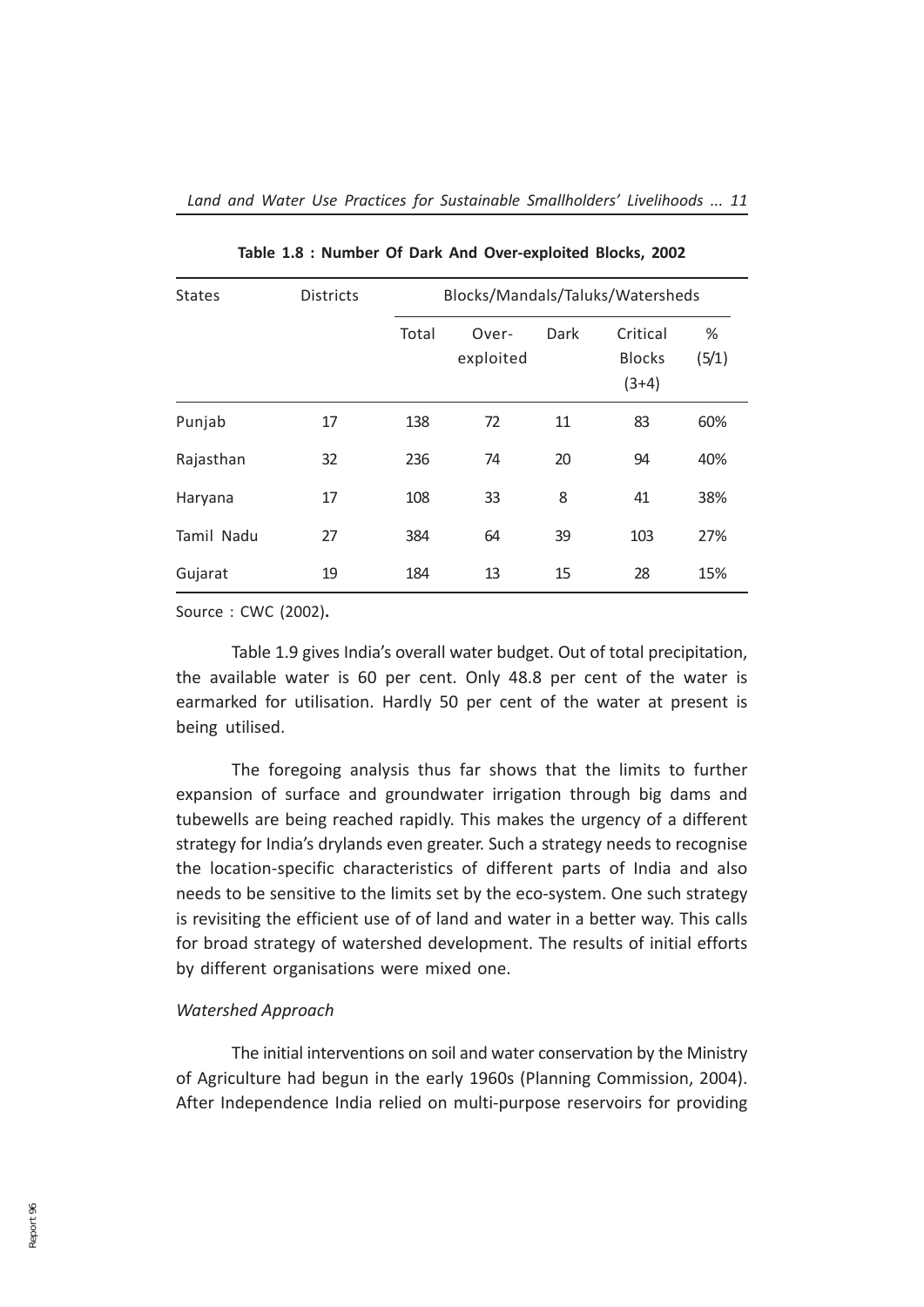| <b>States</b> | <b>Districts</b> |       | Blocks/Mandals/Taluks/Watersheds |      |                                      |            |  |  |
|---------------|------------------|-------|----------------------------------|------|--------------------------------------|------------|--|--|
|               |                  | Total | Over-<br>exploited               | Dark | Critical<br><b>Blocks</b><br>$(3+4)$ | %<br>(5/1) |  |  |
| Punjab        | 17               | 138   | 72                               | 11   | 83                                   | 60%        |  |  |
| Rajasthan     | 32               | 236   | 74                               | 20   | 94                                   | 40%        |  |  |
| Haryana       | 17               | 108   | 33                               | 8    | 41                                   | 38%        |  |  |
| Tamil Nadu    | 27               | 384   | 64                               | 39   | 103                                  | 27%        |  |  |
| Gujarat       | 19               | 184   | 13                               | 15   | 28                                   | 15%        |  |  |

**Table 1.8 : Number Of Dark And Over-exploited Blocks, 2002**

Source : CWC (2002)**.**

Table 1.9 gives India's overall water budget. Out of total precipitation, the available water is 60 per cent. Only 48.8 per cent of the water is earmarked for utilisation. Hardly 50 per cent of the water at present is being utilised.

The foregoing analysis thus far shows that the limits to further expansion of surface and groundwater irrigation through big dams and tubewells are being reached rapidly. This makes the urgency of a different strategy for India's drylands even greater. Such a strategy needs to recognise the location-specific characteristics of different parts of India and also needs to be sensitive to the limits set by the eco-system. One such strategy is revisiting the efficient use of of land and water in a better way. This calls for broad strategy of watershed development. The results of initial efforts by different organisations were mixed one.

#### *Watershed Approach*

The initial interventions on soil and water conservation by the Ministry of Agriculture had begun in the early 1960s (Planning Commission, 2004). After Independence India relied on multi-purpose reservoirs for providing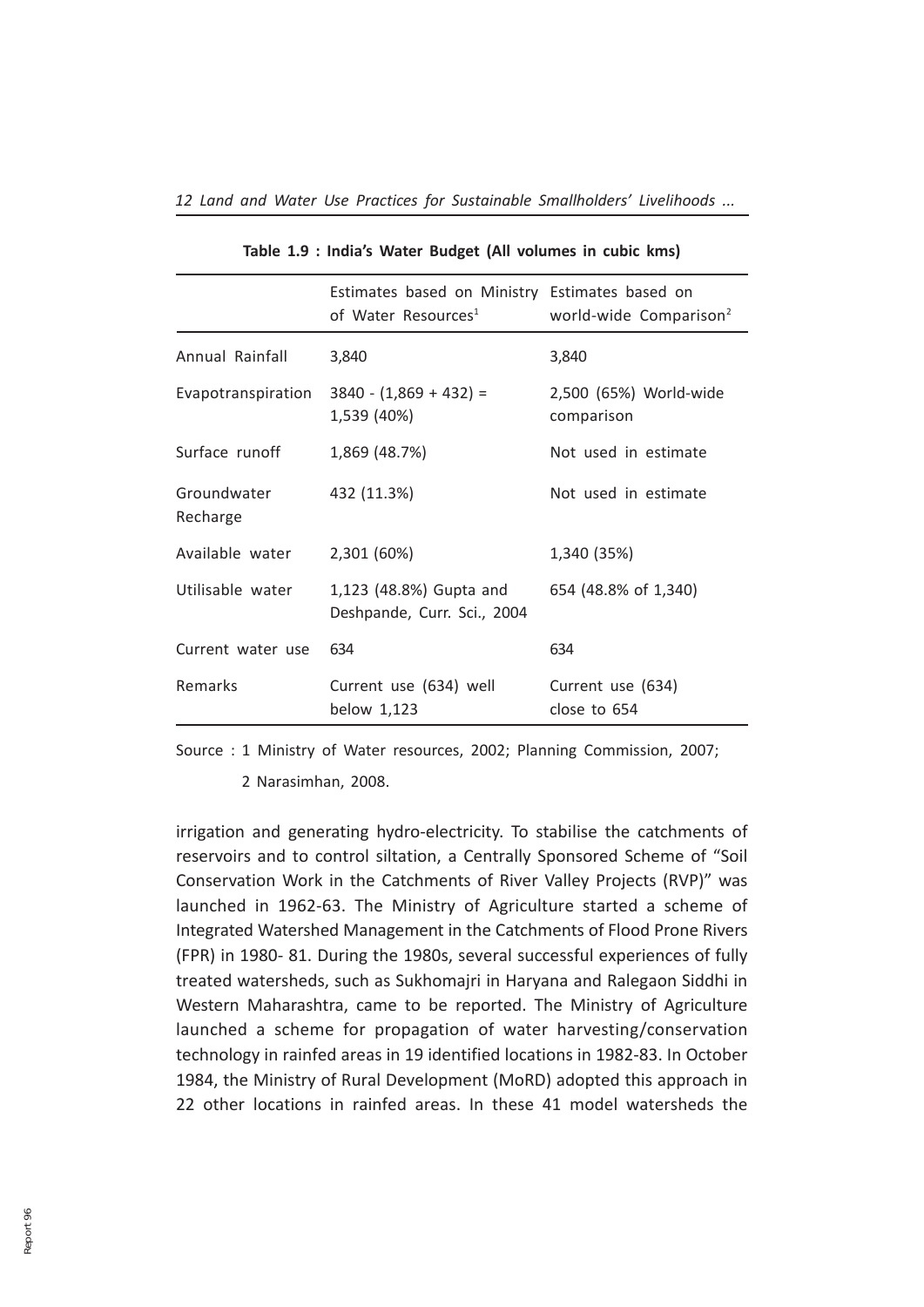|                         | Estimates based on Ministry Estimates based on<br>of Water Resources <sup>1</sup> | world-wide Comparison <sup>2</sup>   |
|-------------------------|-----------------------------------------------------------------------------------|--------------------------------------|
| Annual Rainfall         | 3,840                                                                             | 3,840                                |
| Evapotranspiration      | $3840 - (1,869 + 432) =$<br>1,539 (40%)                                           | 2,500 (65%) World-wide<br>comparison |
| Surface runoff          | 1,869 (48.7%)                                                                     | Not used in estimate                 |
| Groundwater<br>Recharge | 432 (11.3%)                                                                       | Not used in estimate                 |
| Available water         | 2,301 (60%)                                                                       | 1,340 (35%)                          |
| Utilisable water        | 1,123 (48.8%) Gupta and<br>Deshpande, Curr. Sci., 2004                            | 654 (48.8% of 1,340)                 |
| Current water use       | 634                                                                               | 634                                  |
| Remarks                 | Current use (634) well<br>below 1,123                                             | Current use (634)<br>close to 654    |

**Table 1.9 : India's Water Budget (All volumes in cubic kms)**

Source : 1 Ministry of Water resources, 2002; Planning Commission, 2007;

2 Narasimhan, 2008.

irrigation and generating hydro-electricity. To stabilise the catchments of reservoirs and to control siltation, a Centrally Sponsored Scheme of "Soil Conservation Work in the Catchments of River Valley Projects (RVP)" was launched in 1962-63. The Ministry of Agriculture started a scheme of Integrated Watershed Management in the Catchments of Flood Prone Rivers (FPR) in 1980- 81. During the 1980s, several successful experiences of fully treated watersheds, such as Sukhomajri in Haryana and Ralegaon Siddhi in Western Maharashtra, came to be reported. The Ministry of Agriculture launched a scheme for propagation of water harvesting/conservation technology in rainfed areas in 19 identified locations in 1982-83. In October 1984, the Ministry of Rural Development (MoRD) adopted this approach in 22 other locations in rainfed areas. In these 41 model watersheds the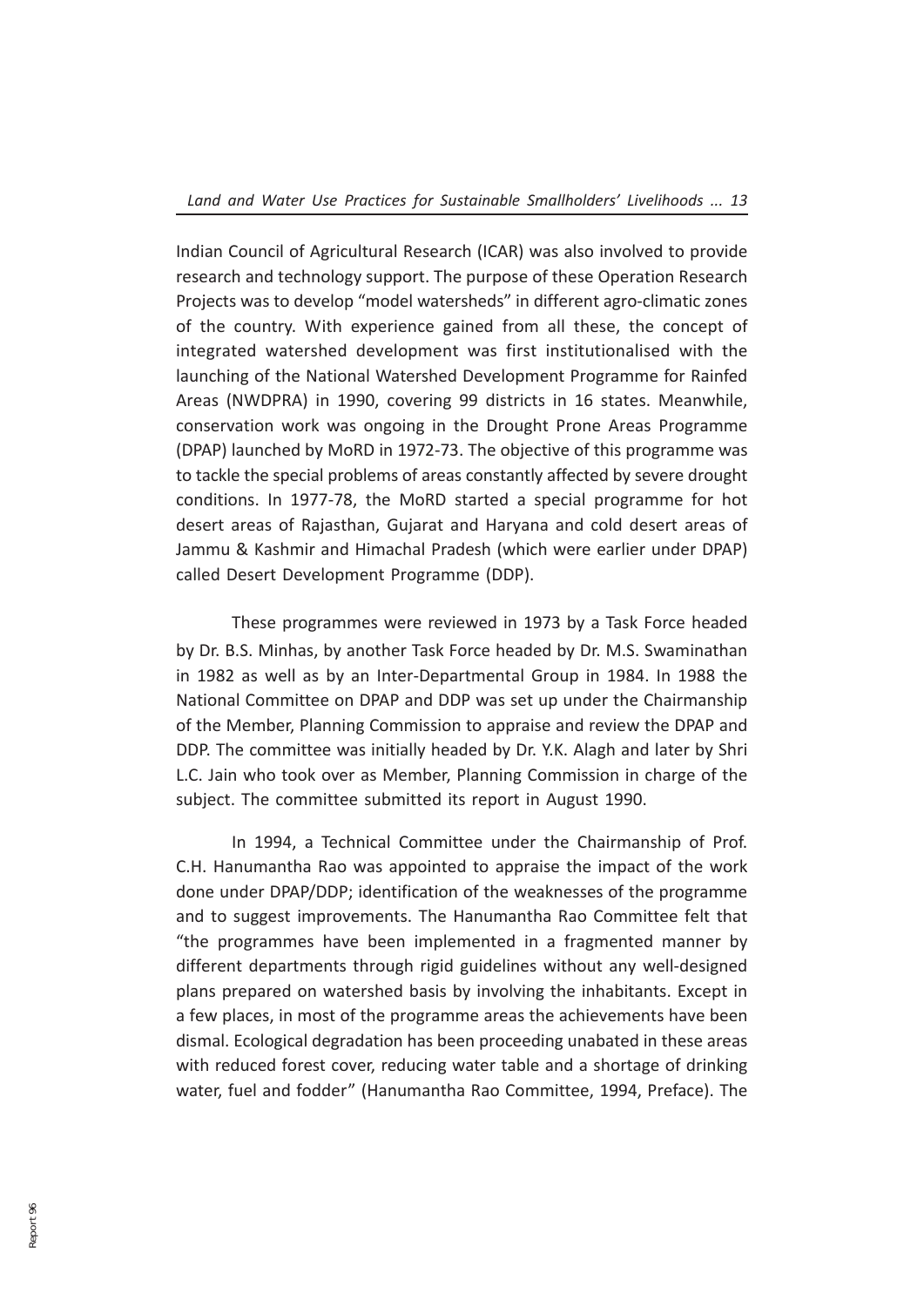Indian Council of Agricultural Research (ICAR) was also involved to provide research and technology support. The purpose of these Operation Research Projects was to develop "model watersheds" in different agro-climatic zones of the country. With experience gained from all these, the concept of integrated watershed development was first institutionalised with the launching of the National Watershed Development Programme for Rainfed Areas (NWDPRA) in 1990, covering 99 districts in 16 states. Meanwhile, conservation work was ongoing in the Drought Prone Areas Programme (DPAP) launched by MoRD in 1972-73. The objective of this programme was to tackle the special problems of areas constantly affected by severe drought conditions. In 1977-78, the MoRD started a special programme for hot desert areas of Rajasthan, Gujarat and Haryana and cold desert areas of Jammu & Kashmir and Himachal Pradesh (which were earlier under DPAP) called Desert Development Programme (DDP).

These programmes were reviewed in 1973 by a Task Force headed by Dr. B.S. Minhas, by another Task Force headed by Dr. M.S. Swaminathan in 1982 as well as by an Inter-Departmental Group in 1984. In 1988 the National Committee on DPAP and DDP was set up under the Chairmanship of the Member, Planning Commission to appraise and review the DPAP and DDP. The committee was initially headed by Dr. Y.K. Alagh and later by Shri L.C. Jain who took over as Member, Planning Commission in charge of the subject. The committee submitted its report in August 1990.

In 1994, a Technical Committee under the Chairmanship of Prof. C.H. Hanumantha Rao was appointed to appraise the impact of the work done under DPAP/DDP; identification of the weaknesses of the programme and to suggest improvements. The Hanumantha Rao Committee felt that "the programmes have been implemented in a fragmented manner by different departments through rigid guidelines without any well-designed plans prepared on watershed basis by involving the inhabitants. Except in a few places, in most of the programme areas the achievements have been dismal. Ecological degradation has been proceeding unabated in these areas with reduced forest cover, reducing water table and a shortage of drinking water, fuel and fodder" (Hanumantha Rao Committee, 1994, Preface). The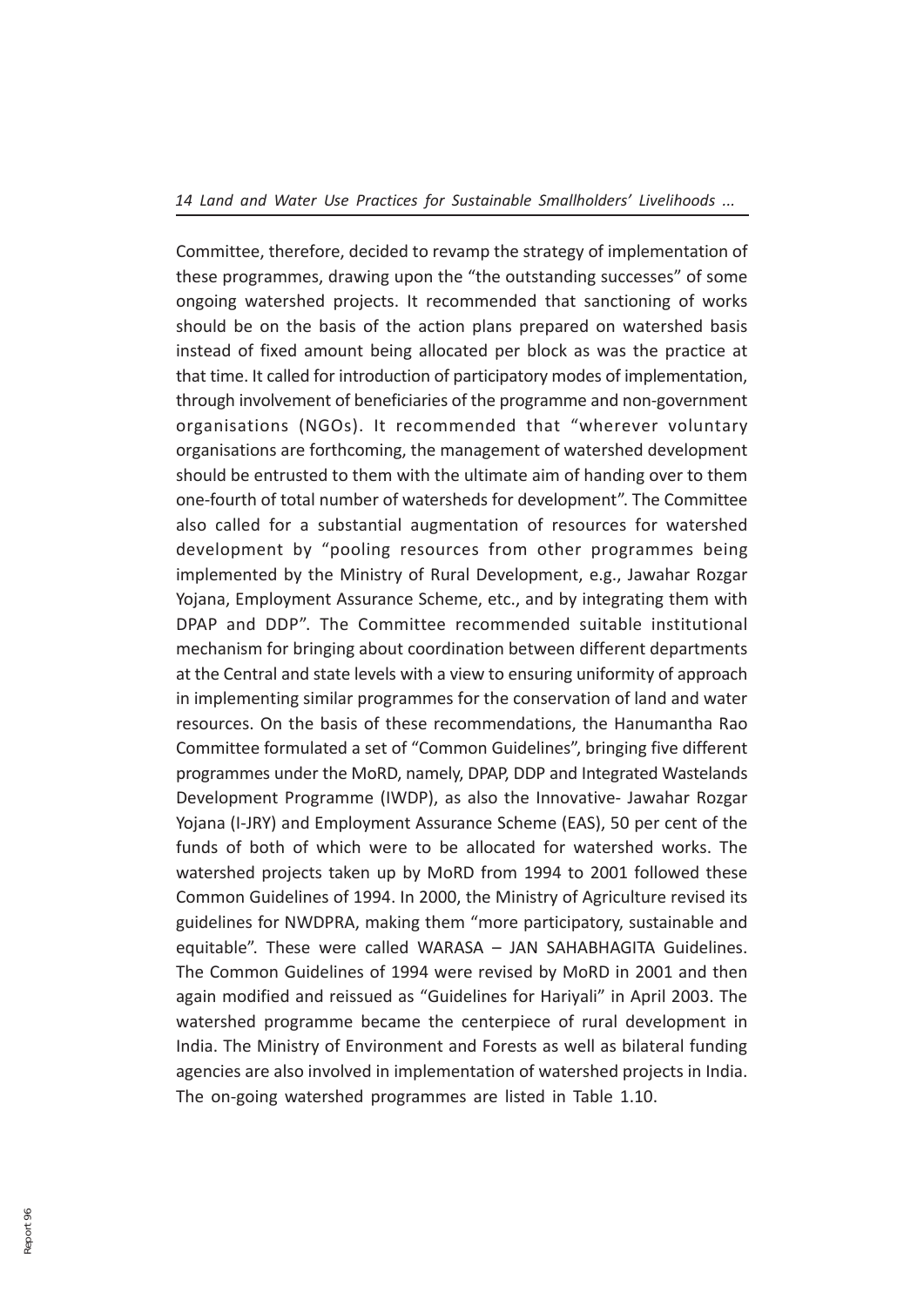Committee, therefore, decided to revamp the strategy of implementation of these programmes, drawing upon the "the outstanding successes" of some ongoing watershed projects. It recommended that sanctioning of works should be on the basis of the action plans prepared on watershed basis instead of fixed amount being allocated per block as was the practice at that time. It called for introduction of participatory modes of implementation, through involvement of beneficiaries of the programme and non-government organisations (NGOs). It recommended that "wherever voluntary organisations are forthcoming, the management of watershed development should be entrusted to them with the ultimate aim of handing over to them one-fourth of total number of watersheds for development". The Committee also called for a substantial augmentation of resources for watershed development by "pooling resources from other programmes being implemented by the Ministry of Rural Development, e.g., Jawahar Rozgar Yojana, Employment Assurance Scheme, etc., and by integrating them with DPAP and DDP". The Committee recommended suitable institutional mechanism for bringing about coordination between different departments at the Central and state levels with a view to ensuring uniformity of approach in implementing similar programmes for the conservation of land and water resources. On the basis of these recommendations, the Hanumantha Rao Committee formulated a set of "Common Guidelines", bringing five different programmes under the MoRD, namely, DPAP, DDP and Integrated Wastelands Development Programme (IWDP), as also the Innovative- Jawahar Rozgar Yojana (I-JRY) and Employment Assurance Scheme (EAS), 50 per cent of the funds of both of which were to be allocated for watershed works. The watershed projects taken up by MoRD from 1994 to 2001 followed these Common Guidelines of 1994. In 2000, the Ministry of Agriculture revised its guidelines for NWDPRA, making them "more participatory, sustainable and equitable". These were called WARASA – JAN SAHABHAGITA Guidelines. The Common Guidelines of 1994 were revised by MoRD in 2001 and then again modified and reissued as "Guidelines for Hariyali" in April 2003. The watershed programme became the centerpiece of rural development in India. The Ministry of Environment and Forests as well as bilateral funding agencies are also involved in implementation of watershed projects in India. The on-going watershed programmes are listed in Table 1.10.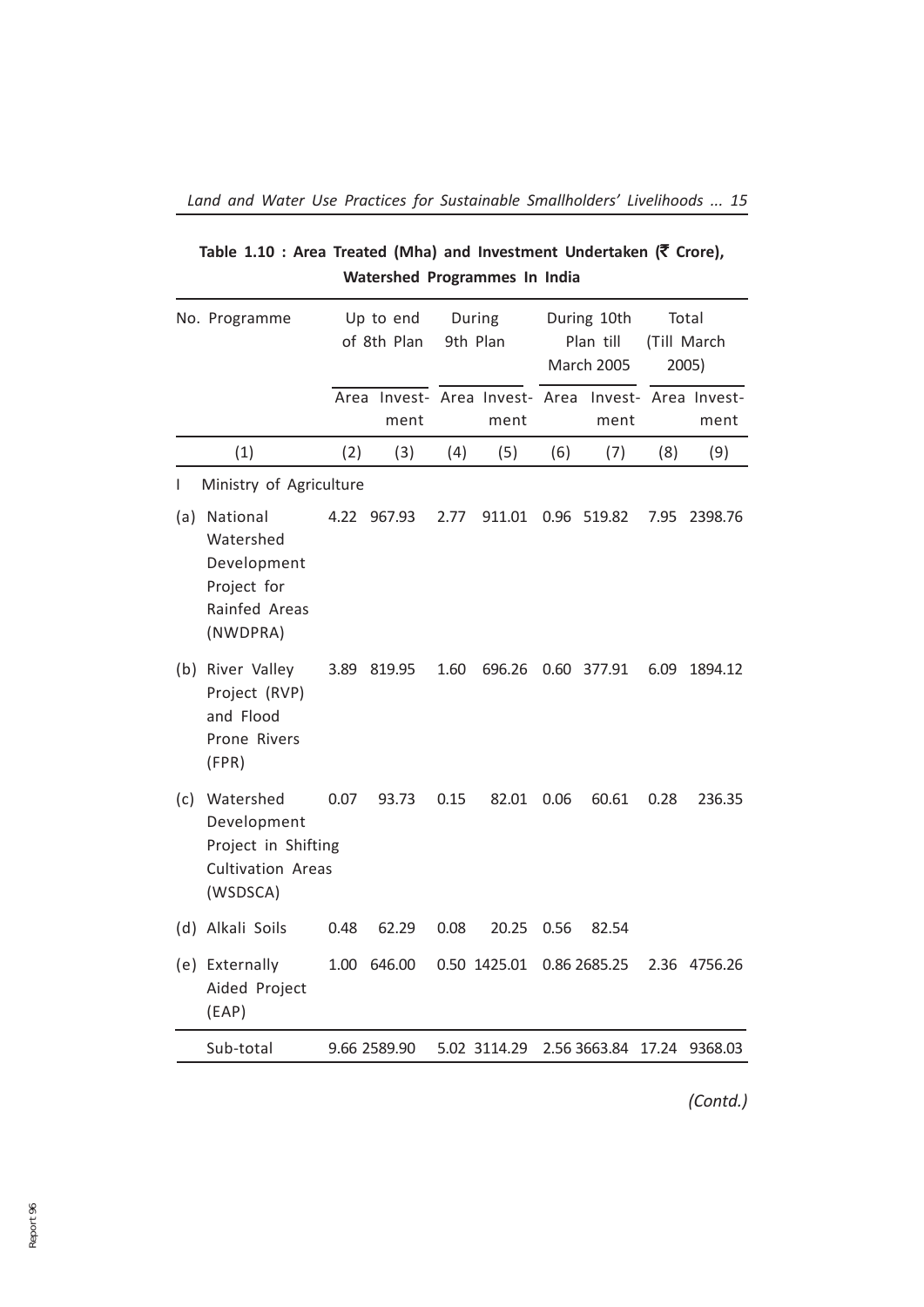|     |                                                                                         |      | watersned Programmes in India |      |                                   |      |                                               |      |                               |
|-----|-----------------------------------------------------------------------------------------|------|-------------------------------|------|-----------------------------------|------|-----------------------------------------------|------|-------------------------------|
|     | No. Programme                                                                           |      | Up to end<br>of 8th Plan      |      | During<br>9th Plan                |      | During 10th<br>Plan till<br><b>March 2005</b> |      | Total<br>(Till March<br>2005) |
|     |                                                                                         | Area | ment                          |      | Invest- Area Invest- Area<br>ment |      | ment                                          |      | Invest- Area Invest-<br>ment  |
|     | (1)                                                                                     | (2)  | (3)                           | (4)  | (5)                               | (6)  | (7)                                           | (8)  | (9)                           |
| L   | Ministry of Agriculture                                                                 |      |                               |      |                                   |      |                                               |      |                               |
| (a) | National<br>Watershed<br>Development<br>Project for<br>Rainfed Areas<br>(NWDPRA)        |      | 4.22 967.93                   | 2.77 | 911.01                            |      | 0.96 519.82                                   | 7.95 | 2398.76                       |
|     | (b) River Valley<br>Project (RVP)<br>and Flood<br>Prone Rivers<br>(FPR)                 | 3.89 | 819.95                        | 1.60 | 696.26                            |      | 0.60 377.91                                   | 6.09 | 1894.12                       |
| (c) | Watershed<br>Development<br>Project in Shifting<br><b>Cultivation Areas</b><br>(WSDSCA) | 0.07 | 93.73                         | 0.15 | 82.01                             | 0.06 | 60.61                                         | 0.28 | 236.35                        |
|     | (d) Alkali Soils                                                                        | 0.48 | 62.29                         | 0.08 | 20.25                             | 0.56 | 82.54                                         |      |                               |
|     | (e) Externally<br>Aided Project<br>(EAP)                                                | 1.00 | 646.00                        |      | 0.50 1425.01                      |      | 0.86 2685.25                                  |      | 2.36 4756.26                  |
|     | Sub-total                                                                               |      | 9.66 2589.90                  |      | 5.02 3114.29                      |      | 2.56 3663.84                                  |      | 17.24 9368.03                 |

# **Table 1.10 : Area Treated (Mha) and Investment Undertaken (**` **Crore), Watershed Programmes In India**

*(Contd.)*

Report 96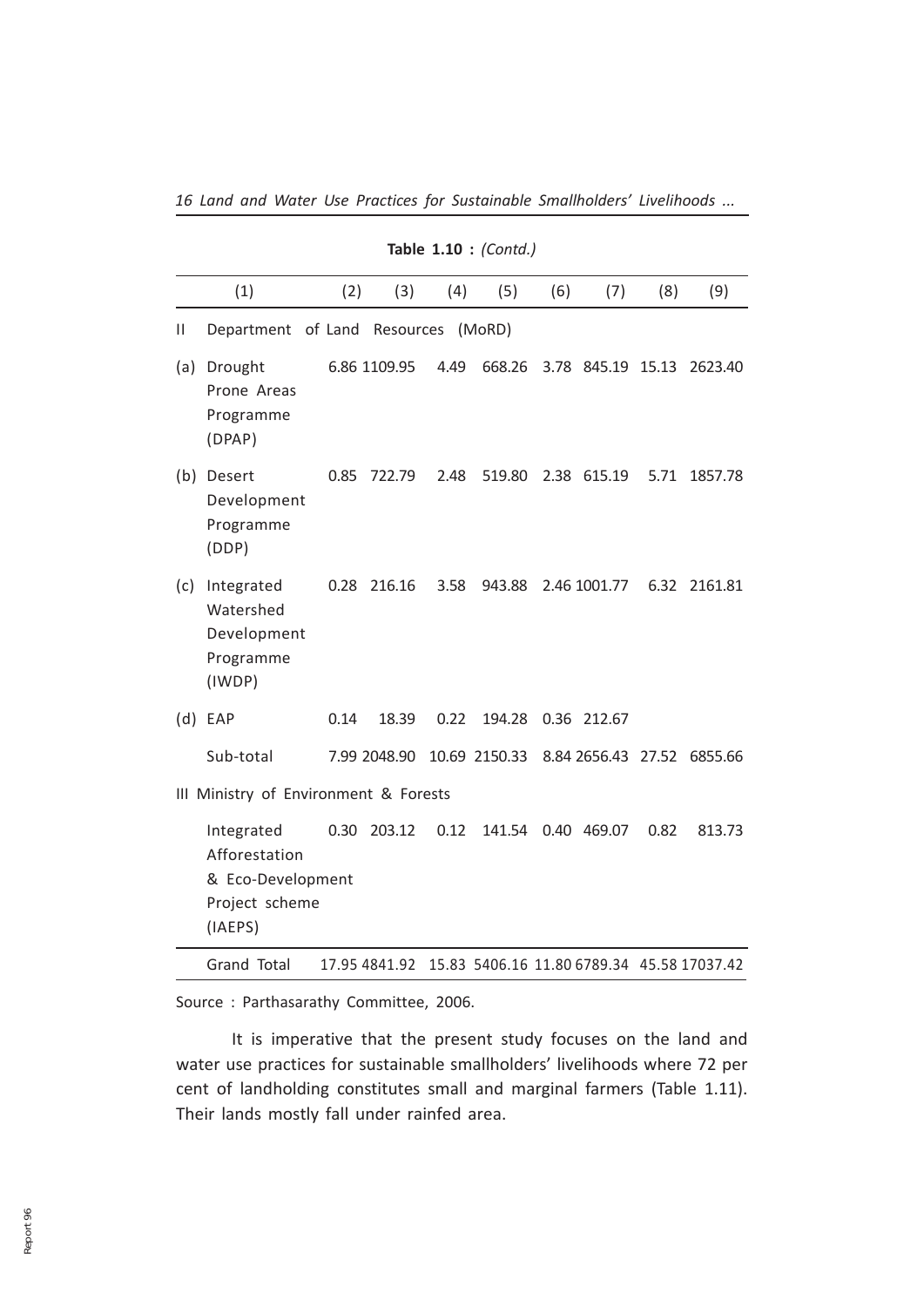|               | Table 1.10 : (Contd.)                                                         |      |               |      |               |     |                    |      |                                            |
|---------------|-------------------------------------------------------------------------------|------|---------------|------|---------------|-----|--------------------|------|--------------------------------------------|
|               | (1)                                                                           | (2)  | (3)           | (4)  | (5)           | (6) | (7)                | (8)  | (9)                                        |
| $\mathbf{II}$ | Department of Land Resources (MoRD)                                           |      |               |      |               |     |                    |      |                                            |
| (a)           | Drought<br>Prone Areas<br>Programme<br>(DPAP)                                 |      | 6.86 1109.95  | 4.49 | 668.26        |     | 3.78 845.19 15.13  |      | 2623.40                                    |
|               | (b) Desert<br>Development<br>Programme<br>(DDP)                               | 0.85 | 722.79        | 2.48 | 519.80        |     | 2.38 615.19        | 5.71 | 1857.78                                    |
| (c)           | Integrated<br>Watershed<br>Development<br>Programme<br>(IWDP)                 | 0.28 | 216.16        | 3.58 | 943.88        |     | 2.46 1001.77       |      | 6.32 2161.81                               |
|               | $(d)$ EAP                                                                     | 0.14 | 18.39         | 0.22 | 194.28        |     | 0.36 212.67        |      |                                            |
|               | Sub-total                                                                     |      | 7.99 2048.90  |      | 10.69 2150.33 |     | 8.84 2656.43 27.52 |      | 6855.66                                    |
|               | III Ministry of Environment & Forests                                         |      |               |      |               |     |                    |      |                                            |
|               | Integrated<br>Afforestation<br>& Eco-Development<br>Project scheme<br>(IAEPS) | 0.30 | 203.12        | 0.12 | 141.54        |     | 0.40 469.07        | 0.82 | 813.73                                     |
|               | Grand Total                                                                   |      | 17.95 4841.92 |      |               |     |                    |      | 15.83 5406.16 11.80 6789.34 45.58 17037.42 |

Source : Parthasarathy Committee, 2006.

It is imperative that the present study focuses on the land and water use practices for sustainable smallholders' livelihoods where 72 per cent of landholding constitutes small and marginal farmers (Table 1.11). Their lands mostly fall under rainfed area.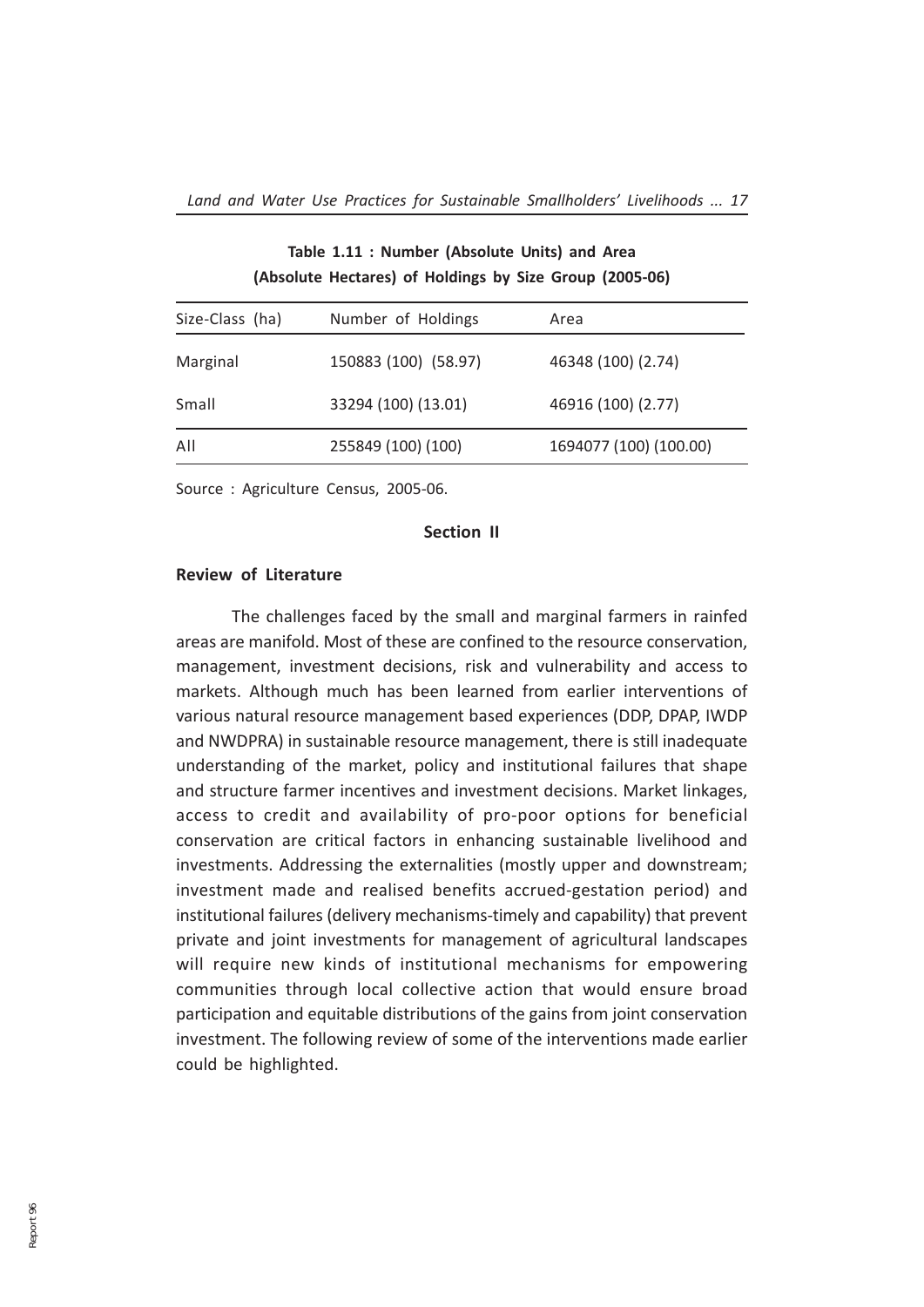| Size-Class (ha) | Number of Holdings   | Area                   |
|-----------------|----------------------|------------------------|
| Marginal        | 150883 (100) (58.97) | 46348 (100) (2.74)     |
| Small           | 33294 (100) (13.01)  | 46916 (100) (2.77)     |
| All             | 255849 (100) (100)   | 1694077 (100) (100.00) |

# **Table 1.11 : Number (Absolute Units) and Area (Absolute Hectares) of Holdings by Size Group (2005-06)**

Source : Agriculture Census, 2005-06.

#### **Section II**

#### **Review of Literature**

The challenges faced by the small and marginal farmers in rainfed areas are manifold. Most of these are confined to the resource conservation, management, investment decisions, risk and vulnerability and access to markets. Although much has been learned from earlier interventions of various natural resource management based experiences (DDP, DPAP, IWDP and NWDPRA) in sustainable resource management, there is still inadequate understanding of the market, policy and institutional failures that shape and structure farmer incentives and investment decisions. Market linkages, access to credit and availability of pro-poor options for beneficial conservation are critical factors in enhancing sustainable livelihood and investments. Addressing the externalities (mostly upper and downstream; investment made and realised benefits accrued-gestation period) and institutional failures (delivery mechanisms-timely and capability) that prevent private and joint investments for management of agricultural landscapes will require new kinds of institutional mechanisms for empowering communities through local collective action that would ensure broad participation and equitable distributions of the gains from joint conservation investment. The following review of some of the interventions made earlier could be highlighted.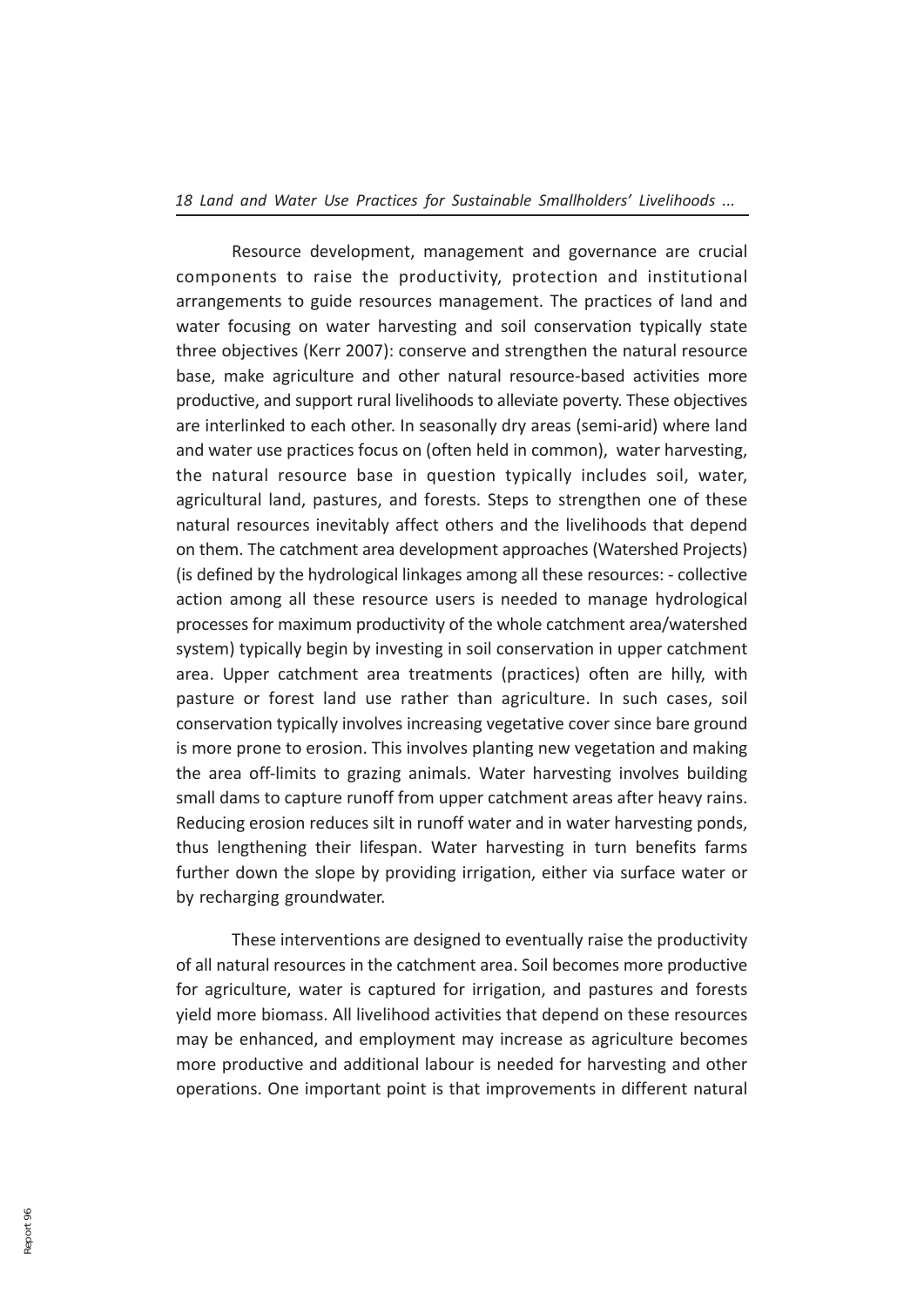#### *18 Land and Water Use Practices for Sustainable Smallholders' Livelihoods ...*

Resource development, management and governance are crucial components to raise the productivity, protection and institutional arrangements to guide resources management. The practices of land and water focusing on water harvesting and soil conservation typically state three objectives (Kerr 2007): conserve and strengthen the natural resource base, make agriculture and other natural resource-based activities more productive, and support rural livelihoods to alleviate poverty. These objectives are interlinked to each other. In seasonally dry areas (semi-arid) where land and water use practices focus on (often held in common), water harvesting, the natural resource base in question typically includes soil, water, agricultural land, pastures, and forests. Steps to strengthen one of these natural resources inevitably affect others and the livelihoods that depend on them. The catchment area development approaches (Watershed Projects) (is defined by the hydrological linkages among all these resources: - collective action among all these resource users is needed to manage hydrological processes for maximum productivity of the whole catchment area/watershed system) typically begin by investing in soil conservation in upper catchment area. Upper catchment area treatments (practices) often are hilly, with pasture or forest land use rather than agriculture. In such cases, soil conservation typically involves increasing vegetative cover since bare ground is more prone to erosion. This involves planting new vegetation and making the area off-limits to grazing animals. Water harvesting involves building small dams to capture runoff from upper catchment areas after heavy rains. Reducing erosion reduces silt in runoff water and in water harvesting ponds, thus lengthening their lifespan. Water harvesting in turn benefits farms further down the slope by providing irrigation, either via surface water or by recharging groundwater.

These interventions are designed to eventually raise the productivity of all natural resources in the catchment area. Soil becomes more productive for agriculture, water is captured for irrigation, and pastures and forests yield more biomass. All livelihood activities that depend on these resources may be enhanced, and employment may increase as agriculture becomes more productive and additional labour is needed for harvesting and other operations. One important point is that improvements in different natural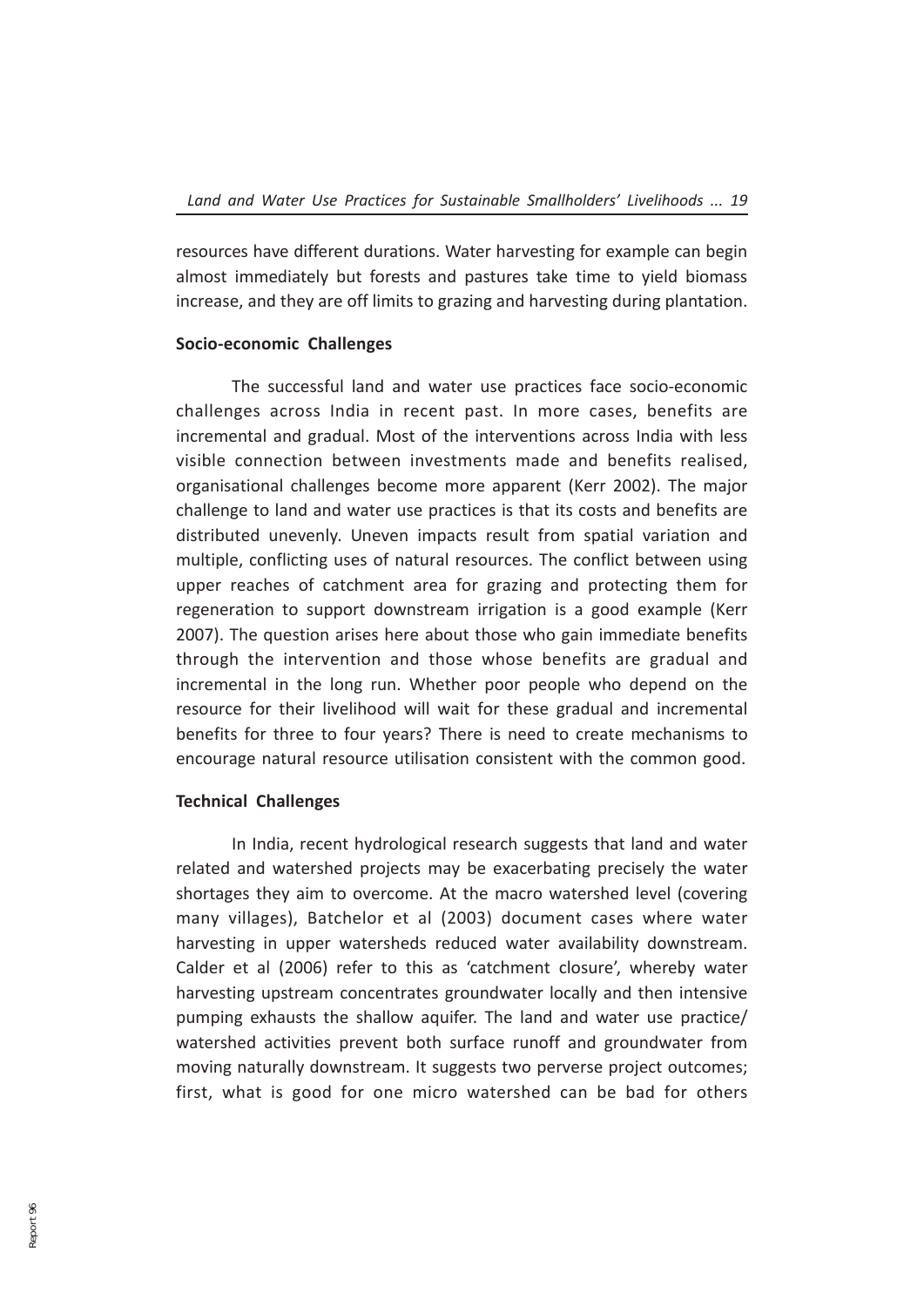resources have different durations. Water harvesting for example can begin almost immediately but forests and pastures take time to yield biomass increase, and they are off limits to grazing and harvesting during plantation.

# **Socio-economic Challenges**

The successful land and water use practices face socio-economic challenges across India in recent past. In more cases, benefits are incremental and gradual. Most of the interventions across India with less visible connection between investments made and benefits realised, organisational challenges become more apparent (Kerr 2002). The major challenge to land and water use practices is that its costs and benefits are distributed unevenly. Uneven impacts result from spatial variation and multiple, conflicting uses of natural resources. The conflict between using upper reaches of catchment area for grazing and protecting them for regeneration to support downstream irrigation is a good example (Kerr 2007). The question arises here about those who gain immediate benefits through the intervention and those whose benefits are gradual and incremental in the long run. Whether poor people who depend on the resource for their livelihood will wait for these gradual and incremental benefits for three to four years? There is need to create mechanisms to encourage natural resource utilisation consistent with the common good.

# **Technical Challenges**

In India, recent hydrological research suggests that land and water related and watershed projects may be exacerbating precisely the water shortages they aim to overcome. At the macro watershed level (covering many villages), Batchelor et al (2003) document cases where water harvesting in upper watersheds reduced water availability downstream. Calder et al (2006) refer to this as 'catchment closure', whereby water harvesting upstream concentrates groundwater locally and then intensive pumping exhausts the shallow aquifer. The land and water use practice/ watershed activities prevent both surface runoff and groundwater from moving naturally downstream. It suggests two perverse project outcomes; first, what is good for one micro watershed can be bad for others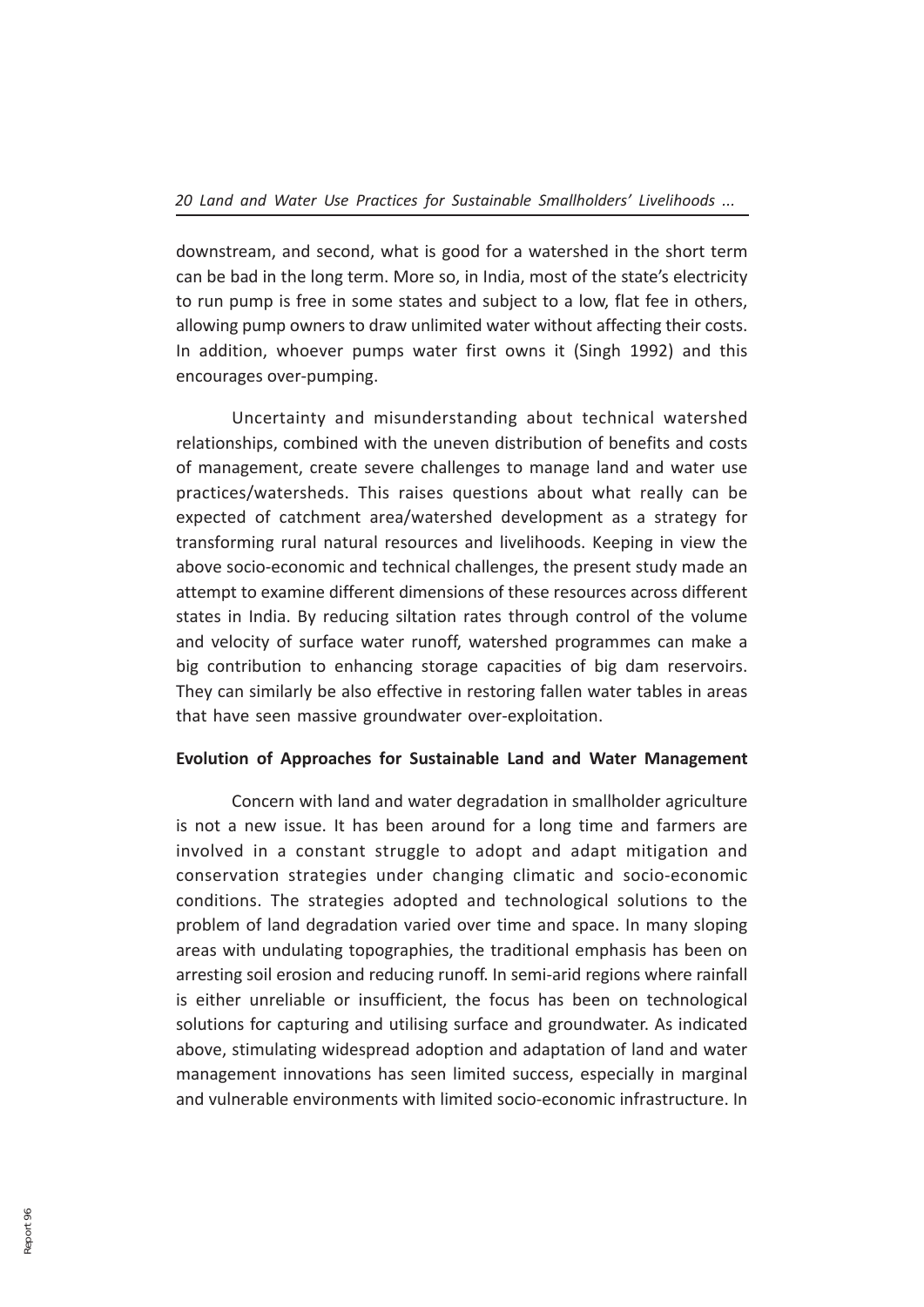downstream, and second, what is good for a watershed in the short term can be bad in the long term. More so, in India, most of the state's electricity to run pump is free in some states and subject to a low, flat fee in others, allowing pump owners to draw unlimited water without affecting their costs. In addition, whoever pumps water first owns it (Singh 1992) and this encourages over-pumping.

Uncertainty and misunderstanding about technical watershed relationships, combined with the uneven distribution of benefits and costs of management, create severe challenges to manage land and water use practices/watersheds. This raises questions about what really can be expected of catchment area/watershed development as a strategy for transforming rural natural resources and livelihoods. Keeping in view the above socio-economic and technical challenges, the present study made an attempt to examine different dimensions of these resources across different states in India. By reducing siltation rates through control of the volume and velocity of surface water runoff, watershed programmes can make a big contribution to enhancing storage capacities of big dam reservoirs. They can similarly be also effective in restoring fallen water tables in areas that have seen massive groundwater over-exploitation.

# **Evolution of Approaches for Sustainable Land and Water Management**

Concern with land and water degradation in smallholder agriculture is not a new issue. It has been around for a long time and farmers are involved in a constant struggle to adopt and adapt mitigation and conservation strategies under changing climatic and socio-economic conditions. The strategies adopted and technological solutions to the problem of land degradation varied over time and space. In many sloping areas with undulating topographies, the traditional emphasis has been on arresting soil erosion and reducing runoff. In semi-arid regions where rainfall is either unreliable or insufficient, the focus has been on technological solutions for capturing and utilising surface and groundwater. As indicated above, stimulating widespread adoption and adaptation of land and water management innovations has seen limited success, especially in marginal and vulnerable environments with limited socio-economic infrastructure. In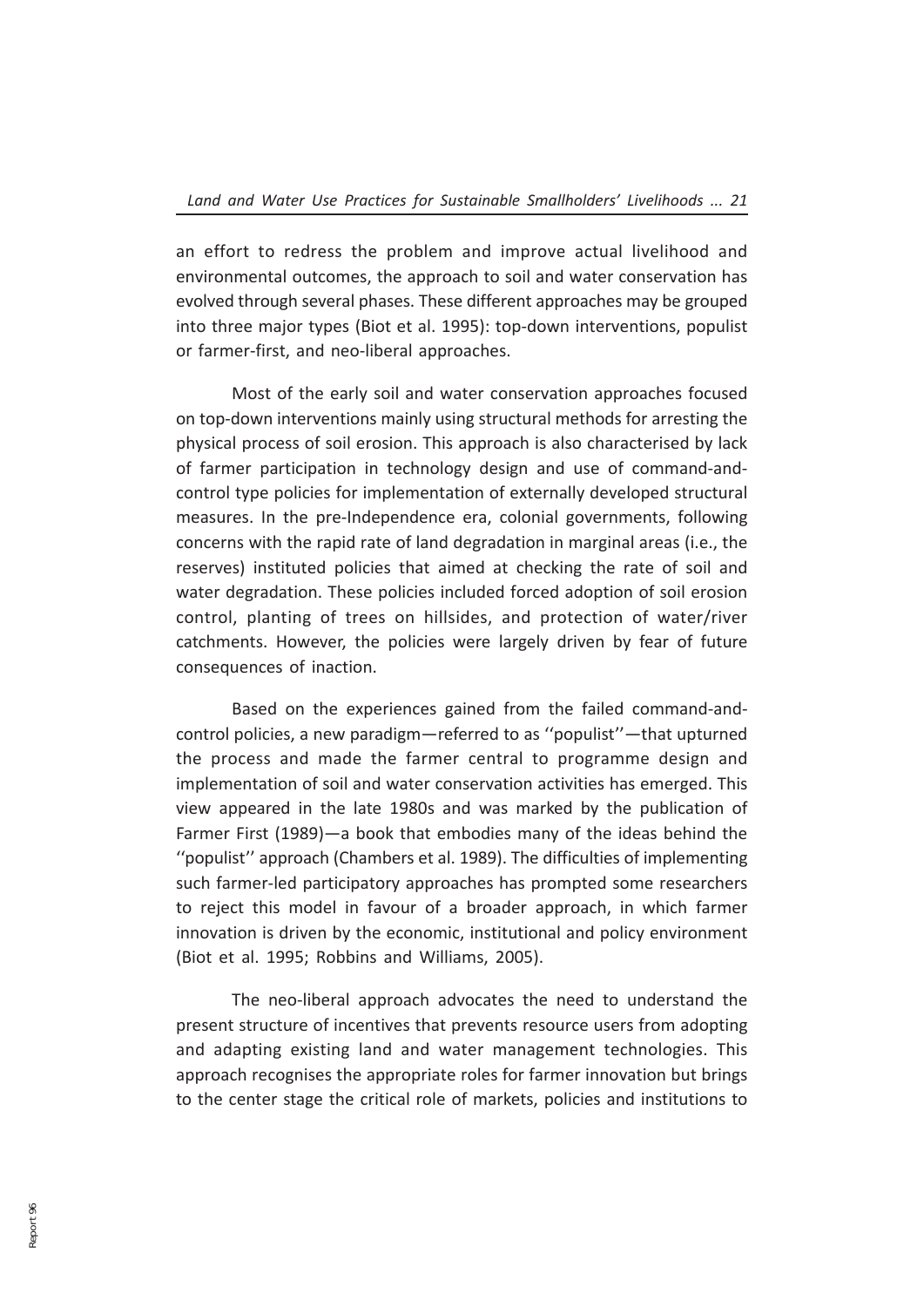an effort to redress the problem and improve actual livelihood and environmental outcomes, the approach to soil and water conservation has evolved through several phases. These different approaches may be grouped into three major types (Biot et al. 1995): top-down interventions, populist or farmer-first, and neo-liberal approaches.

Most of the early soil and water conservation approaches focused on top-down interventions mainly using structural methods for arresting the physical process of soil erosion. This approach is also characterised by lack of farmer participation in technology design and use of command-andcontrol type policies for implementation of externally developed structural measures. In the pre-Independence era, colonial governments, following concerns with the rapid rate of land degradation in marginal areas (i.e., the reserves) instituted policies that aimed at checking the rate of soil and water degradation. These policies included forced adoption of soil erosion control, planting of trees on hillsides, and protection of water/river catchments. However, the policies were largely driven by fear of future consequences of inaction.

Based on the experiences gained from the failed command-andcontrol policies, a new paradigm—referred to as ''populist''—that upturned the process and made the farmer central to programme design and implementation of soil and water conservation activities has emerged. This view appeared in the late 1980s and was marked by the publication of Farmer First (1989)—a book that embodies many of the ideas behind the ''populist'' approach (Chambers et al. 1989). The difficulties of implementing such farmer-led participatory approaches has prompted some researchers to reject this model in favour of a broader approach, in which farmer innovation is driven by the economic, institutional and policy environment (Biot et al. 1995; Robbins and Williams, 2005).

The neo-liberal approach advocates the need to understand the present structure of incentives that prevents resource users from adopting and adapting existing land and water management technologies. This approach recognises the appropriate roles for farmer innovation but brings to the center stage the critical role of markets, policies and institutions to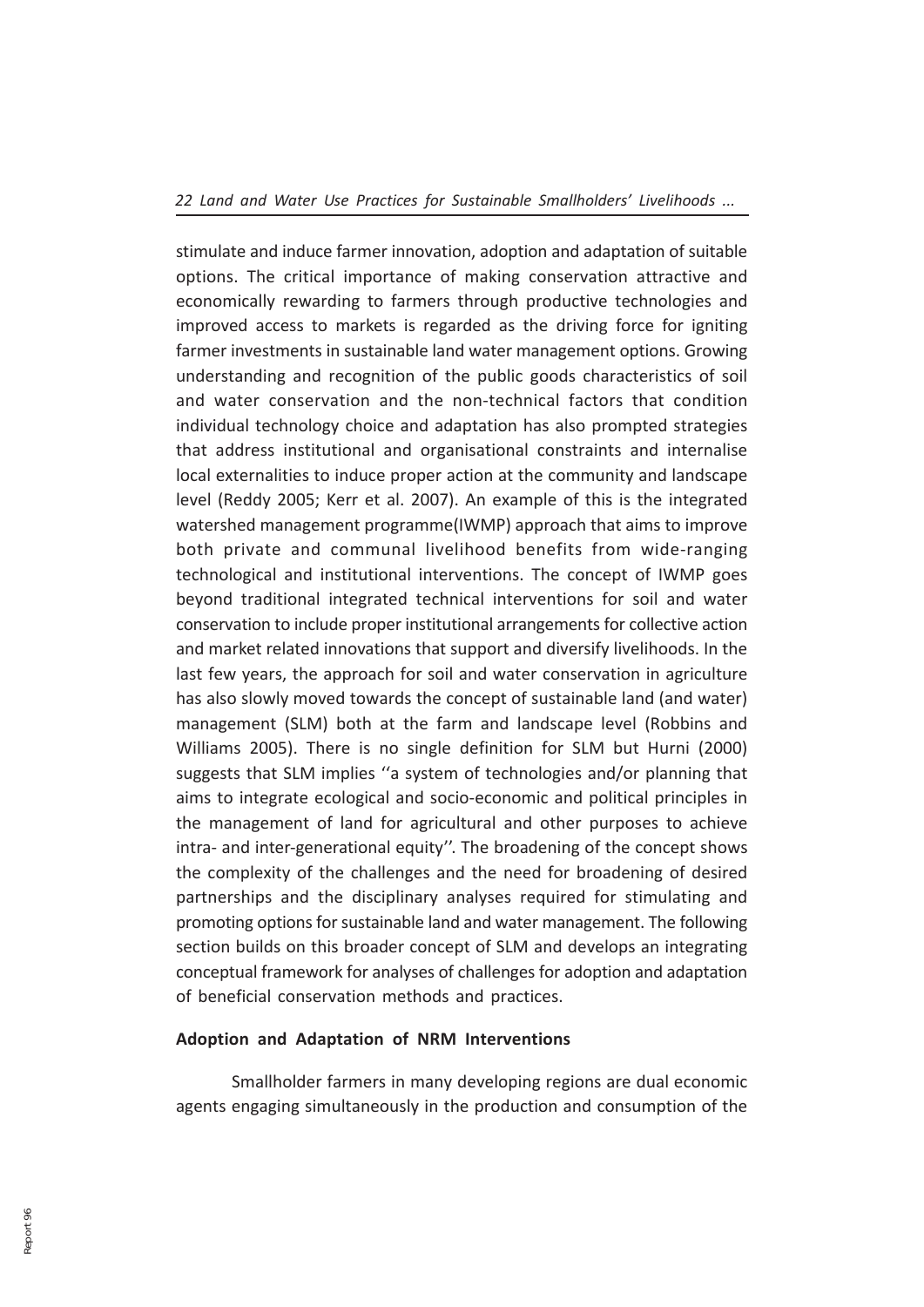stimulate and induce farmer innovation, adoption and adaptation of suitable options. The critical importance of making conservation attractive and economically rewarding to farmers through productive technologies and improved access to markets is regarded as the driving force for igniting farmer investments in sustainable land water management options. Growing understanding and recognition of the public goods characteristics of soil and water conservation and the non-technical factors that condition individual technology choice and adaptation has also prompted strategies that address institutional and organisational constraints and internalise local externalities to induce proper action at the community and landscape level (Reddy 2005; Kerr et al. 2007). An example of this is the integrated watershed management programme(IWMP) approach that aims to improve both private and communal livelihood benefits from wide-ranging technological and institutional interventions. The concept of IWMP goes beyond traditional integrated technical interventions for soil and water conservation to include proper institutional arrangements for collective action and market related innovations that support and diversify livelihoods. In the last few years, the approach for soil and water conservation in agriculture has also slowly moved towards the concept of sustainable land (and water) management (SLM) both at the farm and landscape level (Robbins and Williams 2005). There is no single definition for SLM but Hurni (2000) suggests that SLM implies ''a system of technologies and/or planning that aims to integrate ecological and socio-economic and political principles in the management of land for agricultural and other purposes to achieve intra- and inter-generational equity''. The broadening of the concept shows the complexity of the challenges and the need for broadening of desired partnerships and the disciplinary analyses required for stimulating and promoting options for sustainable land and water management. The following section builds on this broader concept of SLM and develops an integrating conceptual framework for analyses of challenges for adoption and adaptation of beneficial conservation methods and practices.

#### **Adoption and Adaptation of NRM Interventions**

Smallholder farmers in many developing regions are dual economic agents engaging simultaneously in the production and consumption of the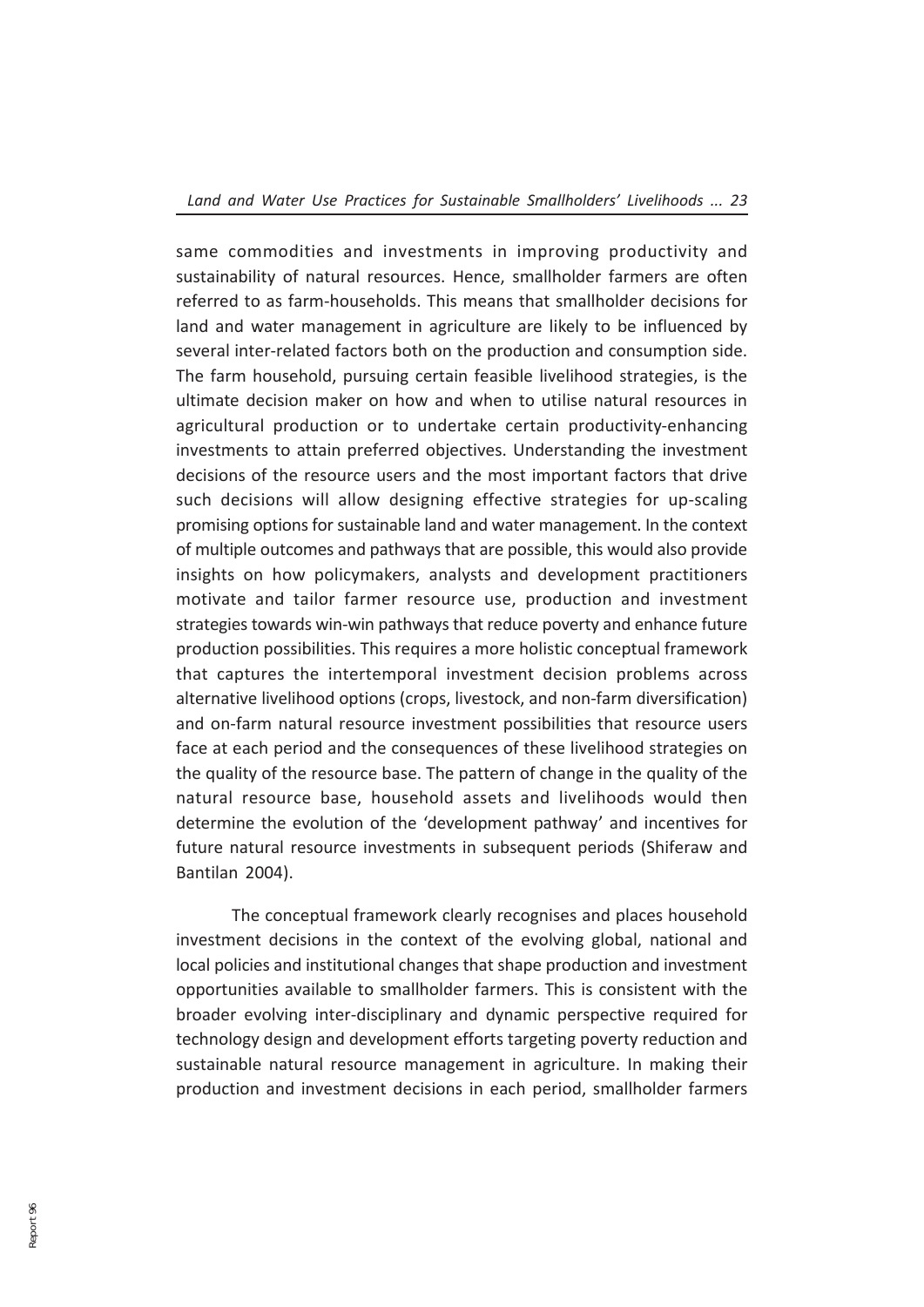same commodities and investments in improving productivity and sustainability of natural resources. Hence, smallholder farmers are often referred to as farm-households. This means that smallholder decisions for land and water management in agriculture are likely to be influenced by several inter-related factors both on the production and consumption side. The farm household, pursuing certain feasible livelihood strategies, is the ultimate decision maker on how and when to utilise natural resources in agricultural production or to undertake certain productivity-enhancing investments to attain preferred objectives. Understanding the investment decisions of the resource users and the most important factors that drive such decisions will allow designing effective strategies for up-scaling promising options for sustainable land and water management. In the context of multiple outcomes and pathways that are possible, this would also provide insights on how policymakers, analysts and development practitioners motivate and tailor farmer resource use, production and investment strategies towards win-win pathways that reduce poverty and enhance future production possibilities. This requires a more holistic conceptual framework that captures the intertemporal investment decision problems across alternative livelihood options (crops, livestock, and non-farm diversification) and on-farm natural resource investment possibilities that resource users face at each period and the consequences of these livelihood strategies on the quality of the resource base. The pattern of change in the quality of the natural resource base, household assets and livelihoods would then determine the evolution of the 'development pathway' and incentives for future natural resource investments in subsequent periods (Shiferaw and Bantilan 2004).

The conceptual framework clearly recognises and places household investment decisions in the context of the evolving global, national and local policies and institutional changes that shape production and investment opportunities available to smallholder farmers. This is consistent with the broader evolving inter-disciplinary and dynamic perspective required for technology design and development efforts targeting poverty reduction and sustainable natural resource management in agriculture. In making their production and investment decisions in each period, smallholder farmers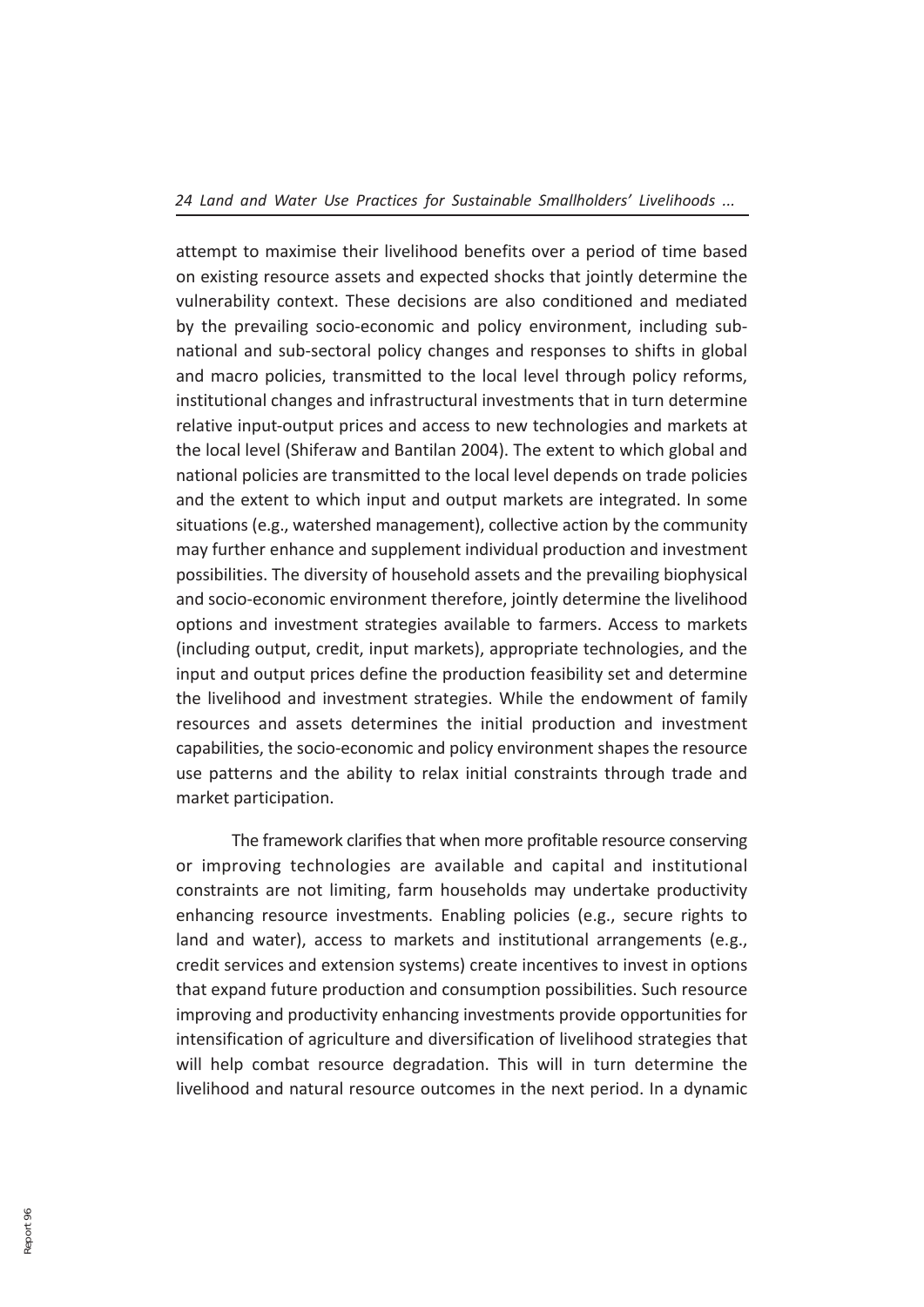attempt to maximise their livelihood benefits over a period of time based on existing resource assets and expected shocks that jointly determine the vulnerability context. These decisions are also conditioned and mediated by the prevailing socio-economic and policy environment, including subnational and sub-sectoral policy changes and responses to shifts in global and macro policies, transmitted to the local level through policy reforms, institutional changes and infrastructural investments that in turn determine relative input-output prices and access to new technologies and markets at the local level (Shiferaw and Bantilan 2004). The extent to which global and national policies are transmitted to the local level depends on trade policies and the extent to which input and output markets are integrated. In some situations (e.g., watershed management), collective action by the community may further enhance and supplement individual production and investment possibilities. The diversity of household assets and the prevailing biophysical and socio-economic environment therefore, jointly determine the livelihood options and investment strategies available to farmers. Access to markets (including output, credit, input markets), appropriate technologies, and the input and output prices define the production feasibility set and determine the livelihood and investment strategies. While the endowment of family resources and assets determines the initial production and investment capabilities, the socio-economic and policy environment shapes the resource use patterns and the ability to relax initial constraints through trade and market participation.

The framework clarifies that when more profitable resource conserving or improving technologies are available and capital and institutional constraints are not limiting, farm households may undertake productivity enhancing resource investments. Enabling policies (e.g., secure rights to land and water), access to markets and institutional arrangements (e.g., credit services and extension systems) create incentives to invest in options that expand future production and consumption possibilities. Such resource improving and productivity enhancing investments provide opportunities for intensification of agriculture and diversification of livelihood strategies that will help combat resource degradation. This will in turn determine the livelihood and natural resource outcomes in the next period. In a dynamic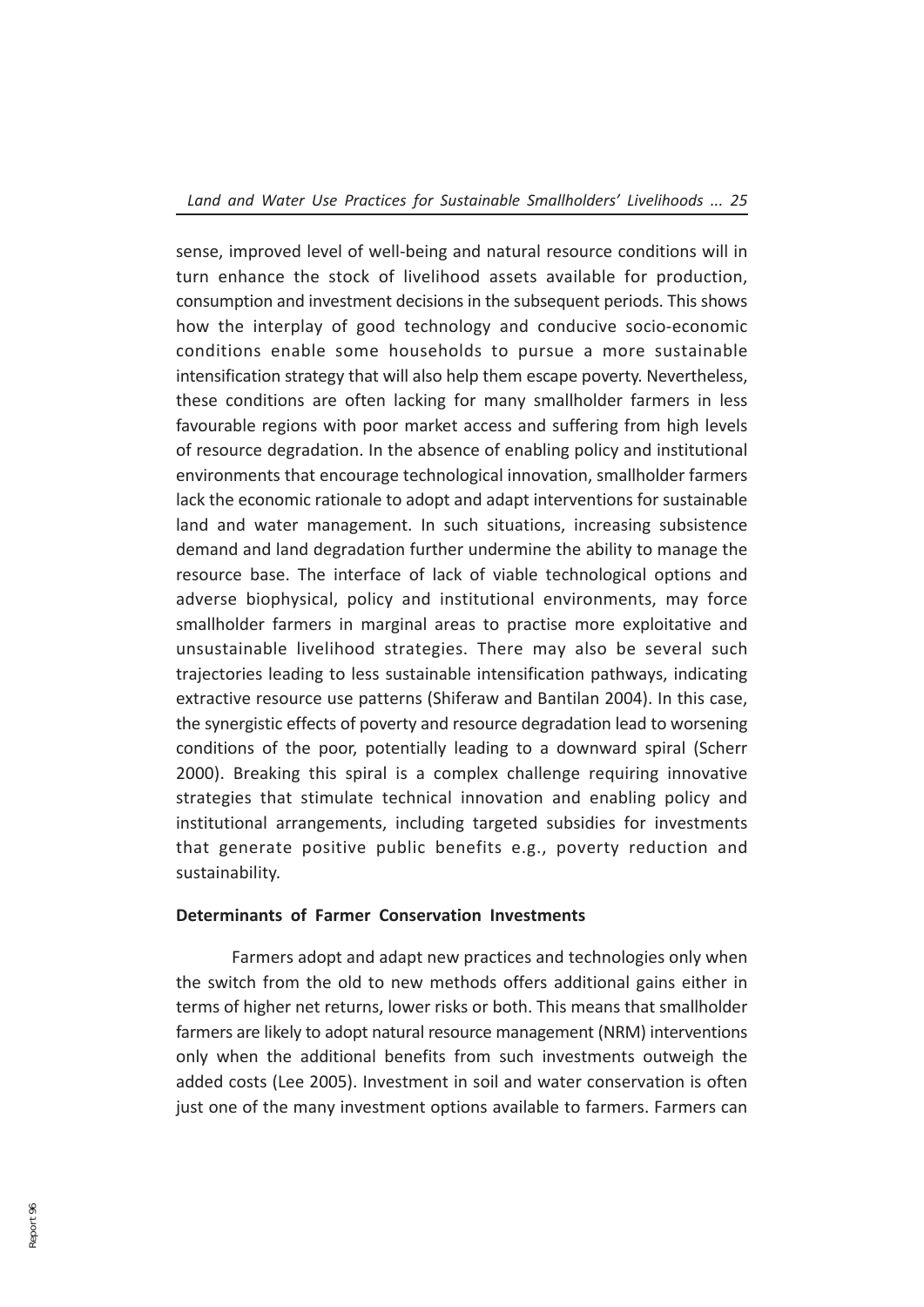sense, improved level of well-being and natural resource conditions will in turn enhance the stock of livelihood assets available for production, consumption and investment decisions in the subsequent periods. This shows how the interplay of good technology and conducive socio-economic conditions enable some households to pursue a more sustainable intensification strategy that will also help them escape poverty. Nevertheless, these conditions are often lacking for many smallholder farmers in less favourable regions with poor market access and suffering from high levels of resource degradation. In the absence of enabling policy and institutional environments that encourage technological innovation, smallholder farmers lack the economic rationale to adopt and adapt interventions for sustainable land and water management. In such situations, increasing subsistence demand and land degradation further undermine the ability to manage the resource base. The interface of lack of viable technological options and adverse biophysical, policy and institutional environments, may force smallholder farmers in marginal areas to practise more exploitative and unsustainable livelihood strategies. There may also be several such trajectories leading to less sustainable intensification pathways, indicating extractive resource use patterns (Shiferaw and Bantilan 2004). In this case, the synergistic effects of poverty and resource degradation lead to worsening conditions of the poor, potentially leading to a downward spiral (Scherr 2000). Breaking this spiral is a complex challenge requiring innovative strategies that stimulate technical innovation and enabling policy and institutional arrangements, including targeted subsidies for investments that generate positive public benefits e.g., poverty reduction and sustainability.

# **Determinants of Farmer Conservation Investments**

Farmers adopt and adapt new practices and technologies only when the switch from the old to new methods offers additional gains either in terms of higher net returns, lower risks or both. This means that smallholder farmers are likely to adopt natural resource management (NRM) interventions only when the additional benefits from such investments outweigh the added costs (Lee 2005). Investment in soil and water conservation is often just one of the many investment options available to farmers. Farmers can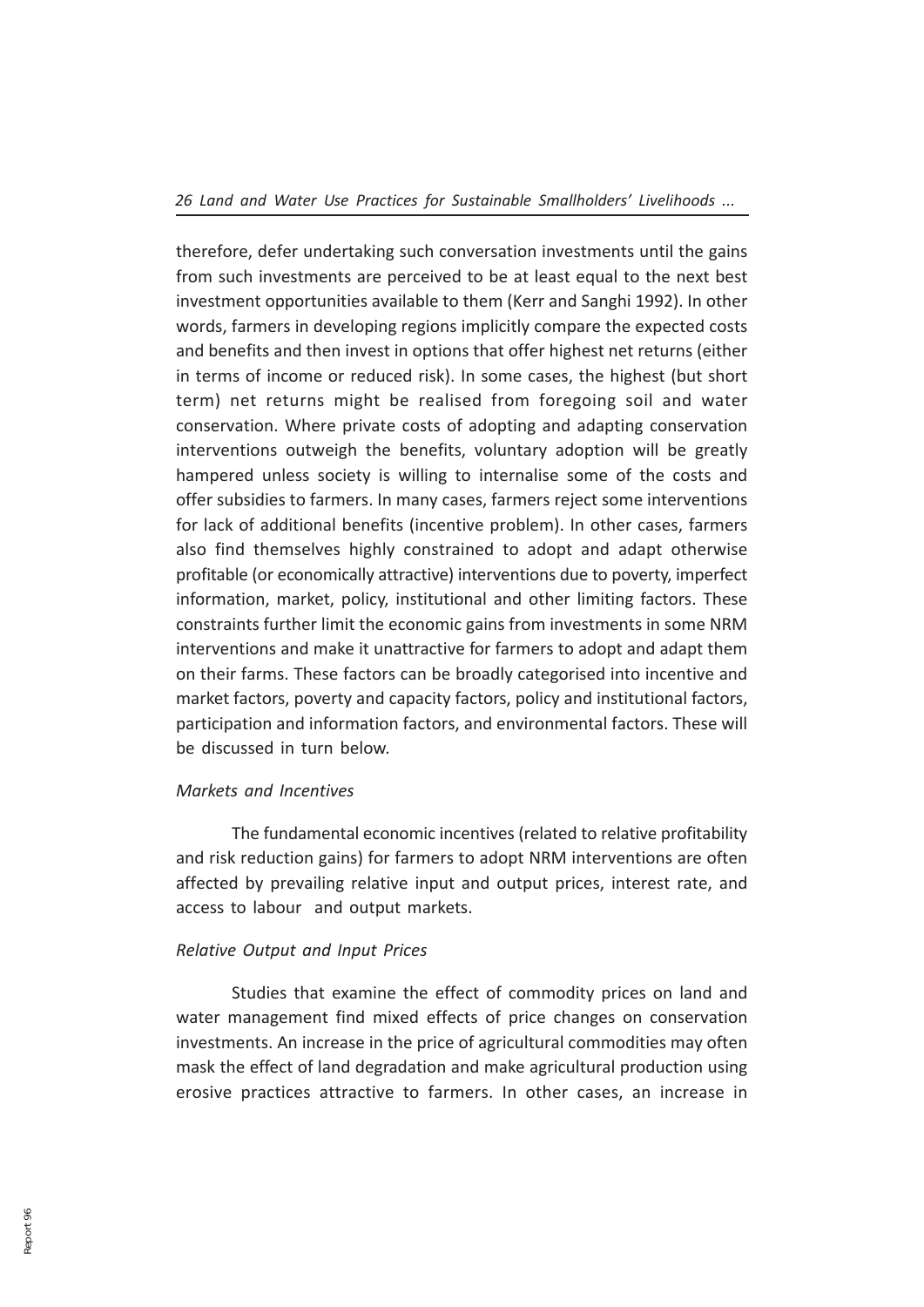therefore, defer undertaking such conversation investments until the gains from such investments are perceived to be at least equal to the next best investment opportunities available to them (Kerr and Sanghi 1992). In other words, farmers in developing regions implicitly compare the expected costs and benefits and then invest in options that offer highest net returns (either in terms of income or reduced risk). In some cases, the highest (but short term) net returns might be realised from foregoing soil and water conservation. Where private costs of adopting and adapting conservation interventions outweigh the benefits, voluntary adoption will be greatly hampered unless society is willing to internalise some of the costs and offer subsidies to farmers. In many cases, farmers reject some interventions for lack of additional benefits (incentive problem). In other cases, farmers also find themselves highly constrained to adopt and adapt otherwise profitable (or economically attractive) interventions due to poverty, imperfect information, market, policy, institutional and other limiting factors. These constraints further limit the economic gains from investments in some NRM interventions and make it unattractive for farmers to adopt and adapt them on their farms. These factors can be broadly categorised into incentive and market factors, poverty and capacity factors, policy and institutional factors, participation and information factors, and environmental factors. These will be discussed in turn below.

# *Markets and Incentives*

The fundamental economic incentives (related to relative profitability and risk reduction gains) for farmers to adopt NRM interventions are often affected by prevailing relative input and output prices, interest rate, and access to labour and output markets.

# *Relative Output and Input Prices*

Studies that examine the effect of commodity prices on land and water management find mixed effects of price changes on conservation investments. An increase in the price of agricultural commodities may often mask the effect of land degradation and make agricultural production using erosive practices attractive to farmers. In other cases, an increase in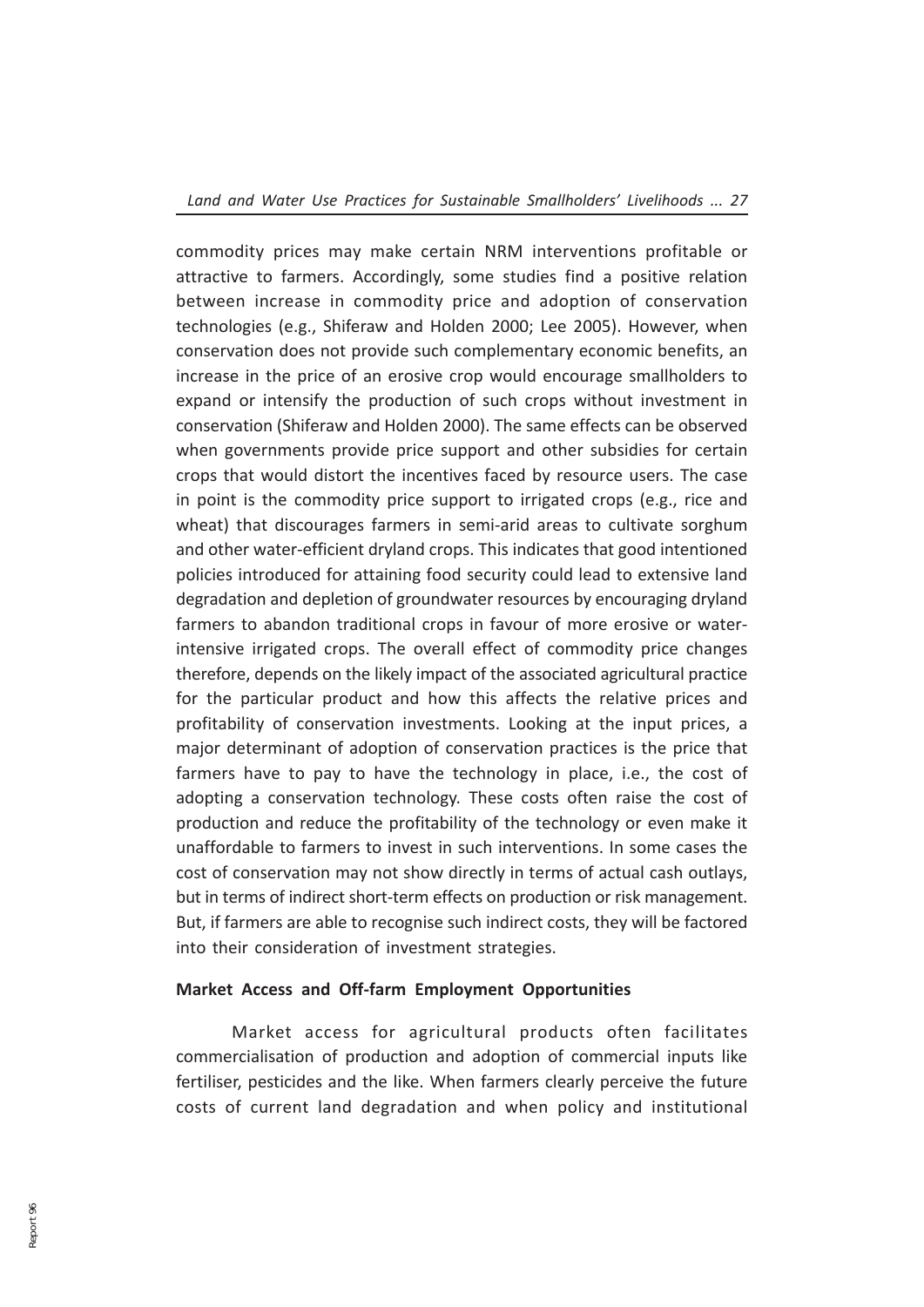commodity prices may make certain NRM interventions profitable or attractive to farmers. Accordingly, some studies find a positive relation between increase in commodity price and adoption of conservation technologies (e.g., Shiferaw and Holden 2000; Lee 2005). However, when conservation does not provide such complementary economic benefits, an increase in the price of an erosive crop would encourage smallholders to expand or intensify the production of such crops without investment in conservation (Shiferaw and Holden 2000). The same effects can be observed when governments provide price support and other subsidies for certain crops that would distort the incentives faced by resource users. The case in point is the commodity price support to irrigated crops (e.g., rice and wheat) that discourages farmers in semi-arid areas to cultivate sorghum and other water-efficient dryland crops. This indicates that good intentioned policies introduced for attaining food security could lead to extensive land degradation and depletion of groundwater resources by encouraging dryland farmers to abandon traditional crops in favour of more erosive or waterintensive irrigated crops. The overall effect of commodity price changes therefore, depends on the likely impact of the associated agricultural practice for the particular product and how this affects the relative prices and profitability of conservation investments. Looking at the input prices, a major determinant of adoption of conservation practices is the price that farmers have to pay to have the technology in place, i.e., the cost of adopting a conservation technology. These costs often raise the cost of production and reduce the profitability of the technology or even make it unaffordable to farmers to invest in such interventions. In some cases the cost of conservation may not show directly in terms of actual cash outlays, but in terms of indirect short-term effects on production or risk management. But, if farmers are able to recognise such indirect costs, they will be factored into their consideration of investment strategies.

#### **Market Access and Off-farm Employment Opportunities**

Market access for agricultural products often facilitates commercialisation of production and adoption of commercial inputs like fertiliser, pesticides and the like. When farmers clearly perceive the future costs of current land degradation and when policy and institutional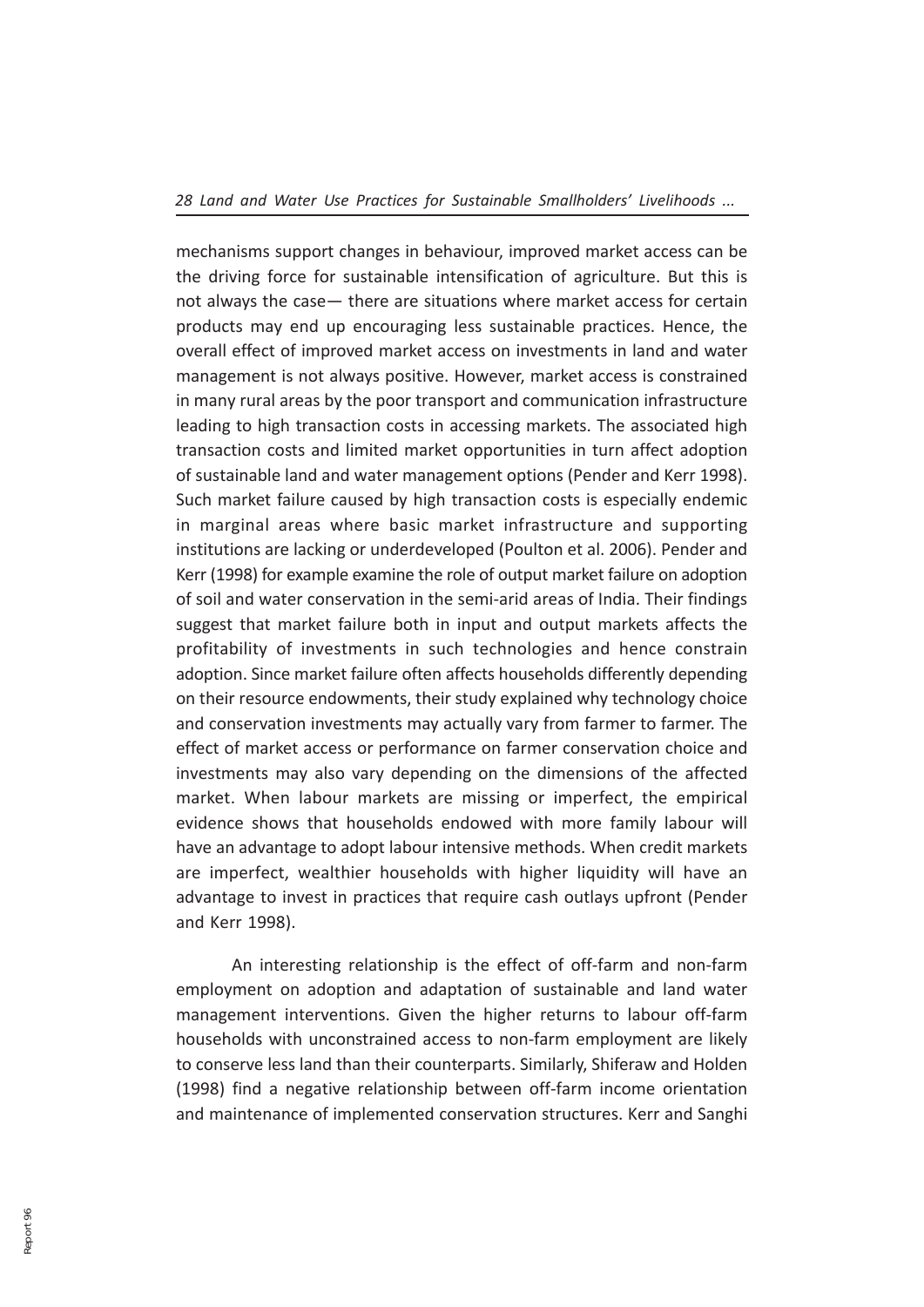mechanisms support changes in behaviour, improved market access can be the driving force for sustainable intensification of agriculture. But this is not always the case— there are situations where market access for certain products may end up encouraging less sustainable practices. Hence, the overall effect of improved market access on investments in land and water management is not always positive. However, market access is constrained in many rural areas by the poor transport and communication infrastructure leading to high transaction costs in accessing markets. The associated high transaction costs and limited market opportunities in turn affect adoption of sustainable land and water management options (Pender and Kerr 1998). Such market failure caused by high transaction costs is especially endemic in marginal areas where basic market infrastructure and supporting institutions are lacking or underdeveloped (Poulton et al. 2006). Pender and Kerr (1998) for example examine the role of output market failure on adoption of soil and water conservation in the semi-arid areas of India. Their findings suggest that market failure both in input and output markets affects the profitability of investments in such technologies and hence constrain adoption. Since market failure often affects households differently depending on their resource endowments, their study explained why technology choice and conservation investments may actually vary from farmer to farmer. The effect of market access or performance on farmer conservation choice and investments may also vary depending on the dimensions of the affected market. When labour markets are missing or imperfect, the empirical evidence shows that households endowed with more family labour will have an advantage to adopt labour intensive methods. When credit markets are imperfect, wealthier households with higher liquidity will have an advantage to invest in practices that require cash outlays upfront (Pender and Kerr 1998).

An interesting relationship is the effect of off-farm and non-farm employment on adoption and adaptation of sustainable and land water management interventions. Given the higher returns to labour off-farm households with unconstrained access to non-farm employment are likely to conserve less land than their counterparts. Similarly, Shiferaw and Holden (1998) find a negative relationship between off-farm income orientation and maintenance of implemented conservation structures. Kerr and Sanghi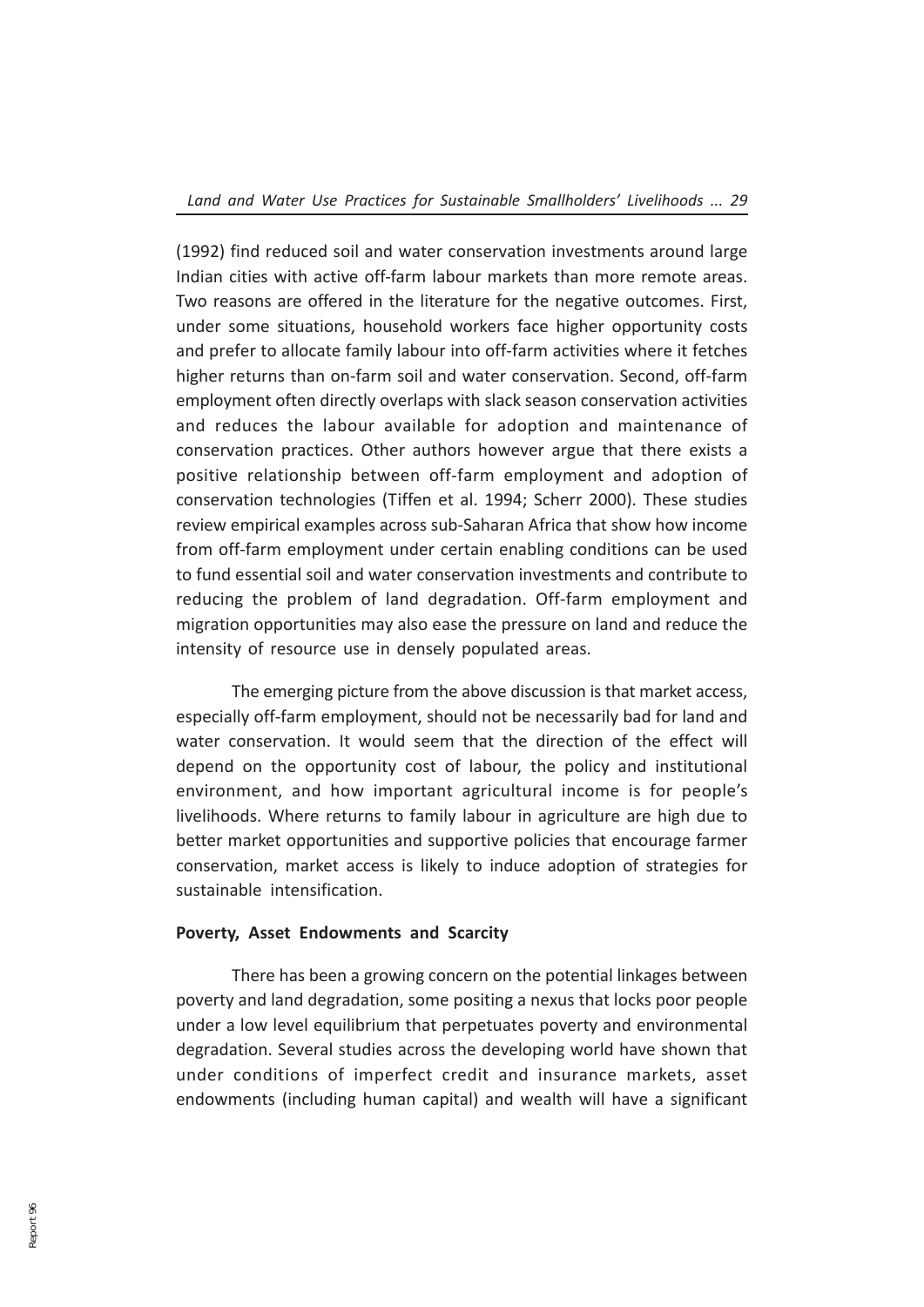(1992) find reduced soil and water conservation investments around large Indian cities with active off-farm labour markets than more remote areas. Two reasons are offered in the literature for the negative outcomes. First, under some situations, household workers face higher opportunity costs and prefer to allocate family labour into off-farm activities where it fetches higher returns than on-farm soil and water conservation. Second, off-farm employment often directly overlaps with slack season conservation activities and reduces the labour available for adoption and maintenance of conservation practices. Other authors however argue that there exists a positive relationship between off-farm employment and adoption of conservation technologies (Tiffen et al. 1994; Scherr 2000). These studies review empirical examples across sub-Saharan Africa that show how income from off-farm employment under certain enabling conditions can be used to fund essential soil and water conservation investments and contribute to reducing the problem of land degradation. Off-farm employment and migration opportunities may also ease the pressure on land and reduce the intensity of resource use in densely populated areas.

The emerging picture from the above discussion is that market access, especially off-farm employment, should not be necessarily bad for land and water conservation. It would seem that the direction of the effect will depend on the opportunity cost of labour, the policy and institutional environment, and how important agricultural income is for people's livelihoods. Where returns to family labour in agriculture are high due to better market opportunities and supportive policies that encourage farmer conservation, market access is likely to induce adoption of strategies for sustainable intensification.

# **Poverty, Asset Endowments and Scarcity**

There has been a growing concern on the potential linkages between poverty and land degradation, some positing a nexus that locks poor people under a low level equilibrium that perpetuates poverty and environmental degradation. Several studies across the developing world have shown that under conditions of imperfect credit and insurance markets, asset endowments (including human capital) and wealth will have a significant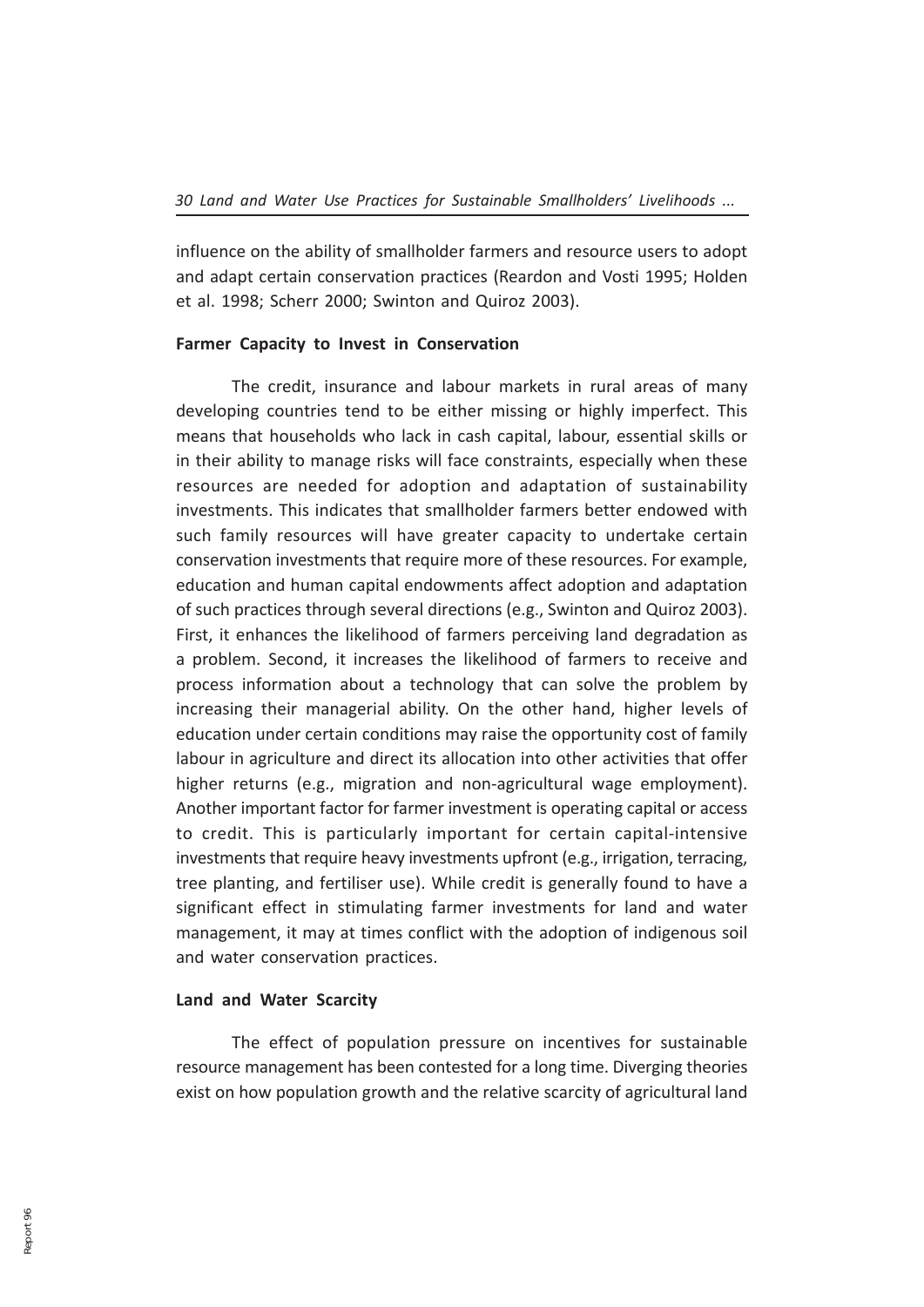influence on the ability of smallholder farmers and resource users to adopt and adapt certain conservation practices (Reardon and Vosti 1995; Holden et al. 1998; Scherr 2000; Swinton and Quiroz 2003).

# **Farmer Capacity to Invest in Conservation**

The credit, insurance and labour markets in rural areas of many developing countries tend to be either missing or highly imperfect. This means that households who lack in cash capital, labour, essential skills or in their ability to manage risks will face constraints, especially when these resources are needed for adoption and adaptation of sustainability investments. This indicates that smallholder farmers better endowed with such family resources will have greater capacity to undertake certain conservation investments that require more of these resources. For example, education and human capital endowments affect adoption and adaptation of such practices through several directions (e.g., Swinton and Quiroz 2003). First, it enhances the likelihood of farmers perceiving land degradation as a problem. Second, it increases the likelihood of farmers to receive and process information about a technology that can solve the problem by increasing their managerial ability. On the other hand, higher levels of education under certain conditions may raise the opportunity cost of family labour in agriculture and direct its allocation into other activities that offer higher returns (e.g., migration and non-agricultural wage employment). Another important factor for farmer investment is operating capital or access to credit. This is particularly important for certain capital-intensive investments that require heavy investments upfront (e.g., irrigation, terracing, tree planting, and fertiliser use). While credit is generally found to have a significant effect in stimulating farmer investments for land and water management, it may at times conflict with the adoption of indigenous soil and water conservation practices.

# **Land and Water Scarcity**

The effect of population pressure on incentives for sustainable resource management has been contested for a long time. Diverging theories exist on how population growth and the relative scarcity of agricultural land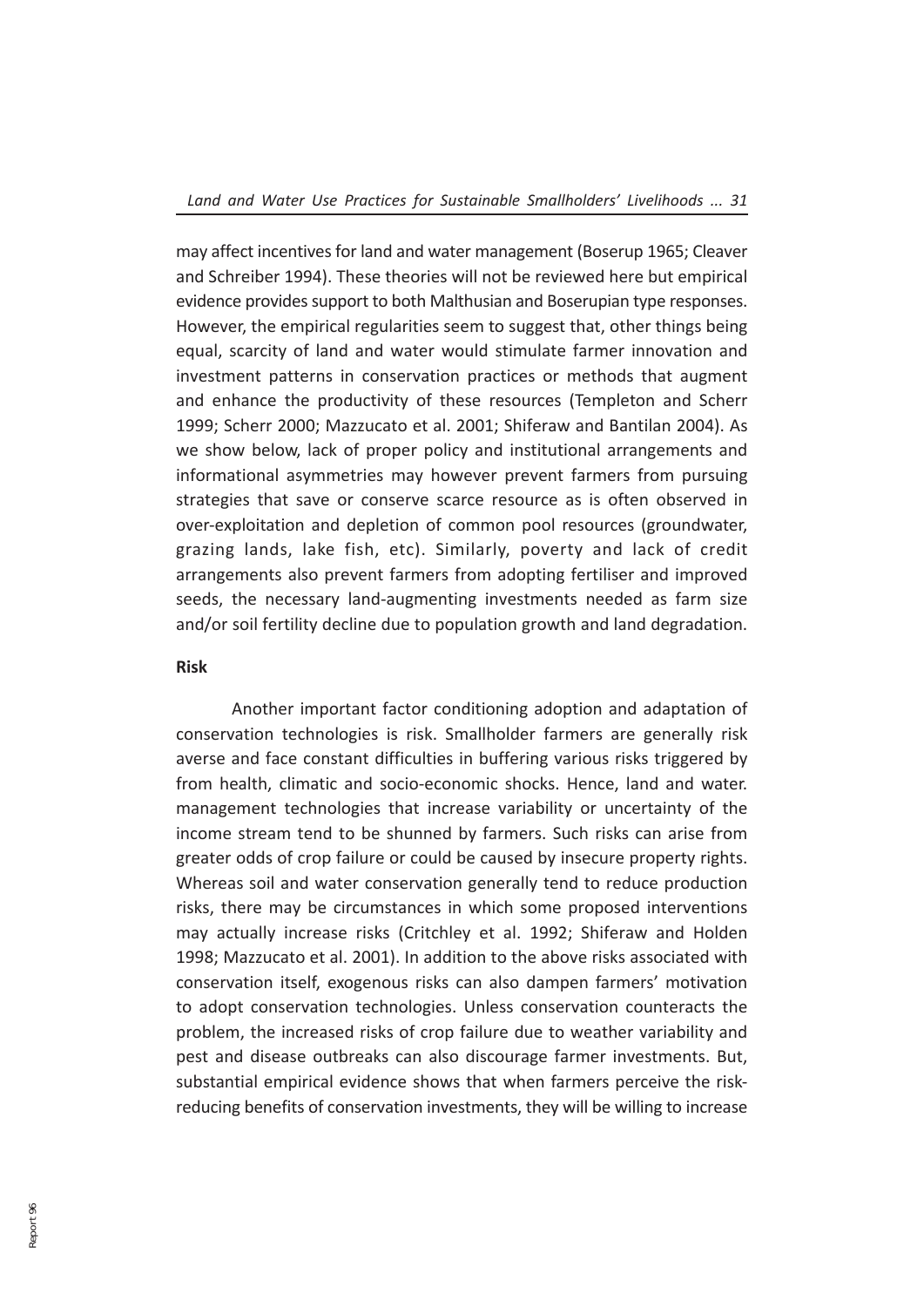may affect incentives for land and water management (Boserup 1965; Cleaver and Schreiber 1994). These theories will not be reviewed here but empirical evidence provides support to both Malthusian and Boserupian type responses. However, the empirical regularities seem to suggest that, other things being equal, scarcity of land and water would stimulate farmer innovation and investment patterns in conservation practices or methods that augment and enhance the productivity of these resources (Templeton and Scherr 1999; Scherr 2000; Mazzucato et al. 2001; Shiferaw and Bantilan 2004). As we show below, lack of proper policy and institutional arrangements and informational asymmetries may however prevent farmers from pursuing strategies that save or conserve scarce resource as is often observed in over-exploitation and depletion of common pool resources (groundwater, grazing lands, lake fish, etc). Similarly, poverty and lack of credit arrangements also prevent farmers from adopting fertiliser and improved seeds, the necessary land-augmenting investments needed as farm size and/or soil fertility decline due to population growth and land degradation.

#### **Risk**

Another important factor conditioning adoption and adaptation of conservation technologies is risk. Smallholder farmers are generally risk averse and face constant difficulties in buffering various risks triggered by from health, climatic and socio-economic shocks. Hence, land and water. management technologies that increase variability or uncertainty of the income stream tend to be shunned by farmers. Such risks can arise from greater odds of crop failure or could be caused by insecure property rights. Whereas soil and water conservation generally tend to reduce production risks, there may be circumstances in which some proposed interventions may actually increase risks (Critchley et al. 1992; Shiferaw and Holden 1998; Mazzucato et al. 2001). In addition to the above risks associated with conservation itself, exogenous risks can also dampen farmers' motivation to adopt conservation technologies. Unless conservation counteracts the problem, the increased risks of crop failure due to weather variability and pest and disease outbreaks can also discourage farmer investments. But, substantial empirical evidence shows that when farmers perceive the riskreducing benefits of conservation investments, they will be willing to increase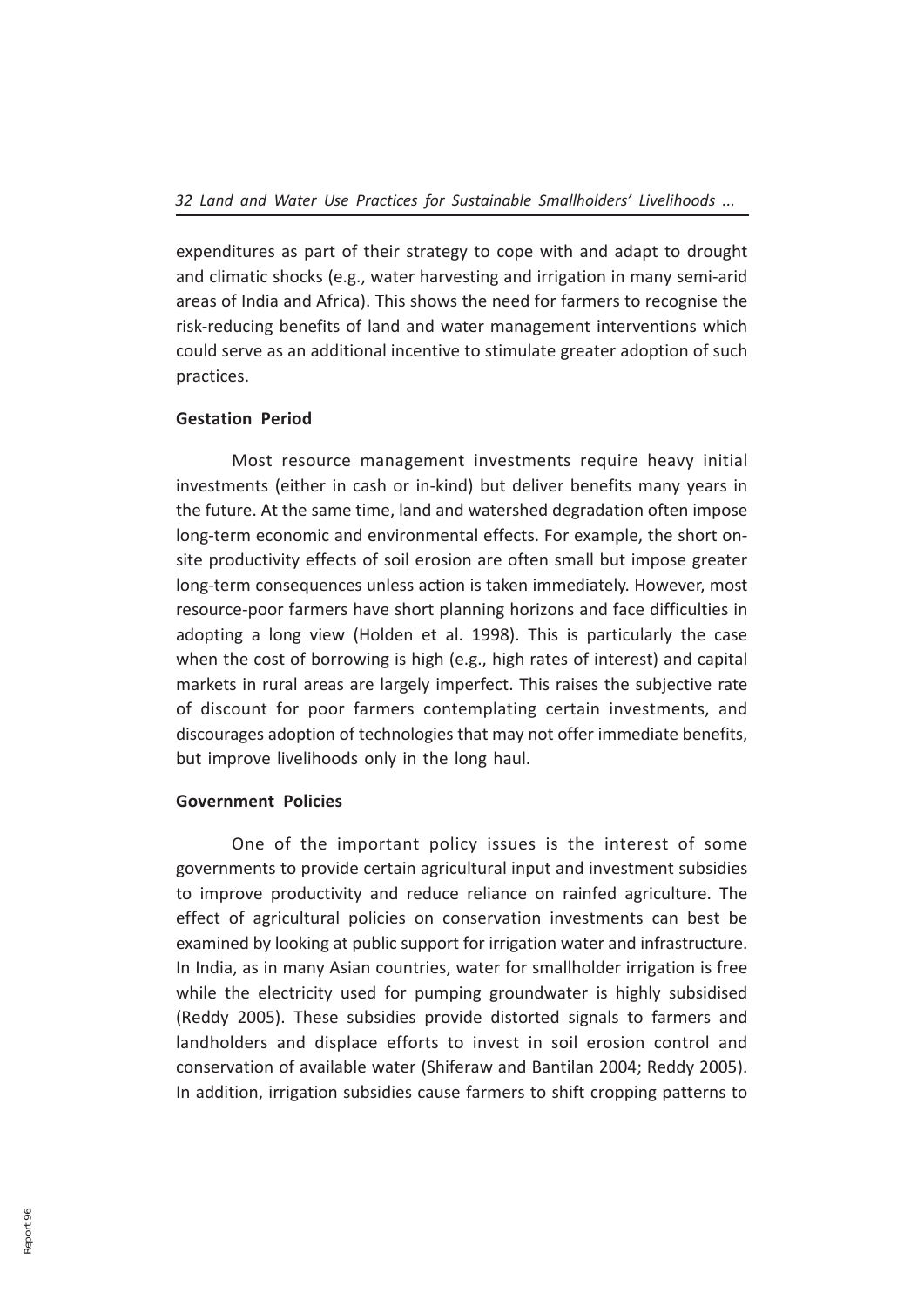expenditures as part of their strategy to cope with and adapt to drought and climatic shocks (e.g., water harvesting and irrigation in many semi-arid areas of India and Africa). This shows the need for farmers to recognise the risk-reducing benefits of land and water management interventions which could serve as an additional incentive to stimulate greater adoption of such practices.

# **Gestation Period**

Most resource management investments require heavy initial investments (either in cash or in-kind) but deliver benefits many years in the future. At the same time, land and watershed degradation often impose long-term economic and environmental effects. For example, the short onsite productivity effects of soil erosion are often small but impose greater long-term consequences unless action is taken immediately. However, most resource-poor farmers have short planning horizons and face difficulties in adopting a long view (Holden et al. 1998). This is particularly the case when the cost of borrowing is high (e.g., high rates of interest) and capital markets in rural areas are largely imperfect. This raises the subjective rate of discount for poor farmers contemplating certain investments, and discourages adoption of technologies that may not offer immediate benefits, but improve livelihoods only in the long haul.

#### **Government Policies**

One of the important policy issues is the interest of some governments to provide certain agricultural input and investment subsidies to improve productivity and reduce reliance on rainfed agriculture. The effect of agricultural policies on conservation investments can best be examined by looking at public support for irrigation water and infrastructure. In India, as in many Asian countries, water for smallholder irrigation is free while the electricity used for pumping groundwater is highly subsidised (Reddy 2005). These subsidies provide distorted signals to farmers and landholders and displace efforts to invest in soil erosion control and conservation of available water (Shiferaw and Bantilan 2004; Reddy 2005). In addition, irrigation subsidies cause farmers to shift cropping patterns to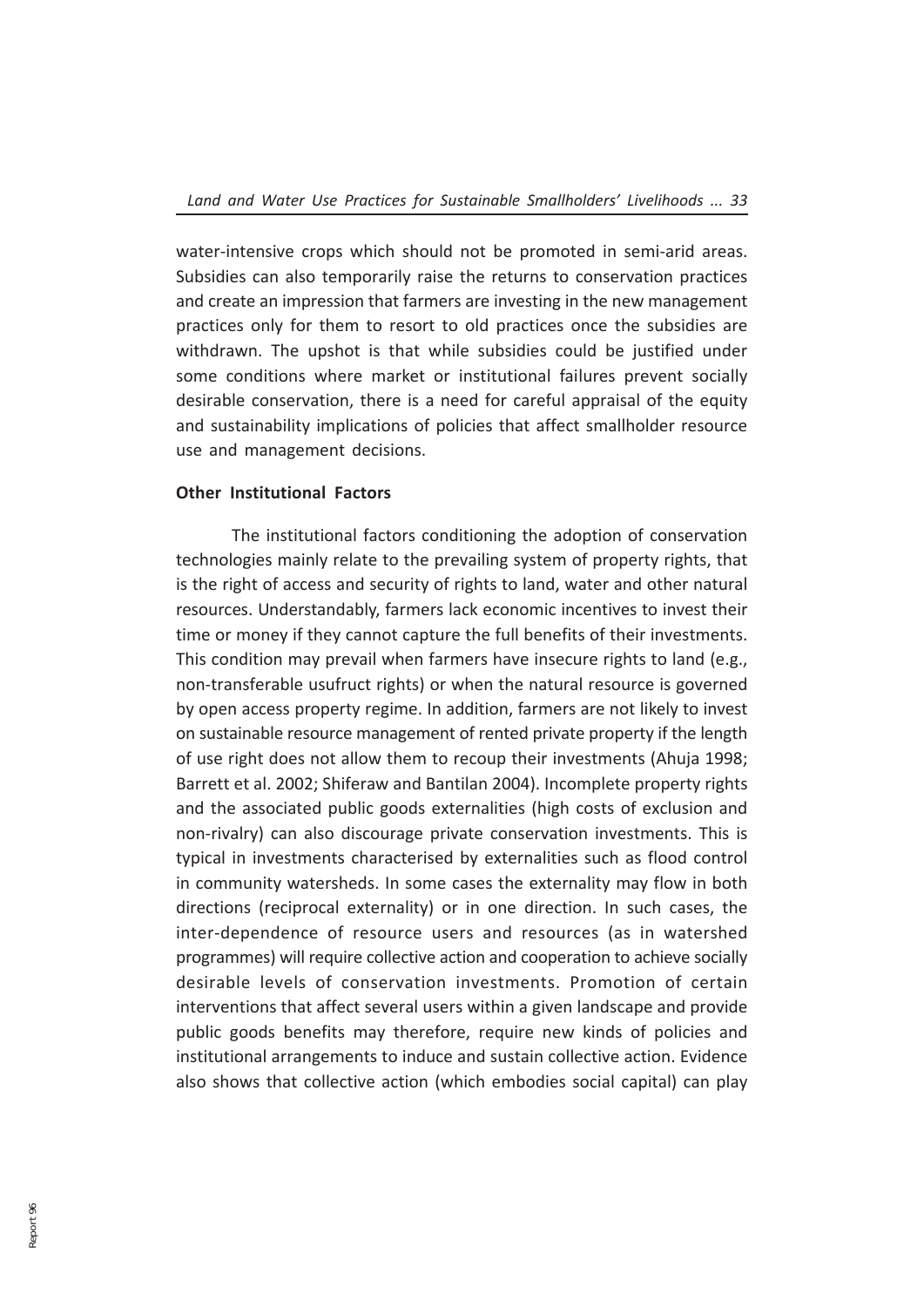water-intensive crops which should not be promoted in semi-arid areas. Subsidies can also temporarily raise the returns to conservation practices and create an impression that farmers are investing in the new management practices only for them to resort to old practices once the subsidies are withdrawn. The upshot is that while subsidies could be justified under some conditions where market or institutional failures prevent socially desirable conservation, there is a need for careful appraisal of the equity and sustainability implications of policies that affect smallholder resource use and management decisions.

# **Other Institutional Factors**

The institutional factors conditioning the adoption of conservation technologies mainly relate to the prevailing system of property rights, that is the right of access and security of rights to land, water and other natural resources. Understandably, farmers lack economic incentives to invest their time or money if they cannot capture the full benefits of their investments. This condition may prevail when farmers have insecure rights to land (e.g., non-transferable usufruct rights) or when the natural resource is governed by open access property regime. In addition, farmers are not likely to invest on sustainable resource management of rented private property if the length of use right does not allow them to recoup their investments (Ahuja 1998; Barrett et al. 2002; Shiferaw and Bantilan 2004). Incomplete property rights and the associated public goods externalities (high costs of exclusion and non-rivalry) can also discourage private conservation investments. This is typical in investments characterised by externalities such as flood control in community watersheds. In some cases the externality may flow in both directions (reciprocal externality) or in one direction. In such cases, the inter-dependence of resource users and resources (as in watershed programmes) will require collective action and cooperation to achieve socially desirable levels of conservation investments. Promotion of certain interventions that affect several users within a given landscape and provide public goods benefits may therefore, require new kinds of policies and institutional arrangements to induce and sustain collective action. Evidence also shows that collective action (which embodies social capital) can play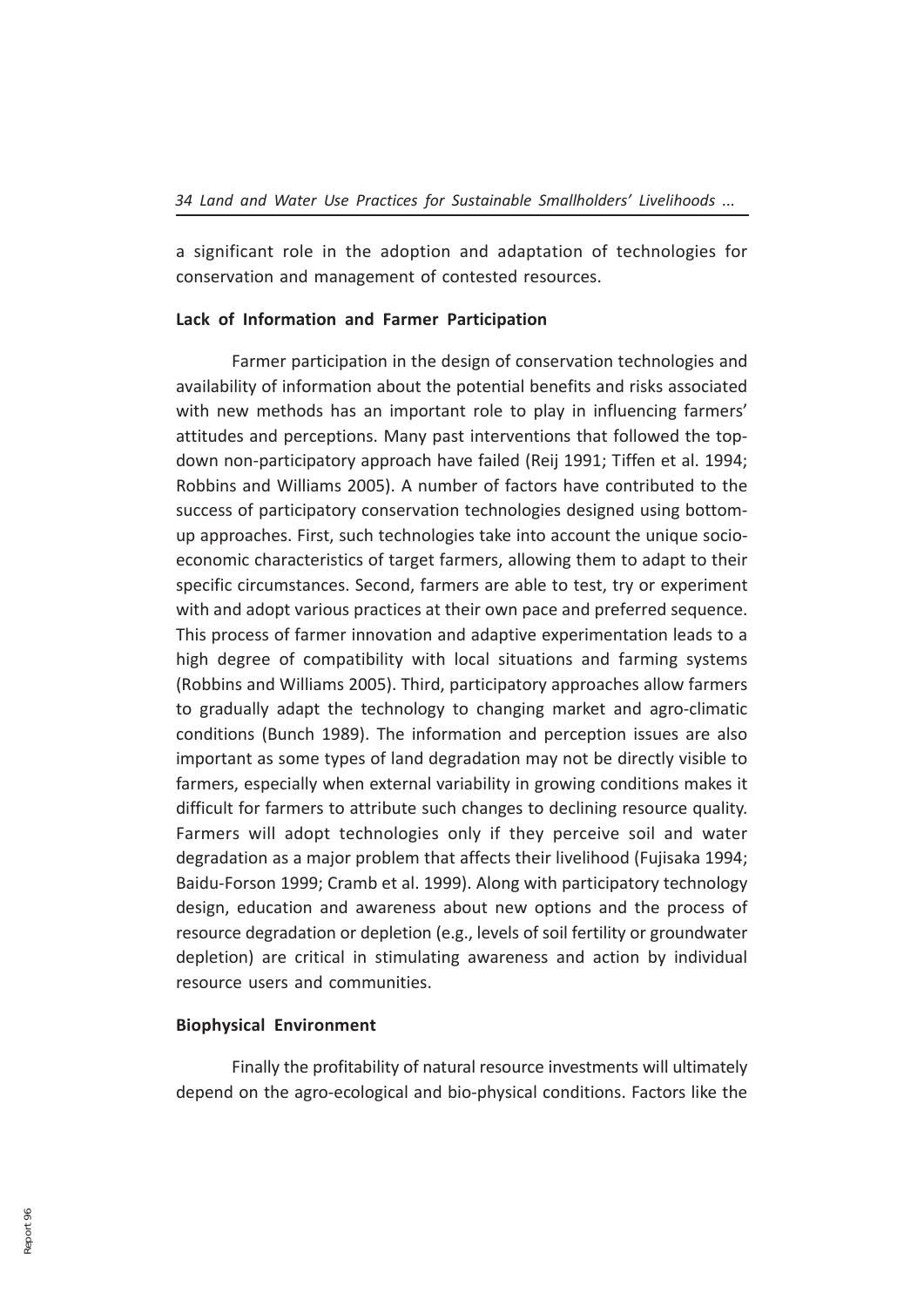a significant role in the adoption and adaptation of technologies for conservation and management of contested resources.

# **Lack of Information and Farmer Participation**

Farmer participation in the design of conservation technologies and availability of information about the potential benefits and risks associated with new methods has an important role to play in influencing farmers' attitudes and perceptions. Many past interventions that followed the topdown non-participatory approach have failed (Reij 1991; Tiffen et al. 1994; Robbins and Williams 2005). A number of factors have contributed to the success of participatory conservation technologies designed using bottomup approaches. First, such technologies take into account the unique socioeconomic characteristics of target farmers, allowing them to adapt to their specific circumstances. Second, farmers are able to test, try or experiment with and adopt various practices at their own pace and preferred sequence. This process of farmer innovation and adaptive experimentation leads to a high degree of compatibility with local situations and farming systems (Robbins and Williams 2005). Third, participatory approaches allow farmers to gradually adapt the technology to changing market and agro-climatic conditions (Bunch 1989). The information and perception issues are also important as some types of land degradation may not be directly visible to farmers, especially when external variability in growing conditions makes it difficult for farmers to attribute such changes to declining resource quality. Farmers will adopt technologies only if they perceive soil and water degradation as a major problem that affects their livelihood (Fujisaka 1994; Baidu-Forson 1999; Cramb et al. 1999). Along with participatory technology design, education and awareness about new options and the process of resource degradation or depletion (e.g., levels of soil fertility or groundwater depletion) are critical in stimulating awareness and action by individual resource users and communities.

# **Biophysical Environment**

Finally the profitability of natural resource investments will ultimately depend on the agro-ecological and bio-physical conditions. Factors like the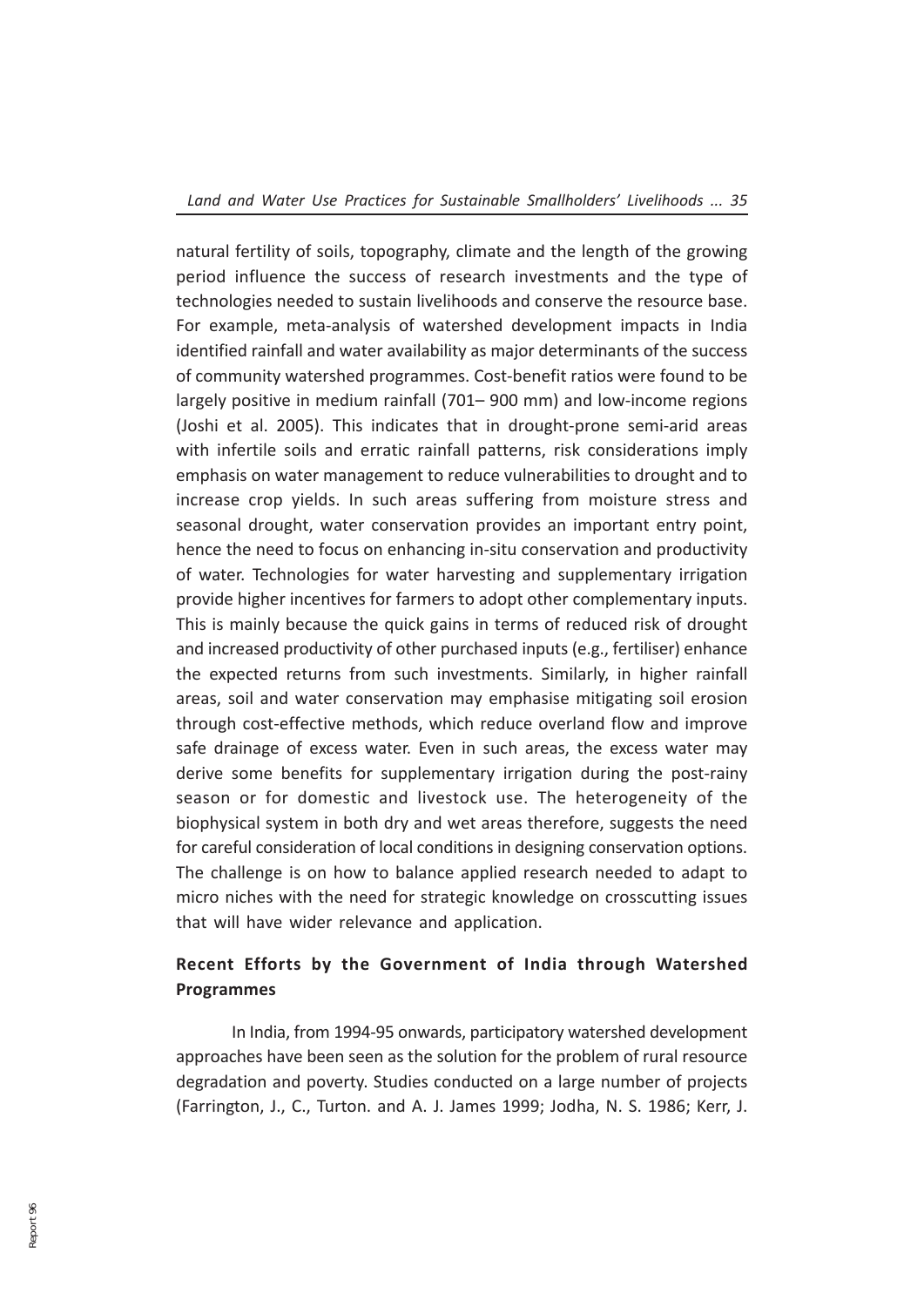natural fertility of soils, topography, climate and the length of the growing period influence the success of research investments and the type of technologies needed to sustain livelihoods and conserve the resource base. For example, meta-analysis of watershed development impacts in India identified rainfall and water availability as major determinants of the success of community watershed programmes. Cost-benefit ratios were found to be largely positive in medium rainfall (701– 900 mm) and low-income regions (Joshi et al. 2005). This indicates that in drought-prone semi-arid areas with infertile soils and erratic rainfall patterns, risk considerations imply emphasis on water management to reduce vulnerabilities to drought and to increase crop yields. In such areas suffering from moisture stress and seasonal drought, water conservation provides an important entry point, hence the need to focus on enhancing in-situ conservation and productivity of water. Technologies for water harvesting and supplementary irrigation provide higher incentives for farmers to adopt other complementary inputs. This is mainly because the quick gains in terms of reduced risk of drought and increased productivity of other purchased inputs (e.g., fertiliser) enhance the expected returns from such investments. Similarly, in higher rainfall areas, soil and water conservation may emphasise mitigating soil erosion through cost-effective methods, which reduce overland flow and improve safe drainage of excess water. Even in such areas, the excess water may derive some benefits for supplementary irrigation during the post-rainy season or for domestic and livestock use. The heterogeneity of the biophysical system in both dry and wet areas therefore, suggests the need for careful consideration of local conditions in designing conservation options. The challenge is on how to balance applied research needed to adapt to micro niches with the need for strategic knowledge on crosscutting issues that will have wider relevance and application.

# **Recent Efforts by the Government of India through Watershed Programmes**

In India, from 1994-95 onwards, participatory watershed development approaches have been seen as the solution for the problem of rural resource degradation and poverty. Studies conducted on a large number of projects (Farrington, J., C., Turton. and A. J. James 1999; Jodha, N. S. 1986; Kerr, J.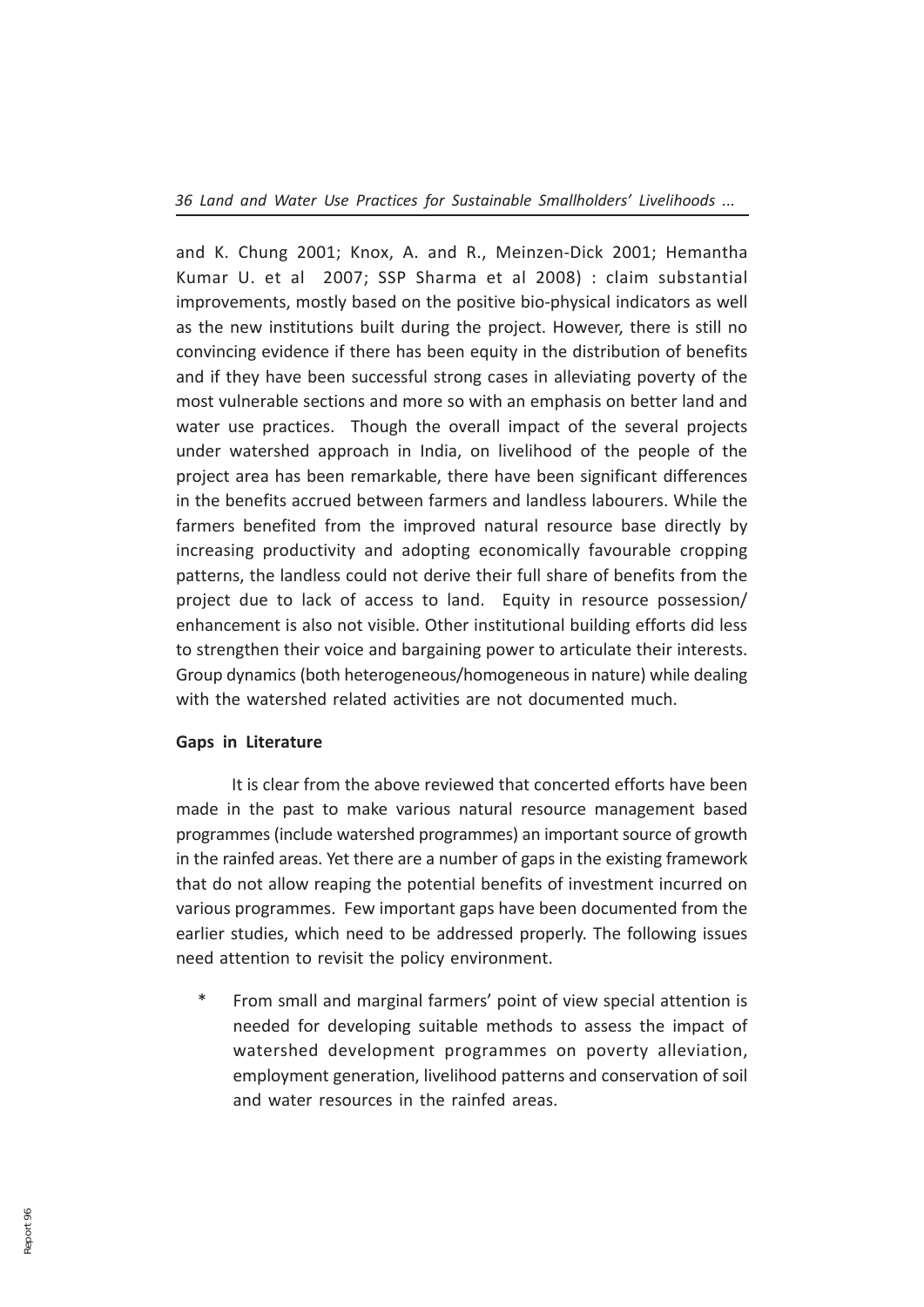and K. Chung 2001; Knox, A. and R., Meinzen-Dick 2001; Hemantha Kumar U. et al 2007; SSP Sharma et al 2008) : claim substantial improvements, mostly based on the positive bio-physical indicators as well as the new institutions built during the project. However, there is still no convincing evidence if there has been equity in the distribution of benefits and if they have been successful strong cases in alleviating poverty of the most vulnerable sections and more so with an emphasis on better land and water use practices. Though the overall impact of the several projects under watershed approach in India, on livelihood of the people of the project area has been remarkable, there have been significant differences in the benefits accrued between farmers and landless labourers. While the farmers benefited from the improved natural resource base directly by increasing productivity and adopting economically favourable cropping patterns, the landless could not derive their full share of benefits from the project due to lack of access to land. Equity in resource possession/ enhancement is also not visible. Other institutional building efforts did less to strengthen their voice and bargaining power to articulate their interests. Group dynamics (both heterogeneous/homogeneous in nature) while dealing with the watershed related activities are not documented much.

# **Gaps in Literature**

It is clear from the above reviewed that concerted efforts have been made in the past to make various natural resource management based programmes (include watershed programmes) an important source of growth in the rainfed areas. Yet there are a number of gaps in the existing framework that do not allow reaping the potential benefits of investment incurred on various programmes. Few important gaps have been documented from the earlier studies, which need to be addressed properly. The following issues need attention to revisit the policy environment.

From small and marginal farmers' point of view special attention is needed for developing suitable methods to assess the impact of watershed development programmes on poverty alleviation, employment generation, livelihood patterns and conservation of soil and water resources in the rainfed areas.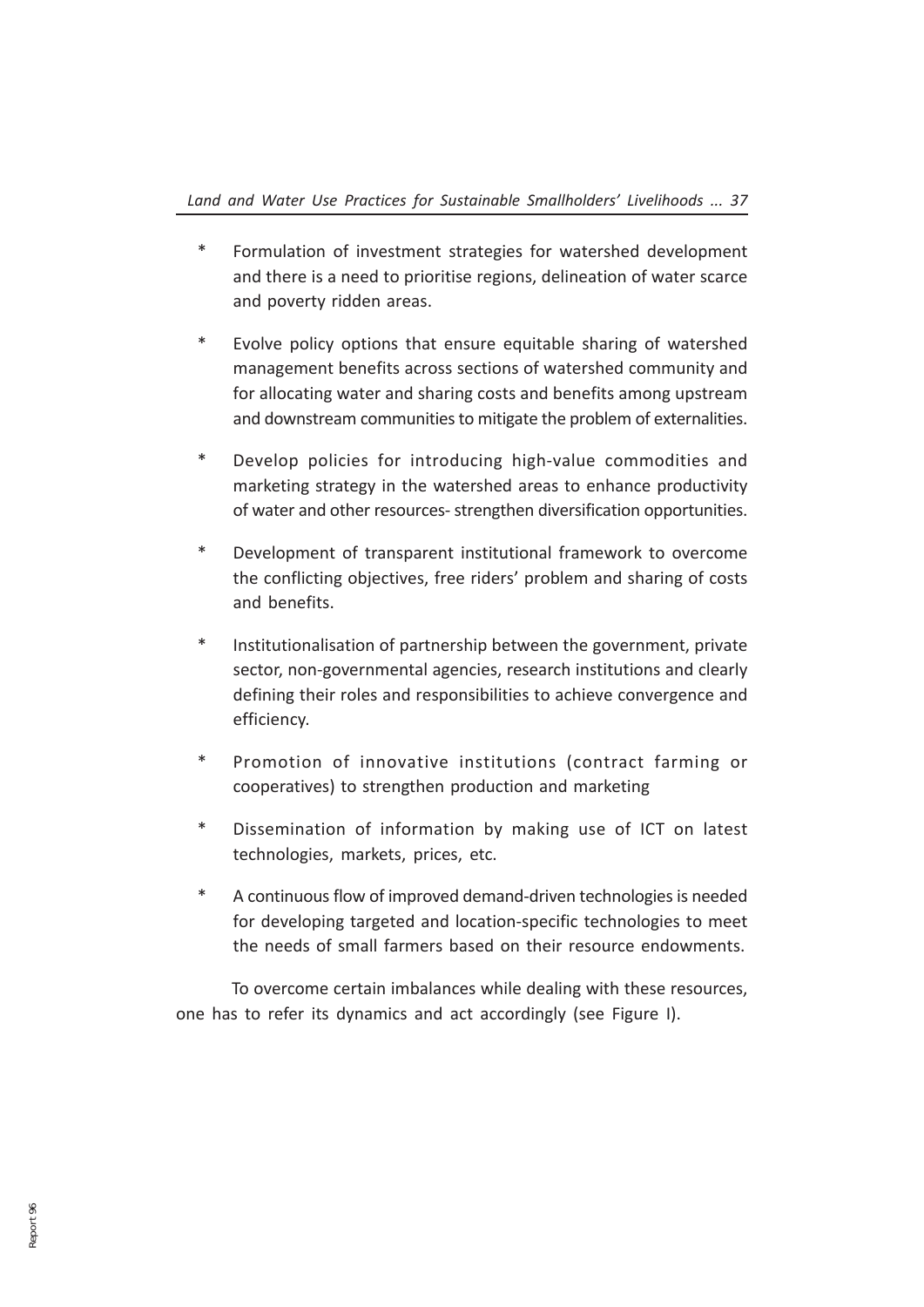- \* Formulation of investment strategies for watershed development and there is a need to prioritise regions, delineation of water scarce and poverty ridden areas.
- \* Evolve policy options that ensure equitable sharing of watershed management benefits across sections of watershed community and for allocating water and sharing costs and benefits among upstream and downstream communities to mitigate the problem of externalities.
- Develop policies for introducing high-value commodities and marketing strategy in the watershed areas to enhance productivity of water and other resources- strengthen diversification opportunities.
- \* Development of transparent institutional framework to overcome the conflicting objectives, free riders' problem and sharing of costs and benefits.
- \* Institutionalisation of partnership between the government, private sector, non-governmental agencies, research institutions and clearly defining their roles and responsibilities to achieve convergence and efficiency.
- \* Promotion of innovative institutions (contract farming or cooperatives) to strengthen production and marketing
- \* Dissemination of information by making use of ICT on latest technologies, markets, prices, etc.
- \* A continuous flow of improved demand-driven technologies is needed for developing targeted and location-specific technologies to meet the needs of small farmers based on their resource endowments.

To overcome certain imbalances while dealing with these resources, one has to refer its dynamics and act accordingly (see Figure I).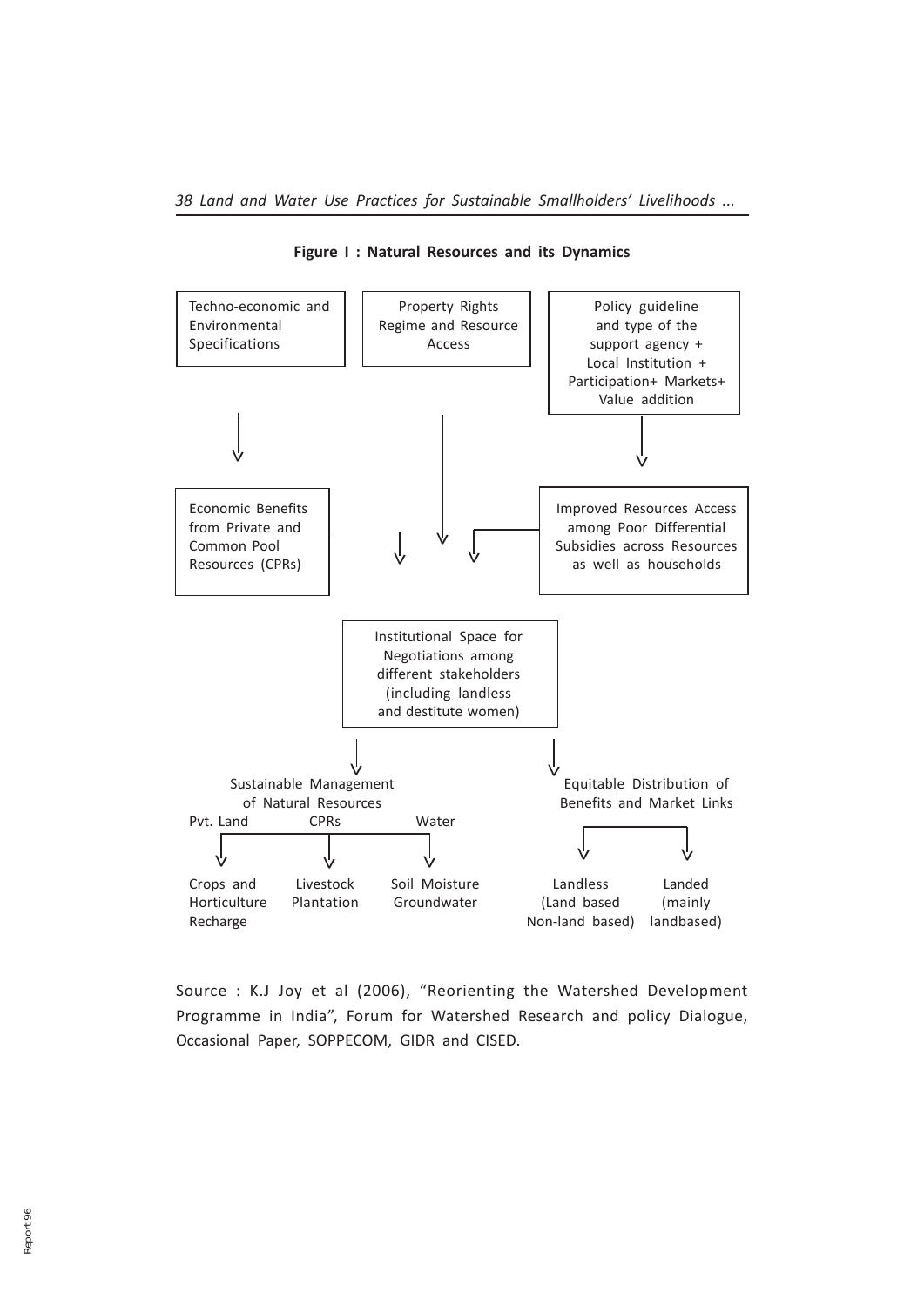

**Figure I : Natural Resources and its Dynamics**

Source : K.J Joy et al (2006), "Reorienting the Watershed Development Programme in India", Forum for Watershed Research and policy Dialogue, Occasional Paper, SOPPECOM, GIDR and CISED.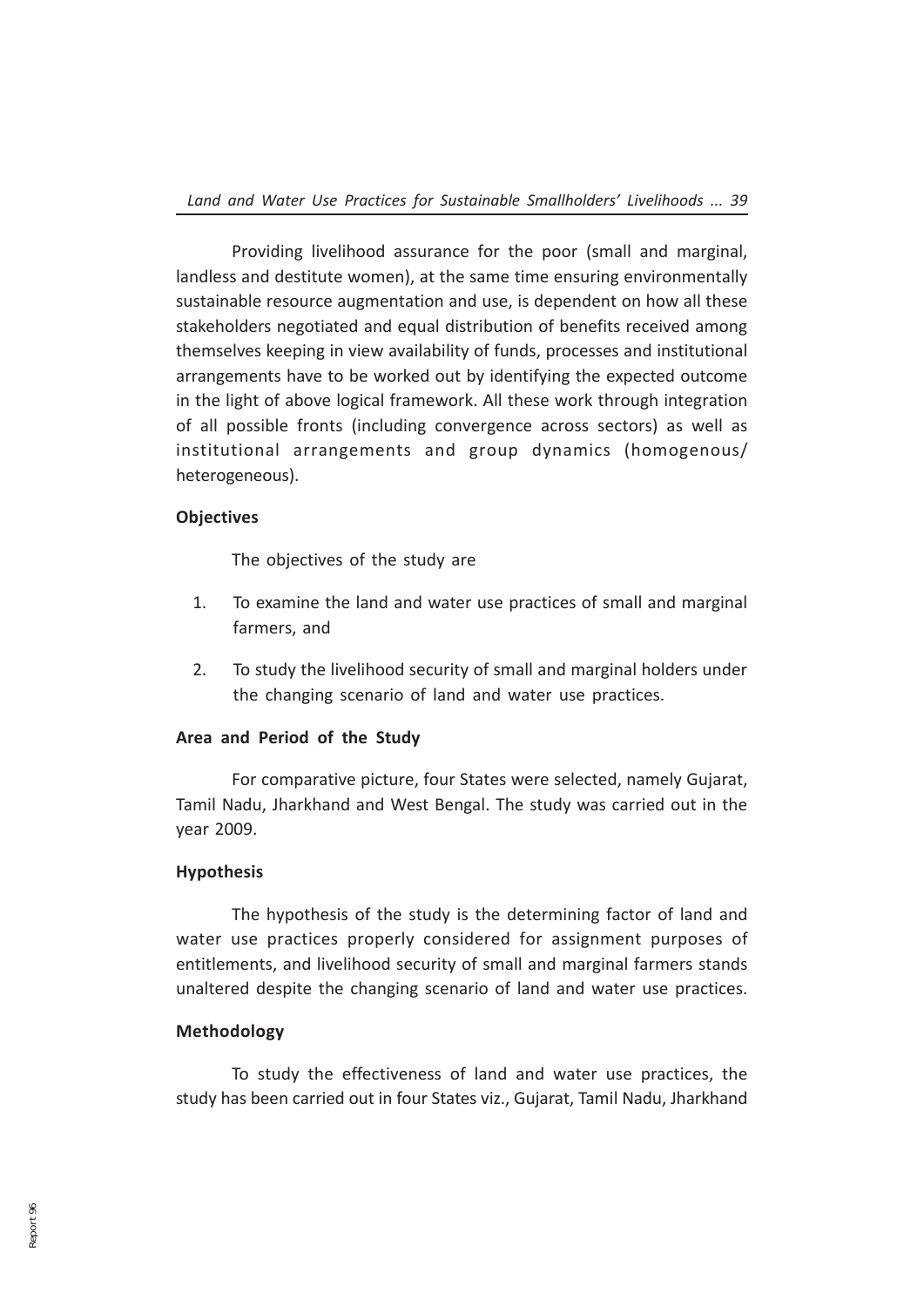Providing livelihood assurance for the poor (small and marginal, landless and destitute women), at the same time ensuring environmentally sustainable resource augmentation and use, is dependent on how all these stakeholders negotiated and equal distribution of benefits received among themselves keeping in view availability of funds, processes and institutional arrangements have to be worked out by identifying the expected outcome in the light of above logical framework. All these work through integration of all possible fronts (including convergence across sectors) as well as institutional arrangements and group dynamics (homogenous/ heterogeneous).

## **Objectives**

The objectives of the study are

- 1. To examine the land and water use practices of small and marginal farmers, and
- 2. To study the livelihood security of small and marginal holders under the changing scenario of land and water use practices.

## **Area and Period of the Study**

For comparative picture, four States were selected, namely Gujarat, Tamil Nadu, Jharkhand and West Bengal. The study was carried out in the year 2009.

## **Hypothesis**

The hypothesis of the study is the determining factor of land and water use practices properly considered for assignment purposes of entitlements, and livelihood security of small and marginal farmers stands unaltered despite the changing scenario of land and water use practices.

## **Methodology**

To study the effectiveness of land and water use practices, the study has been carried out in four States viz., Gujarat, Tamil Nadu, Jharkhand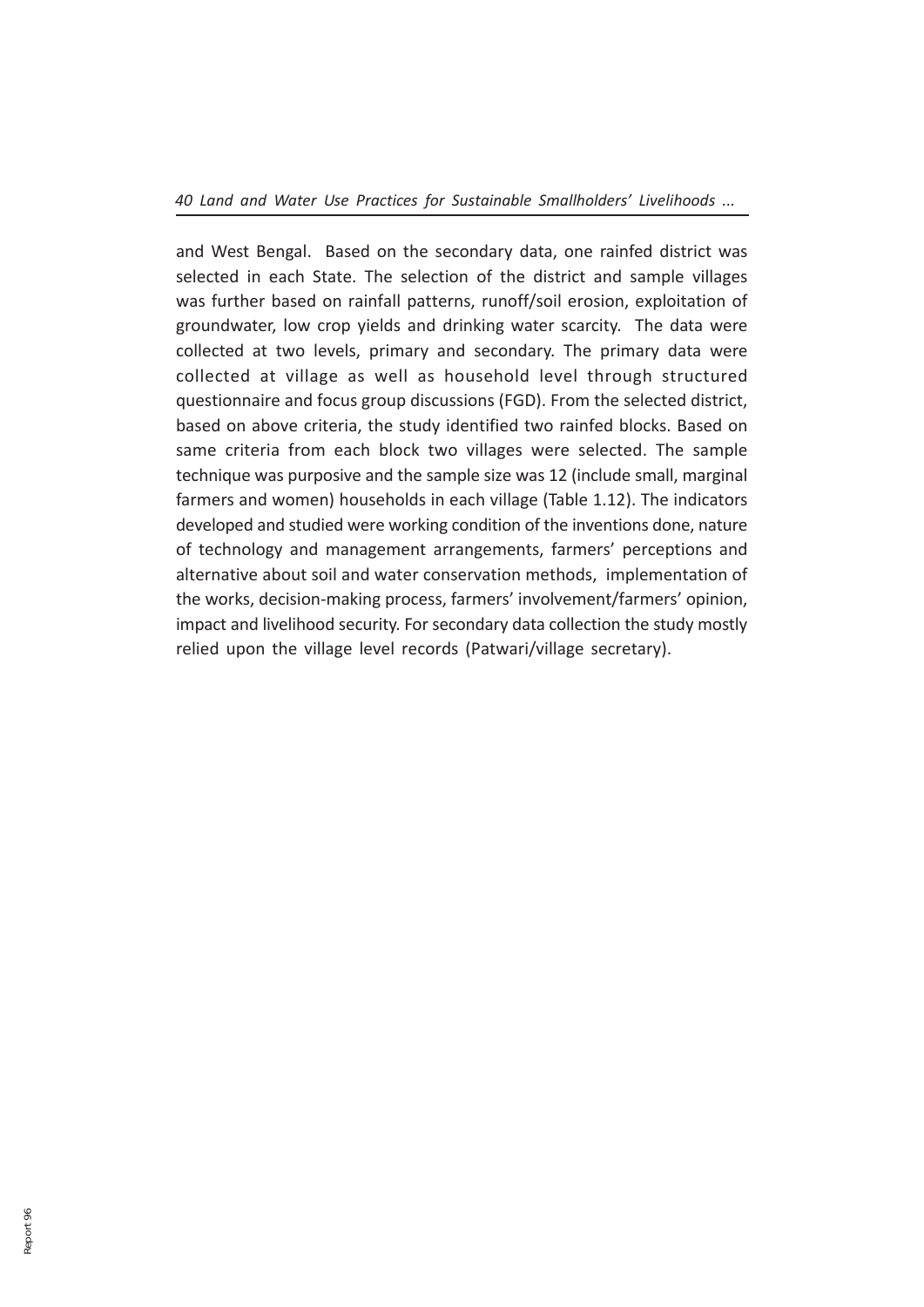and West Bengal. Based on the secondary data, one rainfed district was selected in each State. The selection of the district and sample villages was further based on rainfall patterns, runoff/soil erosion, exploitation of groundwater, low crop yields and drinking water scarcity. The data were collected at two levels, primary and secondary. The primary data were collected at village as well as household level through structured questionnaire and focus group discussions (FGD). From the selected district, based on above criteria, the study identified two rainfed blocks. Based on same criteria from each block two villages were selected. The sample technique was purposive and the sample size was 12 (include small, marginal farmers and women) households in each village (Table 1.12). The indicators developed and studied were working condition of the inventions done, nature of technology and management arrangements, farmers' perceptions and alternative about soil and water conservation methods, implementation of the works, decision-making process, farmers' involvement/farmers' opinion, impact and livelihood security. For secondary data collection the study mostly relied upon the village level records (Patwari/village secretary).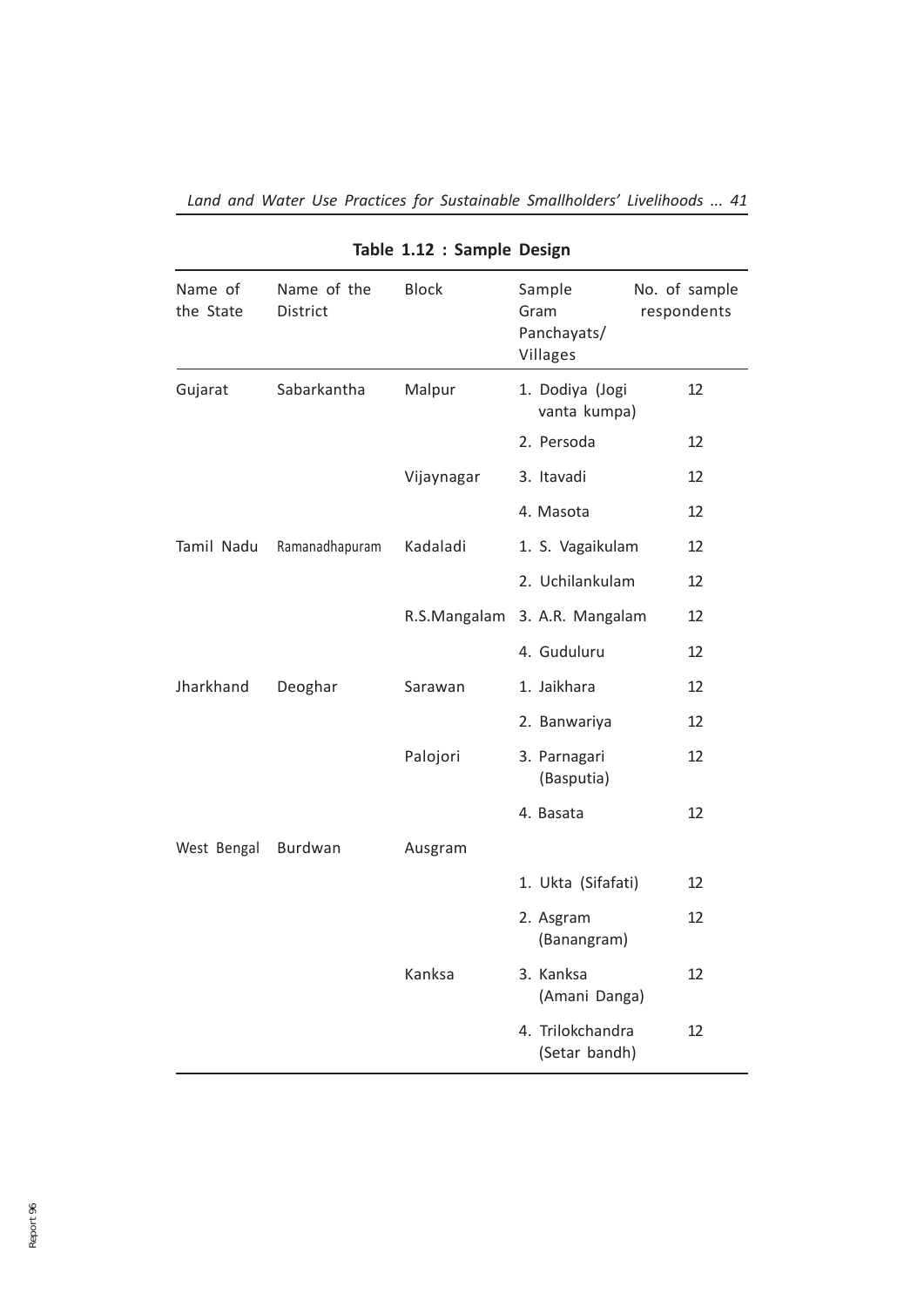|                      |                         | Table 1.12 : Sample Design |                                           |                              |
|----------------------|-------------------------|----------------------------|-------------------------------------------|------------------------------|
| Name of<br>the State | Name of the<br>District | <b>Block</b>               | Sample<br>Gram<br>Panchayats/<br>Villages | No. of sample<br>respondents |
| Gujarat              | Sabarkantha             | Malpur                     | 1. Dodiya (Jogi<br>vanta kumpa)           | 12                           |
|                      |                         |                            | 2. Persoda                                | 12                           |
|                      |                         | Vijaynagar                 | 3. Itavadi                                | 12                           |
|                      |                         |                            | 4. Masota                                 | 12                           |
| Tamil Nadu           | Ramanadhapuram          | Kadaladi                   | 1. S. Vagaikulam                          | 12                           |
|                      |                         |                            | 2. Uchilankulam                           | 12                           |
|                      |                         |                            | R.S.Mangalam 3. A.R. Mangalam             | 12                           |
|                      |                         |                            | 4. Guduluru                               | 12                           |
| Jharkhand            | Deoghar                 | Sarawan                    | 1. Jaikhara                               | 12                           |
|                      |                         |                            | 2. Banwariya                              | 12                           |
|                      |                         | Palojori                   | 3. Parnagari<br>(Basputia)                | 12                           |
|                      |                         |                            | 4. Basata                                 | 12                           |
| West Bengal          | Burdwan                 | Ausgram                    |                                           |                              |
|                      |                         |                            | 1. Ukta (Sifafati)                        | 12                           |
|                      |                         |                            | 2. Asgram<br>(Banangram)                  | 12                           |
|                      |                         | Kanksa                     | 3. Kanksa<br>(Amani Danga)                | 12                           |
|                      |                         |                            | 4. Trilokchandra<br>(Setar bandh)         | 12                           |

**Table 1.12 : Sample Design**

*Land and Water Use Practices for Sustainable Smallholders' Livelihoods ... 41*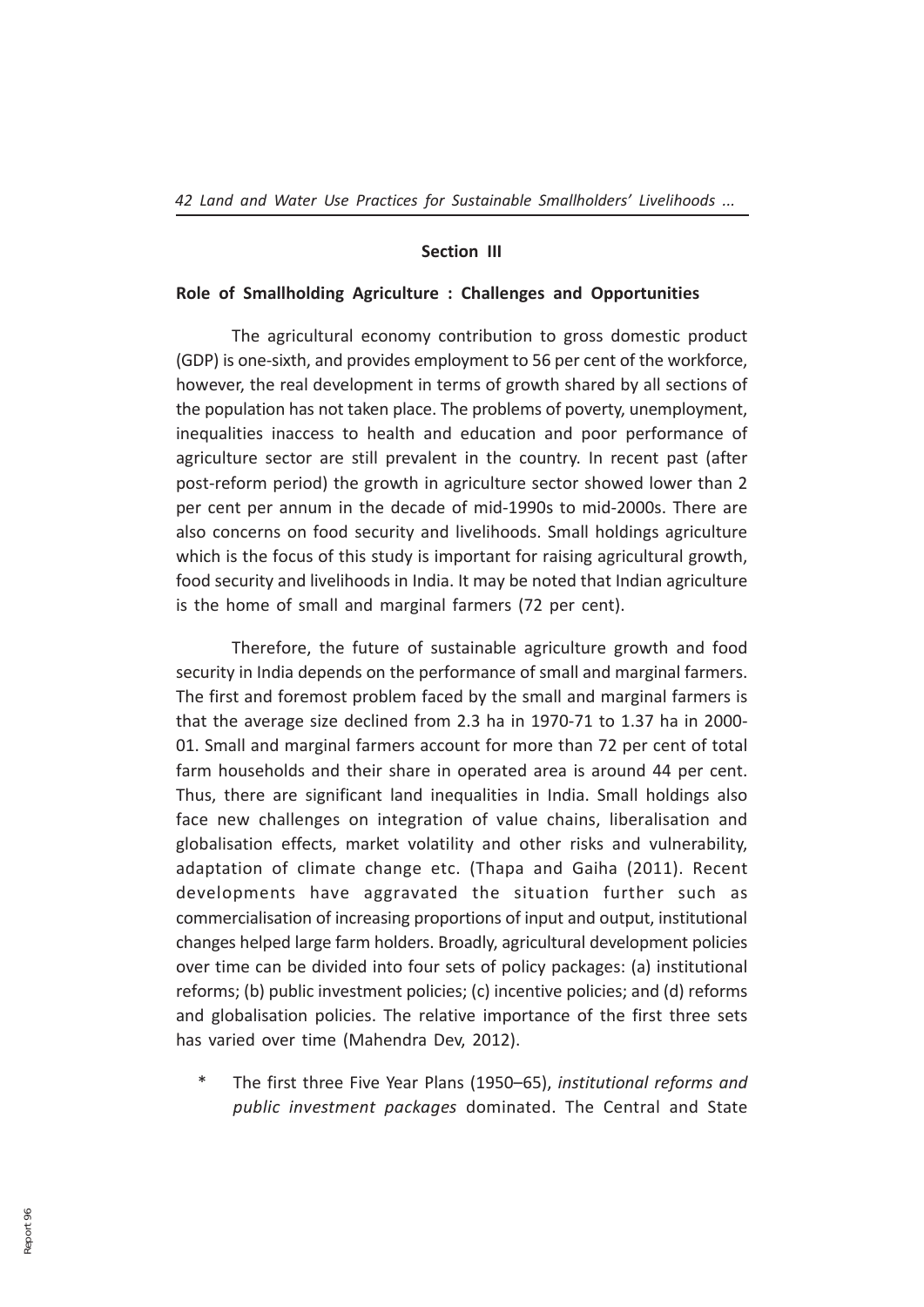#### **Section III**

#### **Role of Smallholding Agriculture : Challenges and Opportunities**

The agricultural economy contribution to gross domestic product (GDP) is one-sixth, and provides employment to 56 per cent of the workforce, however, the real development in terms of growth shared by all sections of the population has not taken place. The problems of poverty, unemployment, inequalities inaccess to health and education and poor performance of agriculture sector are still prevalent in the country. In recent past (after post-reform period) the growth in agriculture sector showed lower than 2 per cent per annum in the decade of mid-1990s to mid-2000s. There are also concerns on food security and livelihoods. Small holdings agriculture which is the focus of this study is important for raising agricultural growth. food security and livelihoods in India. It may be noted that Indian agriculture is the home of small and marginal farmers (72 per cent).

Therefore, the future of sustainable agriculture growth and food security in India depends on the performance of small and marginal farmers. The first and foremost problem faced by the small and marginal farmers is that the average size declined from 2.3 ha in 1970-71 to 1.37 ha in 2000- 01. Small and marginal farmers account for more than 72 per cent of total farm households and their share in operated area is around 44 per cent. Thus, there are significant land inequalities in India. Small holdings also face new challenges on integration of value chains, liberalisation and globalisation effects, market volatility and other risks and vulnerability, adaptation of climate change etc. (Thapa and Gaiha (2011). Recent developments have aggravated the situation further such as commercialisation of increasing proportions of input and output, institutional changes helped large farm holders. Broadly, agricultural development policies over time can be divided into four sets of policy packages: (a) institutional reforms; (b) public investment policies; (c) incentive policies; and (d) reforms and globalisation policies. The relative importance of the first three sets has varied over time (Mahendra Dev, 2012).

\* The first three Five Year Plans (1950–65), *institutional reforms and public investment packages* dominated. The Central and State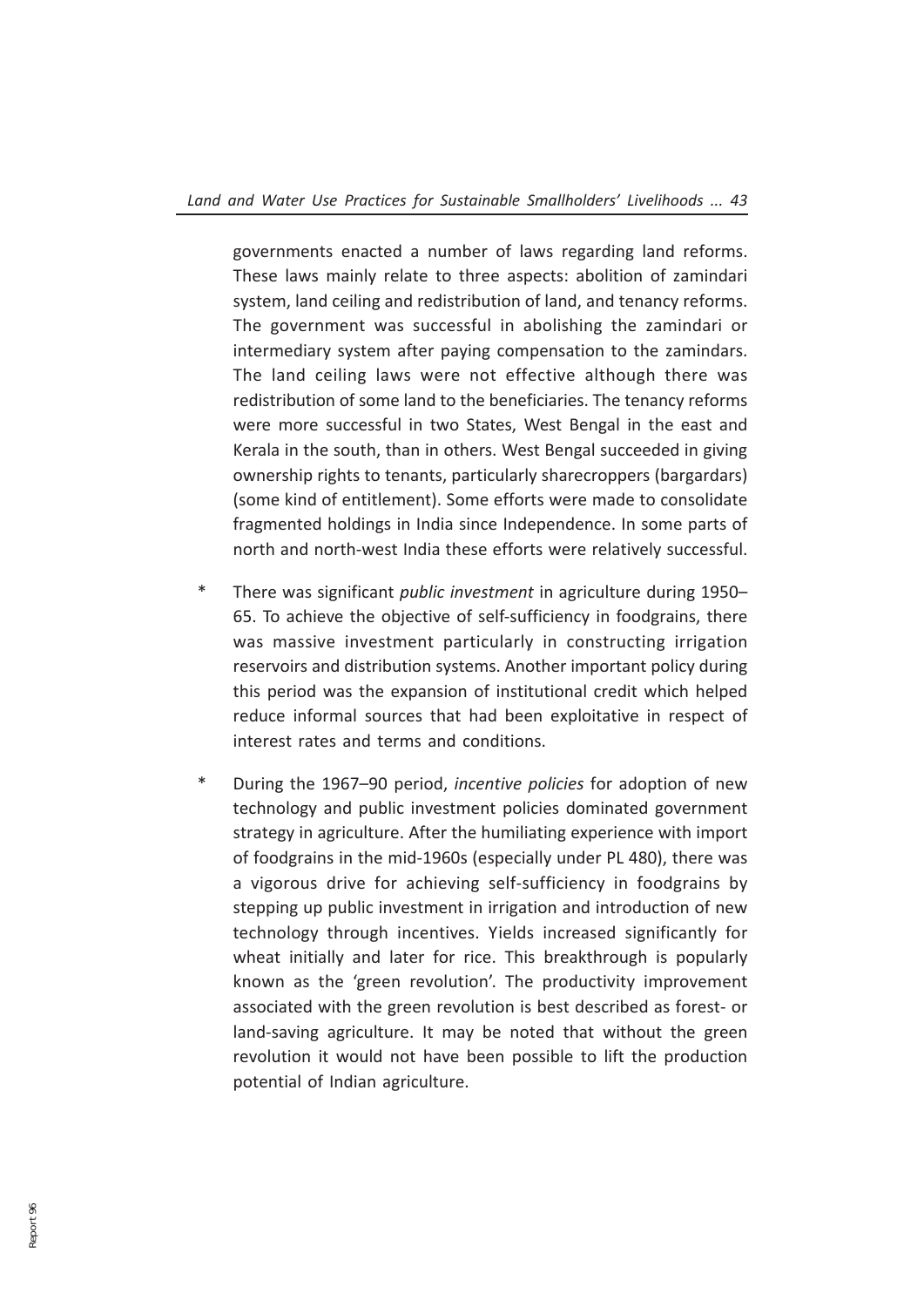governments enacted a number of laws regarding land reforms. These laws mainly relate to three aspects: abolition of zamindari system, land ceiling and redistribution of land, and tenancy reforms. The government was successful in abolishing the zamindari or intermediary system after paying compensation to the zamindars. The land ceiling laws were not effective although there was redistribution of some land to the beneficiaries. The tenancy reforms were more successful in two States, West Bengal in the east and Kerala in the south, than in others. West Bengal succeeded in giving ownership rights to tenants, particularly sharecroppers (bargardars) (some kind of entitlement). Some efforts were made to consolidate fragmented holdings in India since Independence. In some parts of north and north-west India these efforts were relatively successful.

- \* There was significant *public investment* in agriculture during 1950– 65. To achieve the objective of self-sufficiency in foodgrains, there was massive investment particularly in constructing irrigation reservoirs and distribution systems. Another important policy during this period was the expansion of institutional credit which helped reduce informal sources that had been exploitative in respect of interest rates and terms and conditions.
- \* During the 1967–90 period, *incentive policies* for adoption of new technology and public investment policies dominated government strategy in agriculture. After the humiliating experience with import of foodgrains in the mid-1960s (especially under PL 480), there was a vigorous drive for achieving self-sufficiency in foodgrains by stepping up public investment in irrigation and introduction of new technology through incentives. Yields increased significantly for wheat initially and later for rice. This breakthrough is popularly known as the 'green revolution'. The productivity improvement associated with the green revolution is best described as forest- or land-saving agriculture. It may be noted that without the green revolution it would not have been possible to lift the production potential of Indian agriculture.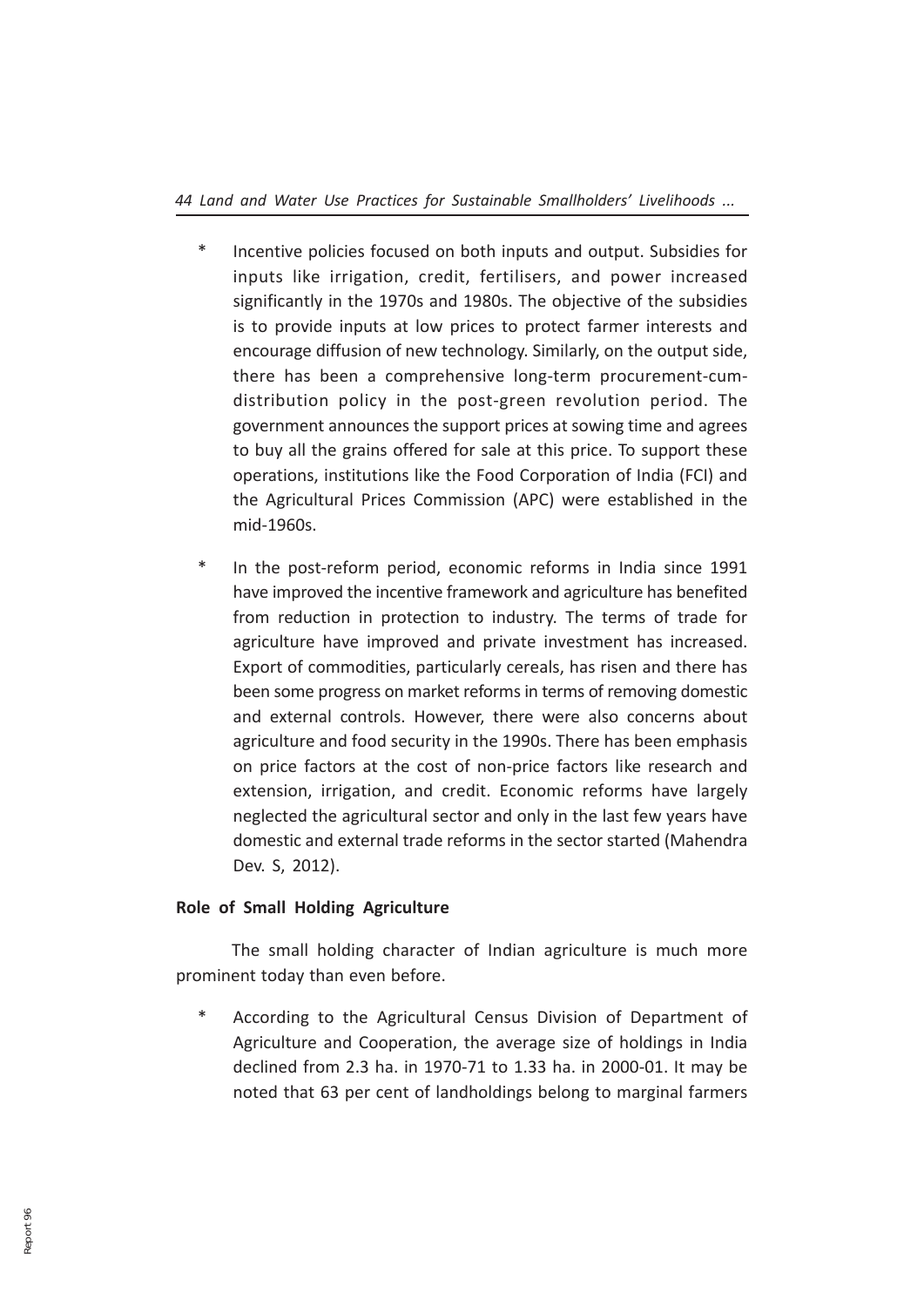- Incentive policies focused on both inputs and output. Subsidies for inputs like irrigation, credit, fertilisers, and power increased significantly in the 1970s and 1980s. The objective of the subsidies is to provide inputs at low prices to protect farmer interests and encourage diffusion of new technology. Similarly, on the output side, there has been a comprehensive long-term procurement-cumdistribution policy in the post-green revolution period. The government announces the support prices at sowing time and agrees to buy all the grains offered for sale at this price. To support these operations, institutions like the Food Corporation of India (FCI) and the Agricultural Prices Commission (APC) were established in the mid-1960s.
- \* In the post-reform period, economic reforms in India since 1991 have improved the incentive framework and agriculture has benefited from reduction in protection to industry. The terms of trade for agriculture have improved and private investment has increased. Export of commodities, particularly cereals, has risen and there has been some progress on market reforms in terms of removing domestic and external controls. However, there were also concerns about agriculture and food security in the 1990s. There has been emphasis on price factors at the cost of non-price factors like research and extension, irrigation, and credit. Economic reforms have largely neglected the agricultural sector and only in the last few years have domestic and external trade reforms in the sector started (Mahendra Dev. S, 2012).

# **Role of Small Holding Agriculture**

The small holding character of Indian agriculture is much more prominent today than even before.

According to the Agricultural Census Division of Department of Agriculture and Cooperation, the average size of holdings in India declined from 2.3 ha. in 1970-71 to 1.33 ha. in 2000-01. It may be noted that 63 per cent of landholdings belong to marginal farmers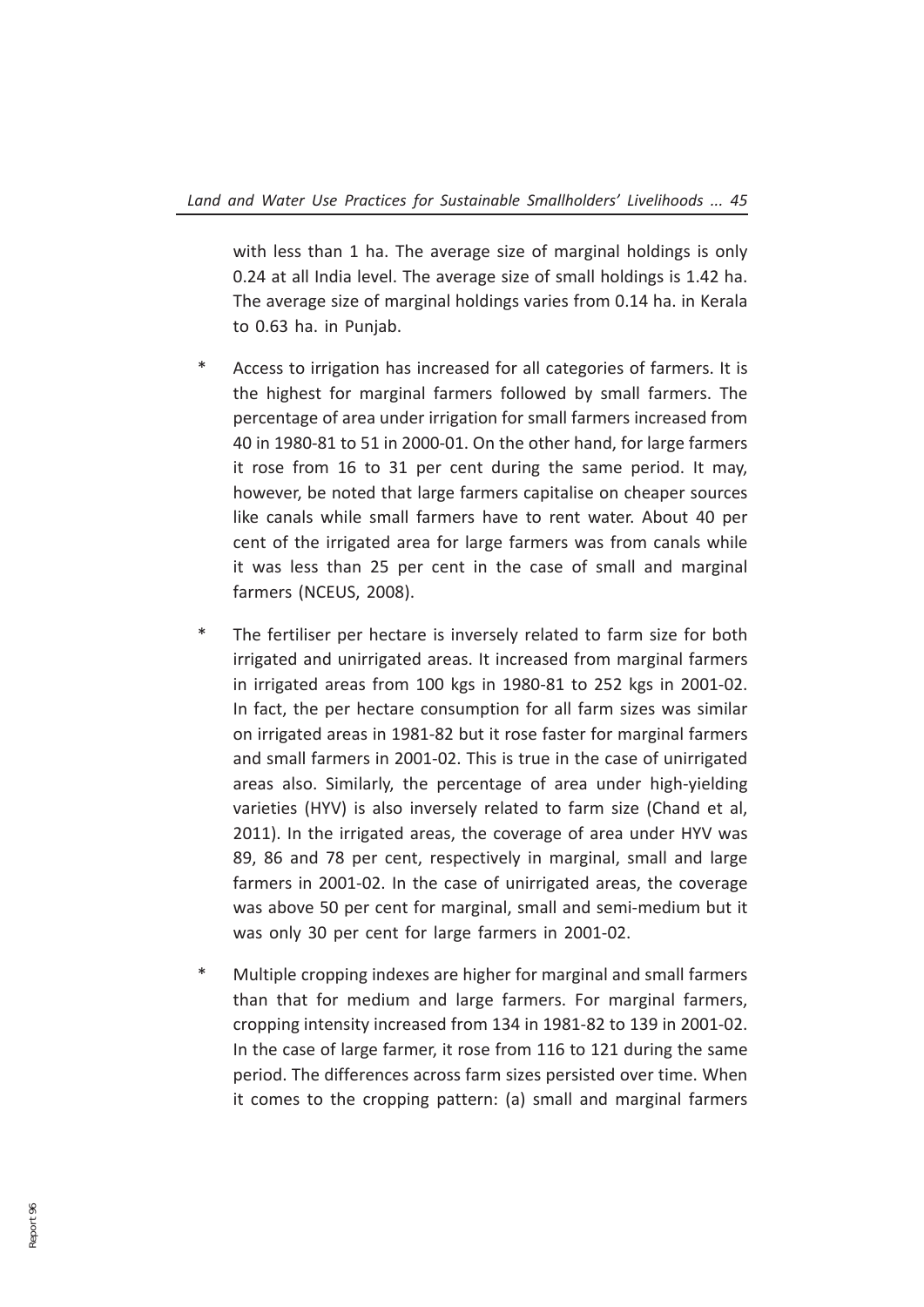with less than 1 ha. The average size of marginal holdings is only 0.24 at all India level. The average size of small holdings is 1.42 ha. The average size of marginal holdings varies from 0.14 ha. in Kerala to 0.63 ha. in Punjab.

- \* Access to irrigation has increased for all categories of farmers. It is the highest for marginal farmers followed by small farmers. The percentage of area under irrigation for small farmers increased from 40 in 1980-81 to 51 in 2000-01. On the other hand, for large farmers it rose from 16 to 31 per cent during the same period. It may, however, be noted that large farmers capitalise on cheaper sources like canals while small farmers have to rent water. About 40 per cent of the irrigated area for large farmers was from canals while it was less than 25 per cent in the case of small and marginal farmers (NCEUS, 2008).
- The fertiliser per hectare is inversely related to farm size for both irrigated and unirrigated areas. It increased from marginal farmers in irrigated areas from 100 kgs in 1980-81 to 252 kgs in 2001-02. In fact, the per hectare consumption for all farm sizes was similar on irrigated areas in 1981-82 but it rose faster for marginal farmers and small farmers in 2001-02. This is true in the case of unirrigated areas also. Similarly, the percentage of area under high-yielding varieties (HYV) is also inversely related to farm size (Chand et al, 2011). In the irrigated areas, the coverage of area under HYV was 89, 86 and 78 per cent, respectively in marginal, small and large farmers in 2001-02. In the case of unirrigated areas, the coverage was above 50 per cent for marginal, small and semi-medium but it was only 30 per cent for large farmers in 2001-02.
- \* Multiple cropping indexes are higher for marginal and small farmers than that for medium and large farmers. For marginal farmers, cropping intensity increased from 134 in 1981-82 to 139 in 2001-02. In the case of large farmer, it rose from 116 to 121 during the same period. The differences across farm sizes persisted over time. When it comes to the cropping pattern: (a) small and marginal farmers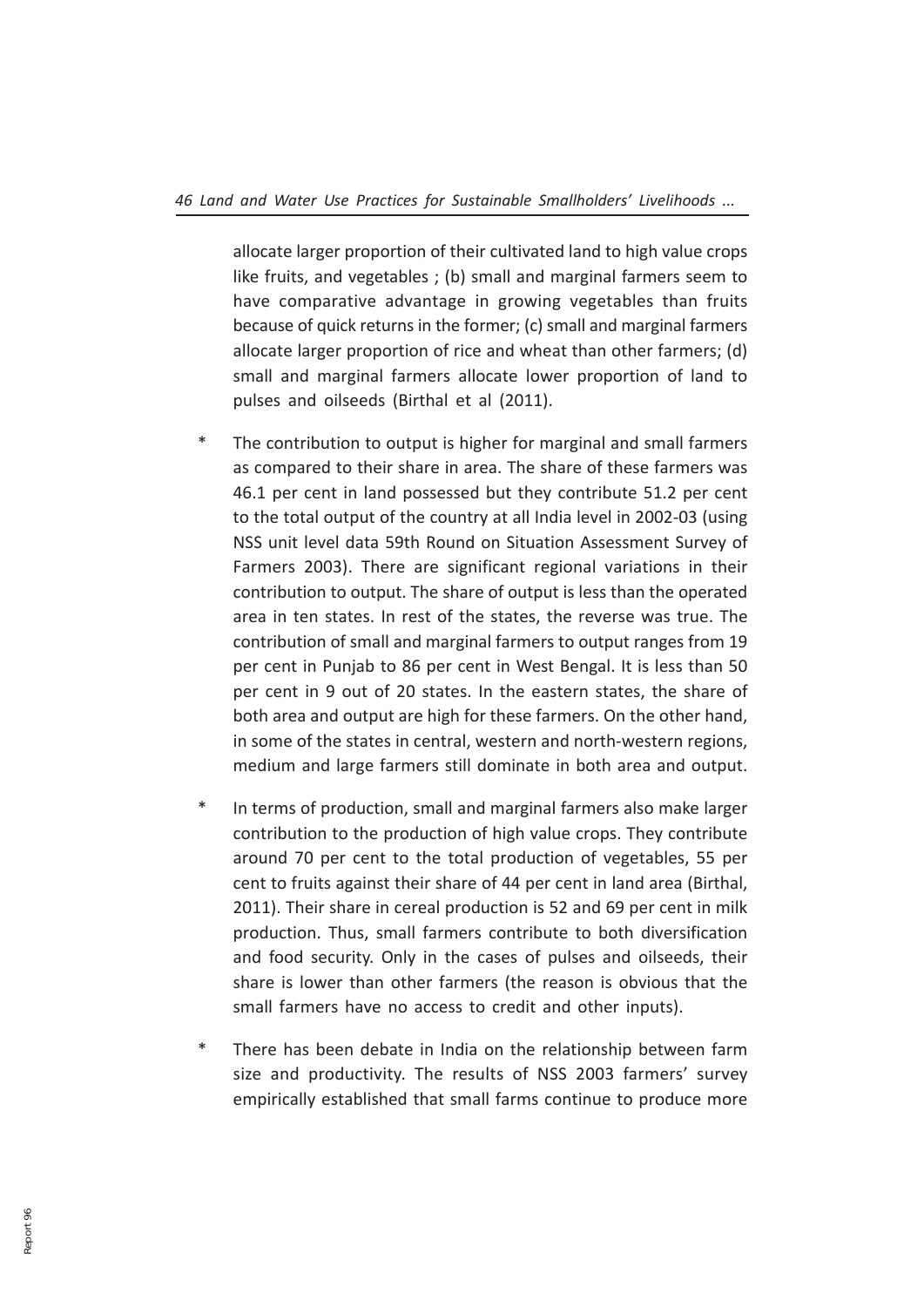allocate larger proportion of their cultivated land to high value crops like fruits, and vegetables ; (b) small and marginal farmers seem to have comparative advantage in growing vegetables than fruits because of quick returns in the former; (c) small and marginal farmers allocate larger proportion of rice and wheat than other farmers; (d) small and marginal farmers allocate lower proportion of land to pulses and oilseeds (Birthal et al (2011).

- The contribution to output is higher for marginal and small farmers as compared to their share in area. The share of these farmers was 46.1 per cent in land possessed but they contribute 51.2 per cent to the total output of the country at all India level in 2002-03 (using NSS unit level data 59th Round on Situation Assessment Survey of Farmers 2003). There are significant regional variations in their contribution to output. The share of output is less than the operated area in ten states. In rest of the states, the reverse was true. The contribution of small and marginal farmers to output ranges from 19 per cent in Punjab to 86 per cent in West Bengal. It is less than 50 per cent in 9 out of 20 states. In the eastern states, the share of both area and output are high for these farmers. On the other hand, in some of the states in central, western and north-western regions, medium and large farmers still dominate in both area and output.
- In terms of production, small and marginal farmers also make larger contribution to the production of high value crops. They contribute around 70 per cent to the total production of vegetables, 55 per cent to fruits against their share of 44 per cent in land area (Birthal, 2011). Their share in cereal production is 52 and 69 per cent in milk production. Thus, small farmers contribute to both diversification and food security. Only in the cases of pulses and oilseeds, their share is lower than other farmers (the reason is obvious that the small farmers have no access to credit and other inputs).
- There has been debate in India on the relationship between farm size and productivity. The results of NSS 2003 farmers' survey empirically established that small farms continue to produce more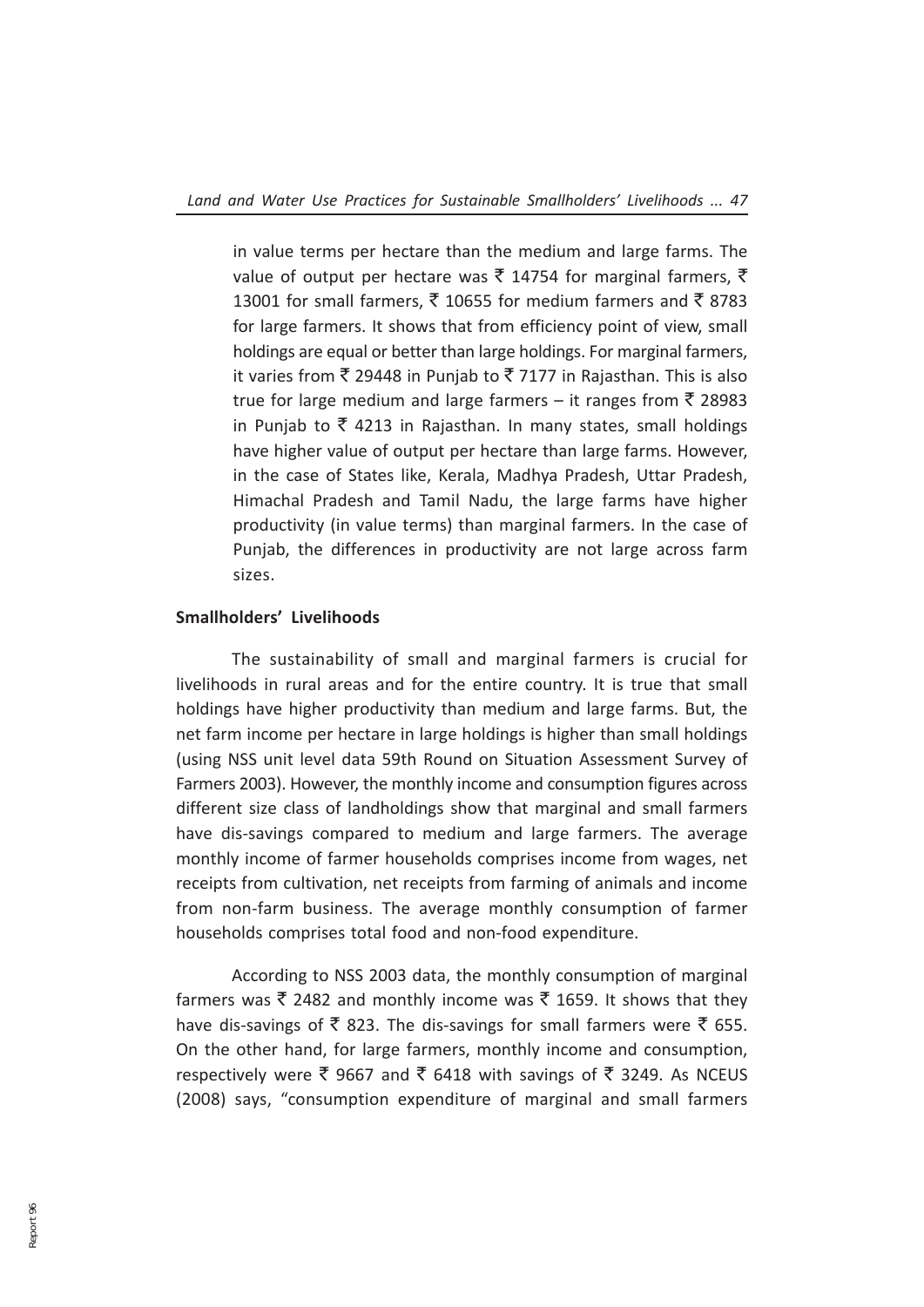in value terms per hectare than the medium and large farms. The value of output per hectare was  $\bar{\tau}$  14754 for marginal farmers,  $\bar{\tau}$ 13001 for small farmers,  $\bar{\tau}$  10655 for medium farmers and  $\bar{\tau}$  8783 for large farmers. It shows that from efficiency point of view, small holdings are equal or better than large holdings. For marginal farmers, it varies from  $\bar{\zeta}$  29448 in Punjab to  $\bar{\zeta}$  7177 in Rajasthan. This is also true for large medium and large farmers – it ranges from  $\bar{\tau}$  28983 in Punjab to  $\bar{\tau}$  4213 in Rajasthan. In many states, small holdings have higher value of output per hectare than large farms. However, in the case of States like, Kerala, Madhya Pradesh, Uttar Pradesh, Himachal Pradesh and Tamil Nadu, the large farms have higher productivity (in value terms) than marginal farmers. In the case of Punjab, the differences in productivity are not large across farm sizes.

## **Smallholders' Livelihoods**

The sustainability of small and marginal farmers is crucial for livelihoods in rural areas and for the entire country. It is true that small holdings have higher productivity than medium and large farms. But, the net farm income per hectare in large holdings is higher than small holdings (using NSS unit level data 59th Round on Situation Assessment Survey of Farmers 2003). However, the monthly income and consumption figures across different size class of landholdings show that marginal and small farmers have dis-savings compared to medium and large farmers. The average monthly income of farmer households comprises income from wages, net receipts from cultivation, net receipts from farming of animals and income from non-farm business. The average monthly consumption of farmer households comprises total food and non-food expenditure.

According to NSS 2003 data, the monthly consumption of marginal farmers was  $\bar{\tau}$  2482 and monthly income was  $\bar{\tau}$  1659. It shows that they have dis-savings of  $\bar{\tau}$  823. The dis-savings for small farmers were  $\bar{\tau}$  655. On the other hand, for large farmers, monthly income and consumption, respectively were  $\bar{\xi}$  9667 and  $\bar{\xi}$  6418 with savings of  $\bar{\xi}$  3249. As NCEUS (2008) says, "consumption expenditure of marginal and small farmers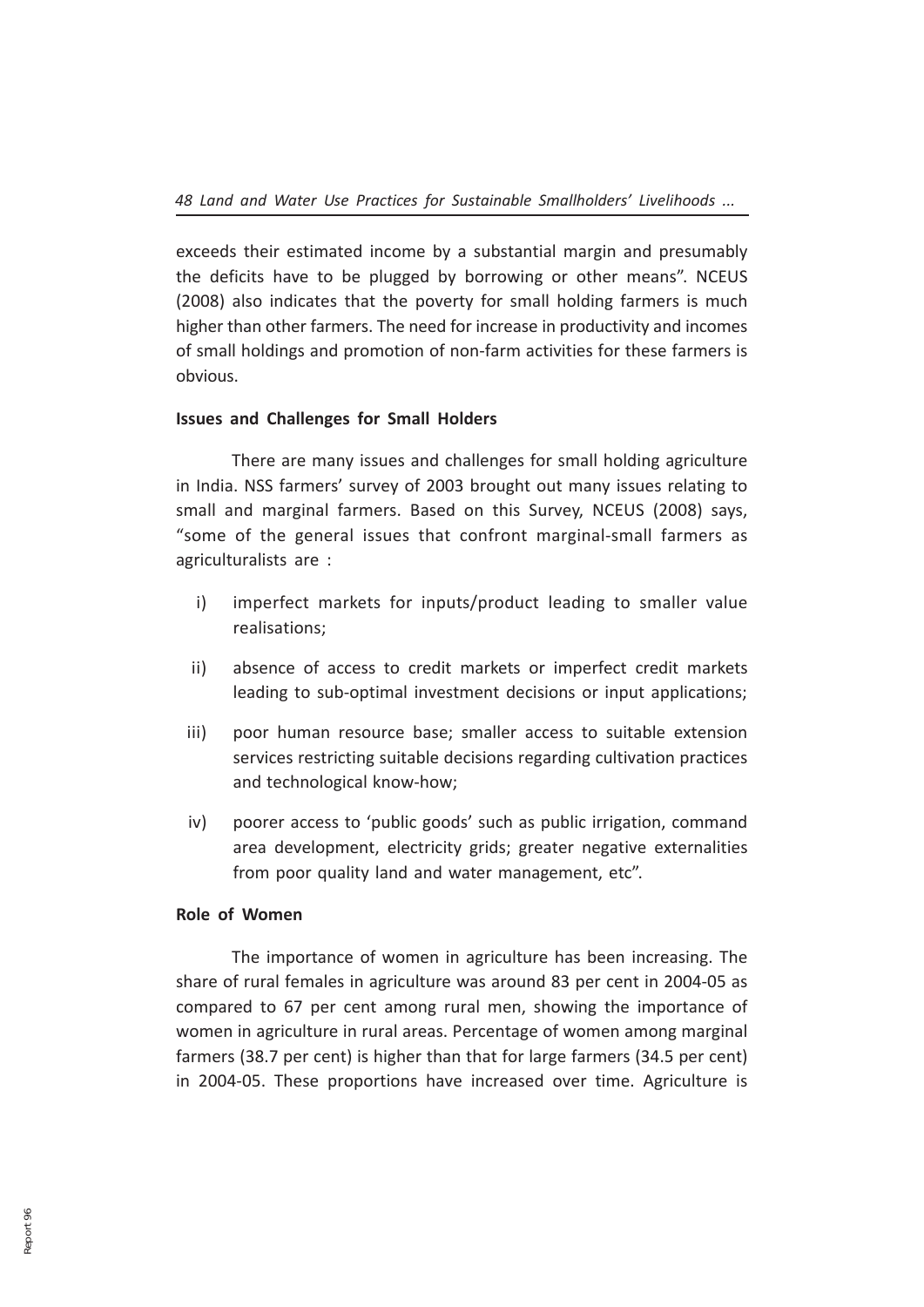exceeds their estimated income by a substantial margin and presumably the deficits have to be plugged by borrowing or other means". NCEUS (2008) also indicates that the poverty for small holding farmers is much higher than other farmers. The need for increase in productivity and incomes of small holdings and promotion of non-farm activities for these farmers is obvious.

# **Issues and Challenges for Small Holders**

There are many issues and challenges for small holding agriculture in India. NSS farmers' survey of 2003 brought out many issues relating to small and marginal farmers. Based on this Survey, NCEUS (2008) says, "some of the general issues that confront marginal-small farmers as agriculturalists are :

- i) imperfect markets for inputs/product leading to smaller value realisations;
- ii) absence of access to credit markets or imperfect credit markets leading to sub-optimal investment decisions or input applications;
- iii) poor human resource base; smaller access to suitable extension services restricting suitable decisions regarding cultivation practices and technological know-how;
- iv) poorer access to 'public goods' such as public irrigation, command area development, electricity grids; greater negative externalities from poor quality land and water management, etc".

## **Role of Women**

The importance of women in agriculture has been increasing. The share of rural females in agriculture was around 83 per cent in 2004-05 as compared to 67 per cent among rural men, showing the importance of women in agriculture in rural areas. Percentage of women among marginal farmers (38.7 per cent) is higher than that for large farmers (34.5 per cent) in 2004-05. These proportions have increased over time. Agriculture is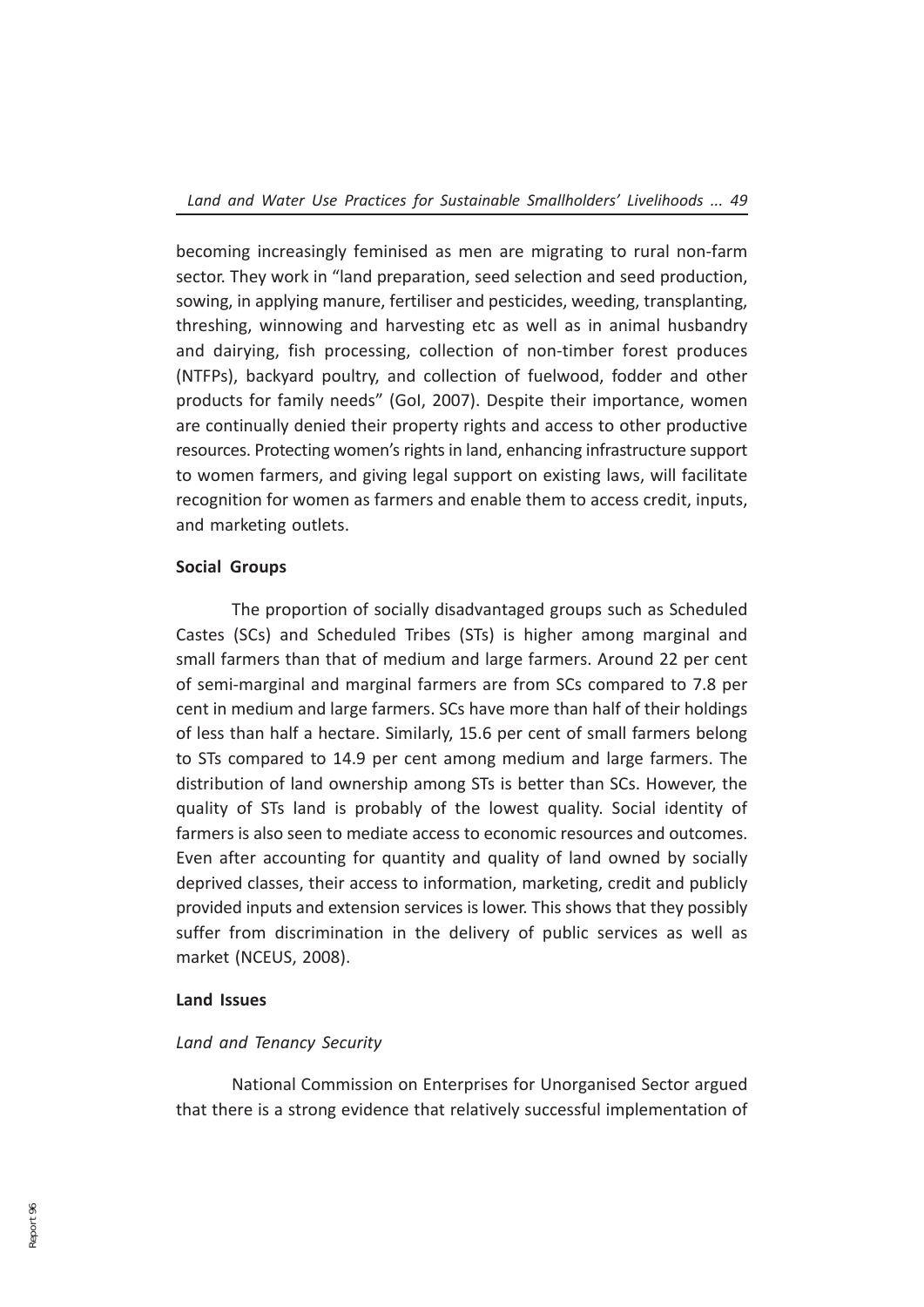becoming increasingly feminised as men are migrating to rural non-farm sector. They work in "land preparation, seed selection and seed production, sowing, in applying manure, fertiliser and pesticides, weeding, transplanting, threshing, winnowing and harvesting etc as well as in animal husbandry and dairying, fish processing, collection of non-timber forest produces (NTFPs), backyard poultry, and collection of fuelwood, fodder and other products for family needs" (GoI, 2007). Despite their importance, women are continually denied their property rights and access to other productive resources. Protecting women's rights in land, enhancing infrastructure support to women farmers, and giving legal support on existing laws, will facilitate recognition for women as farmers and enable them to access credit, inputs, and marketing outlets.

#### **Social Groups**

The proportion of socially disadvantaged groups such as Scheduled Castes (SCs) and Scheduled Tribes (STs) is higher among marginal and small farmers than that of medium and large farmers. Around 22 per cent of semi-marginal and marginal farmers are from SCs compared to 7.8 per cent in medium and large farmers. SCs have more than half of their holdings of less than half a hectare. Similarly, 15.6 per cent of small farmers belong to STs compared to 14.9 per cent among medium and large farmers. The distribution of land ownership among STs is better than SCs. However, the quality of STs land is probably of the lowest quality. Social identity of farmers is also seen to mediate access to economic resources and outcomes. Even after accounting for quantity and quality of land owned by socially deprived classes, their access to information, marketing, credit and publicly provided inputs and extension services is lower. This shows that they possibly suffer from discrimination in the delivery of public services as well as market (NCEUS, 2008).

#### **Land Issues**

## *Land and Tenancy Security*

National Commission on Enterprises for Unorganised Sector argued that there is a strong evidence that relatively successful implementation of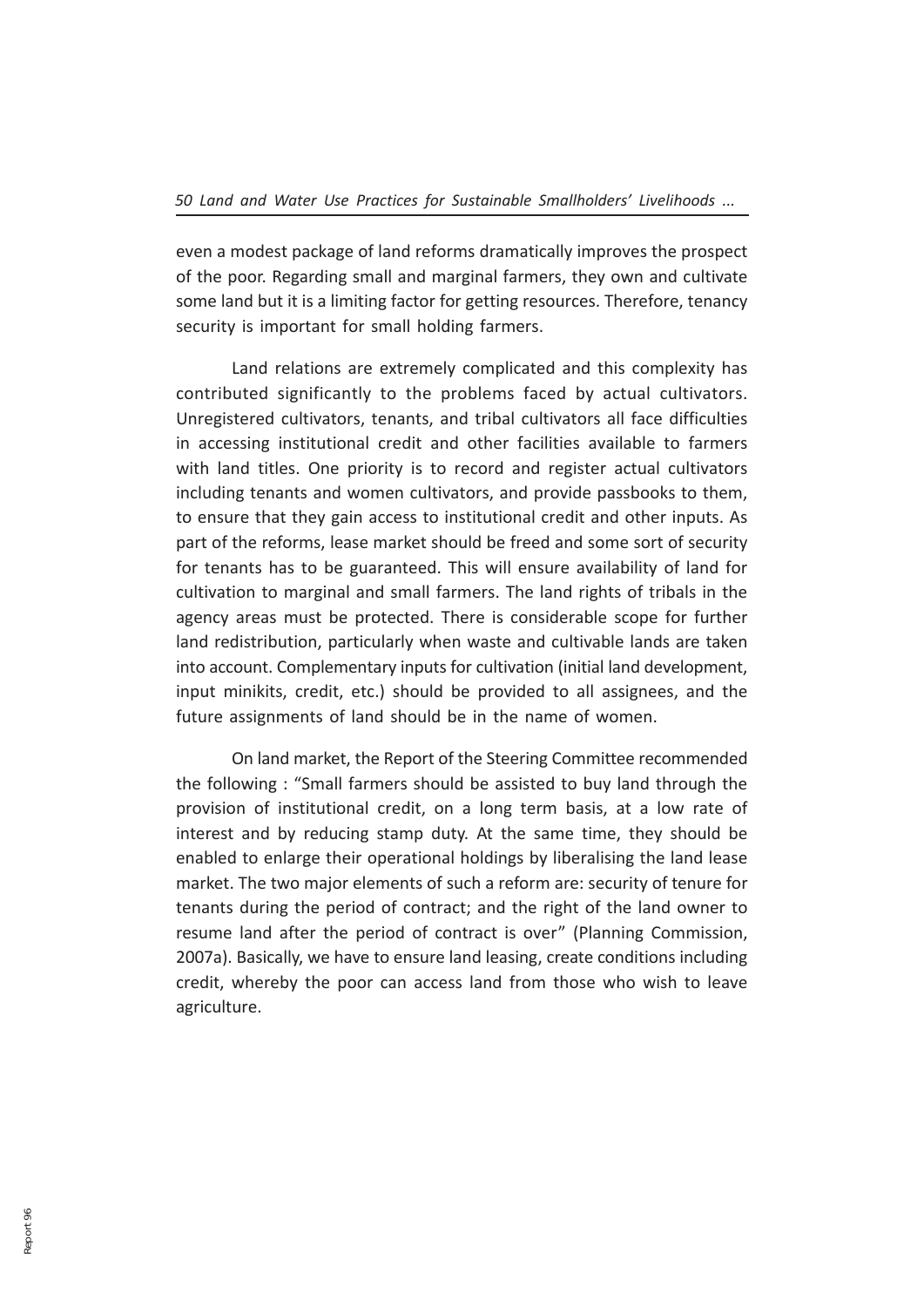even a modest package of land reforms dramatically improves the prospect of the poor. Regarding small and marginal farmers, they own and cultivate some land but it is a limiting factor for getting resources. Therefore, tenancy security is important for small holding farmers.

Land relations are extremely complicated and this complexity has contributed significantly to the problems faced by actual cultivators. Unregistered cultivators, tenants, and tribal cultivators all face difficulties in accessing institutional credit and other facilities available to farmers with land titles. One priority is to record and register actual cultivators including tenants and women cultivators, and provide passbooks to them, to ensure that they gain access to institutional credit and other inputs. As part of the reforms, lease market should be freed and some sort of security for tenants has to be guaranteed. This will ensure availability of land for cultivation to marginal and small farmers. The land rights of tribals in the agency areas must be protected. There is considerable scope for further land redistribution, particularly when waste and cultivable lands are taken into account. Complementary inputs for cultivation (initial land development, input minikits, credit, etc.) should be provided to all assignees, and the future assignments of land should be in the name of women.

On land market, the Report of the Steering Committee recommended the following : "Small farmers should be assisted to buy land through the provision of institutional credit, on a long term basis, at a low rate of interest and by reducing stamp duty. At the same time, they should be enabled to enlarge their operational holdings by liberalising the land lease market. The two major elements of such a reform are: security of tenure for tenants during the period of contract; and the right of the land owner to resume land after the period of contract is over" (Planning Commission, 2007a). Basically, we have to ensure land leasing, create conditions including credit, whereby the poor can access land from those who wish to leave agriculture.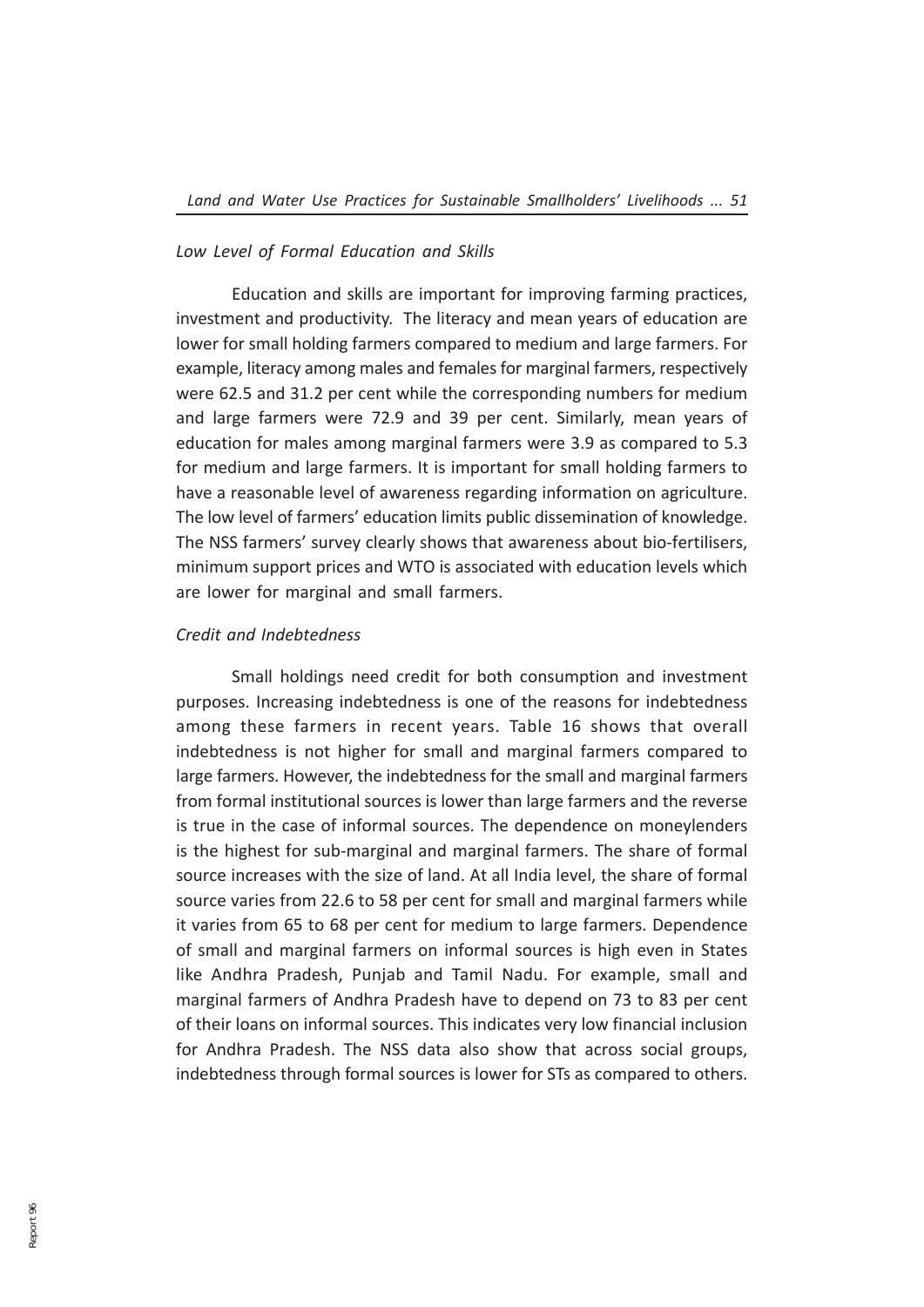#### *Low Level of Formal Education and Skills*

Education and skills are important for improving farming practices, investment and productivity. The literacy and mean years of education are lower for small holding farmers compared to medium and large farmers. For example, literacy among males and females for marginal farmers, respectively were 62.5 and 31.2 per cent while the corresponding numbers for medium and large farmers were 72.9 and 39 per cent. Similarly, mean years of education for males among marginal farmers were 3.9 as compared to 5.3 for medium and large farmers. It is important for small holding farmers to have a reasonable level of awareness regarding information on agriculture. The low level of farmers' education limits public dissemination of knowledge. The NSS farmers' survey clearly shows that awareness about bio-fertilisers, minimum support prices and WTO is associated with education levels which are lower for marginal and small farmers.

#### *Credit and Indebtedness*

Small holdings need credit for both consumption and investment purposes. Increasing indebtedness is one of the reasons for indebtedness among these farmers in recent years. Table 16 shows that overall indebtedness is not higher for small and marginal farmers compared to large farmers. However, the indebtedness for the small and marginal farmers from formal institutional sources is lower than large farmers and the reverse is true in the case of informal sources. The dependence on moneylenders is the highest for sub-marginal and marginal farmers. The share of formal source increases with the size of land. At all India level, the share of formal source varies from 22.6 to 58 per cent for small and marginal farmers while it varies from 65 to 68 per cent for medium to large farmers. Dependence of small and marginal farmers on informal sources is high even in States like Andhra Pradesh, Punjab and Tamil Nadu. For example, small and marginal farmers of Andhra Pradesh have to depend on 73 to 83 per cent of their loans on informal sources. This indicates very low financial inclusion for Andhra Pradesh. The NSS data also show that across social groups, indebtedness through formal sources is lower for STs as compared to others.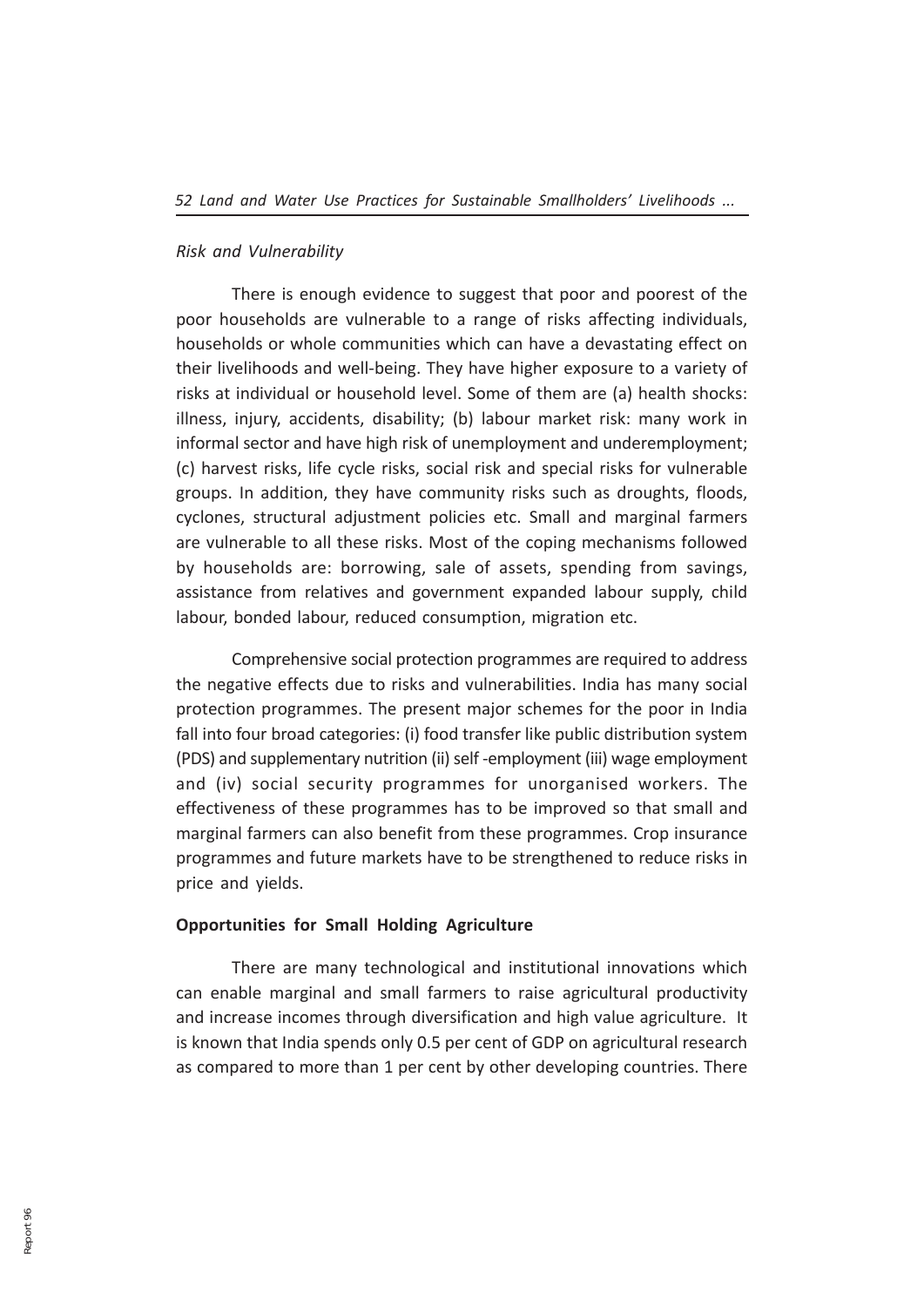#### *Risk and Vulnerability*

There is enough evidence to suggest that poor and poorest of the poor households are vulnerable to a range of risks affecting individuals, households or whole communities which can have a devastating effect on their livelihoods and well-being. They have higher exposure to a variety of risks at individual or household level. Some of them are (a) health shocks: illness, injury, accidents, disability; (b) labour market risk: many work in informal sector and have high risk of unemployment and underemployment; (c) harvest risks, life cycle risks, social risk and special risks for vulnerable groups. In addition, they have community risks such as droughts, floods, cyclones, structural adjustment policies etc. Small and marginal farmers are vulnerable to all these risks. Most of the coping mechanisms followed by households are: borrowing, sale of assets, spending from savings, assistance from relatives and government expanded labour supply, child labour, bonded labour, reduced consumption, migration etc.

Comprehensive social protection programmes are required to address the negative effects due to risks and vulnerabilities. India has many social protection programmes. The present major schemes for the poor in India fall into four broad categories: (i) food transfer like public distribution system (PDS) and supplementary nutrition (ii) self -employment (iii) wage employment and (iv) social security programmes for unorganised workers. The effectiveness of these programmes has to be improved so that small and marginal farmers can also benefit from these programmes. Crop insurance programmes and future markets have to be strengthened to reduce risks in price and yields.

#### **Opportunities for Small Holding Agriculture**

There are many technological and institutional innovations which can enable marginal and small farmers to raise agricultural productivity and increase incomes through diversification and high value agriculture. It is known that India spends only 0.5 per cent of GDP on agricultural research as compared to more than 1 per cent by other developing countries. There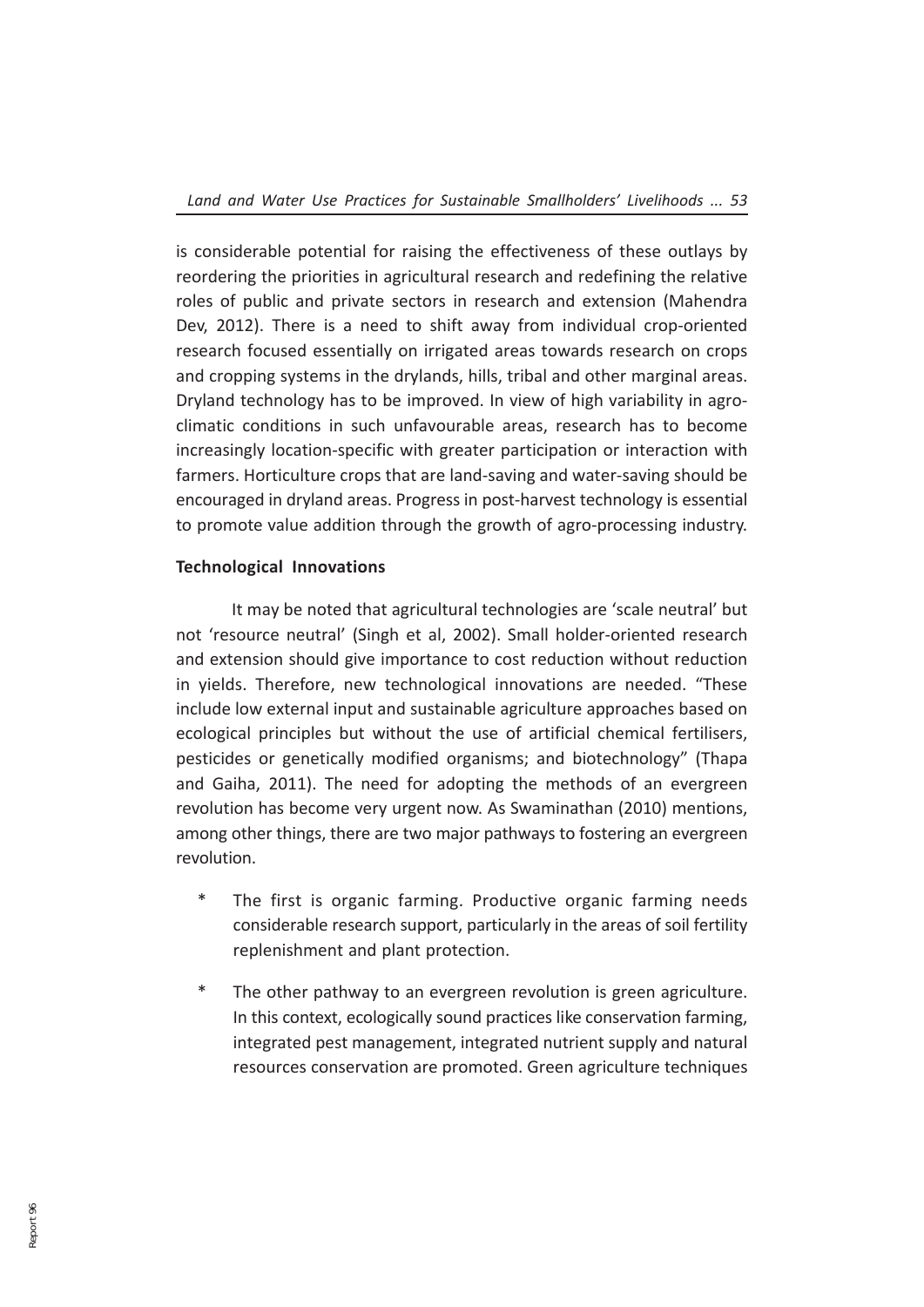is considerable potential for raising the effectiveness of these outlays by reordering the priorities in agricultural research and redefining the relative roles of public and private sectors in research and extension (Mahendra Dev, 2012). There is a need to shift away from individual crop-oriented research focused essentially on irrigated areas towards research on crops and cropping systems in the drylands, hills, tribal and other marginal areas. Dryland technology has to be improved. In view of high variability in agroclimatic conditions in such unfavourable areas, research has to become increasingly location-specific with greater participation or interaction with farmers. Horticulture crops that are land-saving and water-saving should be encouraged in dryland areas. Progress in post-harvest technology is essential to promote value addition through the growth of agro-processing industry.

# **Technological Innovations**

It may be noted that agricultural technologies are 'scale neutral' but not 'resource neutral' (Singh et al, 2002). Small holder-oriented research and extension should give importance to cost reduction without reduction in yields. Therefore, new technological innovations are needed. "These include low external input and sustainable agriculture approaches based on ecological principles but without the use of artificial chemical fertilisers, pesticides or genetically modified organisms; and biotechnology" (Thapa and Gaiha, 2011). The need for adopting the methods of an evergreen revolution has become very urgent now. As Swaminathan (2010) mentions, among other things, there are two major pathways to fostering an evergreen revolution.

- The first is organic farming. Productive organic farming needs considerable research support, particularly in the areas of soil fertility replenishment and plant protection.
- \* The other pathway to an evergreen revolution is green agriculture. In this context, ecologically sound practices like conservation farming, integrated pest management, integrated nutrient supply and natural resources conservation are promoted. Green agriculture techniques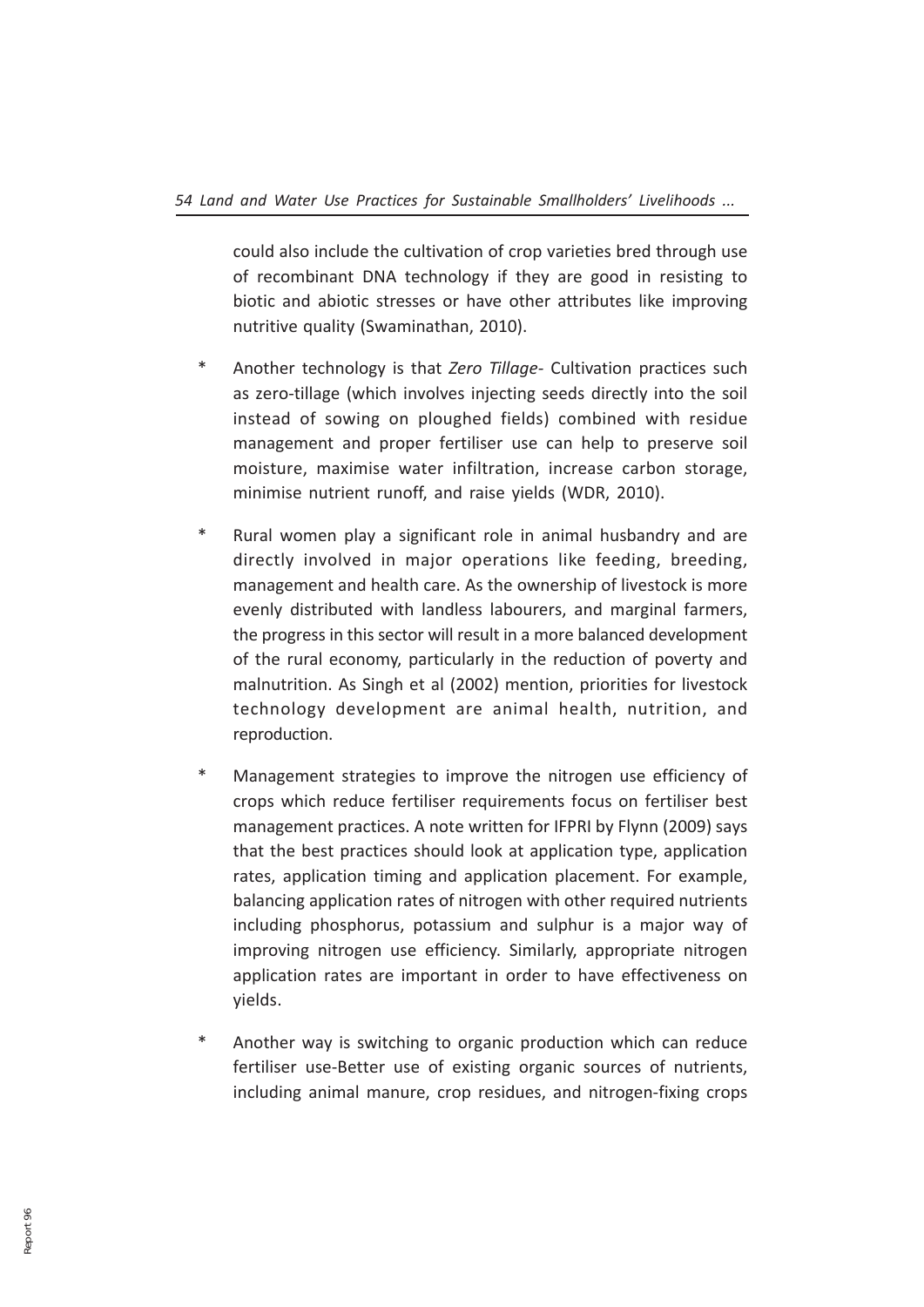could also include the cultivation of crop varieties bred through use of recombinant DNA technology if they are good in resisting to biotic and abiotic stresses or have other attributes like improving nutritive quality (Swaminathan, 2010).

- \* Another technology is that *Zero Tillage-* Cultivation practices such as zero-tillage (which involves injecting seeds directly into the soil instead of sowing on ploughed fields) combined with residue management and proper fertiliser use can help to preserve soil moisture, maximise water infiltration, increase carbon storage, minimise nutrient runoff, and raise yields (WDR, 2010).
- \* Rural women play a significant role in animal husbandry and are directly involved in major operations like feeding, breeding, management and health care. As the ownership of livestock is more evenly distributed with landless labourers, and marginal farmers, the progress in this sector will result in a more balanced development of the rural economy, particularly in the reduction of poverty and malnutrition. As Singh et al (2002) mention, priorities for livestock technology development are animal health, nutrition, and reproduction.
- \* Management strategies to improve the nitrogen use efficiency of crops which reduce fertiliser requirements focus on fertiliser best management practices. A note written for IFPRI by Flynn (2009) says that the best practices should look at application type, application rates, application timing and application placement. For example, balancing application rates of nitrogen with other required nutrients including phosphorus, potassium and sulphur is a major way of improving nitrogen use efficiency. Similarly, appropriate nitrogen application rates are important in order to have effectiveness on yields.
- \* Another way is switching to organic production which can reduce fertiliser use-Better use of existing organic sources of nutrients, including animal manure, crop residues, and nitrogen-fixing crops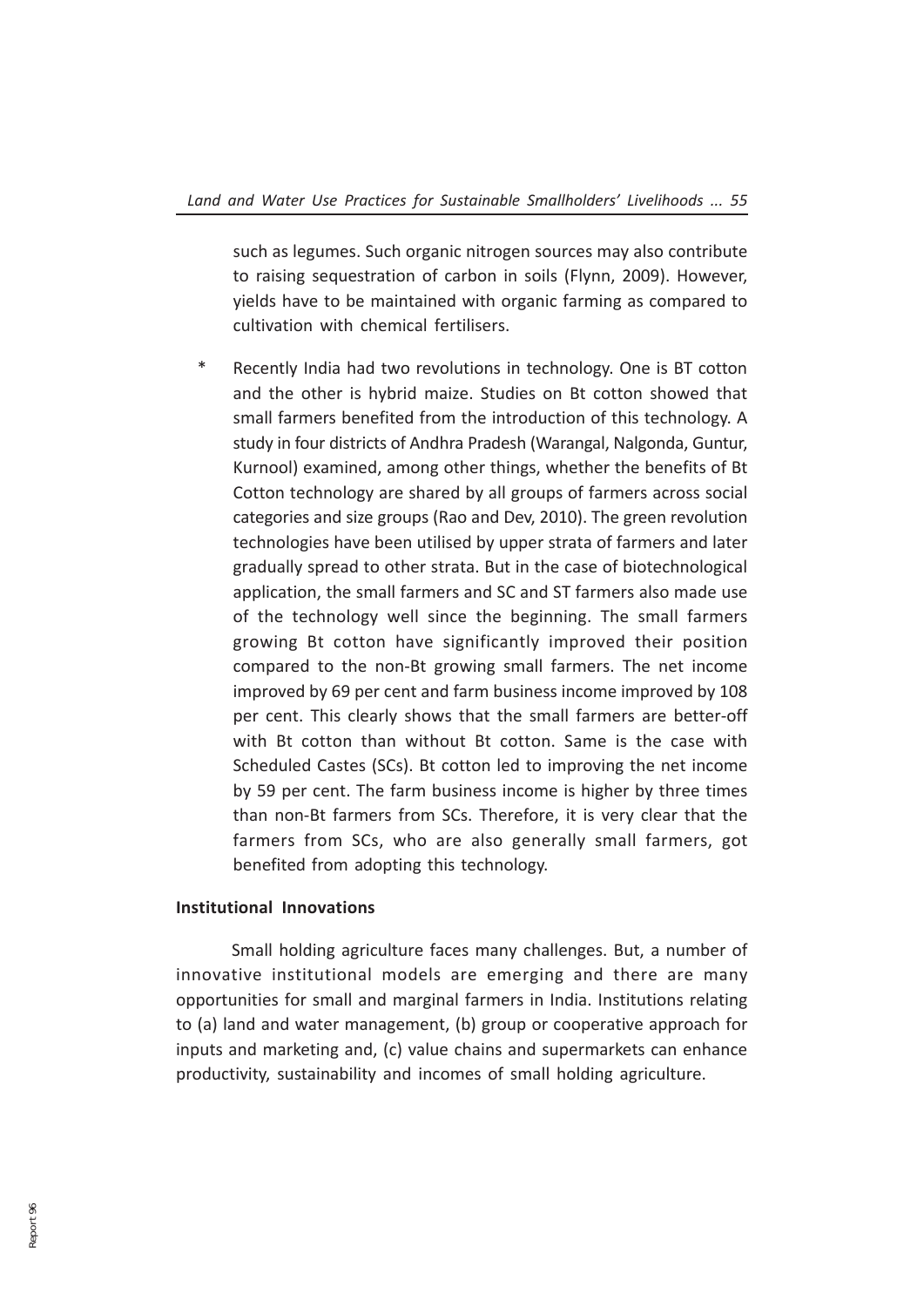such as legumes. Such organic nitrogen sources may also contribute to raising sequestration of carbon in soils (Flynn, 2009). However, yields have to be maintained with organic farming as compared to cultivation with chemical fertilisers.

\* Recently India had two revolutions in technology. One is BT cotton and the other is hybrid maize. Studies on Bt cotton showed that small farmers benefited from the introduction of this technology. A study in four districts of Andhra Pradesh (Warangal, Nalgonda, Guntur, Kurnool) examined, among other things, whether the benefits of Bt Cotton technology are shared by all groups of farmers across social categories and size groups (Rao and Dev, 2010). The green revolution technologies have been utilised by upper strata of farmers and later gradually spread to other strata. But in the case of biotechnological application, the small farmers and SC and ST farmers also made use of the technology well since the beginning. The small farmers growing Bt cotton have significantly improved their position compared to the non-Bt growing small farmers. The net income improved by 69 per cent and farm business income improved by 108 per cent. This clearly shows that the small farmers are better-off with Bt cotton than without Bt cotton. Same is the case with Scheduled Castes (SCs). Bt cotton led to improving the net income by 59 per cent. The farm business income is higher by three times than non-Bt farmers from SCs. Therefore, it is very clear that the farmers from SCs, who are also generally small farmers, got benefited from adopting this technology.

## **Institutional Innovations**

Small holding agriculture faces many challenges. But, a number of innovative institutional models are emerging and there are many opportunities for small and marginal farmers in India. Institutions relating to (a) land and water management, (b) group or cooperative approach for inputs and marketing and, (c) value chains and supermarkets can enhance productivity, sustainability and incomes of small holding agriculture.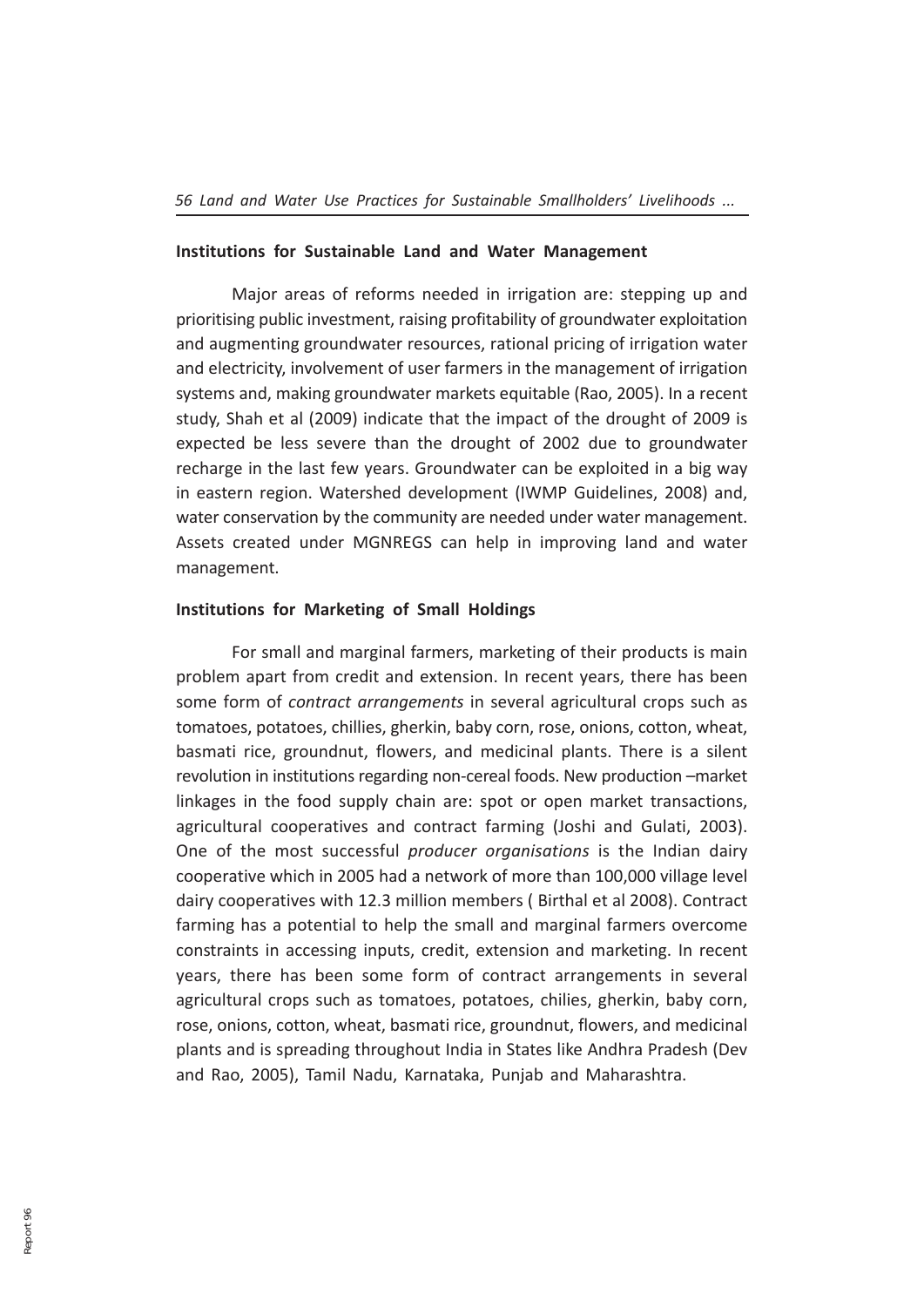#### **Institutions for Sustainable Land and Water Management**

Major areas of reforms needed in irrigation are: stepping up and prioritising public investment, raising profitability of groundwater exploitation and augmenting groundwater resources, rational pricing of irrigation water and electricity, involvement of user farmers in the management of irrigation systems and, making groundwater markets equitable (Rao, 2005). In a recent study, Shah et al (2009) indicate that the impact of the drought of 2009 is expected be less severe than the drought of 2002 due to groundwater recharge in the last few years. Groundwater can be exploited in a big way in eastern region. Watershed development (IWMP Guidelines, 2008) and, water conservation by the community are needed under water management. Assets created under MGNREGS can help in improving land and water management.

#### **Institutions for Marketing of Small Holdings**

For small and marginal farmers, marketing of their products is main problem apart from credit and extension. In recent years, there has been some form of *contract arrangements* in several agricultural crops such as tomatoes, potatoes, chillies, gherkin, baby corn, rose, onions, cotton, wheat, basmati rice, groundnut, flowers, and medicinal plants. There is a silent revolution in institutions regarding non-cereal foods. New production –market linkages in the food supply chain are: spot or open market transactions, agricultural cooperatives and contract farming (Joshi and Gulati, 2003). One of the most successful *producer organisations* is the Indian dairy cooperative which in 2005 had a network of more than 100,000 village level dairy cooperatives with 12.3 million members ( Birthal et al 2008). Contract farming has a potential to help the small and marginal farmers overcome constraints in accessing inputs, credit, extension and marketing. In recent years, there has been some form of contract arrangements in several agricultural crops such as tomatoes, potatoes, chilies, gherkin, baby corn, rose, onions, cotton, wheat, basmati rice, groundnut, flowers, and medicinal plants and is spreading throughout India in States like Andhra Pradesh (Dev and Rao, 2005), Tamil Nadu, Karnataka, Punjab and Maharashtra.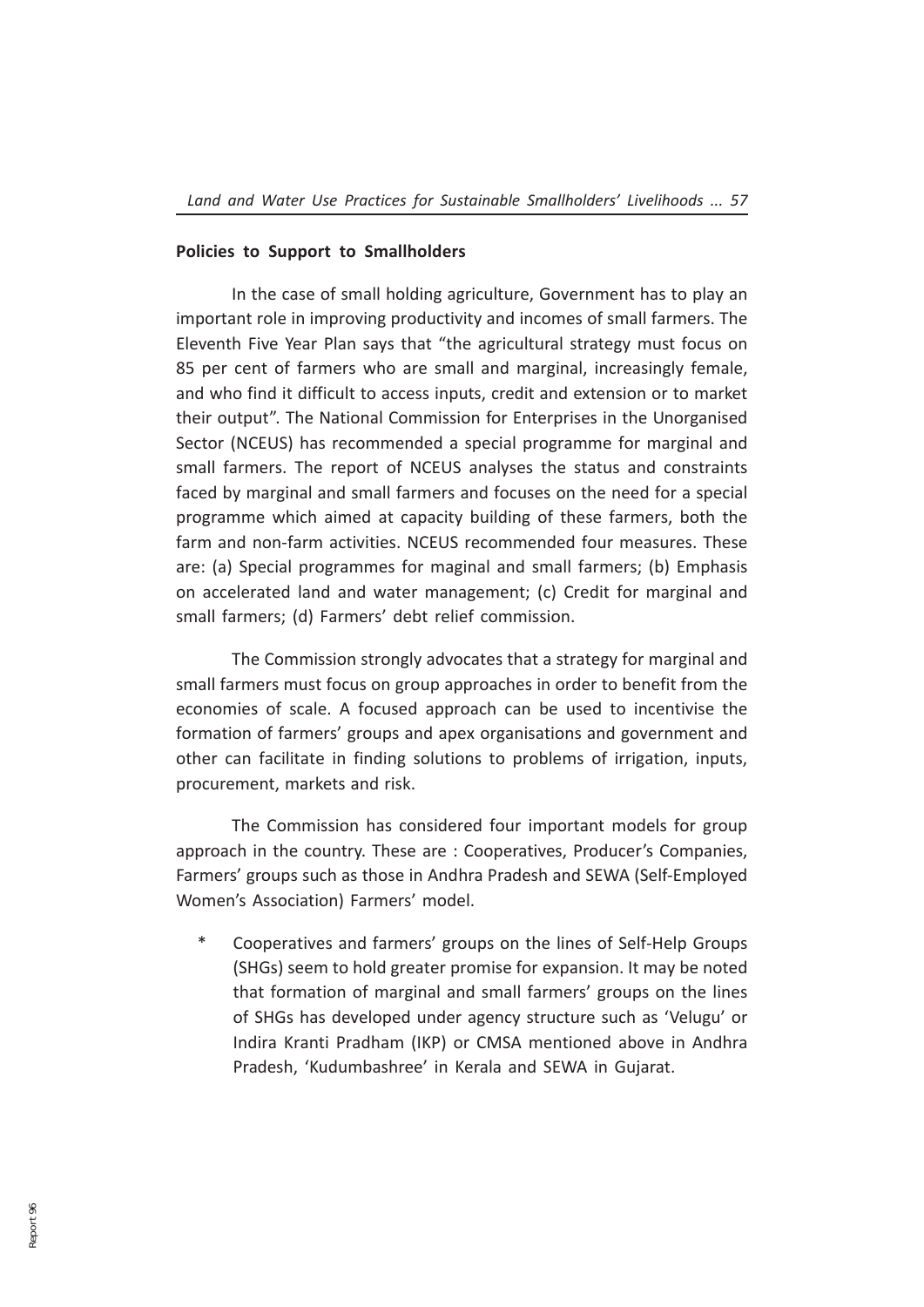#### **Policies to Support to Smallholders**

In the case of small holding agriculture, Government has to play an important role in improving productivity and incomes of small farmers. The Eleventh Five Year Plan says that "the agricultural strategy must focus on 85 per cent of farmers who are small and marginal, increasingly female, and who find it difficult to access inputs, credit and extension or to market their output". The National Commission for Enterprises in the Unorganised Sector (NCEUS) has recommended a special programme for marginal and small farmers. The report of NCEUS analyses the status and constraints faced by marginal and small farmers and focuses on the need for a special programme which aimed at capacity building of these farmers, both the farm and non-farm activities. NCEUS recommended four measures. These are: (a) Special programmes for maginal and small farmers; (b) Emphasis on accelerated land and water management; (c) Credit for marginal and small farmers; (d) Farmers' debt relief commission.

The Commission strongly advocates that a strategy for marginal and small farmers must focus on group approaches in order to benefit from the economies of scale. A focused approach can be used to incentivise the formation of farmers' groups and apex organisations and government and other can facilitate in finding solutions to problems of irrigation, inputs, procurement, markets and risk.

The Commission has considered four important models for group approach in the country. These are : Cooperatives, Producer's Companies, Farmers' groups such as those in Andhra Pradesh and SEWA (Self-Employed Women's Association) Farmers' model.

\* Cooperatives and farmers' groups on the lines of Self-Help Groups (SHGs) seem to hold greater promise for expansion. It may be noted that formation of marginal and small farmers' groups on the lines of SHGs has developed under agency structure such as 'Velugu' or Indira Kranti Pradham (IKP) or CMSA mentioned above in Andhra Pradesh, 'Kudumbashree' in Kerala and SEWA in Gujarat.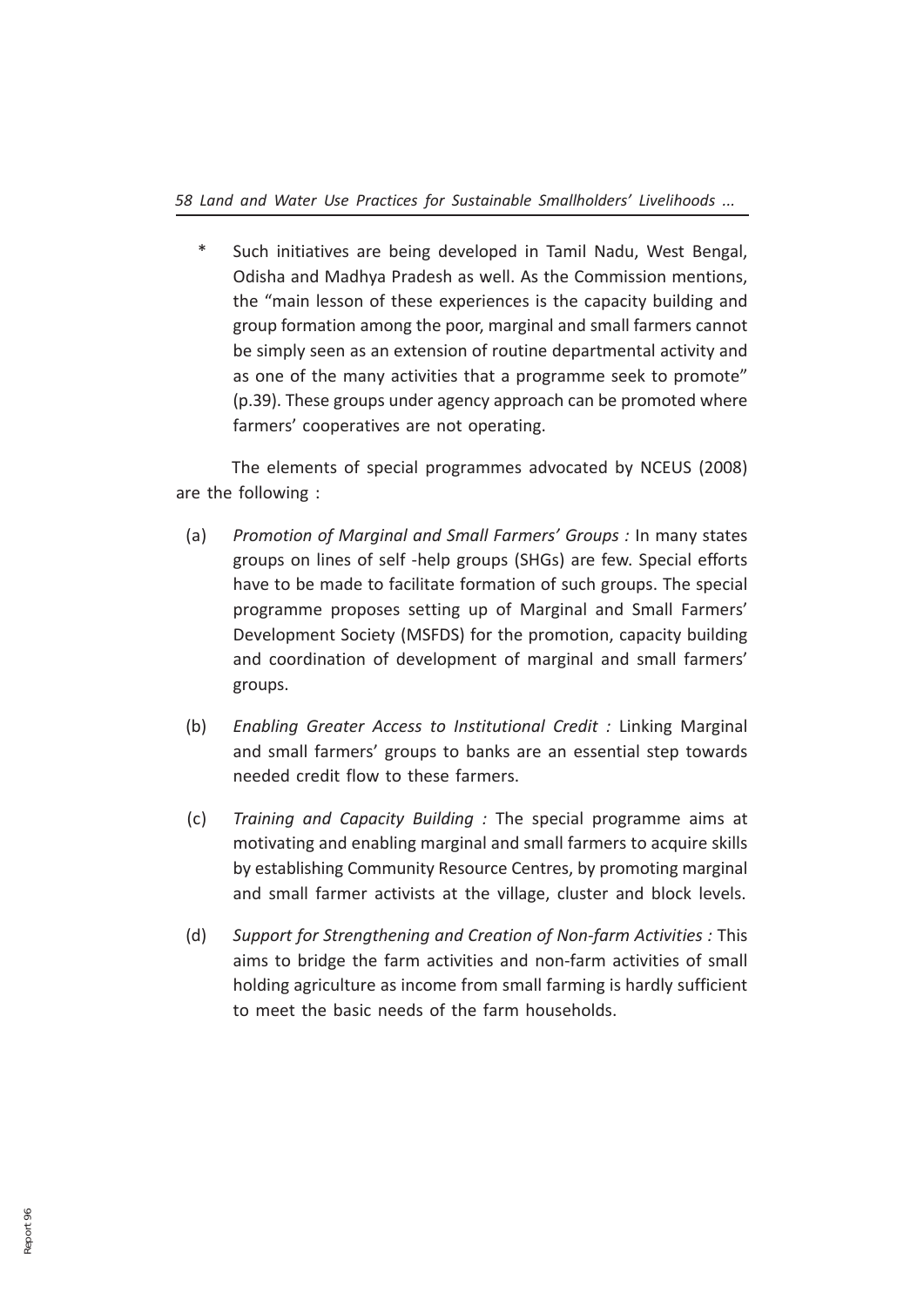Such initiatives are being developed in Tamil Nadu, West Bengal, Odisha and Madhya Pradesh as well. As the Commission mentions, the "main lesson of these experiences is the capacity building and group formation among the poor, marginal and small farmers cannot be simply seen as an extension of routine departmental activity and as one of the many activities that a programme seek to promote" (p.39). These groups under agency approach can be promoted where farmers' cooperatives are not operating.

The elements of special programmes advocated by NCEUS (2008) are the following :

- (a) *Promotion of Marginal and Small Farmers' Groups :* In many states groups on lines of self -help groups (SHGs) are few. Special efforts have to be made to facilitate formation of such groups. The special programme proposes setting up of Marginal and Small Farmers' Development Society (MSFDS) for the promotion, capacity building and coordination of development of marginal and small farmers' groups.
- (b) *Enabling Greater Access to Institutional Credit :* Linking Marginal and small farmers' groups to banks are an essential step towards needed credit flow to these farmers.
- (c) *Training and Capacity Building :* The special programme aims at motivating and enabling marginal and small farmers to acquire skills by establishing Community Resource Centres, by promoting marginal and small farmer activists at the village, cluster and block levels.
- (d) *Support for Strengthening and Creation of Non-farm Activities :* This aims to bridge the farm activities and non-farm activities of small holding agriculture as income from small farming is hardly sufficient to meet the basic needs of the farm households.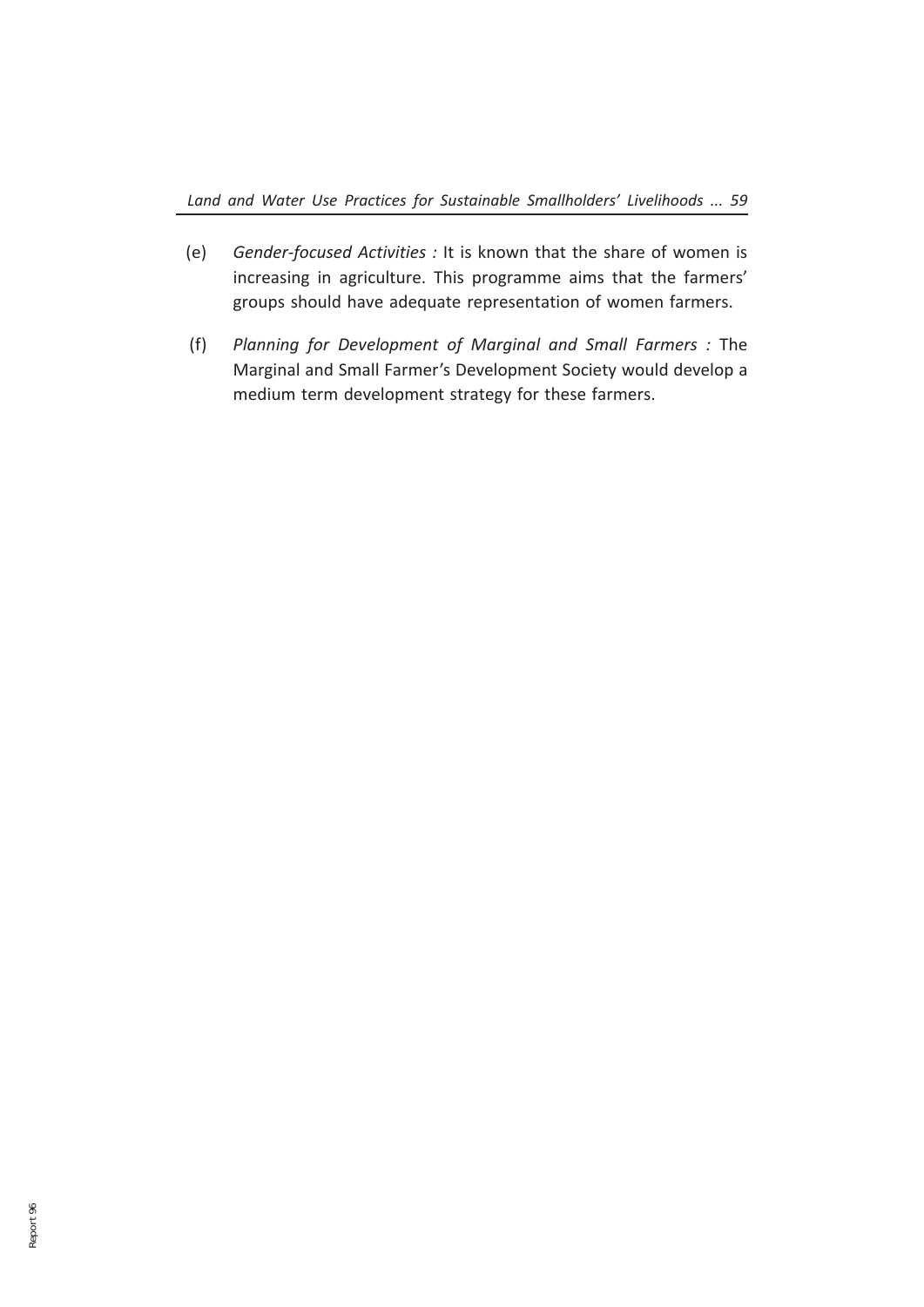- (e) *Gender-focused Activities :* It is known that the share of women is increasing in agriculture. This programme aims that the farmers' groups should have adequate representation of women farmers.
- (f) *Planning for Development of Marginal and Small Farmers :* The Marginal and Small Farmer's Development Society would develop a medium term development strategy for these farmers.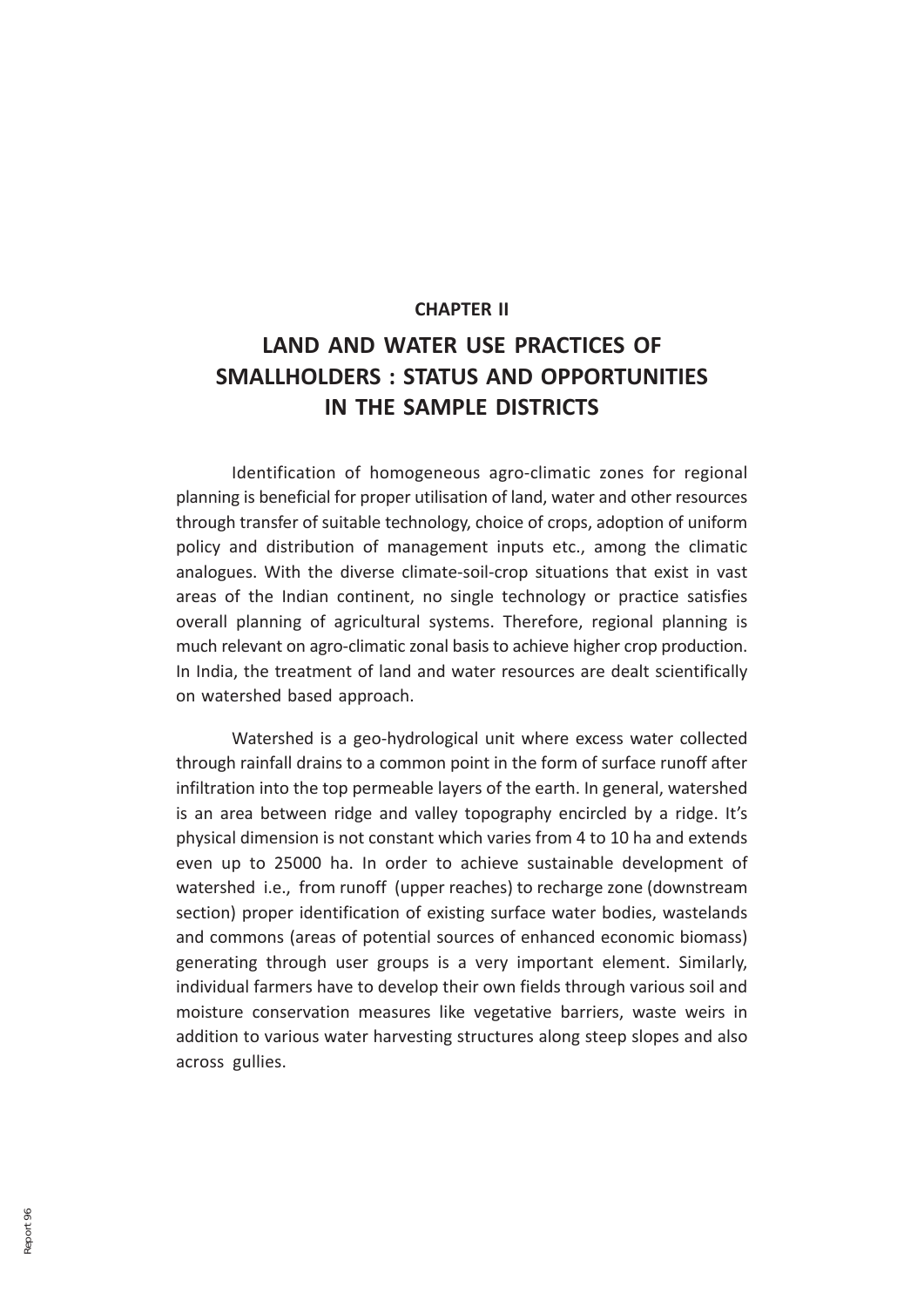#### **CHAPTER II**

# **LAND AND WATER USE PRACTICES OF SMALLHOLDERS : STATUS AND OPPORTUNITIES IN THE SAMPLE DISTRICTS**

Identification of homogeneous agro-climatic zones for regional planning is beneficial for proper utilisation of land, water and other resources through transfer of suitable technology, choice of crops, adoption of uniform policy and distribution of management inputs etc., among the climatic analogues. With the diverse climate-soil-crop situations that exist in vast areas of the Indian continent, no single technology or practice satisfies overall planning of agricultural systems. Therefore, regional planning is much relevant on agro-climatic zonal basis to achieve higher crop production. In India, the treatment of land and water resources are dealt scientifically on watershed based approach.

Watershed is a geo-hydrological unit where excess water collected through rainfall drains to a common point in the form of surface runoff after infiltration into the top permeable layers of the earth. In general, watershed is an area between ridge and valley topography encircled by a ridge. It's physical dimension is not constant which varies from 4 to 10 ha and extends even up to 25000 ha. In order to achieve sustainable development of watershed i.e., from runoff (upper reaches) to recharge zone (downstream section) proper identification of existing surface water bodies, wastelands and commons (areas of potential sources of enhanced economic biomass) generating through user groups is a very important element. Similarly, individual farmers have to develop their own fields through various soil and moisture conservation measures like vegetative barriers, waste weirs in addition to various water harvesting structures along steep slopes and also across gullies.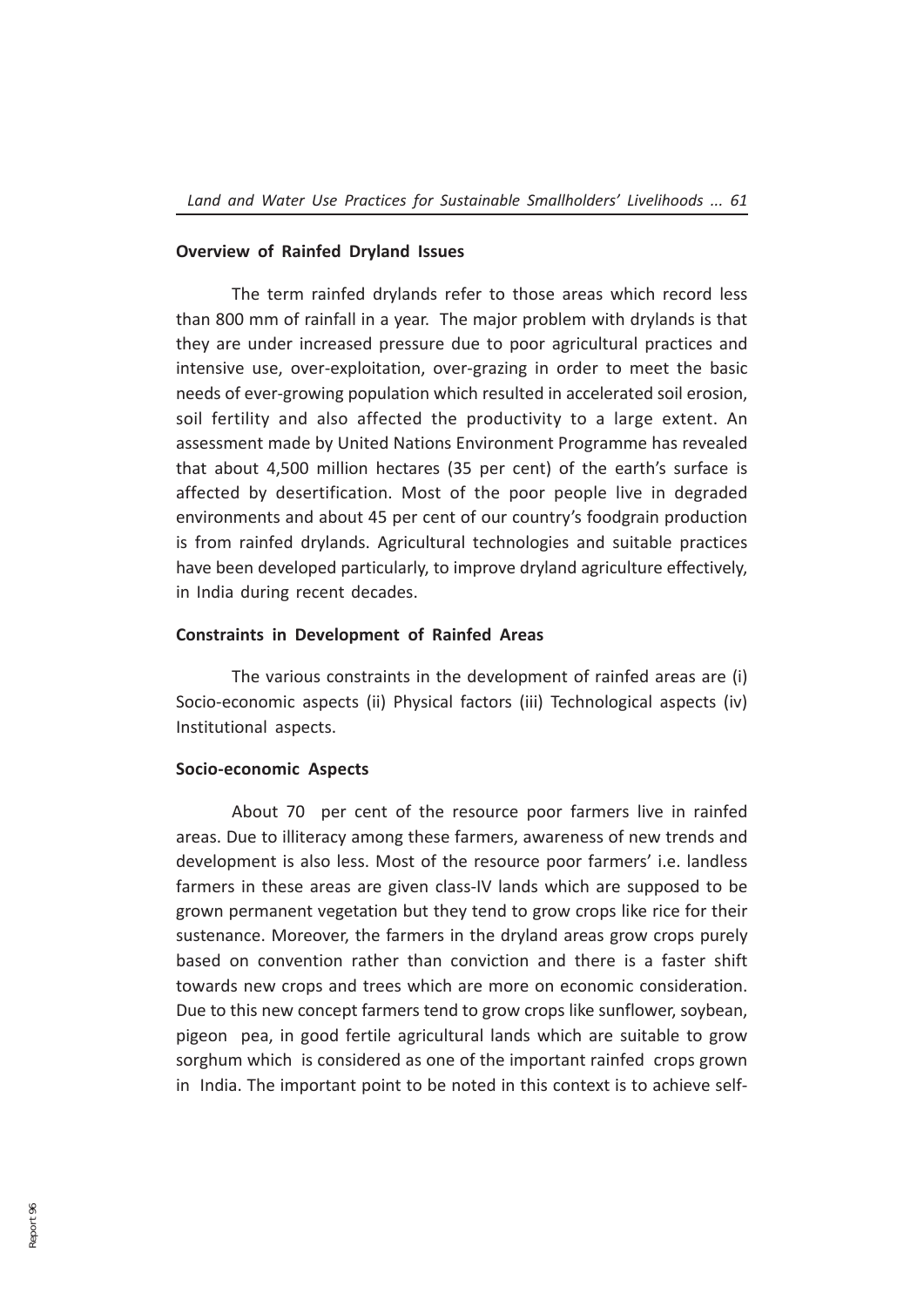#### **Overview of Rainfed Dryland Issues**

The term rainfed drylands refer to those areas which record less than 800 mm of rainfall in a year. The major problem with drylands is that they are under increased pressure due to poor agricultural practices and intensive use, over-exploitation, over-grazing in order to meet the basic needs of ever-growing population which resulted in accelerated soil erosion, soil fertility and also affected the productivity to a large extent. An assessment made by United Nations Environment Programme has revealed that about 4,500 million hectares (35 per cent) of the earth's surface is affected by desertification. Most of the poor people live in degraded environments and about 45 per cent of our country's foodgrain production is from rainfed drylands. Agricultural technologies and suitable practices have been developed particularly, to improve dryland agriculture effectively, in India during recent decades.

#### **Constraints in Development of Rainfed Areas**

The various constraints in the development of rainfed areas are (i) Socio-economic aspects (ii) Physical factors (iii) Technological aspects (iv) Institutional aspects.

#### **Socio-economic Aspects**

About 70 per cent of the resource poor farmers live in rainfed areas. Due to illiteracy among these farmers, awareness of new trends and development is also less. Most of the resource poor farmers' i.e. landless farmers in these areas are given class-IV lands which are supposed to be grown permanent vegetation but they tend to grow crops like rice for their sustenance. Moreover, the farmers in the dryland areas grow crops purely based on convention rather than conviction and there is a faster shift towards new crops and trees which are more on economic consideration. Due to this new concept farmers tend to grow crops like sunflower, soybean, pigeon pea, in good fertile agricultural lands which are suitable to grow sorghum which is considered as one of the important rainfed crops grown in India. The important point to be noted in this context is to achieve self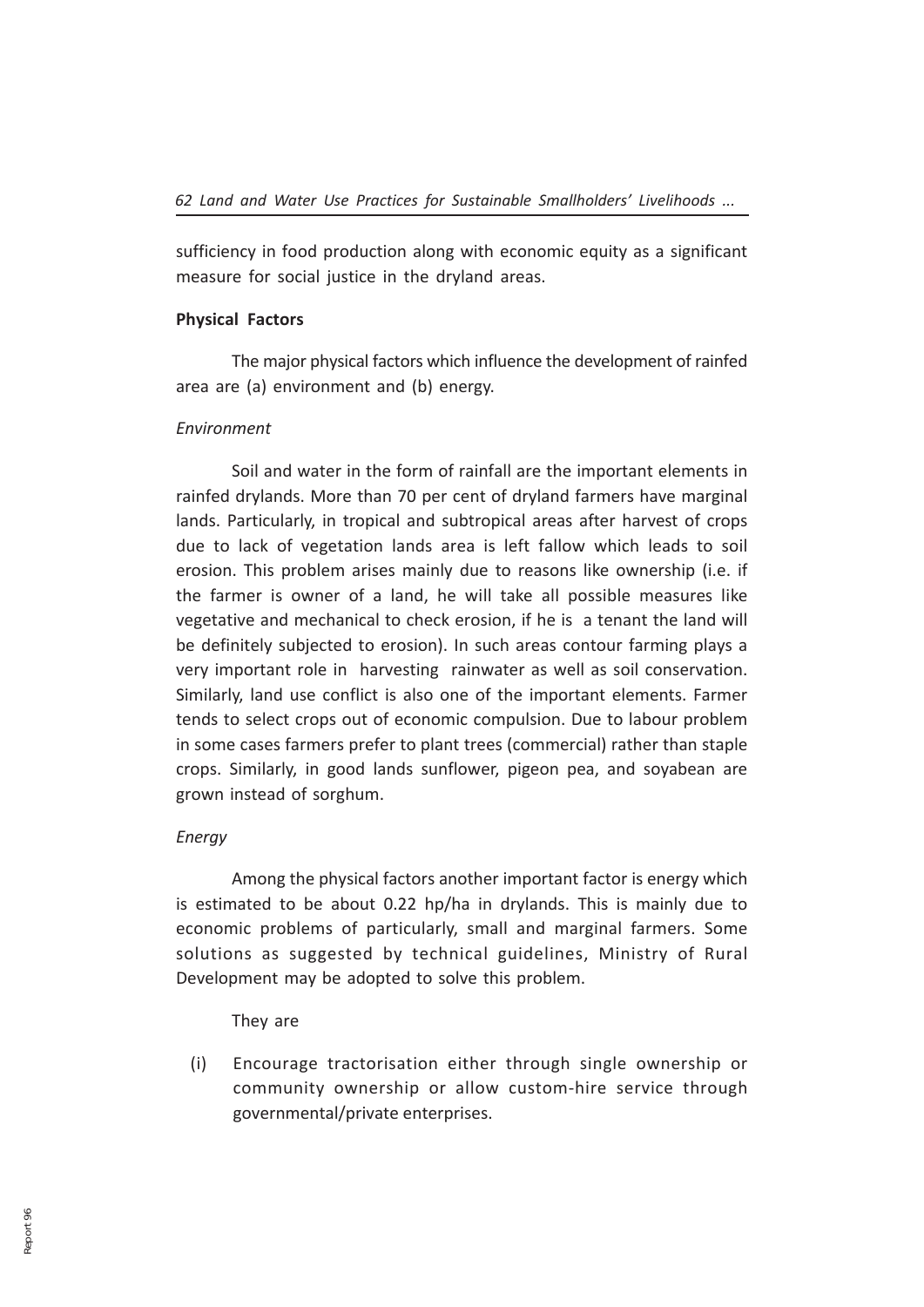sufficiency in food production along with economic equity as a significant measure for social justice in the dryland areas.

# **Physical Factors**

The major physical factors which influence the development of rainfed area are (a) environment and (b) energy.

# *Environment*

Soil and water in the form of rainfall are the important elements in rainfed drylands. More than 70 per cent of dryland farmers have marginal lands. Particularly, in tropical and subtropical areas after harvest of crops due to lack of vegetation lands area is left fallow which leads to soil erosion. This problem arises mainly due to reasons like ownership (i.e. if the farmer is owner of a land, he will take all possible measures like vegetative and mechanical to check erosion, if he is a tenant the land will be definitely subjected to erosion). In such areas contour farming plays a very important role in harvesting rainwater as well as soil conservation. Similarly, land use conflict is also one of the important elements. Farmer tends to select crops out of economic compulsion. Due to labour problem in some cases farmers prefer to plant trees (commercial) rather than staple crops. Similarly, in good lands sunflower, pigeon pea, and soyabean are grown instead of sorghum.

# *Energy*

Among the physical factors another important factor is energy which is estimated to be about 0.22 hp/ha in drylands. This is mainly due to economic problems of particularly, small and marginal farmers. Some solutions as suggested by technical guidelines, Ministry of Rural Development may be adopted to solve this problem.

They are

(i) Encourage tractorisation either through single ownership or community ownership or allow custom-hire service through governmental/private enterprises.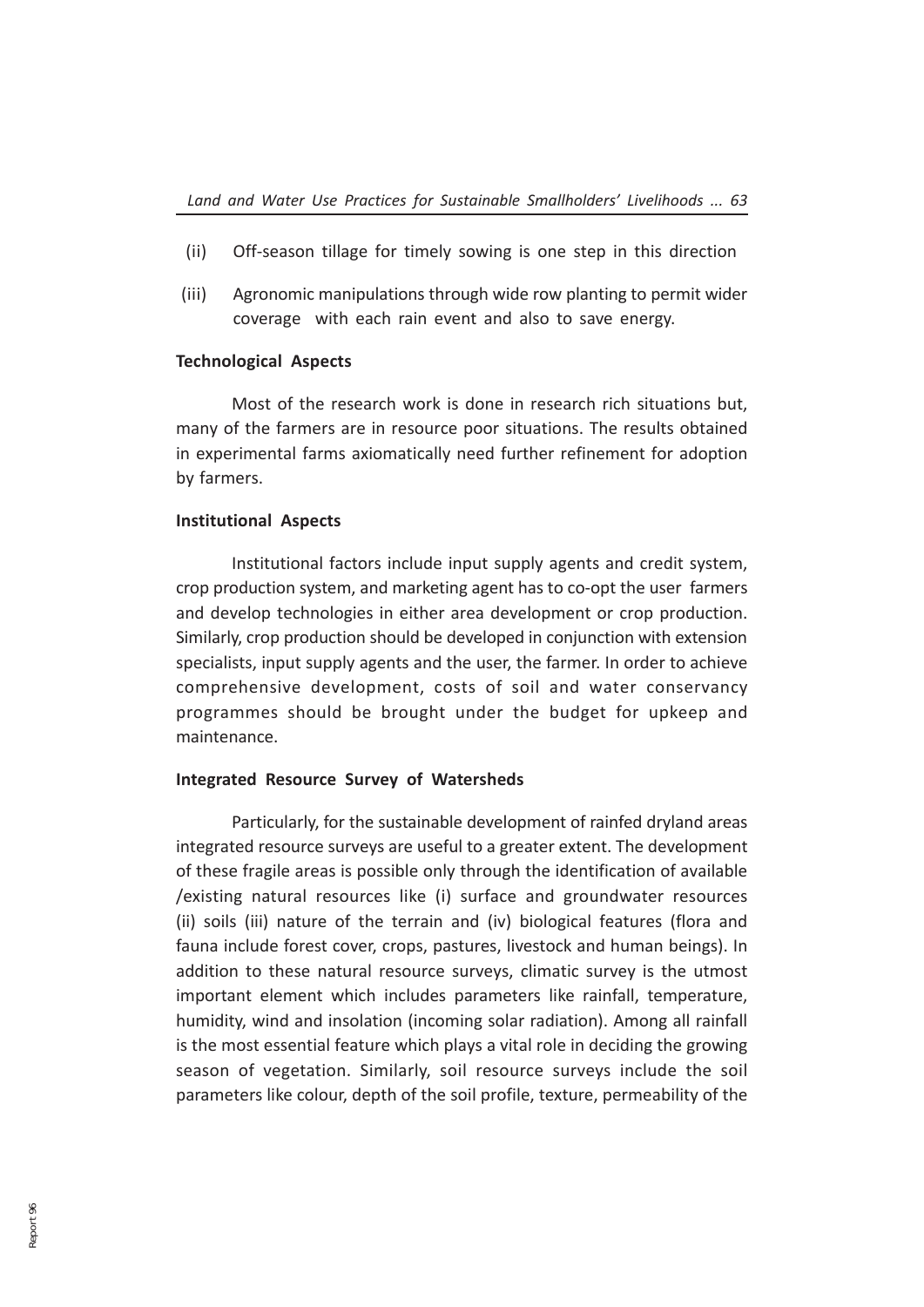- (ii) Off-season tillage for timely sowing is one step in this direction
- (iii) Agronomic manipulations through wide row planting to permit wider coverage with each rain event and also to save energy.

#### **Technological Aspects**

Most of the research work is done in research rich situations but, many of the farmers are in resource poor situations. The results obtained in experimental farms axiomatically need further refinement for adoption by farmers.

#### **Institutional Aspects**

Institutional factors include input supply agents and credit system, crop production system, and marketing agent has to co-opt the user farmers and develop technologies in either area development or crop production. Similarly, crop production should be developed in conjunction with extension specialists, input supply agents and the user, the farmer. In order to achieve comprehensive development, costs of soil and water conservancy programmes should be brought under the budget for upkeep and maintenance.

## **Integrated Resource Survey of Watersheds**

Particularly, for the sustainable development of rainfed dryland areas integrated resource surveys are useful to a greater extent. The development of these fragile areas is possible only through the identification of available /existing natural resources like (i) surface and groundwater resources (ii) soils (iii) nature of the terrain and (iv) biological features (flora and fauna include forest cover, crops, pastures, livestock and human beings). In addition to these natural resource surveys, climatic survey is the utmost important element which includes parameters like rainfall, temperature, humidity, wind and insolation (incoming solar radiation). Among all rainfall is the most essential feature which plays a vital role in deciding the growing season of vegetation. Similarly, soil resource surveys include the soil parameters like colour, depth of the soil profile, texture, permeability of the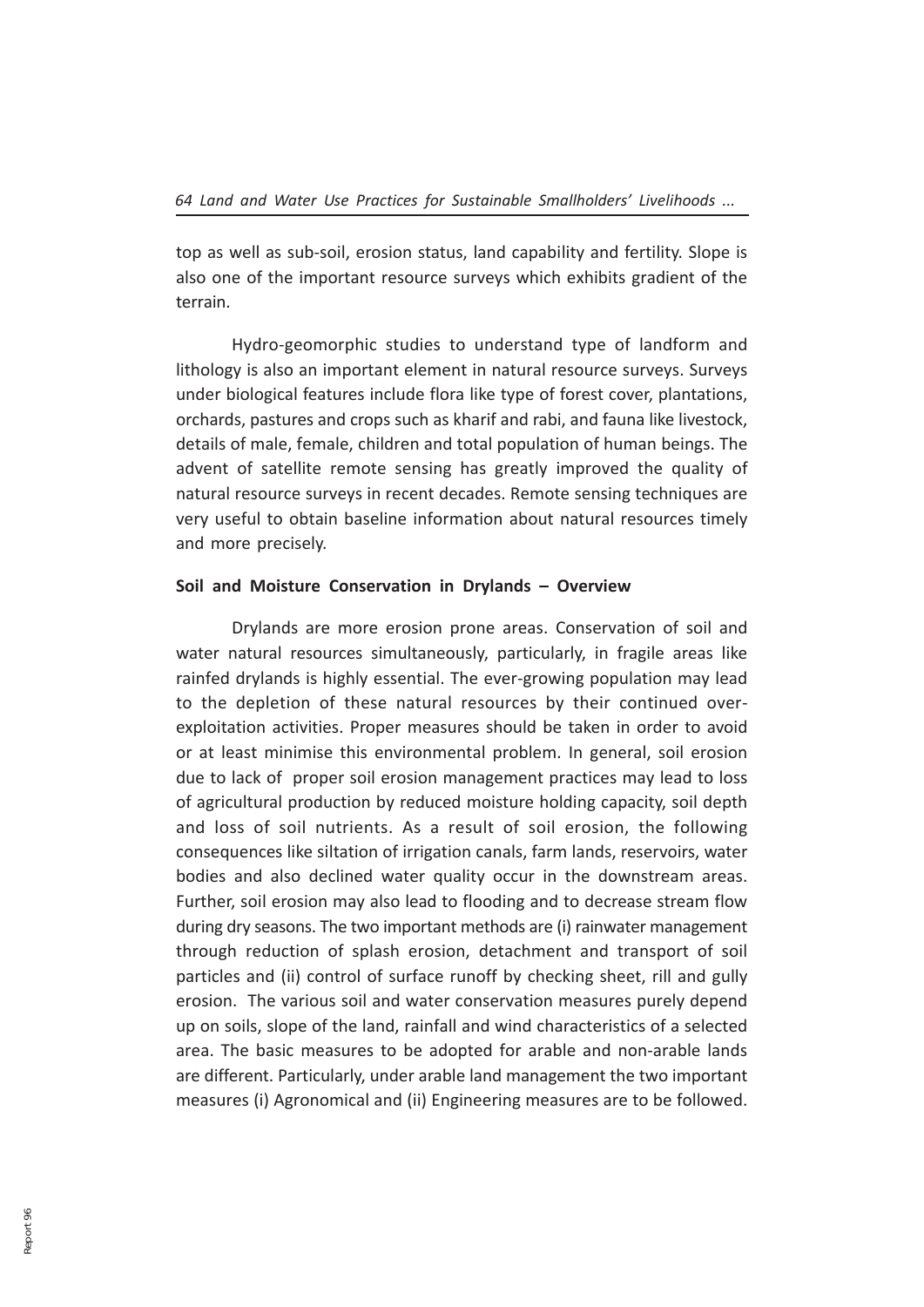top as well as sub-soil, erosion status, land capability and fertility. Slope is also one of the important resource surveys which exhibits gradient of the terrain.

Hydro-geomorphic studies to understand type of landform and lithology is also an important element in natural resource surveys. Surveys under biological features include flora like type of forest cover, plantations, orchards, pastures and crops such as kharif and rabi, and fauna like livestock, details of male, female, children and total population of human beings. The advent of satellite remote sensing has greatly improved the quality of natural resource surveys in recent decades. Remote sensing techniques are very useful to obtain baseline information about natural resources timely and more precisely.

#### **Soil and Moisture Conservation in Drylands – Overview**

Drylands are more erosion prone areas. Conservation of soil and water natural resources simultaneously, particularly, in fragile areas like rainfed drylands is highly essential. The ever-growing population may lead to the depletion of these natural resources by their continued overexploitation activities. Proper measures should be taken in order to avoid or at least minimise this environmental problem. In general, soil erosion due to lack of proper soil erosion management practices may lead to loss of agricultural production by reduced moisture holding capacity, soil depth and loss of soil nutrients. As a result of soil erosion, the following consequences like siltation of irrigation canals, farm lands, reservoirs, water bodies and also declined water quality occur in the downstream areas. Further, soil erosion may also lead to flooding and to decrease stream flow during dry seasons. The two important methods are (i) rainwater management through reduction of splash erosion, detachment and transport of soil particles and (ii) control of surface runoff by checking sheet, rill and gully erosion. The various soil and water conservation measures purely depend up on soils, slope of the land, rainfall and wind characteristics of a selected area. The basic measures to be adopted for arable and non-arable lands are different. Particularly, under arable land management the two important measures (i) Agronomical and (ii) Engineering measures are to be followed.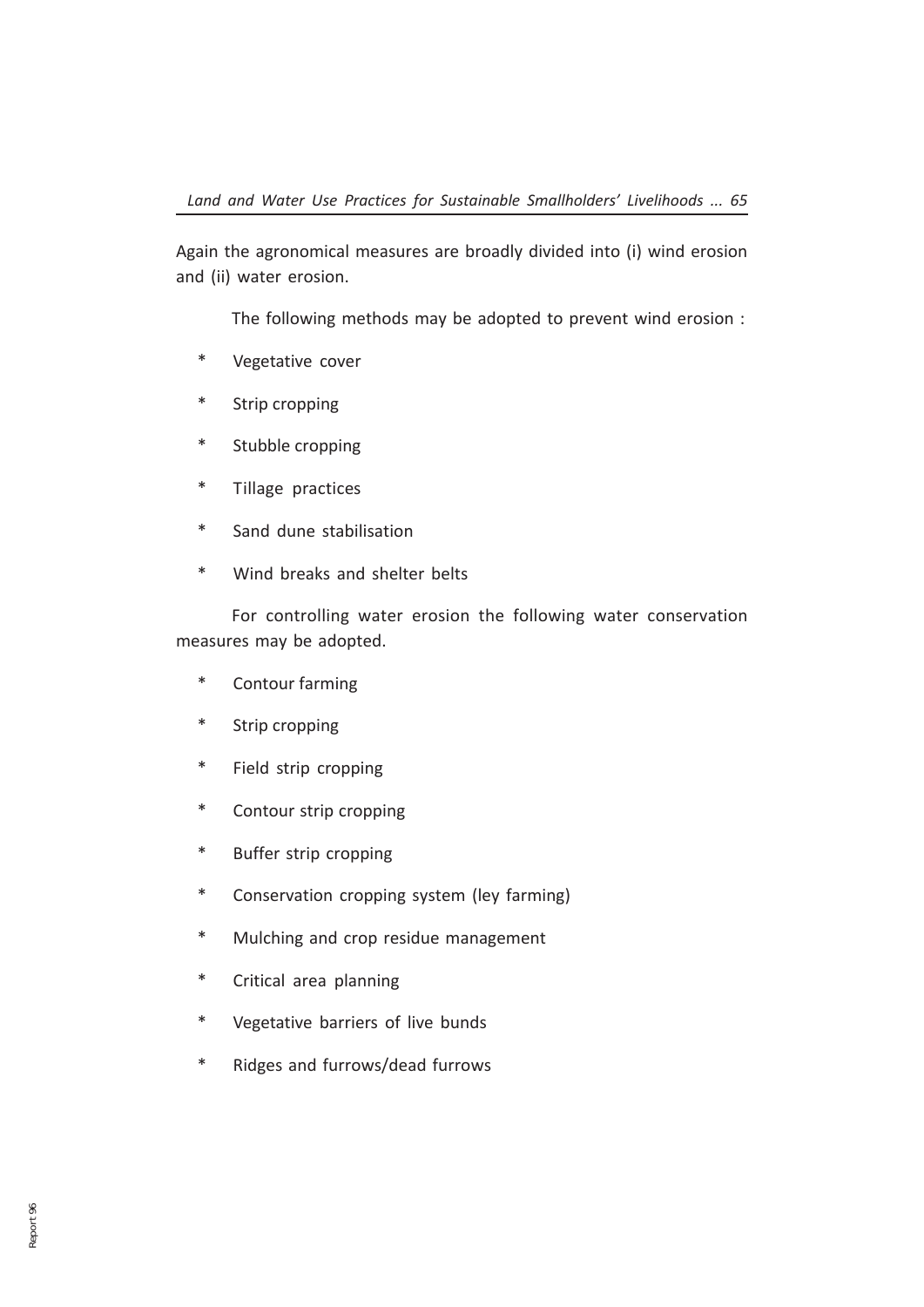Again the agronomical measures are broadly divided into (i) wind erosion and (ii) water erosion.

The following methods may be adopted to prevent wind erosion :

- \* Vegetative cover
- \* Strip cropping
- \* Stubble cropping
- \* Tillage practices
- \* Sand dune stabilisation
- \* Wind breaks and shelter belts

For controlling water erosion the following water conservation measures may be adopted.

- \* Contour farming
- \* Strip cropping
- \* Field strip cropping
- \* Contour strip cropping
- \* Buffer strip cropping
- \* Conservation cropping system (ley farming)
- \* Mulching and crop residue management
- \* Critical area planning
- \* Vegetative barriers of live bunds
- \* Ridges and furrows/dead furrows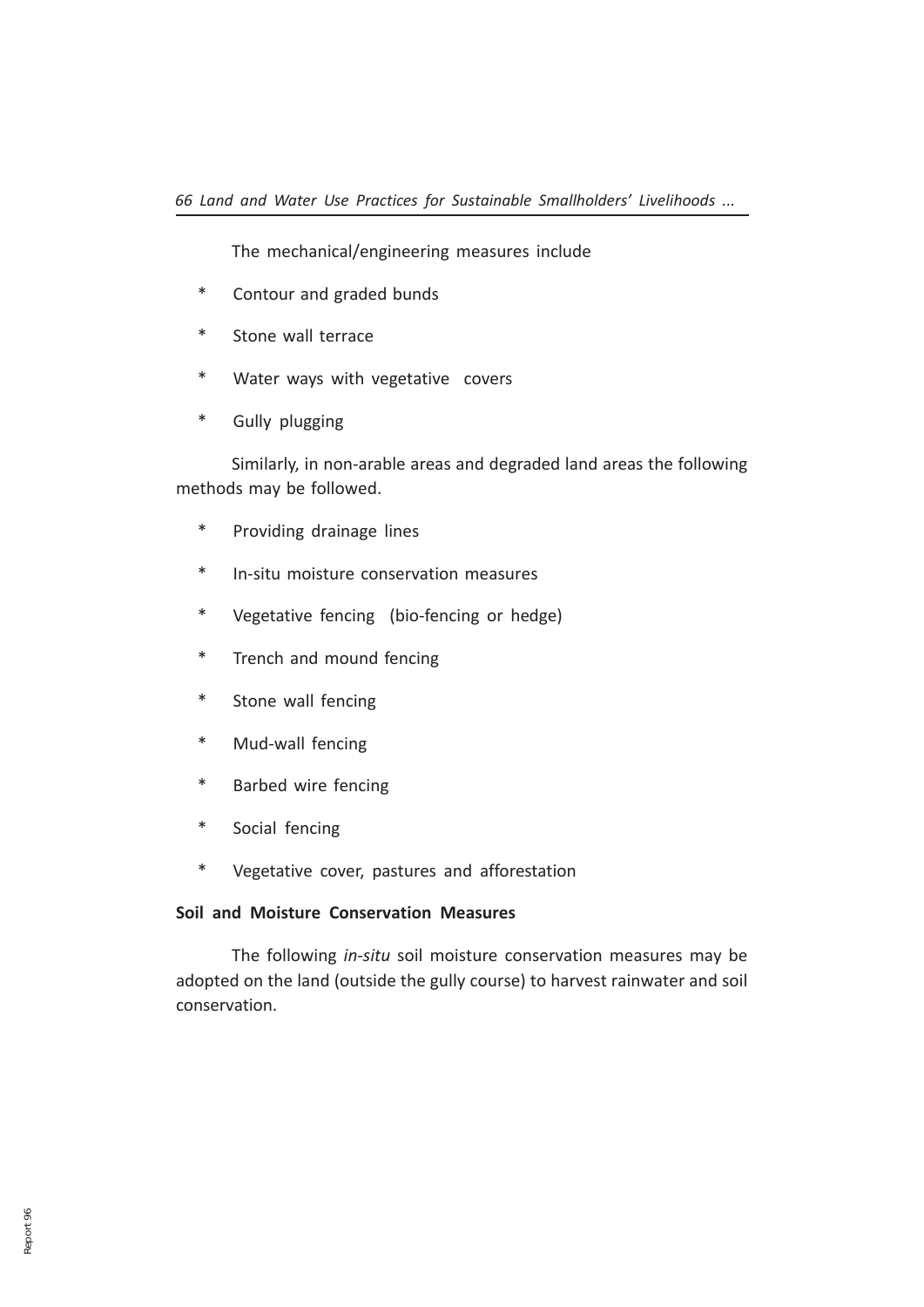The mechanical/engineering measures include

- \* Contour and graded bunds
- \* Stone wall terrace
- \* Water ways with vegetative covers
- \* Gully plugging

Similarly, in non-arable areas and degraded land areas the following methods may be followed.

- \* Providing drainage lines
- \* In-situ moisture conservation measures
- \* Vegetative fencing (bio-fencing or hedge)
- \* Trench and mound fencing
- \* Stone wall fencing
- \* Mud-wall fencing
- \* Barbed wire fencing
- \* Social fencing
- \* Vegetative cover, pastures and afforestation

#### **Soil and Moisture Conservation Measures**

The following *in-situ* soil moisture conservation measures may be adopted on the land (outside the gully course) to harvest rainwater and soil conservation.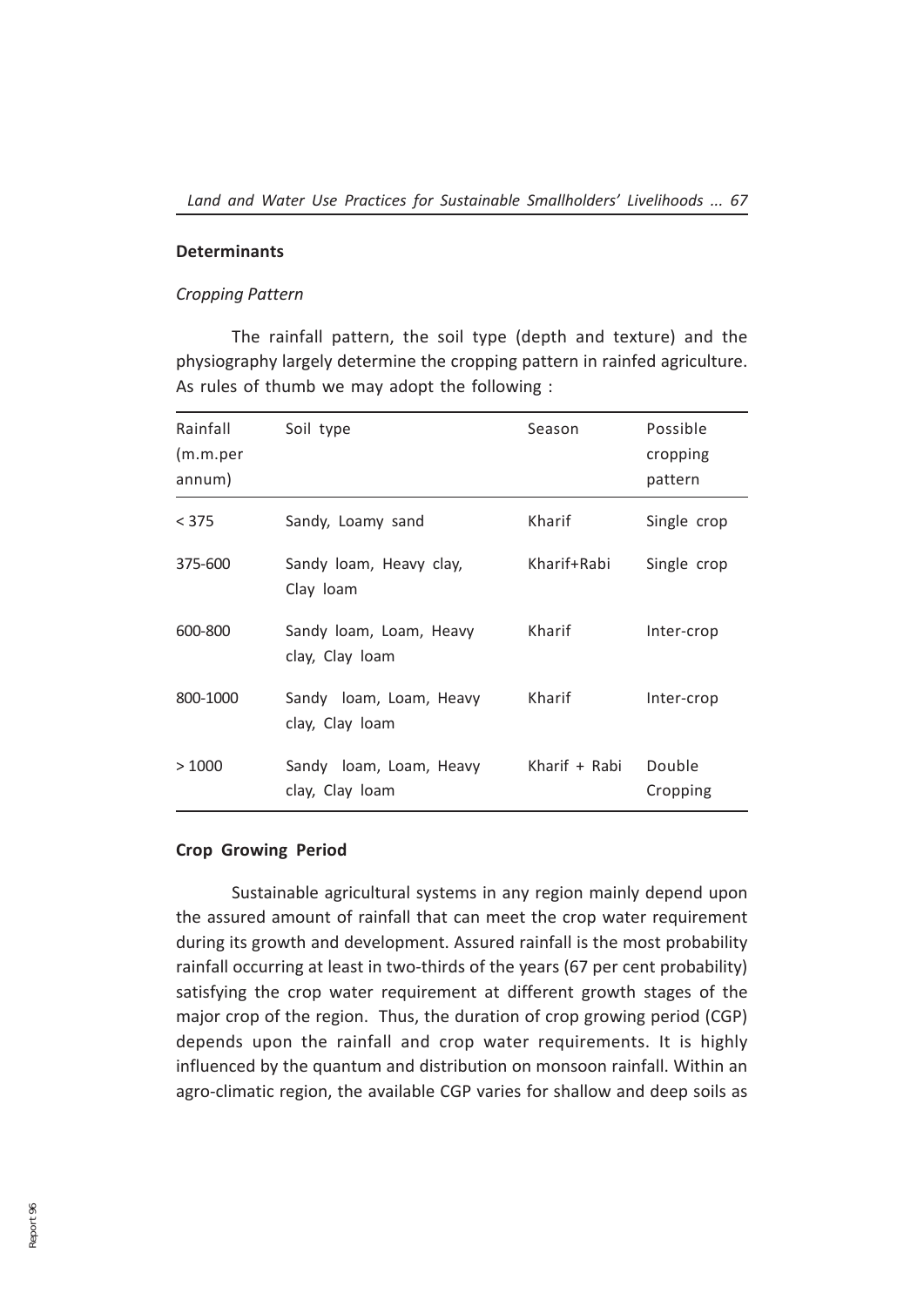#### **Determinants**

#### *Cropping Pattern*

The rainfall pattern, the soil type (depth and texture) and the physiography largely determine the cropping pattern in rainfed agriculture. As rules of thumb we may adopt the following :

| Rainfall<br>(m.m.per<br>annum) | Soil type                                  | Season        | Possible<br>cropping<br>pattern |
|--------------------------------|--------------------------------------------|---------------|---------------------------------|
| < 375                          | Sandy, Loamy sand                          | Kharif        | Single crop                     |
| 375-600                        | Sandy loam, Heavy clay,<br>Clay loam       | Kharif+Rabi   | Single crop                     |
| 600-800                        | Sandy loam, Loam, Heavy<br>clay, Clay Ioam | Kharif        | Inter-crop                      |
| 800-1000                       | Sandy loam, Loam, Heavy<br>clay, Clay Ioam | Kharif        | Inter-crop                      |
| >1000                          | Sandy loam, Loam, Heavy<br>clay, Clay Ioam | Kharif + Rabi | Double<br>Cropping              |

#### **Crop Growing Period**

Sustainable agricultural systems in any region mainly depend upon the assured amount of rainfall that can meet the crop water requirement during its growth and development. Assured rainfall is the most probability rainfall occurring at least in two-thirds of the years (67 per cent probability) satisfying the crop water requirement at different growth stages of the major crop of the region. Thus, the duration of crop growing period (CGP) depends upon the rainfall and crop water requirements. It is highly influenced by the quantum and distribution on monsoon rainfall. Within an agro-climatic region, the available CGP varies for shallow and deep soils as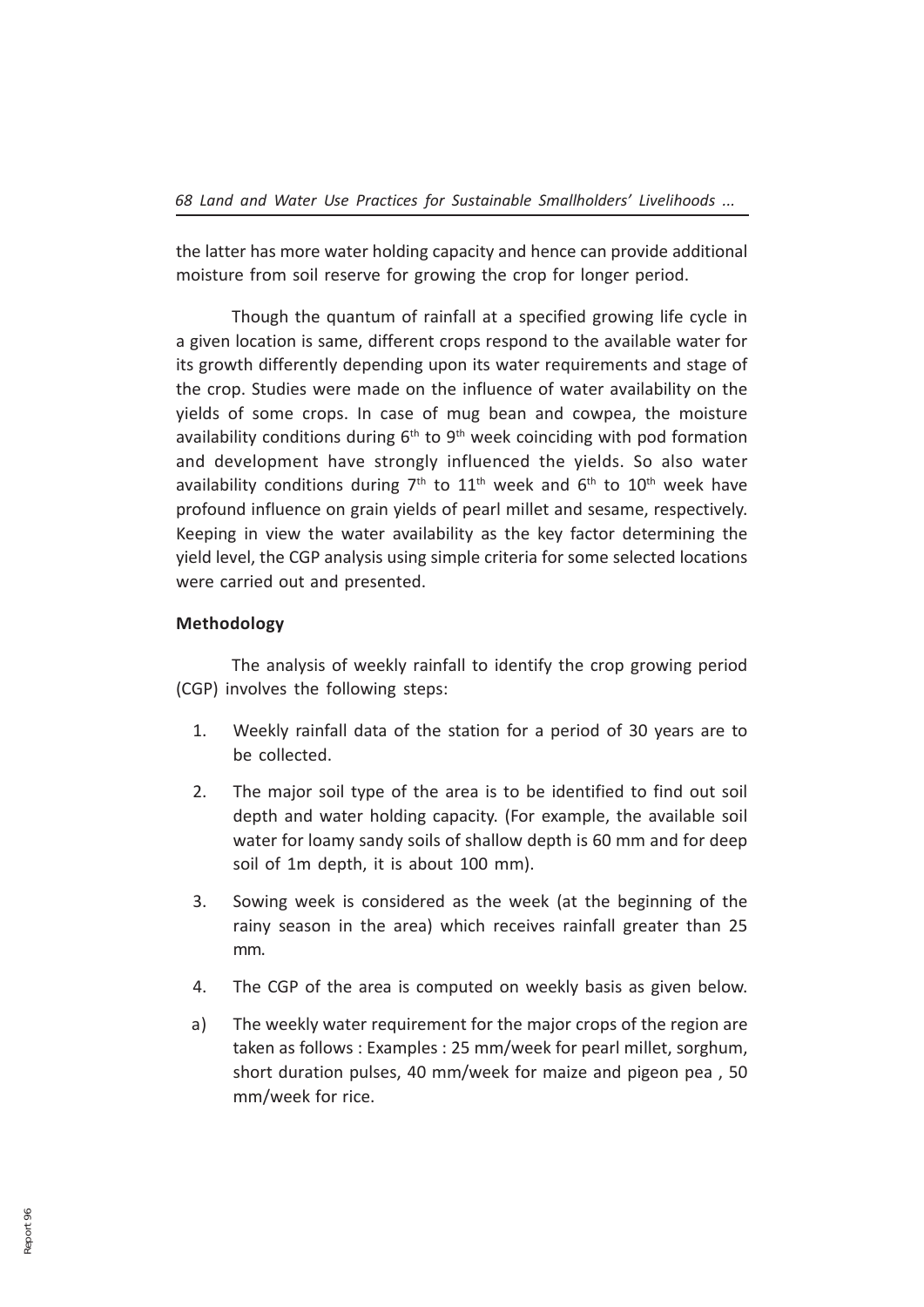the latter has more water holding capacity and hence can provide additional moisture from soil reserve for growing the crop for longer period.

Though the quantum of rainfall at a specified growing life cycle in a given location is same, different crops respond to the available water for its growth differently depending upon its water requirements and stage of the crop. Studies were made on the influence of water availability on the yields of some crops. In case of mug bean and cowpea, the moisture availability conditions during  $6<sup>th</sup>$  to  $9<sup>th</sup>$  week coinciding with pod formation and development have strongly influenced the yields. So also water availability conditions during  $7<sup>th</sup>$  to  $11<sup>th</sup>$  week and  $6<sup>th</sup>$  to  $10<sup>th</sup>$  week have profound influence on grain yields of pearl millet and sesame, respectively. Keeping in view the water availability as the key factor determining the yield level, the CGP analysis using simple criteria for some selected locations were carried out and presented.

# **Methodology**

The analysis of weekly rainfall to identify the crop growing period (CGP) involves the following steps:

- 1. Weekly rainfall data of the station for a period of 30 years are to be collected.
- 2. The major soil type of the area is to be identified to find out soil depth and water holding capacity. (For example, the available soil water for loamy sandy soils of shallow depth is 60 mm and for deep soil of 1m depth, it is about 100 mm).
- 3. Sowing week is considered as the week (at the beginning of the rainy season in the area) which receives rainfall greater than 25 mm.
- 4. The CGP of the area is computed on weekly basis as given below.
- a) The weekly water requirement for the major crops of the region are taken as follows : Examples : 25 mm/week for pearl millet, sorghum, short duration pulses, 40 mm/week for maize and pigeon pea , 50 mm/week for rice.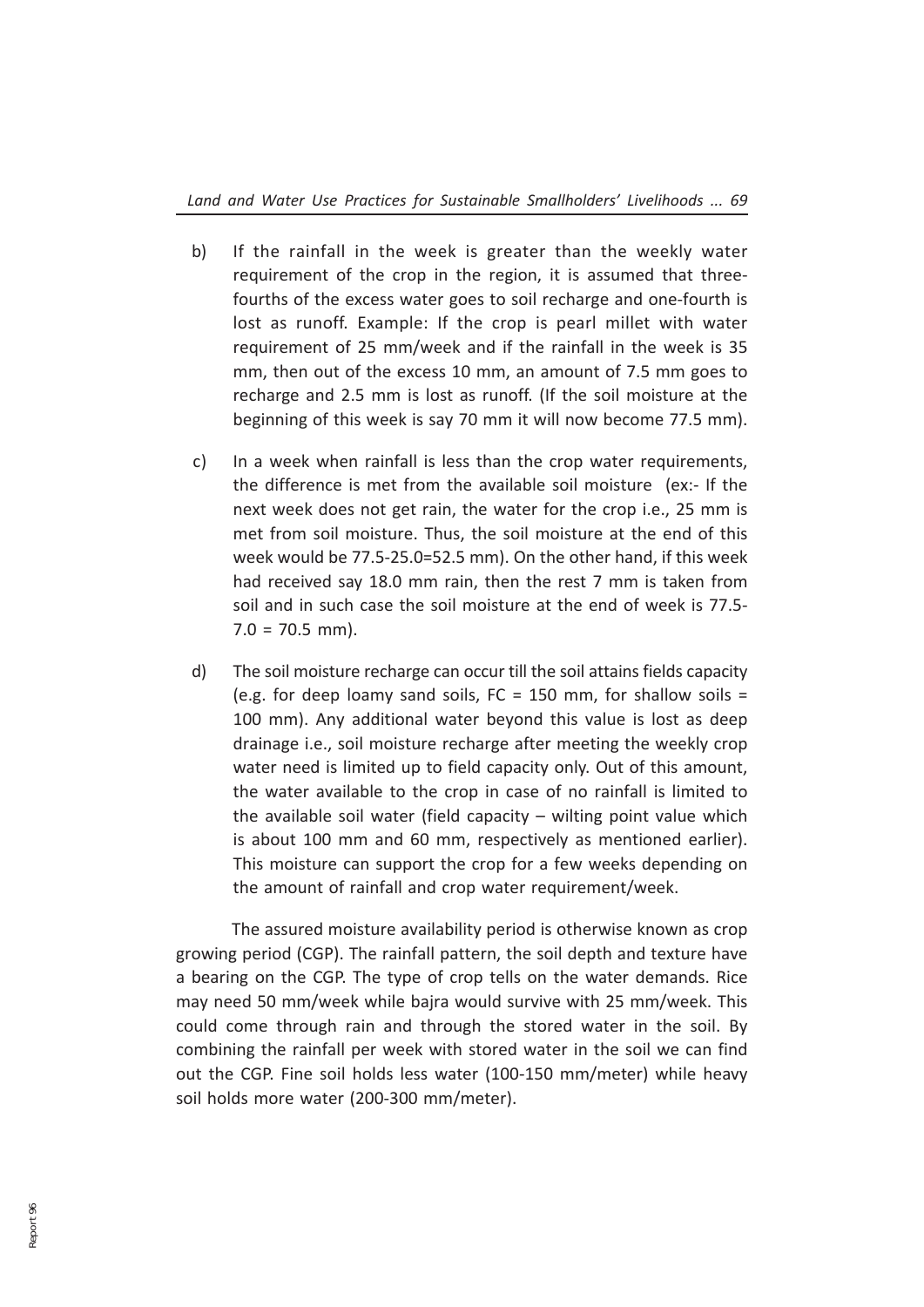- b) If the rainfall in the week is greater than the weekly water requirement of the crop in the region, it is assumed that threefourths of the excess water goes to soil recharge and one-fourth is lost as runoff. Example: If the crop is pearl millet with water requirement of 25 mm/week and if the rainfall in the week is 35 mm, then out of the excess 10 mm, an amount of 7.5 mm goes to recharge and 2.5 mm is lost as runoff. (If the soil moisture at the beginning of this week is say 70 mm it will now become 77.5 mm).
- c) In a week when rainfall is less than the crop water requirements, the difference is met from the available soil moisture (ex:- If the next week does not get rain, the water for the crop i.e., 25 mm is met from soil moisture. Thus, the soil moisture at the end of this week would be 77.5-25.0=52.5 mm). On the other hand, if this week had received say 18.0 mm rain, then the rest 7 mm is taken from soil and in such case the soil moisture at the end of week is 77.5-  $7.0 = 70.5$  mm).
- d) The soil moisture recharge can occur till the soil attains fields capacity (e.g. for deep loamy sand soils,  $FC = 150$  mm, for shallow soils = 100 mm). Any additional water beyond this value is lost as deep drainage i.e., soil moisture recharge after meeting the weekly crop water need is limited up to field capacity only. Out of this amount, the water available to the crop in case of no rainfall is limited to the available soil water (field capacity – wilting point value which is about 100 mm and 60 mm, respectively as mentioned earlier). This moisture can support the crop for a few weeks depending on the amount of rainfall and crop water requirement/week.

The assured moisture availability period is otherwise known as crop growing period (CGP). The rainfall pattern, the soil depth and texture have a bearing on the CGP. The type of crop tells on the water demands. Rice may need 50 mm/week while bajra would survive with 25 mm/week. This could come through rain and through the stored water in the soil. By combining the rainfall per week with stored water in the soil we can find out the CGP. Fine soil holds less water (100-150 mm/meter) while heavy soil holds more water (200-300 mm/meter).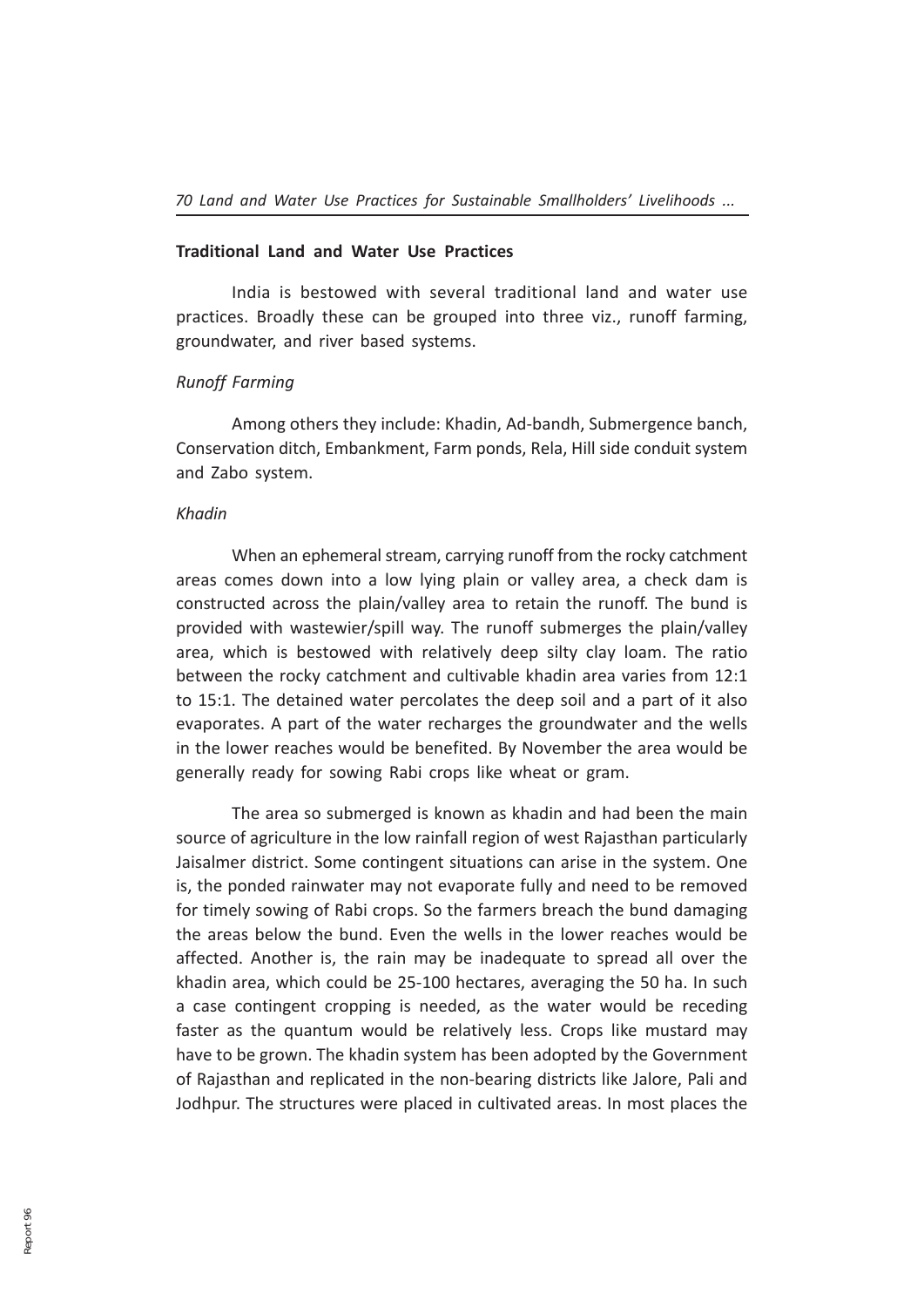#### **Traditional Land and Water Use Practices**

India is bestowed with several traditional land and water use practices. Broadly these can be grouped into three viz., runoff farming, groundwater, and river based systems.

#### *Runoff Farming*

Among others they include: Khadin, Ad-bandh, Submergence banch, Conservation ditch, Embankment, Farm ponds, Rela, Hill side conduit system and Zabo system.

#### *Khadin*

When an ephemeral stream, carrying runoff from the rocky catchment areas comes down into a low lying plain or valley area, a check dam is constructed across the plain/valley area to retain the runoff. The bund is provided with wastewier/spill way. The runoff submerges the plain/valley area, which is bestowed with relatively deep silty clay loam. The ratio between the rocky catchment and cultivable khadin area varies from 12:1 to 15:1. The detained water percolates the deep soil and a part of it also evaporates. A part of the water recharges the groundwater and the wells in the lower reaches would be benefited. By November the area would be generally ready for sowing Rabi crops like wheat or gram.

The area so submerged is known as khadin and had been the main source of agriculture in the low rainfall region of west Rajasthan particularly Jaisalmer district. Some contingent situations can arise in the system. One is, the ponded rainwater may not evaporate fully and need to be removed for timely sowing of Rabi crops. So the farmers breach the bund damaging the areas below the bund. Even the wells in the lower reaches would be affected. Another is, the rain may be inadequate to spread all over the khadin area, which could be 25-100 hectares, averaging the 50 ha. In such a case contingent cropping is needed, as the water would be receding faster as the quantum would be relatively less. Crops like mustard may have to be grown. The khadin system has been adopted by the Government of Rajasthan and replicated in the non-bearing districts like Jalore, Pali and Jodhpur. The structures were placed in cultivated areas. In most places the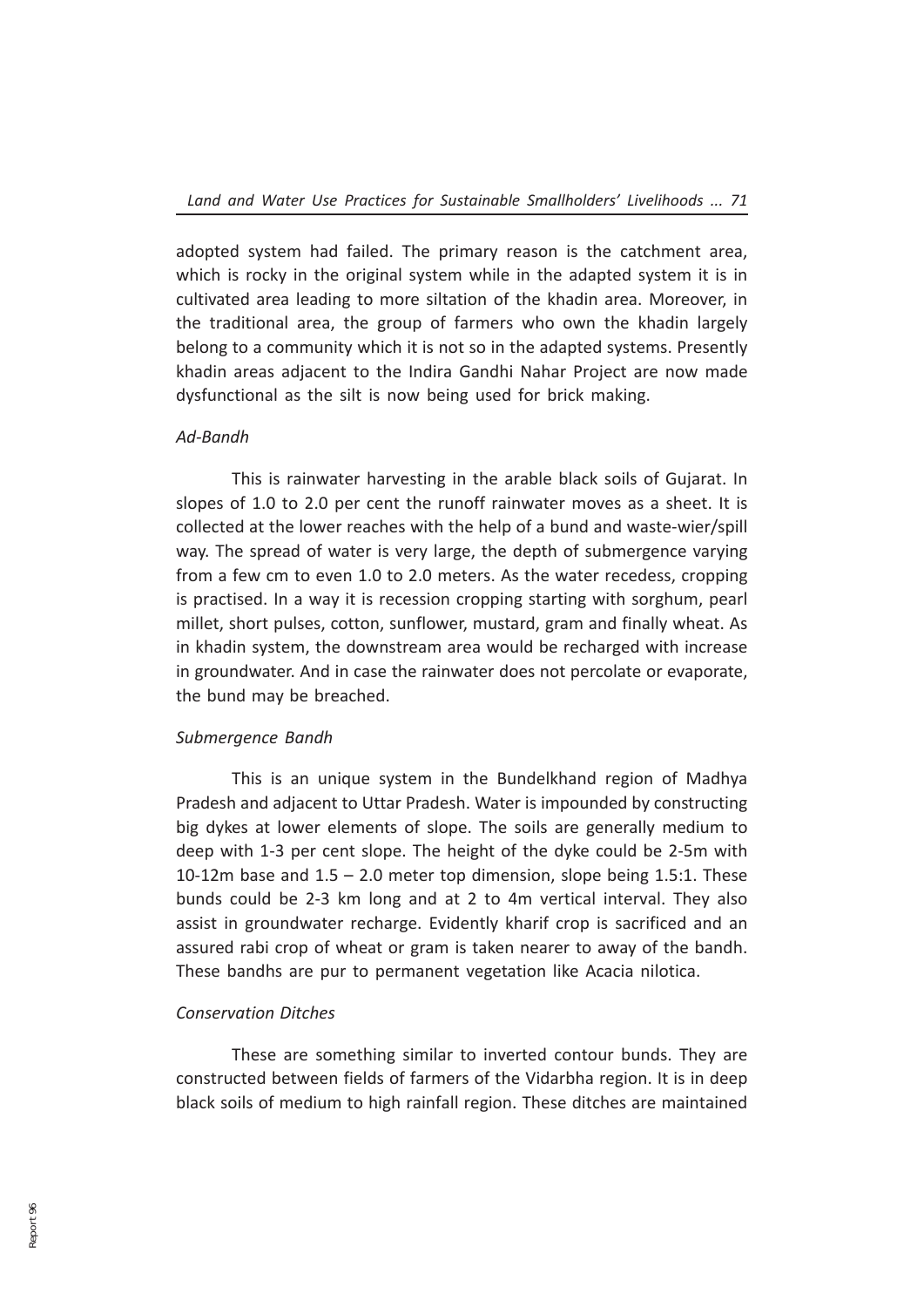adopted system had failed. The primary reason is the catchment area, which is rocky in the original system while in the adapted system it is in cultivated area leading to more siltation of the khadin area. Moreover, in the traditional area, the group of farmers who own the khadin largely belong to a community which it is not so in the adapted systems. Presently khadin areas adjacent to the Indira Gandhi Nahar Project are now made dysfunctional as the silt is now being used for brick making.

#### *Ad-Bandh*

This is rainwater harvesting in the arable black soils of Gujarat. In slopes of 1.0 to 2.0 per cent the runoff rainwater moves as a sheet. It is collected at the lower reaches with the help of a bund and waste-wier/spill way. The spread of water is very large, the depth of submergence varying from a few cm to even 1.0 to 2.0 meters. As the water recedess, cropping is practised. In a way it is recession cropping starting with sorghum, pearl millet, short pulses, cotton, sunflower, mustard, gram and finally wheat. As in khadin system, the downstream area would be recharged with increase in groundwater. And in case the rainwater does not percolate or evaporate, the bund may be breached.

#### *Submergence Bandh*

This is an unique system in the Bundelkhand region of Madhya Pradesh and adjacent to Uttar Pradesh. Water is impounded by constructing big dykes at lower elements of slope. The soils are generally medium to deep with 1-3 per cent slope. The height of the dyke could be 2-5m with 10-12m base and 1.5 – 2.0 meter top dimension, slope being 1.5:1. These bunds could be 2-3 km long and at 2 to 4m vertical interval. They also assist in groundwater recharge. Evidently kharif crop is sacrificed and an assured rabi crop of wheat or gram is taken nearer to away of the bandh. These bandhs are pur to permanent vegetation like Acacia nilotica.

#### *Conservation Ditches*

These are something similar to inverted contour bunds. They are constructed between fields of farmers of the Vidarbha region. It is in deep black soils of medium to high rainfall region. These ditches are maintained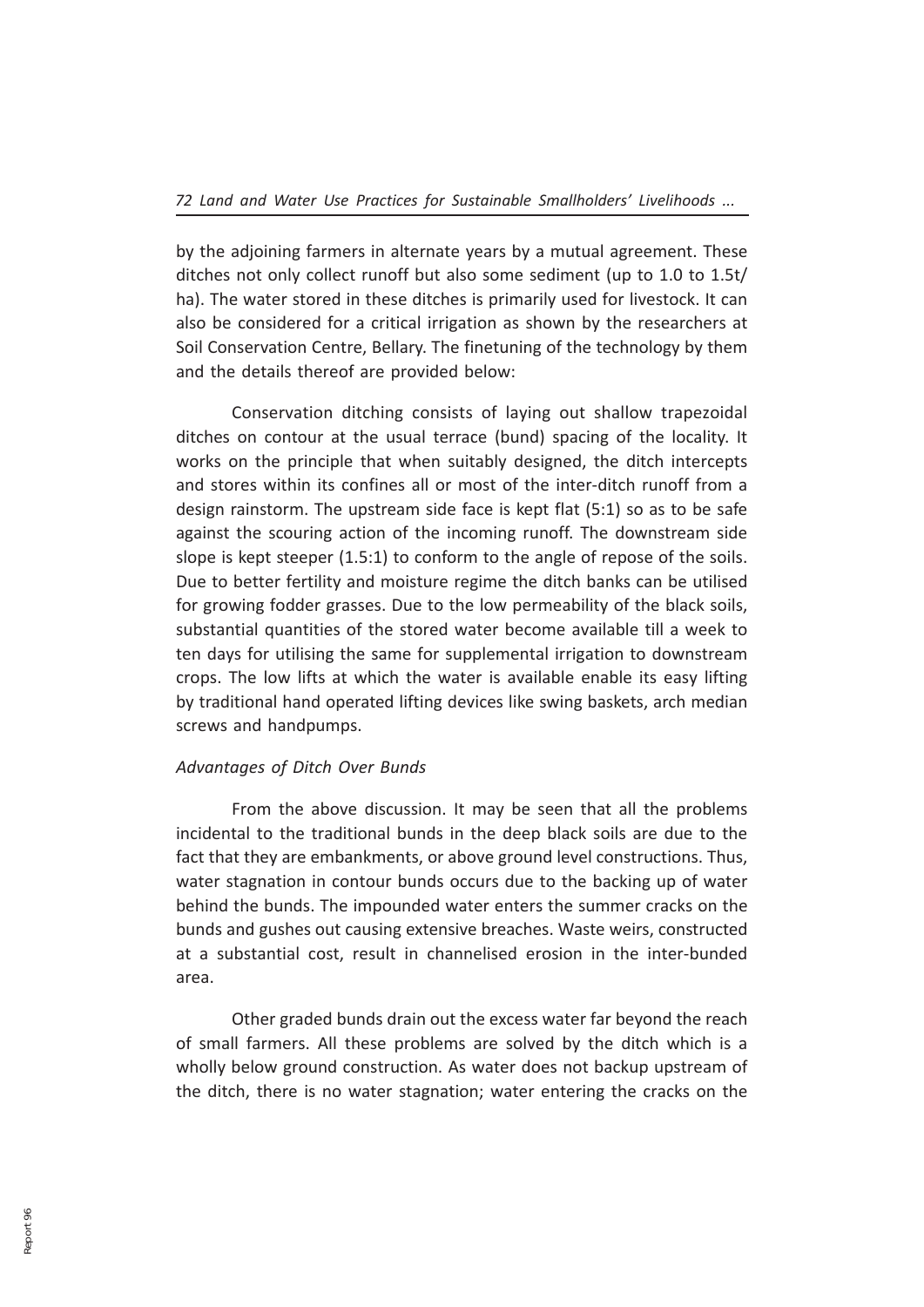by the adjoining farmers in alternate years by a mutual agreement. These ditches not only collect runoff but also some sediment (up to 1.0 to 1.5t/ ha). The water stored in these ditches is primarily used for livestock. It can also be considered for a critical irrigation as shown by the researchers at Soil Conservation Centre, Bellary. The finetuning of the technology by them and the details thereof are provided below:

Conservation ditching consists of laying out shallow trapezoidal ditches on contour at the usual terrace (bund) spacing of the locality. It works on the principle that when suitably designed, the ditch intercepts and stores within its confines all or most of the inter-ditch runoff from a design rainstorm. The upstream side face is kept flat (5:1) so as to be safe against the scouring action of the incoming runoff. The downstream side slope is kept steeper (1.5:1) to conform to the angle of repose of the soils. Due to better fertility and moisture regime the ditch banks can be utilised for growing fodder grasses. Due to the low permeability of the black soils, substantial quantities of the stored water become available till a week to ten days for utilising the same for supplemental irrigation to downstream crops. The low lifts at which the water is available enable its easy lifting by traditional hand operated lifting devices like swing baskets, arch median screws and handpumps.

## *Advantages of Ditch Over Bunds*

From the above discussion. It may be seen that all the problems incidental to the traditional bunds in the deep black soils are due to the fact that they are embankments, or above ground level constructions. Thus, water stagnation in contour bunds occurs due to the backing up of water behind the bunds. The impounded water enters the summer cracks on the bunds and gushes out causing extensive breaches. Waste weirs, constructed at a substantial cost, result in channelised erosion in the inter-bunded area.

Other graded bunds drain out the excess water far beyond the reach of small farmers. All these problems are solved by the ditch which is a wholly below ground construction. As water does not backup upstream of the ditch, there is no water stagnation; water entering the cracks on the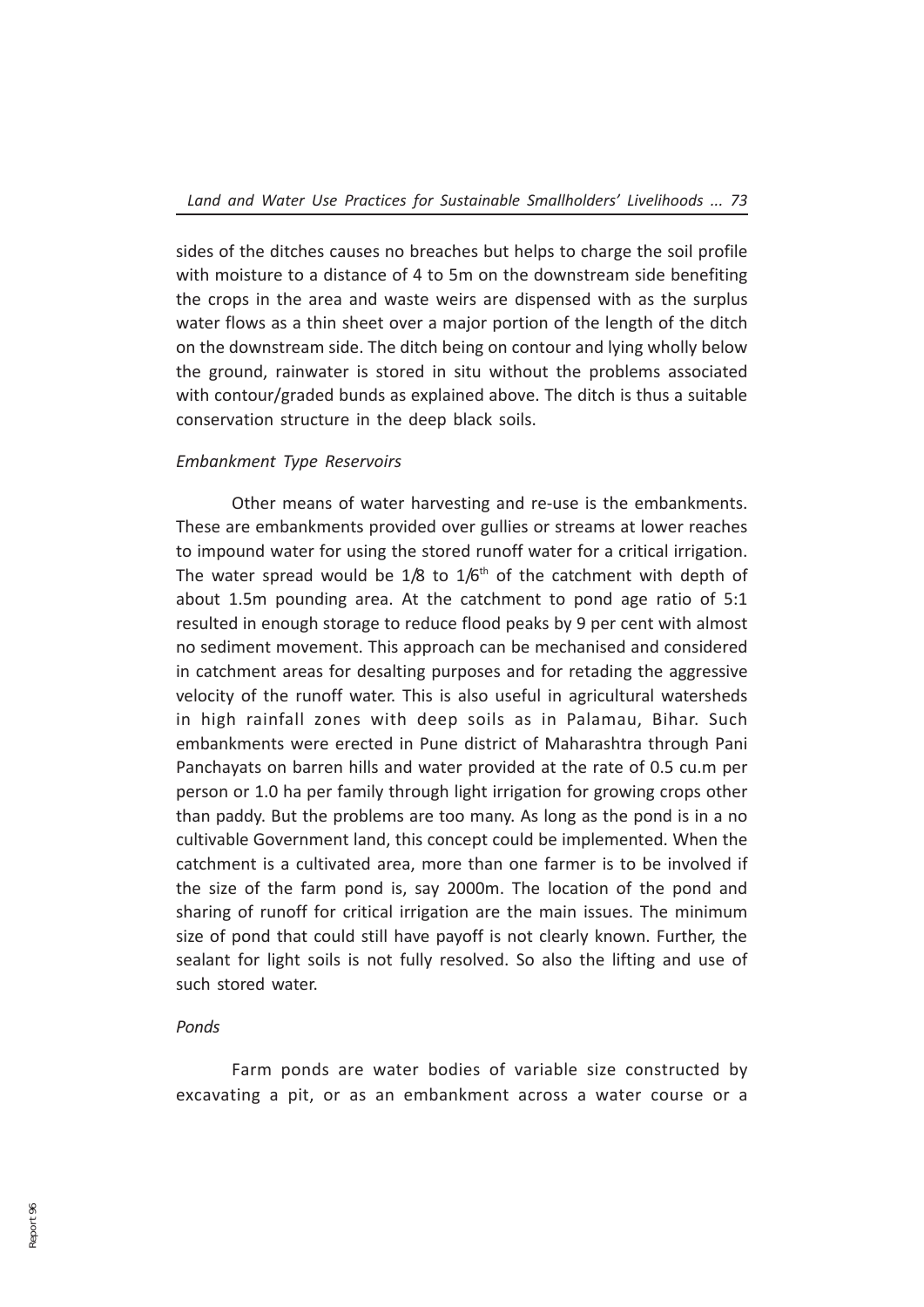sides of the ditches causes no breaches but helps to charge the soil profile with moisture to a distance of 4 to 5m on the downstream side benefiting the crops in the area and waste weirs are dispensed with as the surplus water flows as a thin sheet over a major portion of the length of the ditch on the downstream side. The ditch being on contour and lying wholly below the ground, rainwater is stored in situ without the problems associated with contour/graded bunds as explained above. The ditch is thus a suitable conservation structure in the deep black soils.

## *Embankment Type Reservoirs*

Other means of water harvesting and re-use is the embankments. These are embankments provided over gullies or streams at lower reaches to impound water for using the stored runoff water for a critical irrigation. The water spread would be  $1/8$  to  $1/6$ <sup>th</sup> of the catchment with depth of about 1.5m pounding area. At the catchment to pond age ratio of 5:1 resulted in enough storage to reduce flood peaks by 9 per cent with almost no sediment movement. This approach can be mechanised and considered in catchment areas for desalting purposes and for retading the aggressive velocity of the runoff water. This is also useful in agricultural watersheds in high rainfall zones with deep soils as in Palamau, Bihar. Such embankments were erected in Pune district of Maharashtra through Pani Panchayats on barren hills and water provided at the rate of 0.5 cu.m per person or 1.0 ha per family through light irrigation for growing crops other than paddy. But the problems are too many. As long as the pond is in a no cultivable Government land, this concept could be implemented. When the catchment is a cultivated area, more than one farmer is to be involved if the size of the farm pond is, say 2000m. The location of the pond and sharing of runoff for critical irrigation are the main issues. The minimum size of pond that could still have payoff is not clearly known. Further, the sealant for light soils is not fully resolved. So also the lifting and use of such stored water.

#### *Ponds*

Farm ponds are water bodies of variable size constructed by excavating a pit, or as an embankment across a water course or a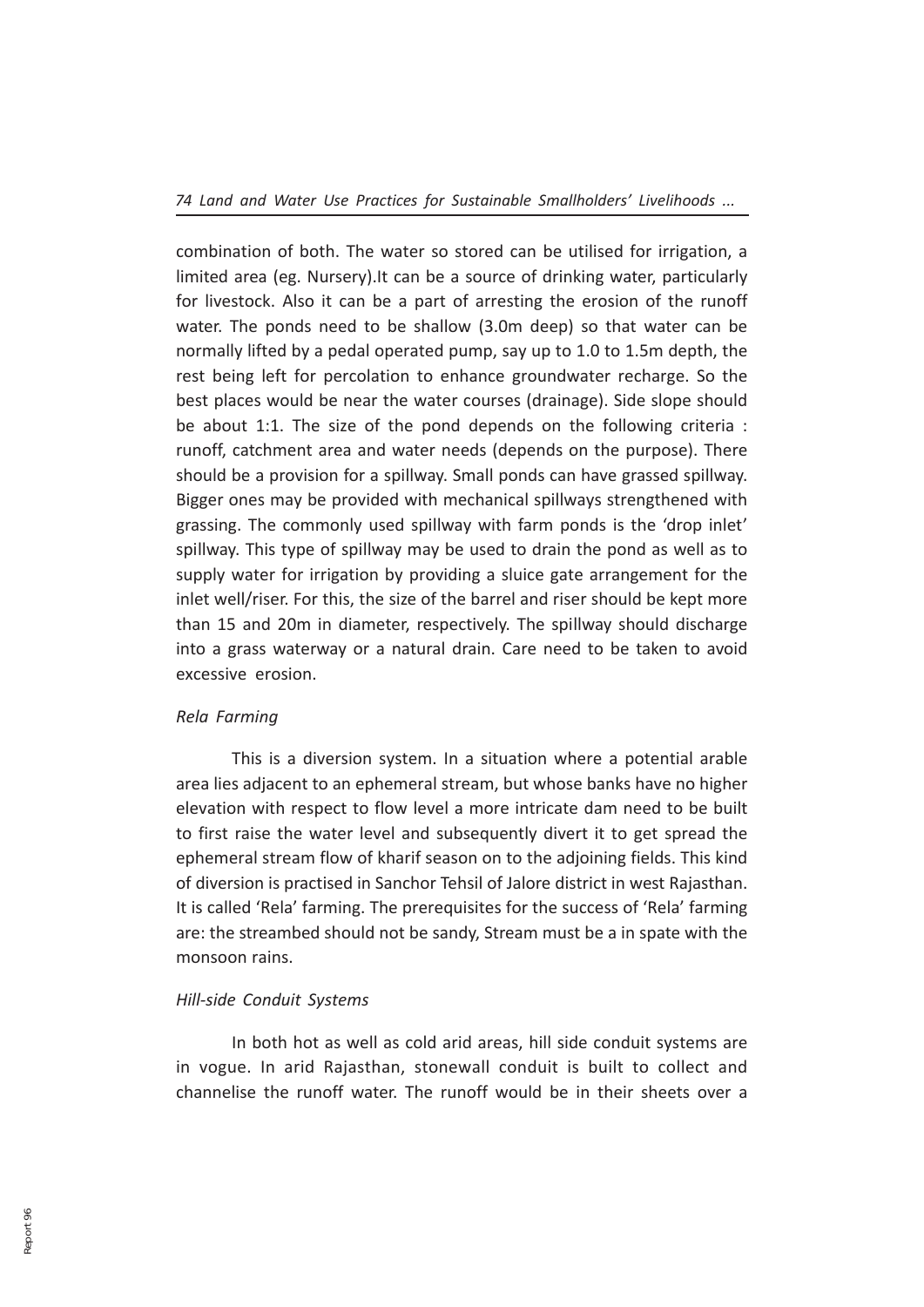combination of both. The water so stored can be utilised for irrigation, a limited area (eg. Nursery).It can be a source of drinking water, particularly for livestock. Also it can be a part of arresting the erosion of the runoff water. The ponds need to be shallow (3.0m deep) so that water can be normally lifted by a pedal operated pump, say up to 1.0 to 1.5m depth, the rest being left for percolation to enhance groundwater recharge. So the best places would be near the water courses (drainage). Side slope should be about 1:1. The size of the pond depends on the following criteria : runoff, catchment area and water needs (depends on the purpose). There should be a provision for a spillway. Small ponds can have grassed spillway. Bigger ones may be provided with mechanical spillways strengthened with grassing. The commonly used spillway with farm ponds is the 'drop inlet' spillway. This type of spillway may be used to drain the pond as well as to supply water for irrigation by providing a sluice gate arrangement for the inlet well/riser. For this, the size of the barrel and riser should be kept more than 15 and 20m in diameter, respectively. The spillway should discharge into a grass waterway or a natural drain. Care need to be taken to avoid excessive erosion.

#### *Rela Farming*

This is a diversion system. In a situation where a potential arable area lies adjacent to an ephemeral stream, but whose banks have no higher elevation with respect to flow level a more intricate dam need to be built to first raise the water level and subsequently divert it to get spread the ephemeral stream flow of kharif season on to the adjoining fields. This kind of diversion is practised in Sanchor Tehsil of Jalore district in west Rajasthan. It is called 'Rela' farming. The prerequisites for the success of 'Rela' farming are: the streambed should not be sandy, Stream must be a in spate with the monsoon rains.

## *Hill-side Conduit Systems*

In both hot as well as cold arid areas, hill side conduit systems are in vogue. In arid Rajasthan, stonewall conduit is built to collect and channelise the runoff water. The runoff would be in their sheets over a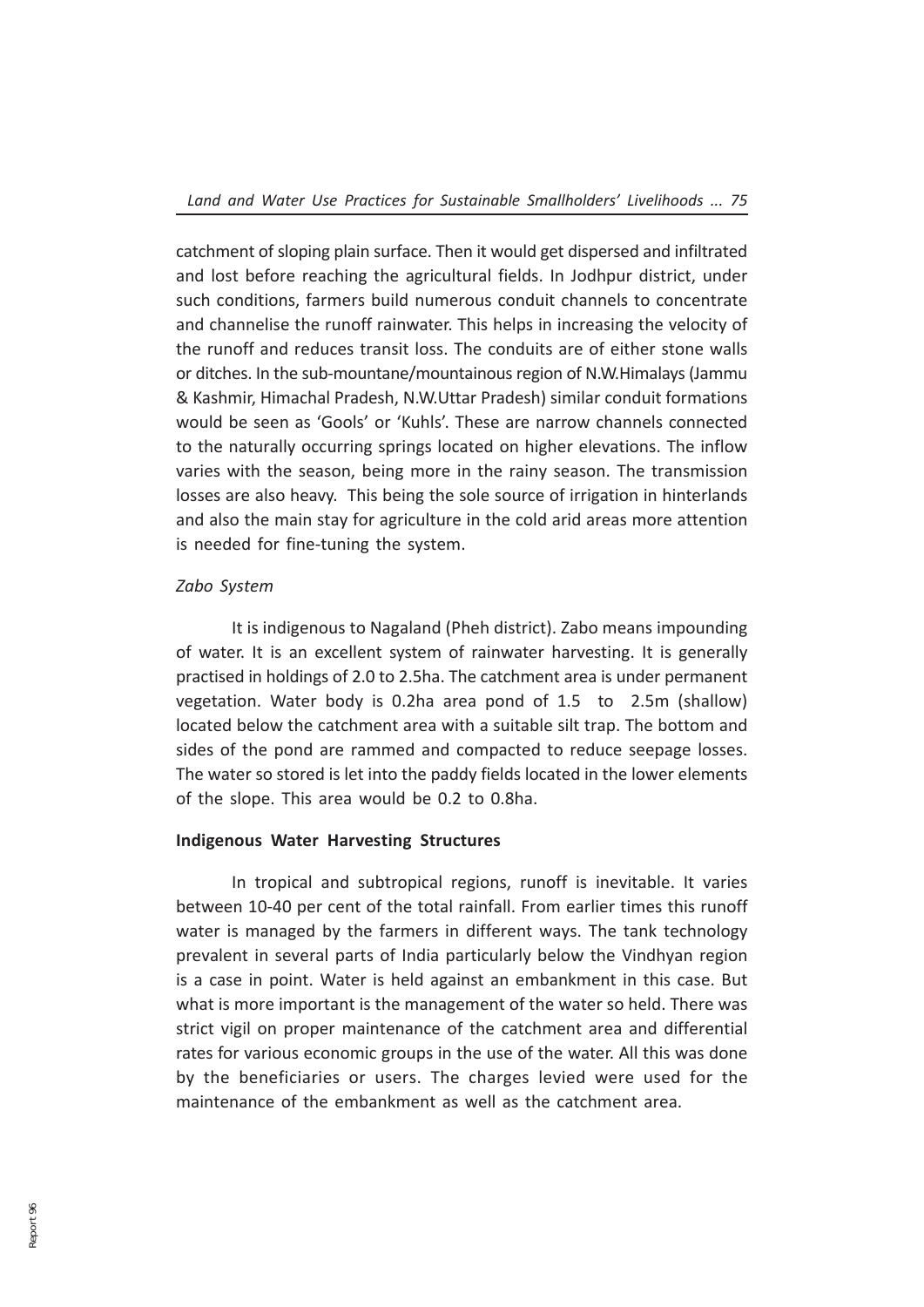catchment of sloping plain surface. Then it would get dispersed and infiltrated and lost before reaching the agricultural fields. In Jodhpur district, under such conditions, farmers build numerous conduit channels to concentrate and channelise the runoff rainwater. This helps in increasing the velocity of the runoff and reduces transit loss. The conduits are of either stone walls or ditches. In the sub-mountane/mountainous region of N.W.Himalays (Jammu & Kashmir, Himachal Pradesh, N.W.Uttar Pradesh) similar conduit formations would be seen as 'Gools' or 'Kuhls'. These are narrow channels connected to the naturally occurring springs located on higher elevations. The inflow varies with the season, being more in the rainy season. The transmission losses are also heavy. This being the sole source of irrigation in hinterlands and also the main stay for agriculture in the cold arid areas more attention is needed for fine-tuning the system.

## *Zabo System*

It is indigenous to Nagaland (Pheh district). Zabo means impounding of water. It is an excellent system of rainwater harvesting. It is generally practised in holdings of 2.0 to 2.5ha. The catchment area is under permanent vegetation. Water body is 0.2ha area pond of 1.5 to 2.5m (shallow) located below the catchment area with a suitable silt trap. The bottom and sides of the pond are rammed and compacted to reduce seepage losses. The water so stored is let into the paddy fields located in the lower elements of the slope. This area would be 0.2 to 0.8ha.

#### **Indigenous Water Harvesting Structures**

In tropical and subtropical regions, runoff is inevitable. It varies between 10-40 per cent of the total rainfall. From earlier times this runoff water is managed by the farmers in different ways. The tank technology prevalent in several parts of India particularly below the Vindhyan region is a case in point. Water is held against an embankment in this case. But what is more important is the management of the water so held. There was strict vigil on proper maintenance of the catchment area and differential rates for various economic groups in the use of the water. All this was done by the beneficiaries or users. The charges levied were used for the maintenance of the embankment as well as the catchment area.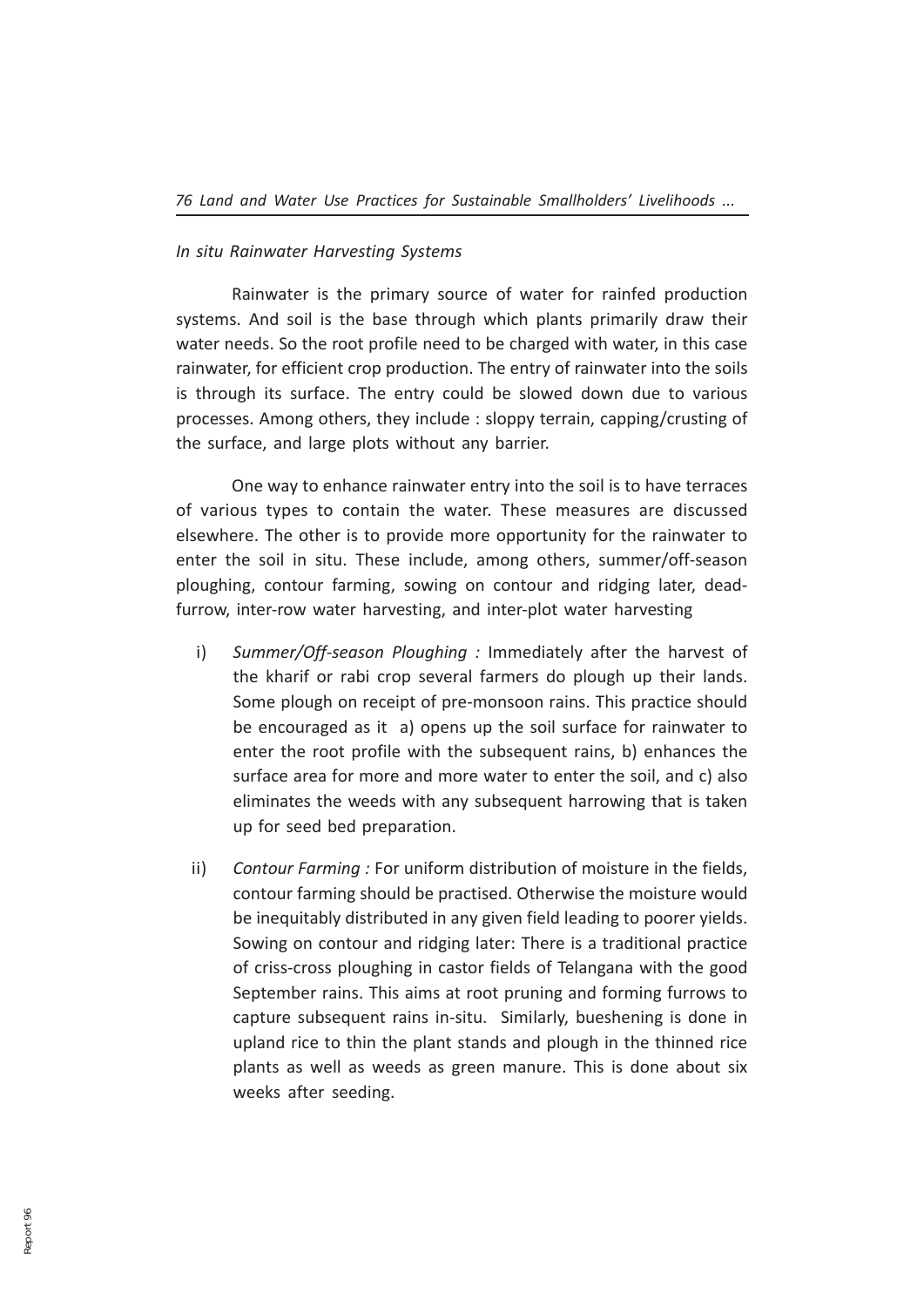## *In situ Rainwater Harvesting Systems*

Rainwater is the primary source of water for rainfed production systems. And soil is the base through which plants primarily draw their water needs. So the root profile need to be charged with water, in this case rainwater, for efficient crop production. The entry of rainwater into the soils is through its surface. The entry could be slowed down due to various processes. Among others, they include : sloppy terrain, capping/crusting of the surface, and large plots without any barrier.

One way to enhance rainwater entry into the soil is to have terraces of various types to contain the water. These measures are discussed elsewhere. The other is to provide more opportunity for the rainwater to enter the soil in situ. These include, among others, summer/off-season ploughing, contour farming, sowing on contour and ridging later, deadfurrow, inter-row water harvesting, and inter-plot water harvesting

- i) *Summer/Off-season Ploughing :* Immediately after the harvest of the kharif or rabi crop several farmers do plough up their lands. Some plough on receipt of pre-monsoon rains. This practice should be encouraged as it a) opens up the soil surface for rainwater to enter the root profile with the subsequent rains, b) enhances the surface area for more and more water to enter the soil, and c) also eliminates the weeds with any subsequent harrowing that is taken up for seed bed preparation.
- ii) *Contour Farming :* For uniform distribution of moisture in the fields, contour farming should be practised. Otherwise the moisture would be inequitably distributed in any given field leading to poorer yields. Sowing on contour and ridging later: There is a traditional practice of criss-cross ploughing in castor fields of Telangana with the good September rains. This aims at root pruning and forming furrows to capture subsequent rains in-situ. Similarly, bueshening is done in upland rice to thin the plant stands and plough in the thinned rice plants as well as weeds as green manure. This is done about six weeks after seeding.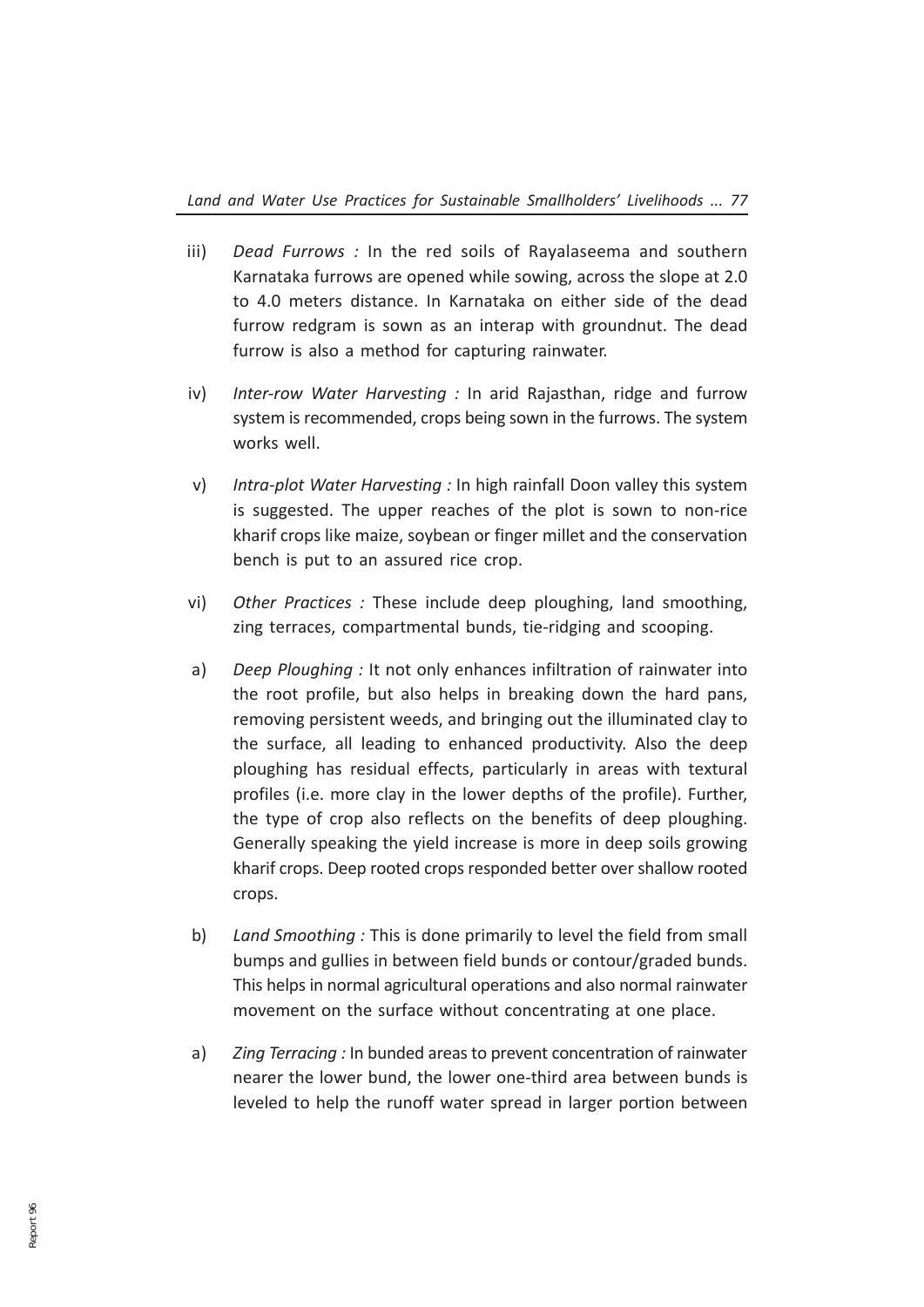- iii) *Dead Furrows :* In the red soils of Rayalaseema and southern Karnataka furrows are opened while sowing, across the slope at 2.0 to 4.0 meters distance. In Karnataka on either side of the dead furrow redgram is sown as an interap with groundnut. The dead furrow is also a method for capturing rainwater.
- iv) *Inter-row Water Harvesting :* In arid Rajasthan, ridge and furrow system is recommended, crops being sown in the furrows. The system works well.
- v) *Intra-plot Water Harvesting :* In high rainfall Doon valley this system is suggested. The upper reaches of the plot is sown to non-rice kharif crops like maize, soybean or finger millet and the conservation bench is put to an assured rice crop.
- vi) *Other Practices :* These include deep ploughing, land smoothing, zing terraces, compartmental bunds, tie-ridging and scooping.
- a) *Deep Ploughing :* It not only enhances infiltration of rainwater into the root profile, but also helps in breaking down the hard pans, removing persistent weeds, and bringing out the illuminated clay to the surface, all leading to enhanced productivity. Also the deep ploughing has residual effects, particularly in areas with textural profiles (i.e. more clay in the lower depths of the profile). Further, the type of crop also reflects on the benefits of deep ploughing. Generally speaking the yield increase is more in deep soils growing kharif crops. Deep rooted crops responded better over shallow rooted crops.
- b) *Land Smoothing :* This is done primarily to level the field from small bumps and gullies in between field bunds or contour/graded bunds. This helps in normal agricultural operations and also normal rainwater movement on the surface without concentrating at one place.
- a) *Zing Terracing :* In bunded areas to prevent concentration of rainwater nearer the lower bund, the lower one-third area between bunds is leveled to help the runoff water spread in larger portion between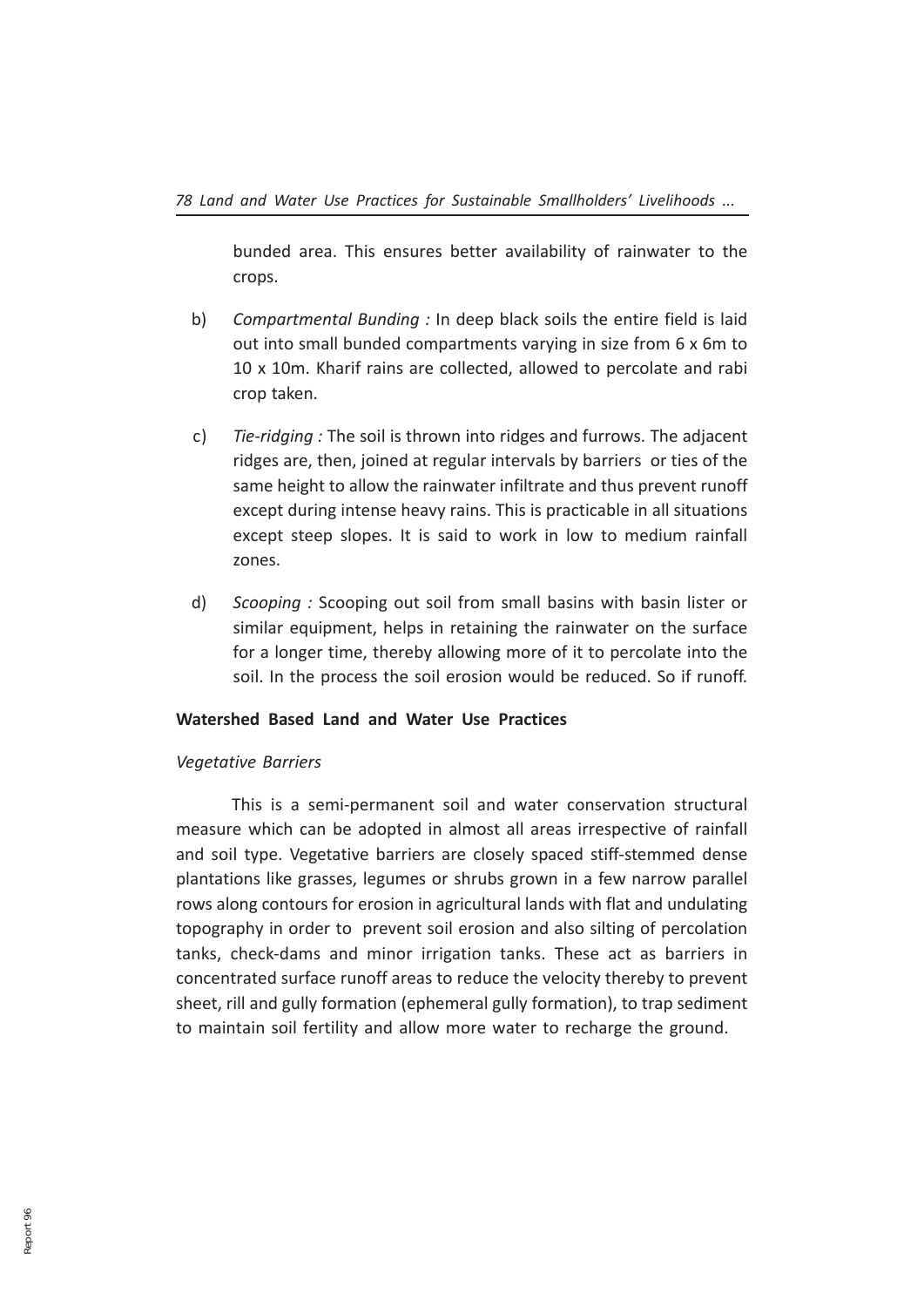bunded area. This ensures better availability of rainwater to the crops.

- b) *Compartmental Bunding :* In deep black soils the entire field is laid out into small bunded compartments varying in size from 6 x 6m to 10 x 10m. Kharif rains are collected, allowed to percolate and rabi crop taken.
- c) *Tie-ridging :* The soil is thrown into ridges and furrows. The adjacent ridges are, then, joined at regular intervals by barriers or ties of the same height to allow the rainwater infiltrate and thus prevent runoff except during intense heavy rains. This is practicable in all situations except steep slopes. It is said to work in low to medium rainfall zones.
- d) *Scooping :* Scooping out soil from small basins with basin lister or similar equipment, helps in retaining the rainwater on the surface for a longer time, thereby allowing more of it to percolate into the soil. In the process the soil erosion would be reduced. So if runoff.

## **Watershed Based Land and Water Use Practices**

#### *Vegetative Barriers*

This is a semi-permanent soil and water conservation structural measure which can be adopted in almost all areas irrespective of rainfall and soil type. Vegetative barriers are closely spaced stiff-stemmed dense plantations like grasses, legumes or shrubs grown in a few narrow parallel rows along contours for erosion in agricultural lands with flat and undulating topography in order to prevent soil erosion and also silting of percolation tanks, check-dams and minor irrigation tanks. These act as barriers in concentrated surface runoff areas to reduce the velocity thereby to prevent sheet, rill and gully formation (ephemeral gully formation), to trap sediment to maintain soil fertility and allow more water to recharge the ground.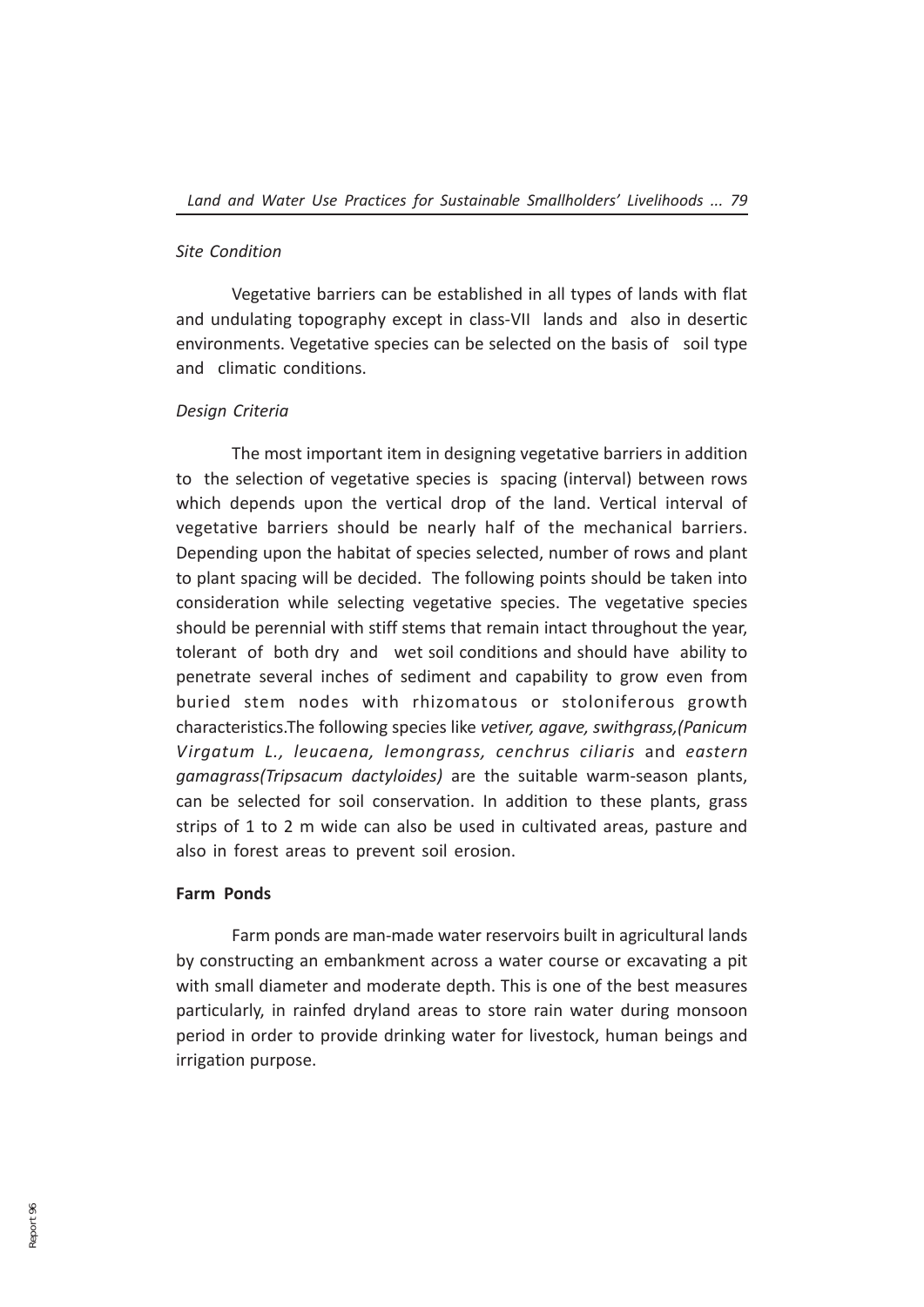#### *Site Condition*

Vegetative barriers can be established in all types of lands with flat and undulating topography except in class-VII lands and also in desertic environments. Vegetative species can be selected on the basis of soil type and climatic conditions.

## *Design Criteria*

The most important item in designing vegetative barriers in addition to the selection of vegetative species is spacing (interval) between rows which depends upon the vertical drop of the land. Vertical interval of vegetative barriers should be nearly half of the mechanical barriers. Depending upon the habitat of species selected, number of rows and plant to plant spacing will be decided. The following points should be taken into consideration while selecting vegetative species. The vegetative species should be perennial with stiff stems that remain intact throughout the year, tolerant of both dry and wet soil conditions and should have ability to penetrate several inches of sediment and capability to grow even from buried stem nodes with rhizomatous or stoloniferous growth characteristics.The following species like *vetiver, agave, swithgrass,(Panicum Virgatum L., leucaena, lemongrass, cenchrus ciliaris* and *eastern gamagrass(Tripsacum dactyloides)* are the suitable warm-season plants, can be selected for soil conservation. In addition to these plants, grass strips of 1 to 2 m wide can also be used in cultivated areas, pasture and also in forest areas to prevent soil erosion.

## **Farm Ponds**

Farm ponds are man-made water reservoirs built in agricultural lands by constructing an embankment across a water course or excavating a pit with small diameter and moderate depth. This is one of the best measures particularly, in rainfed dryland areas to store rain water during monsoon period in order to provide drinking water for livestock, human beings and irrigation purpose.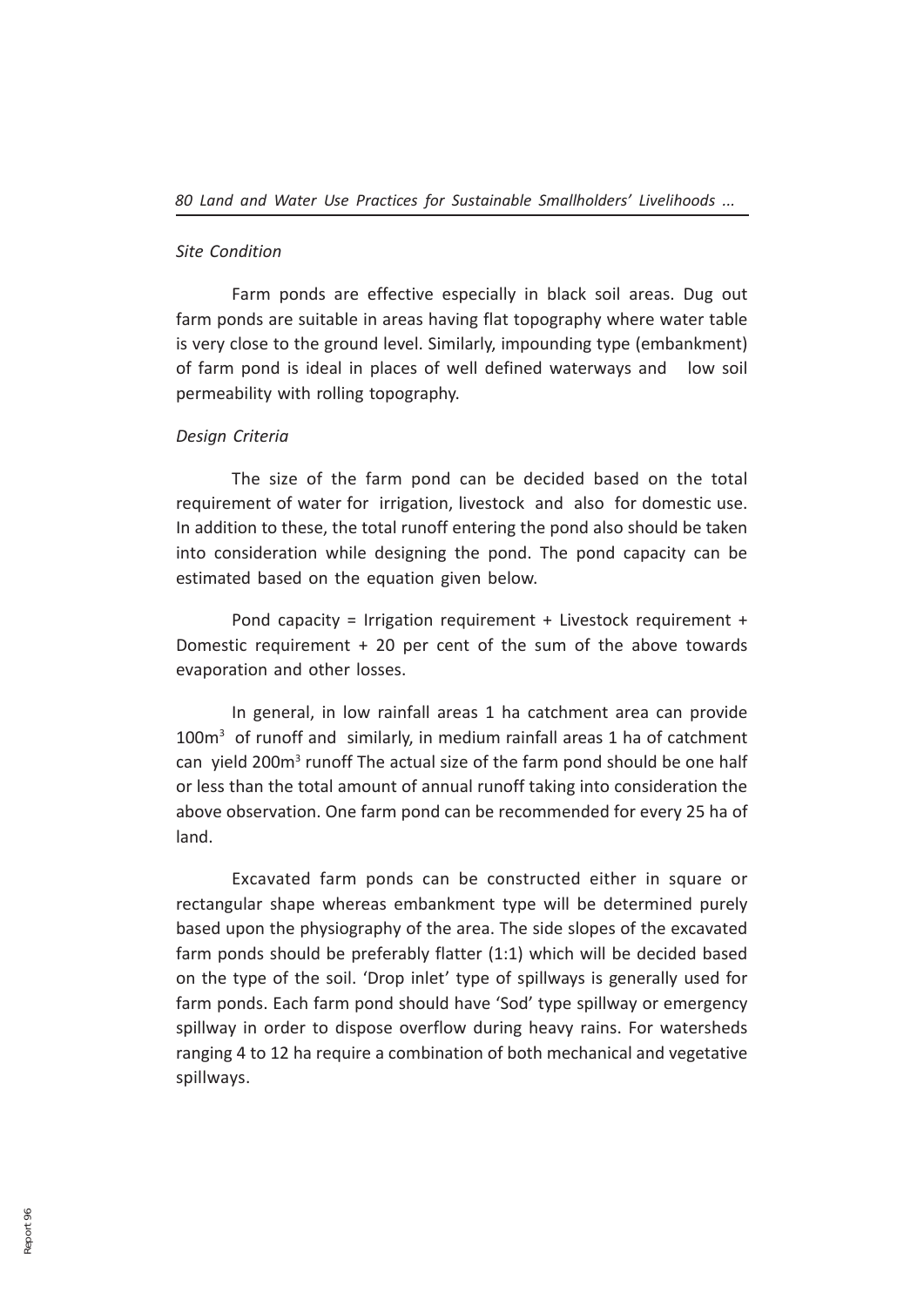#### *Site Condition*

Farm ponds are effective especially in black soil areas. Dug out farm ponds are suitable in areas having flat topography where water table is very close to the ground level. Similarly, impounding type (embankment) of farm pond is ideal in places of well defined waterways and low soil permeability with rolling topography.

## *Design Criteria*

The size of the farm pond can be decided based on the total requirement of water for irrigation, livestock and also for domestic use. In addition to these, the total runoff entering the pond also should be taken into consideration while designing the pond. The pond capacity can be estimated based on the equation given below.

Pond capacity = Irrigation requirement + Livestock requirement + Domestic requirement + 20 per cent of the sum of the above towards evaporation and other losses.

In general, in low rainfall areas 1 ha catchment area can provide 100m3 of runoff and similarly, in medium rainfall areas 1 ha of catchment can yield 200m<sup>3</sup> runoff The actual size of the farm pond should be one half or less than the total amount of annual runoff taking into consideration the above observation. One farm pond can be recommended for every 25 ha of land.

Excavated farm ponds can be constructed either in square or rectangular shape whereas embankment type will be determined purely based upon the physiography of the area. The side slopes of the excavated farm ponds should be preferably flatter (1:1) which will be decided based on the type of the soil. 'Drop inlet' type of spillways is generally used for farm ponds. Each farm pond should have 'Sod' type spillway or emergency spillway in order to dispose overflow during heavy rains. For watersheds ranging 4 to 12 ha require a combination of both mechanical and vegetative spillways.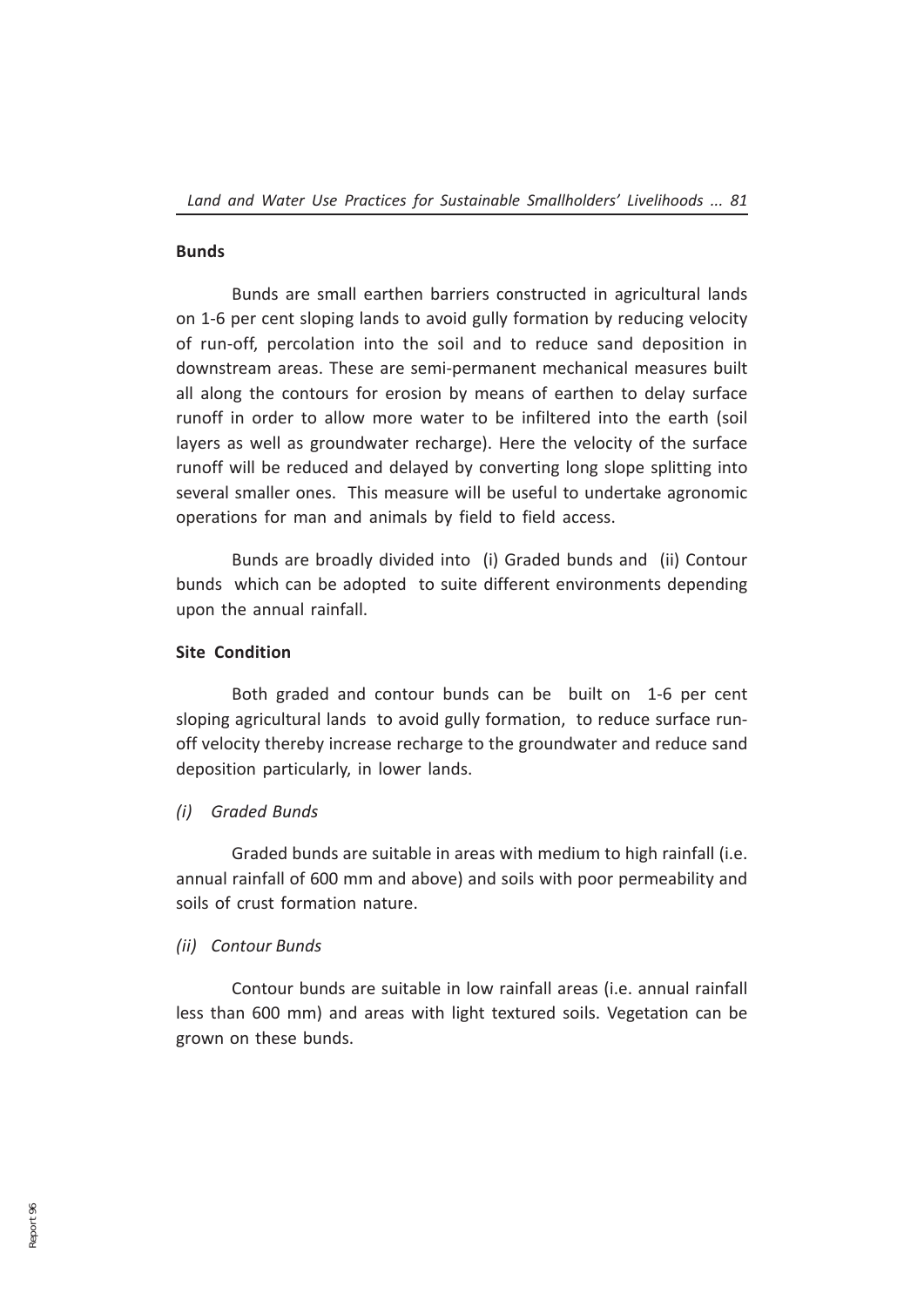## **Bunds**

Bunds are small earthen barriers constructed in agricultural lands on 1-6 per cent sloping lands to avoid gully formation by reducing velocity of run-off, percolation into the soil and to reduce sand deposition in downstream areas. These are semi-permanent mechanical measures built all along the contours for erosion by means of earthen to delay surface runoff in order to allow more water to be infiltered into the earth (soil layers as well as groundwater recharge). Here the velocity of the surface runoff will be reduced and delayed by converting long slope splitting into several smaller ones. This measure will be useful to undertake agronomic operations for man and animals by field to field access.

Bunds are broadly divided into (i) Graded bunds and (ii) Contour bunds which can be adopted to suite different environments depending upon the annual rainfall.

#### **Site Condition**

Both graded and contour bunds can be built on 1-6 per cent sloping agricultural lands to avoid gully formation, to reduce surface runoff velocity thereby increase recharge to the groundwater and reduce sand deposition particularly, in lower lands.

## *(i) Graded Bunds*

Graded bunds are suitable in areas with medium to high rainfall (i.e. annual rainfall of 600 mm and above) and soils with poor permeability and soils of crust formation nature.

## *(ii) Contour Bunds*

Contour bunds are suitable in low rainfall areas (i.e. annual rainfall less than 600 mm) and areas with light textured soils. Vegetation can be grown on these bunds.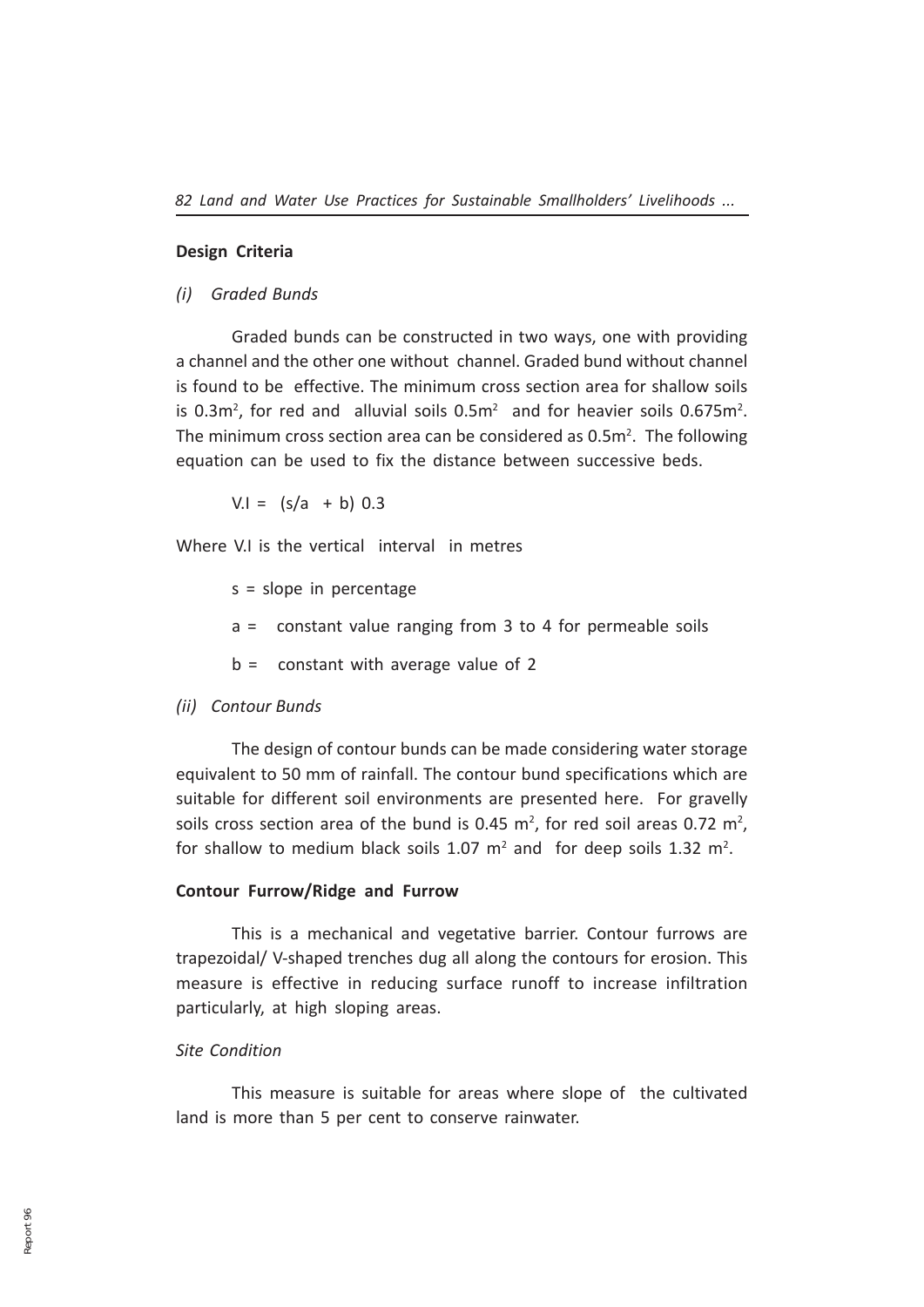#### **Design Criteria**

*(i) Graded Bunds*

Graded bunds can be constructed in two ways, one with providing a channel and the other one without channel. Graded bund without channel is found to be effective. The minimum cross section area for shallow soils is 0.3m<sup>2</sup>, for red and alluvial soils  $0.5m^2$  and for heavier soils  $0.675m^2$ . The minimum cross section area can be considered as  $0.5$ m<sup>2</sup>. The following equation can be used to fix the distance between successive beds.

$$
V.I = (s/a + b) 0.3
$$

Where V.I is the vertical interval in metres

s = slope in percentage

- a = constant value ranging from 3 to 4 for permeable soils
- $b =$  constant with average value of 2
- *(ii) Contour Bunds*

The design of contour bunds can be made considering water storage equivalent to 50 mm of rainfall. The contour bund specifications which are suitable for different soil environments are presented here. For gravelly soils cross section area of the bund is 0.45  $m^2$ , for red soil areas 0.72  $m^2$ , for shallow to medium black soils 1.07  $m^2$  and for deep soils 1.32  $m^2$ .

#### **Contour Furrow/Ridge and Furrow**

This is a mechanical and vegetative barrier. Contour furrows are trapezoidal/ V-shaped trenches dug all along the contours for erosion. This measure is effective in reducing surface runoff to increase infiltration particularly, at high sloping areas.

#### *Site Condition*

This measure is suitable for areas where slope of the cultivated land is more than 5 per cent to conserve rainwater.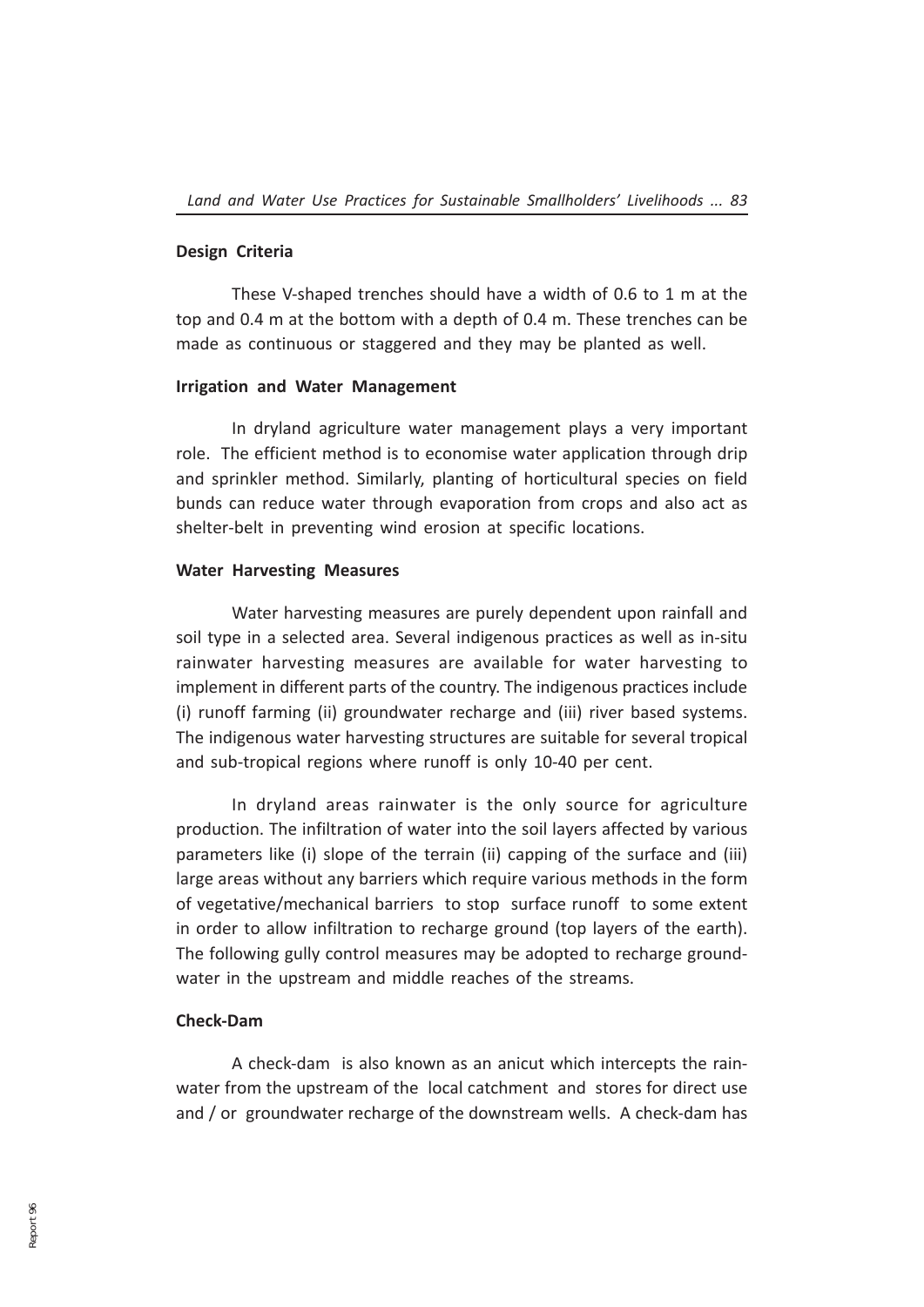#### **Design Criteria**

These V-shaped trenches should have a width of 0.6 to 1 m at the top and 0.4 m at the bottom with a depth of 0.4 m. These trenches can be made as continuous or staggered and they may be planted as well.

#### **Irrigation and Water Management**

In dryland agriculture water management plays a very important role. The efficient method is to economise water application through drip and sprinkler method. Similarly, planting of horticultural species on field bunds can reduce water through evaporation from crops and also act as shelter-belt in preventing wind erosion at specific locations.

#### **Water Harvesting Measures**

Water harvesting measures are purely dependent upon rainfall and soil type in a selected area. Several indigenous practices as well as in-situ rainwater harvesting measures are available for water harvesting to implement in different parts of the country. The indigenous practices include (i) runoff farming (ii) groundwater recharge and (iii) river based systems. The indigenous water harvesting structures are suitable for several tropical and sub-tropical regions where runoff is only 10-40 per cent.

In dryland areas rainwater is the only source for agriculture production. The infiltration of water into the soil layers affected by various parameters like (i) slope of the terrain (ii) capping of the surface and (iii) large areas without any barriers which require various methods in the form of vegetative/mechanical barriers to stop surface runoff to some extent in order to allow infiltration to recharge ground (top layers of the earth). The following gully control measures may be adopted to recharge groundwater in the upstream and middle reaches of the streams.

#### **Check-Dam**

A check-dam is also known as an anicut which intercepts the rainwater from the upstream of the local catchment and stores for direct use and / or groundwater recharge of the downstream wells. A check-dam has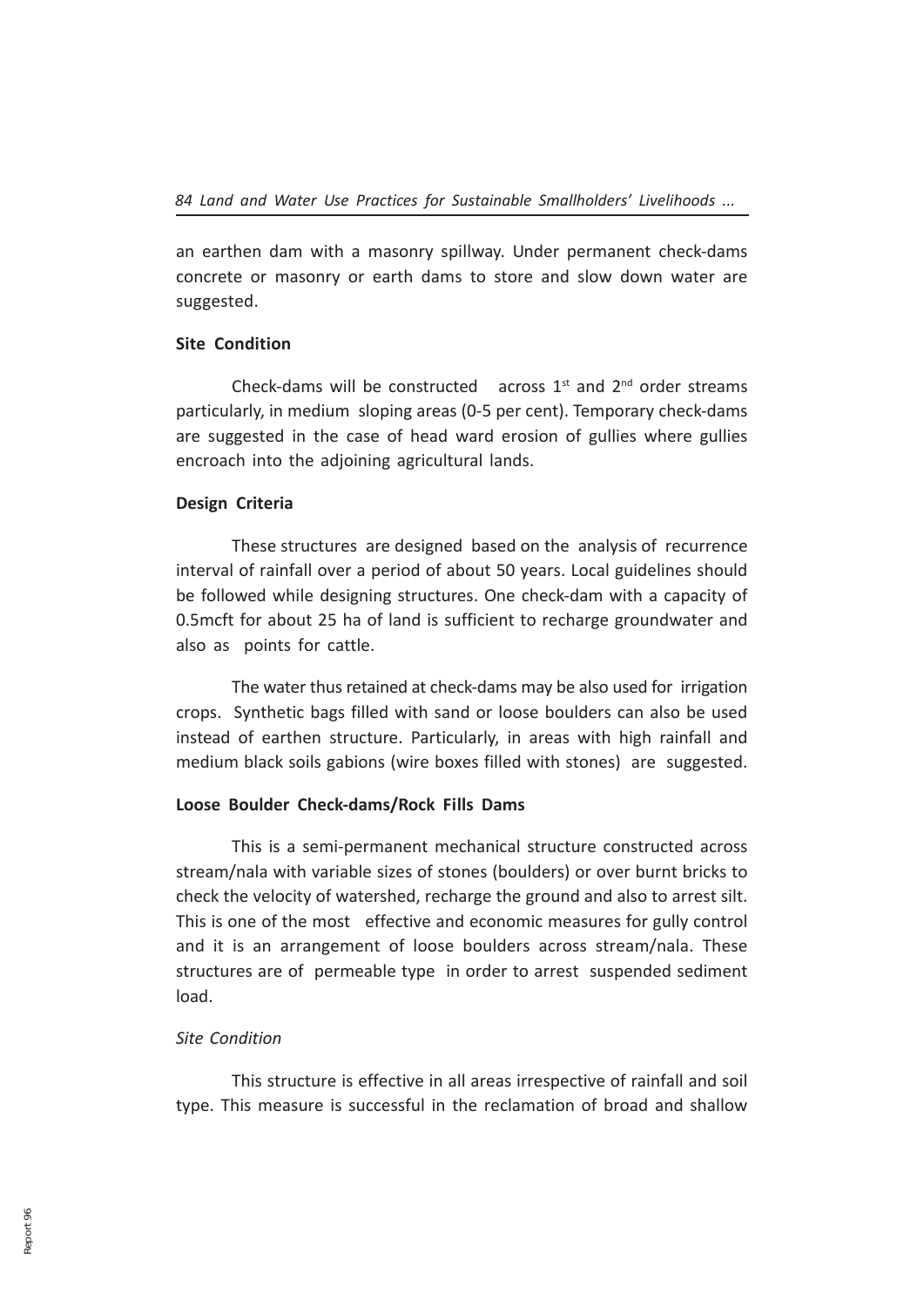an earthen dam with a masonry spillway. Under permanent check-dams concrete or masonry or earth dams to store and slow down water are suggested.

## **Site Condition**

Check-dams will be constructed across  $1^{st}$  and  $2^{nd}$  order streams particularly, in medium sloping areas (0-5 per cent). Temporary check-dams are suggested in the case of head ward erosion of gullies where gullies encroach into the adjoining agricultural lands.

## **Design Criteria**

These structures are designed based on the analysis of recurrence interval of rainfall over a period of about 50 years. Local guidelines should be followed while designing structures. One check-dam with a capacity of 0.5mcft for about 25 ha of land is sufficient to recharge groundwater and also as points for cattle.

The water thus retained at check-dams may be also used for irrigation crops. Synthetic bags filled with sand or loose boulders can also be used instead of earthen structure. Particularly, in areas with high rainfall and medium black soils gabions (wire boxes filled with stones) are suggested.

## **Loose Boulder Check-dams/Rock Fills Dams**

This is a semi-permanent mechanical structure constructed across stream/nala with variable sizes of stones (boulders) or over burnt bricks to check the velocity of watershed, recharge the ground and also to arrest silt. This is one of the most effective and economic measures for gully control and it is an arrangement of loose boulders across stream/nala. These structures are of permeable type in order to arrest suspended sediment load.

## *Site Condition*

This structure is effective in all areas irrespective of rainfall and soil type. This measure is successful in the reclamation of broad and shallow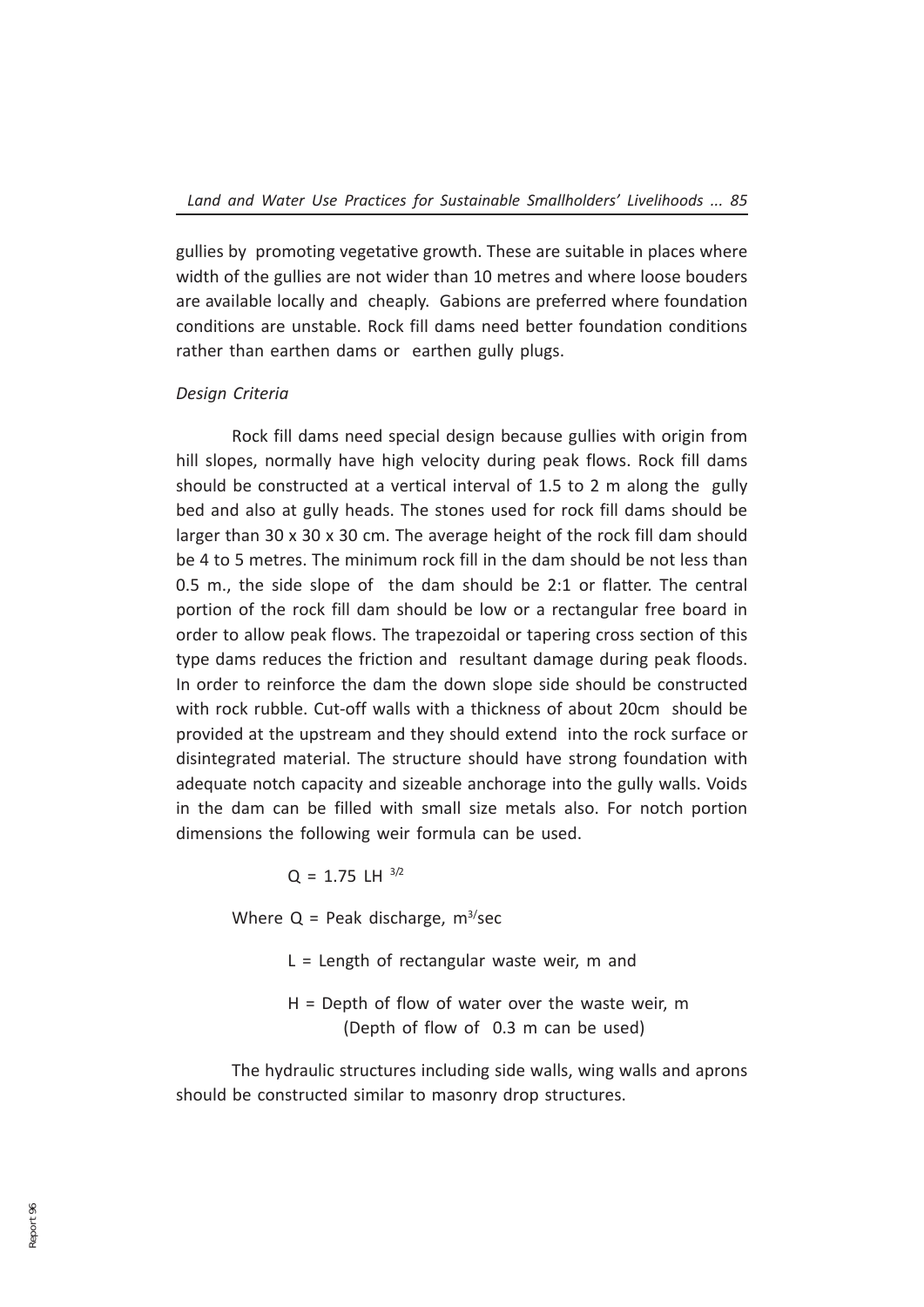gullies by promoting vegetative growth. These are suitable in places where width of the gullies are not wider than 10 metres and where loose bouders are available locally and cheaply. Gabions are preferred where foundation conditions are unstable. Rock fill dams need better foundation conditions rather than earthen dams or earthen gully plugs.

## *Design Criteria*

Rock fill dams need special design because gullies with origin from hill slopes, normally have high velocity during peak flows. Rock fill dams should be constructed at a vertical interval of 1.5 to 2 m along the gully bed and also at gully heads. The stones used for rock fill dams should be larger than 30 x 30 x 30 cm. The average height of the rock fill dam should be 4 to 5 metres. The minimum rock fill in the dam should be not less than 0.5 m., the side slope of the dam should be 2:1 or flatter. The central portion of the rock fill dam should be low or a rectangular free board in order to allow peak flows. The trapezoidal or tapering cross section of this type dams reduces the friction and resultant damage during peak floods. In order to reinforce the dam the down slope side should be constructed with rock rubble. Cut-off walls with a thickness of about 20cm should be provided at the upstream and they should extend into the rock surface or disintegrated material. The structure should have strong foundation with adequate notch capacity and sizeable anchorage into the gully walls. Voids in the dam can be filled with small size metals also. For notch portion dimensions the following weir formula can be used.

 $Q = 1.75$  LH  $^{3/2}$ 

Where  $Q =$  Peak discharge,  $m^{3}/sec$ 

- $L =$  Length of rectangular waste weir, m and
- $H =$  Depth of flow of water over the waste weir, m (Depth of flow of 0.3 m can be used)

The hydraulic structures including side walls, wing walls and aprons should be constructed similar to masonry drop structures.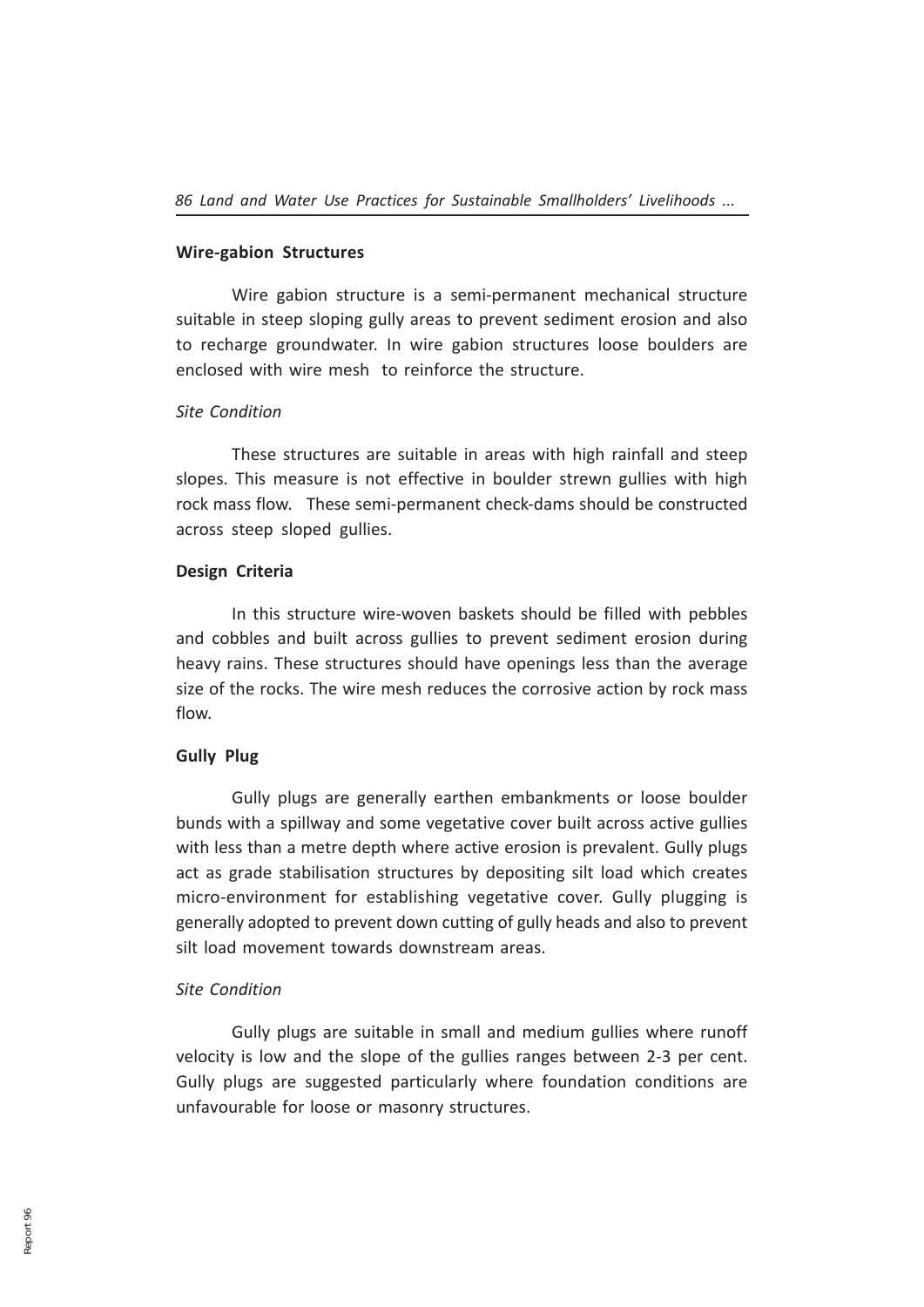#### **Wire-gabion Structures**

Wire gabion structure is a semi-permanent mechanical structure suitable in steep sloping gully areas to prevent sediment erosion and also to recharge groundwater. In wire gabion structures loose boulders are enclosed with wire mesh to reinforce the structure.

## *Site Condition*

These structures are suitable in areas with high rainfall and steep slopes. This measure is not effective in boulder strewn gullies with high rock mass flow. These semi-permanent check-dams should be constructed across steep sloped gullies.

## **Design Criteria**

In this structure wire-woven baskets should be filled with pebbles and cobbles and built across gullies to prevent sediment erosion during heavy rains. These structures should have openings less than the average size of the rocks. The wire mesh reduces the corrosive action by rock mass flow.

## **Gully Plug**

Gully plugs are generally earthen embankments or loose boulder bunds with a spillway and some vegetative cover built across active gullies with less than a metre depth where active erosion is prevalent. Gully plugs act as grade stabilisation structures by depositing silt load which creates micro-environment for establishing vegetative cover. Gully plugging is generally adopted to prevent down cutting of gully heads and also to prevent silt load movement towards downstream areas.

## *Site Condition*

Gully plugs are suitable in small and medium gullies where runoff velocity is low and the slope of the gullies ranges between 2-3 per cent. Gully plugs are suggested particularly where foundation conditions are unfavourable for loose or masonry structures.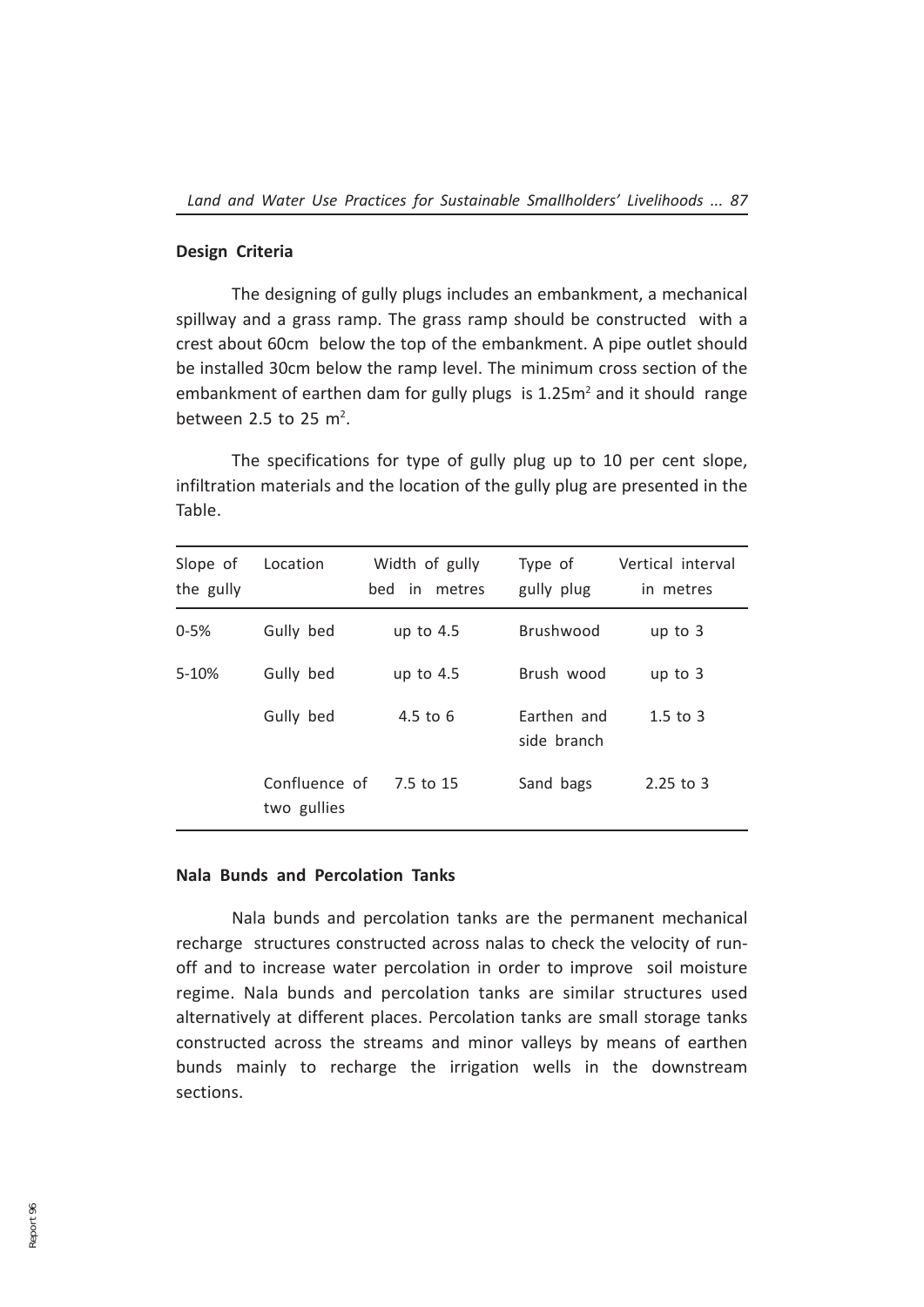#### **Design Criteria**

The designing of gully plugs includes an embankment, a mechanical spillway and a grass ramp. The grass ramp should be constructed with a crest about 60cm below the top of the embankment. A pipe outlet should be installed 30cm below the ramp level. The minimum cross section of the embankment of earthen dam for gully plugs is 1.25m<sup>2</sup> and it should range between 2.5 to 25  $m^2$ .

The specifications for type of gully plug up to 10 per cent slope, infiltration materials and the location of the gully plug are presented in the Table.

| Slope of<br>the gully | Location                     | Width of gully<br>in<br>bed<br>metres | Type of<br>gully plug      | Vertical interval<br>in metres |
|-----------------------|------------------------------|---------------------------------------|----------------------------|--------------------------------|
| $0 - 5%$              | Gully bed                    | up to $4.5$                           | Brushwood                  | up to $3$                      |
| $5 - 10%$             | Gully bed                    | up to $4.5$                           | Brush wood                 | up to $3$                      |
|                       | Gully bed                    | 4.5 to $6$                            | Farthen and<br>side branch | $1.5$ to $3$                   |
|                       | Confluence of<br>two gullies | 7.5 to 15                             | Sand bags                  | $2.25$ to 3                    |

#### **Nala Bunds and Percolation Tanks**

Nala bunds and percolation tanks are the permanent mechanical recharge structures constructed across nalas to check the velocity of runoff and to increase water percolation in order to improve soil moisture regime. Nala bunds and percolation tanks are similar structures used alternatively at different places. Percolation tanks are small storage tanks constructed across the streams and minor valleys by means of earthen bunds mainly to recharge the irrigation wells in the downstream sections.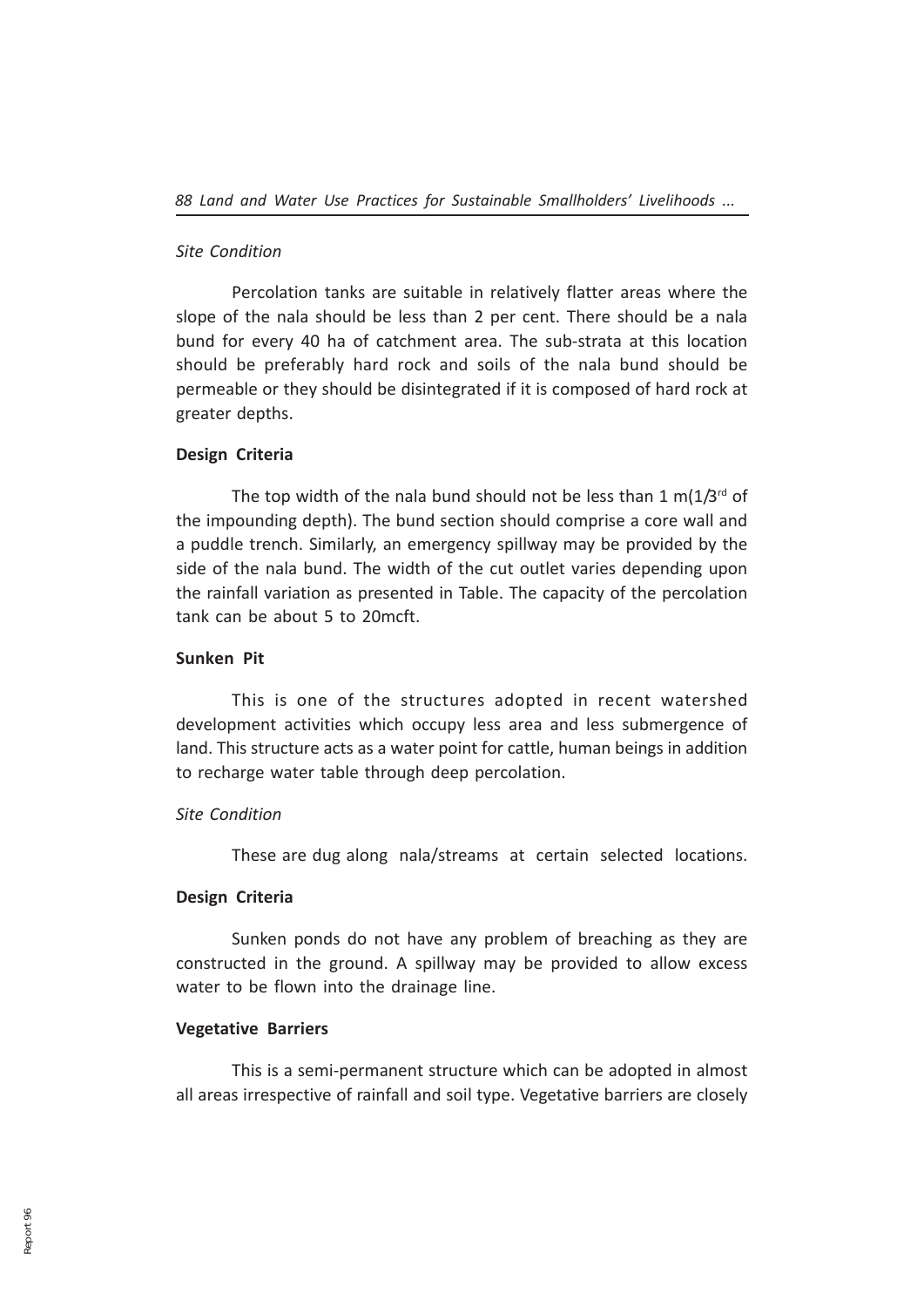## *Site Condition*

Percolation tanks are suitable in relatively flatter areas where the slope of the nala should be less than 2 per cent. There should be a nala bund for every 40 ha of catchment area. The sub-strata at this location should be preferably hard rock and soils of the nala bund should be permeable or they should be disintegrated if it is composed of hard rock at greater depths.

## **Design Criteria**

The top width of the nala bund should not be less than 1 m( $1/3$ <sup>rd</sup> of the impounding depth). The bund section should comprise a core wall and a puddle trench. Similarly, an emergency spillway may be provided by the side of the nala bund. The width of the cut outlet varies depending upon the rainfall variation as presented in Table. The capacity of the percolation tank can be about 5 to 20mcft.

#### **Sunken Pit**

This is one of the structures adopted in recent watershed development activities which occupy less area and less submergence of land. This structure acts as a water point for cattle, human beings in addition to recharge water table through deep percolation.

#### *Site Condition*

These are dug along nala/streams at certain selected locations.

#### **Design Criteria**

Sunken ponds do not have any problem of breaching as they are constructed in the ground. A spillway may be provided to allow excess water to be flown into the drainage line.

#### **Vegetative Barriers**

This is a semi-permanent structure which can be adopted in almost all areas irrespective of rainfall and soil type. Vegetative barriers are closely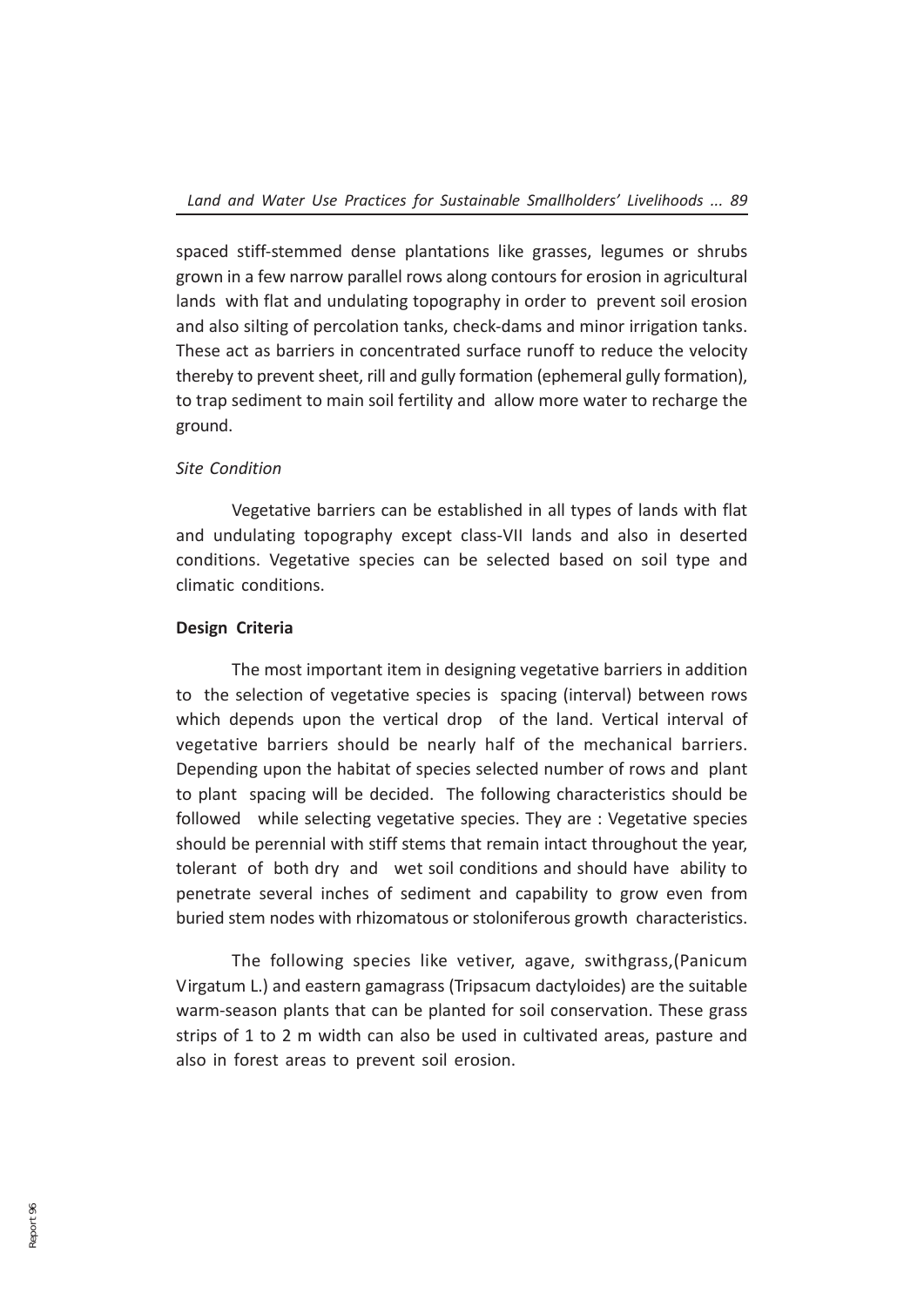spaced stiff-stemmed dense plantations like grasses, legumes or shrubs grown in a few narrow parallel rows along contours for erosion in agricultural lands with flat and undulating topography in order to prevent soil erosion and also silting of percolation tanks, check-dams and minor irrigation tanks. These act as barriers in concentrated surface runoff to reduce the velocity thereby to prevent sheet, rill and gully formation (ephemeral gully formation), to trap sediment to main soil fertility and allow more water to recharge the ground.

## *Site Condition*

Vegetative barriers can be established in all types of lands with flat and undulating topography except class-VII lands and also in deserted conditions. Vegetative species can be selected based on soil type and climatic conditions.

## **Design Criteria**

The most important item in designing vegetative barriers in addition to the selection of vegetative species is spacing (interval) between rows which depends upon the vertical drop of the land. Vertical interval of vegetative barriers should be nearly half of the mechanical barriers. Depending upon the habitat of species selected number of rows and plant to plant spacing will be decided. The following characteristics should be followed while selecting vegetative species. They are : Vegetative species should be perennial with stiff stems that remain intact throughout the year, tolerant of both dry and wet soil conditions and should have ability to penetrate several inches of sediment and capability to grow even from buried stem nodes with rhizomatous or stoloniferous growth characteristics.

The following species like vetiver, agave, swithgrass,(Panicum Virgatum L.) and eastern gamagrass (Tripsacum dactyloides) are the suitable warm-season plants that can be planted for soil conservation. These grass strips of 1 to 2 m width can also be used in cultivated areas, pasture and also in forest areas to prevent soil erosion.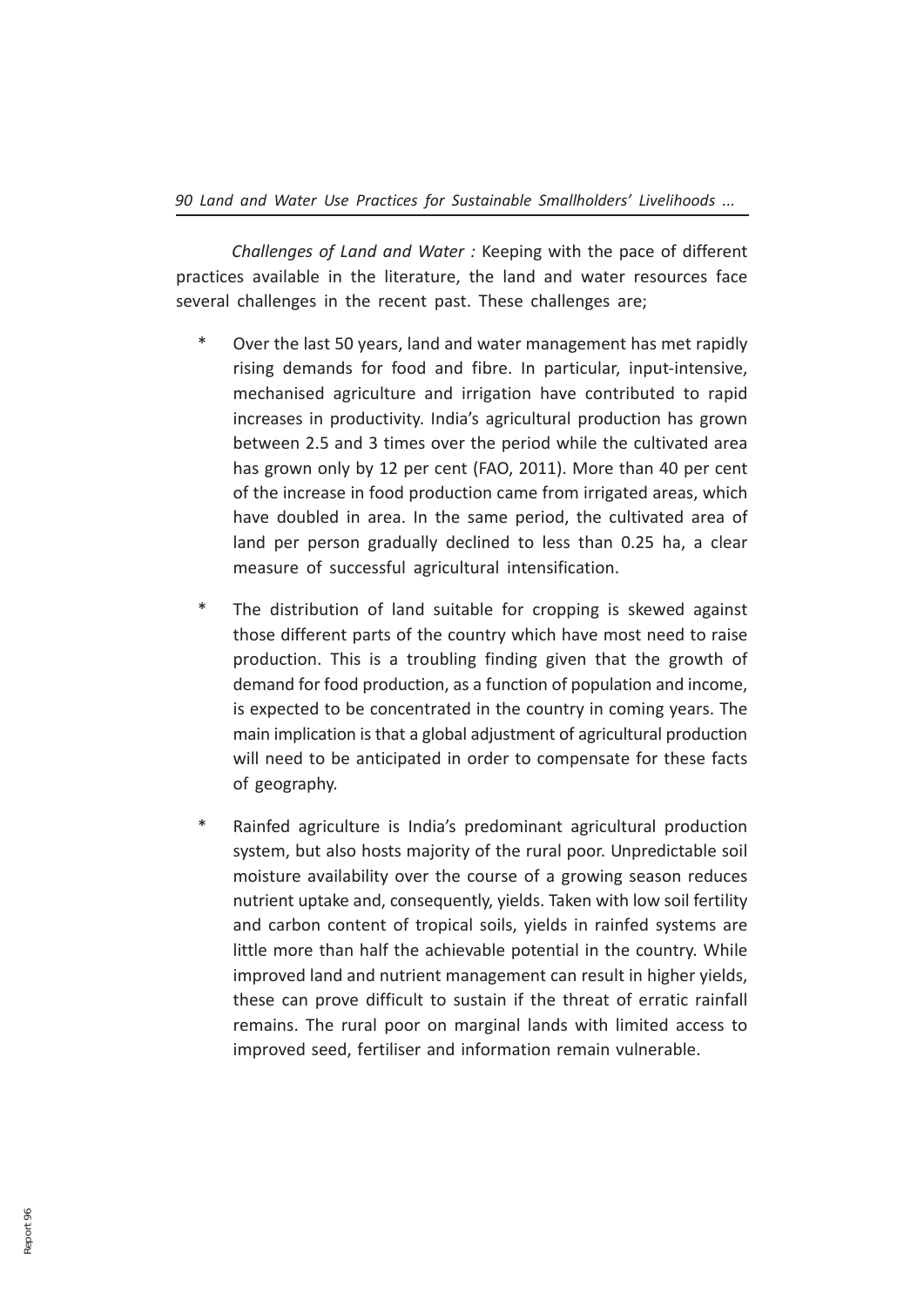*Challenges of Land and Water :* Keeping with the pace of different practices available in the literature, the land and water resources face several challenges in the recent past. These challenges are;

- \* Over the last 50 years, land and water management has met rapidly rising demands for food and fibre. In particular, input-intensive, mechanised agriculture and irrigation have contributed to rapid increases in productivity. India's agricultural production has grown between 2.5 and 3 times over the period while the cultivated area has grown only by 12 per cent (FAO, 2011). More than 40 per cent of the increase in food production came from irrigated areas, which have doubled in area. In the same period, the cultivated area of land per person gradually declined to less than 0.25 ha, a clear measure of successful agricultural intensification.
- \* The distribution of land suitable for cropping is skewed against those different parts of the country which have most need to raise production. This is a troubling finding given that the growth of demand for food production, as a function of population and income, is expected to be concentrated in the country in coming years. The main implication is that a global adjustment of agricultural production will need to be anticipated in order to compensate for these facts of geography.
- Rainfed agriculture is India's predominant agricultural production system, but also hosts majority of the rural poor. Unpredictable soil moisture availability over the course of a growing season reduces nutrient uptake and, consequently, yields. Taken with low soil fertility and carbon content of tropical soils, yields in rainfed systems are little more than half the achievable potential in the country. While improved land and nutrient management can result in higher yields, these can prove difficult to sustain if the threat of erratic rainfall remains. The rural poor on marginal lands with limited access to improved seed, fertiliser and information remain vulnerable.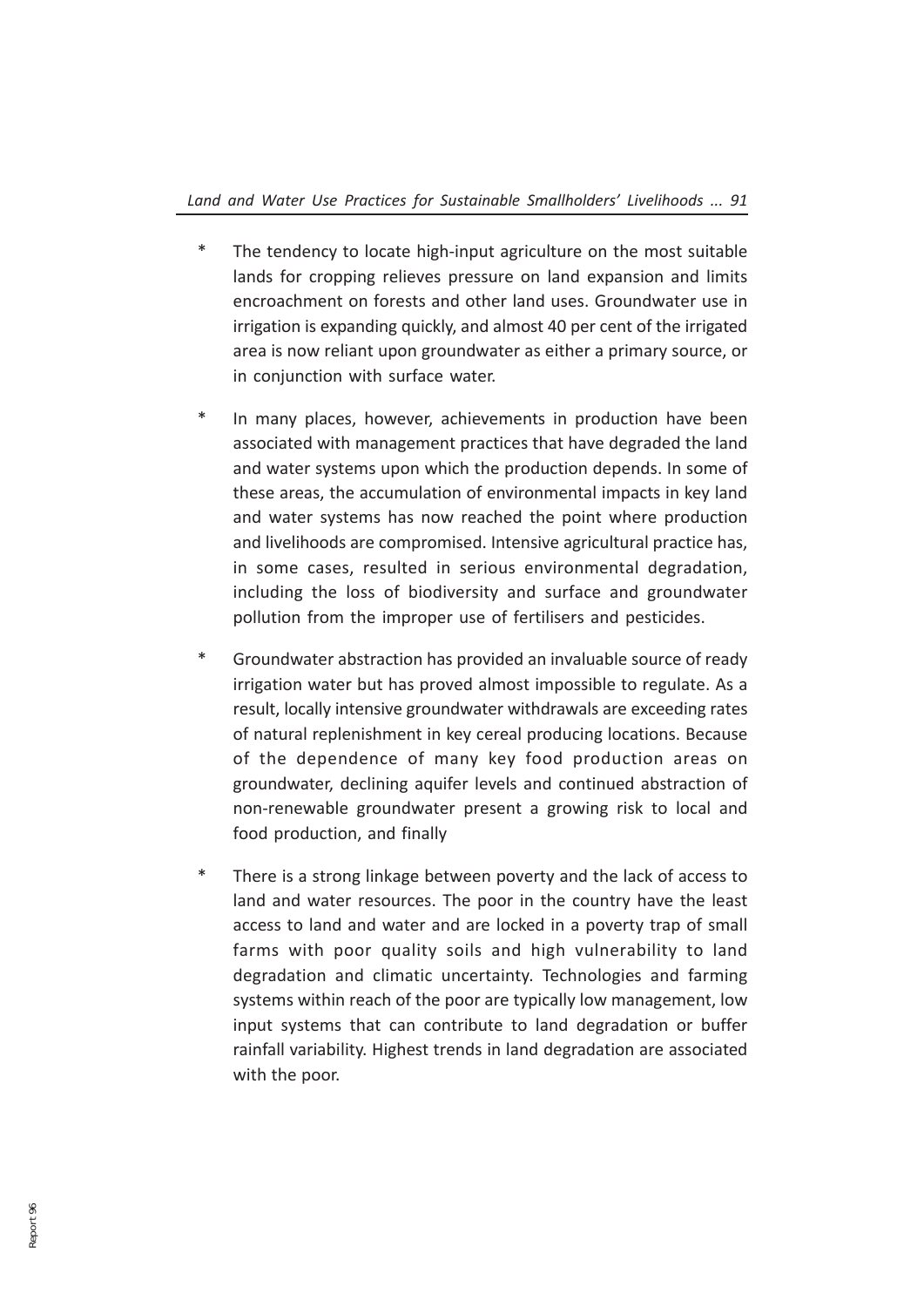- \* The tendency to locate high-input agriculture on the most suitable lands for cropping relieves pressure on land expansion and limits encroachment on forests and other land uses. Groundwater use in irrigation is expanding quickly, and almost 40 per cent of the irrigated area is now reliant upon groundwater as either a primary source, or in conjunction with surface water.
- \* In many places, however, achievements in production have been associated with management practices that have degraded the land and water systems upon which the production depends. In some of these areas, the accumulation of environmental impacts in key land and water systems has now reached the point where production and livelihoods are compromised. Intensive agricultural practice has, in some cases, resulted in serious environmental degradation, including the loss of biodiversity and surface and groundwater pollution from the improper use of fertilisers and pesticides.
- \* Groundwater abstraction has provided an invaluable source of ready irrigation water but has proved almost impossible to regulate. As a result, locally intensive groundwater withdrawals are exceeding rates of natural replenishment in key cereal producing locations. Because of the dependence of many key food production areas on groundwater, declining aquifer levels and continued abstraction of non-renewable groundwater present a growing risk to local and food production, and finally
- \* There is a strong linkage between poverty and the lack of access to land and water resources. The poor in the country have the least access to land and water and are locked in a poverty trap of small farms with poor quality soils and high vulnerability to land degradation and climatic uncertainty. Technologies and farming systems within reach of the poor are typically low management, low input systems that can contribute to land degradation or buffer rainfall variability. Highest trends in land degradation are associated with the poor.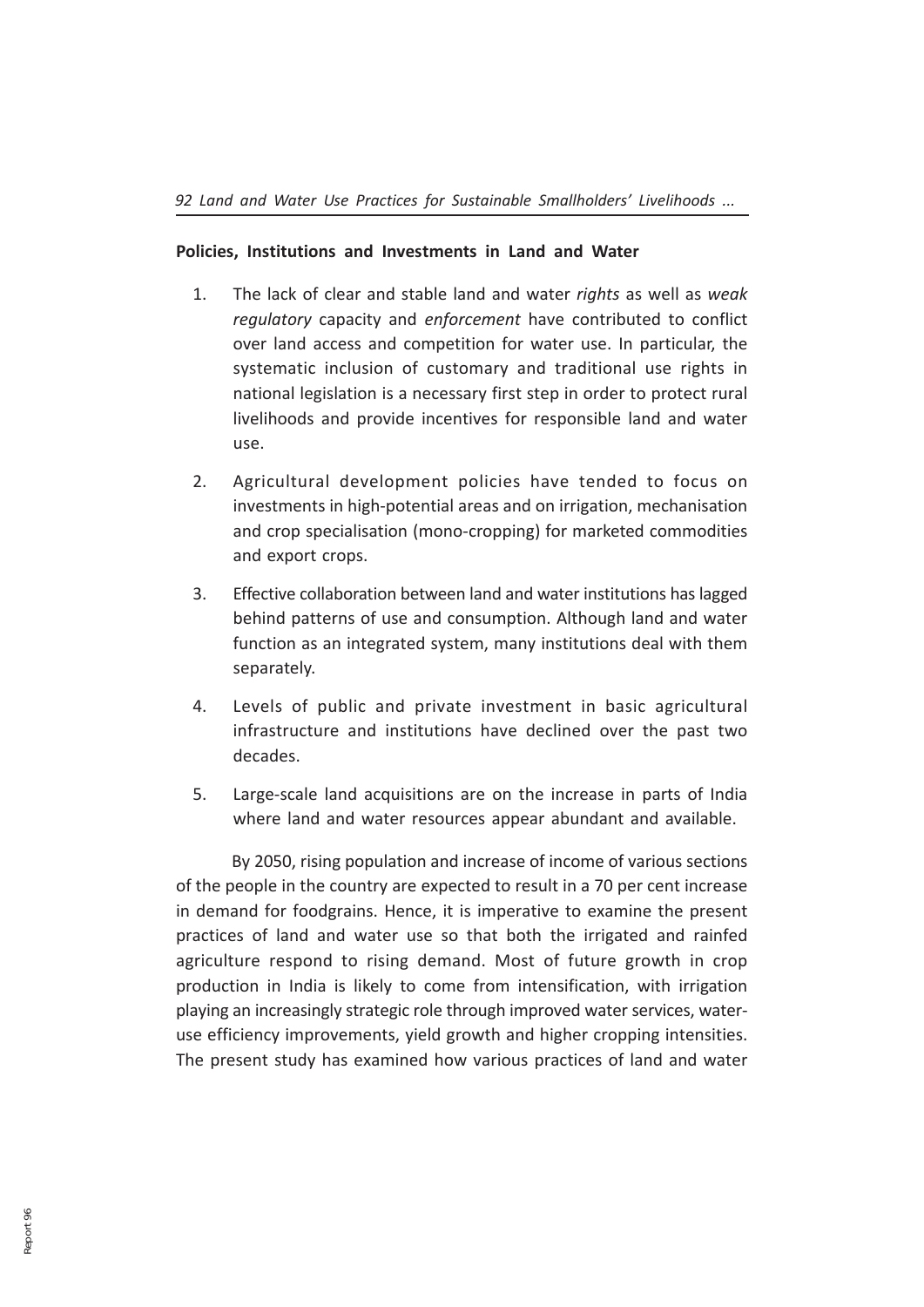## **Policies, Institutions and Investments in Land and Water**

- 1. The lack of clear and stable land and water *rights* as well as *weak regulatory* capacity and *enforcement* have contributed to conflict over land access and competition for water use. In particular, the systematic inclusion of customary and traditional use rights in national legislation is a necessary first step in order to protect rural livelihoods and provide incentives for responsible land and water use.
- 2. Agricultural development policies have tended to focus on investments in high-potential areas and on irrigation, mechanisation and crop specialisation (mono-cropping) for marketed commodities and export crops.
- 3. Effective collaboration between land and water institutions has lagged behind patterns of use and consumption. Although land and water function as an integrated system, many institutions deal with them separately.
- 4. Levels of public and private investment in basic agricultural infrastructure and institutions have declined over the past two decades.
- 5. Large-scale land acquisitions are on the increase in parts of India where land and water resources appear abundant and available.

By 2050, rising population and increase of income of various sections of the people in the country are expected to result in a 70 per cent increase in demand for foodgrains. Hence, it is imperative to examine the present practices of land and water use so that both the irrigated and rainfed agriculture respond to rising demand. Most of future growth in crop production in India is likely to come from intensification, with irrigation playing an increasingly strategic role through improved water services, wateruse efficiency improvements, yield growth and higher cropping intensities. The present study has examined how various practices of land and water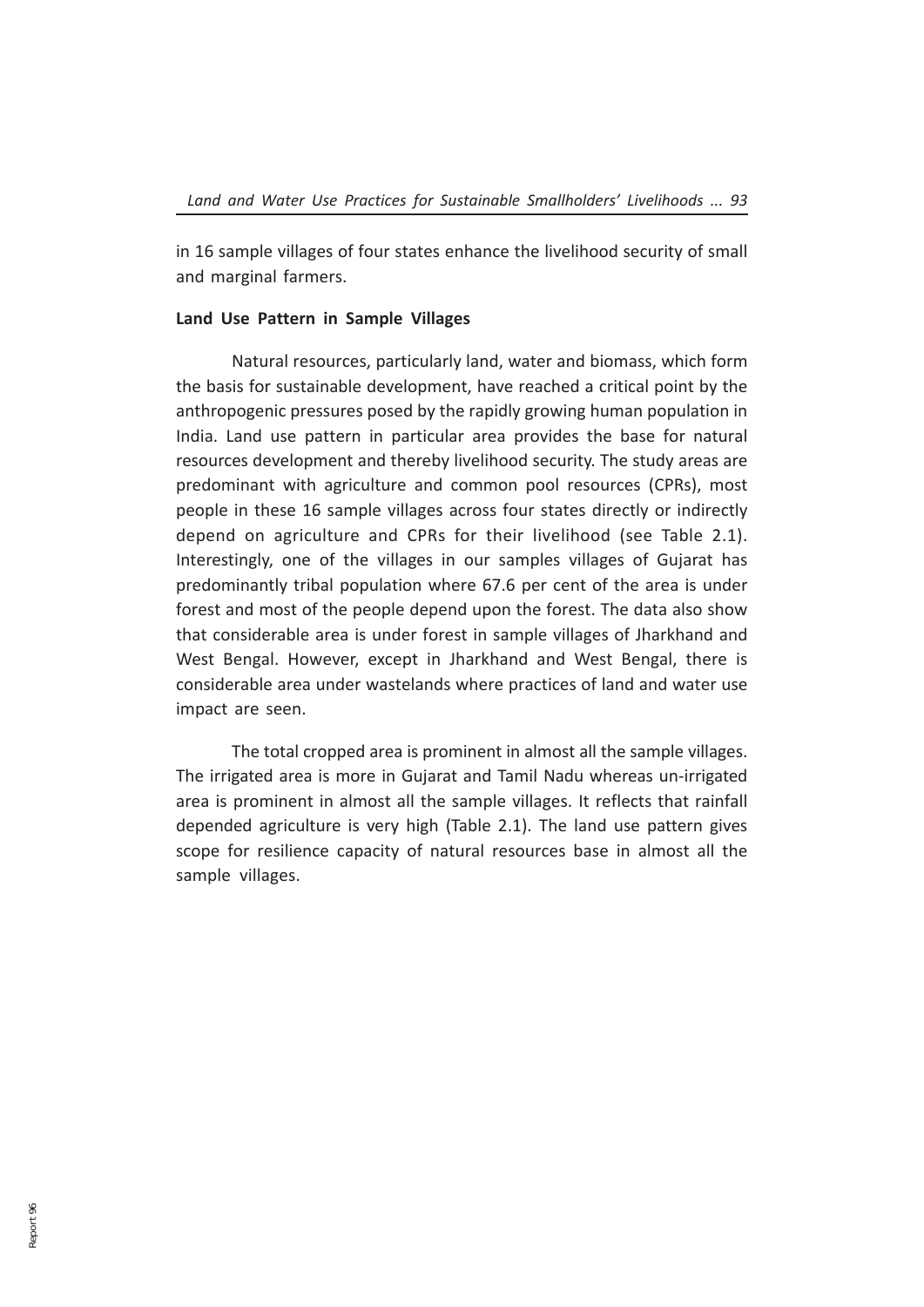in 16 sample villages of four states enhance the livelihood security of small and marginal farmers.

## **Land Use Pattern in Sample Villages**

Natural resources, particularly land, water and biomass, which form the basis for sustainable development, have reached a critical point by the anthropogenic pressures posed by the rapidly growing human population in India. Land use pattern in particular area provides the base for natural resources development and thereby livelihood security. The study areas are predominant with agriculture and common pool resources (CPRs), most people in these 16 sample villages across four states directly or indirectly depend on agriculture and CPRs for their livelihood (see Table 2.1). Interestingly, one of the villages in our samples villages of Gujarat has predominantly tribal population where 67.6 per cent of the area is under forest and most of the people depend upon the forest. The data also show that considerable area is under forest in sample villages of Jharkhand and West Bengal. However, except in Jharkhand and West Bengal, there is considerable area under wastelands where practices of land and water use impact are seen.

The total cropped area is prominent in almost all the sample villages. The irrigated area is more in Gujarat and Tamil Nadu whereas un-irrigated area is prominent in almost all the sample villages. It reflects that rainfall depended agriculture is very high (Table 2.1). The land use pattern gives scope for resilience capacity of natural resources base in almost all the sample villages.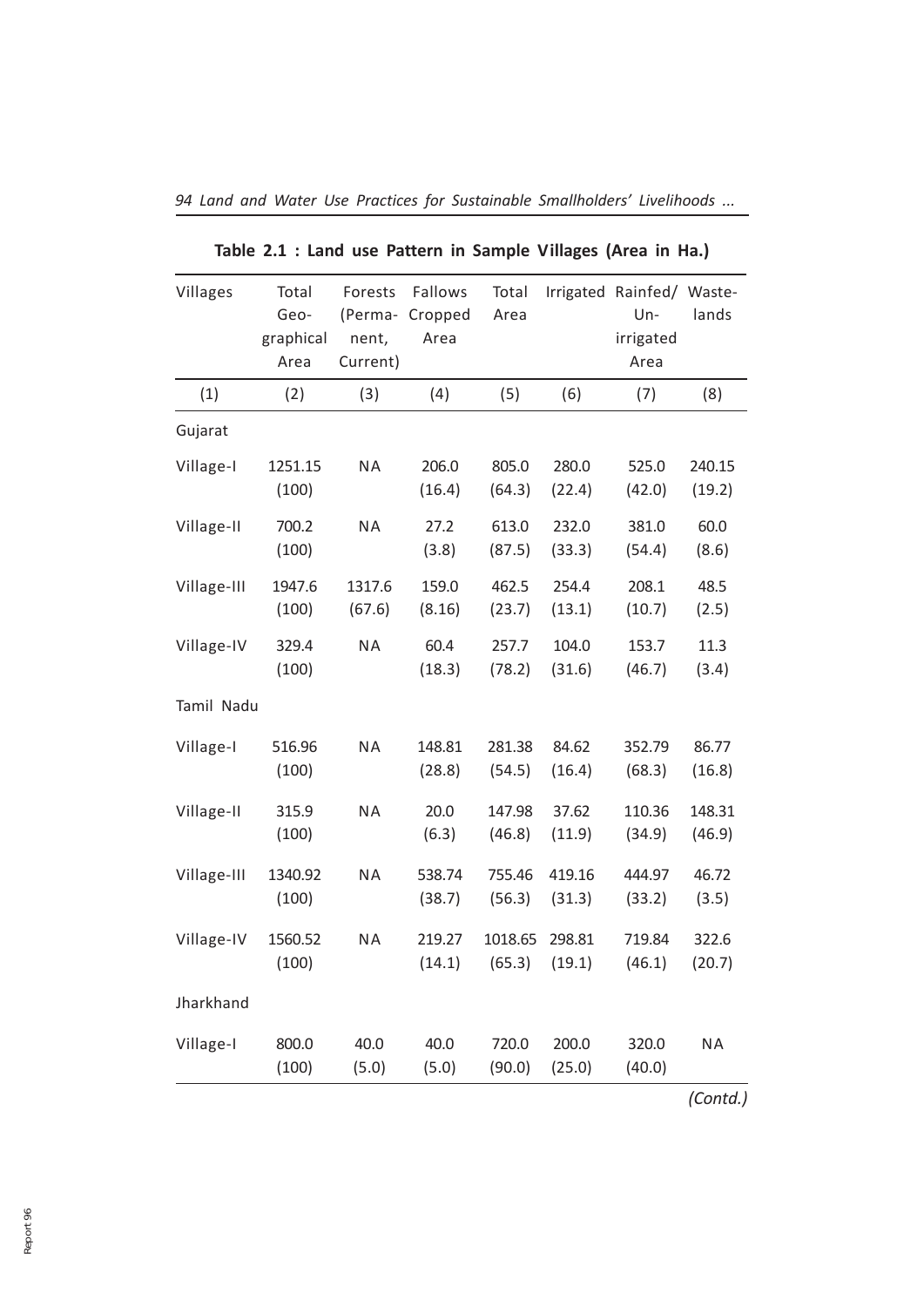| Villages    | Total     | Forests   | Fallows | Total   |        | Irrigated Rainfed/ Waste- |           |
|-------------|-----------|-----------|---------|---------|--------|---------------------------|-----------|
|             | Geo-      | (Perma-   | Cropped | Area    |        | Un-                       | lands     |
|             | graphical | nent,     | Area    |         |        | irrigated                 |           |
|             | Area      | Current)  |         |         |        | Area                      |           |
| (1)         | (2)       | (3)       | (4)     | (5)     | (6)    | (7)                       | (8)       |
| Gujarat     |           |           |         |         |        |                           |           |
| Village-I   | 1251.15   | <b>NA</b> | 206.0   | 805.0   | 280.0  | 525.0                     | 240.15    |
|             | (100)     |           | (16.4)  | (64.3)  | (22.4) | (42.0)                    | (19.2)    |
| Village-II  | 700.2     | <b>NA</b> | 27.2    | 613.0   | 232.0  | 381.0                     | 60.0      |
|             | (100)     |           | (3.8)   | (87.5)  | (33.3) | (54.4)                    | (8.6)     |
| Village-III | 1947.6    | 1317.6    | 159.0   | 462.5   | 254.4  | 208.1                     | 48.5      |
|             | (100)     | (67.6)    | (8.16)  | (23.7)  | (13.1) | (10.7)                    | (2.5)     |
| Village-IV  | 329.4     | <b>NA</b> | 60.4    | 257.7   | 104.0  | 153.7                     | 11.3      |
|             | (100)     |           | (18.3)  | (78.2)  | (31.6) | (46.7)                    | (3.4)     |
| Tamil Nadu  |           |           |         |         |        |                           |           |
| Village-I   | 516.96    | <b>NA</b> | 148.81  | 281.38  | 84.62  | 352.79                    | 86.77     |
|             | (100)     |           | (28.8)  | (54.5)  | (16.4) | (68.3)                    | (16.8)    |
| Village-II  | 315.9     | <b>NA</b> | 20.0    | 147.98  | 37.62  | 110.36                    | 148.31    |
|             | (100)     |           | (6.3)   | (46.8)  | (11.9) | (34.9)                    | (46.9)    |
| Village-III | 1340.92   | <b>NA</b> | 538.74  | 755.46  | 419.16 | 444.97                    | 46.72     |
|             | (100)     |           | (38.7)  | (56.3)  | (31.3) | (33.2)                    | (3.5)     |
| Village-IV  | 1560.52   | <b>NA</b> | 219.27  | 1018.65 | 298.81 | 719.84                    | 322.6     |
|             | (100)     |           | (14.1)  | (65.3)  | (19.1) | (46.1)                    | (20.7)    |
| Jharkhand   |           |           |         |         |        |                           |           |
| Village-I   | 800.0     | 40.0      | 40.0    | 720.0   | 200.0  | 320.0                     | <b>NA</b> |
|             | (100)     | (5.0)     | (5.0)   | (90.0)  | (25.0) | (40.0)                    |           |

**Table 2.1 : Land use Pattern in Sample Villages (Area in Ha.)**

*(Contd.)*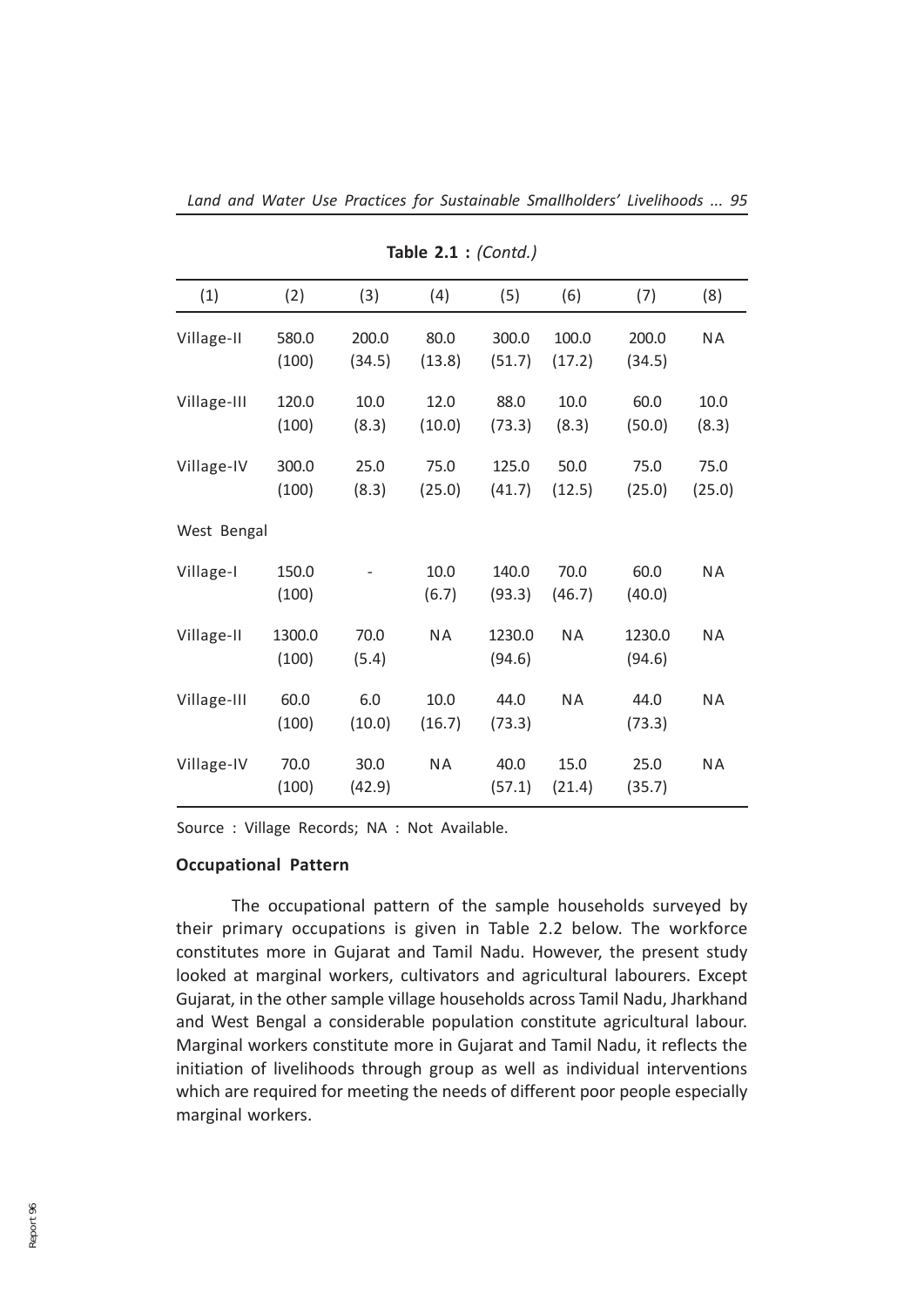| (1)         | (2)             | (3)             | (4)            | (5)              | (6)             | (7)              | (8)            |
|-------------|-----------------|-----------------|----------------|------------------|-----------------|------------------|----------------|
| Village-II  | 580.0<br>(100)  | 200.0<br>(34.5) | 80.0<br>(13.8) | 300.0<br>(51.7)  | 100.0<br>(17.2) | 200.0<br>(34.5)  | <b>NA</b>      |
| Village-III | 120.0<br>(100)  | 10.0<br>(8.3)   | 12.0<br>(10.0) | 88.0<br>(73.3)   | 10.0<br>(8.3)   | 60.0<br>(50.0)   | 10.0<br>(8.3)  |
| Village-IV  | 300.0<br>(100)  | 25.0<br>(8.3)   | 75.0<br>(25.0) | 125.0<br>(41.7)  | 50.0<br>(12.5)  | 75.0<br>(25.0)   | 75.0<br>(25.0) |
| West Bengal |                 |                 |                |                  |                 |                  |                |
| Village-I   | 150.0<br>(100)  |                 | 10.0<br>(6.7)  | 140.0<br>(93.3)  | 70.0<br>(46.7)  | 60.0<br>(40.0)   | <b>NA</b>      |
| Village-II  | 1300.0<br>(100) | 70.0<br>(5.4)   | <b>NA</b>      | 1230.0<br>(94.6) | <b>NA</b>       | 1230.0<br>(94.6) | <b>NA</b>      |
| Village-III | 60.0<br>(100)   | 6.0<br>(10.0)   | 10.0<br>(16.7) | 44.0<br>(73.3)   | <b>NA</b>       | 44.0<br>(73.3)   | <b>NA</b>      |
| Village-IV  | 70.0<br>(100)   | 30.0<br>(42.9)  | <b>NA</b>      | 40.0<br>(57.1)   | 15.0<br>(21.4)  | 25.0<br>(35.7)   | <b>NA</b>      |

*Land and Water Use Practices for Sustainable Smallholders' Livelihoods ... 95*

**Table 2.1 :** *(Contd.)*

Source : Village Records; NA : Not Available.

# **Occupational Pattern**

The occupational pattern of the sample households surveyed by their primary occupations is given in Table 2.2 below. The workforce constitutes more in Gujarat and Tamil Nadu. However, the present study looked at marginal workers, cultivators and agricultural labourers. Except Gujarat, in the other sample village households across Tamil Nadu, Jharkhand and West Bengal a considerable population constitute agricultural labour. Marginal workers constitute more in Gujarat and Tamil Nadu, it reflects the initiation of livelihoods through group as well as individual interventions which are required for meeting the needs of different poor people especially marginal workers.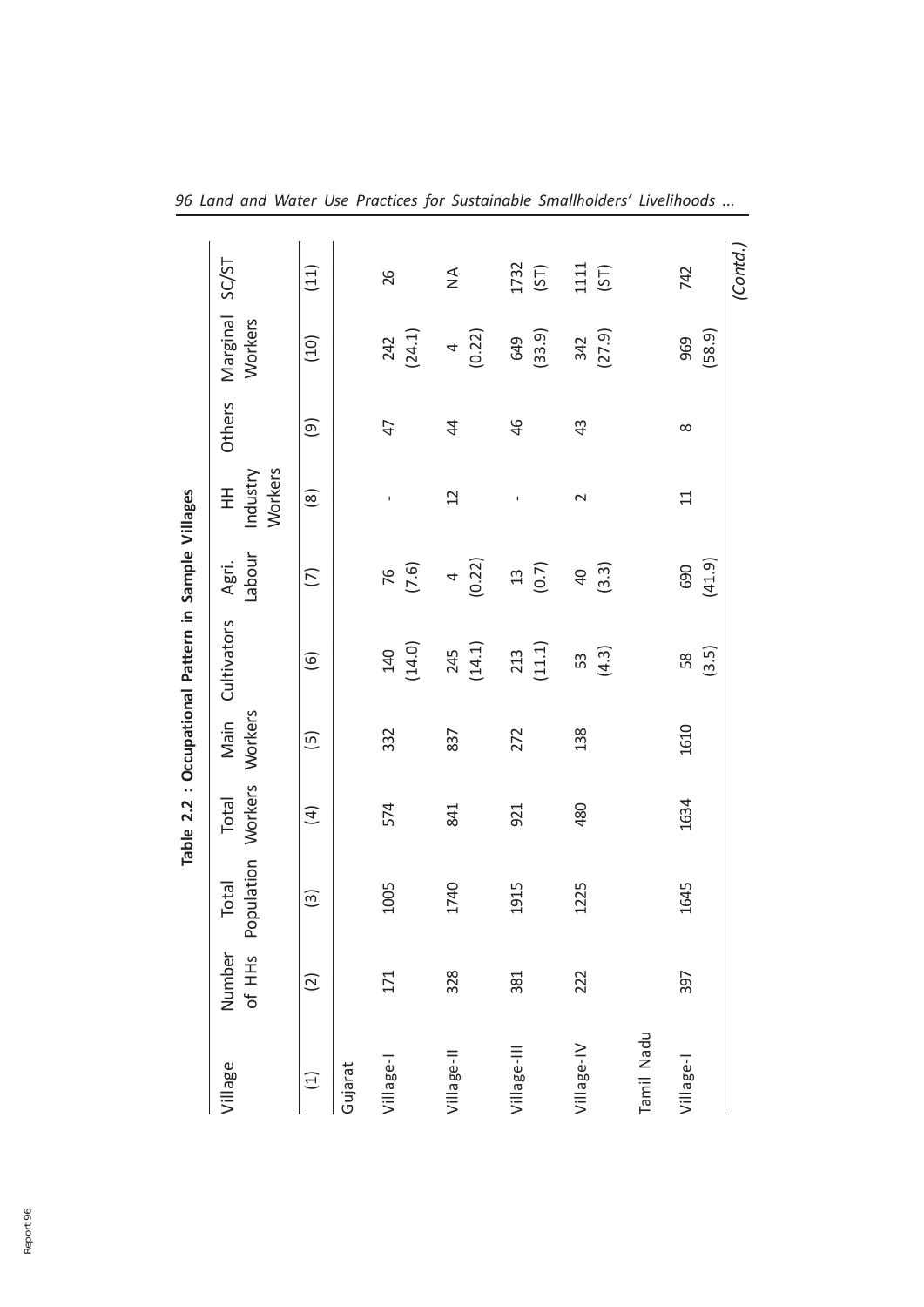|             |                              |                                    |                   |                 | Table 2.2 : Occupational Pattern in Sample Villages |                          |                          |                          |                                    |                |
|-------------|------------------------------|------------------------------------|-------------------|-----------------|-----------------------------------------------------|--------------------------|--------------------------|--------------------------|------------------------------------|----------------|
| Village     | Number<br>of HH <sub>S</sub> | Population Workers<br><b>Total</b> | <b>Total</b>      | Main<br>Workers | Cultivators                                         | Labour<br>Agri.          | Industry<br>Workers<br>E | Others                   | Marginal SC/ST<br>Workers          |                |
| ヨ           | $\widehat{c}$                | $\left( \frac{3}{2} \right)$       | $\left( 4\right)$ | $\overline{5}$  | $\widetilde{\Theta}$                                | $\overline{\mathcal{L}}$ | $\circledg$              | $\widehat{\mathfrak{g}}$ | (10)                               | (11)           |
| Gujarat     |                              |                                    |                   |                 |                                                     |                          |                          |                          |                                    |                |
| Village-I   | 171                          | 1005                               | 574               | 332             | (14.0)<br>140                                       | (7.6)<br>76              | ı                        | 47                       | $242$<br>(24.1)                    | 26             |
| Village-II  | 328                          | 1740                               | 841               | 837             | (14.1)<br>245                                       | (0.22)<br>4              | $\overline{u}$           | 4                        | (0.22)<br>$\overline{\phantom{a}}$ | $\frac{4}{2}$  |
| Village-III | 381                          | 1915                               | 921               | 272             | (11.1)<br>213                                       | (0.7)<br>$\mathfrak{U}$  | $\mathbf I$              | சி                       | (33.9)<br>649                      | 1732<br>(5T)   |
| Village-IV  | 222                          | 1225                               | 480               | 138             | (4.3)<br>53                                         | (3.3)<br>$\overline{a}$  | $\sim$                   | \$                       | (27.9)<br>342                      | $1111$<br>(ST) |
| Tamil Nadu  |                              |                                    |                   |                 |                                                     |                          |                          |                          |                                    |                |
| Village-I   | 397                          | 1645                               | 1634              | 1610            | (3.5)<br>58                                         | (41.9)<br>690            | $\Xi$                    | $\infty$                 | (58.9)<br>969                      | 742            |
|             |                              |                                    |                   |                 |                                                     |                          |                          |                          |                                    | (Contd.)       |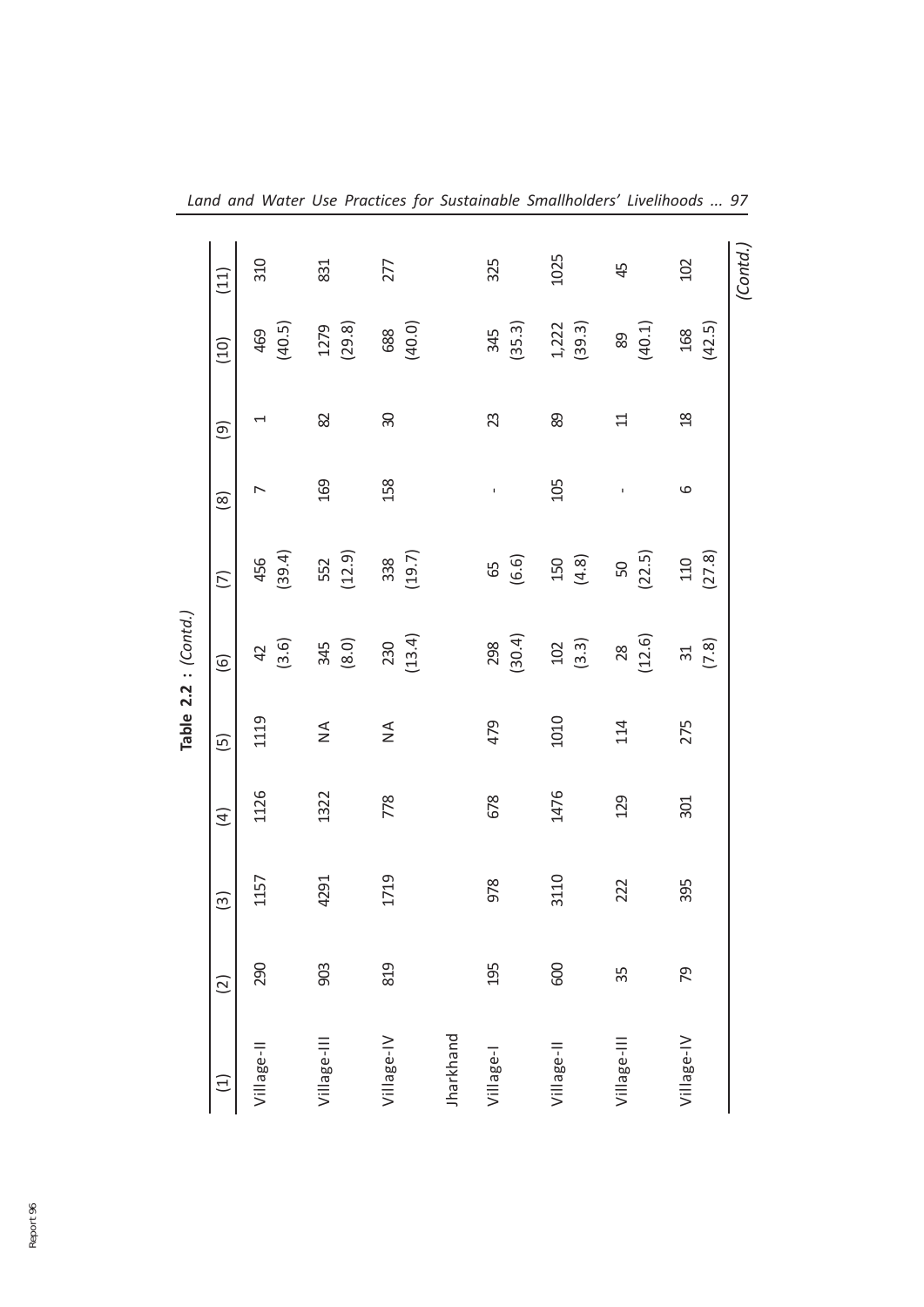|             |                      |                              |                  |                                | Table 2.2 : (Contd.)    |                   |             |                |                   |          |
|-------------|----------------------|------------------------------|------------------|--------------------------------|-------------------------|-------------------|-------------|----------------|-------------------|----------|
| Ξ           | $\widetilde{\Omega}$ | $\left( \frac{3}{2} \right)$ | $\left(4\right)$ | $\overline{5}$                 | $\overline{6}$          | (7)               | $\circledg$ | $\widehat{e}$  | (10)              | (11)     |
| Village-II  | 290                  | 1157                         | 1126             | 1119                           | (3.6)<br>$\overline{d}$ | (39.4)<br>456     |             | ſ              | (40.5)<br>469     | 310      |
| /illage-III | 903                  | 4291                         | 1322             | $\stackrel{\triangle}{\geq}$   | 345<br>(8.0)            | 552<br>(12.9)     | 169         | 82             | 1279<br>(29.8)    | 831      |
| Village-IV  | 819                  | 1719                         | 778              | $\stackrel{\triangle}{\simeq}$ | $230$<br>(13.4)         | 338<br>(19.7)     | 158         | 50             | 688<br>(40.0)     | 277      |
| Jharkhand   |                      |                              |                  |                                |                         |                   |             |                |                   |          |
| Village-I   | 195                  | 978                          | 678              | 479                            | (30.4)<br>298           | (6.6)<br>65       |             | 23             | (35.3)<br>345     | 325      |
| Village-II  | 600                  | 3110                         | 1476             | 1010                           | $102$<br>(3.3)          | $150$<br>$(4.8)$  | 105         | 89             | $1,222$<br>(39.3) | 1025     |
| Village-III | 35                   | 222                          | 129              | 114                            | $\frac{28}{(12.6)}$     | $50$<br>(2.5)     | I           | $\Xi$          | (40.1)<br>89      | 45       |
| Village-IV  | PQ                   | 395                          | 301              | 275                            | (7.8)<br>31             | (27.8)<br>$110\,$ | $\circ$     | $\frac{8}{10}$ | (42.5)<br>168     | 102      |
|             |                      |                              |                  |                                |                         |                   |             |                |                   | (Contd.) |

Report 96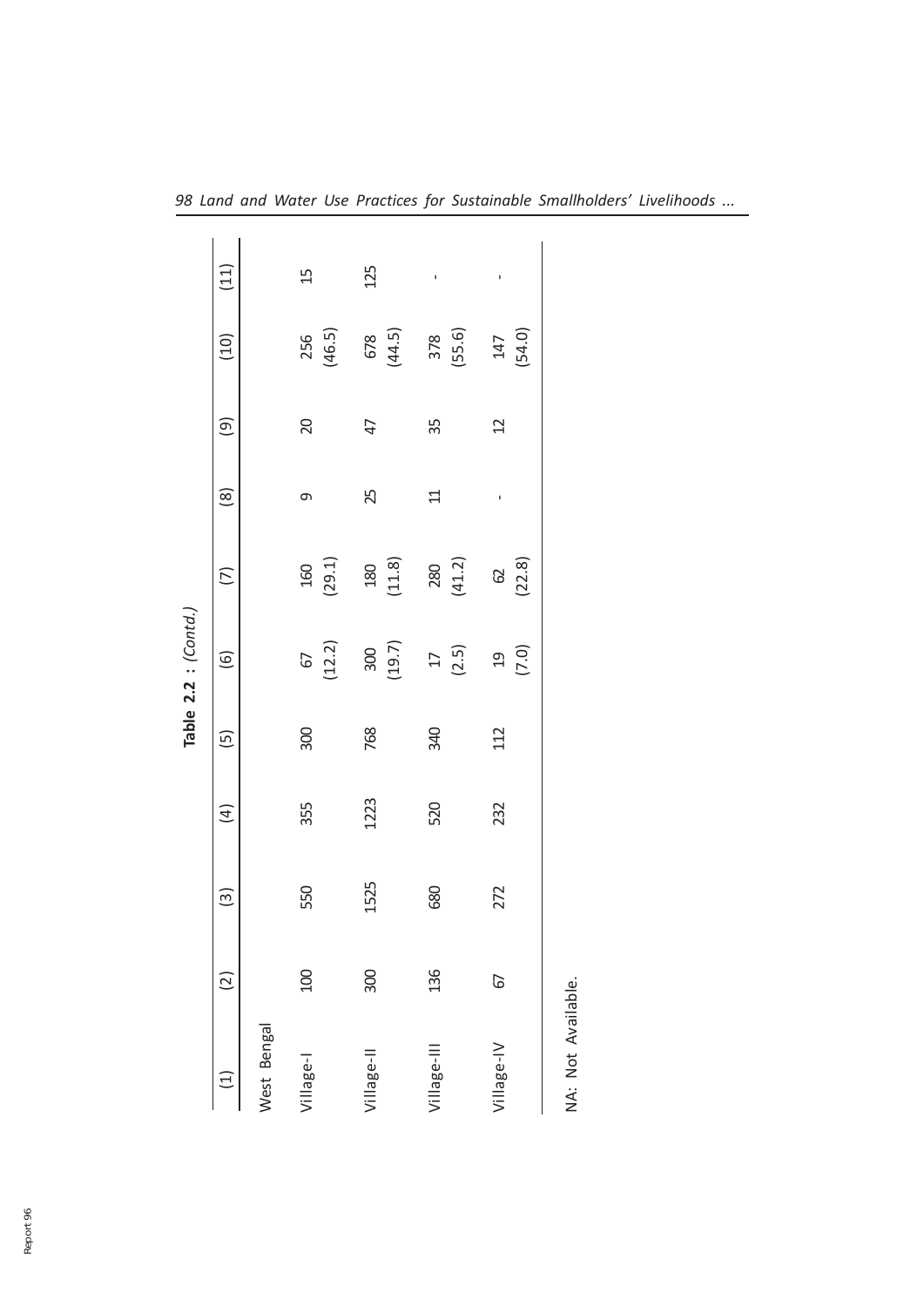|                    |                          |                   |                  |                   | Table 2.2 : (Contd.) |                                              |                   |                |                 |                |
|--------------------|--------------------------|-------------------|------------------|-------------------|----------------------|----------------------------------------------|-------------------|----------------|-----------------|----------------|
|                    | $\overline{\mathcal{C}}$ | $\widetilde{\Xi}$ | $\left(4\right)$ | $\widetilde{\Xi}$ | $\widetilde{\Theta}$ | (7)                                          | $\left( 8\right)$ | $\widehat{e}$  | (10)            | (11)           |
| West Bengal        |                          |                   |                  |                   |                      |                                              |                   |                |                 |                |
| Village-I          | 100                      | 550               | 355              | 300               | 67<br>(12.2)         | $160$<br>(29.1)                              | $\sigma$          | $\overline{a}$ | 256<br>(46.5)   | $\overline{1}$ |
| Village-II         | 300                      | 1525              | 1223             | 768               | (19.7)               | $\begin{array}{c} 180 \\ (11.8) \end{array}$ | 25                | 47             | 678<br>(44.5)   | 125            |
| Village-II         | 136                      | 680               | 520              | 340               | $17$<br>(2.5)        | $280$<br>(41.2)                              | $\Xi$             | 35             | 378<br>(55.6)   | ı              |
| Village-IV         | <u>P</u>                 | 272               | 232              | 112               | (7.0)                | (22.8)<br>62                                 | ı                 | $\overline{2}$ | $147$<br>(54.0) | ı              |
| NA: Not Available. |                          |                   |                  |                   |                      |                                              |                   |                |                 |                |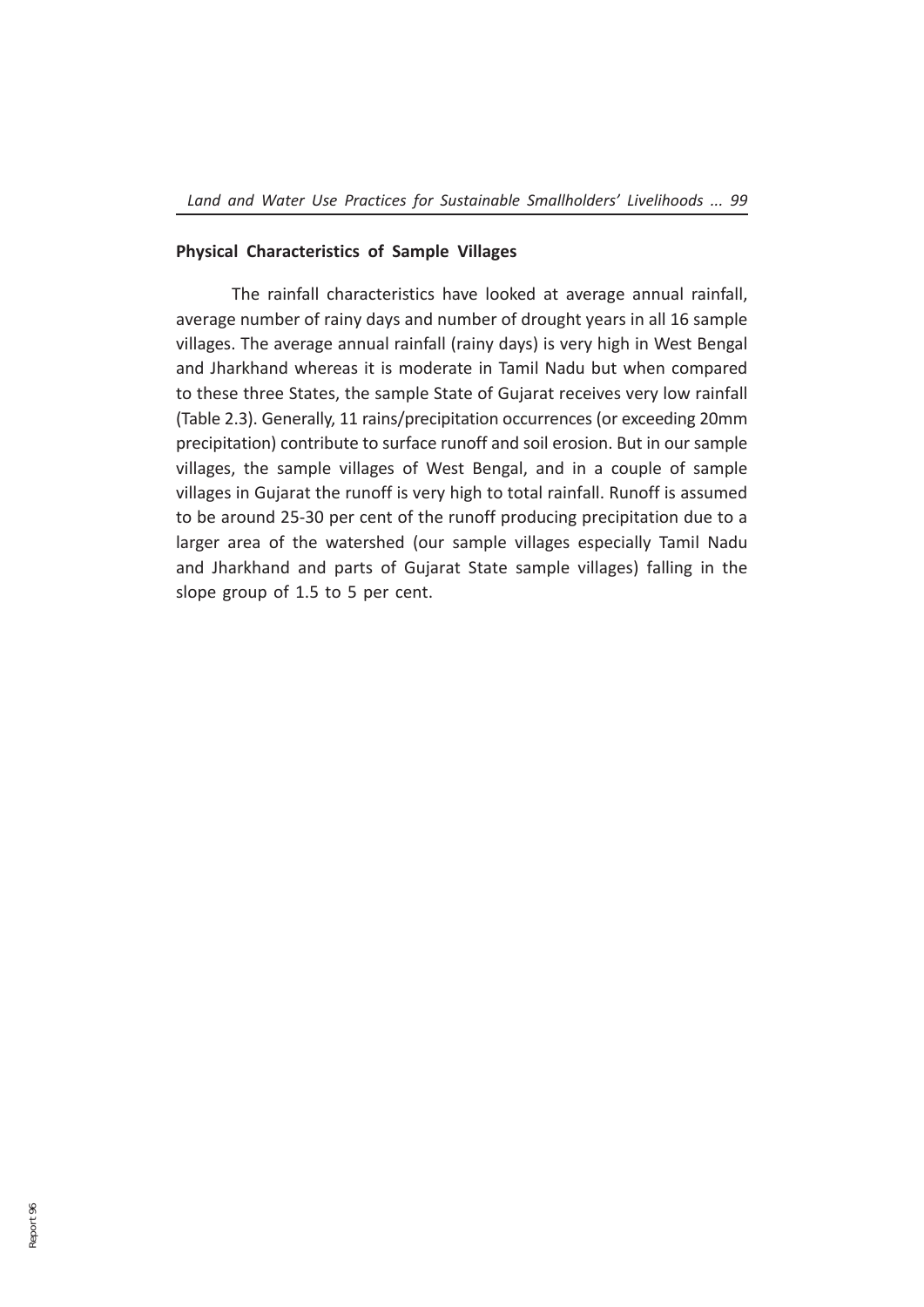## **Physical Characteristics of Sample Villages**

The rainfall characteristics have looked at average annual rainfall, average number of rainy days and number of drought years in all 16 sample villages. The average annual rainfall (rainy days) is very high in West Bengal and Jharkhand whereas it is moderate in Tamil Nadu but when compared to these three States, the sample State of Gujarat receives very low rainfall (Table 2.3). Generally, 11 rains/precipitation occurrences (or exceeding 20mm precipitation) contribute to surface runoff and soil erosion. But in our sample villages, the sample villages of West Bengal, and in a couple of sample villages in Gujarat the runoff is very high to total rainfall. Runoff is assumed to be around 25-30 per cent of the runoff producing precipitation due to a larger area of the watershed (our sample villages especially Tamil Nadu and Jharkhand and parts of Gujarat State sample villages) falling in the slope group of 1.5 to 5 per cent.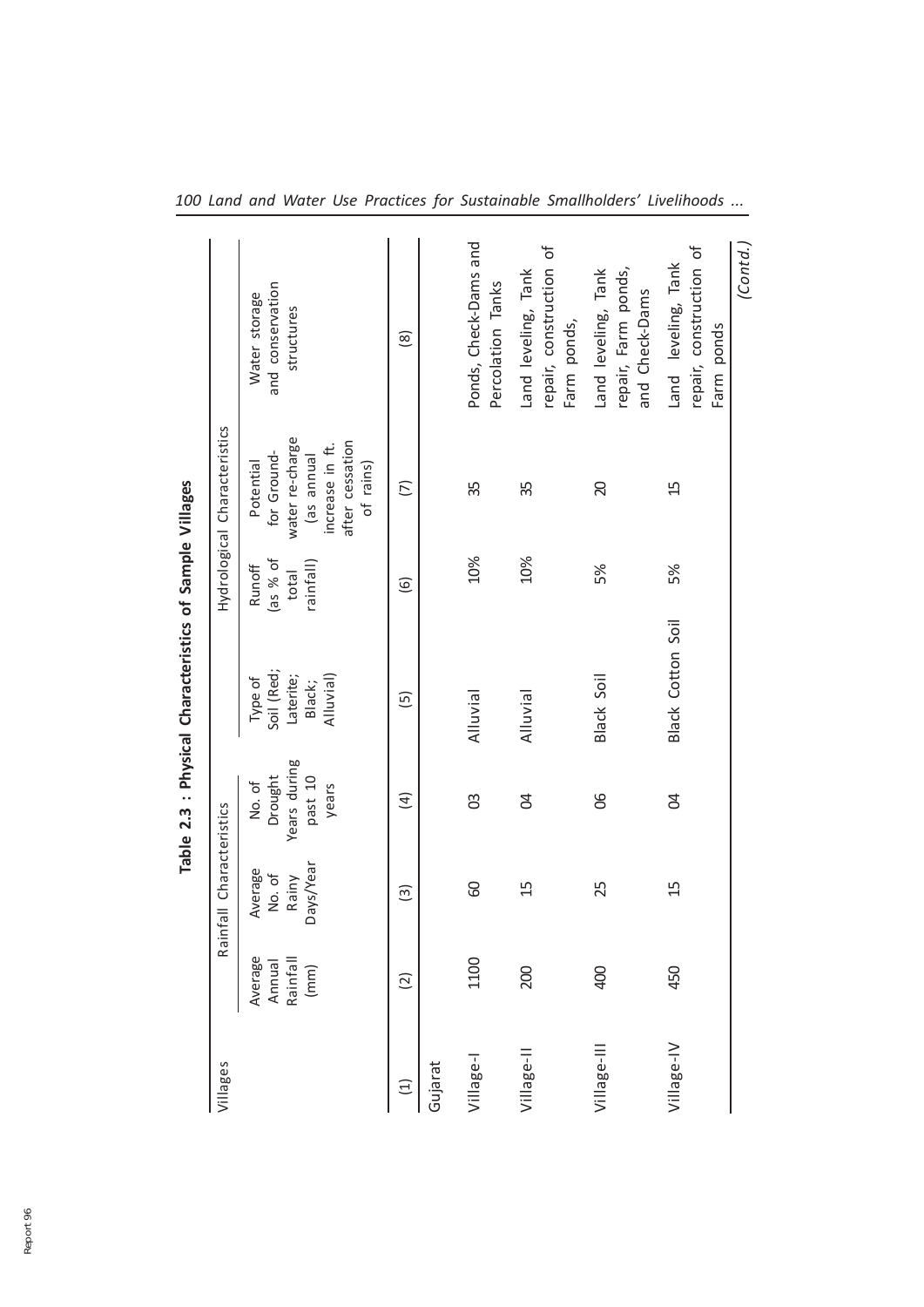|             |                                                     |                                         |                                                      | Table 2.3 : Physical Characteristics of Sample Villages   |                                          |                                                                                                              |                                                               |
|-------------|-----------------------------------------------------|-----------------------------------------|------------------------------------------------------|-----------------------------------------------------------|------------------------------------------|--------------------------------------------------------------------------------------------------------------|---------------------------------------------------------------|
| Villages    |                                                     | Rainfall Characteristics                |                                                      |                                                           |                                          | Hydrological Characteristics                                                                                 |                                                               |
|             | Average<br>Rainfall<br>Annual<br>$\left( mm\right)$ | Days/Year<br>Average<br>No. of<br>Rainy | Years during<br>past 10<br>Drought<br>No.of<br>years | Soil (Red;<br>Alluvial)<br>Laterite;<br>Type of<br>Black; | (as % of<br>rainfall)<br>Runoff<br>total | water re-charge<br>after cessation<br>increase in ft.<br>for Ground-<br>lenuue se)<br>Potential<br>of rains) | and conservation<br>Water storage<br>structures               |
| $\Xi$       | $\widehat{\Omega}$                                  | $\widehat{\Xi}$                         | $\widehat{E}$                                        | $\overline{5}$                                            | $\widehat{\mathbf{e}}$                   | $\widehat{\triangleright}$                                                                                   | $\circledast$                                                 |
| Gujarat     |                                                     |                                         |                                                      |                                                           |                                          |                                                                                                              |                                                               |
| Village-I   | 1100                                                | 8                                       | 8                                                    | Alluvial                                                  | 10%                                      | 35                                                                                                           | Ponds, Check-Dams and<br>Percolation Tanks                    |
| Village-II  | 200                                                 | 15                                      | g                                                    | Alluvial                                                  | 10%                                      | 35                                                                                                           | repair, construction of<br>Land leveling, Tank<br>Farm ponds, |
| Village-III | $rac{1}{4}$                                         | 25                                      | ළ                                                    | <b>Black Soil</b>                                         | 5%                                       | $\Omega$                                                                                                     | repair, Farm ponds,<br>Land leveling, Tank<br>and Check-Dams  |
| Village-IV  | 450                                                 | 15                                      | <b>S</b>                                             | <b>Black Cotton Soil</b>                                  | 5%                                       | 15                                                                                                           | repair, construction of<br>Land leveling, Tank<br>Farm ponds  |
|             |                                                     |                                         |                                                      |                                                           |                                          |                                                                                                              | (Contd.)                                                      |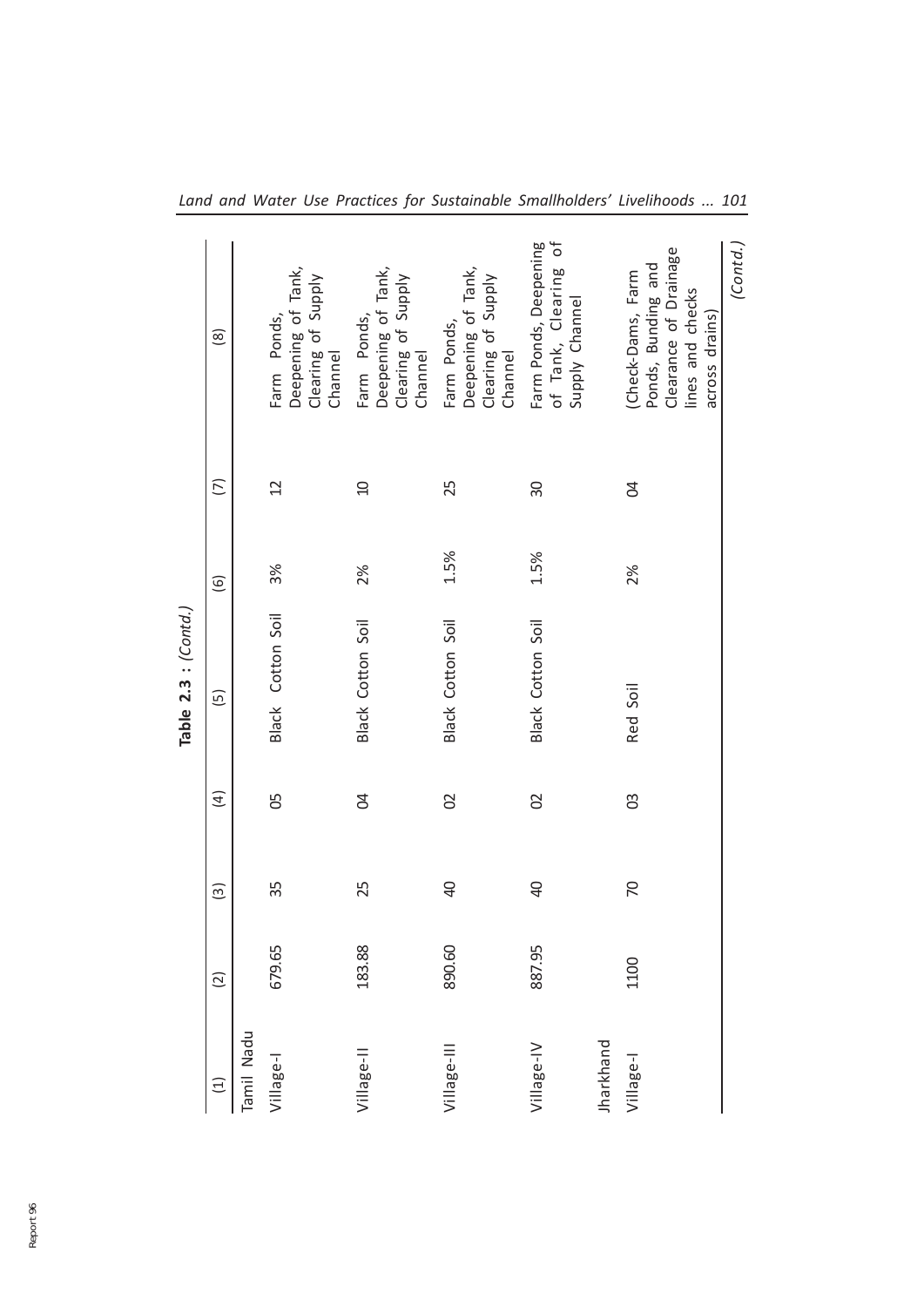|                        |                 |                |                   | Table 2.3 : (Contd.)     |         |                            |                                                                                                                    |
|------------------------|-----------------|----------------|-------------------|--------------------------|---------|----------------------------|--------------------------------------------------------------------------------------------------------------------|
| $\widehat{\mathbf{H}}$ | $\widetilde{c}$ | $\binom{3}{2}$ | $\left( 4\right)$ | $\overline{5}$           | $\odot$ | $\widehat{\triangleright}$ | $\circledR$                                                                                                        |
| Tamil Nadu             |                 |                |                   |                          |         |                            |                                                                                                                    |
| Village-I              | 679.65          | 35             | පි                | Black Cotton Soil        | 3%      | $\overline{2}$             | Deepening of Tank,<br>Clearing of Supply<br>Farm Ponds,<br>Channel                                                 |
| Village-II             | 183.88          | 25             | S                 | <b>Black Cotton Soil</b> | 2%      | g                          | Deepening of Tank,<br>Clearing of Supply<br>Farm Ponds,<br>Channel                                                 |
| Village-III            | 890.60          | $\Theta$       | S                 | <b>Black Cotton Soil</b> | 1.5%    | 25                         | Deepening of Tank,<br>Clearing of Supply<br>Farm Ponds,<br>Channel                                                 |
| harkhand<br>Village-IV | 887.95          | $\Theta$       | $\infty$          | Black Cotton Soil        | 1.5%    | 50                         | of Tank, Clearing of<br>Farm Ponds, Deepening<br>Supply Channel                                                    |
| Village-I              | 1100            | R              | C <sub>3</sub>    | Red Soil                 | 2%      | R                          | (Contd.)<br>Clearance of Drainage<br>Ponds, Bunding and<br>(Check-Dams, Farm<br>lines and checks<br>across drains) |
|                        |                 |                |                   |                          |         |                            |                                                                                                                    |

*Land and Water Use Practices for Sustainable Smallholders' Livelihoods ... 101*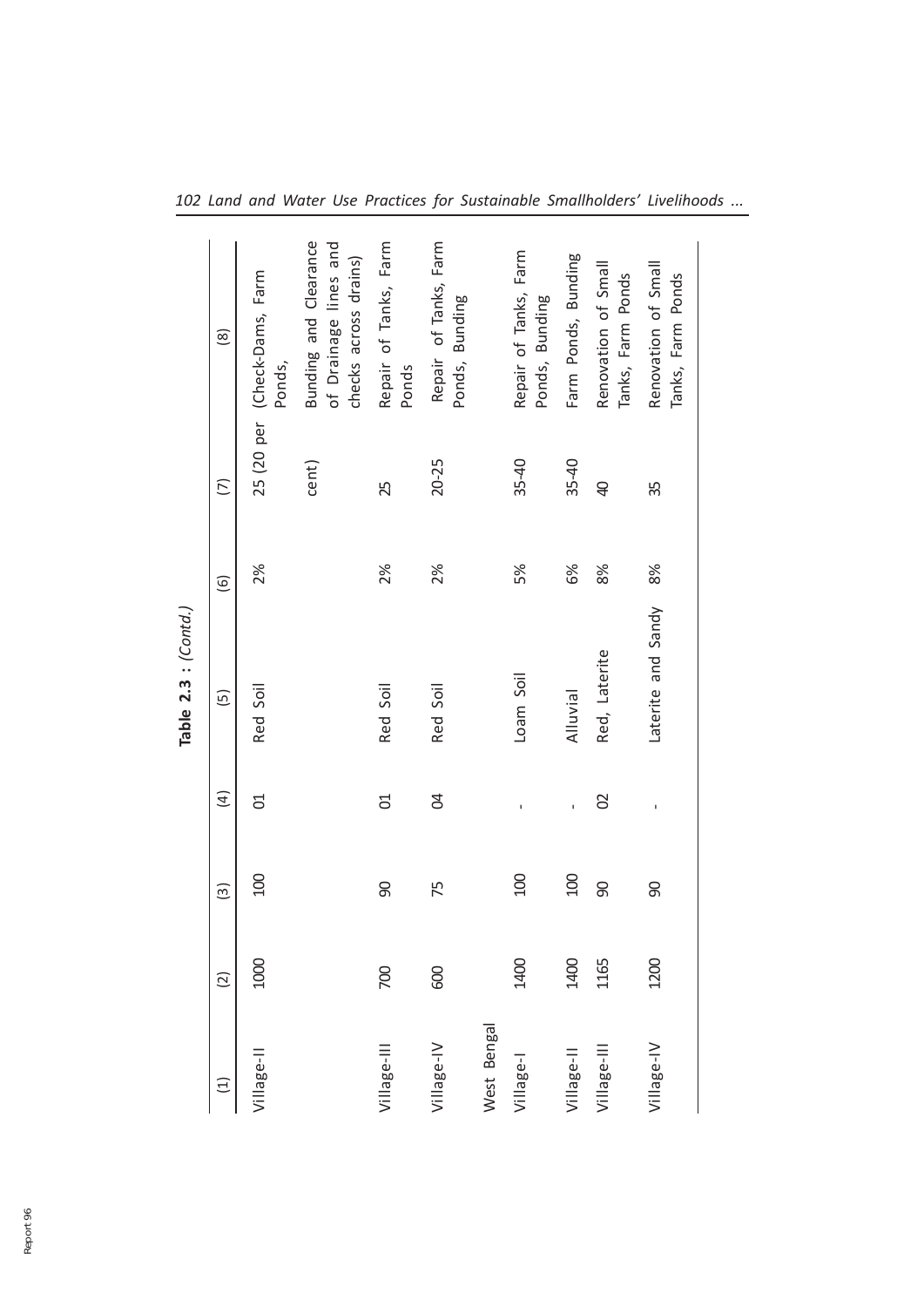|                      |                 |                   |               | Table 2.3 : (Contd.) |                    |                            |                                                                         |
|----------------------|-----------------|-------------------|---------------|----------------------|--------------------|----------------------------|-------------------------------------------------------------------------|
| $\widetilde{\dashv}$ | $\widetilde{c}$ | $\widetilde{\Xi}$ | $\widehat{E}$ | $\overline{5}$       | $\widehat{\Theta}$ | $\widehat{\triangleright}$ | $\circledR$                                                             |
| Village-II           | 1000            | <b>200</b>        | <b>S</b>      | Red Soil             | 2%                 |                            | 25 (20 per (Check-Dams, Farm<br>Ponds,                                  |
|                      |                 |                   |               |                      |                    | cent)                      | Bunding and Clearance<br>of Drainage lines and<br>checks across drains) |
| Village-III          | 700             | 8                 | <b>S</b>      | Red Soil             | 2%                 | 25                         | Repair of Tanks, Farm<br>Ponds                                          |
| Village-IV           | 600             | 75                | g             | Red Soil             | 2%                 | 20-25                      | Repair of Tanks, Farm<br>Ponds, Bunding                                 |
| West Bengal          |                 |                   |               |                      |                    |                            |                                                                         |
| Village-I            | 1400            | $\overline{5}$    |               | Loam Soil            | 5%                 | 35-40                      | Repair of Tanks, Farm<br>Ponds, Bunding                                 |
| Village-II           | 1400            | <b>200</b>        | Ĭ.            | Alluvial             | 6%                 | 35-40                      | Farm Ponds, Bunding                                                     |
| Village-III          | 1165            | 8                 | $\beta$       | Red, Laterite        | 8%                 | $\Theta$                   | Renovation of Small<br>Tanks, Farm Ponds                                |
| Village-IV           | 1200            | 90                | ı             | Laterite and Sandy   | 8%                 | 35                         | Renovation of Small<br>Tanks, Farm Ponds                                |
|                      |                 |                   |               |                      |                    |                            |                                                                         |

*102 Land and Water Use Practices for Sustainable Smallholders' Livelihoods ...*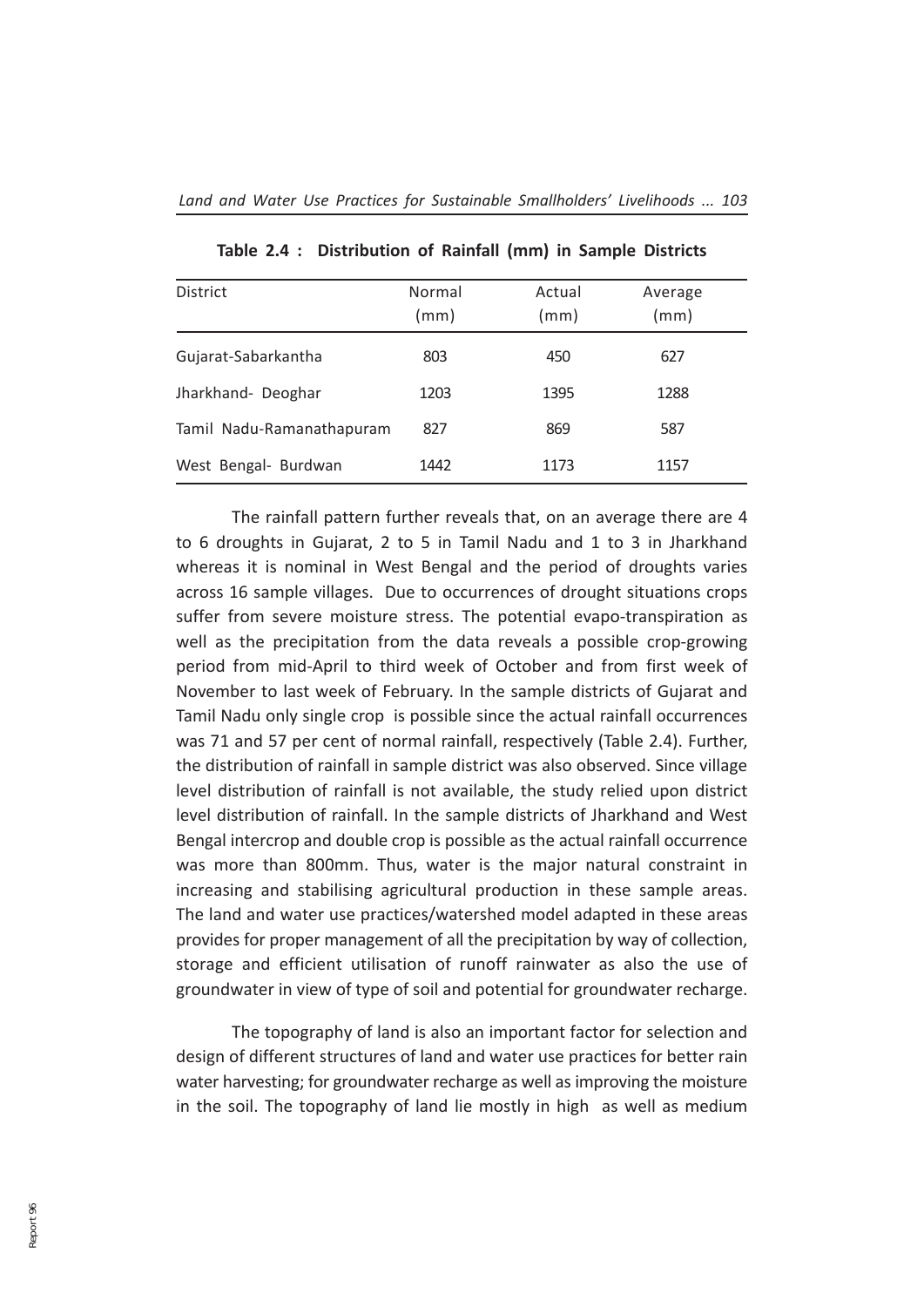| <b>District</b>           | Normal<br>(mm) | Actual<br>(mm) | Average<br>(mm) |  |
|---------------------------|----------------|----------------|-----------------|--|
| Gujarat-Sabarkantha       | 803            | 450            | 627             |  |
| Jharkhand- Deoghar        | 1203           | 1395           | 1288            |  |
| Tamil Nadu-Ramanathapuram | 827            | 869            | 587             |  |
| West Bengal- Burdwan      | 1442           | 1173           | 1157            |  |

**Table 2.4 : Distribution of Rainfall (mm) in Sample Districts**

The rainfall pattern further reveals that, on an average there are 4 to 6 droughts in Gujarat, 2 to 5 in Tamil Nadu and 1 to 3 in Jharkhand whereas it is nominal in West Bengal and the period of droughts varies across 16 sample villages. Due to occurrences of drought situations crops suffer from severe moisture stress. The potential evapo-transpiration as well as the precipitation from the data reveals a possible crop-growing period from mid-April to third week of October and from first week of November to last week of February. In the sample districts of Gujarat and Tamil Nadu only single crop is possible since the actual rainfall occurrences was 71 and 57 per cent of normal rainfall, respectively (Table 2.4). Further, the distribution of rainfall in sample district was also observed. Since village level distribution of rainfall is not available, the study relied upon district level distribution of rainfall. In the sample districts of Jharkhand and West Bengal intercrop and double crop is possible as the actual rainfall occurrence was more than 800mm. Thus, water is the major natural constraint in increasing and stabilising agricultural production in these sample areas. The land and water use practices/watershed model adapted in these areas provides for proper management of all the precipitation by way of collection, storage and efficient utilisation of runoff rainwater as also the use of groundwater in view of type of soil and potential for groundwater recharge.

The topography of land is also an important factor for selection and design of different structures of land and water use practices for better rain water harvesting; for groundwater recharge as well as improving the moisture in the soil. The topography of land lie mostly in high as well as medium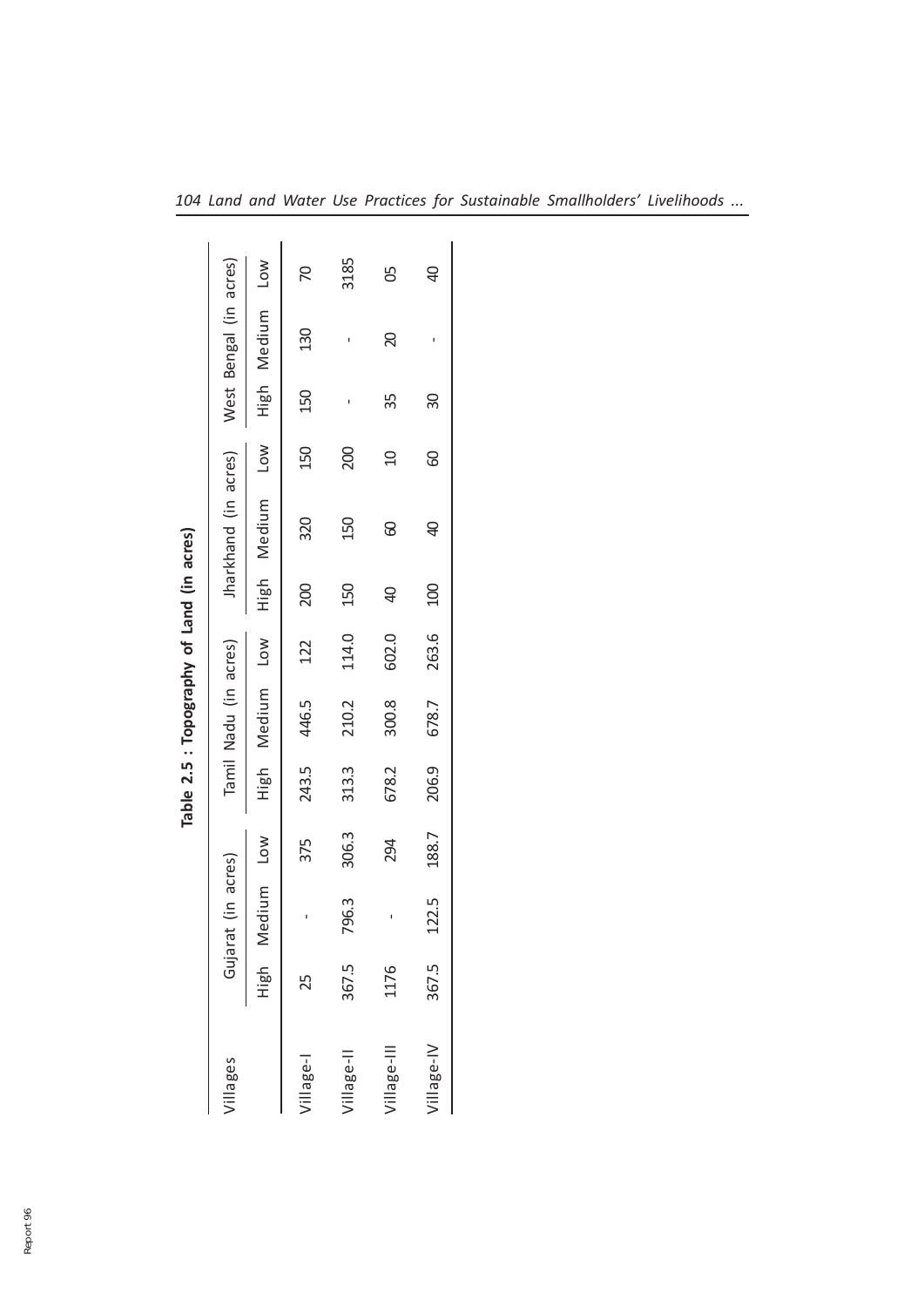|             |       |                       |       |       | Table 2.5 : Topography of Land (in acres) |           |     |                      |       |     |                        |      |
|-------------|-------|-----------------------|-------|-------|-------------------------------------------|-----------|-----|----------------------|-------|-----|------------------------|------|
| Villages    |       | (in acres)<br>Gujarat |       |       | Tamil Nadu (in acres)                     |           |     | Jharkhand (in acres) |       |     | West Bengal (in acres) |      |
|             |       | High Medium Low       |       |       | High Medium Low                           |           |     | High Medium          | Low   |     | High Medium Low        |      |
| Village-I   | 25    |                       | 375   | 243.5 | 446.5                                     | 122       | 200 | 320                  | 150   | 150 | 130                    | R    |
| ll-əge∥i/   | 367.5 | 6.3<br>56             | 306.3 | 313.3 | 210.2                                     | 114.0     | 150 | 150                  | 200   |     | I                      | 3185 |
| /illage-III | 1176  |                       | 294   | 678.2 | 300.8                                     | 602.0     | S   | 8                    | $\Xi$ | 35  | $\overline{5}$         | පි   |
| /illage-IV  | 367.5 | 122.5                 | 188.7 | 206.9 | 678.7                                     | 263.6 100 |     | ₽                    | 8     | R   |                        | ¥    |

*104 Land and Water Use Practices for Sustainable Smallholders' Livelihoods ...*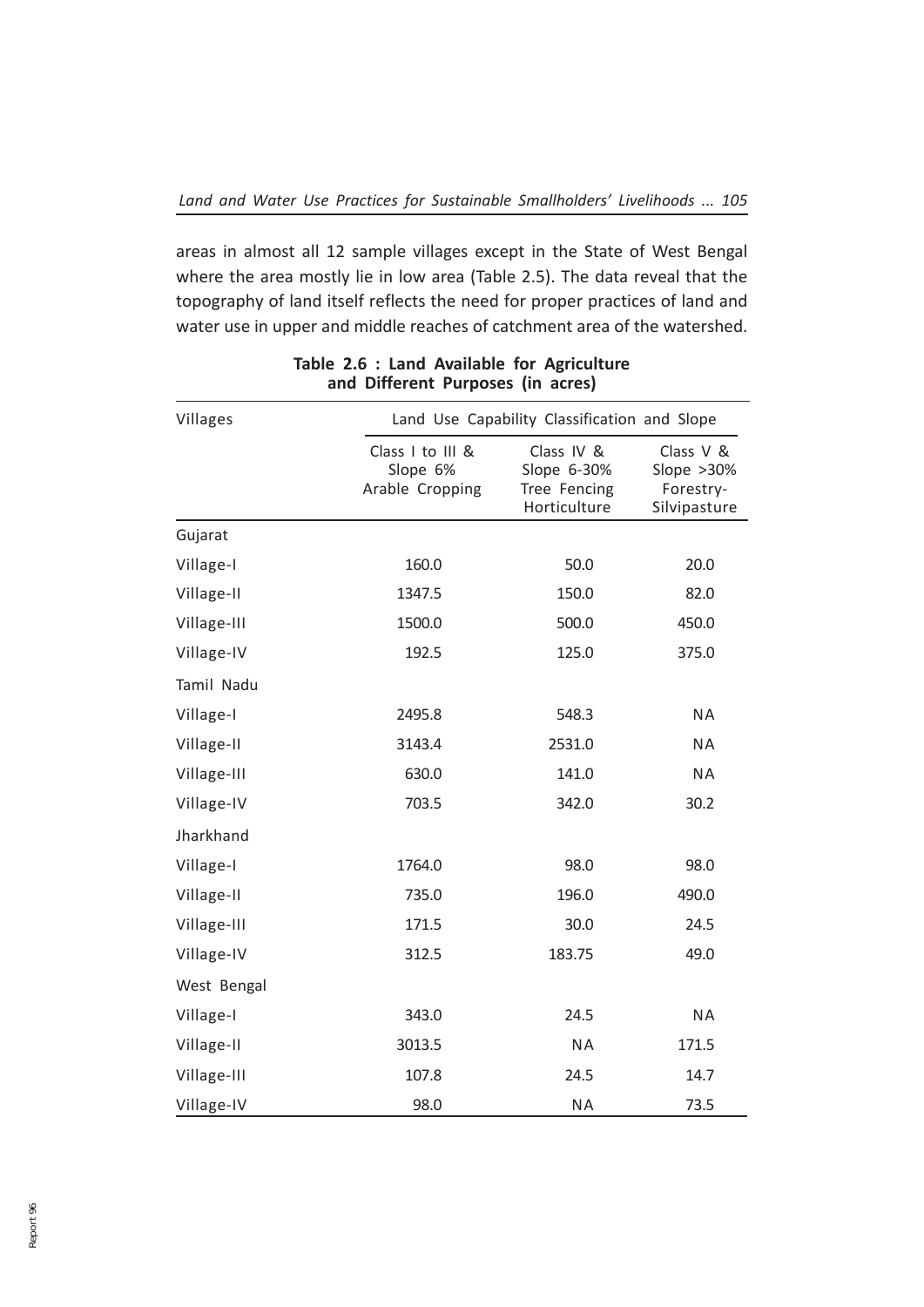areas in almost all 12 sample villages except in the State of West Bengal where the area mostly lie in low area (Table 2.5). The data reveal that the topography of land itself reflects the need for proper practices of land and water use in upper and middle reaches of catchment area of the watershed.

| Villages    |                                                 | Land Use Capability Classification and Slope              |                                                      |
|-------------|-------------------------------------------------|-----------------------------------------------------------|------------------------------------------------------|
|             | Class I to III &<br>Slope 6%<br>Arable Cropping | Class IV &<br>Slope 6-30%<br>Tree Fencing<br>Horticulture | Class V &<br>Slope >30%<br>Forestry-<br>Silvipasture |
| Gujarat     |                                                 |                                                           |                                                      |
| Village-I   | 160.0                                           | 50.0                                                      | 20.0                                                 |
| Village-II  | 1347.5                                          | 150.0                                                     | 82.0                                                 |
| Village-III | 1500.0                                          | 500.0                                                     | 450.0                                                |
| Village-IV  | 192.5                                           | 125.0                                                     | 375.0                                                |
| Tamil Nadu  |                                                 |                                                           |                                                      |
| Village-I   | 2495.8                                          | 548.3                                                     | <b>NA</b>                                            |
| Village-II  | 3143.4                                          | 2531.0                                                    | <b>NA</b>                                            |
| Village-III | 630.0                                           | 141.0                                                     | <b>NA</b>                                            |
| Village-IV  | 703.5                                           | 342.0                                                     | 30.2                                                 |
| Jharkhand   |                                                 |                                                           |                                                      |
| Village-I   | 1764.0                                          | 98.0                                                      | 98.0                                                 |
| Village-II  | 735.0                                           | 196.0                                                     | 490.0                                                |
| Village-III | 171.5                                           | 30.0                                                      | 24.5                                                 |
| Village-IV  | 312.5                                           | 183.75                                                    | 49.0                                                 |
| West Bengal |                                                 |                                                           |                                                      |
| Village-I   | 343.0                                           | 24.5                                                      | <b>NA</b>                                            |
| Village-II  | 3013.5                                          | <b>NA</b>                                                 | 171.5                                                |
| Village-III | 107.8                                           | 24.5                                                      | 14.7                                                 |
| Village-IV  | 98.0                                            | <b>NA</b>                                                 | 73.5                                                 |

## **Table 2.6 : Land Available for Agriculture and Different Purposes (in acres)**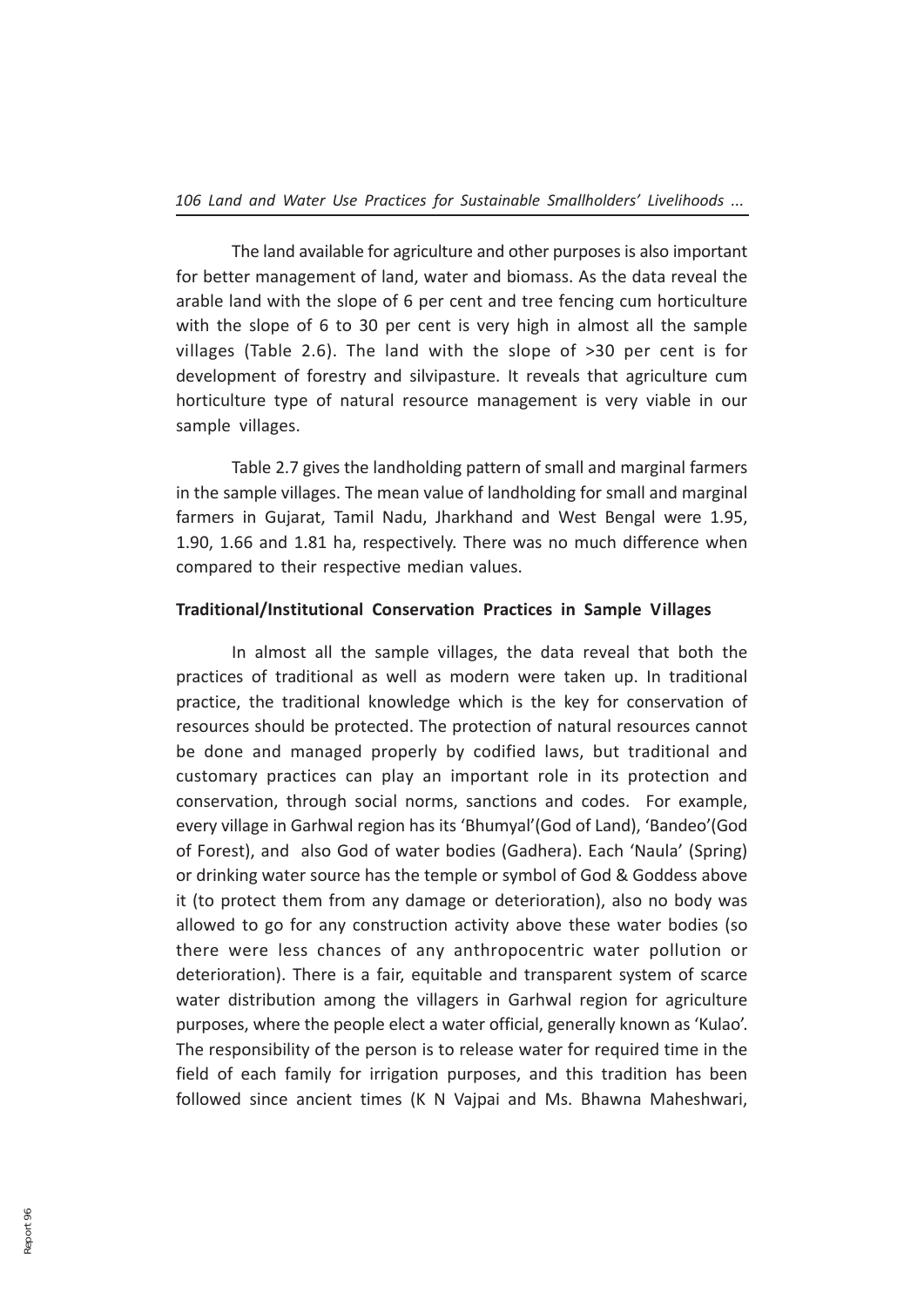The land available for agriculture and other purposes is also important for better management of land, water and biomass. As the data reveal the arable land with the slope of 6 per cent and tree fencing cum horticulture with the slope of 6 to 30 per cent is very high in almost all the sample villages (Table 2.6). The land with the slope of >30 per cent is for development of forestry and silvipasture. It reveals that agriculture cum horticulture type of natural resource management is very viable in our sample villages.

Table 2.7 gives the landholding pattern of small and marginal farmers in the sample villages. The mean value of landholding for small and marginal farmers in Gujarat, Tamil Nadu, Jharkhand and West Bengal were 1.95, 1.90, 1.66 and 1.81 ha, respectively. There was no much difference when compared to their respective median values.

## **Traditional/Institutional Conservation Practices in Sample Villages**

In almost all the sample villages, the data reveal that both the practices of traditional as well as modern were taken up. In traditional practice, the traditional knowledge which is the key for conservation of resources should be protected. The protection of natural resources cannot be done and managed properly by codified laws, but traditional and customary practices can play an important role in its protection and conservation, through social norms, sanctions and codes. For example, every village in Garhwal region has its 'Bhumyal'(God of Land), 'Bandeo'(God of Forest), and also God of water bodies (Gadhera). Each 'Naula' (Spring) or drinking water source has the temple or symbol of God & Goddess above it (to protect them from any damage or deterioration), also no body was allowed to go for any construction activity above these water bodies (so there were less chances of any anthropocentric water pollution or deterioration). There is a fair, equitable and transparent system of scarce water distribution among the villagers in Garhwal region for agriculture purposes, where the people elect a water official, generally known as 'Kulao'. The responsibility of the person is to release water for required time in the field of each family for irrigation purposes, and this tradition has been followed since ancient times (K N Vajpai and Ms. Bhawna Maheshwari,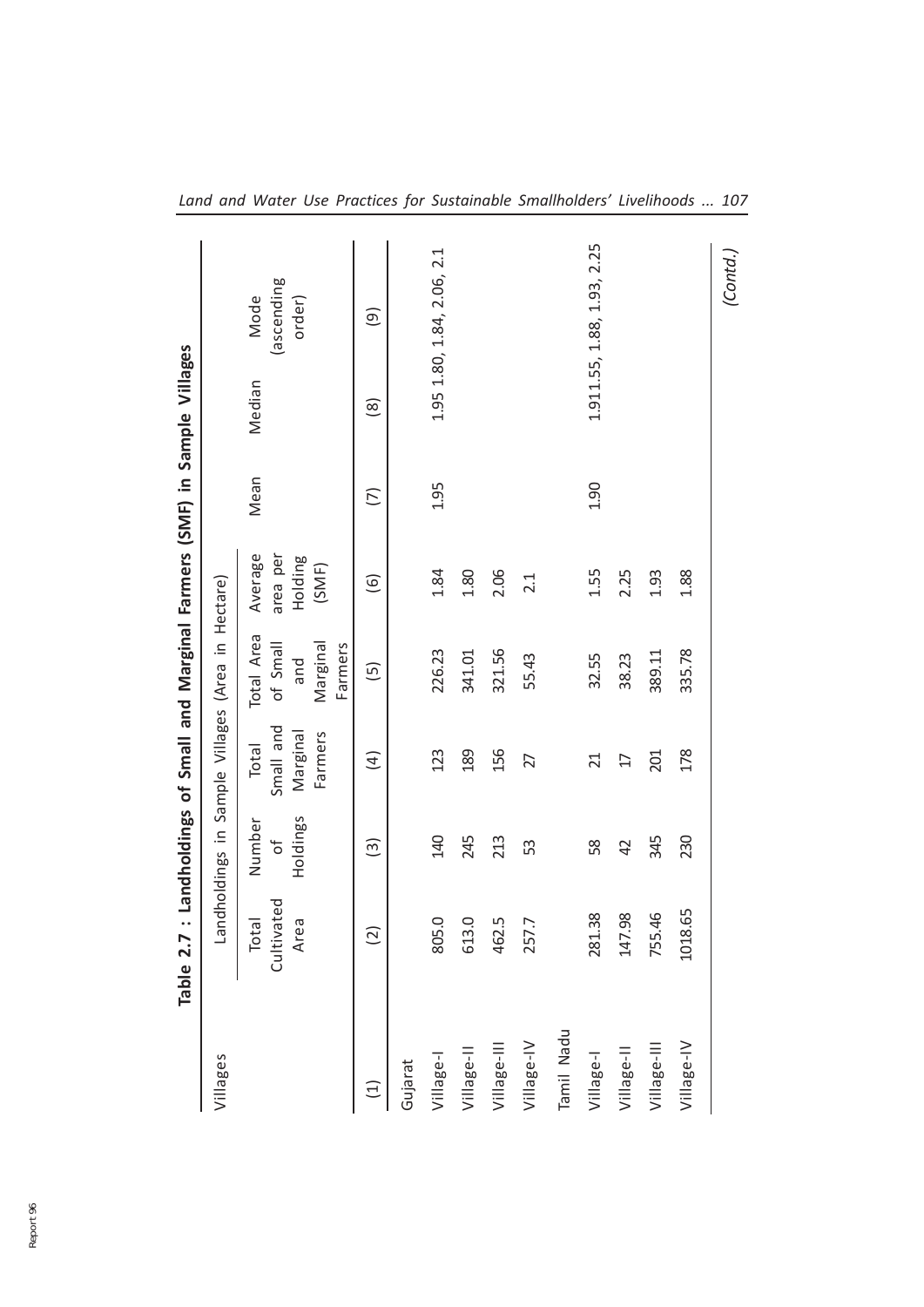|             | Table 2.7                          |                                      |                                                  | : Landholdings of Small and Marginal Farmers (SMF) in Sample Villages |                                         |                   |               |                              |
|-------------|------------------------------------|--------------------------------------|--------------------------------------------------|-----------------------------------------------------------------------|-----------------------------------------|-------------------|---------------|------------------------------|
| Villages    |                                    |                                      |                                                  | Landholdings in Sample Villages (Area in Hectare)                     |                                         |                   |               |                              |
|             | Cultivated<br>Area<br><b>Total</b> | Holdings<br>Number<br>$\overline{0}$ | Small and<br>Marginal<br>Farmers<br><b>Total</b> | Total Area<br>of Small<br>Marginal<br>and                             | Average<br>area per<br>Holding<br>(SMF) | Mean              | Median        | (ascending<br>Mode<br>order) |
| Ξ           | $\widehat{\Omega}$                 | $\widetilde{\Xi}$                    | $\left( 4\right)$                                | Farmers<br>$\overline{5}$                                             | $\odot$                                 | $\left( 5\right)$ | $\circled{s}$ | ල)                           |
|             |                                    |                                      |                                                  |                                                                       |                                         |                   |               |                              |
| Gujarat     |                                    |                                      |                                                  |                                                                       |                                         |                   |               |                              |
| Village-I   | 805.0                              | <b>140</b>                           | 123                                              | 226.23                                                                | 1.84                                    | 1.95              |               | 1.95 1.80, 1.84, 2.06, 2.1   |
| Village-II  | 613.0                              | 245                                  | 189                                              | 341.01                                                                | 1.80                                    |                   |               |                              |
| Village-III | 462.5                              | 213                                  | 156                                              | 321.56                                                                | 2.06                                    |                   |               |                              |
| Village-IV  | 257.7                              | S3                                   | 27                                               | 55.43                                                                 | 2.1                                     |                   |               |                              |
| Tamil Nadu  |                                    |                                      |                                                  |                                                                       |                                         |                   |               |                              |
| Village-I   | <b>1.38</b><br>281                 | 58                                   | $\overline{21}$                                  | 32.55                                                                 | 1.55                                    | 1.90              |               | 1.911.55, 1.88, 1.93, 2.25   |
| Village-II  | 98<br>147                          | 42                                   | $\overline{17}$                                  | 38.23                                                                 | 2.25                                    |                   |               |                              |
| Village-III | $-46$<br>755                       | 345                                  | 201                                              | 389.11                                                                | 1.93                                    |                   |               |                              |
| Village-IV  | 1018.65                            | 230                                  | 178                                              | 335.78                                                                | 1.88                                    |                   |               |                              |
|             |                                    |                                      |                                                  |                                                                       |                                         |                   |               | (Contd.)                     |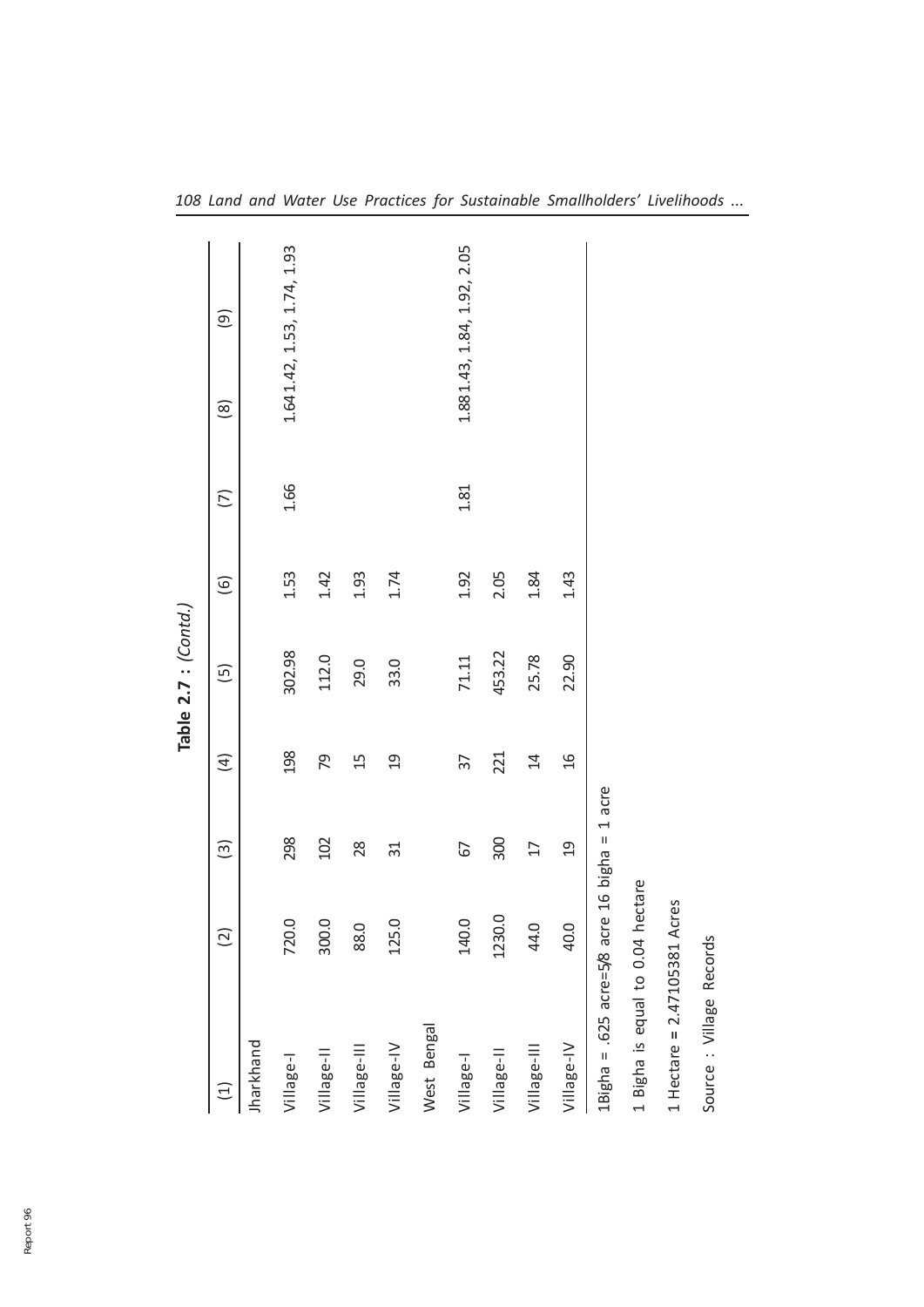|                                   |                 |                              |                   | Table 2.7 : (Contd.) |                    |                   |                                                                    |  |
|-----------------------------------|-----------------|------------------------------|-------------------|----------------------|--------------------|-------------------|--------------------------------------------------------------------|--|
| $\Xi$                             | $\widetilde{c}$ | $\left( \frac{3}{2} \right)$ | $\left( 4\right)$ | $\overline{5}$       | $\widehat{\Theta}$ | $\left( 5\right)$ | $\left( \begin{matrix} 0 \\ 0 \end{matrix} \right)$<br>$\circledS$ |  |
| Jharkhand                         |                 |                              |                   |                      |                    |                   |                                                                    |  |
| Village-I                         | 720.0           | 298                          | 198               | 302.98               | 1.53               | 1.66              | 1.641.42, 1.53, 1.74, 1.93                                         |  |
| Village-II                        | 300.0           | 102                          | 79                | 112.0                | 1.42               |                   |                                                                    |  |
| Village-III                       | 88.0            | 28                           | $\Xi$             | 29.0                 | 1.93               |                   |                                                                    |  |
| Village-IV                        | 125.0           | 31                           | $\overline{a}$    | 33.0                 | 1.74               |                   |                                                                    |  |
| West Bengal                       |                 |                              |                   |                      |                    |                   |                                                                    |  |
| Village-I                         | 140.0           | 67                           | 57                | 71.11                | 1.92               | 1.81              | 1.881.43, 1.84, 1.92, 2.05                                         |  |
| Village-II                        | 1230.0          | 300                          | 221               | 453.22               | 2.05               |                   |                                                                    |  |
| Village-III                       | 44.0            | $\overline{17}$              | $\overline{4}$    | 25.78                | 1.84               |                   |                                                                    |  |
| Village-IV                        | 40.0            | $\mathfrak{g}$               | $\mathfrak{g}$    | 22.90                | 1.43               |                   |                                                                    |  |
| $1B$ igha = .625 acre= $5/8$ acre |                 | 16 bigha = 1 acre            |                   |                      |                    |                   |                                                                    |  |
| 1 Bigha is equal to 0.04 hectare  |                 |                              |                   |                      |                    |                   |                                                                    |  |
| 1 Hectare = $2.47105381$ Acres    |                 |                              |                   |                      |                    |                   |                                                                    |  |
| Source : Village Records          |                 |                              |                   |                      |                    |                   |                                                                    |  |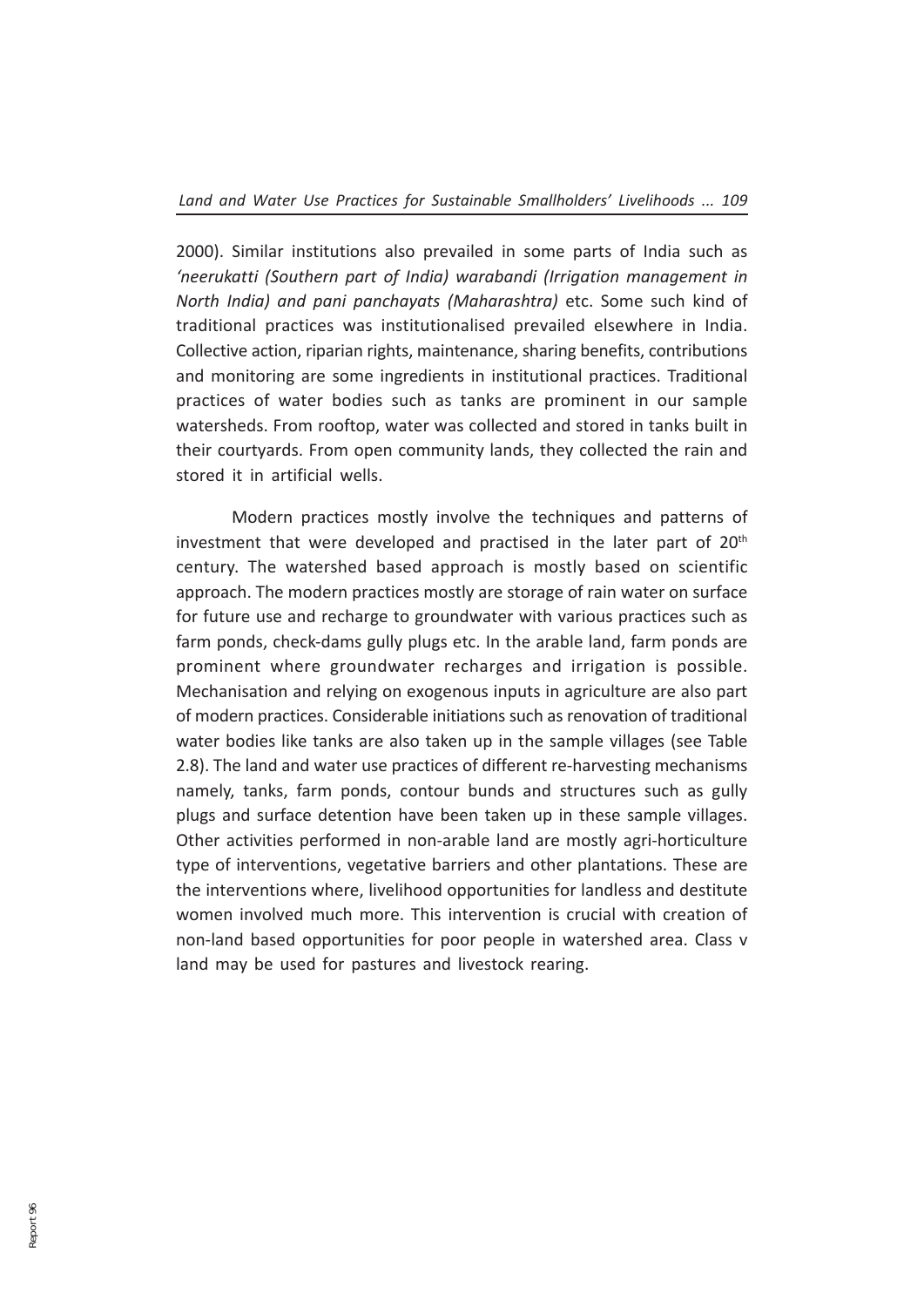2000). Similar institutions also prevailed in some parts of India such as *'neerukatti (Southern part of India) warabandi (Irrigation management in North India) and pani panchayats (Maharashtra)* etc. Some such kind of traditional practices was institutionalised prevailed elsewhere in India. Collective action, riparian rights, maintenance, sharing benefits, contributions and monitoring are some ingredients in institutional practices. Traditional practices of water bodies such as tanks are prominent in our sample watersheds. From rooftop, water was collected and stored in tanks built in their courtyards. From open community lands, they collected the rain and stored it in artificial wells.

Modern practices mostly involve the techniques and patterns of investment that were developed and practised in the later part of 20<sup>th</sup> century. The watershed based approach is mostly based on scientific approach. The modern practices mostly are storage of rain water on surface for future use and recharge to groundwater with various practices such as farm ponds, check-dams gully plugs etc. In the arable land, farm ponds are prominent where groundwater recharges and irrigation is possible. Mechanisation and relying on exogenous inputs in agriculture are also part of modern practices. Considerable initiations such as renovation of traditional water bodies like tanks are also taken up in the sample villages (see Table 2.8). The land and water use practices of different re-harvesting mechanisms namely, tanks, farm ponds, contour bunds and structures such as gully plugs and surface detention have been taken up in these sample villages. Other activities performed in non-arable land are mostly agri-horticulture type of interventions, vegetative barriers and other plantations. These are the interventions where, livelihood opportunities for landless and destitute women involved much more. This intervention is crucial with creation of non-land based opportunities for poor people in watershed area. Class v land may be used for pastures and livestock rearing.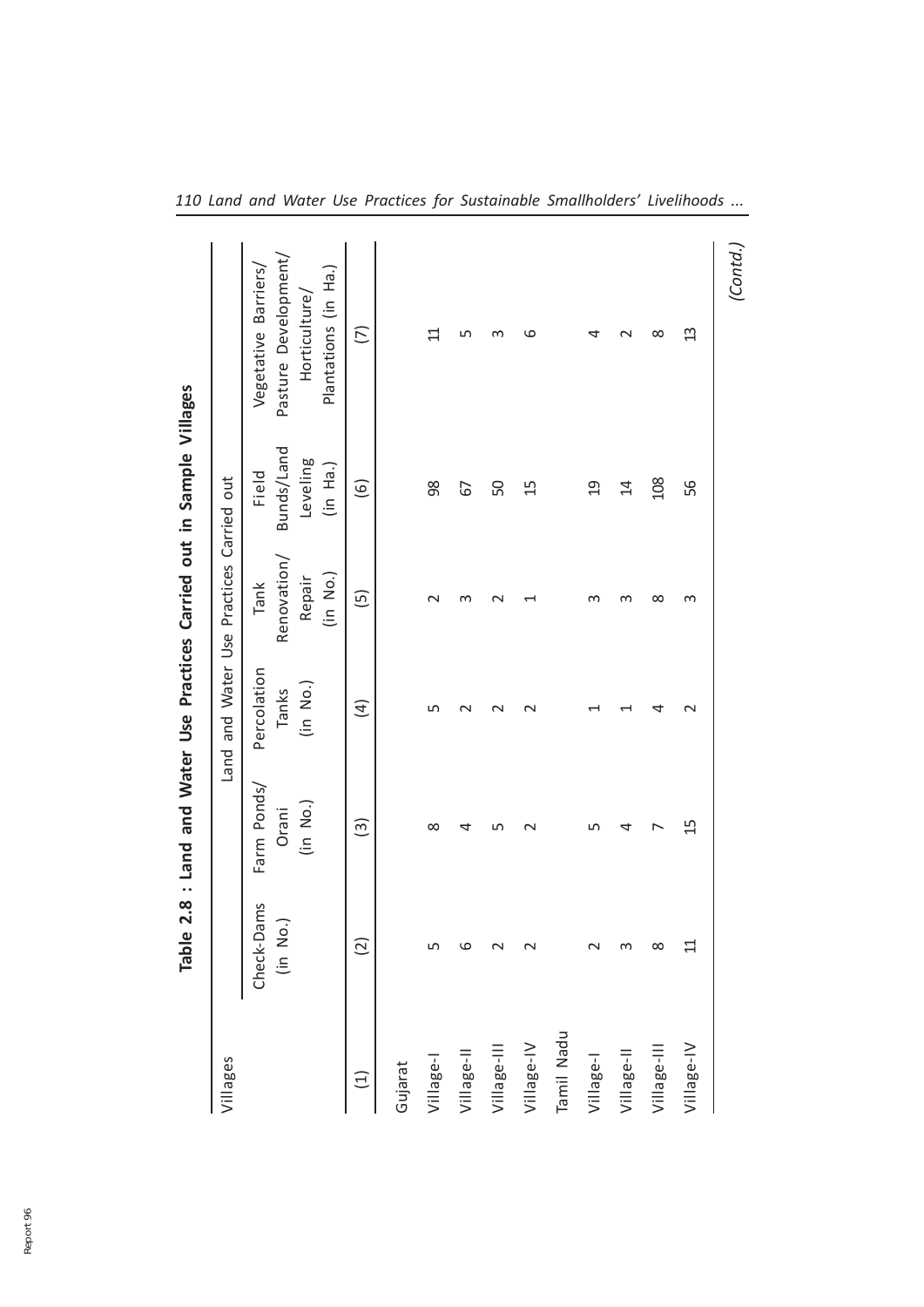|                 | Table                  | 2.8 : Land and Water Use Practices Carried out in Sample Villages |                                  |                                           |                                             |                                                                                       |
|-----------------|------------------------|-------------------------------------------------------------------|----------------------------------|-------------------------------------------|---------------------------------------------|---------------------------------------------------------------------------------------|
| Villages        |                        |                                                                   |                                  | Land and Water Use Practices Carried out  |                                             |                                                                                       |
|                 | Check-Dams<br>(in No.) | Farm Ponds/<br>(in No.)<br>Orani                                  | Percolation<br>(in No.)<br>Tanks | Renovation/<br>(in No.)<br>Repair<br>Tank | Bunds/Land<br>Leveling<br>(in Ha.)<br>Field | Pasture Development/<br>Vegetative Barriers/<br>Plantations (in Ha.)<br>Horticulture/ |
| $\widehat{\Xi}$ | $\widehat{c}$          | $\left( \frac{3}{2} \right)$                                      | $\widehat{f}$                    | $\overline{5}$                            | $\left( 6\right)$                           | $\overline{C}$                                                                        |
| Gujarat         |                        |                                                                   |                                  |                                           |                                             |                                                                                       |
| Village-I       | ഗ                      | ∞                                                                 | Б                                | $\sim$                                    | 88                                          | $\Xi$                                                                                 |
| Village-II      | అ                      | 4                                                                 |                                  | m                                         | 67                                          | ഗ                                                                                     |
| Village-III     |                        | 5                                                                 |                                  | $\sim$                                    | 50                                          | S                                                                                     |
| Village-IV      |                        | N                                                                 |                                  |                                           | 15                                          | ဖ                                                                                     |
| Tamil Nadu      |                        |                                                                   |                                  |                                           |                                             |                                                                                       |
| Village-I       | $\sim$                 | 5                                                                 |                                  | S                                         | 5                                           | 4                                                                                     |
| Village-II      | m                      | 4                                                                 |                                  | S                                         | $\overline{4}$                              | $\sim$                                                                                |
| Village-III     | ∞                      | ↖                                                                 | 4                                | ∞                                         | 108                                         | $\infty$                                                                              |
| Village-IV      | $\Xi$                  | 15                                                                | $\sim$                           | S                                         | 95                                          | $\mathfrak{D}$                                                                        |
|                 |                        |                                                                   |                                  |                                           |                                             | (Contd.)                                                                              |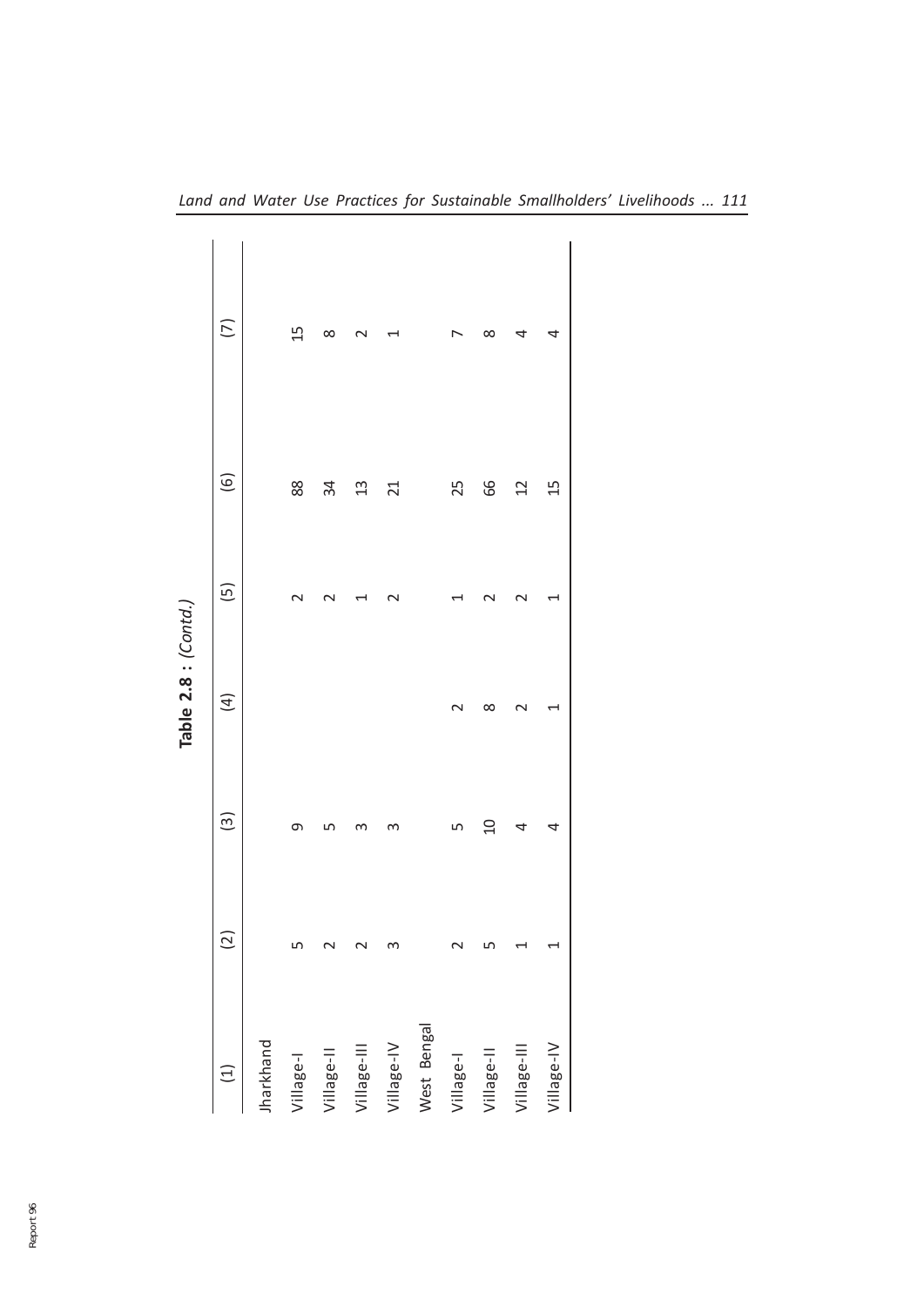|             |                |                 | Table 2.8 : (Contd.) |                |                      |   |
|-------------|----------------|-----------------|----------------------|----------------|----------------------|---|
| $\Xi$       | $\overline{c}$ | $\widetilde{S}$ | $\overline{4}$       | $\overline{5}$ | $\widetilde{\Theta}$ | E |
| Jharkhand   |                |                 |                      |                |                      |   |
| Village-I   |                | σ               |                      |                | 88                   |   |
| Village-II  |                |                 |                      |                | 34                   | ∞ |
| Village-III |                |                 |                      |                | $\mathfrak{a}$       |   |
| Village-IV  | ന              | S               |                      |                | $\overline{21}$      |   |
| West Bengal |                |                 |                      |                |                      |   |
| Village-I   |                | Б               | N                    |                | 25                   |   |
| Village-II  |                | ຊ               | ∞                    |                | 66                   | ∞ |
| Village-III |                | 4               |                      |                | 2                    |   |
| Village-IV  |                | 4               |                      |                | 15                   | 4 |
|             |                |                 |                      |                |                      |   |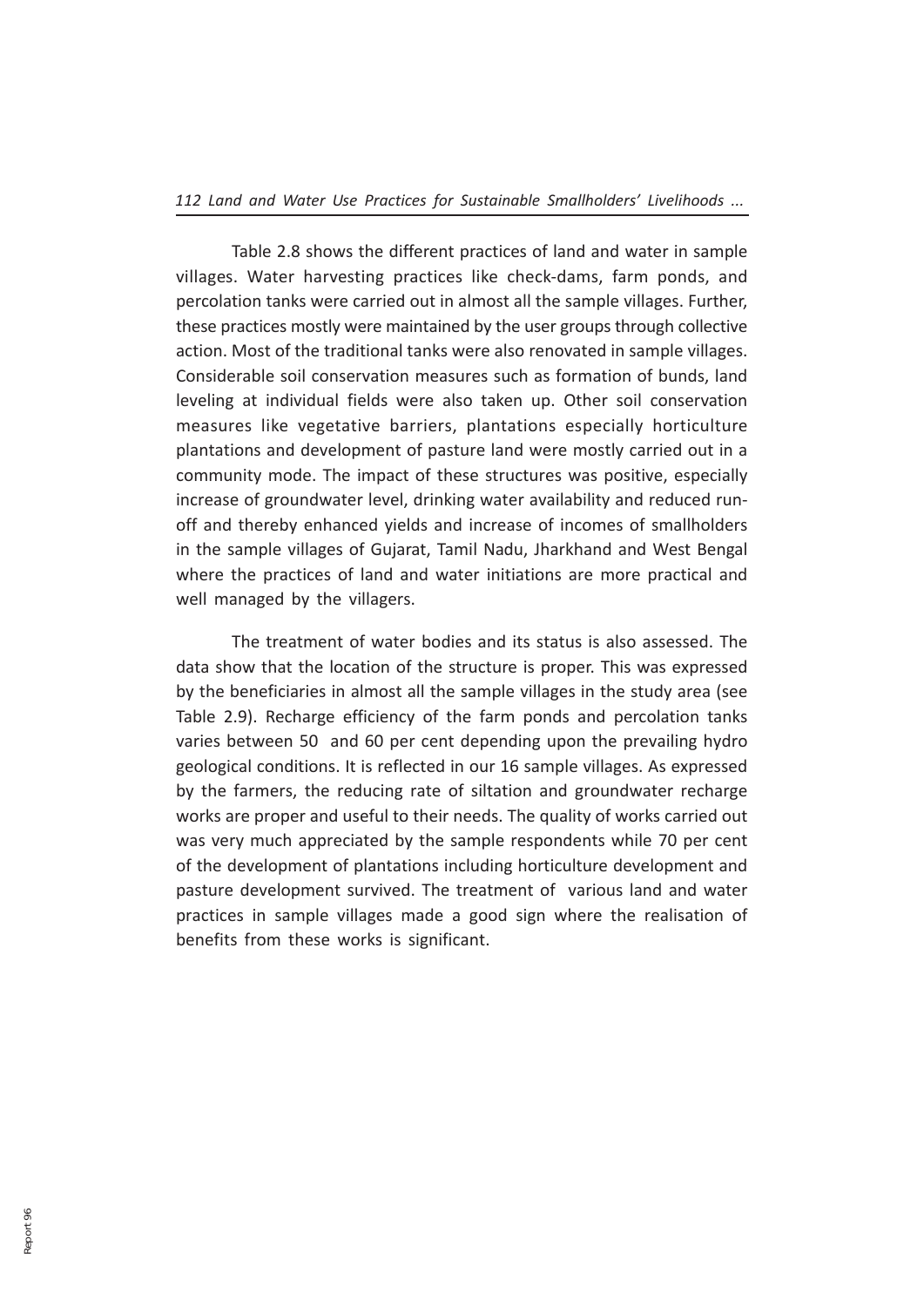Table 2.8 shows the different practices of land and water in sample villages. Water harvesting practices like check-dams, farm ponds, and percolation tanks were carried out in almost all the sample villages. Further, these practices mostly were maintained by the user groups through collective action. Most of the traditional tanks were also renovated in sample villages. Considerable soil conservation measures such as formation of bunds, land leveling at individual fields were also taken up. Other soil conservation measures like vegetative barriers, plantations especially horticulture plantations and development of pasture land were mostly carried out in a community mode. The impact of these structures was positive, especially increase of groundwater level, drinking water availability and reduced runoff and thereby enhanced yields and increase of incomes of smallholders in the sample villages of Gujarat, Tamil Nadu, Jharkhand and West Bengal where the practices of land and water initiations are more practical and well managed by the villagers.

The treatment of water bodies and its status is also assessed. The data show that the location of the structure is proper. This was expressed by the beneficiaries in almost all the sample villages in the study area (see Table 2.9). Recharge efficiency of the farm ponds and percolation tanks varies between 50 and 60 per cent depending upon the prevailing hydro geological conditions. It is reflected in our 16 sample villages. As expressed by the farmers, the reducing rate of siltation and groundwater recharge works are proper and useful to their needs. The quality of works carried out was very much appreciated by the sample respondents while 70 per cent of the development of plantations including horticulture development and pasture development survived. The treatment of various land and water practices in sample villages made a good sign where the realisation of benefits from these works is significant.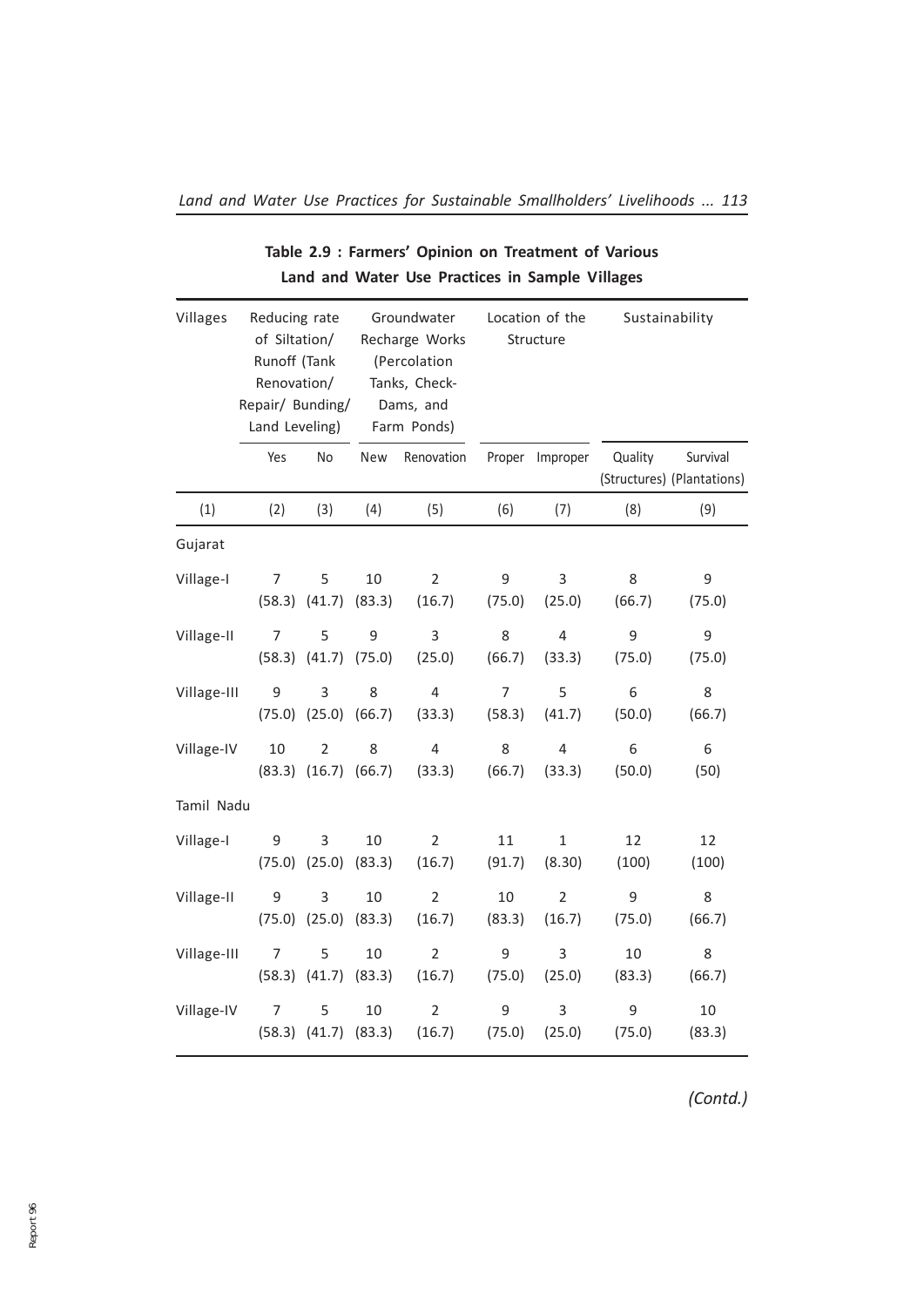| Villages    | Reducing rate<br>of Siltation/<br>Runoff (Tank<br>Renovation/<br>Repair/ Bunding/<br>Land Leveling) |                                              |              | Groundwater<br>Recharge Works<br>(Percolation<br>Tanks, Check-<br>Dams, and<br>Farm Ponds) |                          | Location of the<br>Structure      |              | Sustainability                         |
|-------------|-----------------------------------------------------------------------------------------------------|----------------------------------------------|--------------|--------------------------------------------------------------------------------------------|--------------------------|-----------------------------------|--------------|----------------------------------------|
|             | Yes                                                                                                 | <b>No</b>                                    | New          | Renovation                                                                                 | Proper                   | Improper                          | Quality      | Survival<br>(Structures) (Plantations) |
| (1)         | (2)                                                                                                 | (3)                                          | (4)          | (5)                                                                                        | (6)                      | (7)                               | (8)          | (9)                                    |
| Gujarat     |                                                                                                     |                                              |              |                                                                                            |                          |                                   |              |                                        |
| Village-I   | 7<br>(58.3)                                                                                         | 5<br>(41.7)                                  | 10<br>(83.3) | $\overline{2}$<br>(16.7)                                                                   | 9<br>(75.0)              | 3<br>(25.0)                       | 8<br>(66.7)  | 9<br>(75.0)                            |
| Village-II  | $\overline{7}$                                                                                      | 5<br>$(58.3)$ $(41.7)$ $(75.0)$              | 9            | 3<br>(25.0)                                                                                | 8<br>(66.7)              | $\overline{\mathbf{4}}$<br>(33.3) | 9<br>(75.0)  | 9<br>(75.0)                            |
| Village-III | 9                                                                                                   | 3<br>$(75.0)$ $(25.0)$ $(66.7)$              | 8            | $\overline{\mathbf{4}}$<br>(33.3)                                                          | $\overline{7}$<br>(58.3) | 5<br>(41.7)                       | 6<br>(50.0)  | 8<br>(66.7)                            |
| Village-IV  | 10                                                                                                  | $\overline{2}$<br>$(83.3)$ $(16.7)$ $(66.7)$ | 8            | 4<br>(33.3)                                                                                | 8<br>(66.7)              | 4<br>(33.3)                       | 6<br>(50.0)  | 6<br>(50)                              |
| Tamil Nadu  |                                                                                                     |                                              |              |                                                                                            |                          |                                   |              |                                        |
| Village-I   | 9                                                                                                   | 3<br>$(75.0)$ $(25.0)$                       | 10<br>(83.3) | 2<br>(16.7)                                                                                | 11<br>(91.7)             | $\mathbf{1}$<br>(8.30)            | 12<br>(100)  | 12<br>(100)                            |
| Village-II  | $\mathsf 9$                                                                                         | 3<br>$(75.0)$ $(25.0)$                       | 10<br>(83.3) | $\overline{2}$<br>(16.7)                                                                   | 10<br>(83.3)             | $\overline{2}$<br>(16.7)          | 9<br>(75.0)  | 8<br>(66.7)                            |
| Village-III | 7                                                                                                   | 5<br>$(58.3)$ $(41.7)$                       | 10<br>(83.3) | $\overline{2}$<br>(16.7)                                                                   | 9<br>(75.0)              | 3<br>(25.0)                       | 10<br>(83.3) | 8<br>(66.7)                            |
| Village-IV  | 7                                                                                                   | 5<br>$(58.3)$ $(41.7)$ $(83.3)$              | 10           | $\overline{2}$<br>(16.7)                                                                   | 9<br>(75.0)              | 3<br>(25.0)                       | 9<br>(75.0)  | 10<br>(83.3)                           |

# **Table 2.9 : Farmers' Opinion on Treatment of Various Land and Water Use Practices in Sample Villages**

*(Contd.)*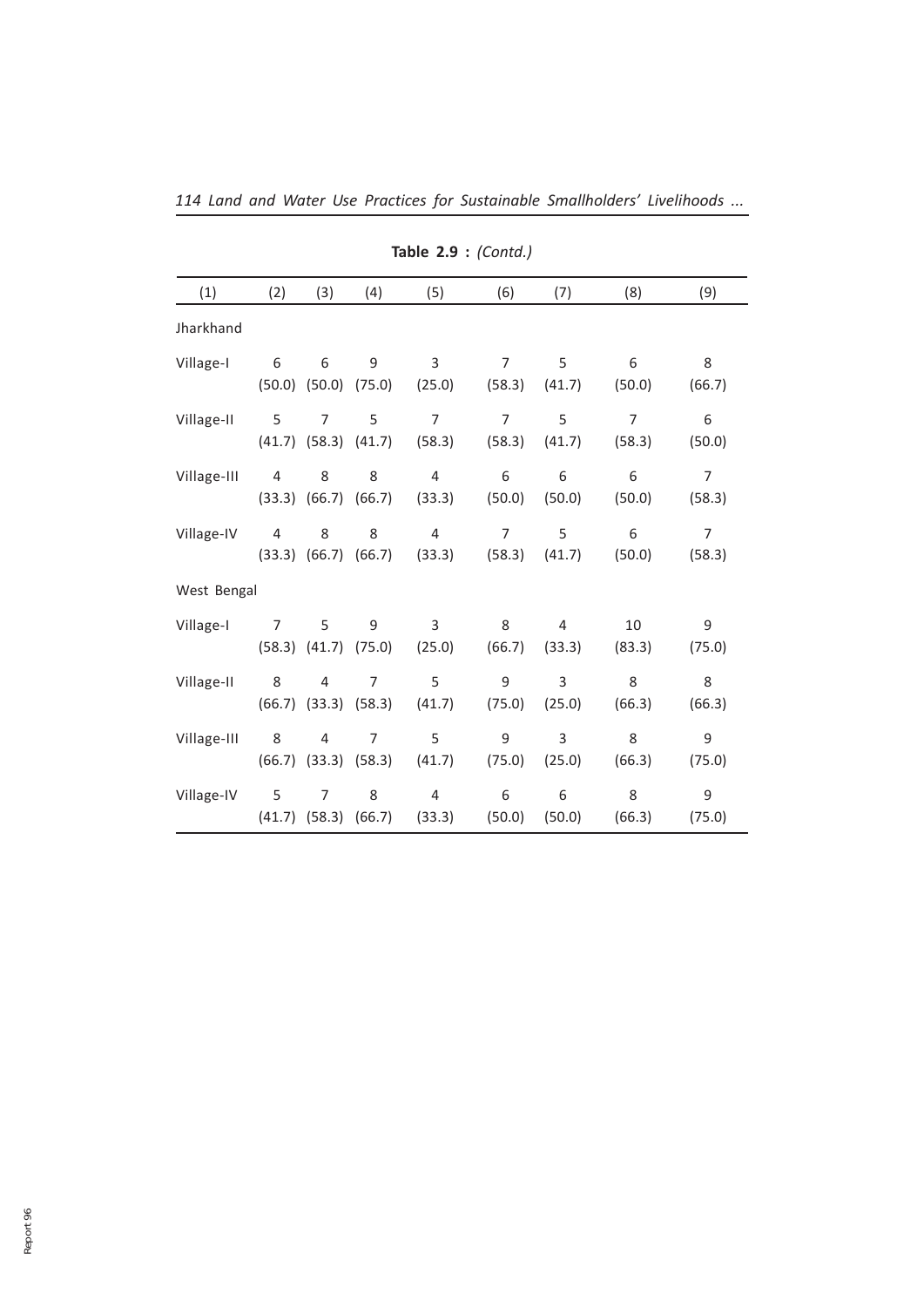|             |                          |                 |                | Table 2.9 : (Contd.)                                  |                |                        |                          |                          |
|-------------|--------------------------|-----------------|----------------|-------------------------------------------------------|----------------|------------------------|--------------------------|--------------------------|
| (1)         | (2)                      | (3)             | (4)            | (5)                                                   | (6)            | (7)                    | (8)                      | (9)                      |
| Jharkhand   |                          |                 |                |                                                       |                |                        |                          |                          |
| Village-I   | $6\overline{6}$          | $6\overline{6}$ | 9              | 3<br>$(50.0)$ $(50.0)$ $(75.0)$ $(25.0)$              | $\overline{7}$ | 5<br>$(58.3)$ $(41.7)$ | 6<br>(50.0)              | 8<br>(66.7)              |
| Village-II  | $\overline{\phantom{0}}$ | $\overline{7}$  | 5              | $\overline{7}$<br>$(41.7)$ $(58.3)$ $(41.7)$ $(58.3)$ | $\overline{7}$ | 5<br>$(58.3)$ $(41.7)$ | $\overline{7}$<br>(58.3) | 6<br>(50.0)              |
| Village-III | 4                        | 8               | 8              | $\overline{4}$<br>$(33.3)$ $(66.7)$ $(66.7)$ $(33.3)$ | 6<br>(50.0)    | 6<br>(50.0)            | 6<br>(50.0)              | $\overline{7}$<br>(58.3) |
| Village-IV  | $\overline{4}$           | 8               | 8              | $\overline{4}$<br>$(33.3)$ $(66.7)$ $(66.7)$ $(33.3)$ | $\overline{7}$ | 5<br>$(58.3)$ $(41.7)$ | 6<br>(50.0)              | $\overline{7}$<br>(58.3) |
| West Bengal |                          |                 |                |                                                       |                |                        |                          |                          |
| Village-I 7 |                          | 5               | $\overline{9}$ | 3<br>$(58.3)$ $(41.7)$ $(75.0)$ $(25.0)$              | 8              | 4<br>$(66.7)$ $(33.3)$ | 10<br>(83.3)             | 9<br>(75.0)              |
| Village-II  | 8                        | $\overline{4}$  | $\overline{7}$ | 5<br>$(66.7)$ $(33.3)$ $(58.3)$ $(41.7)$              | 9              | 3<br>$(75.0)$ $(25.0)$ | 8<br>(66.3)              | 8<br>(66.3)              |
| Village-III | 8 <sup>8</sup>           | $\overline{4}$  | $\overline{7}$ | 5<br>$(66.7)$ $(33.3)$ $(58.3)$ $(41.7)$              | 9<br>(75.0)    | 3<br>(25.0)            | 8<br>(66.3)              | 9<br>(75.0)              |
| Village-IV  | 5                        | $\overline{7}$  | 8              | 4<br>$(41.7)$ $(58.3)$ $(66.7)$ $(33.3)$              | 6<br>(50.0)    | 6<br>(50.0)            | 8<br>(66.3)              | 9<br>(75.0)              |

Report 96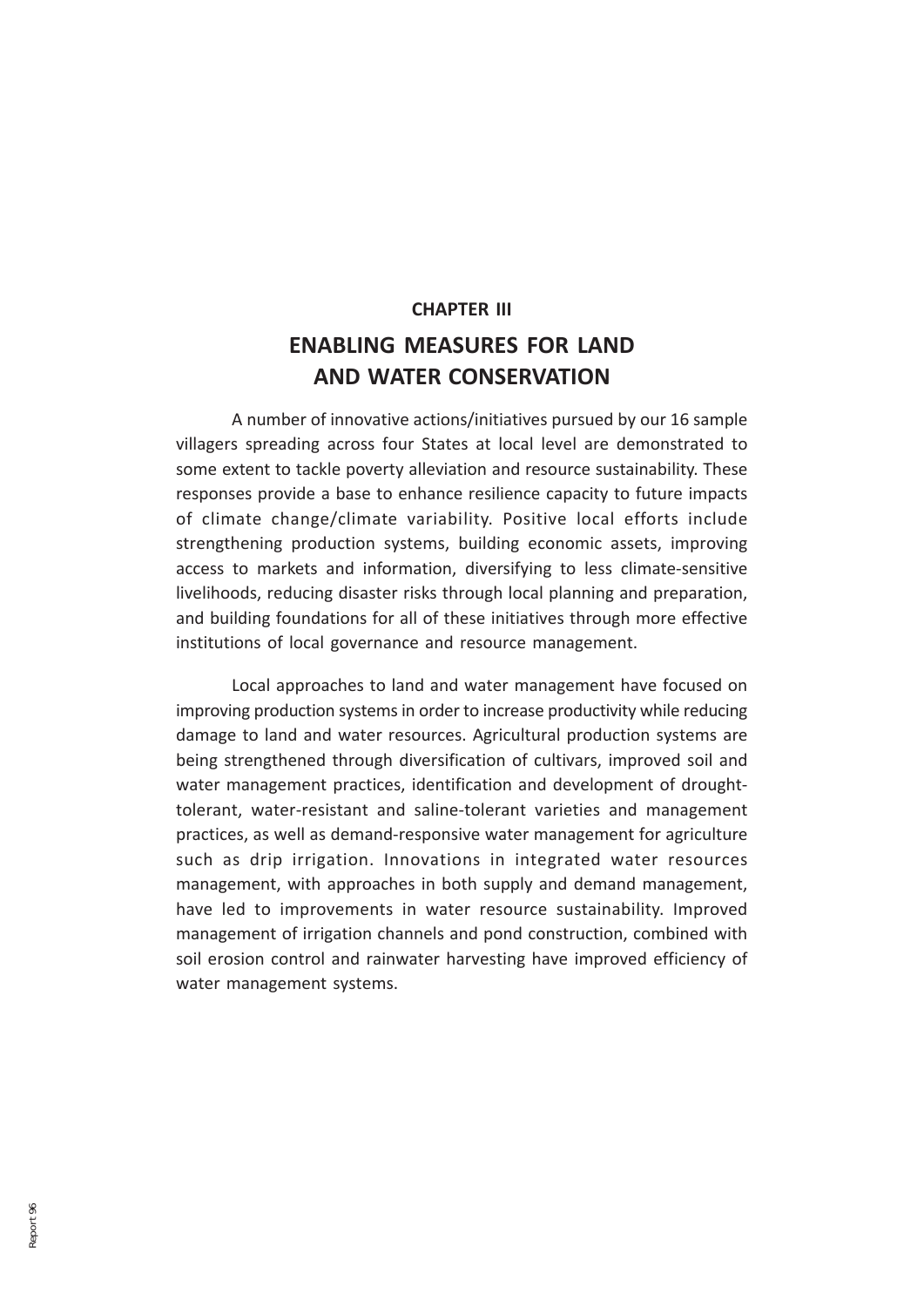# **CHAPTER III ENABLING MEASURES FOR LAND AND WATER CONSERVATION**

A number of innovative actions/initiatives pursued by our 16 sample villagers spreading across four States at local level are demonstrated to some extent to tackle poverty alleviation and resource sustainability. These responses provide a base to enhance resilience capacity to future impacts of climate change/climate variability. Positive local efforts include strengthening production systems, building economic assets, improving access to markets and information, diversifying to less climate-sensitive livelihoods, reducing disaster risks through local planning and preparation, and building foundations for all of these initiatives through more effective institutions of local governance and resource management.

Local approaches to land and water management have focused on improving production systems in order to increase productivity while reducing damage to land and water resources. Agricultural production systems are being strengthened through diversification of cultivars, improved soil and water management practices, identification and development of droughttolerant, water-resistant and saline-tolerant varieties and management practices, as well as demand-responsive water management for agriculture such as drip irrigation. Innovations in integrated water resources management, with approaches in both supply and demand management, have led to improvements in water resource sustainability. Improved management of irrigation channels and pond construction, combined with soil erosion control and rainwater harvesting have improved efficiency of water management systems.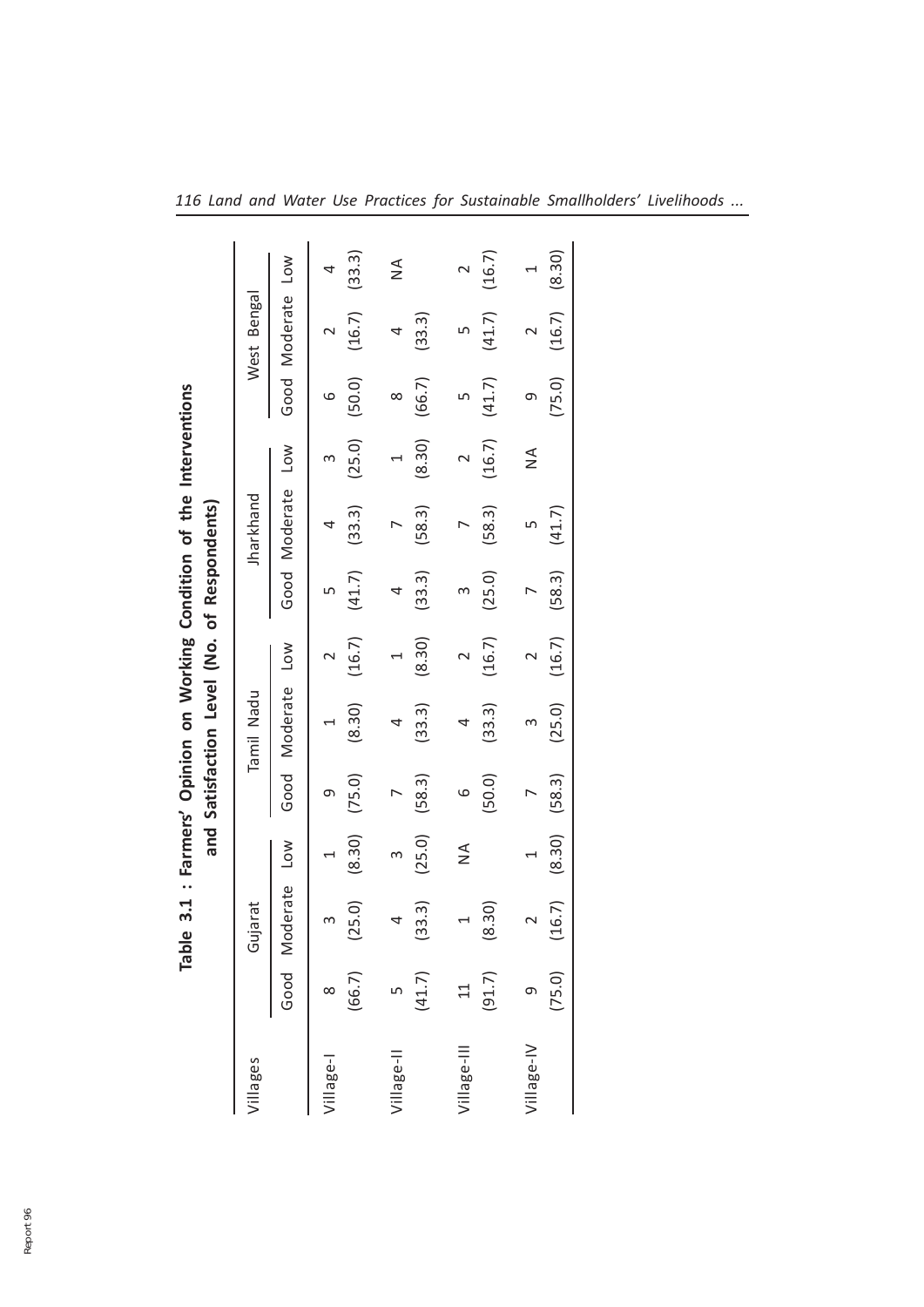|             |                    | <b>Table</b>         |                  |             | : Farmers' Opinion on Working Condition of the Interventions<br>and Satisfaction Level (No. of Respondents) |            |             |                  |               |             |                   |        |
|-------------|--------------------|----------------------|------------------|-------------|-------------------------------------------------------------------------------------------------------------|------------|-------------|------------------|---------------|-------------|-------------------|--------|
| Villages    |                    | Gujarat              |                  |             | Tamil Nadu                                                                                                  |            |             | <b>Jharkhand</b> |               |             | West Bengal       |        |
|             | Good Moc           | lerate               | $\sum_{i=1}^{n}$ | Good        | Moderate                                                                                                    | <b>NO7</b> |             | Good Moderate    | <b>NO7</b>    |             | Good Moderate Low |        |
| Village-I   | (66.7)<br>$\infty$ | $\bar{S}$            | (8.30)           | (75.0)      | (8.30)                                                                                                      | (16.7)     | (41.7)      | (33.3)           | (25.0)        | (50.0)      | (16.7)            | (33.3) |
| Village-II  | (41.7)<br>LŊ       | (33.3)               | (25.0)<br>m      | (58.3)      | (33.3)<br>4                                                                                                 | (8.30)     | (33.3)      | (58.3)           | (8.30)        | (66.7)<br>∞ | (33.3)<br>4       | $\leq$ |
| Village-III | (91.7)<br>$\Xi$    | $\overline{30}$<br>© | $\frac{4}{2}$    | (50.0)<br>6 | (33.3)<br>4                                                                                                 | (16.7)     | (25.0)<br>S | (58.3)           | (16.7)        | (41.7)      | (41.7)            | (16.7) |
| Village-IV  | (75.0)<br>$\circ$  | (16.7)               | (8.30)           | (58.3)      | (25.0)                                                                                                      | (16.7)     | (58.3)      | (41.7)           | $\frac{4}{5}$ | (75.0)<br>σ | (16.7)            | (8.30) |
|             |                    |                      |                  |             |                                                                                                             |            |             |                  |               |             |                   |        |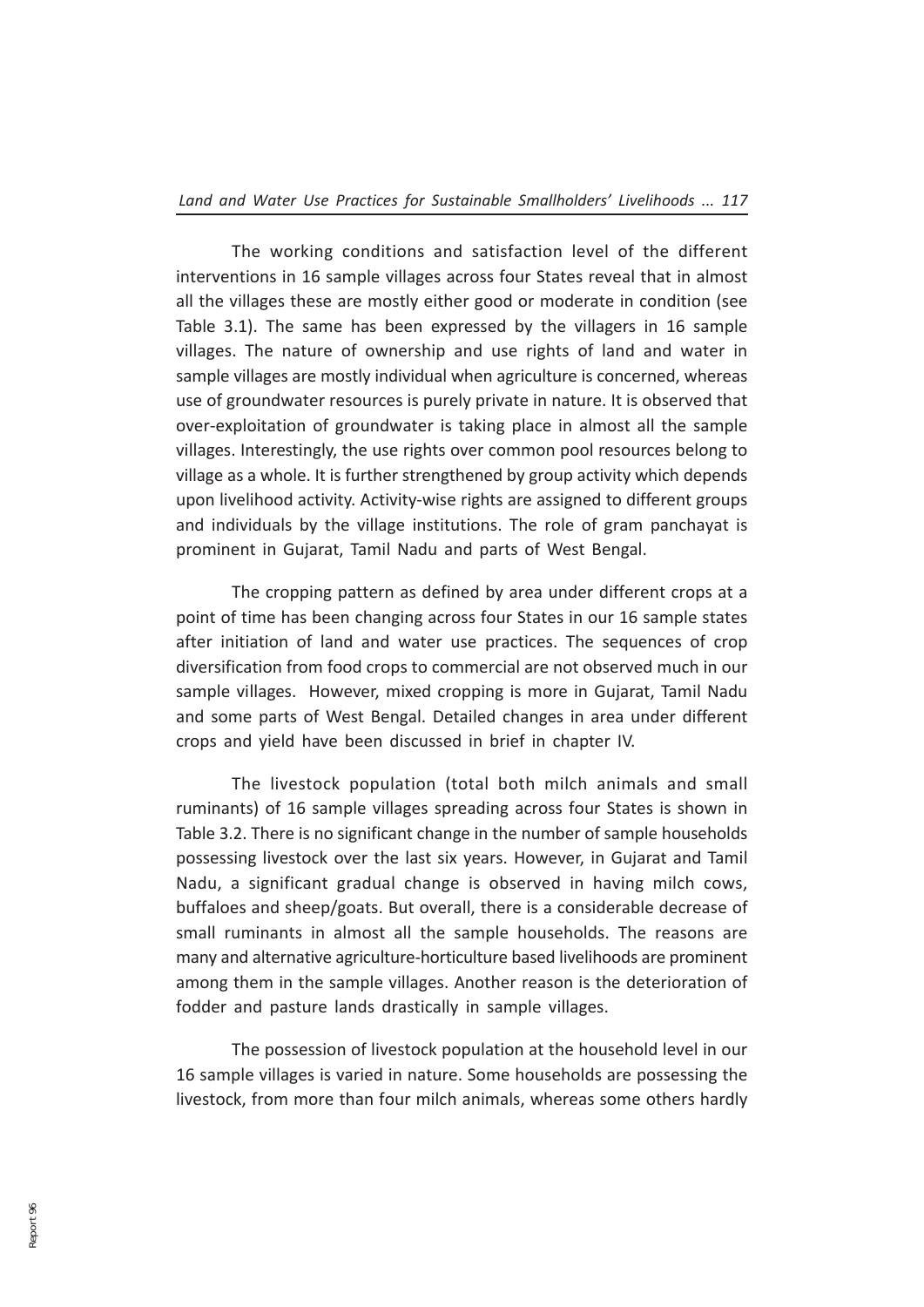The working conditions and satisfaction level of the different interventions in 16 sample villages across four States reveal that in almost all the villages these are mostly either good or moderate in condition (see Table 3.1). The same has been expressed by the villagers in 16 sample villages. The nature of ownership and use rights of land and water in sample villages are mostly individual when agriculture is concerned, whereas use of groundwater resources is purely private in nature. It is observed that over-exploitation of groundwater is taking place in almost all the sample villages. Interestingly, the use rights over common pool resources belong to village as a whole. It is further strengthened by group activity which depends upon livelihood activity. Activity-wise rights are assigned to different groups and individuals by the village institutions. The role of gram panchayat is prominent in Gujarat, Tamil Nadu and parts of West Bengal.

The cropping pattern as defined by area under different crops at a point of time has been changing across four States in our 16 sample states after initiation of land and water use practices. The sequences of crop diversification from food crops to commercial are not observed much in our sample villages. However, mixed cropping is more in Gujarat, Tamil Nadu and some parts of West Bengal. Detailed changes in area under different crops and yield have been discussed in brief in chapter IV.

The livestock population (total both milch animals and small ruminants) of 16 sample villages spreading across four States is shown in Table 3.2. There is no significant change in the number of sample households possessing livestock over the last six years. However, in Gujarat and Tamil Nadu, a significant gradual change is observed in having milch cows, buffaloes and sheep/goats. But overall, there is a considerable decrease of small ruminants in almost all the sample households. The reasons are many and alternative agriculture-horticulture based livelihoods are prominent among them in the sample villages. Another reason is the deterioration of fodder and pasture lands drastically in sample villages.

The possession of livestock population at the household level in our 16 sample villages is varied in nature. Some households are possessing the livestock, from more than four milch animals, whereas some others hardly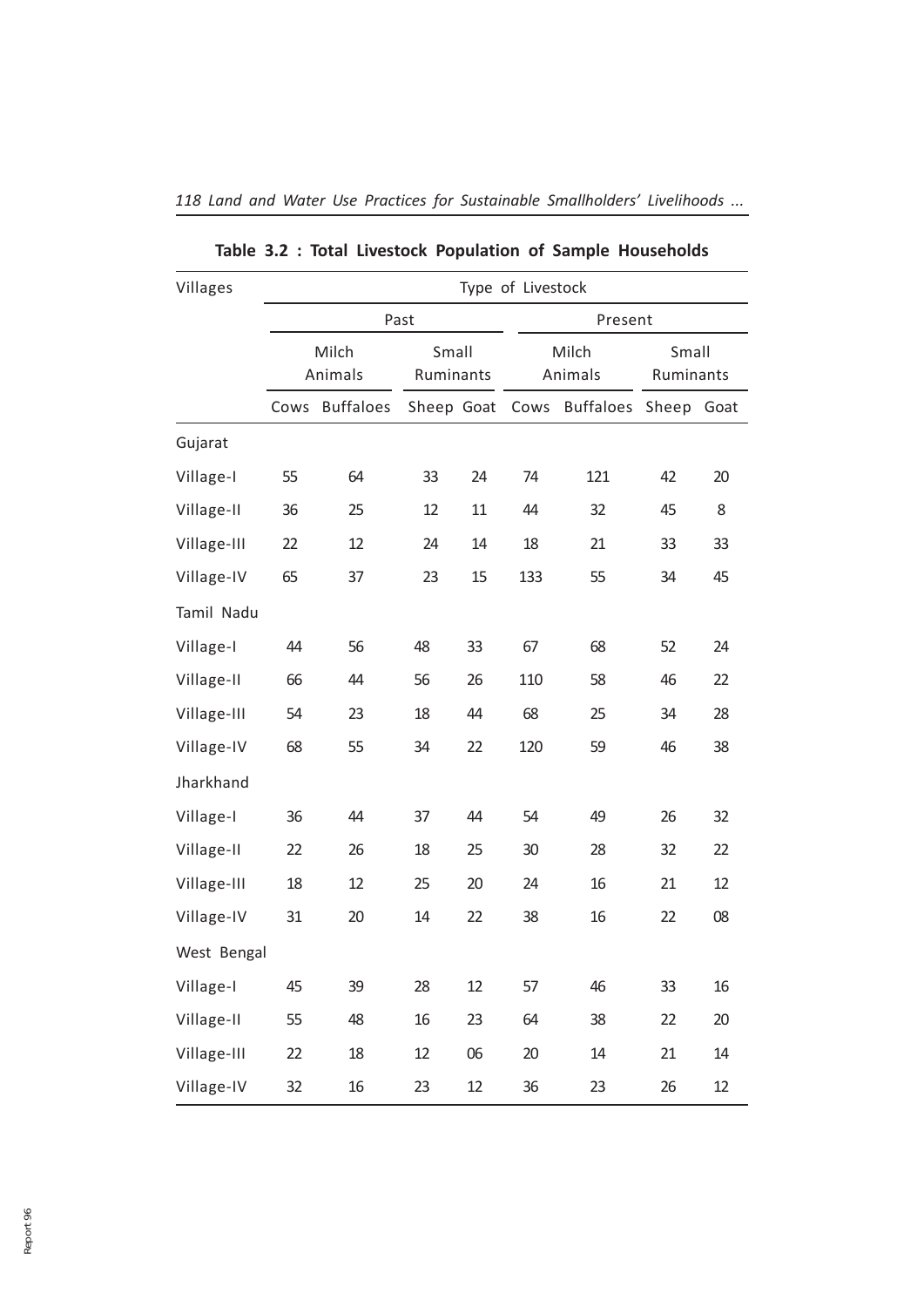| Villages    |    |                  |      |                    | Type of Livestock |                  |                    |    |
|-------------|----|------------------|------|--------------------|-------------------|------------------|--------------------|----|
|             |    |                  | Past |                    |                   | Present          |                    |    |
|             |    | Milch<br>Animals |      | Small<br>Ruminants |                   | Milch<br>Animals | Small<br>Ruminants |    |
|             |    | Cows Buffaloes   |      | Sheep Goat         |                   | Cows Buffaloes   | Sheep Goat         |    |
| Gujarat     |    |                  |      |                    |                   |                  |                    |    |
| Village-I   | 55 | 64               | 33   | 24                 | 74                | 121              | 42                 | 20 |
| Village-II  | 36 | 25               | 12   | 11                 | 44                | 32               | 45                 | 8  |
| Village-III | 22 | 12               | 24   | 14                 | 18                | 21               | 33                 | 33 |
| Village-IV  | 65 | 37               | 23   | 15                 | 133               | 55               | 34                 | 45 |
| Tamil Nadu  |    |                  |      |                    |                   |                  |                    |    |
| Village-I   | 44 | 56               | 48   | 33                 | 67                | 68               | 52                 | 24 |
| Village-II  | 66 | 44               | 56   | 26                 | 110               | 58               | 46                 | 22 |
| Village-III | 54 | 23               | 18   | 44                 | 68                | 25               | 34                 | 28 |
| Village-IV  | 68 | 55               | 34   | 22                 | 120               | 59               | 46                 | 38 |
| Jharkhand   |    |                  |      |                    |                   |                  |                    |    |
| Village-I   | 36 | 44               | 37   | 44                 | 54                | 49               | 26                 | 32 |
| Village-II  | 22 | 26               | 18   | 25                 | 30                | 28               | 32                 | 22 |
| Village-III | 18 | 12               | 25   | 20                 | 24                | 16               | 21                 | 12 |
| Village-IV  | 31 | 20               | 14   | 22                 | 38                | 16               | 22                 | 08 |
| West Bengal |    |                  |      |                    |                   |                  |                    |    |
| Village-I   | 45 | 39               | 28   | 12                 | 57                | 46               | 33                 | 16 |
| Village-II  | 55 | 48               | 16   | 23                 | 64                | 38               | 22                 | 20 |
| Village-III | 22 | 18               | 12   | 06                 | 20                | 14               | 21                 | 14 |
| Village-IV  | 32 | 16               | 23   | 12                 | 36                | 23               | 26                 | 12 |

**Table 3.2 : Total Livestock Population of Sample Households**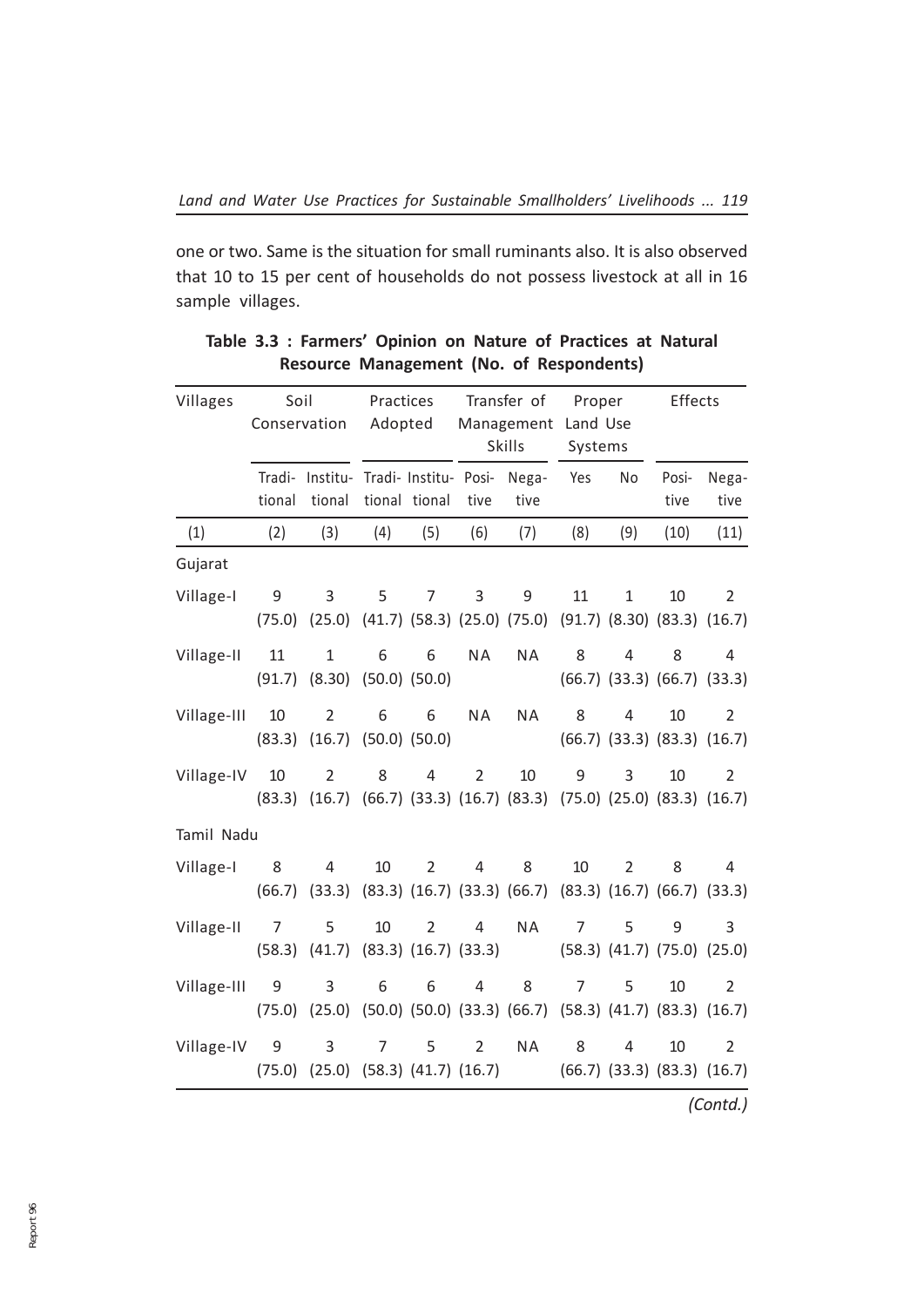one or two. Same is the situation for small ruminants also. It is also observed that 10 to 15 per cent of households do not possess livestock at all in 16 sample villages.

| Villages       | Soil           | Conservation Adopted Management Land Use                                                                    |       |                     |             | Practices Transfer of Proper Effects<br>Skills | Systems |                |                                           |                |
|----------------|----------------|-------------------------------------------------------------------------------------------------------------|-------|---------------------|-------------|------------------------------------------------|---------|----------------|-------------------------------------------|----------------|
|                | tional         | Tradi- Institu- Tradi- Institu- Posi-<br>tional                                                             |       | tional tional       | tive        | Nega-Yes<br>tive                               |         | No             | Posi-<br>tive                             | Nega-<br>tive  |
| (1)            | (2)            | (3)                                                                                                         | (4)   | (5)                 |             | $(6)$ $(7)$                                    | (8)     | (9)            |                                           | $(10)$ $(11)$  |
| Gujarat        |                |                                                                                                             |       |                     |             |                                                |         |                |                                           |                |
| Village-I      | $\overline{9}$ | $\mathbf{3}$<br>$(75.0)$ $(25.0)$ $(41.7)$ $(58.3)$ $(25.0)$ $(75.0)$ $(91.7)$ $(8.30)$ $(83.3)$ $(16.7)$   |       | $5 \quad 7 \quad 3$ |             | 9                                              | 11      | $1 \quad$      | 10                                        | $2^{\circ}$    |
| Village-II 11  |                | $(91.7)$ $(8.30)$ $(50.0)$ $(50.0)$                                                                         | 1 6 6 |                     | <b>NA</b>   | NA 8                                           |         | $4 \quad$      | 8<br>$(66.7)$ $(33.3)$ $(66.7)$ $(33.3)$  | $\overline{4}$ |
| Village-III 10 |                | $\overline{2}$<br>$(83.3)$ $(16.7)$ $(50.0)$ $(50.0)$                                                       |       | 6 6                 |             | NA NA 8                                        |         | $\overline{4}$ | 10<br>$(66.7)$ $(33.3)$ $(83.3)$ $(16.7)$ | $2^{\circ}$    |
| Village-IV 10  |                | $\overline{2}$<br>(83.3) (16.7) (66.7) (33.3) (16.7) (83.3) (75.0) (25.0) (83.3) (16.7)                     |       | 8 4                 | $2^{\circ}$ | 10                                             | 9       | 3              | 10                                        | $2^{\circ}$    |
| Tamil Nadu     |                |                                                                                                             |       |                     |             |                                                |         |                |                                           |                |
| Village-I 8    |                | $\overline{4}$<br>$(66.7)$ $(33.3)$ $(83.3)$ $(16.7)$ $(33.3)$ $(66.7)$ $(83.3)$ $(16.7)$ $(66.7)$ $(33.3)$ |       |                     |             | 10  2  4  8                                    | 10      |                | $2 \t 8$                                  | $\overline{4}$ |
| Village-II     | $\overline{7}$ | 5<br>$(58.3)$ $(41.7)$ $(83.3)$ $(16.7)$ $(33.3)$ $(58.3)$ $(41.7)$ $(75.0)$ $(25.0)$                       | 10    | $\overline{2}$      |             | 4 NA 7                                         |         | 5              | 9                                         | $\overline{3}$ |
| Village-III 9  |                | 3<br>$(75.0)$ $(25.0)$ $(50.0)$ $(50.0)$ $(33.3)$ $(66.7)$ $(58.3)$ $(41.7)$ $(83.3)$ $(16.7)$              | 6     | $6\overline{6}$     |             | 4 8 7                                          |         | 5              | 10                                        | $2^{\circ}$    |
| Village-IV 9   |                | 3<br>(75.0) (25.0) (58.3) (41.7) (16.7) (66.7) (33.3) (83.3) (16.7)                                         | 7     | 5                   | $2^{\circ}$ | <b>NA</b>                                      | 8       | $\overline{4}$ | $10$                                      | $2^{\circ}$    |

|  |  | Table 3.3 : Farmers' Opinion on Nature of Practices at Natural |  |  |  |
|--|--|----------------------------------------------------------------|--|--|--|
|  |  | Resource Management (No. of Respondents)                       |  |  |  |

*(Contd.)*

Report 96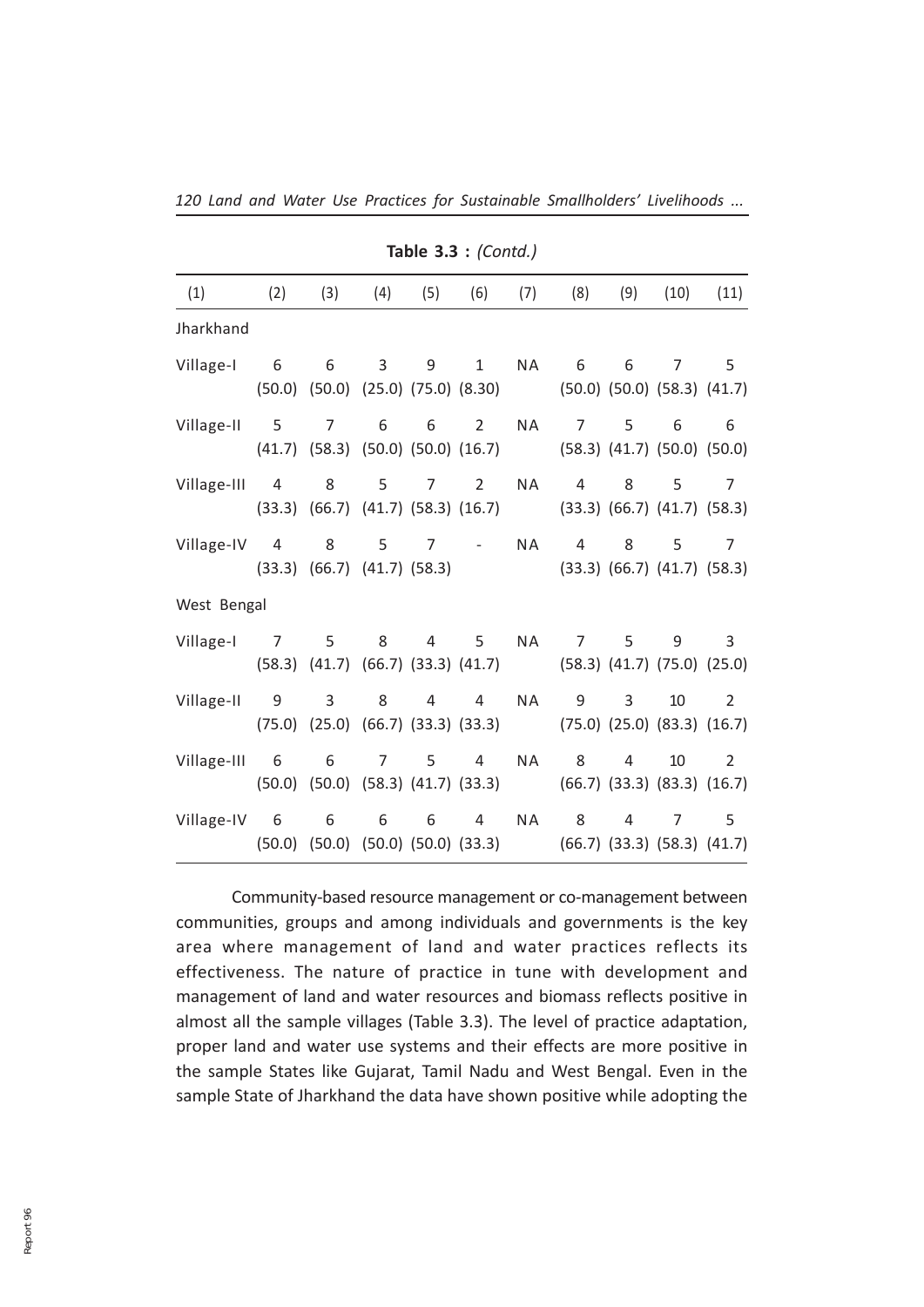|                                  |                                                                                  |  | <b>lable 3.3:</b> ( <i>CONTO.</i> ) |            |                     |                |
|----------------------------------|----------------------------------------------------------------------------------|--|-------------------------------------|------------|---------------------|----------------|
| (1)                              | $(2)$ $(3)$ $(4)$ $(5)$ $(6)$ $(7)$                                              |  |                                     | (8)        | $(9)$ $(10)$ $(11)$ |                |
| Jharkhand                        |                                                                                  |  |                                     |            |                     |                |
| Village-I 6 6 3 9 1 NA 6 6 7 5   | $(50.0)$ $(50.0)$ $(25.0)$ $(75.0)$ $(8.30)$ $(50.0)$ $(50.0)$ $(58.3)$ $(41.7)$ |  |                                     |            |                     |                |
| Village-II 5 7 6 6 2             | $(41.7)$ $(58.3)$ $(50.0)$ $(50.0)$ $(16.7)$ $(58.3)$ $(41.7)$ $(50.0)$ $(50.0)$ |  |                                     | NA 7 5 6 6 |                     |                |
| Village-III 4 8 5 7 2 NA 4 8 5 7 | $(33.3)$ $(66.7)$ $(41.7)$ $(58.3)$ $(16.7)$ $(33.3)$ $(66.7)$ $(41.7)$ $(58.3)$ |  |                                     |            |                     |                |
| Village-IV 4 8 5 7 - NA 4 8 5 7  | $(33.3)$ $(66.7)$ $(41.7)$ $(58.3)$ $(33.3)$ $(66.7)$ $(41.7)$ $(58.3)$          |  |                                     |            |                     |                |
| West Bengal                      |                                                                                  |  |                                     |            |                     |                |
| Village-I 7 5 8 4 5 NA 7 5 9 3   | $(58.3)$ $(41.7)$ $(66.7)$ $(33.3)$ $(41.7)$ $(58.3)$ $(41.7)$ $(75.0)$ $(25.0)$ |  |                                     |            |                     |                |
| Village-II 9 3 8 4 4 NA 9 3      | $(75.0)$ $(25.0)$ $(66.7)$ $(33.3)$ $(33.3)$ $(75.0)$ $(25.0)$ $(83.3)$ $(16.7)$ |  |                                     |            |                     | 10 2           |
| Village-III 6 6 7 5 4 NA 8 4     | $(50.0)$ $(50.0)$ $(58.3)$ $(41.7)$ $(33.3)$ $(66.7)$ $(33.3)$ $(83.3)$ $(16.7)$ |  |                                     |            | 10                  | $2^{\circ}$    |
| Village-IV 6 6 6 6 6 4 NA 8 4 7  | $(50.0)$ $(50.0)$ $(50.0)$ $(50.0)$ $(33.3)$ $(66.7)$ $(33.3)$ $(58.3)$ $(41.7)$ |  |                                     |            |                     | 5 <sup>7</sup> |

**Table 3.3 :** *(Contd.)*

Community-based resource management or co-management between communities, groups and among individuals and governments is the key area where management of land and water practices reflects its effectiveness. The nature of practice in tune with development and management of land and water resources and biomass reflects positive in almost all the sample villages (Table 3.3). The level of practice adaptation, proper land and water use systems and their effects are more positive in the sample States like Gujarat, Tamil Nadu and West Bengal. Even in the sample State of Jharkhand the data have shown positive while adopting the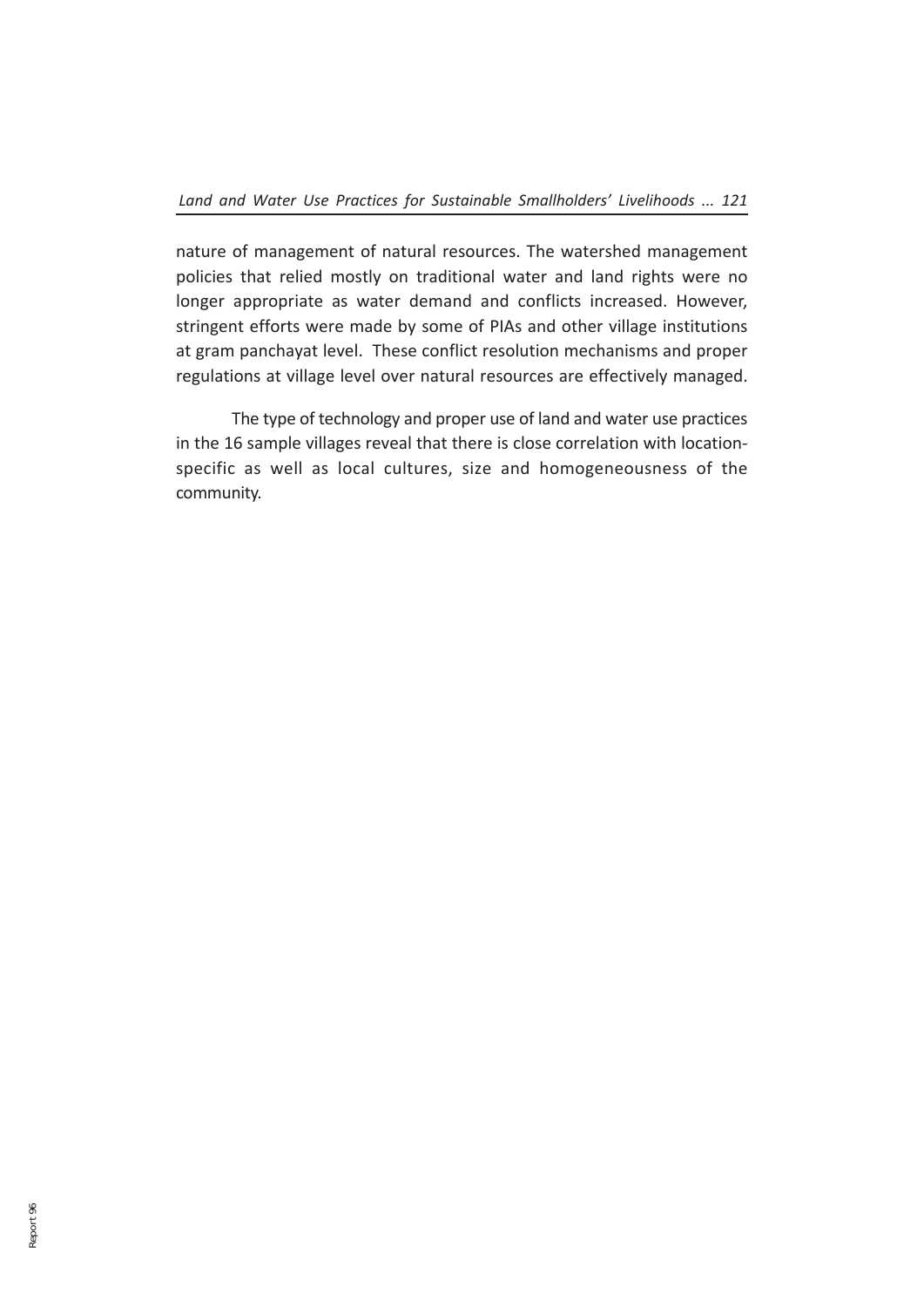nature of management of natural resources. The watershed management policies that relied mostly on traditional water and land rights were no longer appropriate as water demand and conflicts increased. However, stringent efforts were made by some of PIAs and other village institutions at gram panchayat level. These conflict resolution mechanisms and proper regulations at village level over natural resources are effectively managed.

The type of technology and proper use of land and water use practices in the 16 sample villages reveal that there is close correlation with locationspecific as well as local cultures, size and homogeneousness of the community.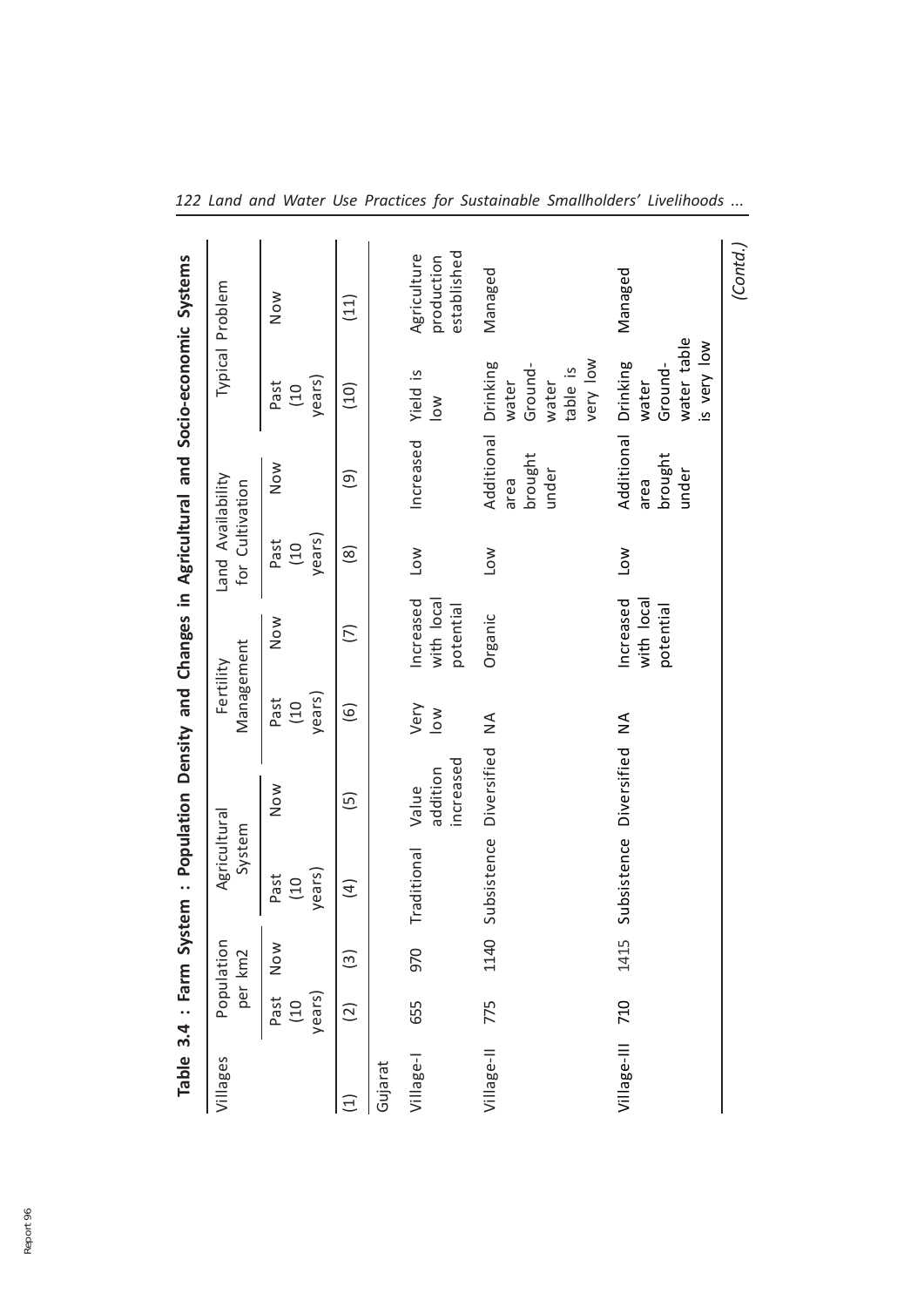|             |                       |                              | Table 3.4 : Farm System : Population Density and Changes in Agricultural and Socio-economic Systems |                                |                         |                                      |                                      |                                        |                                                               |                                          |
|-------------|-----------------------|------------------------------|-----------------------------------------------------------------------------------------------------|--------------------------------|-------------------------|--------------------------------------|--------------------------------------|----------------------------------------|---------------------------------------------------------------|------------------------------------------|
| Villages    |                       | Population<br>per km2        | Agricultural<br>System                                                                              |                                | Management<br>Fertility |                                      | Land Availability<br>for Cultivation |                                        |                                                               | Typical Problem                          |
|             | years)<br>Past<br>010 | Now                          | years)<br>Past<br>$\overline{0}$                                                                    | N <sub>O</sub> M               | years)<br>Past<br>(10)  | Now                                  | years)<br>Past<br>(10)               | Now                                    | years)<br>Past<br>(10)                                        | Now                                      |
| 1           | $\widetilde{c}$       | $\left( \frac{3}{2} \right)$ | $\overline{4}$                                                                                      | $\widetilde{\Xi}$              | $\widehat{\Theta}$      | $\widehat{\subset}$                  | $\circledR$                          | ම)                                     | (10)                                                          | (11)                                     |
| Gujarat     |                       |                              |                                                                                                     |                                |                         |                                      |                                      |                                        |                                                               |                                          |
| Village-I   | 655                   | 970                          | Traditional                                                                                         | increased<br>addition<br>Value | Very<br>$\sim$          | with local<br>Increased<br>potential | Low                                  | Increased                              | Yield is<br>$\frac{1}{2}$                                     | established<br>Agriculture<br>production |
| Village-II  | 775                   | 1140                         | Subsistence                                                                                         | Diversified                    | $\frac{4}{2}$           | Organic                              | L <sub>O</sub> w                     | Additional<br>brought<br>under<br>area | very low<br>Drinking<br>Ground-<br>table is<br>water<br>water | Managed                                  |
| Village-III | 710                   | 1415                         | Subsistence Diversified                                                                             |                                | $\frac{4}{5}$           | Increased<br>with local<br>potential | <b>NOT</b>                           | Additional<br>brought<br>under<br>area | water table<br>is very low<br>Drinking<br>Ground-<br>water    | Managed                                  |
|             |                       |                              |                                                                                                     |                                |                         |                                      |                                      |                                        |                                                               | (Contd.)                                 |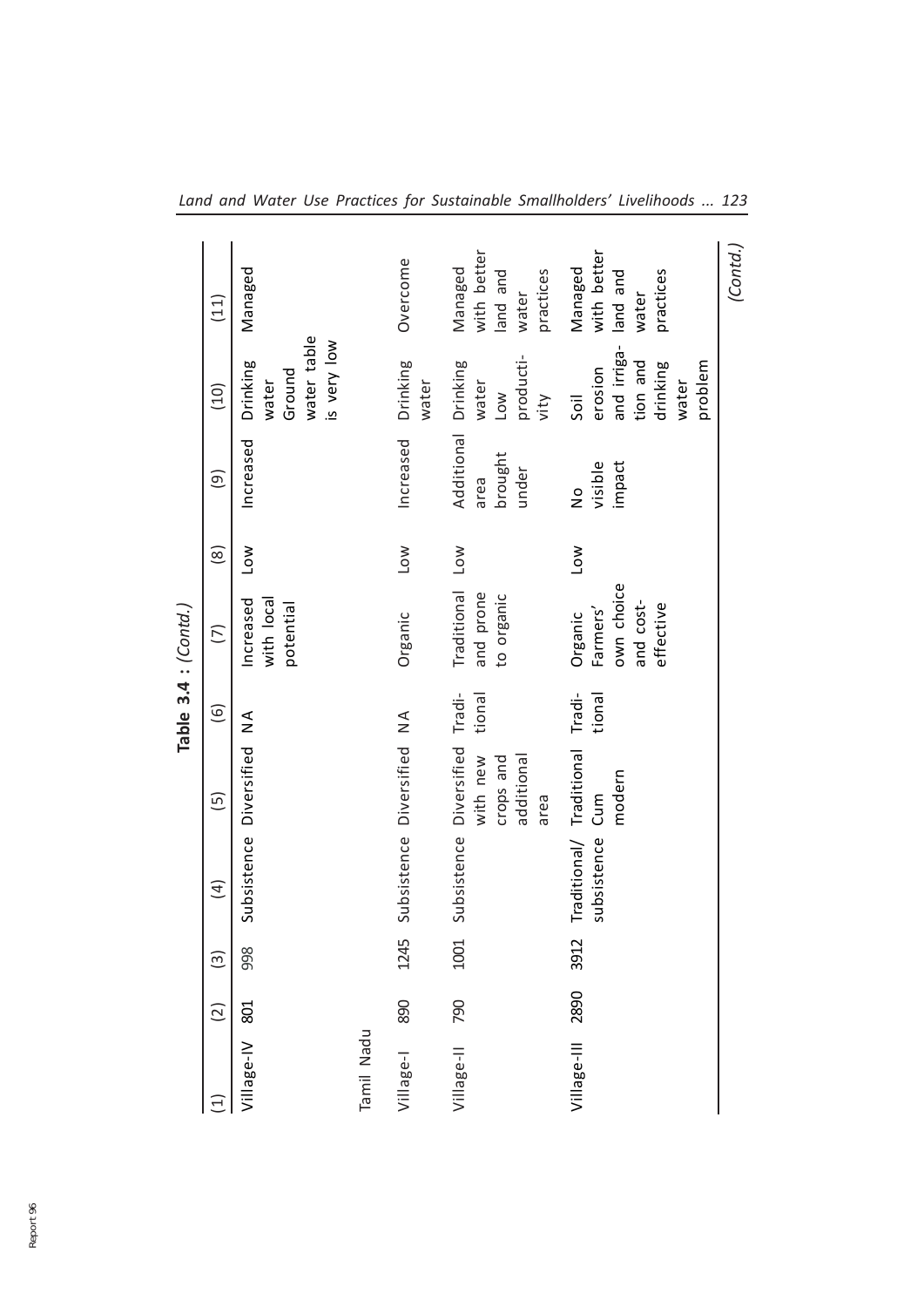|             |                |                   |                             |                                                            |                      | Table 3.4 : (Contd.)                                        |             |                                               |                                                                            |                                                          |
|-------------|----------------|-------------------|-----------------------------|------------------------------------------------------------|----------------------|-------------------------------------------------------------|-------------|-----------------------------------------------|----------------------------------------------------------------------------|----------------------------------------------------------|
| 1           | $\overline{2}$ | $\widetilde{\Xi}$ | $\widehat{f}$               | $\widetilde{5}$                                            | $\widetilde{\Theta}$ | $\left($ 7)                                                 | $\circledS$ | $\widehat{e}$                                 | (10)                                                                       | (11)                                                     |
| Village-IV  | 801            | 998               | Subsistence Diversified     |                                                            | $\frac{4}{5}$        | with local<br>ncreased<br>potential                         | <b>NOT</b>  | Increased                                     | water table<br>is very low<br>Drinking<br>Ground<br>water                  | Managed                                                  |
| Tamil Nadu  |                |                   |                             |                                                            |                      |                                                             |             |                                               |                                                                            |                                                          |
| Village-I   | 890            | 1245              | Subsistence Diversified NA  |                                                            |                      | Organic                                                     | Low         | Increased                                     | Drinking<br>water                                                          | Overcome                                                 |
| Village-II  | 790            | 1001              | Subsistence                 | Diversified<br>additional<br>crops and<br>with new<br>area | Tradi-<br>tional     | Traditional<br>and prone<br>to organic                      | Low         | <b>Additional</b><br>brought<br>under<br>area | producti-<br>Drinking<br>water<br>Low<br>vity                              | with better<br>Managed<br>practices<br>land and<br>water |
| Village-III | 2890           | 3912              | Traditional/<br>subsistence | Traditional<br>modern<br>Cum                               | Tradi-<br>tional     | own choice<br>and cost-<br>effective<br>Farmers'<br>Organic | <b>NOT</b>  | impact<br>visible<br>$\frac{1}{2}$            | and irriga-<br>tion and<br>drinking<br>problem<br>erosion<br>water<br>Soil | with better<br>Managed<br>land and<br>practices<br>water |
|             |                |                   |                             |                                                            |                      |                                                             |             |                                               |                                                                            | (Contd.)                                                 |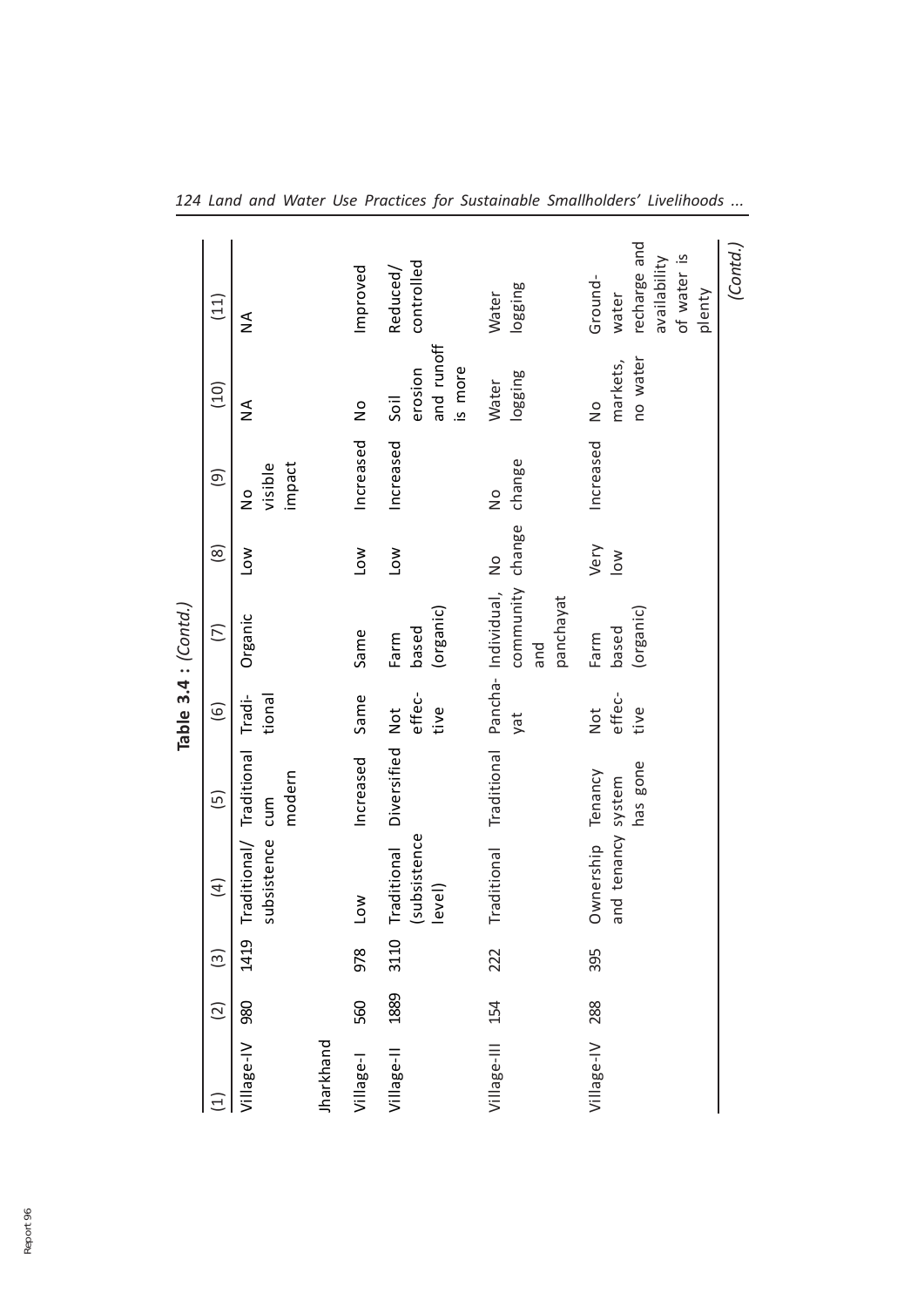|             |                |                              |                                       |                       |                       | Table 3.4 : (Contd.)                                       |                                  |                                         |                                          |                                                                           |
|-------------|----------------|------------------------------|---------------------------------------|-----------------------|-----------------------|------------------------------------------------------------|----------------------------------|-----------------------------------------|------------------------------------------|---------------------------------------------------------------------------|
|             | $\overline{2}$ | $\left( \frac{3}{2} \right)$ | $\left( 4\right)$                     | $\overline{5}$        | $\widetilde{\Theta}$  | (5)                                                        | $\circled{s}$                    | $\widehat{e}$                           | (10)                                     | (11)                                                                      |
| Village-IV  | 980            | 1419                         | subsistence cum<br>Traditional/       | Traditional<br>modern | Tradi-<br>tional      | Organic                                                    | <b>NOT</b>                       | impact<br>visible<br>$\frac{1}{2}$      | $\frac{4}{2}$                            | ≨                                                                         |
| Iharkhand   |                |                              |                                       |                       |                       |                                                            |                                  |                                         |                                          |                                                                           |
| Village-I   | 560            | 978                          | Low                                   | Increased             | Same                  | Same                                                       | <b>NOT</b>                       | Increased                               | $\frac{1}{2}$                            | Improved                                                                  |
| Village-II  | 1889           | 3110                         | (subsistence<br>Traditional<br>level) | Diversified           | effec-<br>Not<br>tive | (organic)<br>based<br>Farm                                 | <b>NOT</b>                       | Increased                               | and runoff<br>is more<br>erosion<br>Soil | controlled<br>Reduced/                                                    |
| Village-III | 154            | 222                          | Traditional                           | Traditional           | yat                   | community change<br>Pancha-Individual,<br>panchayat<br>and | $\frac{1}{2}$                    | change<br>$\overset{\circ}{\mathsf{z}}$ | logging<br>Water                         | logging<br>Water                                                          |
| Village-IV  | 288            | 395                          | and tenancy system<br>Ownership       | has gone<br>Tenancy   | effec-<br>tive<br>Not | (organic)<br>based<br>Farm                                 | Very<br>$\overline{\phantom{0}}$ | Increased                               | no water<br>markets,<br>$\frac{1}{2}$    | recharge and<br>of water is<br>availability<br>Ground-<br>plenty<br>water |
|             |                |                              |                                       |                       |                       |                                                            |                                  |                                         |                                          | (Contd.)                                                                  |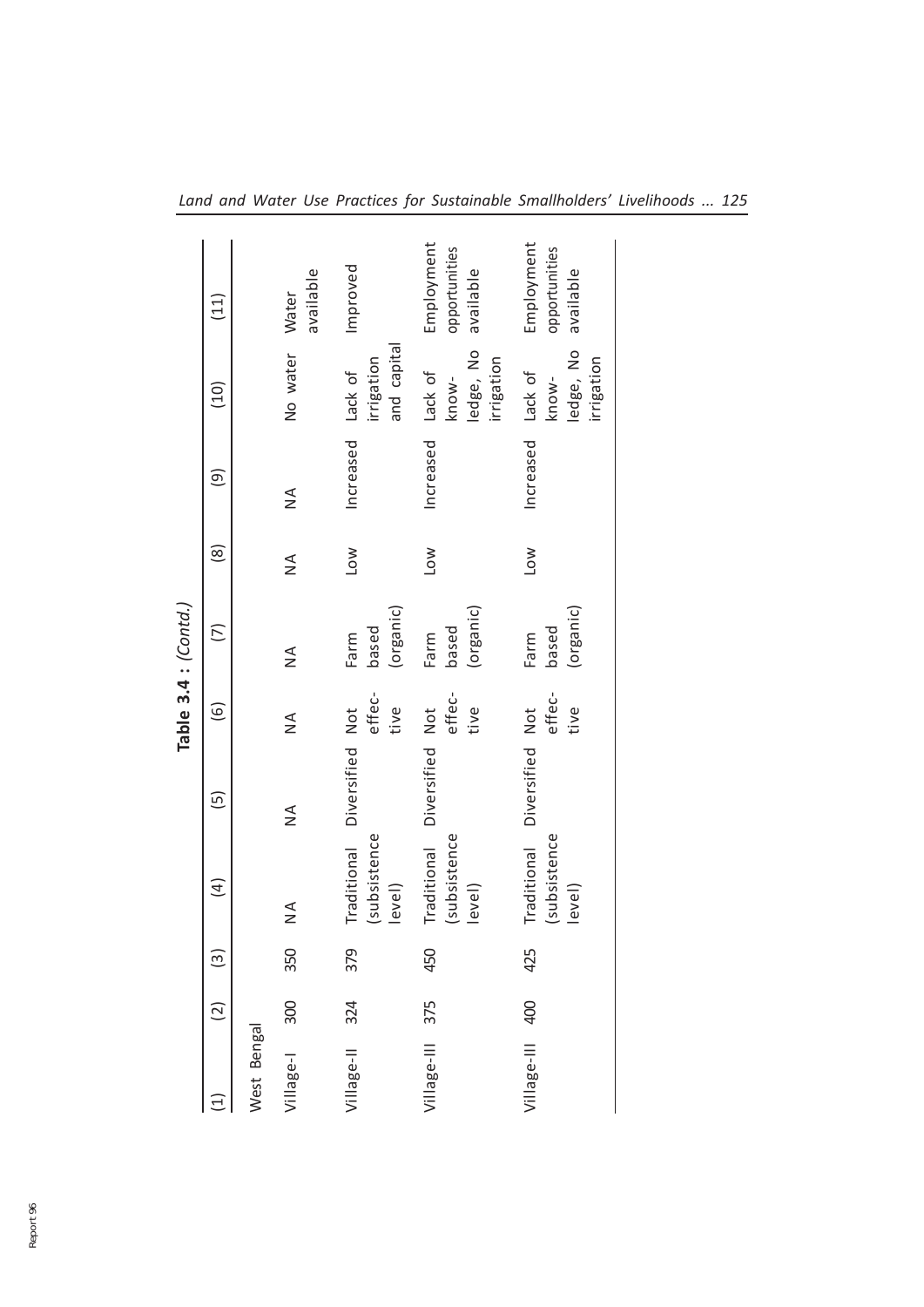| and capital<br>No water<br>ledge, No<br>ledge, No<br>irrigation<br>irrigation<br>irrigation<br>Lack of<br>Lack of<br>Lack of<br>know-<br>know-<br>(10)<br>Increased<br>Increased<br>Increased<br>ම<br>$\frac{4}{2}$<br>$\circledS$<br>Low<br>Low<br>Low<br>$\frac{4}{2}$<br>(organic)<br>(organic)<br>(organic)<br>$\widehat{\triangleright}$<br>based<br>based<br>based<br>Farm<br>Farm<br>Farm<br>$\frac{1}{2}$<br>effec-<br>effec-<br>effec-<br>$\circ$<br>tive<br>tive<br>tive<br>Not<br>Diversified Not<br>Diversified Not<br>$\frac{4}{2}$<br>Diversified<br>$\widetilde{5}$<br>$\frac{4}{2}$<br>Traditional<br>(subsistence<br>(subsistence<br>(subsistence<br>Traditional<br>Traditional<br>$\widehat{E}$<br>level)<br>level)<br>level)<br>$\frac{4}{2}$<br>379<br>425<br>450<br>350<br>$\bar{\mathbb{S}}$<br>400<br>324<br>375<br>300<br>$\widehat{\mathsf{N}}$<br>Nest Bengal<br>Village-III<br>Village-III<br>Village-II<br>illage-l |  |  |  | Table 3.4 : (Contd.) |  |                                          |
|-------------------------------------------------------------------------------------------------------------------------------------------------------------------------------------------------------------------------------------------------------------------------------------------------------------------------------------------------------------------------------------------------------------------------------------------------------------------------------------------------------------------------------------------------------------------------------------------------------------------------------------------------------------------------------------------------------------------------------------------------------------------------------------------------------------------------------------------------------------------------------------------------------------------------------------------------|--|--|--|----------------------|--|------------------------------------------|
|                                                                                                                                                                                                                                                                                                                                                                                                                                                                                                                                                                                                                                                                                                                                                                                                                                                                                                                                                 |  |  |  |                      |  | $\left(11\right)$                        |
|                                                                                                                                                                                                                                                                                                                                                                                                                                                                                                                                                                                                                                                                                                                                                                                                                                                                                                                                                 |  |  |  |                      |  |                                          |
|                                                                                                                                                                                                                                                                                                                                                                                                                                                                                                                                                                                                                                                                                                                                                                                                                                                                                                                                                 |  |  |  |                      |  | available<br>Water                       |
|                                                                                                                                                                                                                                                                                                                                                                                                                                                                                                                                                                                                                                                                                                                                                                                                                                                                                                                                                 |  |  |  |                      |  | Improved                                 |
|                                                                                                                                                                                                                                                                                                                                                                                                                                                                                                                                                                                                                                                                                                                                                                                                                                                                                                                                                 |  |  |  |                      |  | Employment<br>opportunities<br>available |
|                                                                                                                                                                                                                                                                                                                                                                                                                                                                                                                                                                                                                                                                                                                                                                                                                                                                                                                                                 |  |  |  |                      |  | Employment<br>opportunities<br>available |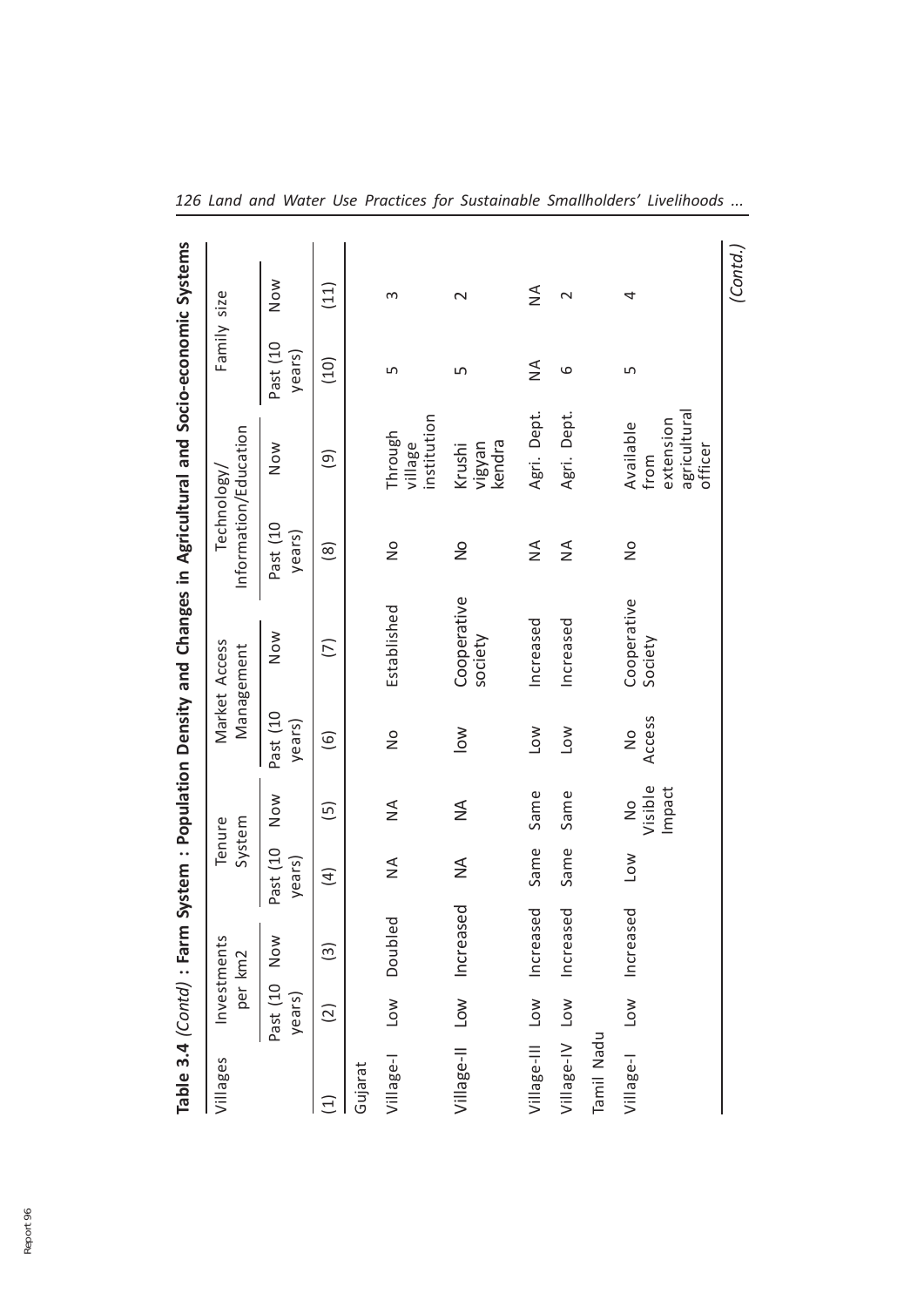| Table 3.4 (Contd) : Farm |                        |                 |                    |                                    |                         | System: Population Density and Changes in Agricultural and Socio-economic Systems |                                      |                                                           |                    |                                |
|--------------------------|------------------------|-----------------|--------------------|------------------------------------|-------------------------|-----------------------------------------------------------------------------------|--------------------------------------|-----------------------------------------------------------|--------------------|--------------------------------|
| Villages                 | Investments<br>per km2 |                 | System<br>Tenure   |                                    |                         | Market Access<br>Management                                                       | Information/Education<br>Technology/ |                                                           | Family size        |                                |
|                          | Past (10<br>years)     | Now             | Past (10<br>years) | Now                                | Past (10<br>years)      | Now                                                                               | Past (10<br>years)                   | NOW                                                       | Past (10<br>years) | Now                            |
|                          | $\widetilde{c}$        | $\widehat{\Xi}$ | $\widehat{4}$      | $\overline{5}$                     | $\odot$                 | (7)                                                                               | $\circled{s}$                        | $\left( \begin{matrix} 0 \\ 0 \end{matrix} \right)$       | (10)               | $(11)$                         |
| Gujarat                  |                        |                 |                    |                                    |                         |                                                                                   |                                      |                                                           |                    |                                |
| Village-I                | Low                    | Doubled         | $\frac{4}{2}$      | $\frac{4}{2}$                      | $\frac{1}{2}$           | Established                                                                       | $\frac{1}{2}$                        | institution<br>Through<br>village                         | Б                  | S                              |
| Village-II               | Low                    | Increased       | $\frac{4}{5}$      | $\frac{4}{5}$                      | $\frac{8}{10}$          | Cooperative<br>society                                                            | $\frac{1}{2}$                        | kendra<br>neksiv<br>Krushi                                | 5                  | $\sim$                         |
| Village-III              | LOW                    | Increased       | Same               | Same                               | Low                     | Increased                                                                         | $\stackrel{\triangleleft}{\simeq}$   | Agri. Dept.                                               | $\frac{4}{2}$      | $\stackrel{\triangle}{\simeq}$ |
| Village-IV               | LOW                    | Increased       | Same               | Same                               | Low                     | Increased                                                                         | $\frac{4}{2}$                        | Agri. Dept.                                               | 9                  | $\sim$                         |
| Tamil Nadu               |                        |                 |                    |                                    |                         |                                                                                   |                                      |                                                           |                    |                                |
| Village-I                | LOW                    | Increased       | LOW                | Visible<br>Impact<br>$\frac{1}{2}$ | Access<br>$\frac{0}{2}$ | Cooperative<br>Society                                                            | $\frac{1}{2}$                        | agricultural<br>extension<br>Available<br>officer<br>from | 5                  | 4                              |
|                          |                        |                 |                    |                                    |                         |                                                                                   |                                      |                                                           |                    | (Contd.)                       |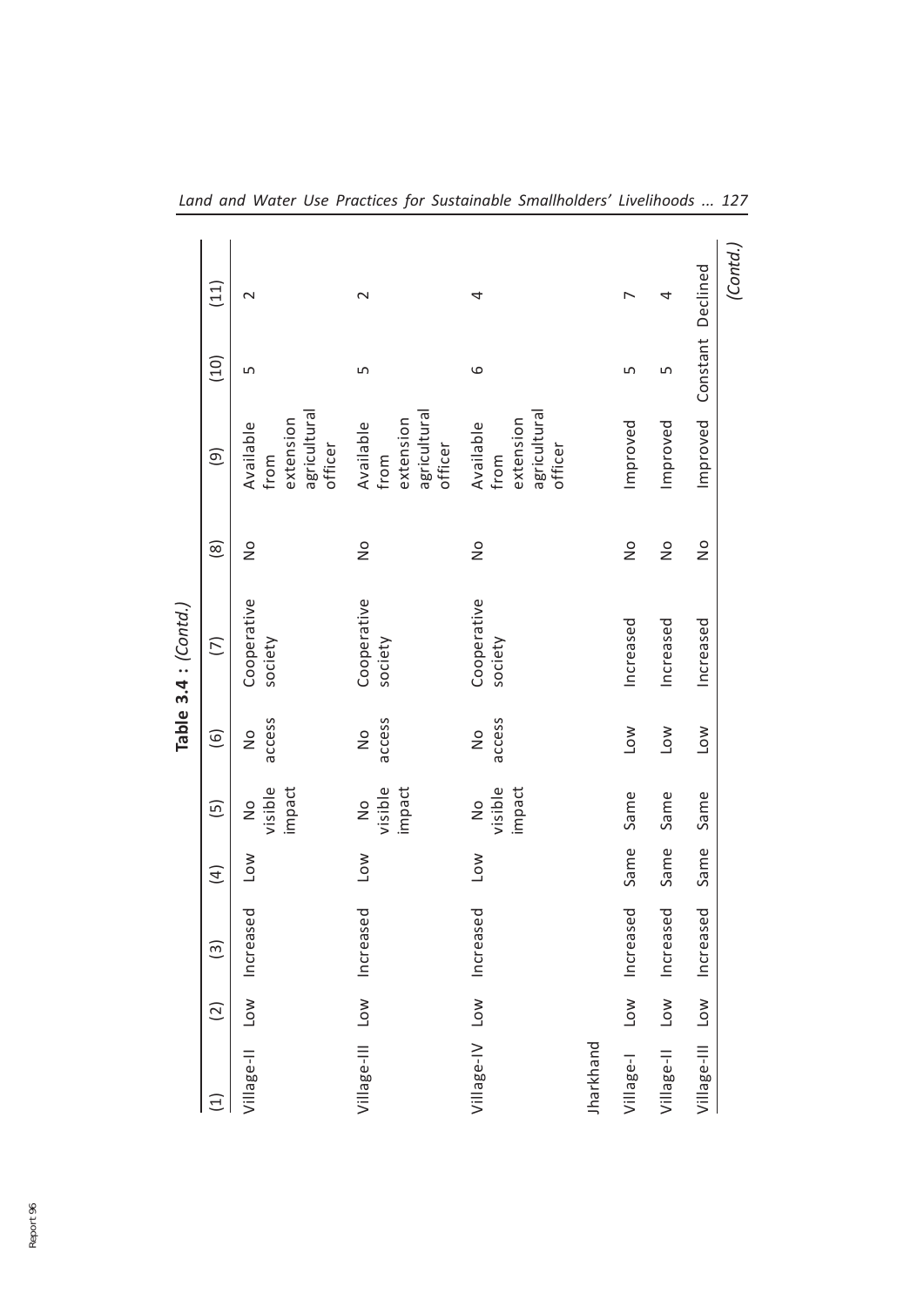|             |                    |                          |                |                                    |                         | Table 3.4 : (Contd.)   |                   |                                                           |                   |          |
|-------------|--------------------|--------------------------|----------------|------------------------------------|-------------------------|------------------------|-------------------|-----------------------------------------------------------|-------------------|----------|
| $\Xi$       | $\widehat{\Omega}$ | <u>ଚି</u>                | $\overline{4}$ | $\overline{5}$                     | $\left( 6\right)$       | (7)                    | $\left( 8\right)$ | $\widehat{(\mathsf{g})}$                                  | (10)              | (11)     |
| Village-II  |                    | Low Increased            | Low            | visible<br>impact<br>$\frac{1}{2}$ | access<br>$\frac{1}{2}$ | Cooperative<br>society | $\frac{1}{2}$     | agricultural<br>extension<br>Available<br>officer<br>from | 5                 | $\sim$   |
| Village-III | Low                | Increased                | Low            | visible<br>impact<br>$\frac{1}{2}$ | access<br>$\frac{0}{2}$ | Cooperative<br>society | $\frac{1}{2}$     | agricultural<br>extension<br>Available<br>officer<br>from | LŊ                | $\sim$   |
|             |                    | Village-IV Low Increased | Low            | visible<br>impact<br>$\frac{1}{2}$ | access<br>$\frac{1}{2}$ | Cooperative<br>society | $\frac{1}{2}$     | agricultural<br>extension<br>Available<br>officer<br>from | $\circ$           | 4        |
| Jharkhand   |                    |                          |                |                                    |                         |                        |                   |                                                           |                   |          |
| Village-I   |                    | Low Increased            | Same           | Same                               | Low                     | Increased              | $\frac{1}{2}$     | Improved                                                  | ഗ                 | ∼        |
| Village-II  | Low                | Increased                | Same           | Same                               | Low                     | Increased              | $\frac{1}{2}$     | Improved                                                  | Б                 | 4        |
| Village-III | Low                | Increased                | Same           | Same                               | LOW                     | Increased              | $\frac{1}{2}$     | Improved                                                  | Constant Declined |          |
|             |                    |                          |                |                                    |                         |                        |                   |                                                           |                   | (Contd.) |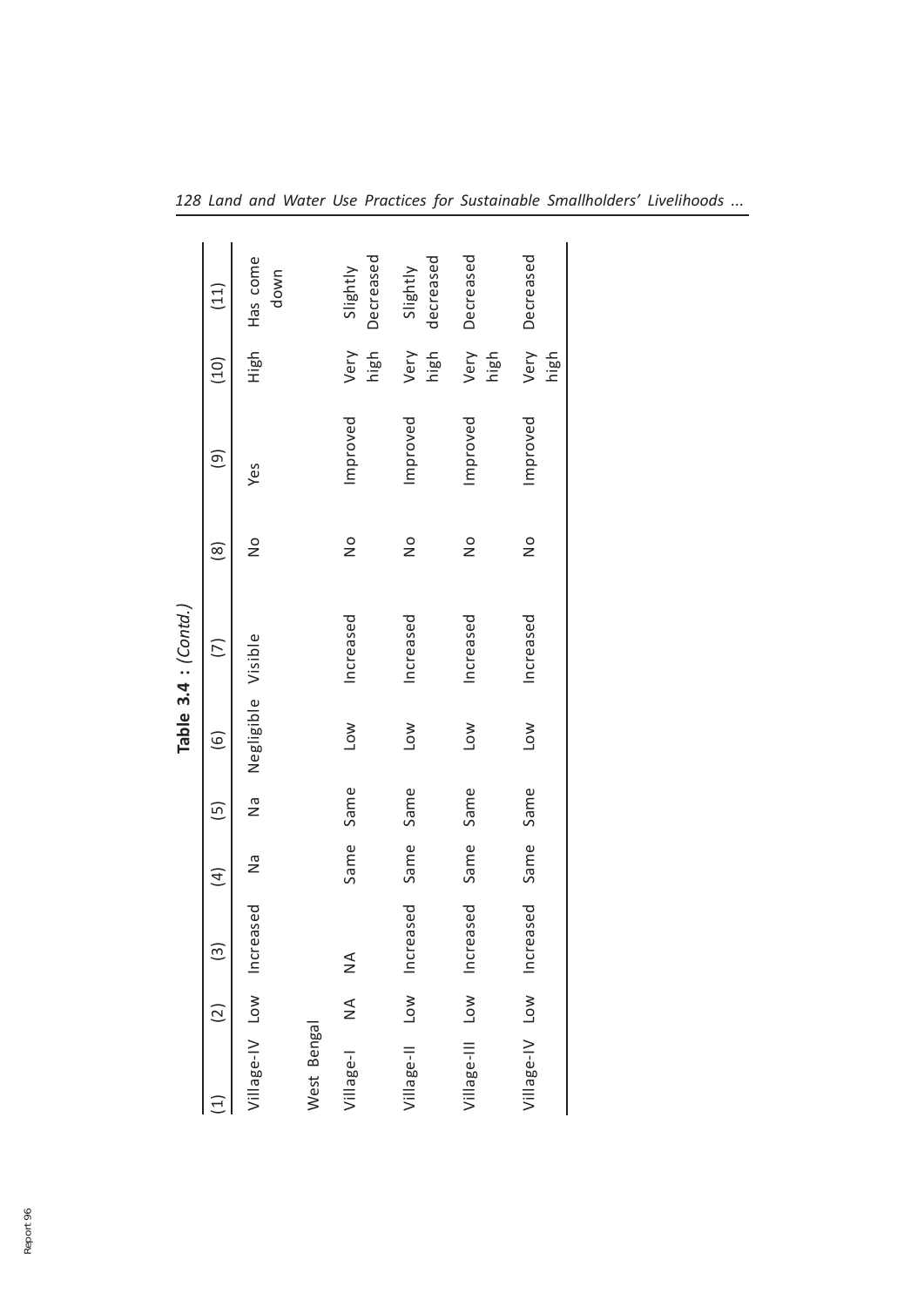|                          | $\widehat{\Omega}$ | $\overline{3}$ | $\widehat{A}$ | ල    | (6)                | Ξ         | $\circled{s}$ | ම        | (10)         | (11)                  |
|--------------------------|--------------------|----------------|---------------|------|--------------------|-----------|---------------|----------|--------------|-----------------------|
| Village-IV Low Increased |                    |                | ΘN            | ΘQ   | Negligible Visible |           | $\frac{1}{2}$ | Yes      | High         | Has come<br>down      |
| West Bengal              |                    |                |               |      |                    |           |               |          |              |                       |
| Village-I                | $\frac{4}{5}$      | $\frac{4}{2}$  | Same          | Same | Low                | Increased | $\frac{0}{2}$ | Improved | high<br>Very | Decreased<br>Slightly |
| Village-II               |                    | Low Increased  | Same          | Same | Low                | Increased | $\frac{1}{2}$ | Improved | Very<br>high | decreased<br>Slightly |
| Village-III              | LOW                | Increased      | Same          | Same | Low                | Increased | $\frac{0}{2}$ | Improved | Very<br>high | Decreased             |
| Village-IV Low Increased |                    |                | Same          | Same | Low                | Increased | $\frac{0}{2}$ | Improved | Very<br>high | Decreased             |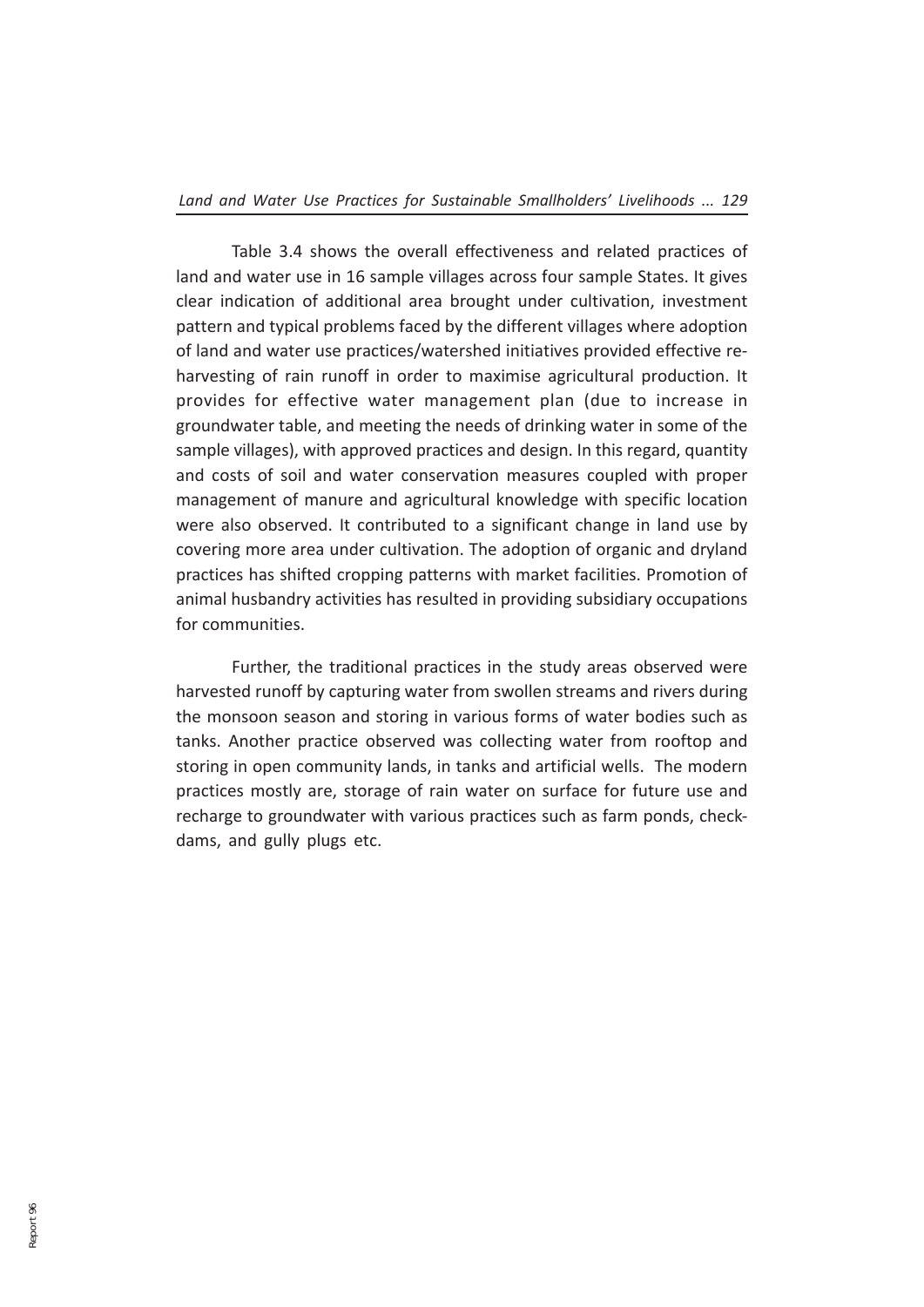Table 3.4 shows the overall effectiveness and related practices of land and water use in 16 sample villages across four sample States. It gives clear indication of additional area brought under cultivation, investment pattern and typical problems faced by the different villages where adoption of land and water use practices/watershed initiatives provided effective reharvesting of rain runoff in order to maximise agricultural production. It provides for effective water management plan (due to increase in groundwater table, and meeting the needs of drinking water in some of the sample villages), with approved practices and design. In this regard, quantity and costs of soil and water conservation measures coupled with proper management of manure and agricultural knowledge with specific location were also observed. It contributed to a significant change in land use by covering more area under cultivation. The adoption of organic and dryland practices has shifted cropping patterns with market facilities. Promotion of animal husbandry activities has resulted in providing subsidiary occupations for communities.

Further, the traditional practices in the study areas observed were harvested runoff by capturing water from swollen streams and rivers during the monsoon season and storing in various forms of water bodies such as tanks. Another practice observed was collecting water from rooftop and storing in open community lands, in tanks and artificial wells. The modern practices mostly are, storage of rain water on surface for future use and recharge to groundwater with various practices such as farm ponds, checkdams, and gully plugs etc.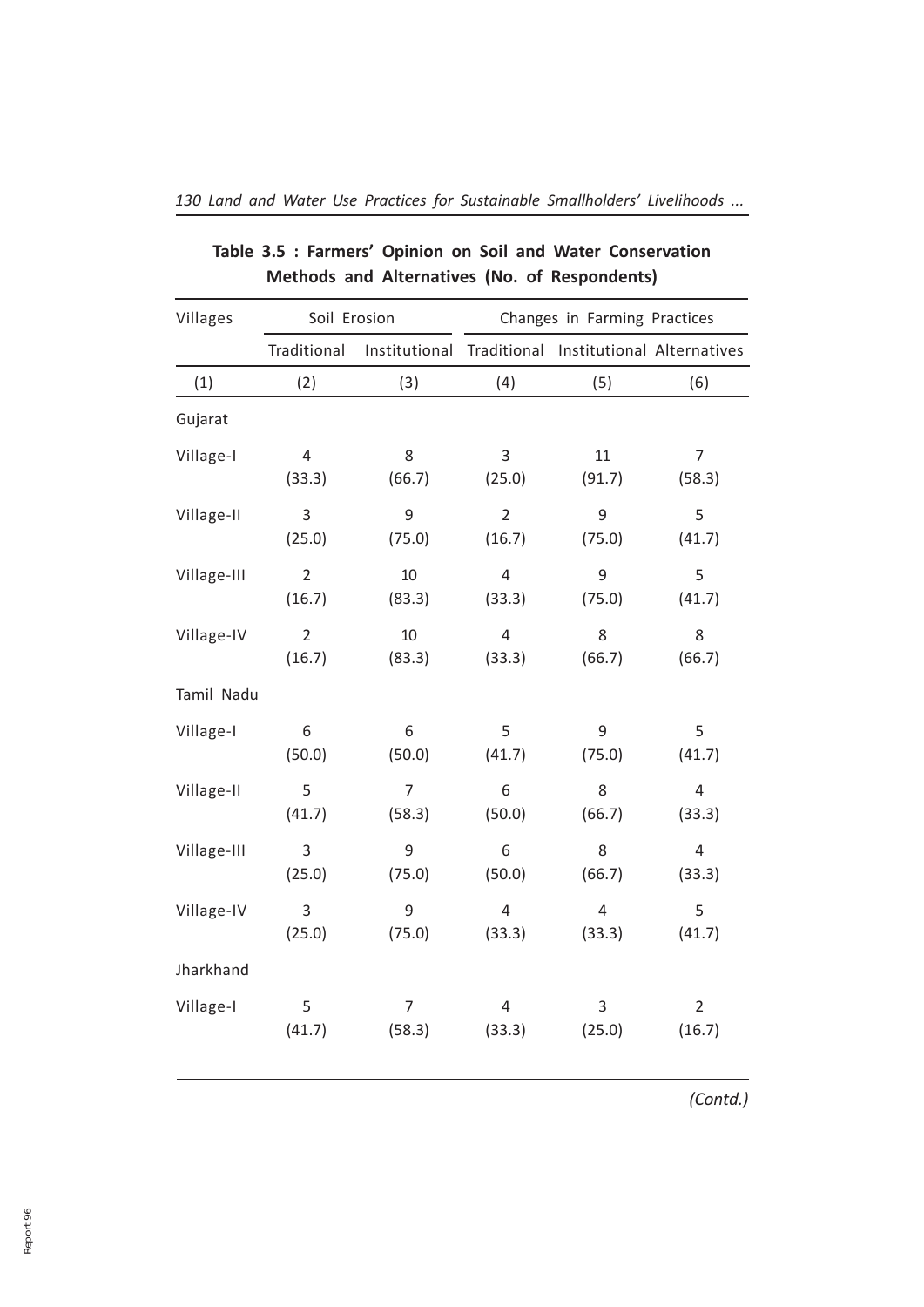| Villages    | Soil Erosion             |                |                         | Changes in Farming Practices |                            |
|-------------|--------------------------|----------------|-------------------------|------------------------------|----------------------------|
|             | Traditional              | Institutional  | Traditional             |                              | Institutional Alternatives |
| (1)         | (2)                      | (3)            | (4)                     | (5)                          | (6)                        |
| Gujarat     |                          |                |                         |                              |                            |
| Village-I   | $\overline{\mathcal{L}}$ | 8              | 3                       | 11                           | $\overline{7}$             |
|             | (33.3)                   | (66.7)         | (25.0)                  | (91.7)                       | (58.3)                     |
| Village-II  | 3                        | 9              | $\overline{2}$          | 9                            | 5                          |
|             | (25.0)                   | (75.0)         | (16.7)                  | (75.0)                       | (41.7)                     |
| Village-III | $\overline{2}$           | 10             | $\overline{4}$          | 9                            | 5                          |
|             | (16.7)                   | (83.3)         | (33.3)                  | (75.0)                       | (41.7)                     |
| Village-IV  | $\overline{2}$           | 10             | $\overline{\mathbf{4}}$ | 8                            | 8                          |
|             | (16.7)                   | (83.3)         | (33.3)                  | (66.7)                       | (66.7)                     |
| Tamil Nadu  |                          |                |                         |                              |                            |
| Village-I   | 6                        | 6              | 5                       | 9                            | 5                          |
|             | (50.0)                   | (50.0)         | (41.7)                  | (75.0)                       | (41.7)                     |
| Village-II  | 5                        | $\overline{7}$ | 6                       | 8                            | $\overline{4}$             |
|             | (41.7)                   | (58.3)         | (50.0)                  | (66.7)                       | (33.3)                     |
| Village-III | 3                        | 9              | 6                       | 8                            | $\overline{4}$             |
|             | (25.0)                   | (75.0)         | (50.0)                  | (66.7)                       | (33.3)                     |
| Village-IV  | 3                        | 9              | $\overline{\mathbf{4}}$ | $\overline{4}$               | 5                          |
|             | (25.0)                   | (75.0)         | (33.3)                  | (33.3)                       | (41.7)                     |
| Jharkhand   |                          |                |                         |                              |                            |
| Village-I   | 5                        | $\overline{7}$ | $\overline{\mathbf{4}}$ | 3                            | $\overline{2}$             |
|             | (41.7)                   | (58.3)         | (33.3)                  | (25.0)                       | (16.7)                     |

**Table 3.5 : Farmers' Opinion on Soil and Water Conservation Methods and Alternatives (No. of Respondents)**

*(Contd.)*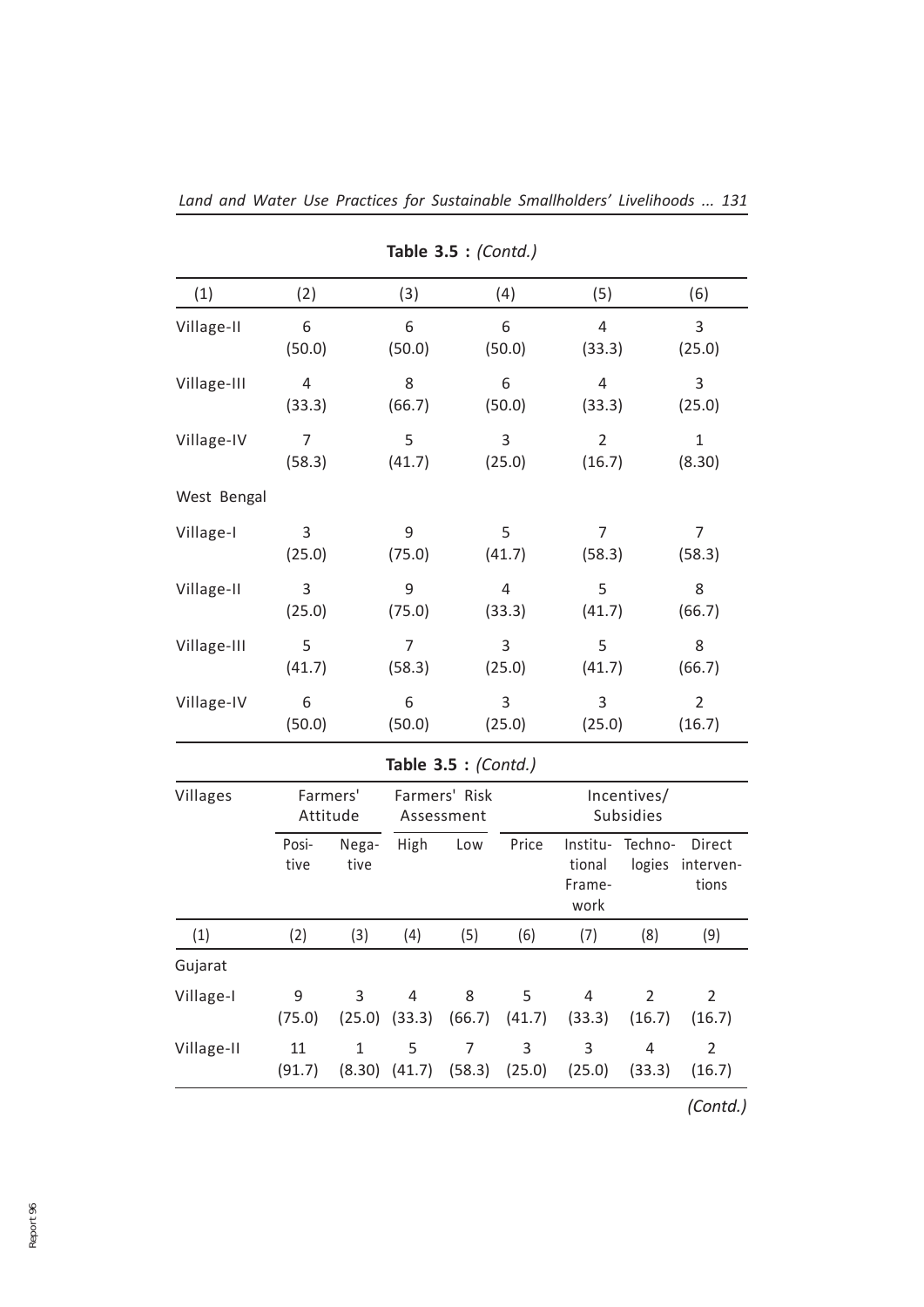|             |                          |                         |                          | Table 3.5 : (Contd.)        |             |                                                                                            |                          |                              |
|-------------|--------------------------|-------------------------|--------------------------|-----------------------------|-------------|--------------------------------------------------------------------------------------------|--------------------------|------------------------------|
| (1)         | (2)                      |                         | (3)                      |                             | (4)         | (5)                                                                                        |                          | (6)                          |
| Village-II  | 6<br>(50.0)              |                         | 6<br>(50.0)              |                             | 6<br>(50.0) | $\overline{4}$<br>(33.3)                                                                   |                          | 3<br>(25.0)                  |
| Village-III | $\overline{4}$<br>(33.3) |                         | 8<br>(66.7)              |                             | 6<br>(50.0) | 4<br>(33.3)                                                                                |                          | 3<br>(25.0)                  |
| Village-IV  | $\overline{7}$<br>(58.3) |                         | 5<br>(41.7)              |                             | 3<br>(25.0) | $\overline{2}$<br>(16.7)                                                                   |                          | $\mathbf{1}$<br>(8.30)       |
| West Bengal |                          |                         |                          |                             |             |                                                                                            |                          |                              |
| Village-I   | 3<br>(25.0)              |                         | 9<br>(75.0)              |                             | 5<br>(41.7) | 7<br>(58.3)                                                                                |                          | 7<br>(58.3)                  |
| Village-II  | 3<br>(25.0)              |                         | 9<br>(75.0)              |                             | 4<br>(33.3) | 5<br>(41.7)                                                                                |                          | 8<br>(66.7)                  |
| Village-III | 5<br>(41.7)              |                         | $\overline{7}$<br>(58.3) |                             | 3<br>(25.0) | 5<br>(41.7)                                                                                |                          | 8<br>(66.7)                  |
| Village-IV  | 6<br>(50.0)              |                         | 6<br>(50.0)              |                             | 3<br>(25.0) | 3<br>(25.0)                                                                                |                          | $\overline{2}$<br>(16.7)     |
|             |                          |                         |                          | Table 3.5 : (Contd.)        |             |                                                                                            |                          |                              |
| Villages    | Farmers'<br>Attitude     |                         |                          | Farmers' Risk<br>Assessment |             |                                                                                            | Incentives/<br>Subsidies |                              |
|             | Posi-<br>tive            | Nega-<br>tive           | High                     | Low                         | Price       | Institu-<br>tional<br>Frame-<br>work                                                       | Techno-<br>logies        | Direct<br>interven-<br>tions |
| (1)         | (2)                      | (3)                     | (4)                      | (5)                         | (6)         | (7)                                                                                        | (8)                      | (9)                          |
| Gujarat     |                          |                         |                          |                             |             |                                                                                            |                          |                              |
| Village-I   | $\overline{9}$           | $\overline{\mathbf{3}}$ |                          | 4 8 5                       |             | $4\overline{ }$<br>$(75.0)$ $(25.0)$ $(33.3)$ $(66.7)$ $(41.7)$ $(33.3)$ $(16.7)$ $(16.7)$ | $\overline{2}$           | $\overline{2}$               |
| Village-II  | 11                       |                         |                          | $1 \quad 5 \quad 7 \quad 3$ |             | $3^{\circ}$<br>$(91.7)$ $(8.30)$ $(41.7)$ $(58.3)$ $(25.0)$ $(25.0)$ $(33.3)$              | $4 -$                    | $\overline{2}$<br>(16.7)     |

*(Contd.)*

Report 96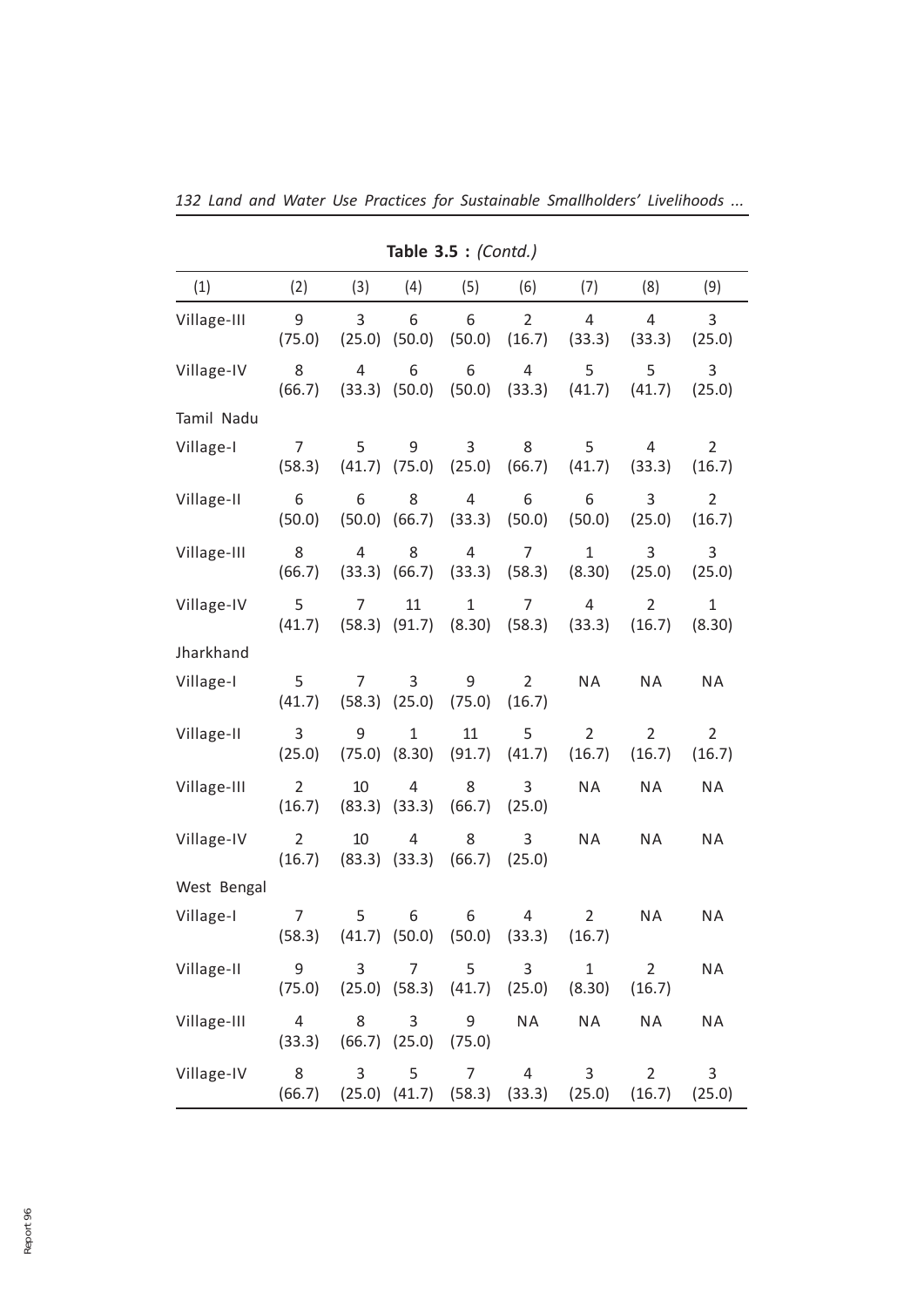|             |                          |                |                                     | <b>Table 3.5: (Contd.)</b>                        |                 |                                                                                           |                          |                          |
|-------------|--------------------------|----------------|-------------------------------------|---------------------------------------------------|-----------------|-------------------------------------------------------------------------------------------|--------------------------|--------------------------|
| (1)         | (2)                      | (3)            | (4)                                 | (5)                                               | (6)             | (7)                                                                                       | (8)                      | (9)                      |
| Village-III | 9                        | 3              | 6                                   | 6                                                 | $\overline{2}$  | $\overline{4}$<br>$(75.0)$ $(25.0)$ $(50.0)$ $(50.0)$ $(16.7)$ $(33.3)$ $(33.3)$ $(25.0)$ | $\overline{4}$           | $\overline{3}$           |
| Village-IV  | 8                        | $\overline{4}$ | 6                                   | $6\overline{}$                                    | $4\overline{ }$ | 5<br>$(66.7)$ $(33.3)$ $(50.0)$ $(50.0)$ $(33.3)$ $(41.7)$ $(41.7)$ $(25.0)$              | 5                        | 3                        |
| Tamil Nadu  |                          |                |                                     |                                                   |                 |                                                                                           |                          |                          |
| Village-I   | 7                        | 5              | 9                                   | $3 \quad \blacksquare$                            | 8               | 5<br>$(58.3)$ $(41.7)$ $(75.0)$ $(25.0)$ $(66.7)$ $(41.7)$ $(33.3)$ $(16.7)$              | 4                        | $\overline{2}$           |
| Village-II  | $6\overline{6}$          | 6              | 8                                   | $4 \quad$                                         | 6               | 6<br>$(50.0)$ $(50.0)$ $(66.7)$ $(33.3)$ $(50.0)$ $(50.0)$ $(25.0)$ $(16.7)$              | 3                        | $\overline{2}$           |
| Village-III | 8                        | 4              | 8                                   | $\overline{4}$                                    | $\overline{7}$  | $\mathbf{1}$<br>$(66.7)$ $(33.3)$ $(66.7)$ $(33.3)$ $(58.3)$ $(8.30)$ $(25.0)$ $(25.0)$   | 3                        | 3                        |
| Village-IV  | $5^{\circ}$              | $\overline{7}$ | 11                                  | $\mathbf{1}$                                      | $\overline{7}$  | $\overline{4}$<br>$(41.7)$ $(58.3)$ $(91.7)$ $(8.30)$ $(58.3)$ $(33.3)$ $(16.7)$ $(8.30)$ | $\overline{2}$           | $\mathbf{1}$             |
| Jharkhand   |                          |                |                                     |                                                   |                 |                                                                                           |                          |                          |
| Village-I   | 5                        | 7              | 3                                   | 9<br>$(41.7)$ $(58.3)$ $(25.0)$ $(75.0)$ $(16.7)$ | $\overline{2}$  | NA <b>NA</b>                                                                              | <b>NA</b>                | <b>NA</b>                |
| Village-II  | 3<br>(25.0)              | 9<br>(75.0)    | $\mathbf{1}$                        | 11                                                | 5               | 2<br>$(8.30)$ $(91.7)$ $(41.7)$ $(16.7)$ $(16.7)$                                         | $\overline{2}$           | $\overline{2}$<br>(16.7) |
| Village-III | $\overline{2}$           | 10             | $\overline{4}$                      | 8<br>$(16.7)$ $(83.3)$ $(33.3)$ $(66.7)$ $(25.0)$ | 3               | <b>NA</b>                                                                                 | <b>NA</b>                | <b>NA</b>                |
| Village-IV  | $\overline{2}$           | 10             | $\overline{4}$                      | 8<br>$(16.7)$ $(83.3)$ $(33.3)$ $(66.7)$ $(25.0)$ | 3               | <b>NA</b>                                                                                 | <b>NA</b>                | <b>NA</b>                |
| West Bengal |                          |                |                                     |                                                   |                 |                                                                                           |                          |                          |
| Village-I   | 7                        | $5^{\circ}$    | 6                                   | 6                                                 | 4               | $2^{\sim}$<br>$(58.3)$ $(41.7)$ $(50.0)$ $(50.0)$ $(33.3)$ $(16.7)$                       | <b>NA</b>                | <b>NA</b>                |
| Village-II  | 9                        | 3              | $\overline{7}$                      | 5                                                 | 3               | $\mathbf{1}$<br>$(75.0)$ $(25.0)$ $(58.3)$ $(41.7)$ $(25.0)$ $(8.30)$                     | $\overline{2}$<br>(16.7) | <b>NA</b>                |
| Village-III | $\overline{4}$<br>(33.3) | 8              | $\overline{3}$<br>$(66.7)$ $(25.0)$ | 9<br>(75.0)                                       | <b>NA</b>       | <b>NA</b>                                                                                 | NA                       | <b>NA</b>                |
| Village-IV  | 8<br>(66.7)              | 3              | 5                                   | $\overline{7}$                                    | $\overline{4}$  | $\overline{3}$<br>$(25.0)$ $(41.7)$ $(58.3)$ $(33.3)$ $(25.0)$                            | $\overline{2}$<br>(16.7) | 3<br>(25.0)              |

| ı |
|---|
|   |
| ٦ |
|   |
|   |
|   |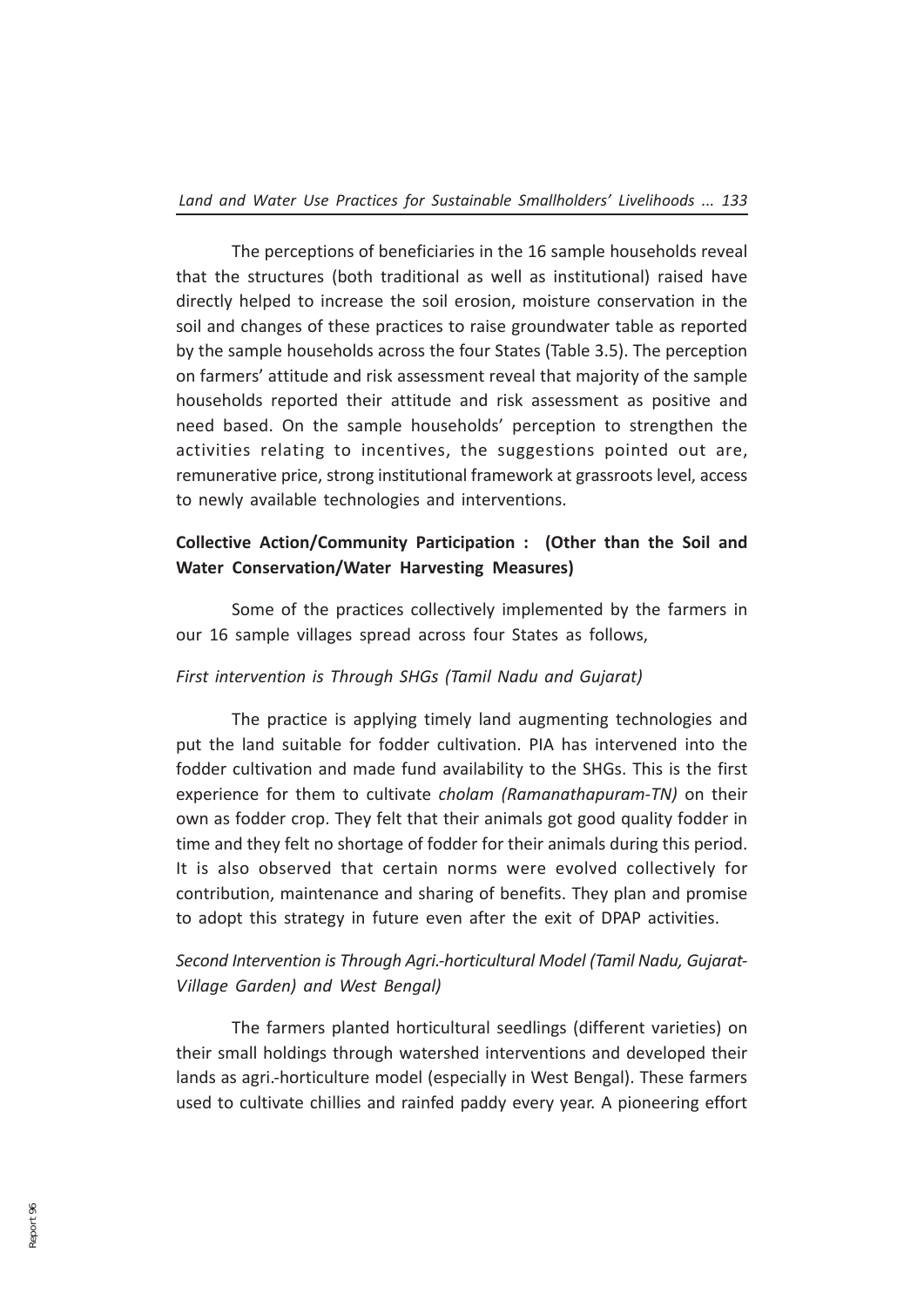The perceptions of beneficiaries in the 16 sample households reveal that the structures (both traditional as well as institutional) raised have directly helped to increase the soil erosion, moisture conservation in the soil and changes of these practices to raise groundwater table as reported by the sample households across the four States (Table 3.5). The perception on farmers' attitude and risk assessment reveal that majority of the sample households reported their attitude and risk assessment as positive and need based. On the sample households' perception to strengthen the activities relating to incentives, the suggestions pointed out are, remunerative price, strong institutional framework at grassroots level, access to newly available technologies and interventions.

# **Collective Action/Community Participation : (Other than the Soil and Water Conservation/Water Harvesting Measures)**

Some of the practices collectively implemented by the farmers in our 16 sample villages spread across four States as follows,

## *First intervention is Through SHGs (Tamil Nadu and Gujarat)*

The practice is applying timely land augmenting technologies and put the land suitable for fodder cultivation. PIA has intervened into the fodder cultivation and made fund availability to the SHGs. This is the first experience for them to cultivate *cholam (Ramanathapuram-TN)* on their own as fodder crop. They felt that their animals got good quality fodder in time and they felt no shortage of fodder for their animals during this period. It is also observed that certain norms were evolved collectively for contribution, maintenance and sharing of benefits. They plan and promise to adopt this strategy in future even after the exit of DPAP activities.

## *Second Intervention is Through Agri.-horticultural Model (Tamil Nadu, Gujarat-Village Garden) and West Bengal)*

The farmers planted horticultural seedlings (different varieties) on their small holdings through watershed interventions and developed their lands as agri.-horticulture model (especially in West Bengal). These farmers used to cultivate chillies and rainfed paddy every year. A pioneering effort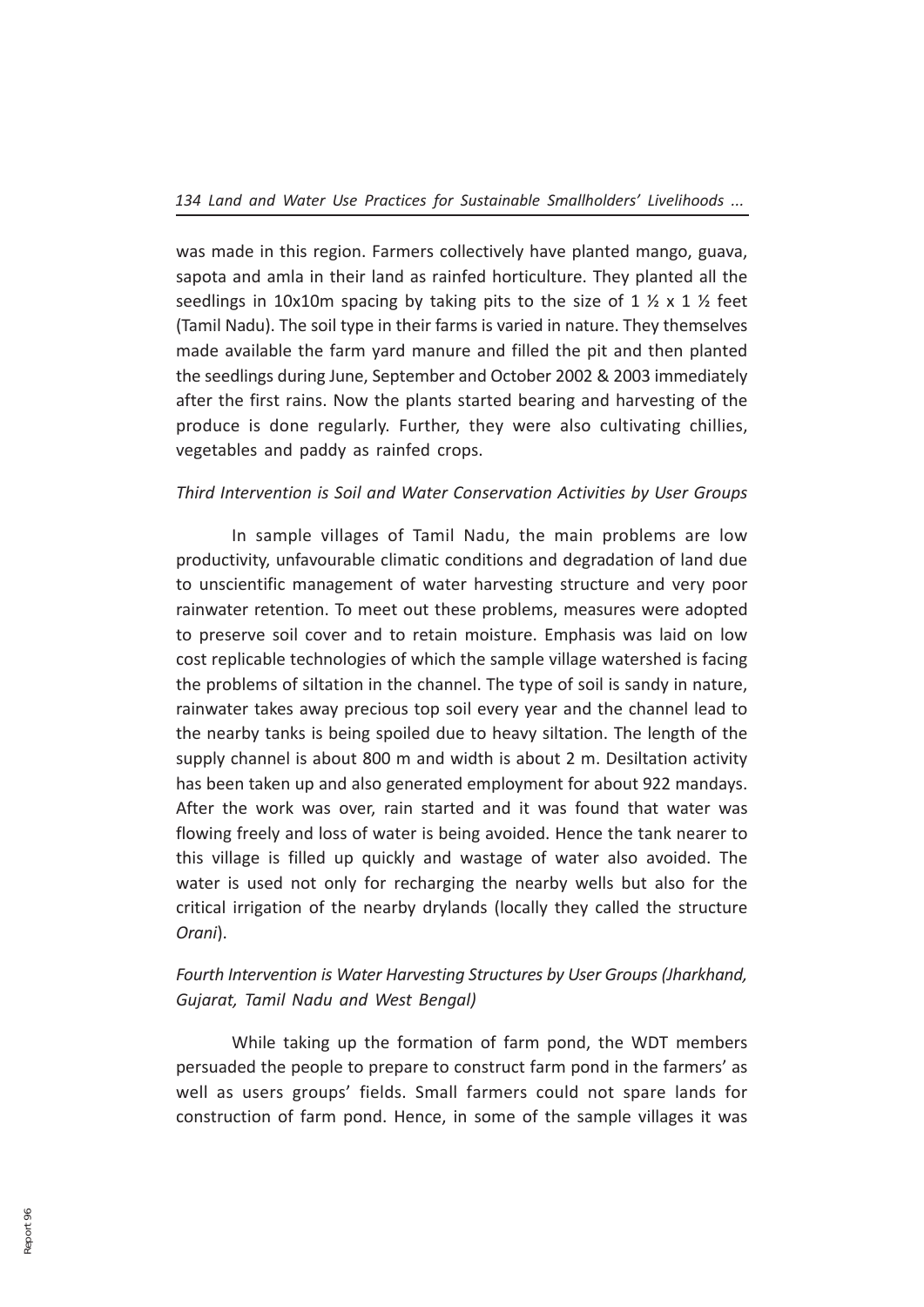was made in this region. Farmers collectively have planted mango, guava, sapota and amla in their land as rainfed horticulture. They planted all the seedlings in 10x10m spacing by taking pits to the size of 1  $\frac{1}{2}$  x 1  $\frac{1}{2}$  feet (Tamil Nadu). The soil type in their farms is varied in nature. They themselves made available the farm yard manure and filled the pit and then planted the seedlings during June, September and October 2002 & 2003 immediately after the first rains. Now the plants started bearing and harvesting of the produce is done regularly. Further, they were also cultivating chillies, vegetables and paddy as rainfed crops.

#### *Third Intervention is Soil and Water Conservation Activities by User Groups*

In sample villages of Tamil Nadu, the main problems are low productivity, unfavourable climatic conditions and degradation of land due to unscientific management of water harvesting structure and very poor rainwater retention. To meet out these problems, measures were adopted to preserve soil cover and to retain moisture. Emphasis was laid on low cost replicable technologies of which the sample village watershed is facing the problems of siltation in the channel. The type of soil is sandy in nature, rainwater takes away precious top soil every year and the channel lead to the nearby tanks is being spoiled due to heavy siltation. The length of the supply channel is about 800 m and width is about 2 m. Desiltation activity has been taken up and also generated employment for about 922 mandays. After the work was over, rain started and it was found that water was flowing freely and loss of water is being avoided. Hence the tank nearer to this village is filled up quickly and wastage of water also avoided. The water is used not only for recharging the nearby wells but also for the critical irrigation of the nearby drylands (locally they called the structure *Orani*).

## *Fourth Intervention is Water Harvesting Structures by User Groups (Jharkhand, Gujarat, Tamil Nadu and West Bengal)*

While taking up the formation of farm pond, the WDT members persuaded the people to prepare to construct farm pond in the farmers' as well as users groups' fields. Small farmers could not spare lands for construction of farm pond. Hence, in some of the sample villages it was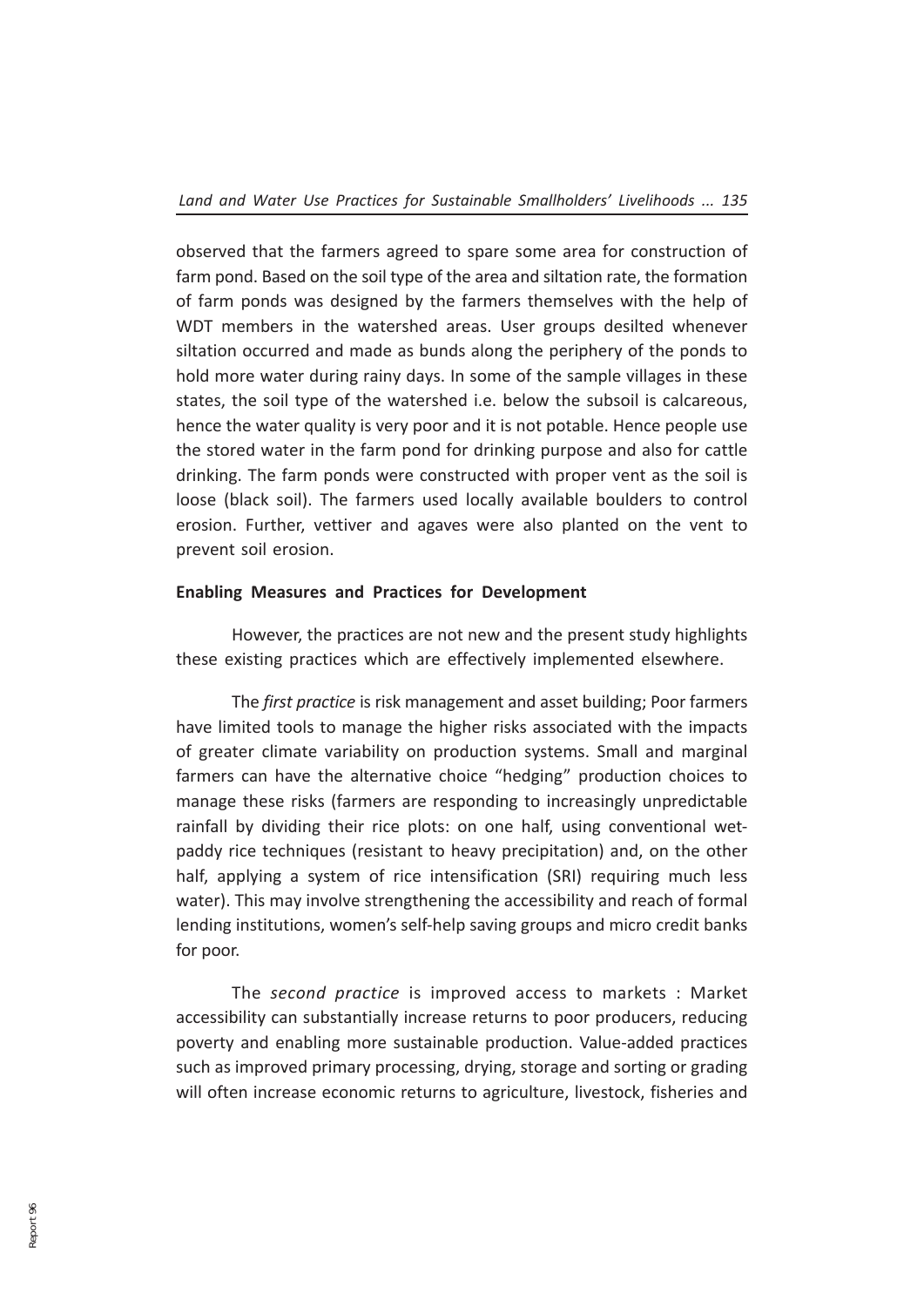observed that the farmers agreed to spare some area for construction of farm pond. Based on the soil type of the area and siltation rate, the formation of farm ponds was designed by the farmers themselves with the help of WDT members in the watershed areas. User groups desilted whenever siltation occurred and made as bunds along the periphery of the ponds to hold more water during rainy days. In some of the sample villages in these states, the soil type of the watershed i.e. below the subsoil is calcareous, hence the water quality is very poor and it is not potable. Hence people use the stored water in the farm pond for drinking purpose and also for cattle drinking. The farm ponds were constructed with proper vent as the soil is loose (black soil). The farmers used locally available boulders to control erosion. Further, vettiver and agaves were also planted on the vent to prevent soil erosion.

#### **Enabling Measures and Practices for Development**

However, the practices are not new and the present study highlights these existing practices which are effectively implemented elsewhere.

The *first practice* is risk management and asset building; Poor farmers have limited tools to manage the higher risks associated with the impacts of greater climate variability on production systems. Small and marginal farmers can have the alternative choice "hedging" production choices to manage these risks (farmers are responding to increasingly unpredictable rainfall by dividing their rice plots: on one half, using conventional wetpaddy rice techniques (resistant to heavy precipitation) and, on the other half, applying a system of rice intensification (SRI) requiring much less water). This may involve strengthening the accessibility and reach of formal lending institutions, women's self-help saving groups and micro credit banks for poor.

The *second practice* is improved access to markets : Market accessibility can substantially increase returns to poor producers, reducing poverty and enabling more sustainable production. Value-added practices such as improved primary processing, drying, storage and sorting or grading will often increase economic returns to agriculture, livestock, fisheries and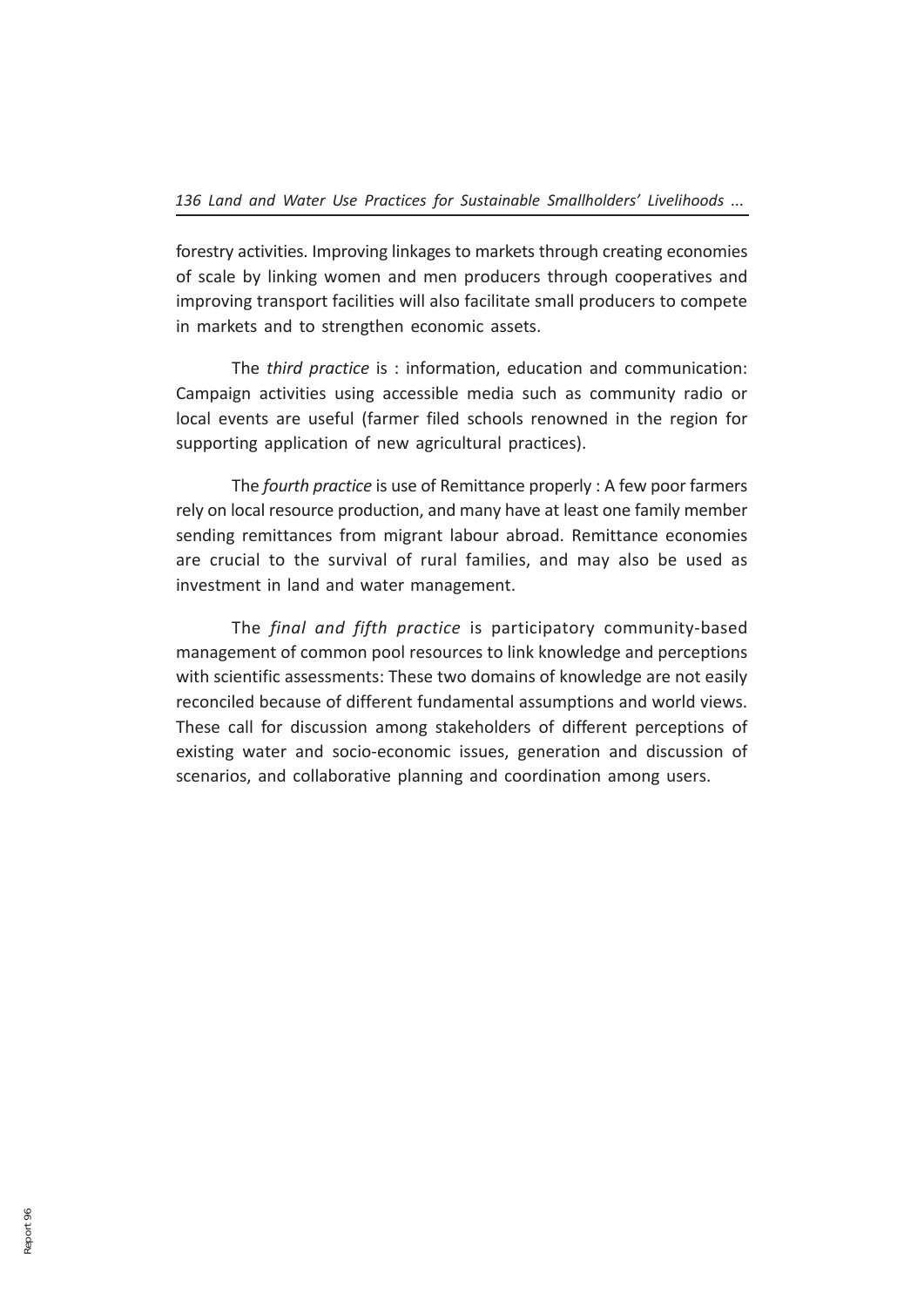forestry activities. Improving linkages to markets through creating economies of scale by linking women and men producers through cooperatives and improving transport facilities will also facilitate small producers to compete in markets and to strengthen economic assets.

The *third practice* is : information, education and communication: Campaign activities using accessible media such as community radio or local events are useful (farmer filed schools renowned in the region for supporting application of new agricultural practices).

The *fourth practice* is use of Remittance properly : A few poor farmers rely on local resource production, and many have at least one family member sending remittances from migrant labour abroad. Remittance economies are crucial to the survival of rural families, and may also be used as investment in land and water management.

The *final and fifth practice* is participatory community-based management of common pool resources to link knowledge and perceptions with scientific assessments: These two domains of knowledge are not easily reconciled because of different fundamental assumptions and world views. These call for discussion among stakeholders of different perceptions of existing water and socio-economic issues, generation and discussion of scenarios, and collaborative planning and coordination among users.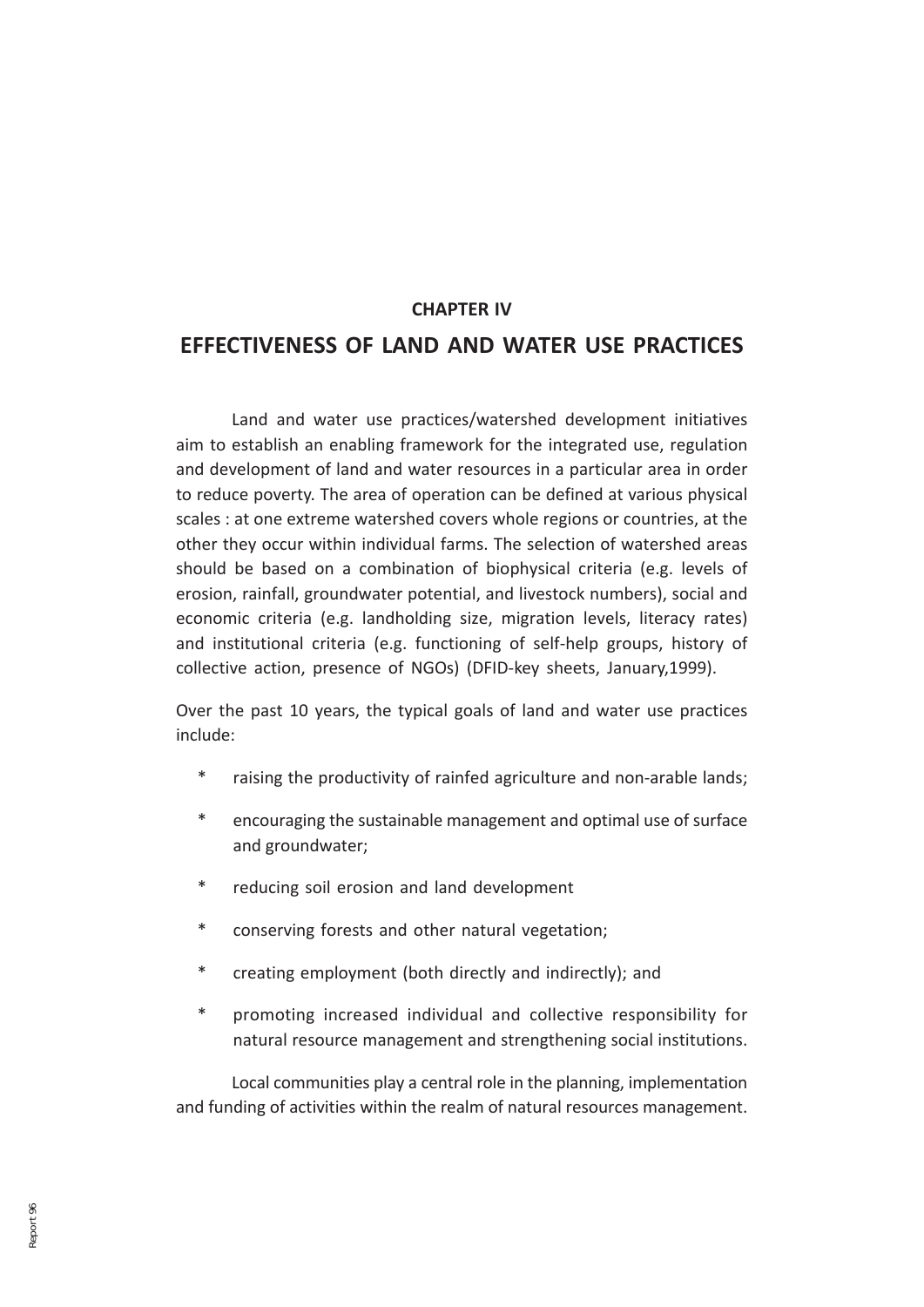### **CHAPTER IV**

# **EFFECTIVENESS OF LAND AND WATER USE PRACTICES**

Land and water use practices/watershed development initiatives aim to establish an enabling framework for the integrated use, regulation and development of land and water resources in a particular area in order to reduce poverty. The area of operation can be defined at various physical scales : at one extreme watershed covers whole regions or countries, at the other they occur within individual farms. The selection of watershed areas should be based on a combination of biophysical criteria (e.g. levels of erosion, rainfall, groundwater potential, and livestock numbers), social and economic criteria (e.g. landholding size, migration levels, literacy rates) and institutional criteria (e.g. functioning of self-help groups, history of collective action, presence of NGOs) (DFID-key sheets, January,1999).

Over the past 10 years, the typical goals of land and water use practices include:

- \* raising the productivity of rainfed agriculture and non-arable lands;
- \* encouraging the sustainable management and optimal use of surface and groundwater;
- \* reducing soil erosion and land development
- \* conserving forests and other natural vegetation;
- \* creating employment (both directly and indirectly); and
- promoting increased individual and collective responsibility for natural resource management and strengthening social institutions.

Local communities play a central role in the planning, implementation and funding of activities within the realm of natural resources management.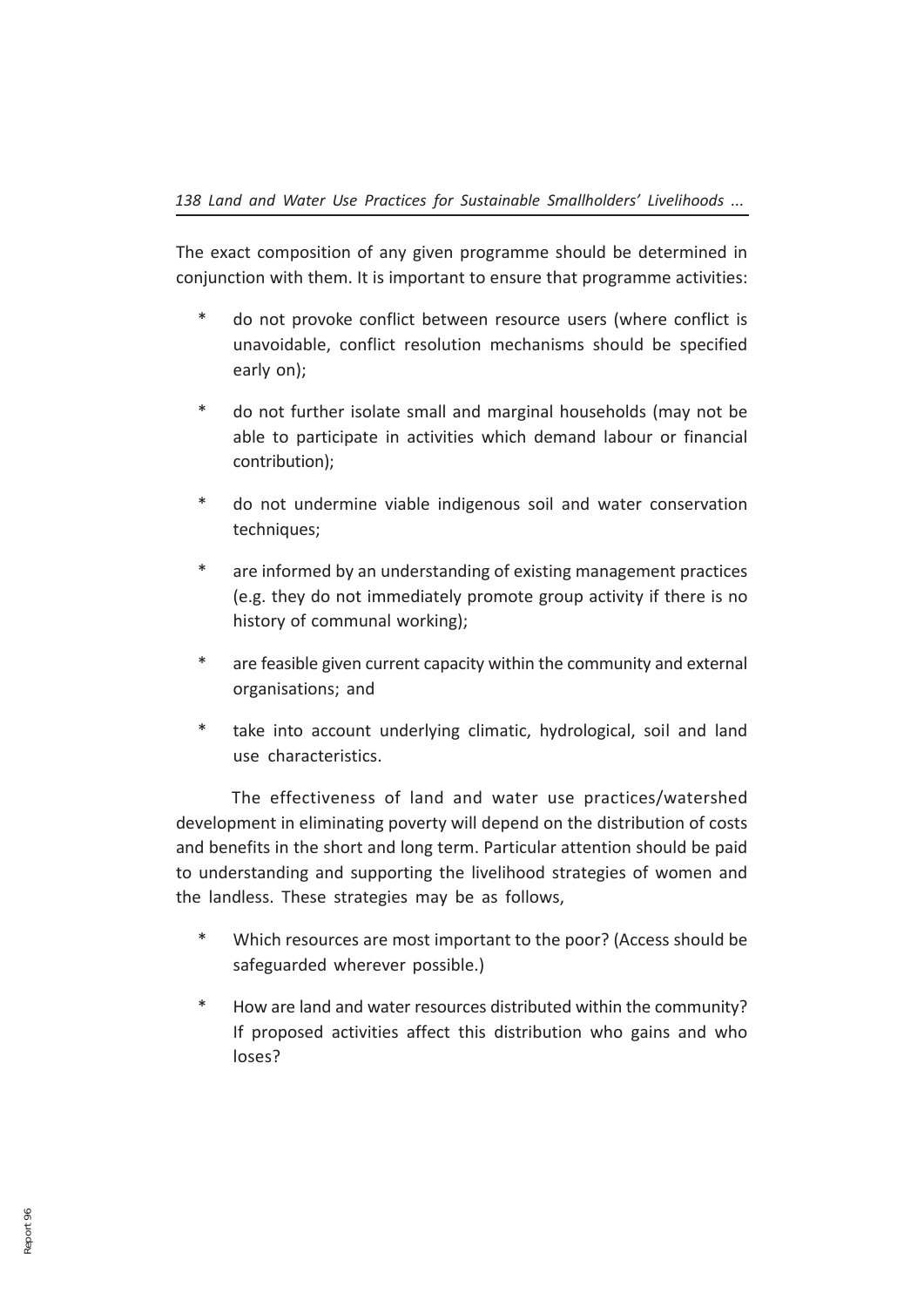The exact composition of any given programme should be determined in conjunction with them. It is important to ensure that programme activities:

- \* do not provoke conflict between resource users (where conflict is unavoidable, conflict resolution mechanisms should be specified early on);
- \* do not further isolate small and marginal households (may not be able to participate in activities which demand labour or financial contribution);
- \* do not undermine viable indigenous soil and water conservation techniques;
- \* are informed by an understanding of existing management practices (e.g. they do not immediately promote group activity if there is no history of communal working);
- \* are feasible given current capacity within the community and external organisations; and
- \* take into account underlying climatic, hydrological, soil and land use characteristics.

The effectiveness of land and water use practices/watershed development in eliminating poverty will depend on the distribution of costs and benefits in the short and long term. Particular attention should be paid to understanding and supporting the livelihood strategies of women and the landless. These strategies may be as follows,

- \* Which resources are most important to the poor? (Access should be safeguarded wherever possible.)
- \* How are land and water resources distributed within the community? If proposed activities affect this distribution who gains and who loses?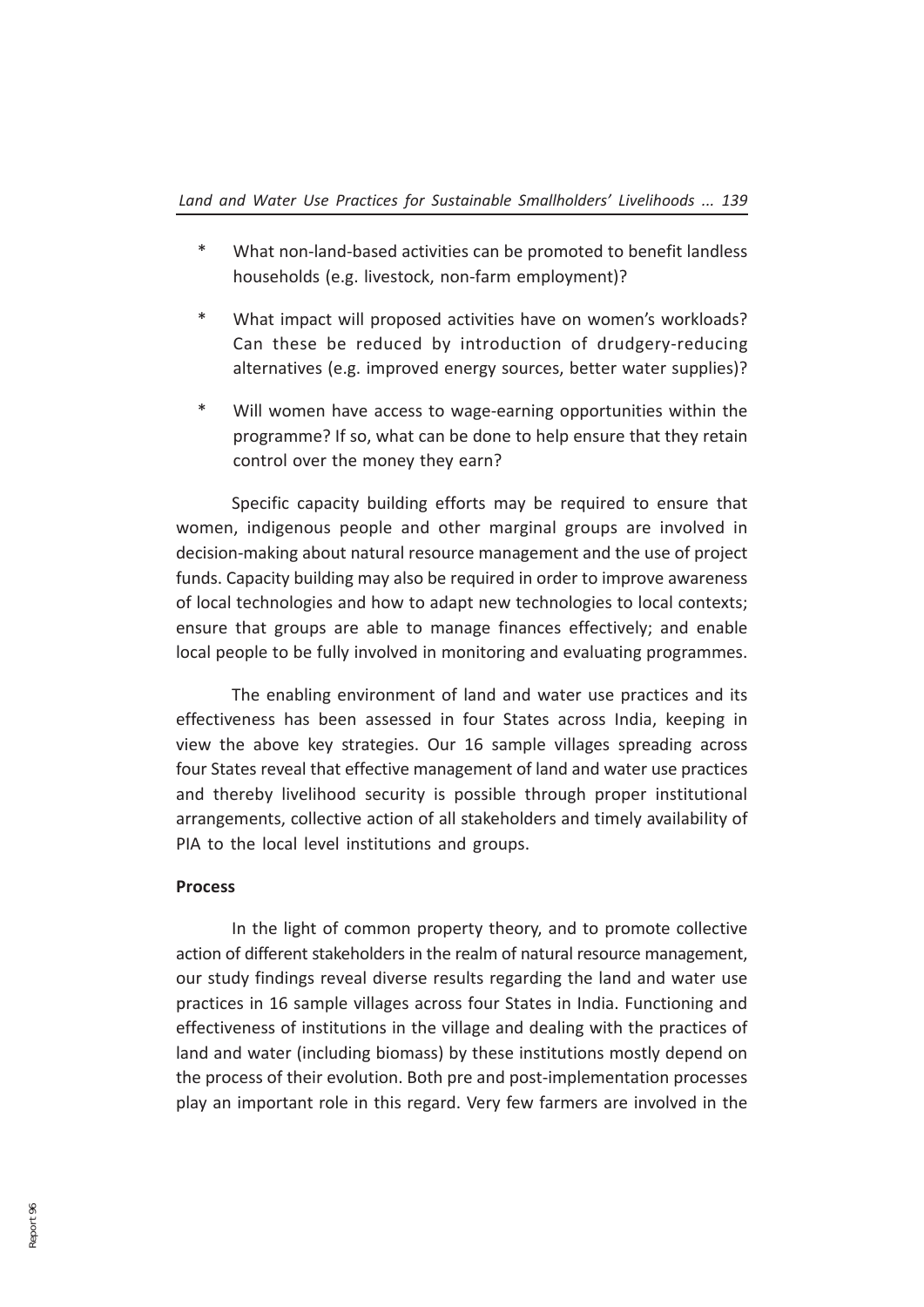- What non-land-based activities can be promoted to benefit landless households (e.g. livestock, non-farm employment)?
- \* What impact will proposed activities have on women's workloads? Can these be reduced by introduction of drudgery-reducing alternatives (e.g. improved energy sources, better water supplies)?
- \* Will women have access to wage-earning opportunities within the programme? If so, what can be done to help ensure that they retain control over the money they earn?

Specific capacity building efforts may be required to ensure that women, indigenous people and other marginal groups are involved in decision-making about natural resource management and the use of project funds. Capacity building may also be required in order to improve awareness of local technologies and how to adapt new technologies to local contexts; ensure that groups are able to manage finances effectively; and enable local people to be fully involved in monitoring and evaluating programmes.

The enabling environment of land and water use practices and its effectiveness has been assessed in four States across India, keeping in view the above key strategies. Our 16 sample villages spreading across four States reveal that effective management of land and water use practices and thereby livelihood security is possible through proper institutional arrangements, collective action of all stakeholders and timely availability of PIA to the local level institutions and groups.

#### **Process**

In the light of common property theory, and to promote collective action of different stakeholders in the realm of natural resource management, our study findings reveal diverse results regarding the land and water use practices in 16 sample villages across four States in India. Functioning and effectiveness of institutions in the village and dealing with the practices of land and water (including biomass) by these institutions mostly depend on the process of their evolution. Both pre and post-implementation processes play an important role in this regard. Very few farmers are involved in the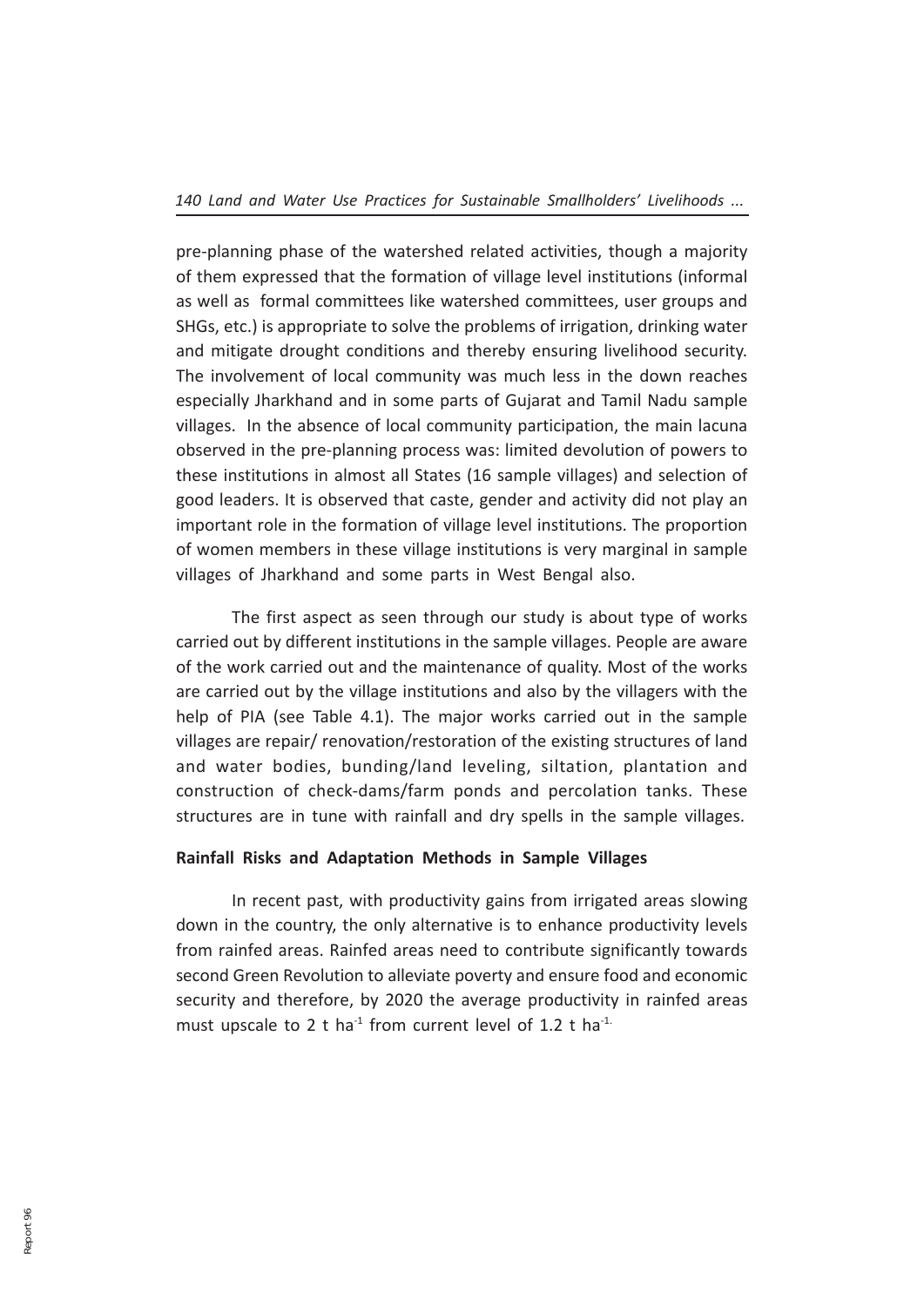pre-planning phase of the watershed related activities, though a majority of them expressed that the formation of village level institutions (informal as well as formal committees like watershed committees, user groups and SHGs, etc.) is appropriate to solve the problems of irrigation, drinking water and mitigate drought conditions and thereby ensuring livelihood security. The involvement of local community was much less in the down reaches especially Jharkhand and in some parts of Gujarat and Tamil Nadu sample villages. In the absence of local community participation, the main lacuna observed in the pre-planning process was: limited devolution of powers to these institutions in almost all States (16 sample villages) and selection of good leaders. It is observed that caste, gender and activity did not play an important role in the formation of village level institutions. The proportion of women members in these village institutions is very marginal in sample villages of Jharkhand and some parts in West Bengal also.

The first aspect as seen through our study is about type of works carried out by different institutions in the sample villages. People are aware of the work carried out and the maintenance of quality. Most of the works are carried out by the village institutions and also by the villagers with the help of PIA (see Table 4.1). The major works carried out in the sample villages are repair/ renovation/restoration of the existing structures of land and water bodies, bunding/land leveling, siltation, plantation and construction of check-dams/farm ponds and percolation tanks. These structures are in tune with rainfall and dry spells in the sample villages.

#### **Rainfall Risks and Adaptation Methods in Sample Villages**

In recent past, with productivity gains from irrigated areas slowing down in the country, the only alternative is to enhance productivity levels from rainfed areas. Rainfed areas need to contribute significantly towards second Green Revolution to alleviate poverty and ensure food and economic security and therefore, by 2020 the average productivity in rainfed areas must upscale to 2 t ha<sup>-1</sup> from current level of 1.2 t ha<sup>-1.</sup>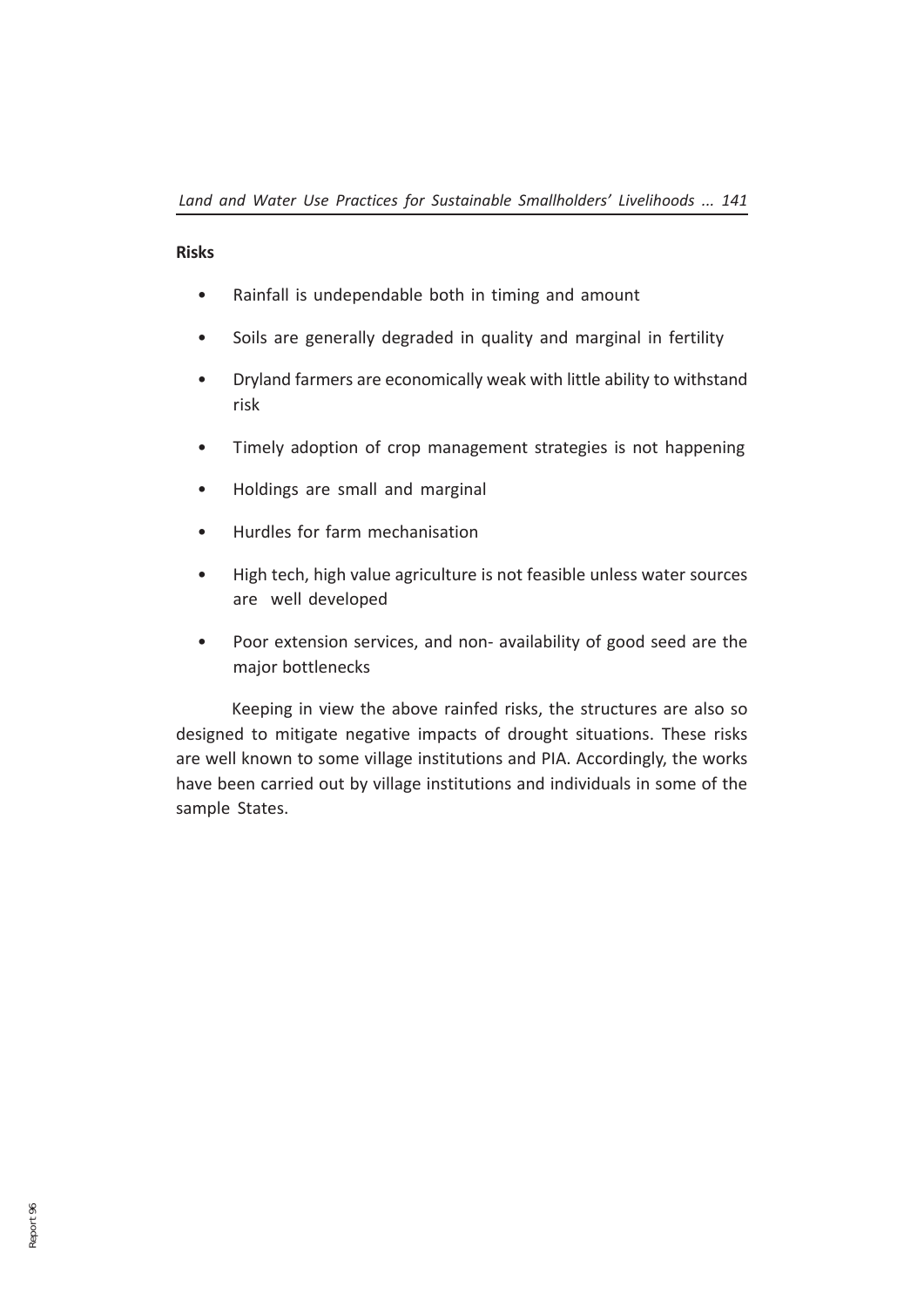#### **Risks**

- Rainfall is undependable both in timing and amount
- Soils are generally degraded in quality and marginal in fertility
- Dryland farmers are economically weak with little ability to withstand risk
- Timely adoption of crop management strategies is not happening
- Holdings are small and marginal
- Hurdles for farm mechanisation
- High tech, high value agriculture is not feasible unless water sources are well developed
- Poor extension services, and non- availability of good seed are the major bottlenecks

Keeping in view the above rainfed risks, the structures are also so designed to mitigate negative impacts of drought situations. These risks are well known to some village institutions and PIA. Accordingly, the works have been carried out by village institutions and individuals in some of the sample States.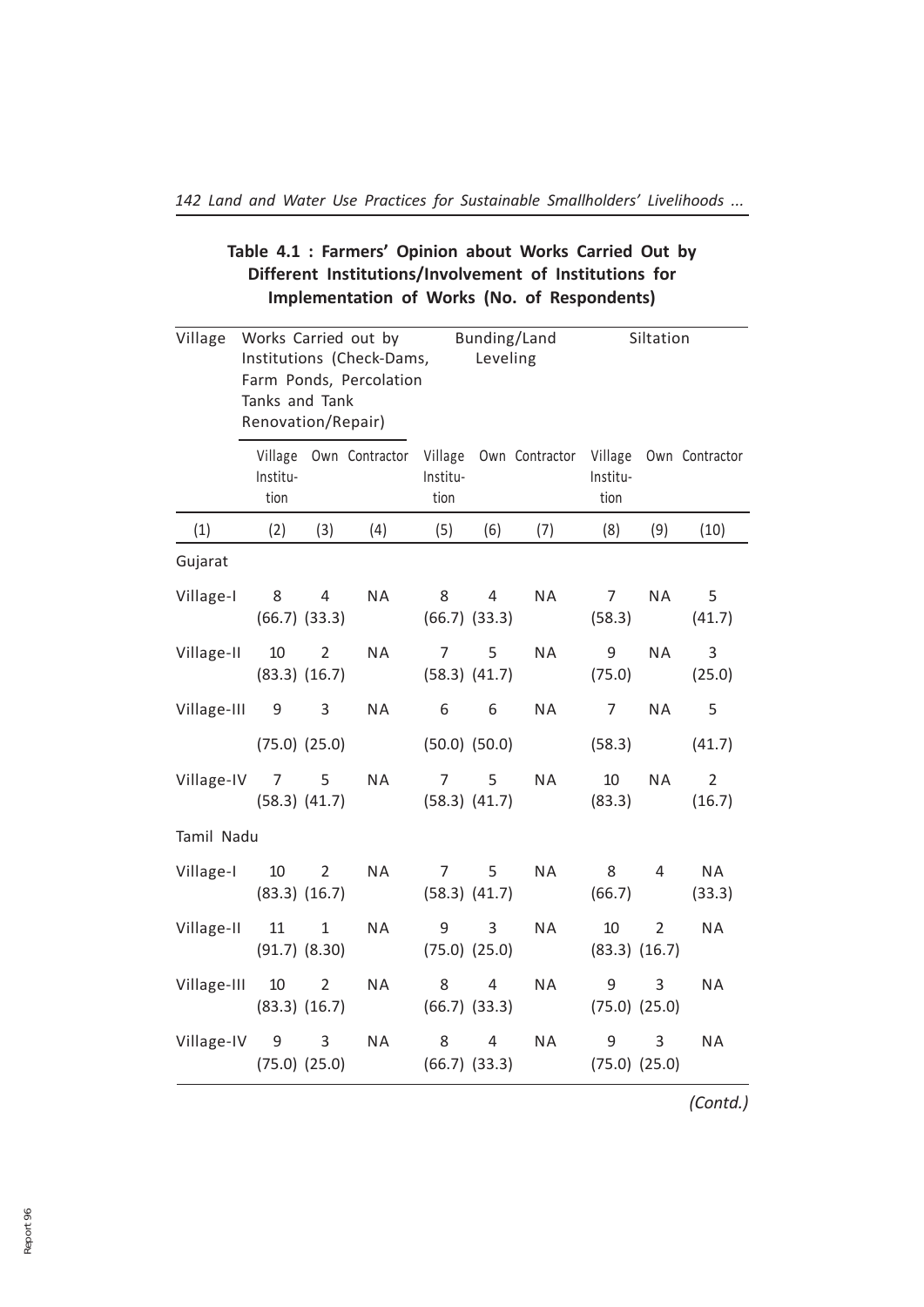|                |                                      |                                     |                                                                                                    |                  |                                     | Implementation of works (NO. Of Respondents)  |                           |                |                          |
|----------------|--------------------------------------|-------------------------------------|----------------------------------------------------------------------------------------------------|------------------|-------------------------------------|-----------------------------------------------|---------------------------|----------------|--------------------------|
| Village        | Tanks and Tank<br>Renovation/Repair) |                                     | Works Carried out by Bunding/Land<br>Institutions (Check-Dams, Leveling<br>Farm Ponds, Percolation |                  |                                     |                                               |                           | Siltation      |                          |
|                | Institu-<br>tion                     |                                     | Village Own Contractor                                                                             | Institu-<br>tion |                                     | Village Own Contractor Village Own Contractor | Institu-<br>tion          |                |                          |
| (1)            | (2)                                  | (3)                                 | (4)                                                                                                | (5)              | (6)                                 | (7)                                           | (8)                       | (9)            | (10)                     |
| Gujarat        |                                      |                                     |                                                                                                    |                  |                                     |                                               |                           |                |                          |
| Village-I      | 8 <sup>8</sup><br>$(66.7)$ $(33.3)$  | $\overline{4}$                      | <b>NA</b>                                                                                          | 8                | 4<br>$(66.7)$ $(33.3)$              | <b>NA</b>                                     | 7 <sup>7</sup><br>(58.3)  | <b>NA</b>      | 5<br>(41.7)              |
| Village-II 10  |                                      | $\overline{2}$<br>(83.3) (16.7)     | <b>NA</b>                                                                                          | 7                | 5<br>$(58.3)$ $(41.7)$              | <b>NA</b>                                     | 9<br>(75.0)               | <b>NA</b>      | 3<br>(25.0)              |
| Village-III 9  |                                      | 3 <sup>7</sup>                      | <b>NA</b>                                                                                          |                  | 6 6                                 | <b>NA</b>                                     | $\overline{7}$            | <b>NA</b>      | 5                        |
|                |                                      | $(75.0)$ $(25.0)$                   |                                                                                                    |                  | $(50.0)$ $(50.0)$                   |                                               | (58.3)                    |                | (41.7)                   |
| Village-IV 7 5 |                                      | $(58.3)$ $(41.7)$                   | <b>NA</b>                                                                                          | 7                | 5<br>$(58.3)$ $(41.7)$              | <b>NA</b>                                     | 10 <sup>1</sup><br>(83.3) | <b>NA</b>      | $\overline{2}$<br>(16.7) |
| Tamil Nadu     |                                      |                                     |                                                                                                    |                  |                                     |                                               |                           |                |                          |
| Village-I 10   | (83.3) (16.7)                        | $\overline{2}$                      | <b>NA</b>                                                                                          | $7 \quad$        | 5<br>$(58.3)$ $(41.7)$              | <b>NA</b>                                     | 8<br>(66.7)               | $\overline{4}$ | <b>NA</b><br>(33.3)      |
| Village-II 11  | $(91.7)$ $(8.30)$                    | $\mathbf{1}$                        | <b>NA</b>                                                                                          |                  | 9 3<br>$(75.0)$ $(25.0)$            | <b>NA</b>                                     | 10<br>$(83.3)$ $(16.7)$   | $\overline{2}$ | <b>NA</b>                |
| Village-III 10 | $(83.3)$ $(16.7)$                    | $\overline{2}$                      | <b>NA</b>                                                                                          | 8                | $\sqrt{4}$<br>$(66.7)$ $(33.3)$     | <b>NA</b>                                     | 9<br>$(75.0)$ $(25.0)$    | 3              | <b>NA</b>                |
| Village-IV 9   |                                      | $\overline{3}$<br>$(75.0)$ $(25.0)$ | <b>NA</b>                                                                                          | 8                | $\overline{4}$<br>$(66.7)$ $(33.3)$ | <b>NA</b>                                     | 9<br>$(75.0)$ $(25.0)$    | $\overline{3}$ | <b>NA</b>                |

# **Table 4.1 : Farmers' Opinion about Works Carried Out by Different Institutions/Involvement of Institutions for Implementation of Works (No. of Respondents)**

*(Contd.)*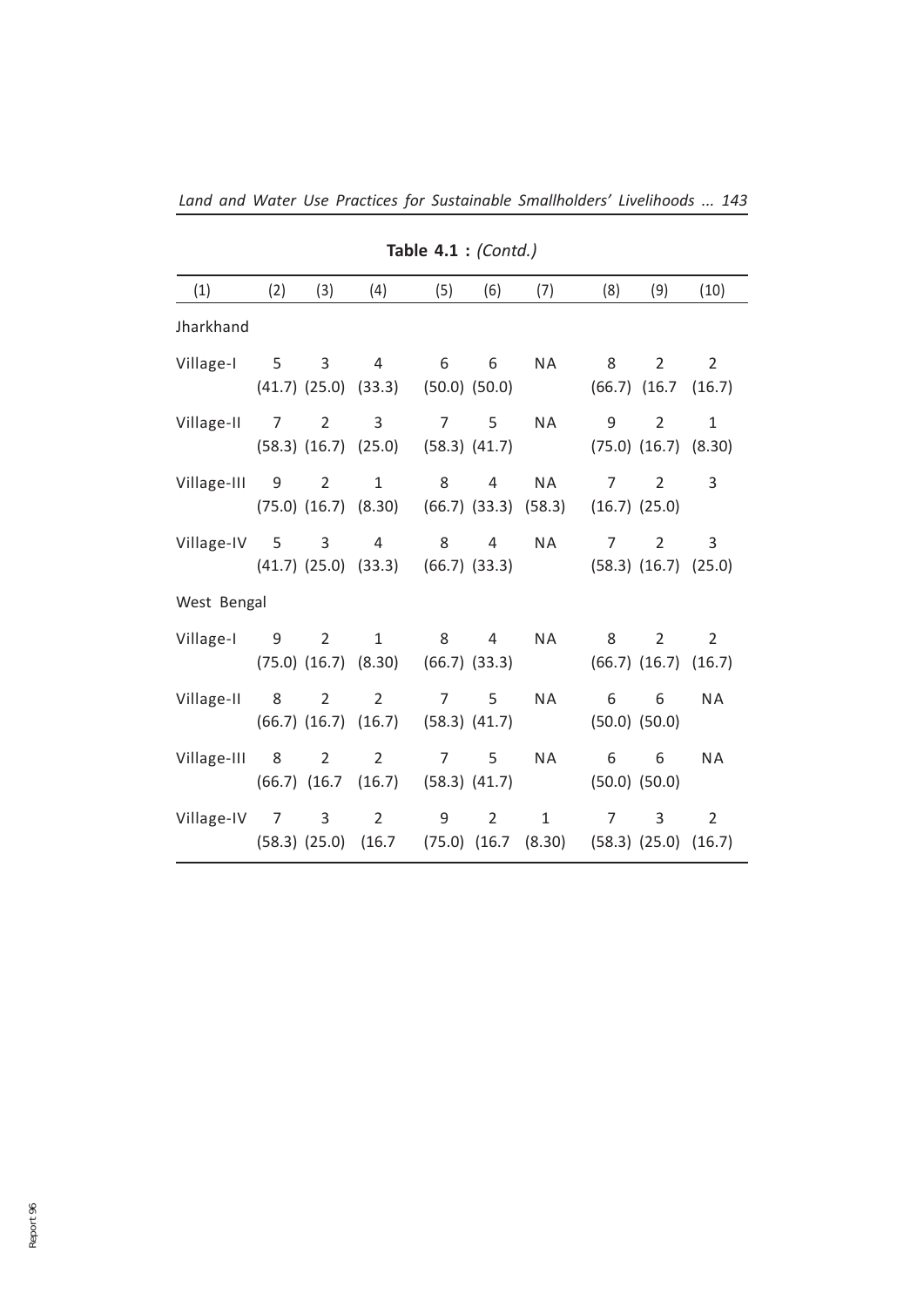|                              |     |     |                                                                         | Table $4.1: (Control.)$ |       |     |                     |                   |              |
|------------------------------|-----|-----|-------------------------------------------------------------------------|-------------------------|-------|-----|---------------------|-------------------|--------------|
| (1)                          | (2) | (3) | (4)                                                                     | (5)                     | (6)   | (7) | (8)                 | (9)               | (10)         |
| Jharkhand                    |     |     |                                                                         |                         |       |     |                     |                   |              |
| Village-I 5 3 4 6 6 NA 8 2 2 |     |     | $(41.7)$ $(25.0)$ $(33.3)$ $(50.0)$ $(50.0)$ $(66.7)$ $(16.7)$ $(16.7)$ |                         |       |     |                     |                   |              |
| Village-II 7 2 3 7 5         |     |     | $(58.3)$ $(16.7)$ $(25.0)$ $(58.3)$ $(41.7)$ $(75.0)$ $(16.7)$ $(8.30)$ |                         |       |     | NA 9 2 1            |                   |              |
| Village-III 9 2 1 8 4 NA 7 2 |     |     | $(75.0)$ $(16.7)$ $(8.30)$ $(66.7)$ $(33.3)$ $(58.3)$ $(16.7)$ $(25.0)$ |                         |       |     |                     |                   | 3            |
| Village-IV 5 3               |     |     | $(41.7)$ $(25.0)$ $(33.3)$ $(66.7)$ $(33.3)$ $(58.3)$ $(16.7)$ $(25.0)$ | 4 8 4 NA 7 2            |       |     |                     |                   | 3            |
| West Bengal                  |     |     |                                                                         |                         |       |     |                     |                   |              |
| Village-I 9 2 1 8 4 NA 8 2 2 |     |     | $(75.0)$ $(16.7)$ $(8.30)$ $(66.7)$ $(33.3)$ $(66.7)$ $(16.7)$ $(16.7)$ |                         |       |     |                     |                   |              |
| Village-II 8 2 2 7 5         |     |     | $(66.7)$ $(16.7)$ $(16.7)$ $(58.3)$ $(41.7)$                            |                         |       |     | NA 6 6              | $(50.0)$ $(50.0)$ | <b>NA</b>    |
| Village-III 8 2              |     |     | $(66.7)$ $(16.7 \t(16.7) \t(58.3) \t(41.7))$                            | $2 \overline{7}$        | $5 -$ |     | NA 6 6              | $(50.0)$ $(50.0)$ | <b>NA</b>    |
| Village-IV 7 3 2 9 2         |     |     | (58.3) (25.0) (16.7 (75.0) (16.7 (8.30) (58.3) (25.0) (16.7)            |                         |       |     | $1 \qquad \qquad 7$ |                   | $3 \qquad 2$ |

Report 96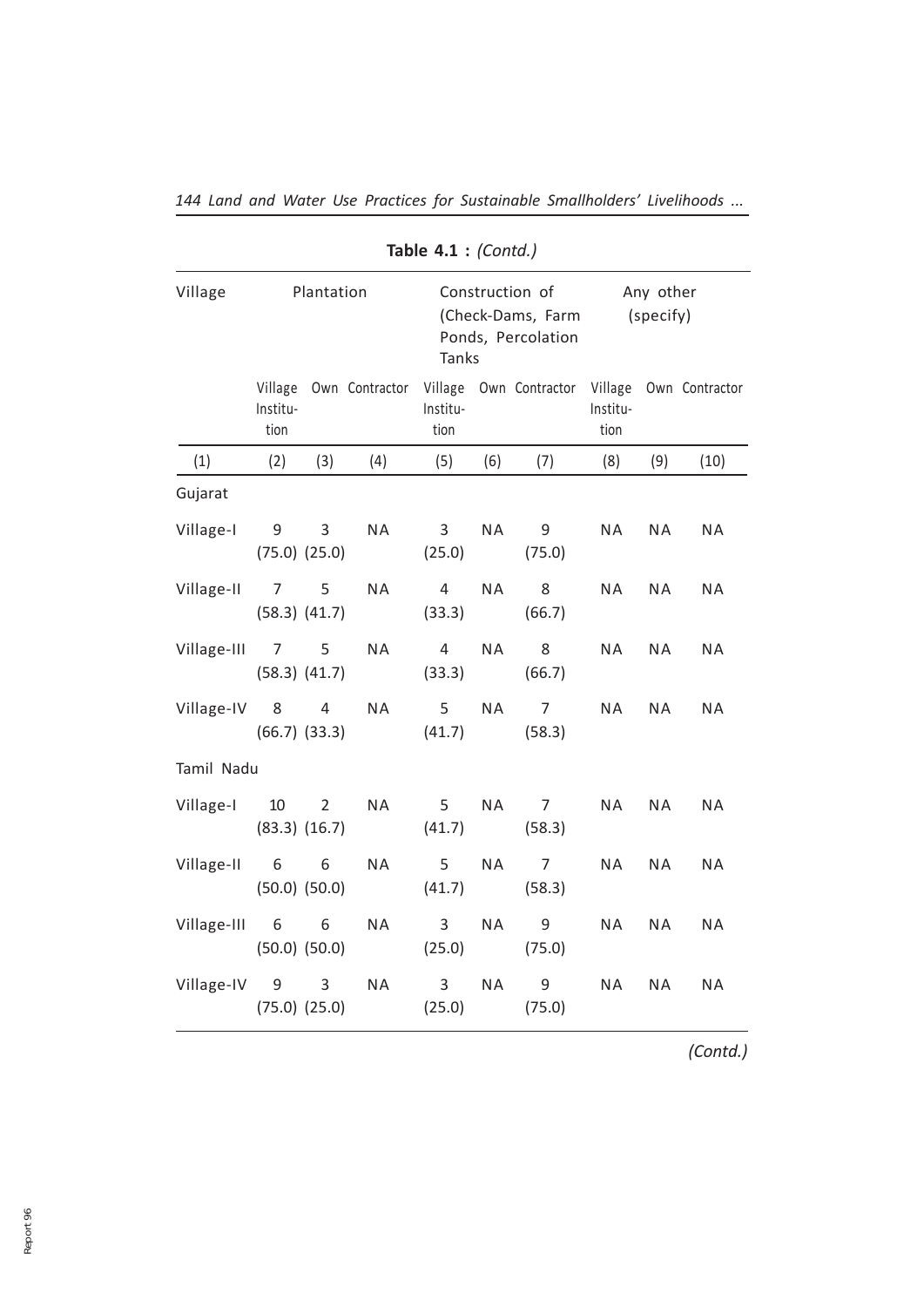|                 |                                  |                 |                        | Table 4.1 : (Contd.)     |           |                                                            |                  |                        |                        |
|-----------------|----------------------------------|-----------------|------------------------|--------------------------|-----------|------------------------------------------------------------|------------------|------------------------|------------------------|
| Village         |                                  | Plantation      |                        | Tanks                    |           | Construction of<br>(Check-Dams, Farm<br>Ponds, Percolation |                  | Any other<br>(specify) |                        |
|                 | Institu-<br>tion                 |                 | Village Own Contractor | Institu-<br>tion         |           | Village Own Contractor                                     | Institu-<br>tion |                        | Village Own Contractor |
| (1)             | (2)                              | (3)             | (4)                    | (5)                      | (6)       | (7)                                                        | (8)              | (9)                    | (10)                   |
| Gujarat         |                                  |                 |                        |                          |           |                                                            |                  |                        |                        |
| Village-I       | 9<br>$(75.0)$ $(25.0)$           | 3 <sup>7</sup>  | <b>NA</b>              | 3<br>(25.0)              | <b>NA</b> | 9<br>(75.0)                                                | <b>NA</b>        | <b>NA</b>              | ΝA                     |
| Village-II 7 5  | $(58.3)$ $(41.7)$                |                 | <b>NA</b>              | $\overline{4}$<br>(33.3) | <b>NA</b> | 8<br>(66.7)                                                | <b>NA</b>        | <b>NA</b>              | <b>NA</b>              |
| Village-III 7 5 | $(58.3)$ $(41.7)$                |                 | <b>NA</b>              | 4<br>(33.3)              | <b>NA</b> | 8<br>(66.7)                                                | <b>NA</b>        | <b>NA</b>              | ΝA                     |
| Village-IV 8    | $(66.7)$ $(33.3)$                | $4\overline{ }$ | <b>NA</b>              | 5<br>(41.7)              | <b>NA</b> | $7\overline{ }$<br>(58.3)                                  | <b>NA</b>        | <b>NA</b>              | <b>NA</b>              |
| Tamil Nadu      |                                  |                 |                        |                          |           |                                                            |                  |                        |                        |
| Village-I       | 10<br>$(83.3)$ $(16.7)$          | $\overline{2}$  | <b>NA</b>              | 5<br>(41.7)              | <b>NA</b> | $\overline{7}$<br>(58.3)                                   | <b>NA</b>        | NA.                    | <b>NA</b>              |
| Village-II      | $6\qquad 6$<br>$(50.0)$ $(50.0)$ |                 | <b>NA</b>              | 5<br>(41.7)              | <b>NA</b> | $\overline{7}$<br>(58.3)                                   | <b>NA</b>        | <b>NA</b>              | <b>NA</b>              |
| Village-III 6 6 | $(50.0)$ $(50.0)$                |                 | <b>NA</b>              | 3<br>(25.0)              | <b>NA</b> | 9<br>(75.0)                                                | <b>NA</b>        | <b>NA</b>              | ΝA                     |
| Village-IV 9 3  | $(75.0)$ $(25.0)$                |                 | <b>NA</b>              | $\mathbf{3}$<br>(25.0)   | <b>NA</b> | 9<br>(75.0)                                                | <b>NA</b>        | <b>NA</b>              | <b>NA</b>              |

*(Contd.)*

Report 96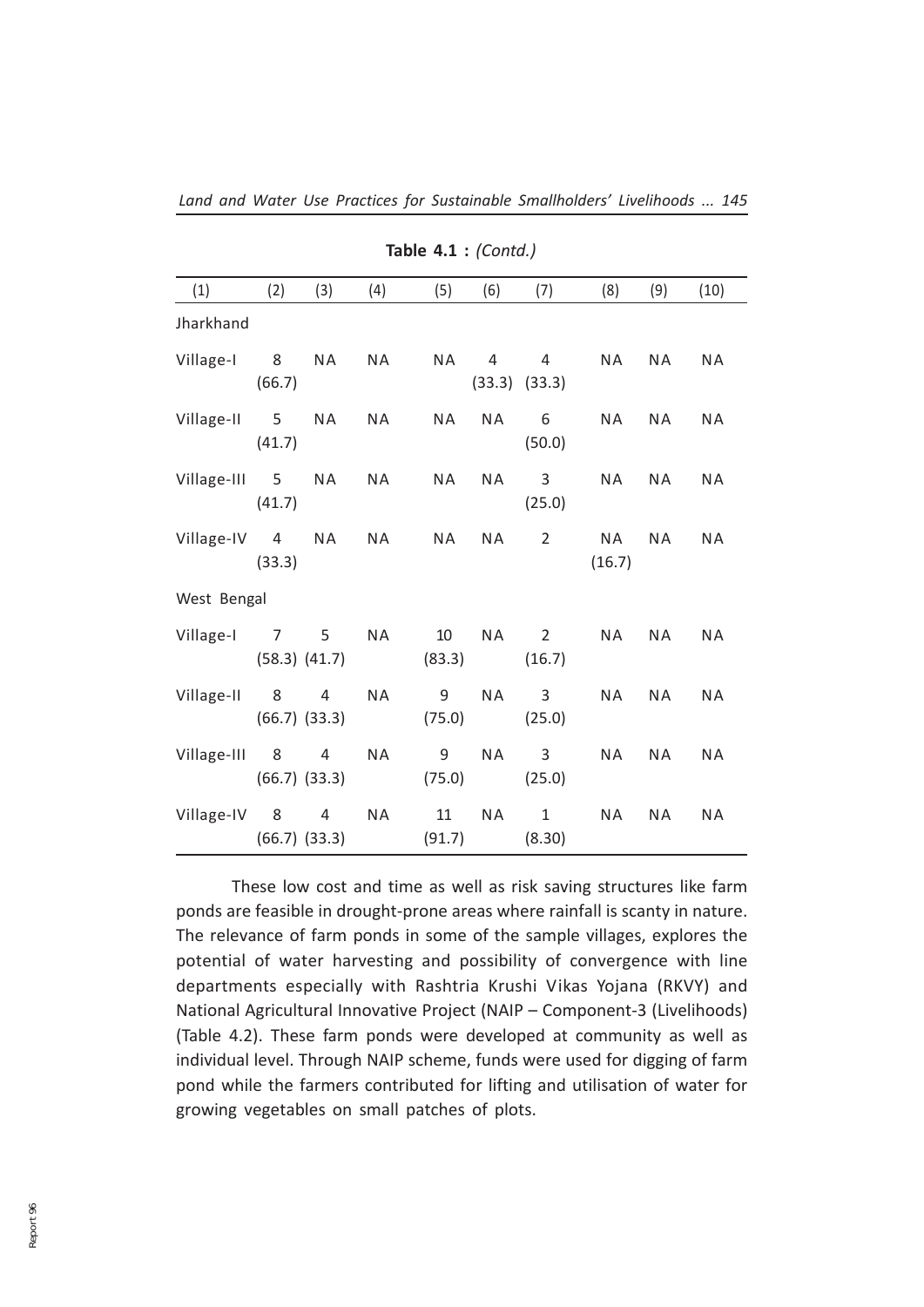|                 |                |                        |                 | <b>Table 4.1 : (Contd.)</b> |           |                             |                     |             |           |
|-----------------|----------------|------------------------|-----------------|-----------------------------|-----------|-----------------------------|---------------------|-------------|-----------|
| (1)             | (2)            | (3)                    | (4)             | (5)                         | (6)       | (7)                         | (8)                 | (9)         | (10)      |
| Jharkhand       |                |                        |                 |                             |           |                             |                     |             |           |
| Village-I 8 NA  | (66.7)         |                        | <b>NA</b>       |                             |           | NA 4 4<br>$(33.3)$ $(33.3)$ | <b>NA</b>           | NA <b>N</b> | <b>NA</b> |
| Village-II 5    | (41.7)         | <b>NA</b>              | NA 1            | <b>NA</b>                   | NA 6      | (50.0)                      | <b>NA</b>           | NA.         | <b>NA</b> |
| Village-III 5   | (41.7)         | <b>NA</b>              | <b>NA</b>       | <b>NA</b>                   |           | $NA$ 3<br>(25.0)            | <b>NA</b>           | <b>NA</b>   | <b>NA</b> |
| Village-IV 4 NA | (33.3)         |                        | NA <b>NA</b>    | <b>NA</b>                   | <b>NA</b> | $\overline{2}$              | <b>NA</b><br>(16.7) | <b>NA</b>   | <b>NA</b> |
| West Bengal     |                |                        |                 |                             |           |                             |                     |             |           |
| Village-I 7 5   |                | $(58.3)$ $(41.7)$      | NA <sub>1</sub> | 10<br>(83.3)                |           | $NA$ 2<br>(16.7)            | <b>NA</b>           | N A         | NA.       |
| Village-II      | 8 <sup>1</sup> | 4<br>$(66.7)$ $(33.3)$ | <b>NA</b>       | 9<br>(75.0)                 | <b>NA</b> | $\mathbf{3}$<br>(25.0)      | <b>NA</b>           | <b>NA</b>   | <b>NA</b> |
| Village-III 8 4 |                | $(66.7)$ $(33.3)$      | <b>NA</b>       | 9<br>(75.0)                 | <b>NA</b> | 3 <sup>7</sup><br>(25.0)    | <b>NA</b>           | NA 1        | NA.       |
| Village-IV 8 4  |                | $(66.7)$ $(33.3)$      | NA <sub>1</sub> | 11<br>(91.7)                |           | NA 1<br>(8.30)              | <b>NA</b>           | N A         | <b>NA</b> |

These low cost and time as well as risk saving structures like farm ponds are feasible in drought-prone areas where rainfall is scanty in nature. The relevance of farm ponds in some of the sample villages, explores the potential of water harvesting and possibility of convergence with line departments especially with Rashtria Krushi Vikas Yojana (RKVY) and National Agricultural Innovative Project (NAIP – Component-3 (Livelihoods) (Table 4.2). These farm ponds were developed at community as well as individual level. Through NAIP scheme, funds were used for digging of farm pond while the farmers contributed for lifting and utilisation of water for growing vegetables on small patches of plots.

Report 96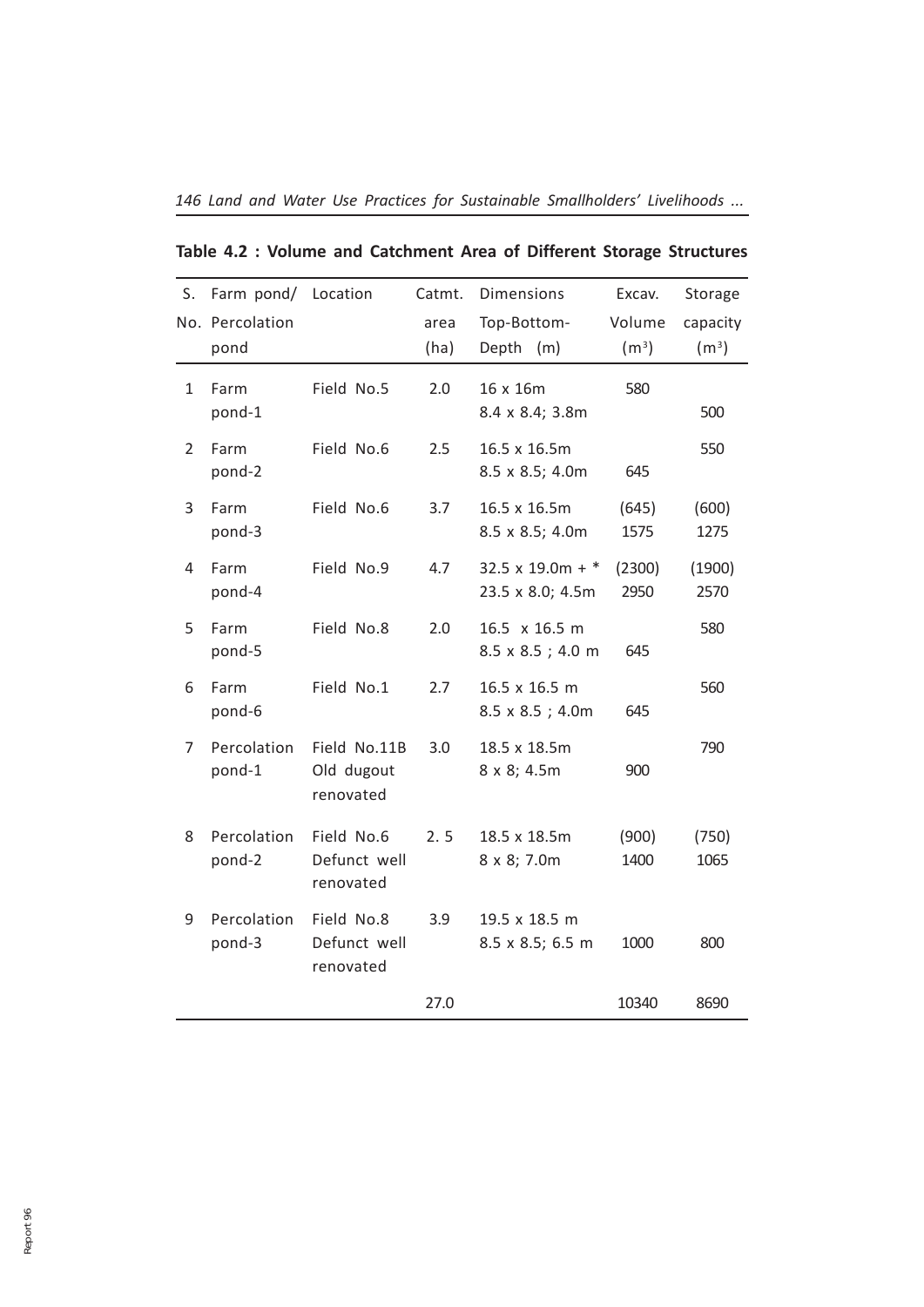| S.           | Farm pond/ Location   |                                         | Catmt. | <b>Dimensions</b>                      | Excav.            | Storage           |
|--------------|-----------------------|-----------------------------------------|--------|----------------------------------------|-------------------|-------------------|
|              | No. Percolation       |                                         | area   | Top-Bottom-                            | Volume            | capacity          |
|              | pond                  |                                         | (ha)   | Depth (m)                              | (m <sup>3</sup> ) | (m <sup>3</sup> ) |
| $\mathbf{1}$ | Farm<br>pond-1        | Field No.5                              | 2.0    | 16 x 16m<br>8.4 x 8.4; 3.8m            | 580               | 500               |
| 2            | Farm<br>pond-2        | Field No.6                              | 2.5    | 16.5 x 16.5m<br>8.5 x 8.5; 4.0m        | 645               | 550               |
| 3            | Farm<br>pond-3        | Field No.6                              | 3.7    | 16.5 x 16.5m<br>8.5 x 8.5; 4.0m        | (645)<br>1575     | (600)<br>1275     |
| 4            | Farm<br>pond-4        | Field No.9                              | 4.7    | 32.5 x 19.0m + $*$<br>23.5 x 8.0; 4.5m | (2300)<br>2950    | (1900)<br>2570    |
| 5            | Farm<br>pond-5        | Field No.8                              | 2.0    | 16.5 x 16.5 m<br>8.5 x 8.5; 4.0 m      | 645               | 580               |
| 6            | Farm<br>pond-6        | Field No.1                              | 2.7    | 16.5 x 16.5 m<br>8.5 x 8.5; 4.0m       | 645               | 560               |
| 7            | Percolation<br>pond-1 | Field No.11B<br>Old dugout<br>renovated | 3.0    | 18.5 x 18.5m<br>8 x 8; 4.5m            | 900               | 790               |
| 8            | Percolation<br>pond-2 | Field No.6<br>Defunct well<br>renovated | 2.5    | 18.5 x 18.5m<br>8 x 8; 7.0m            | (900)<br>1400     | (750)<br>1065     |
| 9            | Percolation<br>pond-3 | Field No.8<br>Defunct well<br>renovated | 3.9    | 19.5 x 18.5 m<br>8.5 x 8.5; 6.5 m      | 1000              | 800               |
|              |                       |                                         | 27.0   |                                        | 10340             | 8690              |

# **Table 4.2 : Volume and Catchment Area of Different Storage Structures**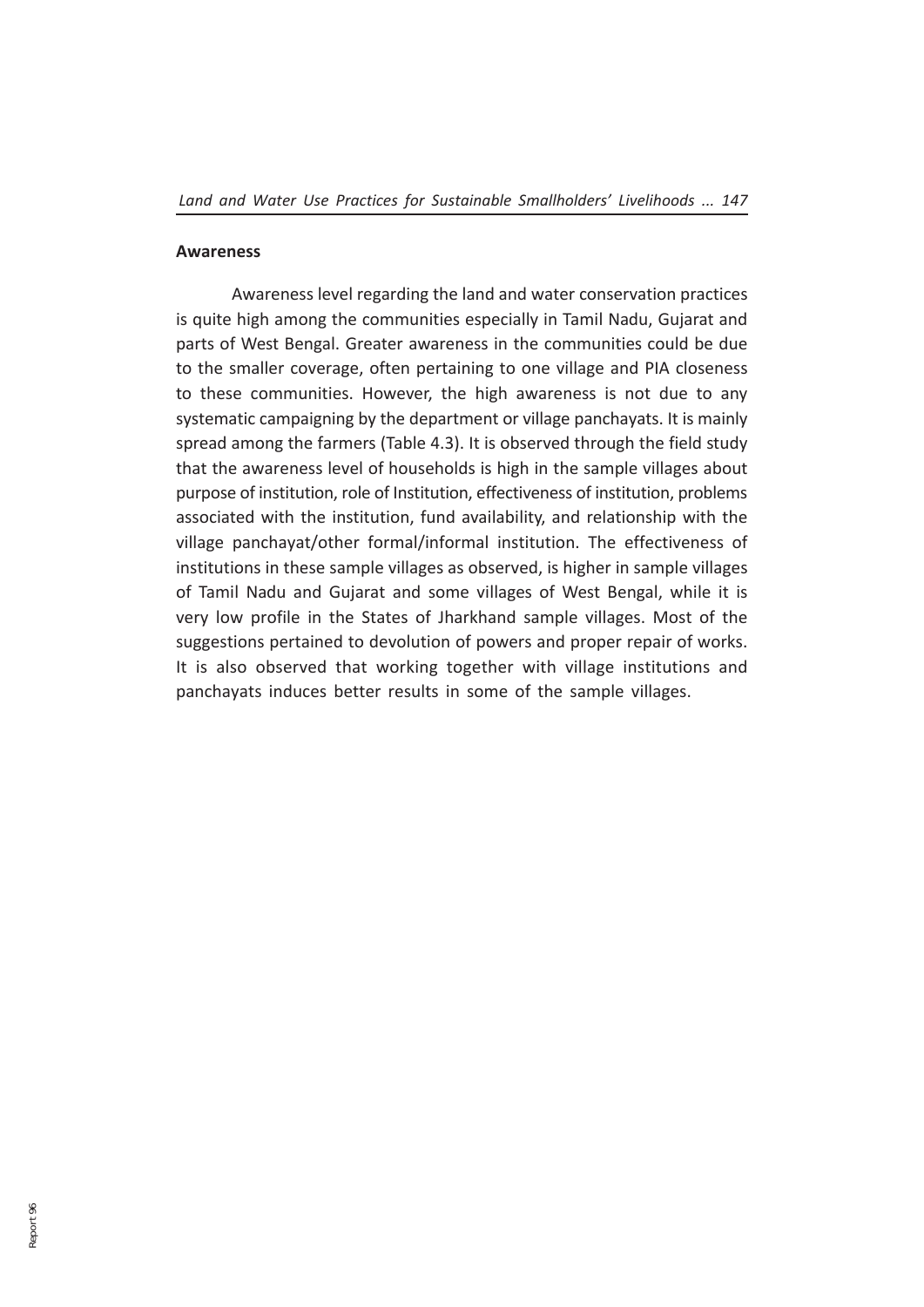## **Awareness**

Awareness level regarding the land and water conservation practices is quite high among the communities especially in Tamil Nadu, Gujarat and parts of West Bengal. Greater awareness in the communities could be due to the smaller coverage, often pertaining to one village and PIA closeness to these communities. However, the high awareness is not due to any systematic campaigning by the department or village panchayats. It is mainly spread among the farmers (Table 4.3). It is observed through the field study that the awareness level of households is high in the sample villages about purpose of institution, role of Institution, effectiveness of institution, problems associated with the institution, fund availability, and relationship with the village panchayat/other formal/informal institution. The effectiveness of institutions in these sample villages as observed, is higher in sample villages of Tamil Nadu and Gujarat and some villages of West Bengal, while it is very low profile in the States of Jharkhand sample villages. Most of the suggestions pertained to devolution of powers and proper repair of works. It is also observed that working together with village institutions and panchayats induces better results in some of the sample villages.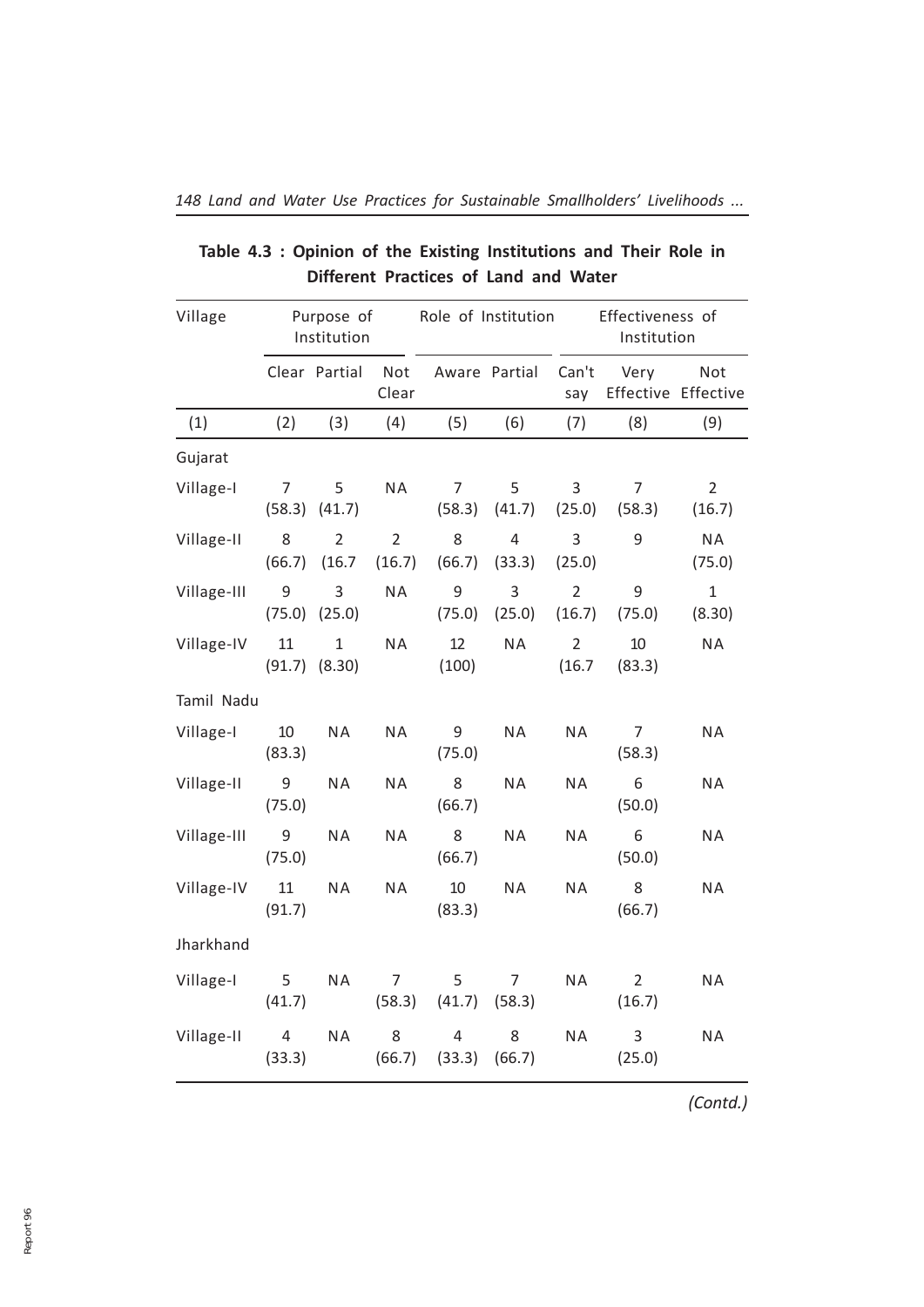| Village     |                          | Purpose of<br>Institution           |                          | Role of Institution      |                          |                          | Effectiveness of<br>Institution |                            |
|-------------|--------------------------|-------------------------------------|--------------------------|--------------------------|--------------------------|--------------------------|---------------------------------|----------------------------|
|             |                          | Clear Partial                       | Not<br>Clear             |                          | Aware Partial            | Can't<br>say             | Very                            | Not<br>Effective Effective |
| (1)         | (2)                      | (3)                                 | (4)                      | (5)                      | (6)                      | (7)                      | (8)                             | (9)                        |
| Gujarat     |                          |                                     |                          |                          |                          |                          |                                 |                            |
| Village-I   | $7\overline{ }$          | 5<br>$(58.3)$ $(41.7)$              | <b>NA</b>                | $\overline{7}$<br>(58.3) | 5<br>(41.7)              | 3<br>(25.0)              | $\overline{7}$<br>(58.3)        | $\overline{2}$<br>(16.7)   |
| Village-II  | 8                        | $\overline{2}$<br>$(66.7)$ $(16.7)$ | $\overline{2}$<br>(16.7) | 8<br>(66.7)              | $\overline{4}$<br>(33.3) | 3<br>(25.0)              | 9                               | <b>NA</b><br>(75.0)        |
| Village-III | 9                        | 3<br>$(75.0)$ $(25.0)$              | <b>NA</b>                | 9<br>(75.0)              | $\overline{3}$<br>(25.0) | $\overline{2}$<br>(16.7) | 9<br>(75.0)                     | $\mathbf{1}$<br>(8.30)     |
| Village-IV  | 11                       | $\mathbf{1}$<br>$(91.7)$ $(8.30)$   | <b>NA</b>                | 12<br>(100)              | <b>NA</b>                | $\overline{2}$<br>(16.7) | 10<br>(83.3)                    | <b>NA</b>                  |
| Tamil Nadu  |                          |                                     |                          |                          |                          |                          |                                 |                            |
| Village-I   | 10<br>(83.3)             | <b>NA</b>                           | <b>NA</b>                | 9<br>(75.0)              | <b>NA</b>                | <b>NA</b>                | $\overline{7}$<br>(58.3)        | <b>NA</b>                  |
| Village-II  | $\overline{9}$<br>(75.0) | <b>NA</b>                           | <b>NA</b>                | 8<br>(66.7)              | <b>NA</b>                | <b>NA</b>                | 6<br>(50.0)                     | <b>NA</b>                  |
| Village-III | 9<br>(75.0)              | <b>NA</b>                           | <b>NA</b>                | 8<br>(66.7)              | <b>NA</b>                | <b>NA</b>                | 6<br>(50.0)                     | <b>NA</b>                  |
| Village-IV  | 11<br>(91.7)             | <b>NA</b>                           | <b>NA</b>                | 10<br>(83.3)             | <b>NA</b>                | <b>NA</b>                | 8<br>(66.7)                     | <b>NA</b>                  |
| Jharkhand   |                          |                                     |                          |                          |                          |                          |                                 |                            |
| Village-I   | $5^{\circ}$<br>(41.7)    | <b>NA</b>                           | $\overline{7}$           | 5<br>$(58.3)$ $(41.7)$   | 7 <sup>7</sup><br>(58.3) | <b>NA</b>                | $\overline{2}$<br>(16.7)        | <b>NA</b>                  |
| Village-II  | $\overline{4}$<br>(33.3) | <b>NA</b>                           | 8<br>(66.7)              | $\overline{4}$<br>(33.3) | 8<br>(66.7)              | <b>NA</b>                | 3<br>(25.0)                     | <b>NA</b>                  |

|  | Table 4.3 : Opinion of the Existing Institutions and Their Role in |  |  |
|--|--------------------------------------------------------------------|--|--|
|  | Different Practices of Land and Water                              |  |  |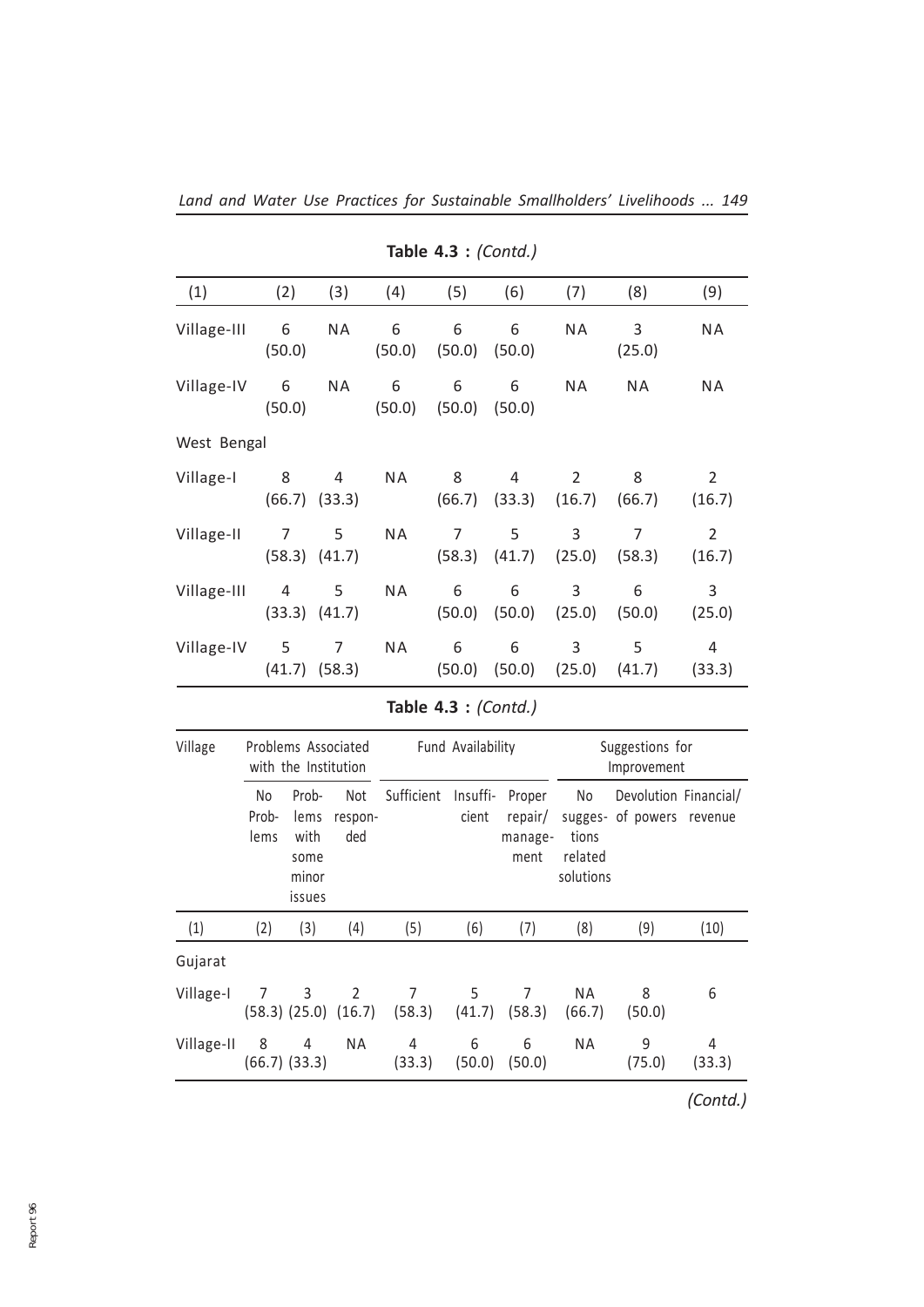| (1)         |                     | (2)                                    | (3)                                         | (4)         | (5)                      | (6)                                           | (7)                                 | (8)                            | (9)                      |
|-------------|---------------------|----------------------------------------|---------------------------------------------|-------------|--------------------------|-----------------------------------------------|-------------------------------------|--------------------------------|--------------------------|
| Village-III | $6\overline{6}$     | (50.0)                                 | <b>NA</b>                                   | 6<br>(50.0) | 6<br>(50.0)              | 6<br>(50.0)                                   | <b>NA</b>                           | 3<br>(25.0)                    | <b>NA</b>                |
| Village-IV  | $6\overline{6}$     | (50.0)                                 | <b>NA</b>                                   | 6<br>(50.0) | 6<br>(50.0)              | 6<br>(50.0)                                   | <b>NA</b>                           | <b>NA</b>                      | <b>NA</b>                |
| West Bengal |                     |                                        |                                             |             |                          |                                               |                                     |                                |                          |
| Village-I   |                     | 8                                      | 4<br>$(66.7)$ $(33.3)$                      | <b>NA</b>   | 8<br>(66.7)              | 4<br>$(33.3)$ $(16.7)$                        | $\overline{2}$                      | 8<br>(66.7)                    | 2<br>(16.7)              |
| Village-II  | $\overline{7}$      |                                        | 5<br>$(58.3)$ $(41.7)$                      | <b>NA</b>   | $\overline{7}$<br>(58.3) | 5<br>(41.7)                                   | 3<br>(25.0)                         | $\overline{7}$<br>(58.3)       | $\overline{2}$<br>(16.7) |
| Village-III |                     | $\overline{4}$                         | 5<br>$(33.3)$ $(41.7)$                      | <b>NA</b>   | 6<br>(50.0)              | 6<br>(50.0)                                   | 3<br>(25.0)                         | 6<br>(50.0)                    | 3<br>(25.0)              |
| Village-IV  |                     | $5^{\circ}$                            | $\overline{7}$<br>$(41.7)$ $(58.3)$         | <b>NA</b>   | 6<br>(50.0)              | 6<br>(50.0)                                   | 3<br>(25.0)                         | 5<br>(41.7)                    | 4<br>(33.3)              |
|             |                     |                                        |                                             |             | Table 4.3 : (Contd.)     |                                               |                                     |                                |                          |
| Village     |                     |                                        | Problems Associated<br>with the Institution |             | Fund Availability        |                                               |                                     | Suggestions for<br>Improvement |                          |
|             | No<br>Prob-<br>lems | Prob-<br>lems<br>with<br>some<br>minor | Not<br>respon-<br>ded                       | Sufficient  | cient                    | Insuffi- Proper<br>repair/<br>manage-<br>ment | No<br>tions<br>related<br>solutions | sugges- of powers revenue      | Devolution Financial/    |

**Table 4.3 :** *(Contd.)*

issues (1) (2) (3) (4) (5) (6) (7) (8) (9) (10) Gujarat Village-I 7 3 2 7 5 7 NA 8 6 (58.3) (25.0) (16.7) (58.3) (41.7) (58.3) (66.7) (50.0) Village-II 8 4 NA 4 6 6 NA 9 4<br>(66.7) (33.3) (33.3) (50.0) (50.0) (75.0) (33.3)  $(50.0)$   $(50.0)$ *(Contd.)*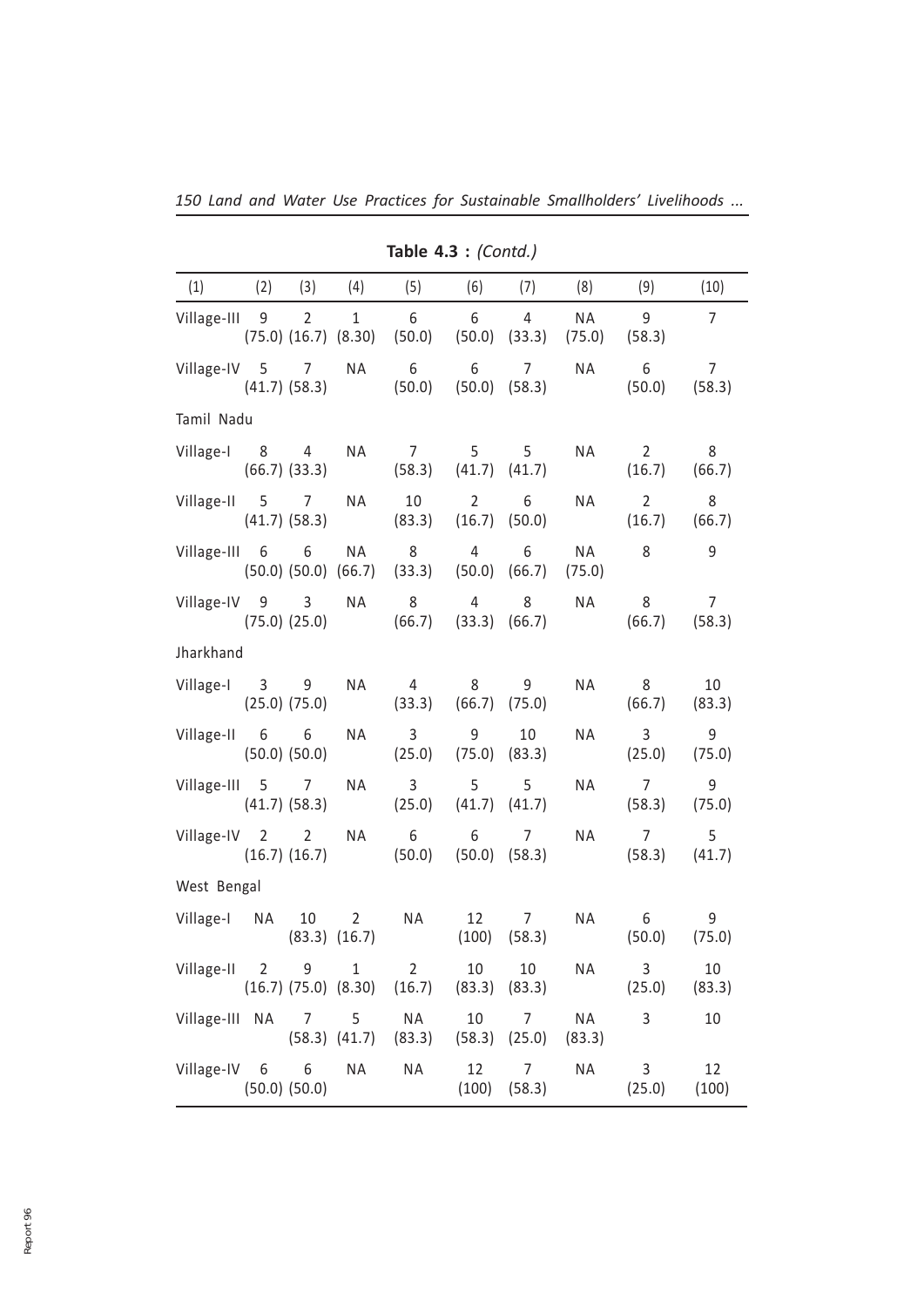|                                | $i$ and $4.5$ $i$ (control) |                   |           |                                                                         |                         |                                    |                     |                                                                |                     |  |  |
|--------------------------------|-----------------------------|-------------------|-----------|-------------------------------------------------------------------------|-------------------------|------------------------------------|---------------------|----------------------------------------------------------------|---------------------|--|--|
|                                |                             |                   |           | $(1)$ $(2)$ $(3)$ $(4)$ $(5)$ $(6)$ $(7)$                               |                         |                                    | (8)                 | (9)                                                            | (10)                |  |  |
| Village-III 9 2 1 6 6 4 NA 9   |                             |                   |           | $(75.0)$ $(16.7)$ $(8.30)$ $(50.0)$ $(50.0)$ $(33.3)$ $(75.0)$ $(58.3)$ |                         |                                    |                     |                                                                | $\overline{7}$      |  |  |
| Village-IV 5 7 NA 6 6 7        |                             |                   |           |                                                                         |                         |                                    | NA 6                | $(41.7)$ $(58.3)$ $(50.0)$ $(50.0)$ $(58.3)$ $(50.0)$ $(58.3)$ | $\overline{7}$      |  |  |
| Tamil Nadu                     |                             |                   |           |                                                                         |                         |                                    |                     |                                                                |                     |  |  |
| Village-I 8 4 NA 7 5 5 NA 2    |                             |                   |           |                                                                         |                         |                                    |                     | $(66.7)$ $(33.3)$ $(58.3)$ $(41.7)$ $(41.7)$ $(16.7)$ $(66.7)$ | 8                   |  |  |
| Village-II 5 7 NA 10 2 6       |                             |                   |           |                                                                         |                         |                                    | NA <sub>2</sub>     | $(41.7)$ $(58.3)$ $(83.3)$ $(16.7)$ $(50.0)$ $(16.7)$ $(66.7)$ | 8                   |  |  |
| Village-III 6 6 NA 8 4 6 NA    |                             |                   |           | $(50.0)$ $(50.0)$ $(66.7)$ $(33.3)$ $(50.0)$ $(66.7)$ $(75.0)$          |                         |                                    |                     | 8                                                              | 9                   |  |  |
| Village-IV 9 3 NA 8 4 8 NA 8   |                             |                   |           |                                                                         |                         |                                    |                     | $(75.0)$ $(25.0)$ $(66.7)$ $(33.3)$ $(66.7)$ $(66.7)$ $(58.3)$ | $\overline{7}$      |  |  |
| Jharkhand                      |                             |                   |           |                                                                         |                         |                                    |                     |                                                                |                     |  |  |
| Village-I 3 9 NA 4 8 9         |                             |                   |           | $(25.0)$ $(75.0)$ $(33.3)$ $(66.7)$ $(75.0)$                            |                         |                                    |                     | NA 8<br>$(66.7)$ (83.3)                                        | 10                  |  |  |
| Village-II 6 6                 |                             |                   |           | NA 3 9 10<br>$(50.0)$ $(50.0)$ $(25.0)$ $(75.0)$ $(83.3)$               |                         |                                    | <b>NA</b>           | $(25.0)$ $(75.0)$                                              | $3 \qquad \qquad 9$ |  |  |
| Village-III 5 7 NA 3 5 5       |                             |                   |           | $(41.7)$ $(58.3)$ $(25.0)$ $(41.7)$ $(41.7)$                            |                         |                                    | <b>NA</b>           | $7\overline{ }$<br>$(58.3)$ $(75.0)$                           | 9                   |  |  |
| Village-IV 2 2 NA 6 6 7        |                             |                   |           | $(16.7)$ $(16.7)$ $(50.0)$ $(50.0)$ $(58.3)$                            |                         |                                    | <b>NA</b>           | $7\overline{ }$<br>$(58.3)$ $(41.7)$                           | 5                   |  |  |
| West Bengal                    |                             |                   |           |                                                                         |                         |                                    |                     |                                                                |                     |  |  |
| Village-I NA 10 2 NA 12 7 NA 6 |                             |                   |           |                                                                         |                         |                                    |                     | $(83.3)$ $(16.7)$ $(100)$ $(58.3)$ $(50.0)$ $(75.0)$           | 9                   |  |  |
| Village-II 2 9 1 2 10 10       |                             |                   |           | $(16.7)$ $(75.0)$ $(8.30)$ $(16.7)$ $(83.3)$ $(83.3)$                   |                         |                                    | <b>NA</b>           | 3 <sup>7</sup><br>$(25.0)$ $(83.3)$                            | 10                  |  |  |
| Village-III NA 7 5             |                             |                   |           | <b>NA</b><br>$(58.3)$ $(41.7)$ $(83.3)$                                 | 10<br>$(58.3)$ $(25.0)$ | $\overline{7}$                     | <b>NA</b><br>(83.3) | 3                                                              | 10                  |  |  |
| Village-IV 6 6                 |                             | $(50.0)$ $(50.0)$ | <b>NA</b> | <b>NA</b>                                                               | 12                      | $\overline{7}$<br>$(100)$ $(58.3)$ | <b>NA</b>           | 3<br>(25.0)                                                    | 12<br>(100)         |  |  |

**Table 4.3 :** *(Contd.)*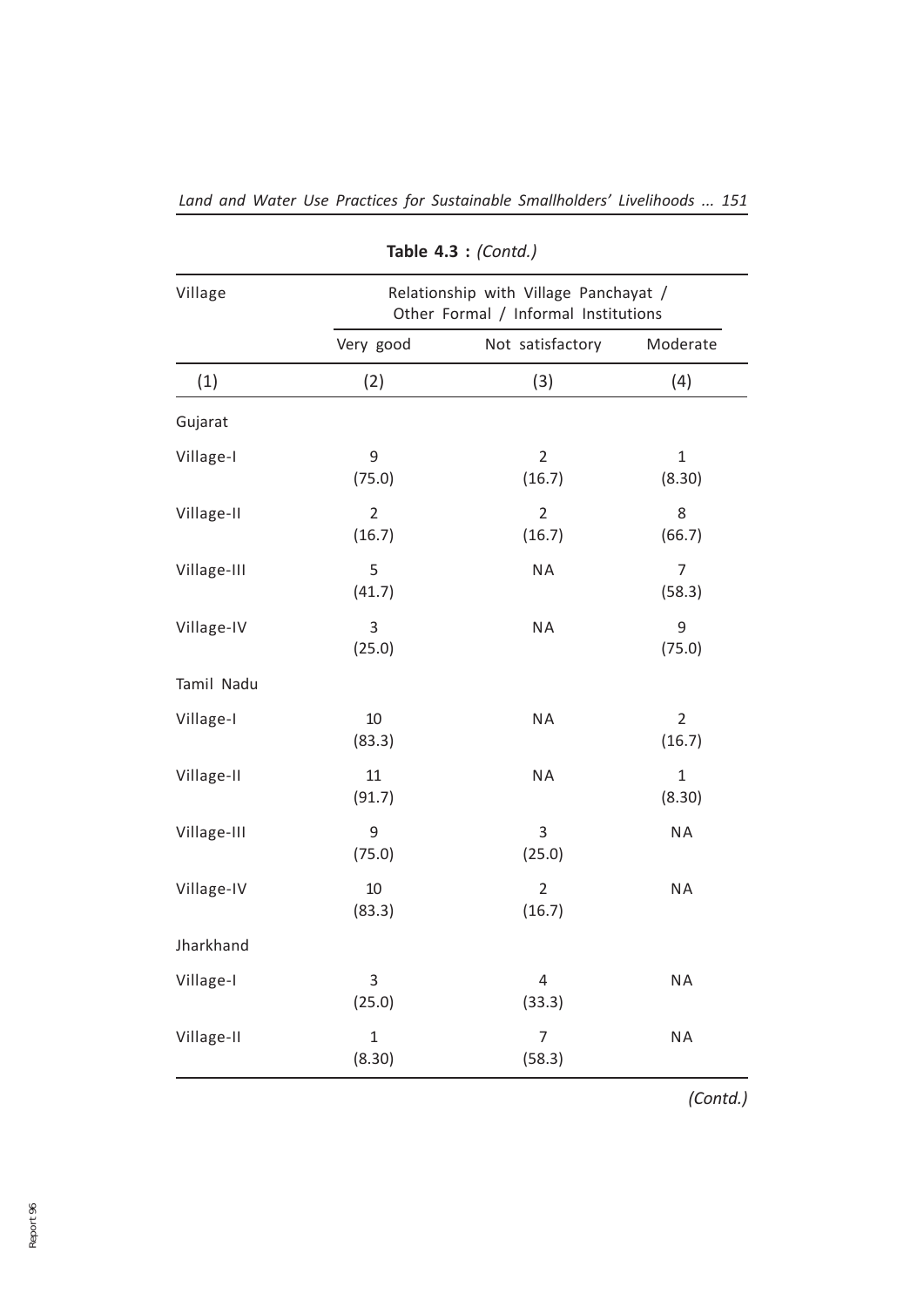|             |                          | Table 4.3 : (Contd.)                                                          |                          |
|-------------|--------------------------|-------------------------------------------------------------------------------|--------------------------|
| Village     |                          | Relationship with Village Panchayat /<br>Other Formal / Informal Institutions |                          |
|             | Very good                | Not satisfactory                                                              | Moderate                 |
| (1)         | (2)                      | (3)                                                                           | (4)                      |
| Gujarat     |                          |                                                                               |                          |
| Village-I   | 9<br>(75.0)              | 2<br>(16.7)                                                                   | $\mathbf{1}$<br>(8.30)   |
| Village-II  | 2<br>(16.7)              | $\overline{2}$<br>(16.7)                                                      | 8<br>(66.7)              |
| Village-III | 5<br>(41.7)              | <b>NA</b>                                                                     | $\overline{7}$<br>(58.3) |
| Village-IV  | 3<br>(25.0)              | <b>NA</b>                                                                     | 9<br>(75.0)              |
| Tamil Nadu  |                          |                                                                               |                          |
| Village-I   | 10<br>(83.3)             | <b>NA</b>                                                                     | $\overline{2}$<br>(16.7) |
| Village-II  | 11<br>(91.7)             | <b>NA</b>                                                                     | $\mathbf{1}$<br>(8.30)   |
| Village-III | 9<br>(75.0)              | 3<br>(25.0)                                                                   | <b>NA</b>                |
| Village-IV  | 10<br>(83.3)             | $\overline{2}$<br>(16.7)                                                      | <b>NA</b>                |
| Jharkhand   |                          |                                                                               |                          |
| Village-I   | 3<br>(25.0)              | $\overline{4}$<br>(33.3)                                                      | <b>NA</b>                |
| Village-II  | $\overline{1}$<br>(8.30) | $\overline{7}$<br>(58.3)                                                      | <b>NA</b>                |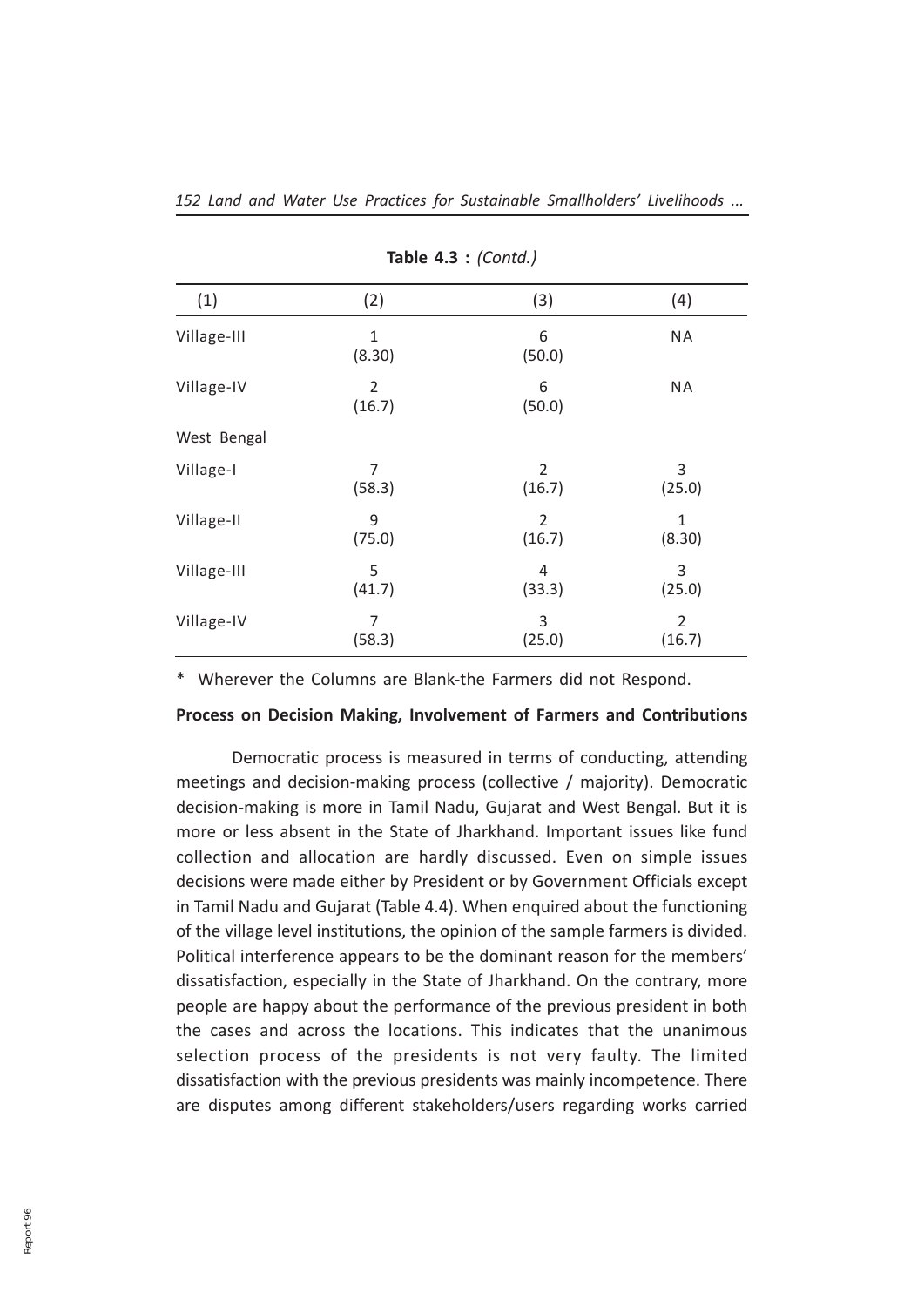| (1)         | (2)                      | (3)                      | (4)                      |
|-------------|--------------------------|--------------------------|--------------------------|
| Village-III | $\mathbf{1}$<br>(8.30)   | 6<br>(50.0)              | <b>NA</b>                |
| Village-IV  | $\overline{2}$<br>(16.7) | 6<br>(50.0)              | <b>NA</b>                |
| West Bengal |                          |                          |                          |
| Village-I   | 7<br>(58.3)              | $\overline{2}$<br>(16.7) | 3<br>(25.0)              |
| Village-II  | 9<br>(75.0)              | $\overline{2}$<br>(16.7) | $\mathbf{1}$<br>(8.30)   |
| Village-III | 5<br>(41.7)              | 4<br>(33.3)              | 3<br>(25.0)              |
| Village-IV  | 7<br>(58.3)              | 3<br>(25.0)              | $\overline{2}$<br>(16.7) |

**Table 4.3 :** *(Contd.)*

\* Wherever the Columns are Blank-the Farmers did not Respond.

#### **Process on Decision Making, Involvement of Farmers and Contributions**

Democratic process is measured in terms of conducting, attending meetings and decision-making process (collective / majority). Democratic decision-making is more in Tamil Nadu, Gujarat and West Bengal. But it is more or less absent in the State of Jharkhand. Important issues like fund collection and allocation are hardly discussed. Even on simple issues decisions were made either by President or by Government Officials except in Tamil Nadu and Gujarat (Table 4.4). When enquired about the functioning of the village level institutions, the opinion of the sample farmers is divided. Political interference appears to be the dominant reason for the members' dissatisfaction, especially in the State of Jharkhand. On the contrary, more people are happy about the performance of the previous president in both the cases and across the locations. This indicates that the unanimous selection process of the presidents is not very faulty. The limited dissatisfaction with the previous presidents was mainly incompetence. There are disputes among different stakeholders/users regarding works carried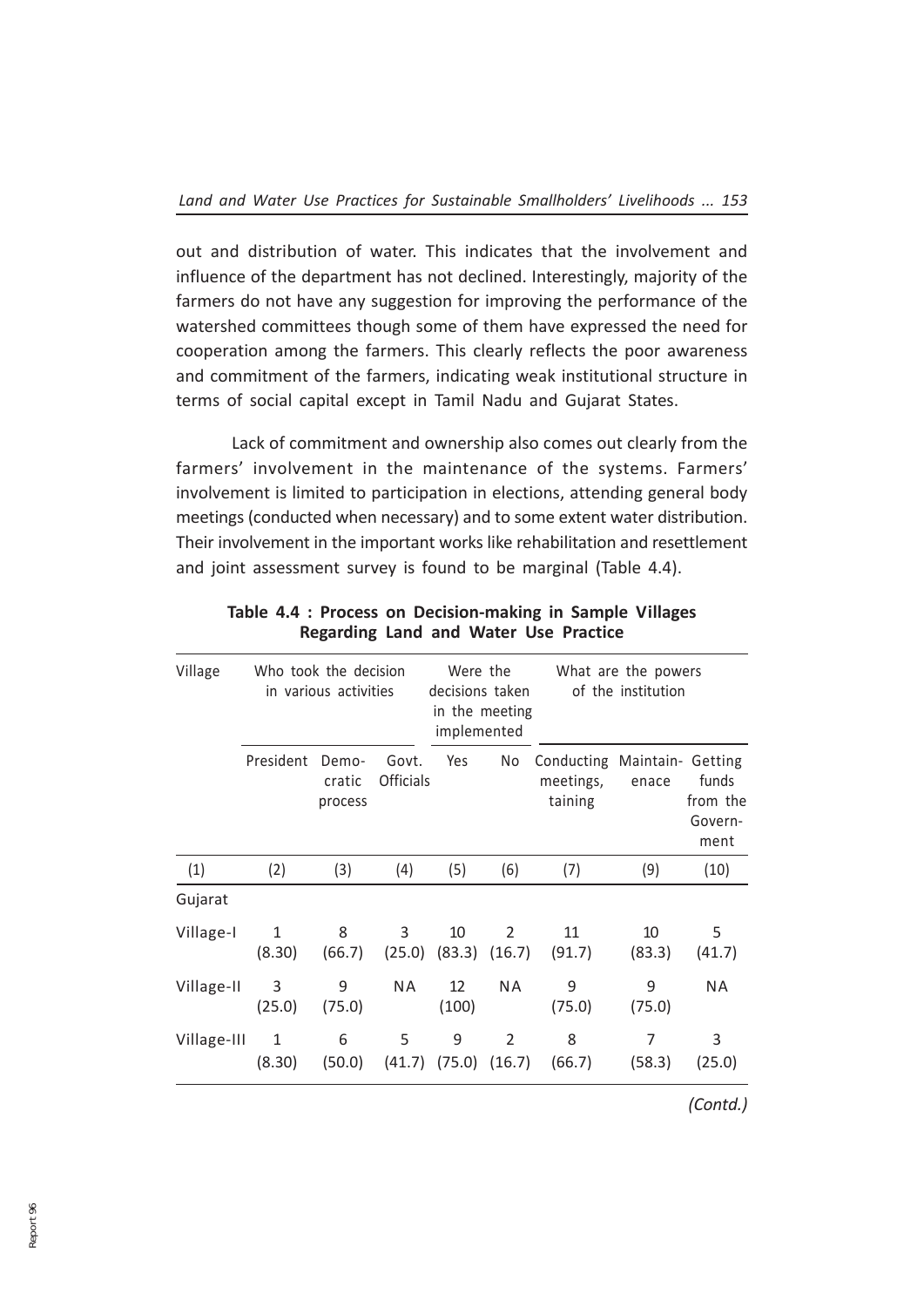out and distribution of water. This indicates that the involvement and influence of the department has not declined. Interestingly, majority of the farmers do not have any suggestion for improving the performance of the watershed committees though some of them have expressed the need for cooperation among the farmers. This clearly reflects the poor awareness and commitment of the farmers, indicating weak institutional structure in terms of social capital except in Tamil Nadu and Gujarat States.

Lack of commitment and ownership also comes out clearly from the farmers' involvement in the maintenance of the systems. Farmers' involvement is limited to participation in elections, attending general body meetings (conducted when necessary) and to some extent water distribution. Their involvement in the important works like rehabilitation and resettlement and joint assessment survey is found to be marginal (Table 4.4).

| Village     | Who took the decision<br>in various activities |                            | Were the<br>decisions taken<br>in the meeting<br>implemented |              | What are the powers<br>of the institution |                                    |                    |                                                 |
|-------------|------------------------------------------------|----------------------------|--------------------------------------------------------------|--------------|-------------------------------------------|------------------------------------|--------------------|-------------------------------------------------|
|             | President                                      | Demo-<br>cratic<br>process | Govt.<br><b>Officials</b>                                    | Yes          | No                                        | Conducting<br>meetings,<br>taining | Maintain-<br>enace | Getting<br>funds<br>from the<br>Govern-<br>ment |
| (1)         | (2)                                            | (3)                        | (4)                                                          | (5)          | (6)                                       | (7)                                | (9)                | (10)                                            |
| Gujarat     |                                                |                            |                                                              |              |                                           |                                    |                    |                                                 |
| Village-I   | 1<br>(8.30)                                    | 8<br>(66.7)                | 3<br>(25.0)                                                  | 10<br>(83.3) | $\overline{2}$<br>(16.7)                  | 11<br>(91.7)                       | 10<br>(83.3)       | 5<br>(41.7)                                     |
| Village-II  | 3<br>(25.0)                                    | 9<br>(75.0)                | <b>NA</b>                                                    | 12<br>(100)  | <b>NA</b>                                 | 9<br>(75.0)                        | 9<br>(75.0)        | <b>NA</b>                                       |
| Village-III | $\mathbf{1}$<br>(8.30)                         | 6<br>(50.0)                | 5<br>(41.7)                                                  | 9            | 2<br>$(75.0)$ $(16.7)$                    | 8<br>(66.7)                        | 7<br>(58.3)        | 3<br>(25.0)                                     |

**Table 4.4 : Process on Decision-making in Sample Villages Regarding Land and Water Use Practice**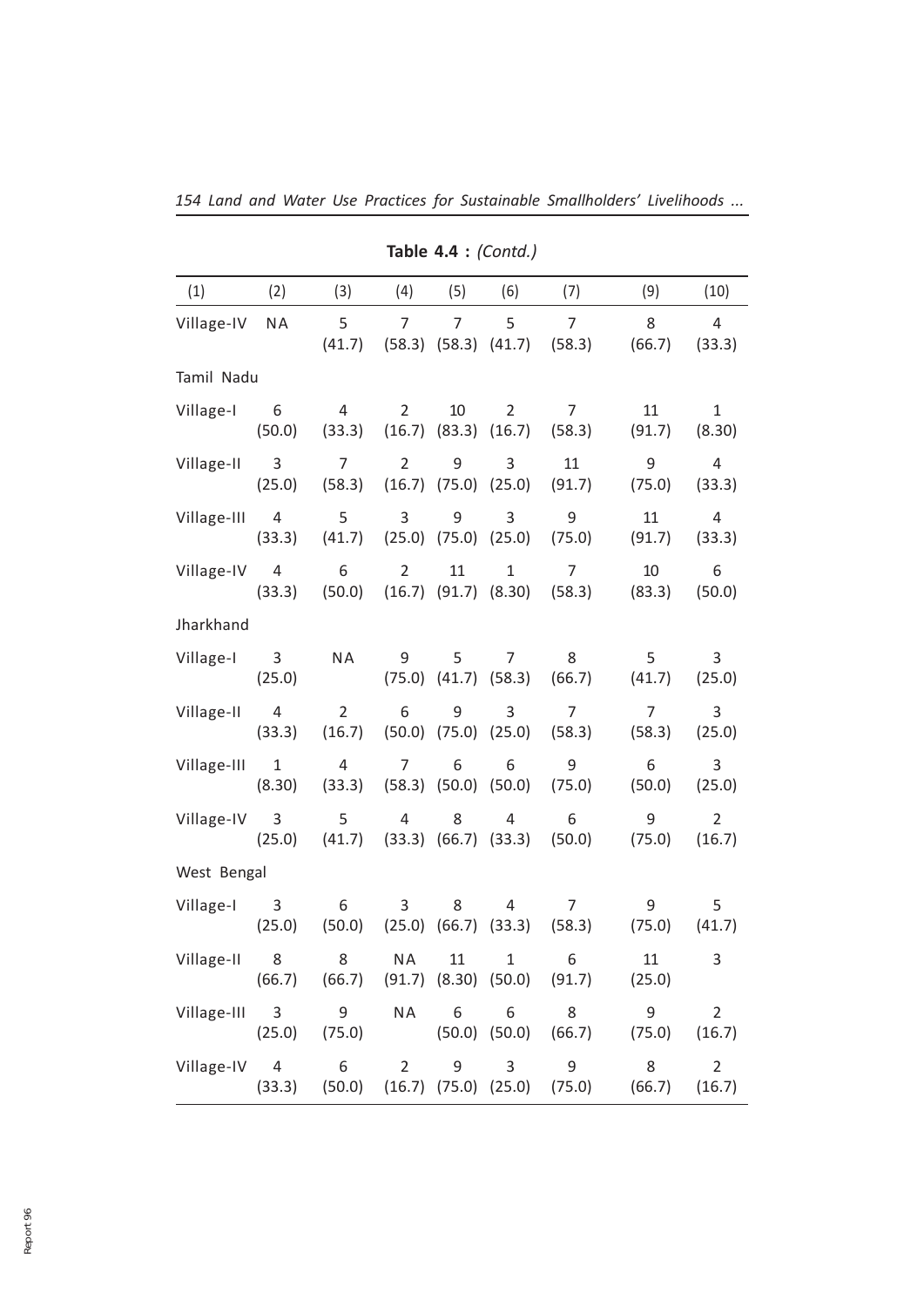| (1)                    | (2)                      | $(3)$ $(4)$                                                |                 |                | $(5)$ $(6)$ $(7)$                        |                                 |                                                                                              | $(9)$ $(10)$             |
|------------------------|--------------------------|------------------------------------------------------------|-----------------|----------------|------------------------------------------|---------------------------------|----------------------------------------------------------------------------------------------|--------------------------|
| Village-IV NA          |                          | $5 - 5$                                                    | $\overline{7}$  | $\overline{7}$ | $5^{\circ}$                              | $\overline{7}$                  | 8<br>$(41.7)$ $(58.3)$ $(58.3)$ $(41.7)$ $(58.3)$ $(66.7)$ $(33.3)$                          | $\overline{4}$           |
| Tamil Nadu             |                          |                                                            |                 |                |                                          |                                 |                                                                                              |                          |
| Village-I 6            |                          | $4\qquad 2$                                                |                 |                |                                          | $10 \qquad 2 \qquad 7$          | 11<br>$(50.0)$ $(33.3)$ $(16.7)$ $(83.3)$ $(16.7)$ $(58.3)$ $(91.7)$ $(8.30)$                | $\mathbf{1}$             |
| Village-II 3           |                          | $\overline{7}$                                             | $2^{\sim}$      | 9              | $3^{\circ}$                              | 11                              | 9<br>$(25.0)$ $(58.3)$ $(16.7)$ $(75.0)$ $(25.0)$ $(91.7)$ $(75.0)$ $(33.3)$                 | $\overline{4}$           |
| Village-III 4          |                          | 5 <sub>5</sub>                                             | $3^{\circ}$     | 9              | $3^{\circ}$ 9                            |                                 | 11<br>$(33.3)$ $(41.7)$ $(25.0)$ $(75.0)$ $(25.0)$ $(75.0)$ $(91.7)$ $(33.3)$                | $\overline{4}$           |
| Village-IV 4           |                          | $6 \quad \sigma$                                           | $2^{\sim}$      | 11             | $\mathbf{1}$                             | $\overline{7}$                  | 10<br>$(33.3)$ $(50.0)$ $(16.7)$ $(91.7)$ $(8.30)$ $(58.3)$ $(83.3)$ $(50.0)$                | 6                        |
| Jharkhand              |                          |                                                            |                 |                |                                          |                                 |                                                                                              |                          |
| Village-I <sub>3</sub> |                          | NA 9 5 7 8                                                 |                 |                |                                          |                                 | 5 <sup>5</sup><br>$(25.0)$ $(75.0)$ $(41.7)$ $(58.3)$ $(66.7)$ $(41.7)$ $(25.0)$             | $\overline{3}$           |
| Village-II 4           |                          | $\overline{2}$                                             | $6\overline{6}$ | 9              | 3                                        | $\overline{7}$                  | $\overline{7}$<br>$(33.3)$ $(16.7)$ $(50.0)$ $(75.0)$ $(25.0)$ $(58.3)$ $(58.3)$ $(25.0)$    | 3                        |
| Village-III 1          |                          | $\overline{4}$                                             | 7               | 6              | 6                                        | 9                               | 6<br>$(8.30)$ $(33.3)$ $(58.3)$ $(50.0)$ $(50.0)$ $(75.0)$ $(50.0)$ $(25.0)$                 | 3                        |
| Village-IV 3           |                          | $5 \qquad 4$                                               |                 | 8              | $4\overline{ }$                          | 6                               | 9<br>$(25.0)$ $(41.7)$ $(33.3)$ $(66.7)$ $(33.3)$ $(50.0)$ $(75.0)$ $(16.7)$                 | 2                        |
| West Bengal            |                          |                                                            |                 |                |                                          |                                 |                                                                                              |                          |
| Village-I <sub>3</sub> |                          | $6\qquad 3$                                                |                 | 8              |                                          | 4 7                             | $9 \quad \bullet$<br>$(25.0)$ $(50.0)$ $(25.0)$ $(66.7)$ $(33.3)$ $(58.3)$ $(75.0)$ $(41.7)$ | 5                        |
| Village-II             | 8                        | 8<br>$(66.7)$ $(66.7)$ $(91.7)$ $(8.30)$ $(50.0)$ $(91.7)$ | NA              | 11             |                                          | $1 \t\t 6$                      | $11\,$<br>(25.0)                                                                             | 3                        |
| Village-III            | 3                        | 9<br>$(25.0)$ $(75.0)$                                     | <b>NA</b>       | 6              | 6                                        | 8<br>$(50.0)$ $(50.0)$ $(66.7)$ | 9<br>(75.0)                                                                                  | $\overline{2}$<br>(16.7) |
| Village-IV             | $\overline{4}$<br>(33.3) | 6                                                          | $2^{\circ}$     | 9              | 3<br>$(50.0)$ $(16.7)$ $(75.0)$ $(25.0)$ | 9<br>(75.0)                     | 8<br>(66.7)                                                                                  | $\overline{2}$<br>(16.7) |

**Table 4.4 :** *(Contd.)*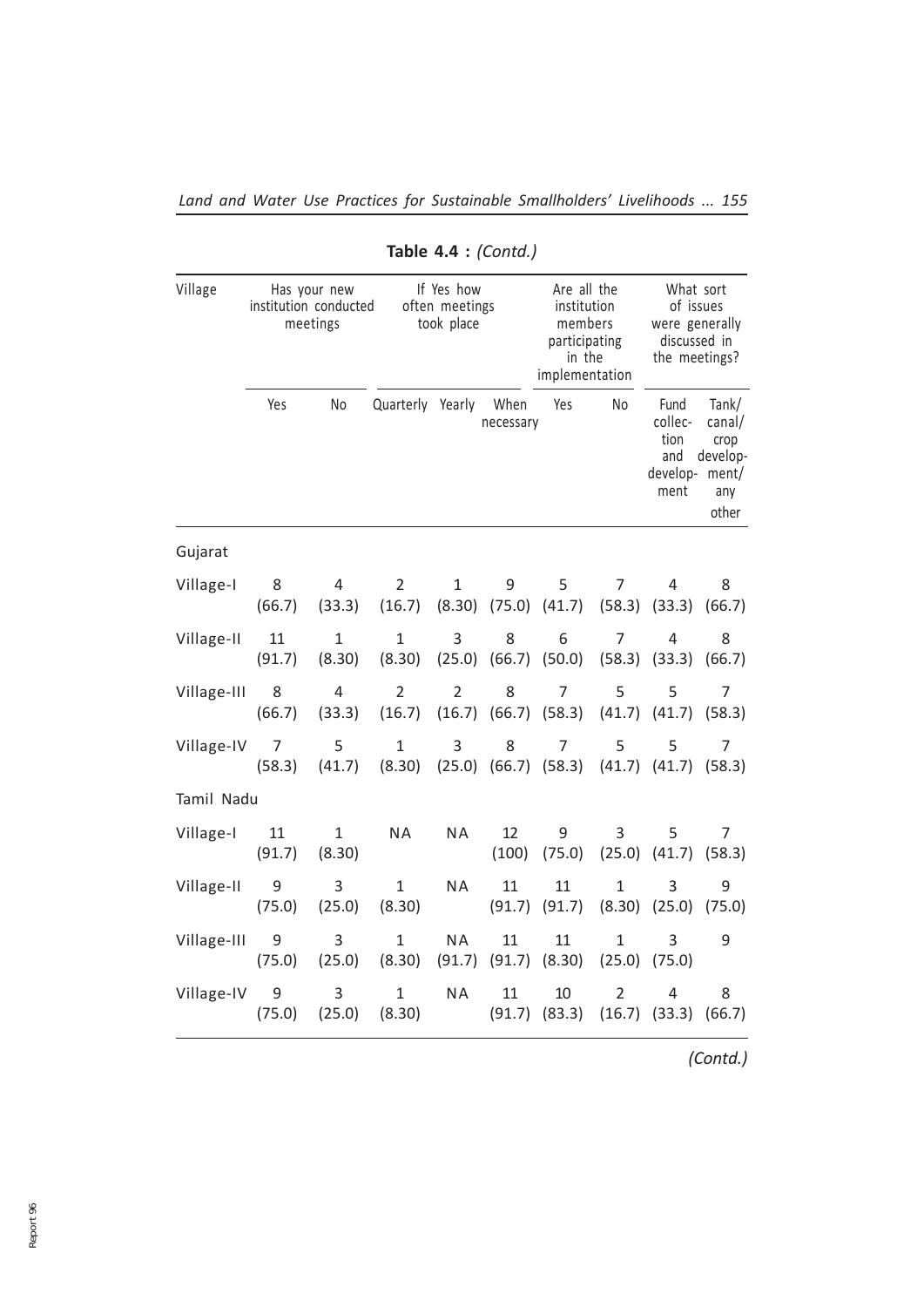| Village      |              | Has your new<br>institution conducted<br>meetings |                                                                                         | If Yes how<br>often meetings<br>took place |                   | Are all the<br>institution<br>members<br>participating<br>in the<br>implementation |                | What sort<br>of issues<br>were generally<br>discussed in<br>the meetings? |                                                                           |
|--------------|--------------|---------------------------------------------------|-----------------------------------------------------------------------------------------|--------------------------------------------|-------------------|------------------------------------------------------------------------------------|----------------|---------------------------------------------------------------------------|---------------------------------------------------------------------------|
|              | Yes          | N <sub>o</sub>                                    | Quarterly Yearly                                                                        |                                            | When<br>necessary | Yes                                                                                | N <sub>o</sub> | Fund<br>collec-<br>tion<br>ment                                           | Tank/<br>canal/<br>crop<br>and develop-<br>develop- ment/<br>any<br>other |
| Gujarat      |              |                                                   |                                                                                         |                                            |                   |                                                                                    |                |                                                                           |                                                                           |
| Village-I    | 8<br>(66.7)  | 4<br>(33.3)                                       | $\overline{2}$<br>(16.7)                                                                | $\mathbf{1}$                               | 9                 | 5<br>$(8.30)$ $(75.0)$ $(41.7)$ $(58.3)$ $(33.3)$                                  | 7              | 4                                                                         | 8<br>(66.7)                                                               |
| Village-II   | 11<br>(91.7) | $\mathbf{1}$<br>(8.30)                            | $\mathbf{1}$<br>(8.30)                                                                  | 3                                          | 8                 | 6<br>$(25.0)$ $(66.7)$ $(50.0)$                                                    | 7<br>(58.3)    | 4<br>(33.3)                                                               | 8<br>(66.7)                                                               |
| Village-III  | 8<br>(66.7)  | $\overline{4}$<br>(33.3)                          | $\overline{2}$<br>(16.7)                                                                | $\overline{2}$<br>(16.7)                   | 8                 | $\overline{7}$<br>$(66.7)$ $(58.3)$                                                | 5              | 5<br>$(41.7)$ $(41.7)$                                                    | $\overline{7}$<br>(58.3)                                                  |
| Village-IV 7 | (58.3)       | 5                                                 | $\mathbf{1}$<br>$(41.7)$ $(8.30)$ $(25.0)$ $(66.7)$ $(58.3)$ $(41.7)$ $(41.7)$ $(58.3)$ | 3                                          | 8                 | 7                                                                                  | 5              | 5                                                                         | $\overline{7}$                                                            |
| Tamil Nadu   |              |                                                   |                                                                                         |                                            |                   |                                                                                    |                |                                                                           |                                                                           |
| Village-I    | 11<br>(91.7) | 1<br>(8.30)                                       | <b>NA</b>                                                                               | <b>NA</b>                                  | 12<br>(100)       | 9<br>(75.0)                                                                        | 3              | 5.<br>$(25.0)$ $(41.7)$ $(58.3)$                                          | 7                                                                         |
| Village-II   | 9<br>(75.0)  | 3<br>(25.0)                                       | $\mathbf{1}$<br>(8.30)                                                                  | <b>NA</b>                                  | 11<br>(91.7)      | 11<br>(91.7)                                                                       | 1<br>(8.30)    | 3<br>(25.0)                                                               | 9<br>(75.0)                                                               |
| Village-III  | 9<br>(75.0)  | 3<br>(25.0)                                       | $\mathbf{1}$<br>(8.30)                                                                  | <b>NA</b><br>(91.7)                        | 11<br>(91.7)      | 11<br>(8.30)                                                                       | 1<br>(25.0)    | 3<br>(75.0)                                                               | 9                                                                         |
| Village-IV   | 9<br>(75.0)  | 3<br>(25.0)                                       | $\mathbf{1}$<br>(8.30)                                                                  | <b>NA</b>                                  | 11                | 10<br>$(91.7)$ $(83.3)$                                                            | $\overline{2}$ | 4<br>$(16.7)$ $(33.3)$ $(66.7)$                                           | 8                                                                         |

**Table 4.4 :** *(Contd.)*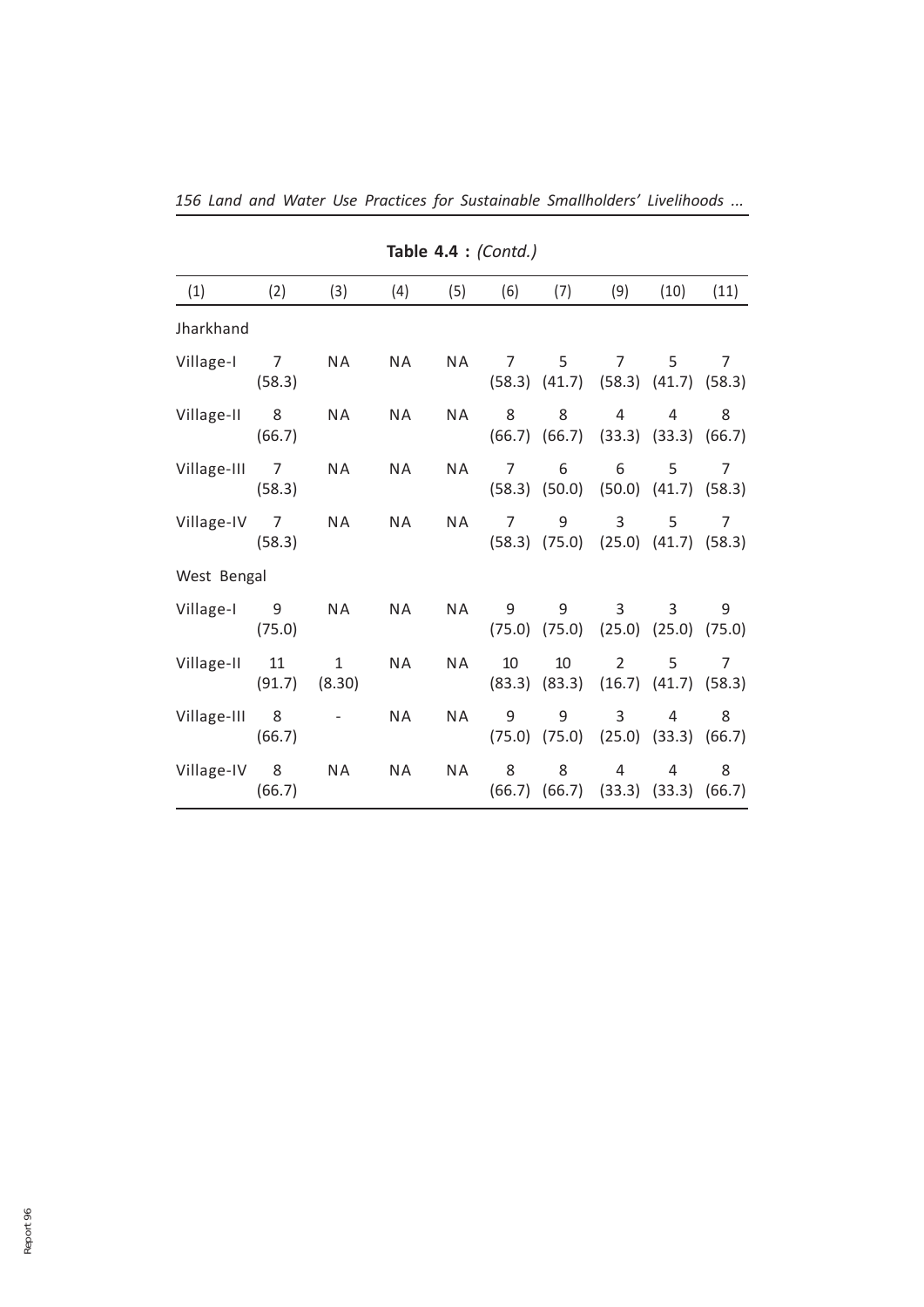|                 |        |                     |             |                 | <b>Table 4.4 : (Contd.)</b> |                |                                                                        |                 |                |
|-----------------|--------|---------------------|-------------|-----------------|-----------------------------|----------------|------------------------------------------------------------------------|-----------------|----------------|
| (1)             | (2)    | (3)                 | (4)         | (5)             | (6)                         | (7)            | (9)                                                                    | (10)            | (11)           |
| Jharkhand       |        |                     |             |                 |                             |                |                                                                        |                 |                |
| Village-I 7     | (58.3) | NA L                | NA 1        |                 | NA 7 5 7 5 7                |                | $(58.3)$ $(41.7)$ $(58.3)$ $(41.7)$ $(58.3)$                           |                 |                |
| Village-II 8    | (66.7) | <b>NA</b>           | <b>NA</b>   |                 | NA 8 8                      |                | $4 \quad$<br>$(66.7)$ $(66.7)$ $(33.3)$ $(33.3)$ $(66.7)$              | $4 \quad$       | 8              |
| Village-III 7   | (58.3) | NA NA               | NA 1        |                 | NA 7 6 6 5                  |                | $(58.3)$ $(50.0)$ $(50.0)$ $(41.7)$ $(58.3)$                           |                 | 7 <sup>7</sup> |
| Village-IV 7    | (58.3) | NA L                |             |                 | NA NA 7                     | $9 \quad \Box$ | $(58.3)$ $(75.0)$ $(25.0)$ $(41.7)$ $(58.3)$                           | $3 \quad 5$     | 7 <sup>7</sup> |
| West Bengal     |        |                     |             |                 |                             |                |                                                                        |                 |                |
| Village-I 9 NA  | (75.0) |                     |             |                 | NA NA 9 9 3 3               |                | $(75.0)$ $(75.0)$ $(25.0)$ $(25.0)$ $(75.0)$                           |                 | 9              |
| Village-II 11 1 |        | $(91.7)$ $(8.30)$   | <b>NA</b>   | NA <sub>1</sub> | 10                          |                | $10 \qquad 2 \qquad 5$<br>$(83.3)$ $(83.3)$ $(16.7)$ $(41.7)$ $(58.3)$ |                 | $7^{\circ}$    |
| Village-III 8   | (66.7) | $\omega_{\rm{max}}$ | NA <b>N</b> | <b>NA</b>       | 9                           | 9              | $3^{\circ}$<br>$(75.0)$ $(75.0)$ $(25.0)$ $(33.3)$ $(66.7)$            | $4\overline{ }$ | 8              |
| Village-IV 8    | (66.7) | <b>NA</b>           | <b>NA</b>   |                 | NA 8 8                      |                | $4 \quad$<br>$(66.7)$ $(66.7)$ $(33.3)$ $(33.3)$ $(66.7)$              |                 | 4 8            |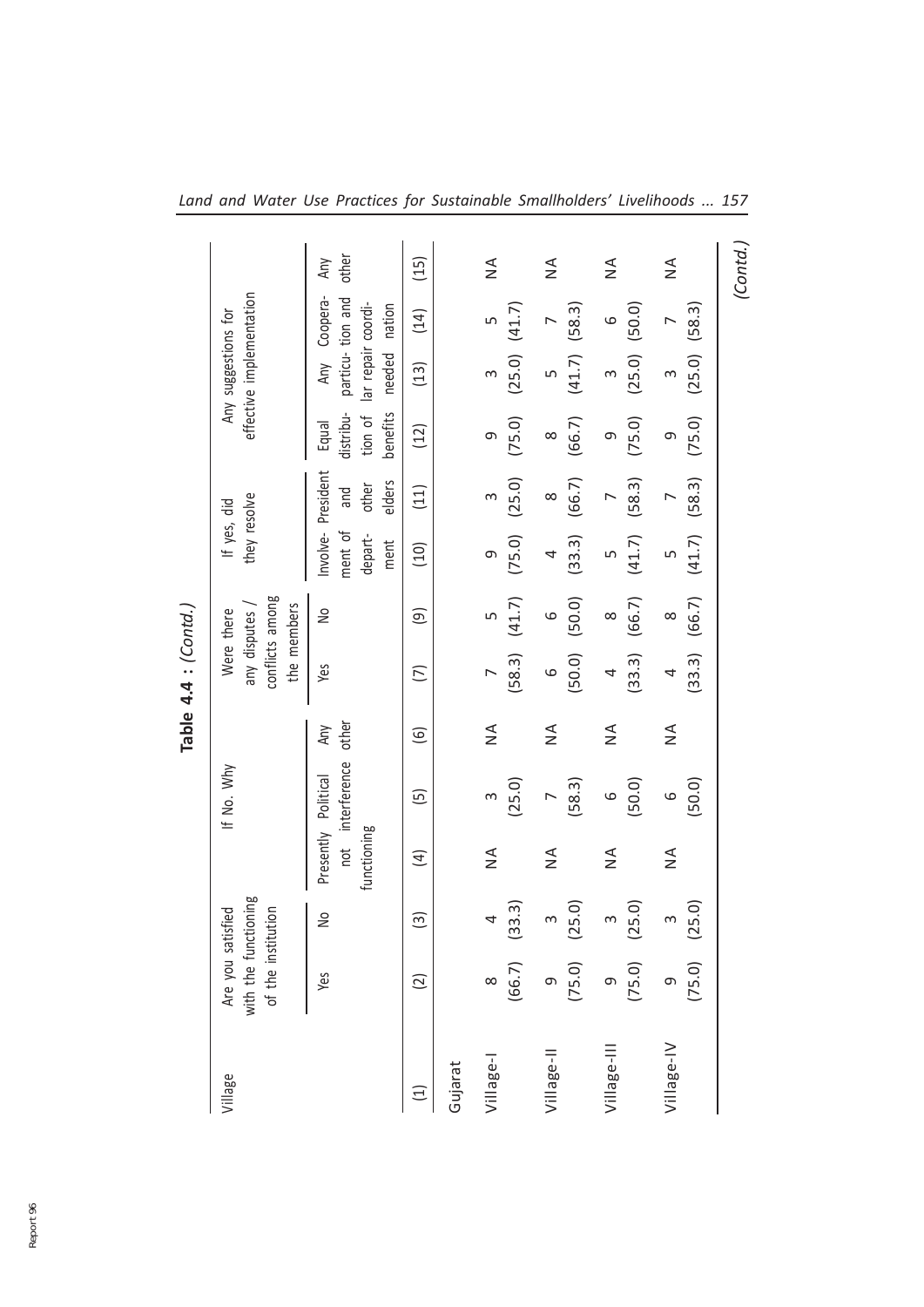|             |                                                                 |                    |                                    |                          |               | Table 4.4 : (Contd.)       |                                              |                             |                                             |                                           |                                                         |                    |               |
|-------------|-----------------------------------------------------------------|--------------------|------------------------------------|--------------------------|---------------|----------------------------|----------------------------------------------|-----------------------------|---------------------------------------------|-------------------------------------------|---------------------------------------------------------|--------------------|---------------|
| Village     | with the functioning<br>of the institution<br>Are you satisfied |                    |                                    | If No. Why               |               | any disputes               | conflicts among<br>the members<br>Were there | they resolve<br>If yes, did |                                             |                                           | effective implementation<br>Any suggestions for         |                    |               |
|             | Yes                                                             | $\geq$             | Presently Political<br>functioning | not interference         | other<br>Any  | Yes                        | $\frac{1}{2}$                                | ment of<br>depart-<br>ment  | Involve-President<br>elders<br>other<br>and | tion of<br>distribu-<br>benefits<br>Equal | particu-tion and<br>lar repair coordi-<br>needed<br>Any | Coopera-<br>nation | other<br>Any  |
| Ξ           | $\widetilde{c}$                                                 | $\widehat{3}$      | $\widehat{A}$                      | $\overline{5}$           | $\odot$       | $\overline{\mathcal{L}}$   | $\widehat{\mathcal{E}}$                      | (10)                        | (11)                                        | (12)                                      | (13)                                                    | (14)               | (15)          |
| Gujarat     |                                                                 |                    |                                    |                          |               |                            |                                              |                             |                                             |                                           |                                                         |                    |               |
| Village-I   | (66.7)<br>$\infty$                                              | (3.3)<br>4<br>∾ّ   | $\frac{4}{5}$                      | (25.0)<br>3              | $\frac{4}{2}$ | (58.3)<br>$\triangleright$ | (41.7)<br>LŊ                                 | (75.0)<br>$\sigma$          | (25.0)<br>S                                 | (75.0)<br>$\sigma$                        | (25.0)<br>$\infty$                                      | (41.7)<br>LŊ       | $\frac{4}{2}$ |
| Village-II  | (75.0)<br>တ                                                     | (25.0)<br>$\infty$ | $\frac{4}{2}$                      | (58.3)<br>$\overline{a}$ | $\frac{4}{2}$ | (50.0)<br>$\circ$          | (50.0)<br>$\circ$                            | (33.3)<br>4                 | (66.7)<br>$\infty$                          | (66.7)<br>$\infty$                        | (41.7)<br>LŊ                                            | (58.3)             | $\frac{4}{2}$ |
| Village-III | (75.0)<br>$\sigma$                                              | (25.0)<br>$\infty$ | $\frac{4}{5}$                      | (50.0)<br>$\circ$        | $\frac{4}{5}$ | (33.3)<br>4                | (66.7)<br>$\infty$                           | (41.7)<br>LN                | (58.3)<br>$\overline{ }$                    | (75.0)<br>$\sigma$                        | (25.0)<br>$\infty$                                      | (50.0)<br>$\circ$  | $\frac{4}{2}$ |
| Village-IV  | (75.0)<br>$\sigma$                                              | (25.0)<br>3        | $\frac{4}{2}$                      | (50.0)<br>$\circ$        | $\frac{4}{5}$ | (33.3)<br>4                | (66.7)<br>$\infty$                           | (41.7)<br>LN                | (58.3)<br>$\overline{ }$                    | (75.0)<br>$\sigma$                        | $(25.0)$ $(58.3)$<br>$\infty$                           | $\overline{ }$     | $\frac{4}{2}$ |
|             |                                                                 |                    |                                    |                          |               |                            |                                              |                             |                                             |                                           |                                                         |                    | (Contd.,      |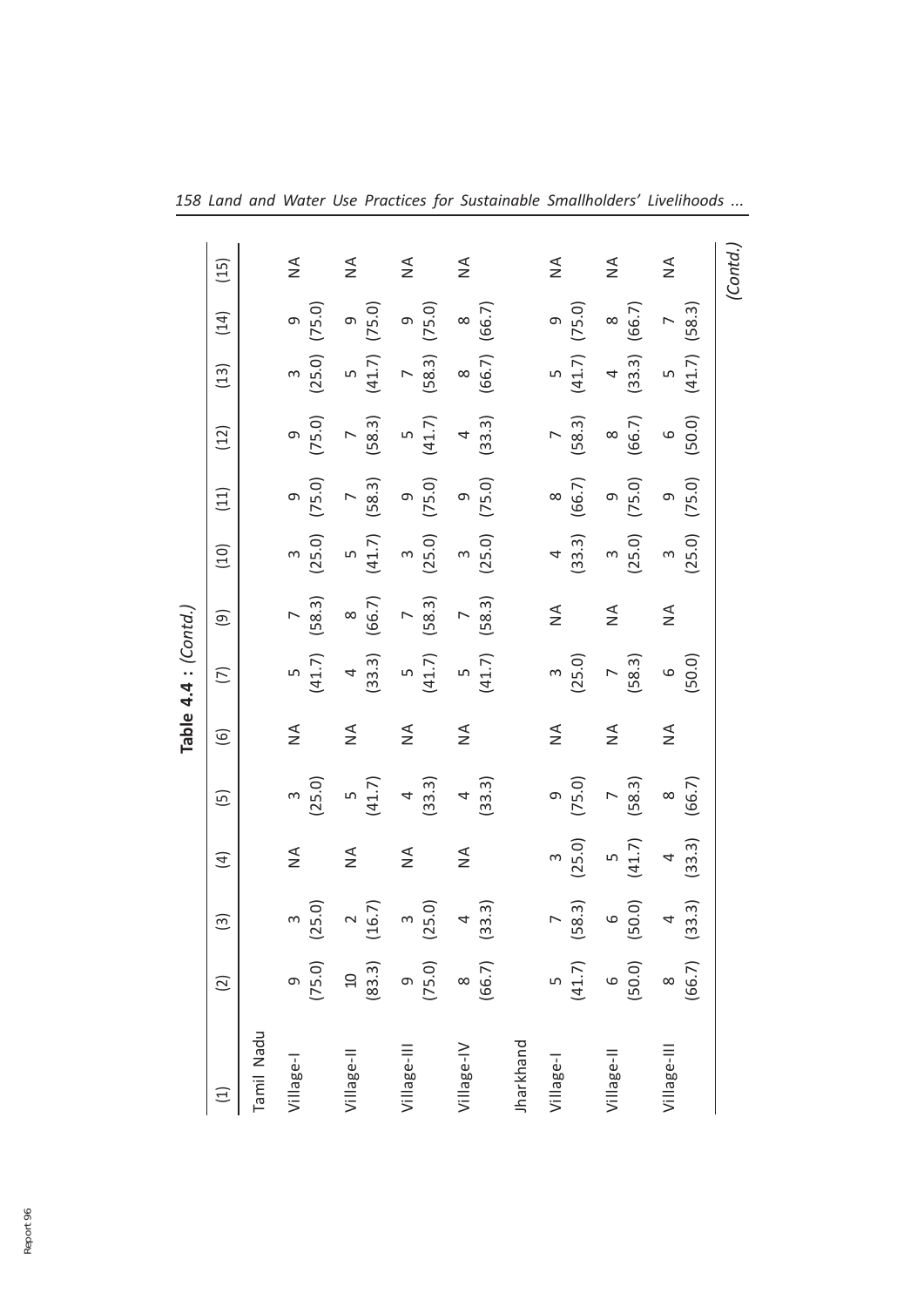|             |                    |                       |                    |                                          | <b>Table</b>  | $-1.4$                                    | (Contd.                                             |                                            |                    |                                          |                                           |                          |               |
|-------------|--------------------|-----------------------|--------------------|------------------------------------------|---------------|-------------------------------------------|-----------------------------------------------------|--------------------------------------------|--------------------|------------------------------------------|-------------------------------------------|--------------------------|---------------|
| Ξ           | $\widetilde{c}$    | $\widehat{\Xi}$       | $\widehat{E}$      | $\overline{5}$                           | $\odot$       | $\widehat{\triangleright}$                | $\left( \begin{matrix} 0 \\ 0 \end{matrix} \right)$ | (10)                                       | (11)               | (12)                                     | $(13)$                                    | (14)                     | (15)          |
| Tamil Nadu  |                    |                       |                    |                                          |               |                                           |                                                     |                                            |                    |                                          |                                           |                          |               |
| Village-I   | (75.0)             | 3                     | $\frac{4}{2}$      | $\frac{3}{(25.0)}$                       | $\frac{4}{5}$ | $\frac{5}{(41.7)}$                        | $7$<br>(58.3)                                       | (25.0)                                     | (75.0)             | (75.0)                                   | $\frac{3}{(25.0)}$                        | (75.0)                   | $\frac{4}{2}$ |
| Village-II  | (83.3)<br>$\Box$   | .67)                  | $\frac{4}{5}$      | $\frac{5}{(41.7)}$                       | $\frac{4}{5}$ | $\begin{pmatrix} 4 \\ 33.3 \end{pmatrix}$ | (66.7)                                              | $\frac{5}{(41.7)}$                         | $7$<br>(58.3)      | $7^{7}$<br>(58.3)                        | $\frac{5}{(41.7)}$                        | (75.0)                   | $\frac{1}{2}$ |
| Village-III | (75.0)             | 5.0<br>3<br>ల         | $\frac{4}{2}$      | $\begin{array}{c} 4 \\ 33.3 \end{array}$ | $\frac{4}{2}$ | (41.7)                                    | (58.3)<br>$\triangleright$                          | (25.0)                                     | (75.0)             | (41.7)                                   | (58.3)<br>$\overline{\phantom{0}}$        | (75.0)                   | $\frac{4}{2}$ |
| Village-IV  | (66.7)<br>$\infty$ | $3.\overline{3}$<br>╩ | $\frac{4}{2}$      | 33.3)<br>4                               | $\frac{4}{5}$ | $\frac{5}{(41.7)}$                        | (58.3)<br>$\overline{\phantom{0}}$                  | (25.0)                                     | (75.0)             | (33.3)<br>$\overline{a}$                 | (66.7)                                    | (66.7)                   | $\frac{4}{2}$ |
| Jharkhand   |                    |                       |                    |                                          |               |                                           |                                                     |                                            |                    |                                          |                                           |                          |               |
| Village-I   | (41.7)             | (6.3)                 | (25.0)<br>$\infty$ | (75.0)                                   | $\frac{4}{5}$ | (25.0)                                    | $\frac{4}{5}$                                       | $\begin{array}{c} 4 \\ (33.3) \end{array}$ | (66.7)             | $7$<br>(58.3)                            | $\frac{5}{(41.7)}$                        | (75.0)<br>$\sigma$       | $\frac{4}{5}$ |
| Village-II  | (50.0)<br>$\circ$  | (0.0)<br>$\circ$      | (41.7)             | $7$<br>(58.3)                            | $\frac{4}{5}$ | $7$<br>(58.3)                             | $\frac{4}{5}$                                       | (25.0)                                     | (75.0)             | $\begin{array}{c} 8 \\ 66.7 \end{array}$ | $\begin{pmatrix} 4 \\ 33.3 \end{pmatrix}$ | (66.7)                   | $\frac{4}{5}$ |
| Village-III | (66.7)<br>$\infty$ | 3.3<br>╩              | (33.3)<br>4        | $rac{8}{66.7}$                           | $\frac{4}{5}$ | (50.00)                                   | $\frac{4}{5}$                                       | 25.0)<br>$\infty$                          | (75.0)<br>$\sigma$ | $6^{6}$                                  | (41.7)<br>$\overline{c}$                  | (58.3)<br>$\overline{a}$ | $\frac{4}{2}$ |
|             |                    |                       |                    |                                          |               |                                           |                                                     |                                            |                    |                                          |                                           |                          | Contd.        |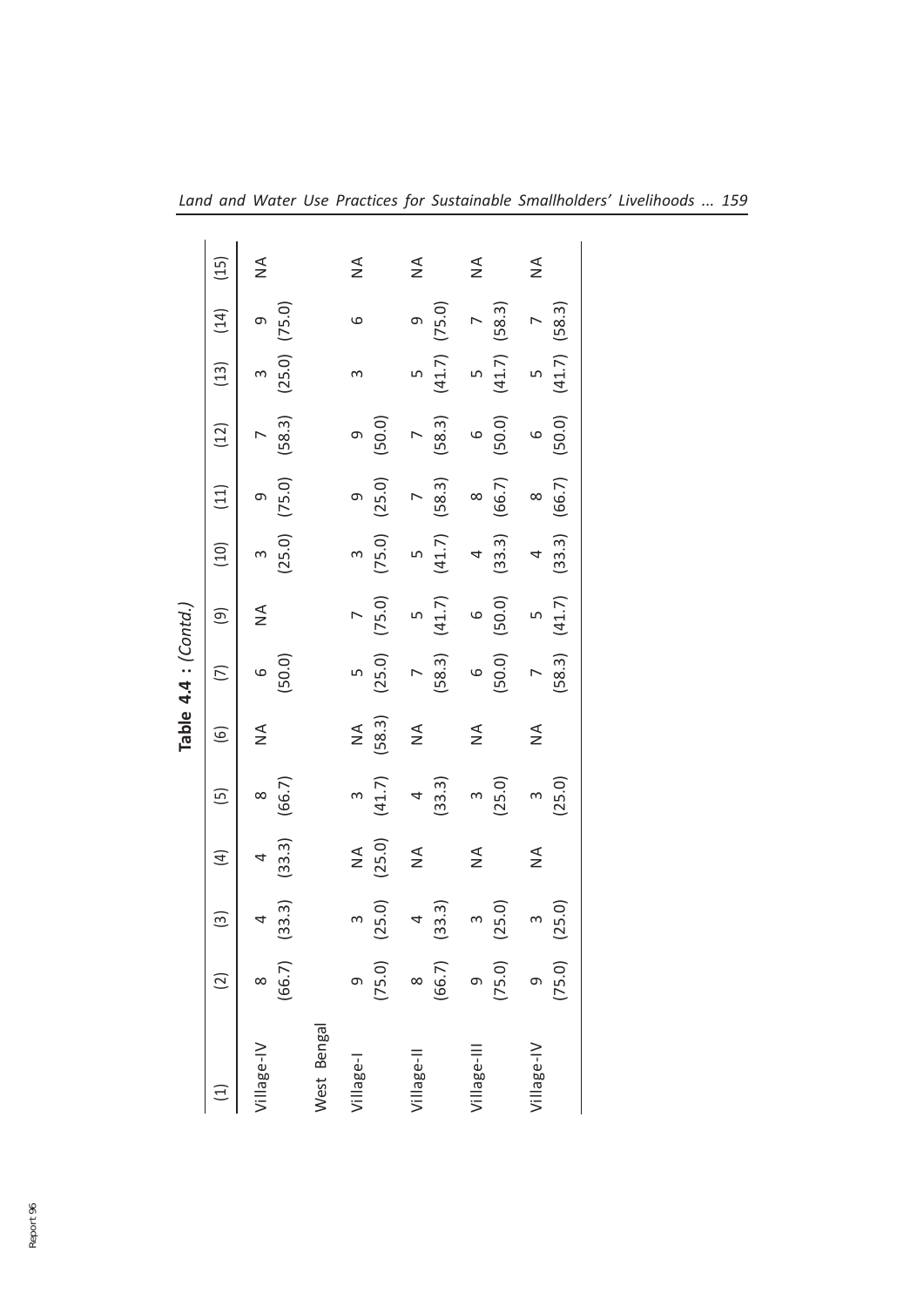|             |                      |                                           |                          |                          | Table              | 4.4                                       | Contd.,                  |                                           |                   |                                                                   |                                           |                   |                  |
|-------------|----------------------|-------------------------------------------|--------------------------|--------------------------|--------------------|-------------------------------------------|--------------------------|-------------------------------------------|-------------------|-------------------------------------------------------------------|-------------------------------------------|-------------------|------------------|
|             | $\widetilde{\omega}$ | $\boxed{3}$                               | $\bigoplus$              | $\overline{5}$           | $\widehat{\Theta}$ | $\overline{C}$                            | $\widehat{\mathfrak{S}}$ | (10)                                      | $(11)$            |                                                                   | (13)                                      | (14)              | (15)             |
| 'illage-IV  | (66.7)               | $\begin{pmatrix} 4 \\ 33.3 \end{pmatrix}$ | (33.3)<br>$\overline{a}$ | (66.7)                   | $\sum_{i=1}^{n}$   | (50.0)<br>$\circ$                         | $\sum_{i=1}^{n}$         | (25.0)                                    | (75.0)<br>$\circ$ | $\begin{array}{c c}\n (12) \\  \hline\n 7 \\  58.3\n \end{array}$ | (25.0)                                    | (75.0)            | $rac{4}{5}$      |
| West Bengal |                      |                                           |                          |                          |                    |                                           |                          |                                           |                   |                                                                   |                                           |                   |                  |
| illage-l    | (75.0)<br>$\sigma$   | (25.0)                                    | NA<br>(25.0)             | (41.7)                   | NA<br>(58.3)       | $\begin{pmatrix} 5 \\ 25.0 \end{pmatrix}$ | $7$<br>(75.0)            | (75.0)                                    | (25.0)            | (50.0)<br>$\circ$                                                 | $\infty$                                  | $\circ$           | $rac{4}{5}$      |
| Village-II  | (66.7)<br>$\infty$   | $\begin{pmatrix} 4 \\ 33.3 \end{pmatrix}$ | $rac{4}{5}$              | (33.3)<br>$\overline{a}$ | $\sum_{i=1}^{n}$   | (58.3)<br>$\overline{a}$                  | $\frac{5}{(41.7)}$       | $\begin{pmatrix} 5 \\ 41.7 \end{pmatrix}$ | $7$<br>(58.3)     | $7$<br>(58.3)                                                     | $\frac{5}{(41.7)}$                        | (75.0)<br>$\circ$ | $\sum_{i=1}^{n}$ |
| /illage-III | (75.0)<br>$\circ$    | (25.0)                                    | $\sum_{i=1}^{n}$         | (25.0)                   | $\sum_{i=1}^{n}$   | (50.0)                                    | (50.0)                   | (33.3)                                    | $8$<br>(66.7)     | (50.0)                                                            | $\begin{pmatrix} 5 \\ 41.7 \end{pmatrix}$ | $7$<br>(58.3)     | $\sum_{i=1}^{n}$ |
| Village-IV  | (75.0)<br>$\sigma$   | $\frac{3}{15.0}$<br>$\tilde{a}$           | $rac{1}{2}$              | (25.0)                   | $\sum_{i=1}^{n}$   | (58.3)                                    | $\frac{5}{(41.7)}$       | $\begin{pmatrix} 4 \\ 33.3 \end{pmatrix}$ | 66.7              | (50.0)                                                            | $\begin{pmatrix} 5 \\ 41.7 \end{pmatrix}$ | (58.3)            | $rac{1}{2}$      |
|             |                      |                                           |                          |                          |                    |                                           |                          |                                           |                   |                                                                   |                                           |                   |                  |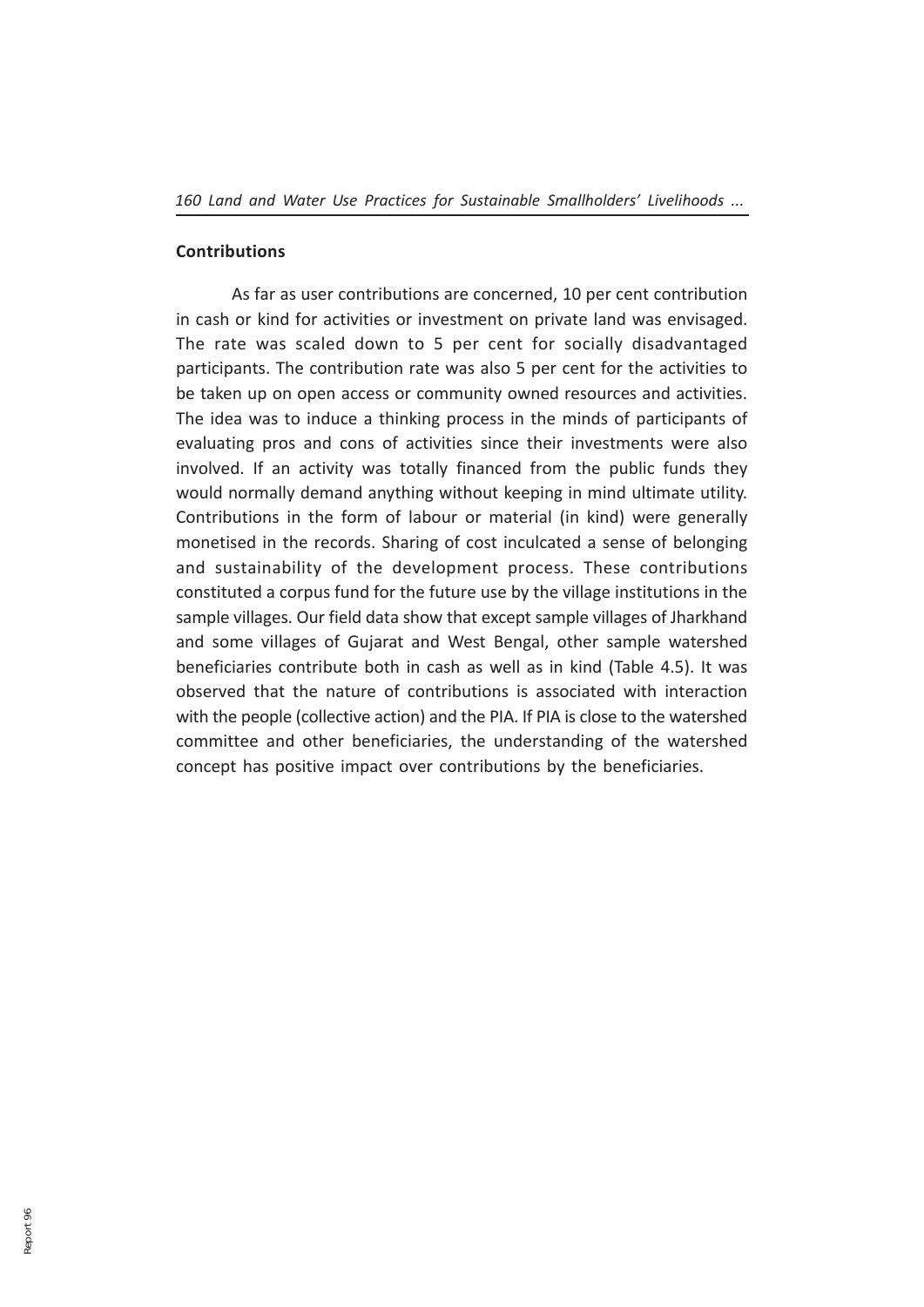## **Contributions**

As far as user contributions are concerned, 10 per cent contribution in cash or kind for activities or investment on private land was envisaged. The rate was scaled down to 5 per cent for socially disadvantaged participants. The contribution rate was also 5 per cent for the activities to be taken up on open access or community owned resources and activities. The idea was to induce a thinking process in the minds of participants of evaluating pros and cons of activities since their investments were also involved. If an activity was totally financed from the public funds they would normally demand anything without keeping in mind ultimate utility. Contributions in the form of labour or material (in kind) were generally monetised in the records. Sharing of cost inculcated a sense of belonging and sustainability of the development process. These contributions constituted a corpus fund for the future use by the village institutions in the sample villages. Our field data show that except sample villages of Jharkhand and some villages of Gujarat and West Bengal, other sample watershed beneficiaries contribute both in cash as well as in kind (Table 4.5). It was observed that the nature of contributions is associated with interaction with the people (collective action) and the PIA. If PIA is close to the watershed committee and other beneficiaries, the understanding of the watershed concept has positive impact over contributions by the beneficiaries.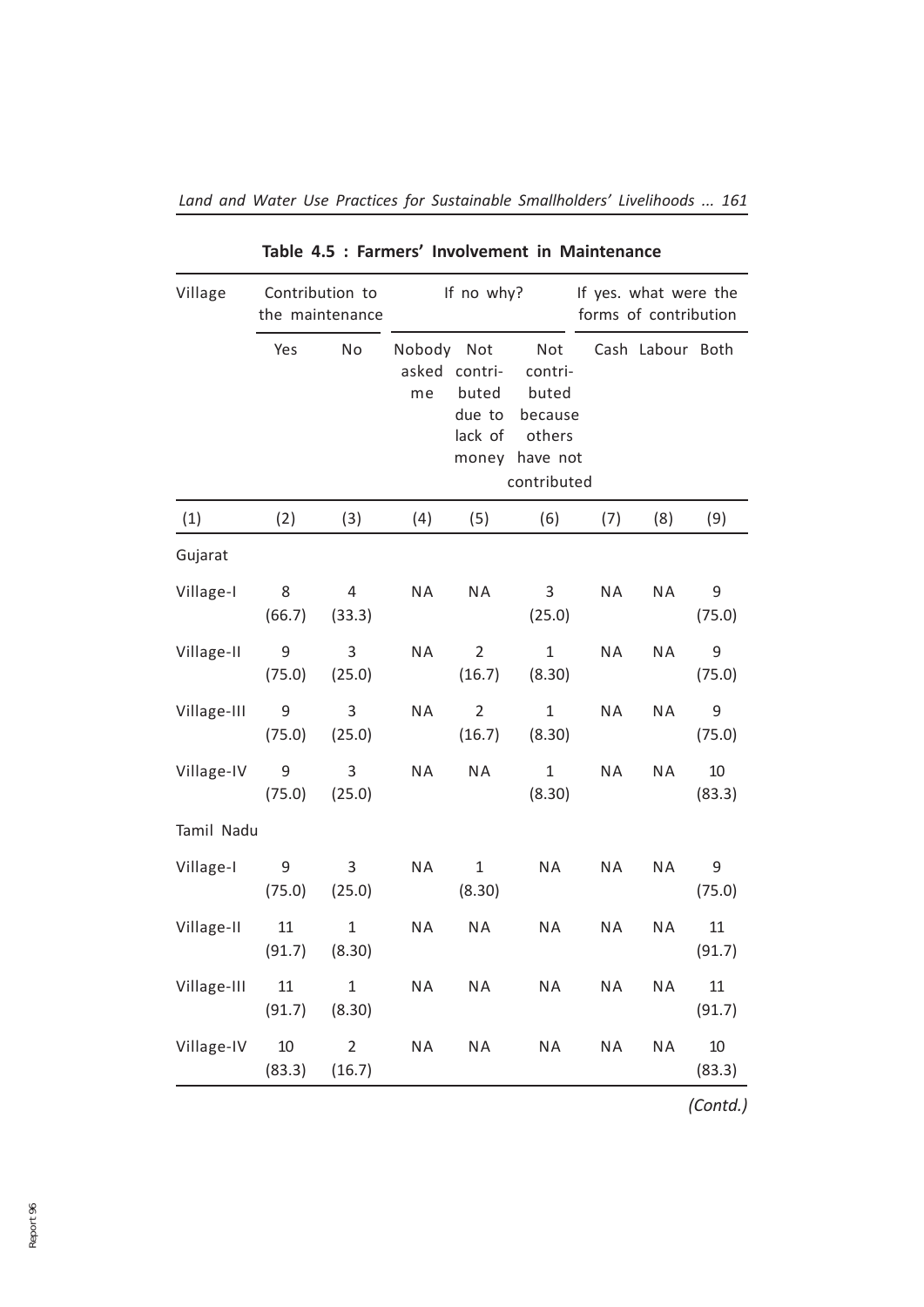| Village     |                  | Contribution to<br>the maintenance |                           | If no why?                            |                                                                               | If yes. what were the<br>forms of contribution |                  |                |
|-------------|------------------|------------------------------------|---------------------------|---------------------------------------|-------------------------------------------------------------------------------|------------------------------------------------|------------------|----------------|
|             | Yes              | No                                 | Nobody Not<br>asked<br>me | contri-<br>buted<br>due to<br>lack of | Not<br>contri-<br>buted<br>because<br>others<br>money have not<br>contributed |                                                | Cash Labour Both |                |
| (1)         | (2)              | (3)                                | (4)                       | (5)                                   | (6)                                                                           | (7)                                            | (8)              | (9)            |
| Gujarat     |                  |                                    |                           |                                       |                                                                               |                                                |                  |                |
| Village-I   | 8<br>(66.7)      | 4<br>(33.3)                        | <b>NA</b>                 | <b>NA</b>                             | 3<br>(25.0)                                                                   | <b>NA</b>                                      | <b>NA</b>        | 9<br>(75.0)    |
| Village-II  | 9<br>(75.0)      | 3<br>(25.0)                        | <b>NA</b>                 | $\overline{2}$<br>(16.7)              | $\mathbf{1}$<br>(8.30)                                                        | <b>NA</b>                                      | <b>NA</b>        | 9<br>(75.0)    |
| Village-III | 9<br>(75.0)      | 3<br>(25.0)                        | <b>NA</b>                 | $\overline{2}$<br>(16.7)              | 1<br>(8.30)                                                                   | <b>NA</b>                                      | <b>NA</b>        | 9<br>(75.0)    |
| Village-IV  | 9<br>(75.0)      | 3<br>(25.0)                        | <b>NA</b>                 | <b>NA</b>                             | $\mathbf{1}$<br>(8.30)                                                        | <b>NA</b>                                      | <b>NA</b>        | $10$<br>(83.3) |
| Tamil Nadu  |                  |                                    |                           |                                       |                                                                               |                                                |                  |                |
| Village-I   | 9<br>(75.0)      | 3<br>(25.0)                        | <b>NA</b>                 | $\mathbf{1}$<br>(8.30)                | <b>NA</b>                                                                     | <b>NA</b>                                      | <b>NA</b>        | 9<br>(75.0)    |
| Village-II  | 11<br>(91.7)     | $\mathbf{1}$<br>(8.30)             | <b>NA</b>                 | <b>NA</b>                             | <b>NA</b>                                                                     | <b>NA</b>                                      | <b>NA</b>        | 11<br>(91.7)   |
| Village-III | 11<br>(91.7)     | $\mathbf{1}$<br>(8.30)             | ΝA                        | NA                                    | <b>NA</b>                                                                     | <b>NA</b>                                      | ΝA               | 11<br>(91.7)   |
| Village-IV  | $10\,$<br>(83.3) | $\overline{2}$<br>(16.7)           | ΝA                        | NA                                    | NA                                                                            | <b>NA</b>                                      | <b>NA</b>        | $10$<br>(83.3) |

**Table 4.5 : Farmers' Involvement in Maintenance**

Report 96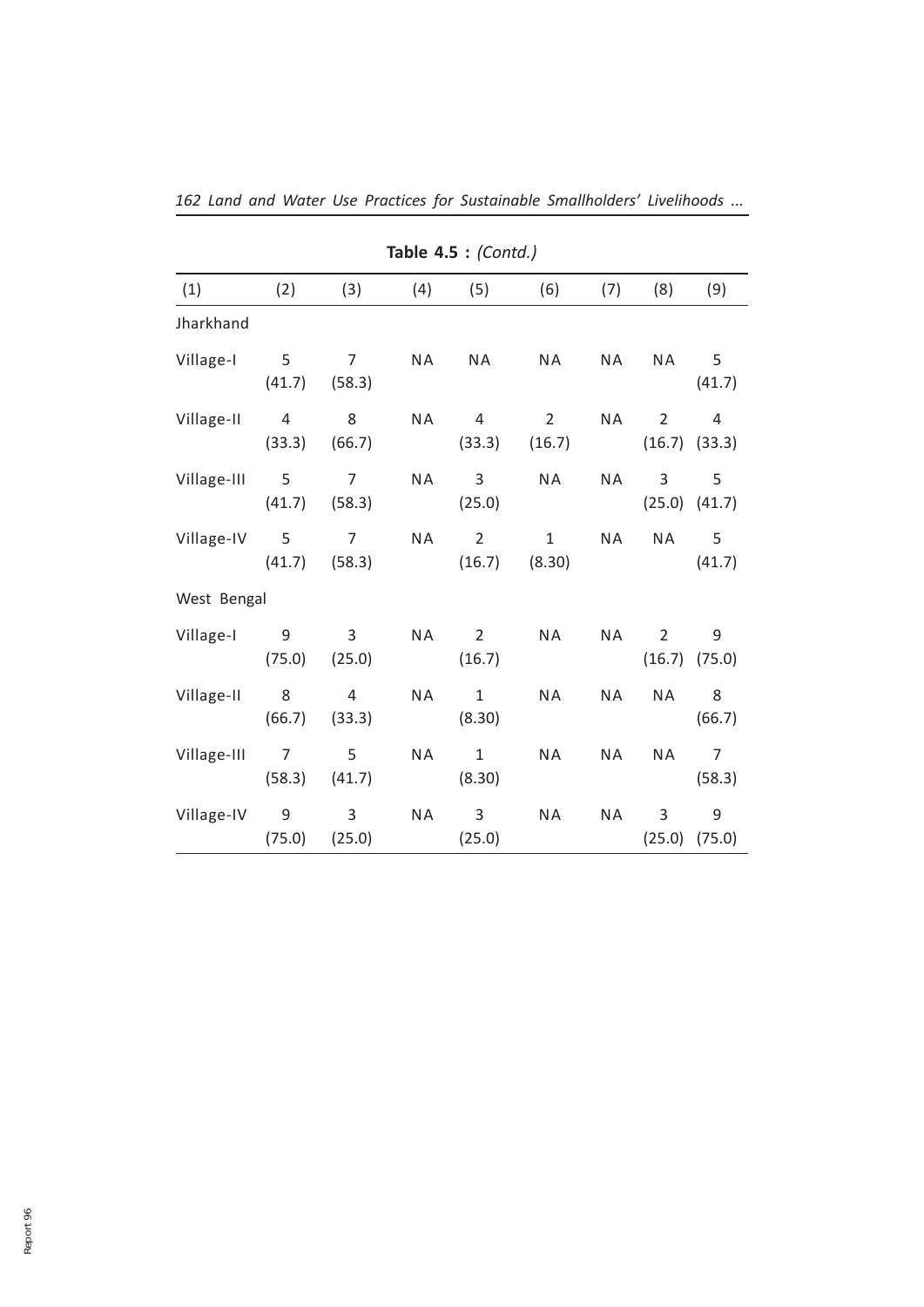|                        |     |                                     |           | Table 4.5 : (Contd.)     |                                             |             |                                  |                |
|------------------------|-----|-------------------------------------|-----------|--------------------------|---------------------------------------------|-------------|----------------------------------|----------------|
| (1)                    | (2) | (3)                                 | (4)       | (5)                      | (6)                                         | (7)         | (8)                              | (9)            |
| Jharkhand              |     |                                     |           |                          |                                             |             |                                  |                |
| Village-I <sub>5</sub> |     | $\overline{7}$<br>$(41.7)$ $(58.3)$ |           | NA NA                    | NA 1                                        | NA 1        | NA 5                             | (41.7)         |
| Village-II 4           |     | 8 <sup>8</sup><br>$(33.3)$ $(66.7)$ |           | $NA$ 4                   | $2^{\circ}$<br>$(33.3)$ $(16.7)$            |             | $NA$ 2<br>$(16.7)$ $(33.3)$      | $\overline{4}$ |
| Village-III 5 7        |     | $(41.7)$ $(58.3)$                   |           | $NA$ 3<br>(25.0)         | <b>NA</b>                                   |             | NA 3 5<br>$(25.0)$ $(41.7)$      |                |
| Village-IV 5 7         |     | $(41.7)$ $(58.3)$                   |           | NA 2                     | $1 \quad \blacksquare$<br>$(16.7)$ $(8.30)$ | NA <b>N</b> | NA 5                             | (41.7)         |
| West Bengal            |     |                                     |           |                          |                                             |             |                                  |                |
| Village-I 9            |     | $3^{\circ}$<br>$(75.0)$ $(25.0)$    |           | $NA$ 2<br>(16.7)         | NA <b>N</b>                                 |             | $NA$ 2<br>$(16.7)$ $(75.0)$      | 9              |
| Village-II 8 4         |     | $(66.7)$ $(33.3)$                   | <b>NA</b> | 1<br>(8.30)              | <b>NA</b>                                   | <b>NA</b>   | NA 8                             | (66.7)         |
| Village-III 7          |     | $5 -$<br>$(58.3)$ $(41.7)$          | <b>NA</b> | $\overline{1}$<br>(8.30) | <b>NA</b>                                   | <b>NA</b>   | NA 7                             | (58.3)         |
| Village-IV 9 3         |     | $(75.0)$ $(25.0)$ $(25.0)$          |           | $NA$ 3                   | <b>NA</b>                                   | <b>NA</b>   | $3^{\circ}$<br>$(25.0)$ $(75.0)$ | 9              |

Report 96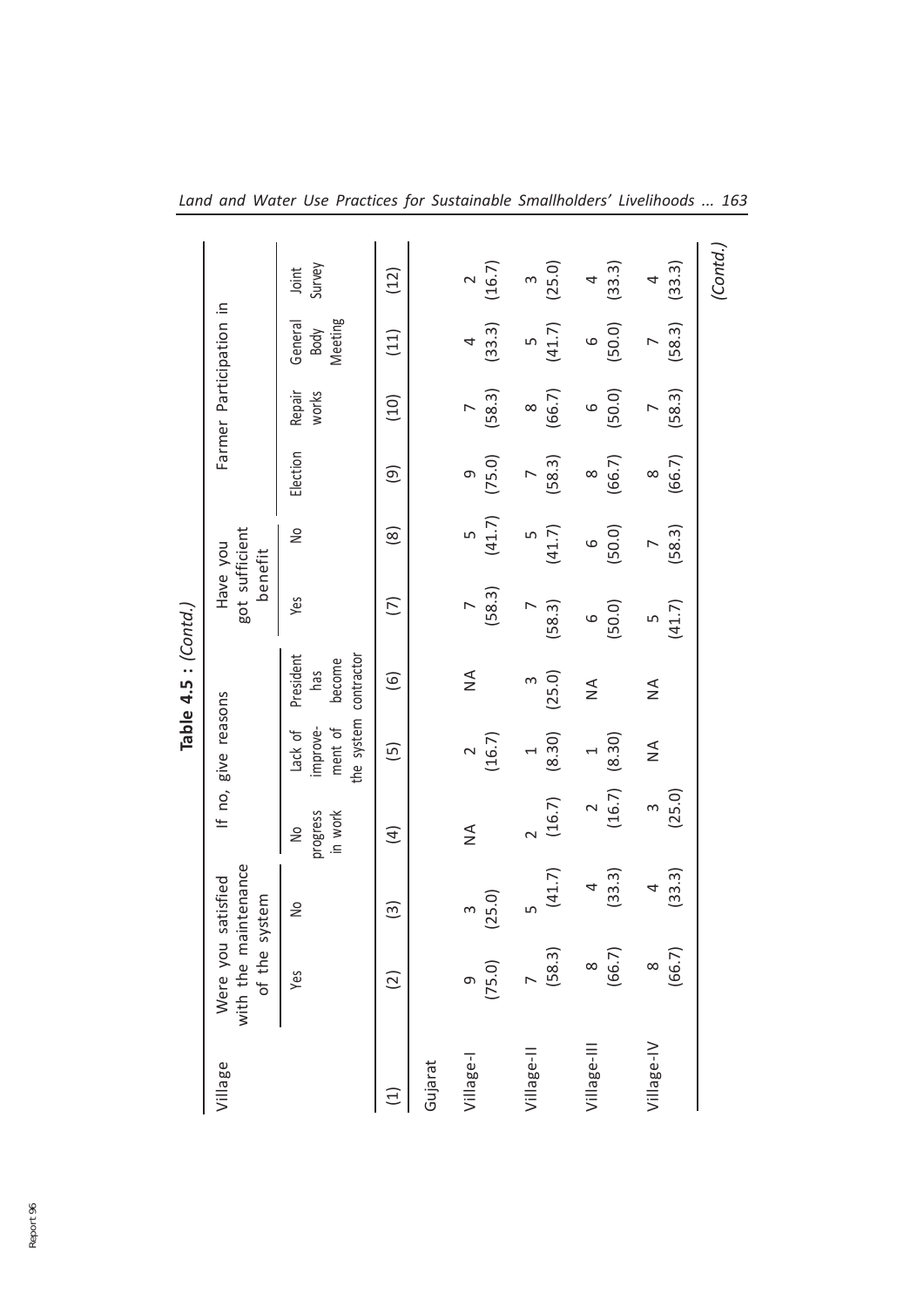|             |                                                   |                    |                                      |                                                         | Table 4.5 : (Contd.)       |                                       |                                           |                                    |                          |                            |                                   |
|-------------|---------------------------------------------------|--------------------|--------------------------------------|---------------------------------------------------------|----------------------------|---------------------------------------|-------------------------------------------|------------------------------------|--------------------------|----------------------------|-----------------------------------|
| Village     | with the maintenance<br>of the system<br>Were you | satisfied          |                                      | If no, give reasons                                     |                            | got sufficient<br>Have you<br>benefit |                                           |                                    | Farmer Participation in  |                            |                                   |
|             | Yes                                               | $\geq$             | in work<br>progress<br>$\frac{1}{2}$ | the system contractor<br>ment of<br>improve-<br>Lack of | President<br>become<br>has | Yes                                   | $\geq$                                    | Election                           | Repair<br>works          | Meeting<br>General<br>Body | Survey<br>Joint                   |
| Ξ           | $(2)$                                             | $\widetilde{3}$    | $\left( 4\right)$                    | $\overline{5}$                                          | $\odot$                    | $\widehat{\triangleright}$            | $\circled{s}$                             | $\widehat{\Theta}$                 | (10)                     | $(11)$                     | (12)                              |
| Gujarat     |                                                   |                    |                                      |                                                         |                            |                                       |                                           |                                    |                          |                            |                                   |
| Village-I   | (75.0)                                            | (25.0)<br>$\infty$ | $\frac{4}{5}$                        | $\frac{2}{(16.7)}$                                      | $\frac{4}{2}$              | $7$<br>(58.3)                         | $\begin{pmatrix} 5 \\ 41.7 \end{pmatrix}$ | (75.0)                             | (58.3)                   | (33.3)<br>4                | $\frac{2}{(16.7)}$                |
| Village-II  | (58.3)                                            | (41.7)<br>5        | (16.7)<br>$\overline{\mathsf{C}}$    | (8.30)<br>$\overline{\phantom{0}}$                      | (25.0)<br>$\infty$         | (58.3)                                | (41.7)                                    | (58.3)<br>$\overline{\phantom{0}}$ | (66.7)<br>$\infty$       | (41.7)<br>$\overline{c}$   | (25.0)<br>$\infty$                |
| Village-III | (66.7)<br>$\infty$                                | (33.3)<br>4        | (16.7)<br>$\sim$                     | (8.30)<br>$\overline{\phantom{0}}$                      | $\frac{4}{2}$              | (50.0)<br>$\circ$                     | (50.0)<br>$\circ$                         | (66.7)<br>$\infty$                 | (50.0)<br>$\circ$        | (50.0)<br>$\circ$          | (33.3)<br>$\overline{\mathbf{r}}$ |
| Village-IV  | (66.7)<br>$\infty$                                | (33.3)<br>4        | (25.0)<br>$\infty$                   | $\frac{4}{5}$                                           | $\frac{4}{2}$              | (41.7)<br>LŊ                          | (58.3)<br>$\overline{a}$                  | (66.7)<br>$\infty$                 | (58.3)<br>$\overline{ }$ | (58.3)<br>$\overline{a}$   | (33.3)<br>4                       |
|             |                                                   |                    |                                      |                                                         |                            |                                       |                                           |                                    |                          |                            | (Contd.)                          |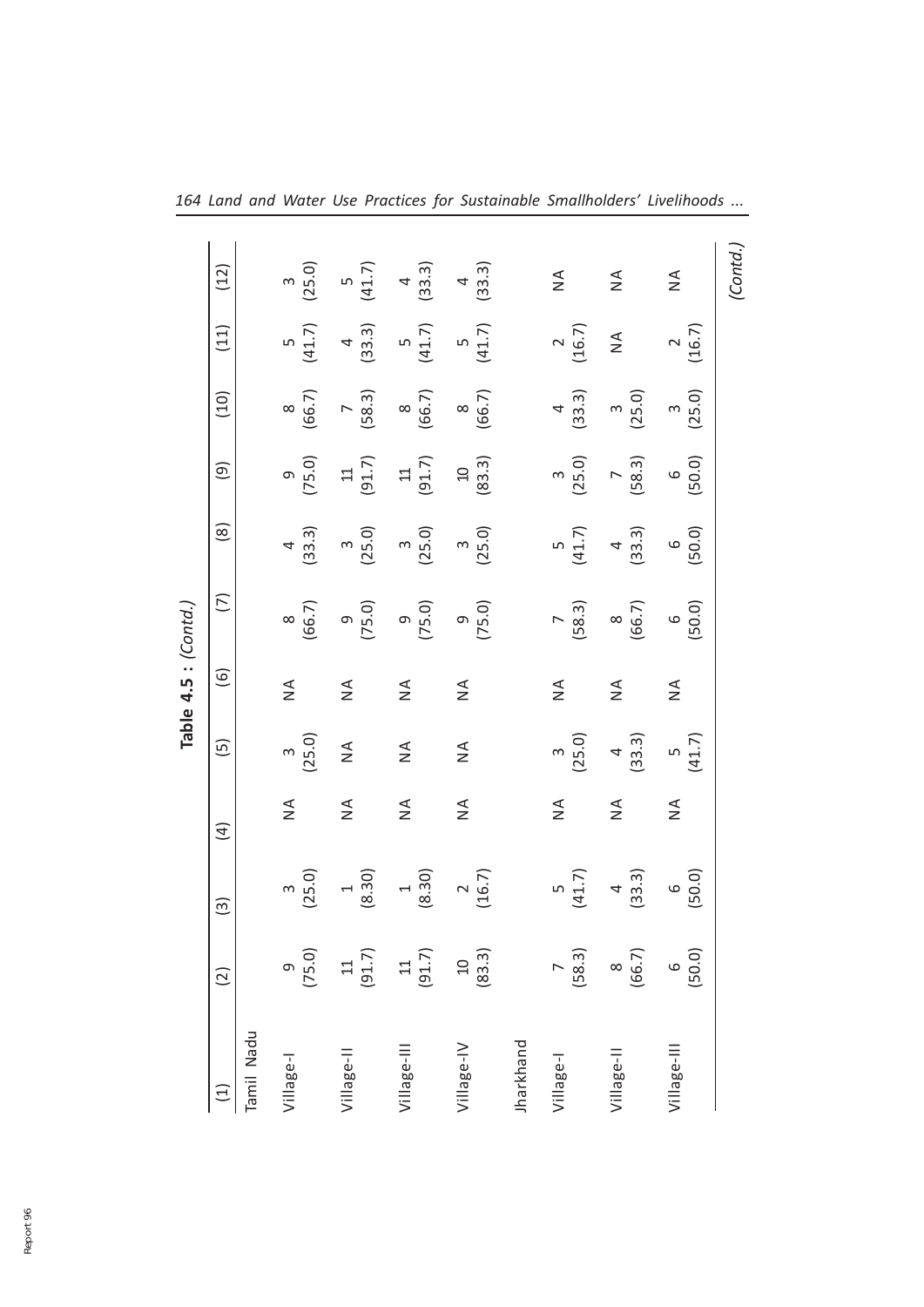|             |                                            |                                           |                | <b>Table</b>       |                    | 4.5: (Contd.)              |                                           |                  |                    |                                                |                                           |
|-------------|--------------------------------------------|-------------------------------------------|----------------|--------------------|--------------------|----------------------------|-------------------------------------------|------------------|--------------------|------------------------------------------------|-------------------------------------------|
|             | (2)                                        | $\widehat{\mathbb{C}}$                    | $\overline{4}$ | $\overline{5}$     | $\widehat{\Theta}$ | $\widehat{\triangleright}$ | $\circled{s}$                             | $\widehat{e}$    | (10)               | (11)                                           | (12)                                      |
| Tamil Nadu  |                                            |                                           |                |                    |                    |                            |                                           |                  |                    |                                                |                                           |
| Village-I   | (75.0)                                     | $\frac{3}{25.0}$                          | $\frac{4}{2}$  | 25.0<br>$\sim$     | $\frac{4}{2}$      | (66.7)                     | $\begin{pmatrix} 4 \\ 33.3 \end{pmatrix}$ | (75.0)           | (66.7)             | (41.7)<br>L                                    | (25.0)                                    |
| Village-II  | $11$<br>(91.7)                             | $\begin{pmatrix} 1 \\ 8.30 \end{pmatrix}$ | $\frac{4}{2}$  | $\frac{4}{2}$      | $\frac{4}{2}$      | (75.0)                     | (25.0)                                    | (91.7)           | $7$<br>(58.3)      | $\begin{pmatrix} 4 \\ 33.3 \end{pmatrix}$      | $\frac{5}{(41.7)}$                        |
| Village-III | $11$<br>(91.7)                             | $\begin{pmatrix} 1 \\ 8.30 \end{pmatrix}$ | $\frac{4}{2}$  | $\frac{4}{2}$      | $\frac{4}{2}$      | (0.52)                     | (25.0)                                    | (91.7)           | (66.7)             | $\frac{5}{(41.7)}$                             | $\begin{array}{c} 4 \\ 33.3 \end{array}$  |
| Village-IV  | $\begin{pmatrix} 10 \\ 83.3 \end{pmatrix}$ | $\frac{2}{16.7}$                          | $\frac{4}{2}$  | $\frac{4}{2}$      | $\frac{4}{2}$      | (75.0)                     | (25.0)                                    | (83.3)<br>$\Box$ | (66.7)             | $\frac{5}{(41.7)}$                             | $\begin{pmatrix} 4 \\ 33.3 \end{pmatrix}$ |
| Jharkhand   |                                            |                                           |                |                    |                    |                            |                                           |                  |                    |                                                |                                           |
| Village-I   | (58.3)                                     | (41.7)                                    | $\frac{4}{2}$  | (25.0)<br>$\infty$ | $\frac{4}{5}$      | (58.3)                     | $\frac{5}{(41.7)}$                        | (25.0)           | (33.3)             | (16.7)                                         | $\sum_{i=1}^{n}$                          |
| Village-II  | $\begin{array}{c} 8 \\ (66.7) \end{array}$ | (33.3)<br>4                               | $\frac{4}{2}$  | (33.3)<br>4        | $\frac{4}{5}$      | (66.7)                     | $\begin{pmatrix} 4 \\ 33.3 \end{pmatrix}$ | (58.3)           | (25.0)             | $\mathop{\leq}\limits_{{\mathop{\mathsf{Z}}}}$ | $\frac{4}{2}$                             |
| Village-III | (50.0)                                     | 60.00                                     | $\frac{4}{2}$  | $\frac{5}{41.7}$   | $\frac{4}{5}$      | $6^{6}$<br>$(50.0)$        | (50.0)                                    | (0.05)           | $\frac{3}{(25.0)}$ | $\begin{pmatrix} 2 \\ 16.7 \end{pmatrix}$      | $rac{4}{2}$                               |
|             |                                            |                                           |                |                    |                    |                            |                                           |                  |                    |                                                | (Contd.                                   |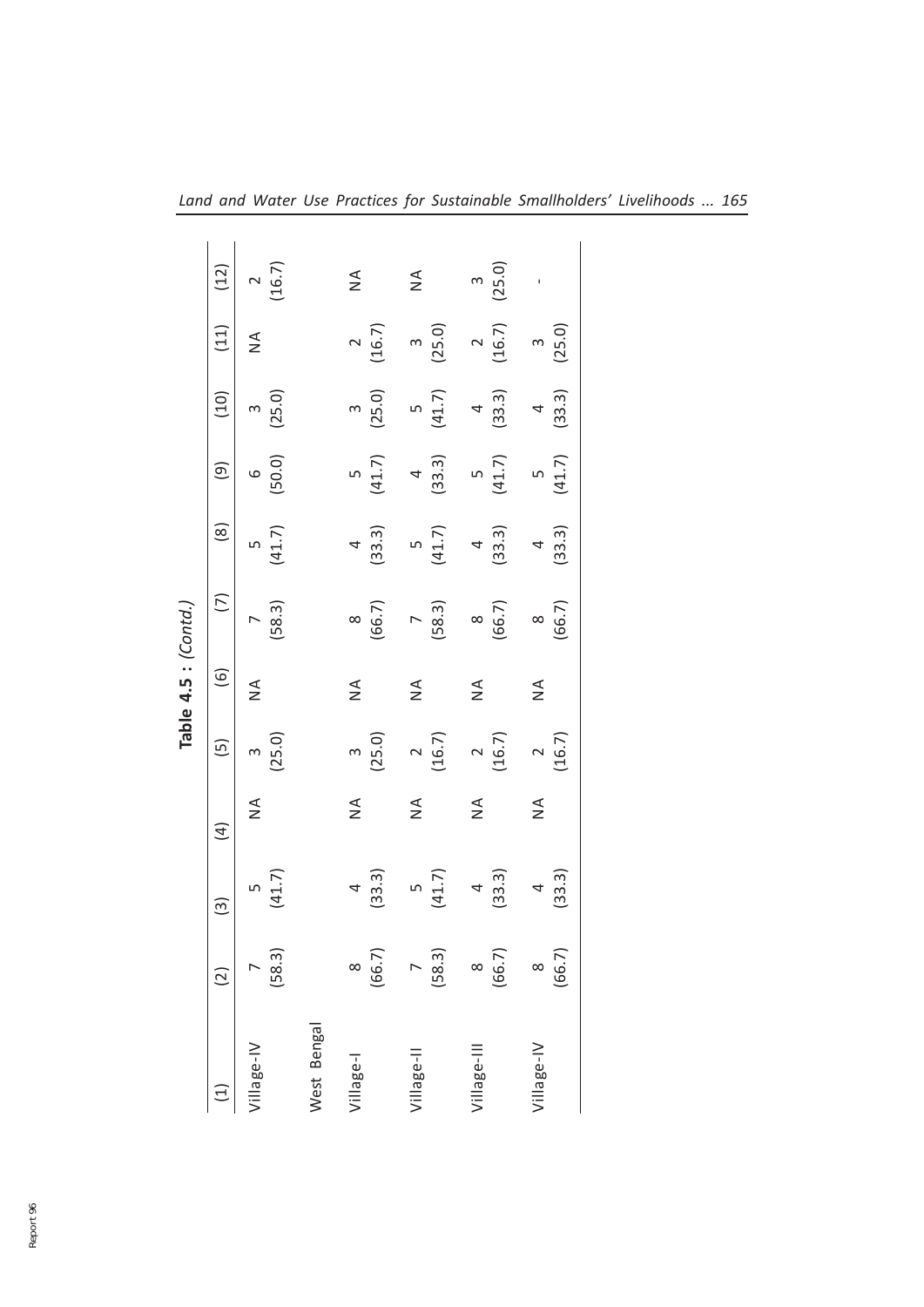|                    |                    |                                                 |                  |                                           | Table 4.5                                      | (Contd.)                  |                                                            |                                                                        |                                                                  |                                              |                                  |
|--------------------|--------------------|-------------------------------------------------|------------------|-------------------------------------------|------------------------------------------------|---------------------------|------------------------------------------------------------|------------------------------------------------------------------------|------------------------------------------------------------------|----------------------------------------------|----------------------------------|
|                    | $\widehat{\Omega}$ |                                                 |                  |                                           |                                                |                           |                                                            |                                                                        |                                                                  |                                              |                                  |
| illage-IV          | (58.3)             | (3) (4)<br>5<br>$\frac{5}{(41.7)}$ NA<br>(41.7) |                  | (25.0)<br>$\frac{5}{3}$                   | $\left \frac{\widehat{\Theta}}{Z}\right  \leq$ | $\frac{(7)}{7}$<br>(58.3) | $\begin{array}{c c}\n (8) \\  5 \\  (41.7)\n\end{array}$   | $\begin{array}{c c}\n (9) \\  \hline\n 6 \\  \hline\n 6\n \end{array}$ | $\begin{array}{c c}\n (10) \\  & 3 \\  (25.0) \\  & \end{array}$ | (11) (12)<br>NA 2<br>(16.7)                  | $\frac{2}{(16.7)}$               |
| <b>Nest Bengal</b> |                    |                                                 |                  |                                           |                                                |                           |                                                            |                                                                        |                                                                  |                                              |                                  |
| illage-l           | (66.7)<br>$\infty$ | $\begin{pmatrix} 4 \\ 33.3 \end{pmatrix}$       | $\frac{4}{5}$    | (25.0)<br>$\omega$                        | $\sum_{i=1}^{n}$                               | (66.7)                    | (33.3)                                                     | $\frac{5}{(41.7)}$                                                     | (25.0)                                                           |                                              | $\sum_{i=1}^{n}$                 |
| ll-age-lli         | (58.3)             | $\begin{pmatrix} 5 \\ 41.7 \end{pmatrix}$       | $rac{4}{2}$      | $\begin{pmatrix} 2 \\ 16.7 \end{pmatrix}$ | $\sum_{i=1}^{n}$                               | (58.3)                    |                                                            |                                                                        |                                                                  | $(16.7)$<br>$(25.0)$<br>$(25.0)$<br>$(16.7)$ |                                  |
| illage-III         | (66.7)<br>$\infty$ | $\begin{pmatrix} 4 \\ 33.3 \end{pmatrix}$       | $\sum_{i=1}^{n}$ | $\frac{2}{(16.7)}$                        | $\frac{4}{2}$                                  | (66.7)                    | $(41.7)$<br>$(41.7)$<br>$4$<br>$(33.3)$<br>$4$<br>$(33.3)$ | $(33.3)$<br>$(33.3)$<br>$(41.7)$<br>$(41.7)$                           | $(41.7)$<br>$4$<br>$4$<br>$(33.3)$                               |                                              | $M$ A<br>3<br>(25.0)<br>$(25.0)$ |
| Village-IV         | (66.7)<br>$\infty$ | (33.3)<br>$\overline{\phantom{a}}$              | $\sum_{i=1}^{n}$ | (16.7)                                    | $rac{4}{5}$                                    | (66.7)                    |                                                            |                                                                        | $\begin{pmatrix} 4 \\ 33.3 \end{pmatrix}$                        | $\frac{3}{(25.0)}$                           |                                  |
|                    |                    |                                                 |                  |                                           |                                                |                           |                                                            |                                                                        |                                                                  |                                              |                                  |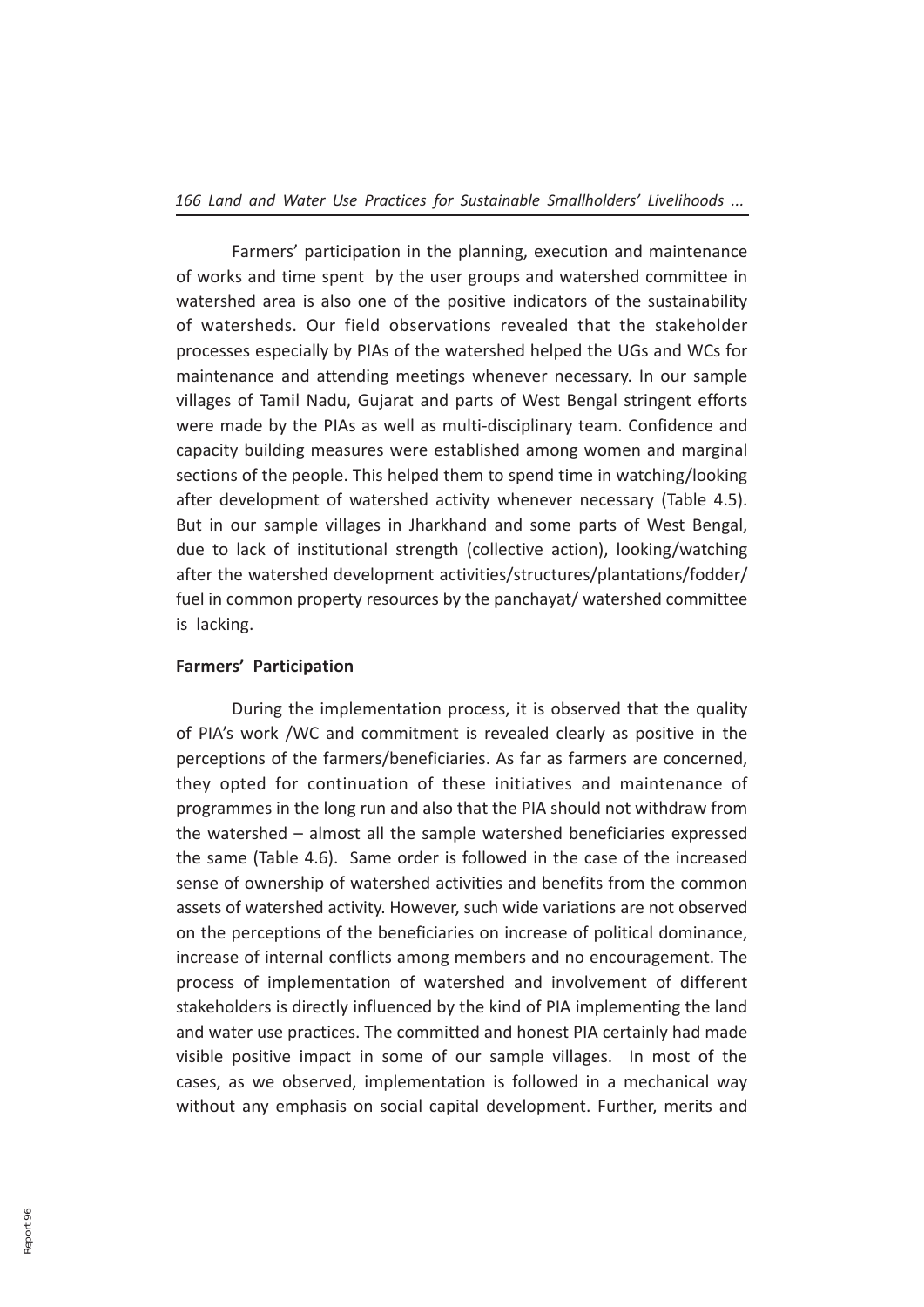Farmers' participation in the planning, execution and maintenance of works and time spent by the user groups and watershed committee in watershed area is also one of the positive indicators of the sustainability of watersheds. Our field observations revealed that the stakeholder processes especially by PIAs of the watershed helped the UGs and WCs for maintenance and attending meetings whenever necessary. In our sample villages of Tamil Nadu, Gujarat and parts of West Bengal stringent efforts were made by the PIAs as well as multi-disciplinary team. Confidence and capacity building measures were established among women and marginal sections of the people. This helped them to spend time in watching/looking after development of watershed activity whenever necessary (Table 4.5). But in our sample villages in Jharkhand and some parts of West Bengal, due to lack of institutional strength (collective action), looking/watching after the watershed development activities/structures/plantations/fodder/ fuel in common property resources by the panchayat/ watershed committee is lacking.

#### **Farmers' Participation**

During the implementation process, it is observed that the quality of PIA's work /WC and commitment is revealed clearly as positive in the perceptions of the farmers/beneficiaries. As far as farmers are concerned, they opted for continuation of these initiatives and maintenance of programmes in the long run and also that the PIA should not withdraw from the watershed – almost all the sample watershed beneficiaries expressed the same (Table 4.6). Same order is followed in the case of the increased sense of ownership of watershed activities and benefits from the common assets of watershed activity. However, such wide variations are not observed on the perceptions of the beneficiaries on increase of political dominance, increase of internal conflicts among members and no encouragement. The process of implementation of watershed and involvement of different stakeholders is directly influenced by the kind of PIA implementing the land and water use practices. The committed and honest PIA certainly had made visible positive impact in some of our sample villages. In most of the cases, as we observed, implementation is followed in a mechanical way without any emphasis on social capital development. Further, merits and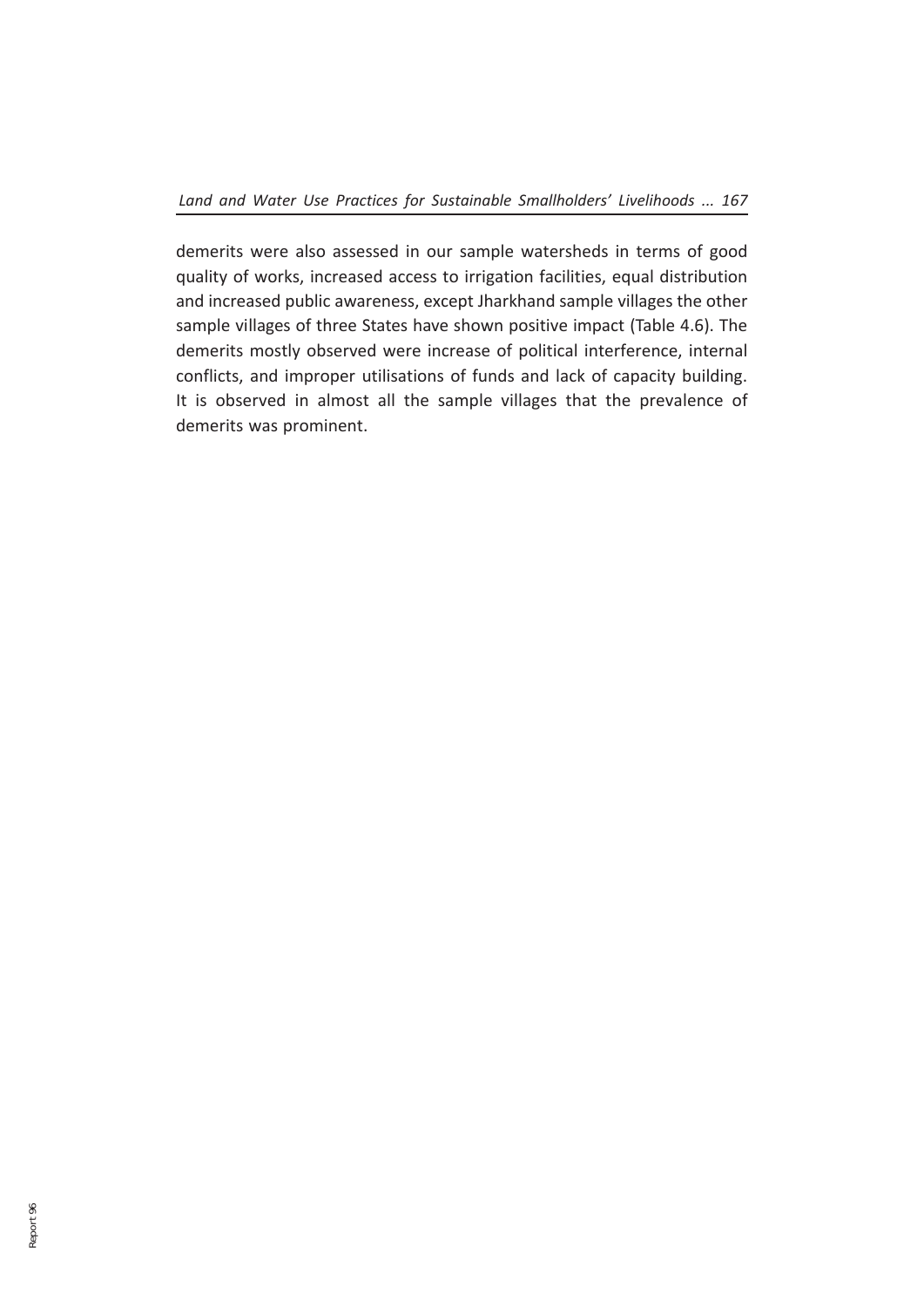demerits were also assessed in our sample watersheds in terms of good quality of works, increased access to irrigation facilities, equal distribution and increased public awareness, except Jharkhand sample villages the other sample villages of three States have shown positive impact (Table 4.6). The demerits mostly observed were increase of political interference, internal conflicts, and improper utilisations of funds and lack of capacity building. It is observed in almost all the sample villages that the prevalence of demerits was prominent.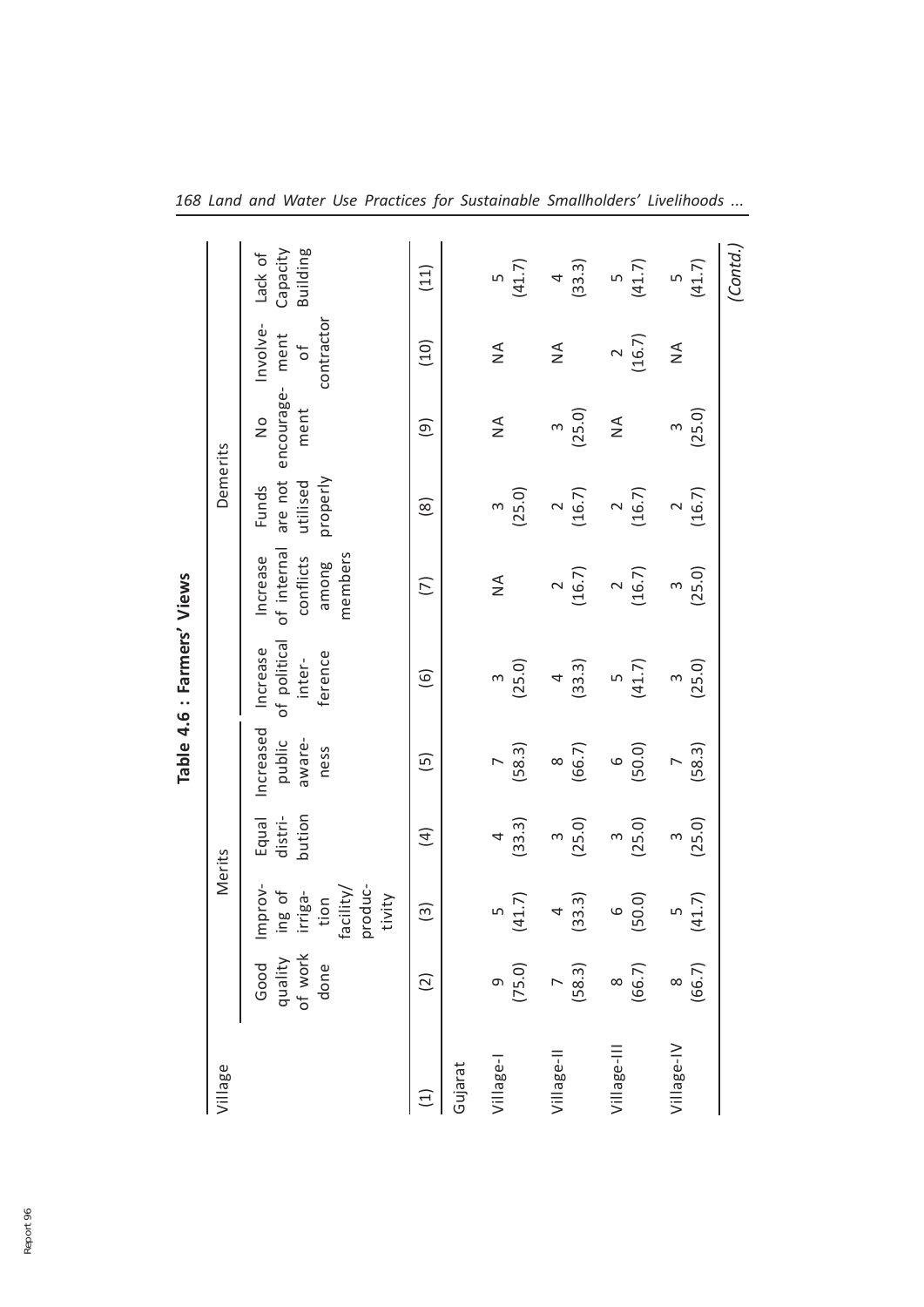|             |                                    |                                                                      |                            |                                       | Table 4.6 : Farmers' Views                    |                                                          |                                          |                                     |                                                  |                                 |
|-------------|------------------------------------|----------------------------------------------------------------------|----------------------------|---------------------------------------|-----------------------------------------------|----------------------------------------------------------|------------------------------------------|-------------------------------------|--------------------------------------------------|---------------------------------|
| Village     |                                    |                                                                      | Merits                     |                                       |                                               |                                                          | Demerits                                 |                                     |                                                  |                                 |
|             | quality<br>of work<br>done<br>Good | Improv-<br>produc-<br>ng of<br>facility/<br>rriga-<br>tion<br>tivity | distri-<br>bution<br>Equal | Increased<br>aware-<br>public<br>ness | of political<br>Increase<br>ference<br>inter- | of internal<br>members<br>Increase<br>conflicts<br>among | properly<br>are not<br>utilised<br>Funds | encourage-<br>ment<br>$\frac{1}{2}$ | contractor<br>Involve-<br>ment<br>$\overline{0}$ | Building<br>Capacity<br>Lack of |
| ਜੁ          | $\widetilde{c}$                    | $\widehat{S}$                                                        | $\widehat{E}$              | $\overline{5}$                        | $\widehat{\Theta}$                            | $(\overline{z})$                                         | $\circled{s}$                            | $\overline{(\overline{6})}$         | (10)                                             | (11)                            |
| Gujarat     |                                    |                                                                      |                            |                                       |                                               |                                                          |                                          |                                     |                                                  |                                 |
| Village-I   | (75.0)                             | (41.7)<br>LN                                                         | (33.3)<br>4                | (58.3)<br>$\overline{a}$              | (25.0)<br>$\infty$                            | $\frac{4}{2}$                                            | (25.0)<br>$\infty$                       | $\frac{4}{2}$                       | $\stackrel{\triangle}{\geq}$                     | (41.7)<br>LŊ                    |
| Village-II  | (58.3)                             | 33.3)<br>4                                                           | (25.0)<br>$\infty$         | (66.7)                                | (33.3)<br>4                                   | (16.7)                                                   | (16.7)                                   | (25.0)<br>$\infty$                  | $\frac{4}{2}$                                    | (33.3)<br>$\overline{a}$        |
| Village-III | (66.7)<br>$\infty$                 | (50.0)<br>$\circ$                                                    | (25.0)<br>$\infty$         | (50.0)<br>$\circ$                     | (41.7)<br>LN                                  | (16.7)<br>$\sim$                                         | (16.7)<br>$\sim$                         | $\leq$                              | (16.7)<br>$\sim$                                 | (41.7)<br>$\overline{a}$        |
| Village-IV  | (66.7)<br>$\infty$                 | 41.7<br>$\overline{5}$                                               | $\frac{3}{(25.0)}$         | (58.3)<br>$\triangleright$            | (25.0)<br>$\sim$                              | (25.0)<br>$\sim$                                         | (16.7)<br>$\sim$                         | (25.0)<br>$\infty$                  | $\frac{4}{2}$                                    | $\frac{5}{(41.7)}$              |
|             |                                    |                                                                      |                            |                                       |                                               |                                                          |                                          |                                     |                                                  | (Contd.)                        |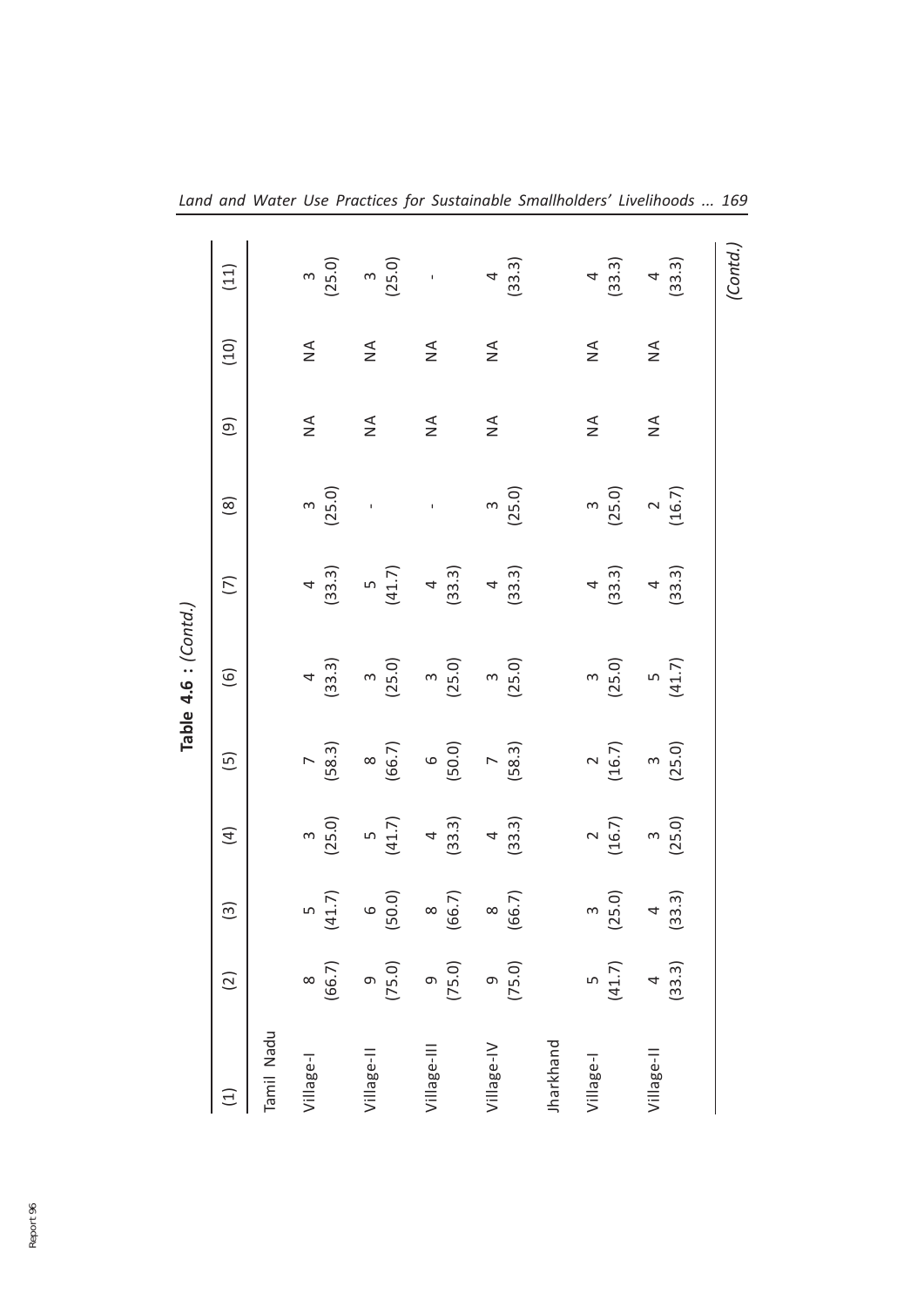|                 |                |                           |                                           |                    | Table 4.6 : (Contd.,                      |                                           |                    |                                                     |               |                                           |
|-----------------|----------------|---------------------------|-------------------------------------------|--------------------|-------------------------------------------|-------------------------------------------|--------------------|-----------------------------------------------------|---------------|-------------------------------------------|
| $\widehat{\Xi}$ | $\overline{2}$ | $\widetilde{\mathcal{E}}$ | $\overline{4}$                            | $\overline{5}$     | $\widetilde{\Theta}$                      | (7)                                       | $\circledg$        | $\left( \begin{matrix} 0 \\ 0 \end{matrix} \right)$ | (10)          | (11)                                      |
| Tamil Nadu      |                |                           |                                           |                    |                                           |                                           |                    |                                                     |               |                                           |
| Village-I       | (66.7)         | $\frac{5}{41.7}$          | $\frac{3}{(25.0)}$                        | $7$<br>(58.3)      | $\begin{pmatrix} 4 \\ 33.3 \end{pmatrix}$ | $\begin{pmatrix} 4 \\ 33.3 \end{pmatrix}$ | $\frac{3}{(25.0)}$ | $\frac{4}{2}$                                       | $\frac{4}{5}$ | (25.0)                                    |
| Village-II      | (75.0)         | $6^{6}$                   | $\begin{pmatrix} 5 \\ 41.7 \end{pmatrix}$ | (66.7)             | (25.0)                                    | $\frac{5}{(41.7)}$                        | ï                  | $\frac{4}{2}$                                       | $\frac{4}{2}$ | (25.0)                                    |
| Village-III     | (75.0)         | $rac{8}{66.7}$            | $\begin{pmatrix} 4 \\ 33.3 \end{pmatrix}$ | (50.0)             | (25.0)                                    | (33.3)<br>$\downarrow$                    | $\bar{\textbf{I}}$ | $\frac{4}{2}$                                       | $\frac{4}{2}$ |                                           |
| Village-IV      | (75.0)         | $rac{8}{66.7}$            | $\begin{pmatrix} 4 \\ 33.3 \end{pmatrix}$ | (58.3)             | (25.0)                                    | (33.3)<br>$\overline{a}$                  | (25.0)             | $\frac{4}{2}$                                       | $\frac{4}{5}$ | $\begin{pmatrix} 4 \\ 33.3 \end{pmatrix}$ |
| Jharkhand       |                |                           |                                           |                    |                                           |                                           |                    |                                                     |               |                                           |
| Village-I       | (41.7)         | $\frac{3}{25.0}$          | (16.7)                                    | (16.7)             | (25.0)                                    | (33.3)<br>$\overline{\phantom{a}}$        | (25.0)             | $\frac{4}{2}$                                       | $\frac{4}{5}$ | (33.3)<br>$\overline{a}$                  |
| Village-II      | (33.3)<br>4    | 33.3)<br>4                | (25.0)                                    | $\frac{3}{(25.0)}$ | $\frac{5}{(41.7)}$                        | (33.3)<br>4                               | $\frac{2}{(16.7)}$ | $\frac{1}{2}$                                       | $\frac{4}{5}$ | (33.3)<br>$\overline{\phantom{a}}$        |
|                 |                |                           |                                           |                    |                                           |                                           |                    |                                                     |               | (Contd.)                                  |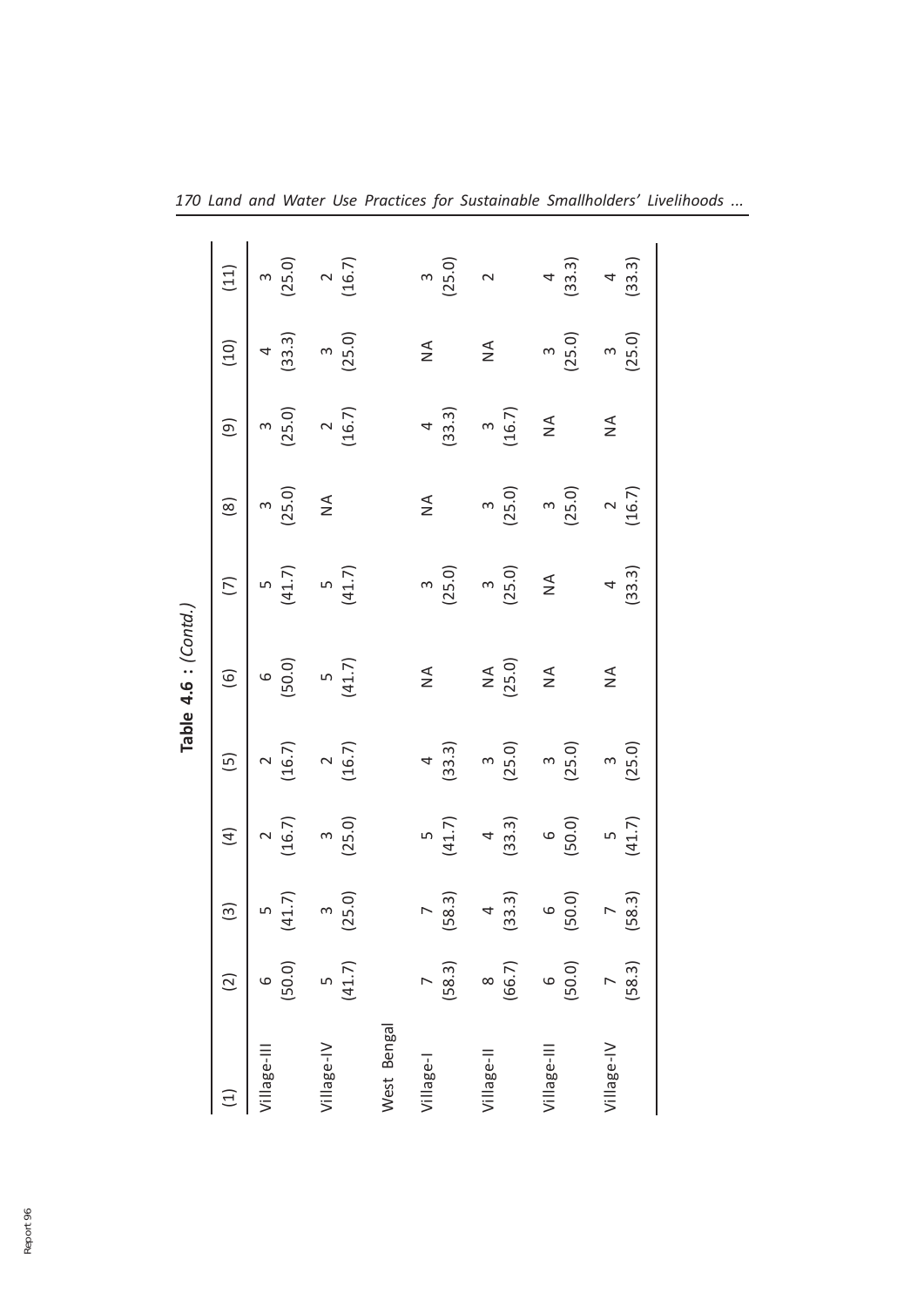|             |             |                                                                                                                                                     |                                                          | <b>Table</b>                                             | 4.6: (Contd.)                                                                                                          |                                                                                          |                                                                  |                                                                          |                                                                                 |                                                                               |
|-------------|-------------|-----------------------------------------------------------------------------------------------------------------------------------------------------|----------------------------------------------------------|----------------------------------------------------------|------------------------------------------------------------------------------------------------------------------------|------------------------------------------------------------------------------------------|------------------------------------------------------------------|--------------------------------------------------------------------------|---------------------------------------------------------------------------------|-------------------------------------------------------------------------------|
|             | (2)         | (3)                                                                                                                                                 |                                                          | (5)                                                      |                                                                                                                        |                                                                                          |                                                                  |                                                                          |                                                                                 |                                                                               |
| ll-age-ll   | (50.0)<br>6 | $\begin{pmatrix} 5 \\ 41.7 \end{pmatrix}$<br>3<br>(25.0)                                                                                            | (4)<br>$\frac{2}{16.7}$<br>(16.7)<br>$\frac{3}{5.0}$     | $(16.7)$<br>$(16.7)$<br>$(16.7)$                         | (6)<br>$\begin{bmatrix} 6 & 6 \\ 6 & 0 \\ 50.0 & 5 \\ 5 & 5 \\ 41.7 \end{bmatrix}$                                     | $\begin{array}{c c}\n (7) \\  & 5 \\  & (41.7) \\  & 5 \\  & 5 \\  & 141.7\n\end{array}$ | $\begin{array}{c} (8) \\ 3 \\ (25.0) \\ (25.0) \\ 1 \end{array}$ | $\begin{array}{c c}\n 9 \\  & \n \end{array}$ $(25.0)$ $(25.0)$ $(16.7)$ | $\begin{array}{c c}\n (10) \\  & 4 \\  (33.3) \\  & 3 \\  (25.0)\n \end{array}$ | $\begin{array}{c c}\n(11) \\ \hline\n3 \\ (25.0) \\ 2\n\end{array}$<br>(16.7) |
| Village-IV  | (41.7)      |                                                                                                                                                     |                                                          |                                                          |                                                                                                                        |                                                                                          |                                                                  |                                                                          |                                                                                 |                                                                               |
| West Bengal |             |                                                                                                                                                     |                                                          |                                                          |                                                                                                                        |                                                                                          |                                                                  |                                                                          |                                                                                 |                                                                               |
| /illage-l   | (58.3)      |                                                                                                                                                     |                                                          |                                                          |                                                                                                                        |                                                                                          |                                                                  |                                                                          |                                                                                 |                                                                               |
| Village-II  | (66.7)      | $\begin{bmatrix} 7 \\ 58.3 \\ 4 \\ 33.3 \\ 6 \\ 50.0 \\ 7 \\ 8.3 \end{bmatrix}$<br>$\begin{bmatrix} 7 \\ 4 \\ 53.3 \\ 6 \\ 50.0 \\ 7 \end{bmatrix}$ | $(41.7)$<br>$(41.7)$<br>$(33.3)$<br>$(50.0)$<br>$(50.0)$ | $(33.3)$<br>$(25.0)$<br>$(25.0)$<br>$(25.0)$<br>$(25.0)$ | $\begin{array}{ccc}\n & & \Delta & & \Delta \\  & & \Delta & & \Delta \\  & & \Sigma & & \Sigma & \Sigma\n\end{array}$ | $(25.0)$<br>$(25.0)$<br>$(25.0)$<br>$N A$<br>$A$<br>$(33.3)$                             | NA<br>3<br>(25.0)<br>3<br>3<br>(25.0)                            | $(33.3)$<br>$(36.7)$<br>$(16.7)$<br>NA                                   | $M$<br>$M$<br>$M$<br>$(25.0)$<br>$(25.0)$                                       | $(25.0)$<br>$2$<br>$4$<br>$(33.3)$<br>$4$<br>$(33.3)$                         |
| /illage-III | (50.0)      |                                                                                                                                                     |                                                          |                                                          |                                                                                                                        |                                                                                          |                                                                  |                                                                          |                                                                                 |                                                                               |
| Village-IV  | (58.3)      |                                                                                                                                                     | (41.7)                                                   |                                                          |                                                                                                                        |                                                                                          | $\frac{2}{(16.7)}$                                               | $\sum_{i=1}^{n}$                                                         |                                                                                 |                                                                               |
|             |             |                                                                                                                                                     |                                                          |                                                          |                                                                                                                        |                                                                                          |                                                                  |                                                                          |                                                                                 |                                                                               |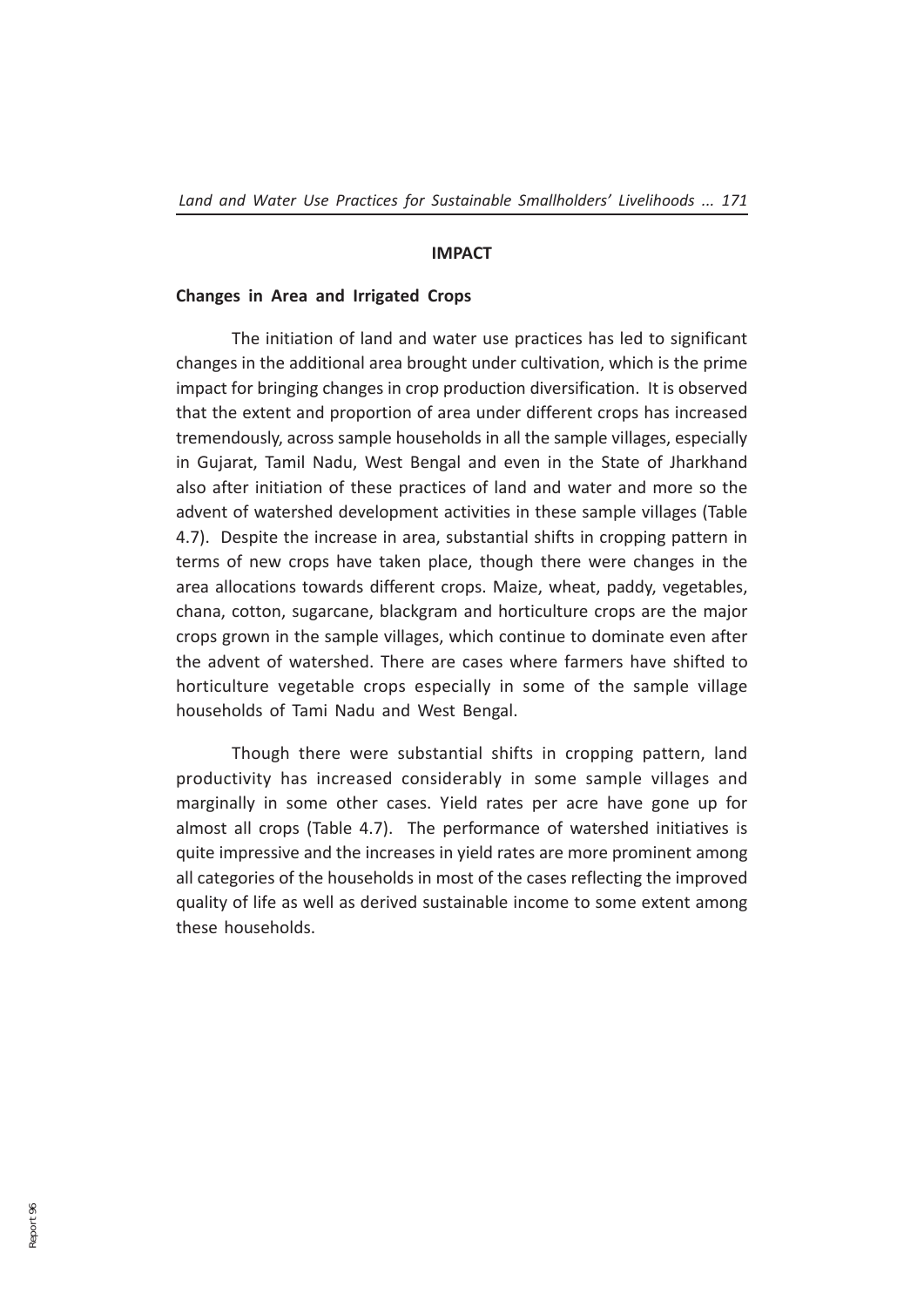# **IMPACT**

#### **Changes in Area and Irrigated Crops**

The initiation of land and water use practices has led to significant changes in the additional area brought under cultivation, which is the prime impact for bringing changes in crop production diversification. It is observed that the extent and proportion of area under different crops has increased tremendously, across sample households in all the sample villages, especially in Gujarat, Tamil Nadu, West Bengal and even in the State of Jharkhand also after initiation of these practices of land and water and more so the advent of watershed development activities in these sample villages (Table 4.7). Despite the increase in area, substantial shifts in cropping pattern in terms of new crops have taken place, though there were changes in the area allocations towards different crops. Maize, wheat, paddy, vegetables, chana, cotton, sugarcane, blackgram and horticulture crops are the major crops grown in the sample villages, which continue to dominate even after the advent of watershed. There are cases where farmers have shifted to horticulture vegetable crops especially in some of the sample village households of Tami Nadu and West Bengal.

Though there were substantial shifts in cropping pattern, land productivity has increased considerably in some sample villages and marginally in some other cases. Yield rates per acre have gone up for almost all crops (Table 4.7). The performance of watershed initiatives is quite impressive and the increases in yield rates are more prominent among all categories of the households in most of the cases reflecting the improved quality of life as well as derived sustainable income to some extent among these households.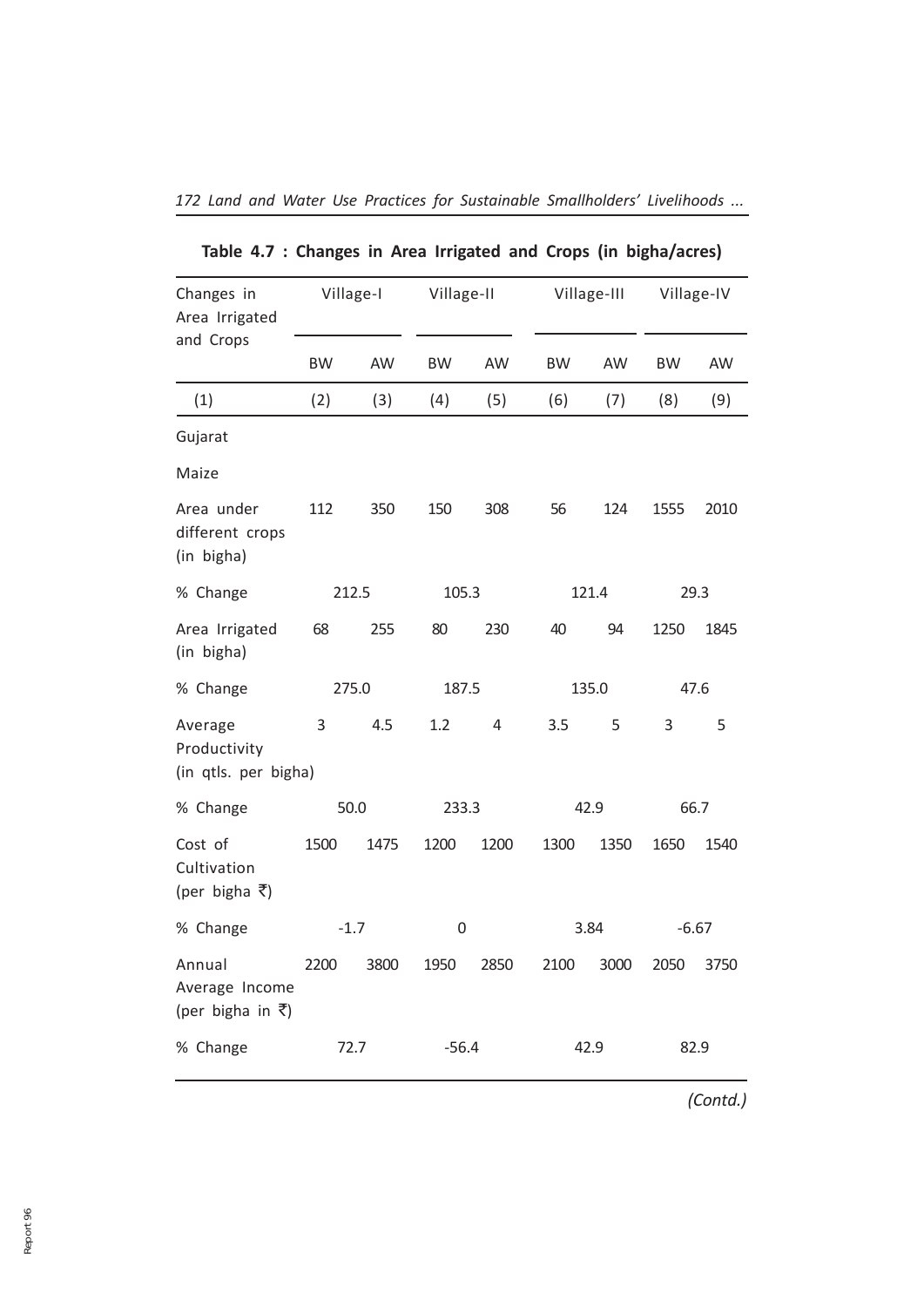| Changes in<br>Area Irrigated                          |           | Village-I | Village-II |      |           | Village-III |           | Village-IV |
|-------------------------------------------------------|-----------|-----------|------------|------|-----------|-------------|-----------|------------|
| and Crops                                             | <b>BW</b> | AW        | <b>BW</b>  | AW   | <b>BW</b> | AW          | <b>BW</b> | AW         |
| (1)                                                   | (2)       | (3)       | (4)        | (5)  | (6)       | (7)         | (8)       | (9)        |
| Gujarat                                               |           |           |            |      |           |             |           |            |
| Maize                                                 |           |           |            |      |           |             |           |            |
| Area under<br>different crops<br>(in bigha)           | 112       | 350       | 150        | 308  | 56        | 124         | 1555      | 2010       |
| % Change                                              |           | 212.5     | 105.3      |      |           | 121.4       |           | 29.3       |
| Area Irrigated<br>(in bigha)                          | 68        | 255       | 80         | 230  | 40        | 94          | 1250      | 1845       |
| % Change                                              |           | 275.0     | 187.5      |      |           | 135.0       |           | 47.6       |
| Average<br>Productivity<br>(in qtls. per bigha)       | 3         | 4.5       | 1.2        | 4    | 3.5       | 5           | 3         | 5          |
| % Change                                              |           | 50.0      | 233.3      |      |           | 42.9        | 66.7      |            |
| Cost of<br>Cultivation<br>(per bigha ₹)               | 1500      | 1475      | 1200       | 1200 | 1300      | 1350        | 1650      | 1540       |
| % Change                                              | $-1.7$    |           | 0          |      |           | 3.84        | $-6.67$   |            |
| Annual<br>Average Income<br>(per bigha in $\bar{z}$ ) | 2200      | 3800      | 1950       | 2850 | 2100      | 3000        | 2050      | 3750       |
| % Change                                              |           | 72.7      | $-56.4$    |      |           | 42.9        |           | 82.9       |

**Table 4.7 : Changes in Area Irrigated and Crops (in bigha/acres)**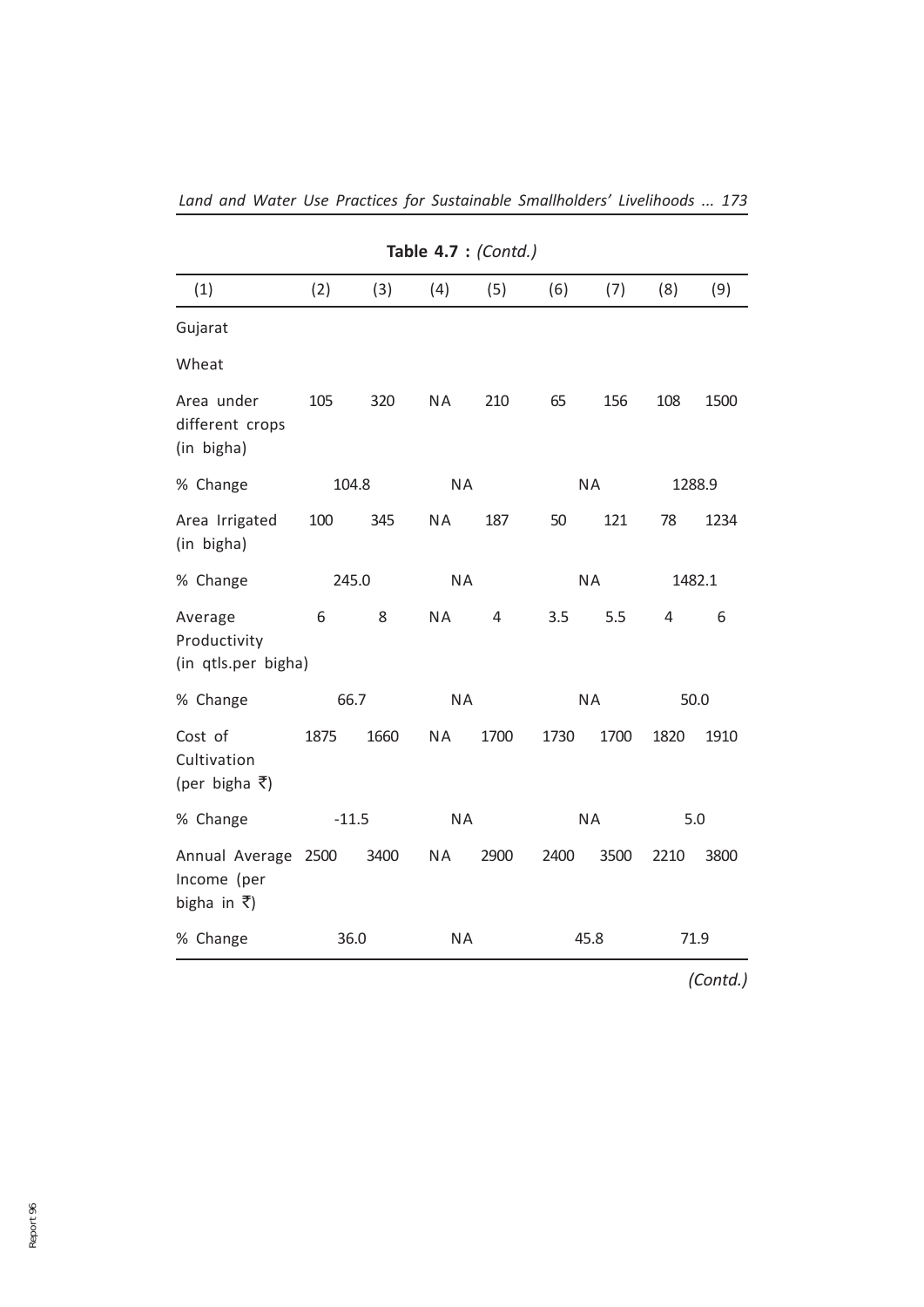| Table 4.7 : (Contd.)                                  |         |       |           |      |      |           |      |        |  |  |  |  |
|-------------------------------------------------------|---------|-------|-----------|------|------|-----------|------|--------|--|--|--|--|
| (1)                                                   | (2)     | (3)   | (4)       | (5)  | (6)  | (7)       | (8)  | (9)    |  |  |  |  |
| Gujarat                                               |         |       |           |      |      |           |      |        |  |  |  |  |
| Wheat                                                 |         |       |           |      |      |           |      |        |  |  |  |  |
| Area under<br>different crops<br>(in bigha)           | 105     | 320   | <b>NA</b> | 210  | 65   | 156       | 108  | 1500   |  |  |  |  |
| % Change                                              |         | 104.8 | <b>NA</b> |      |      | <b>NA</b> |      | 1288.9 |  |  |  |  |
| Area Irrigated<br>(in bigha)                          | 100     | 345   | <b>NA</b> | 187  | 50   | 121       | 78   | 1234   |  |  |  |  |
| % Change                                              | 245.0   |       | <b>NA</b> |      |      | <b>NA</b> |      | 1482.1 |  |  |  |  |
| Average<br>Productivity<br>(in qtls.per bigha)        | 6       | 8     | <b>NA</b> | 4    | 3.5  | 5.5       | 4    | 6      |  |  |  |  |
| % Change                                              | 66.7    |       | <b>NA</b> |      |      | <b>NA</b> |      | 50.0   |  |  |  |  |
| Cost of<br>Cultivation<br>(per bigha ₹)               | 1875    | 1660  | <b>NA</b> | 1700 | 1730 | 1700      | 1820 | 1910   |  |  |  |  |
| % Change                                              | $-11.5$ |       | <b>NA</b> |      |      | <b>NA</b> |      | 5.0    |  |  |  |  |
| Annual Average<br>Income (per<br>bigha in $\bar{z}$ ) | 2500    | 3400  | <b>NA</b> | 2900 | 2400 | 3500      | 2210 | 3800   |  |  |  |  |
| % Change                                              |         | 36.0  | <b>NA</b> |      |      | 45.8      |      | 71.9   |  |  |  |  |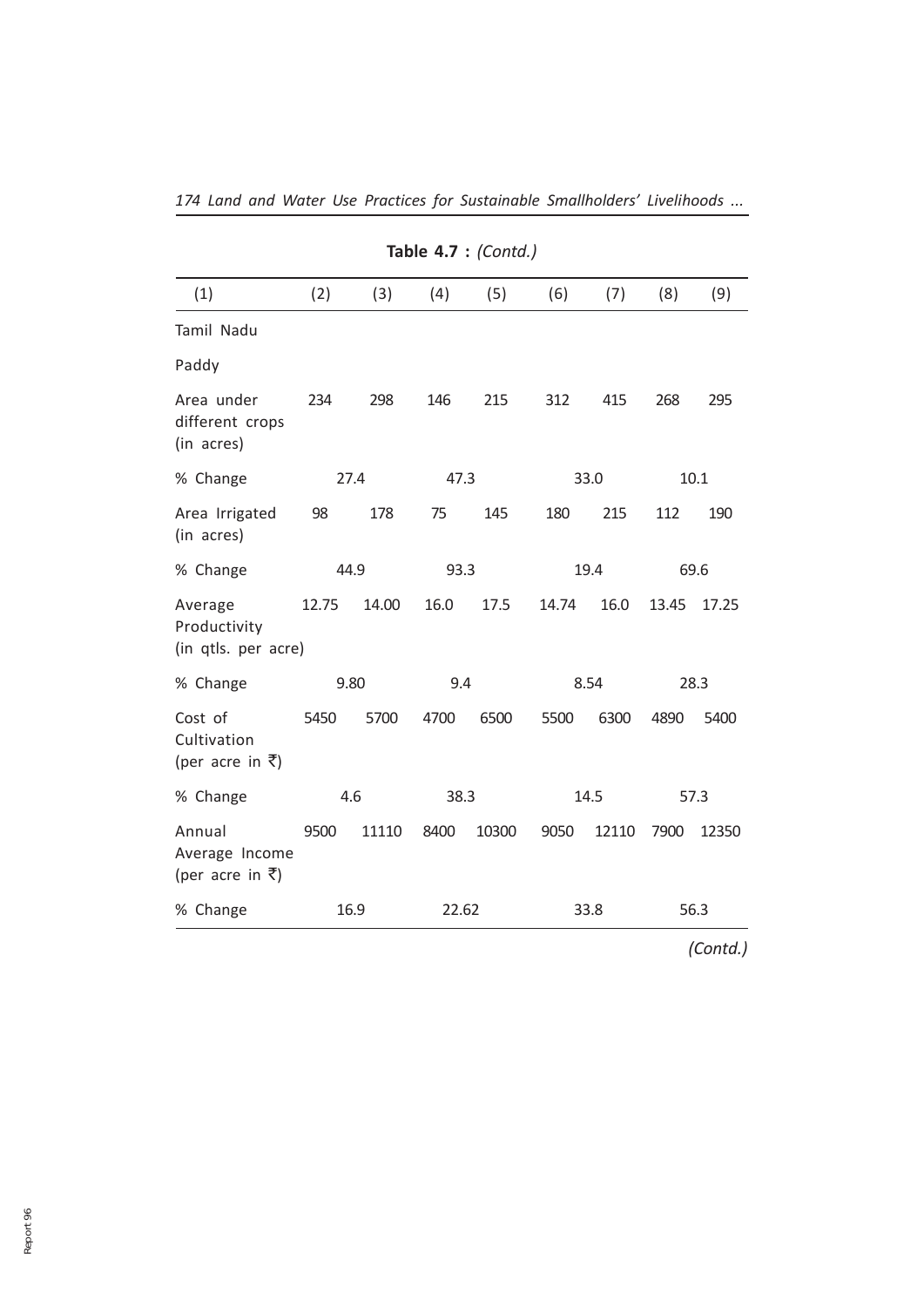| <b>Table 4.7 : (Contd.)</b>                          |       |       |       |       |       |       |       |       |  |  |  |  |
|------------------------------------------------------|-------|-------|-------|-------|-------|-------|-------|-------|--|--|--|--|
| (1)                                                  | (2)   | (3)   | (4)   | (5)   | (6)   | (7)   | (8)   | (9)   |  |  |  |  |
| Tamil Nadu                                           |       |       |       |       |       |       |       |       |  |  |  |  |
| Paddy                                                |       |       |       |       |       |       |       |       |  |  |  |  |
| Area under<br>different crops<br>(in acres)          | 234   | 298   | 146   | 215   | 312   | 415   | 268   | 295   |  |  |  |  |
| % Change                                             |       | 27.4  | 47.3  |       |       | 33.0  |       | 10.1  |  |  |  |  |
| Area Irrigated<br>(in acres)                         | 98    | 178   | 75    | 145   | 180   | 215   | 112   | 190   |  |  |  |  |
| % Change                                             | 44.9  |       | 93.3  |       |       | 19.4  |       | 69.6  |  |  |  |  |
| Average<br>Productivity<br>(in qtls. per acre)       | 12.75 | 14.00 | 16.0  | 17.5  | 14.74 | 16.0  | 13.45 | 17.25 |  |  |  |  |
| % Change                                             |       | 9.80  | 9.4   |       |       | 8.54  |       | 28.3  |  |  |  |  |
| Cost of<br>Cultivation<br>(per acre in ₹)            | 5450  | 5700  | 4700  | 6500  | 5500  | 6300  | 4890  | 5400  |  |  |  |  |
| % Change                                             |       | 4.6   | 38.3  |       |       | 14.5  |       | 57.3  |  |  |  |  |
| Annual<br>Average Income<br>(per acre in $\bar{z}$ ) | 9500  | 11110 | 8400  | 10300 | 9050  | 12110 | 7900  | 12350 |  |  |  |  |
| % Change                                             |       | 16.9  | 22.62 |       |       | 33.8  |       | 56.3  |  |  |  |  |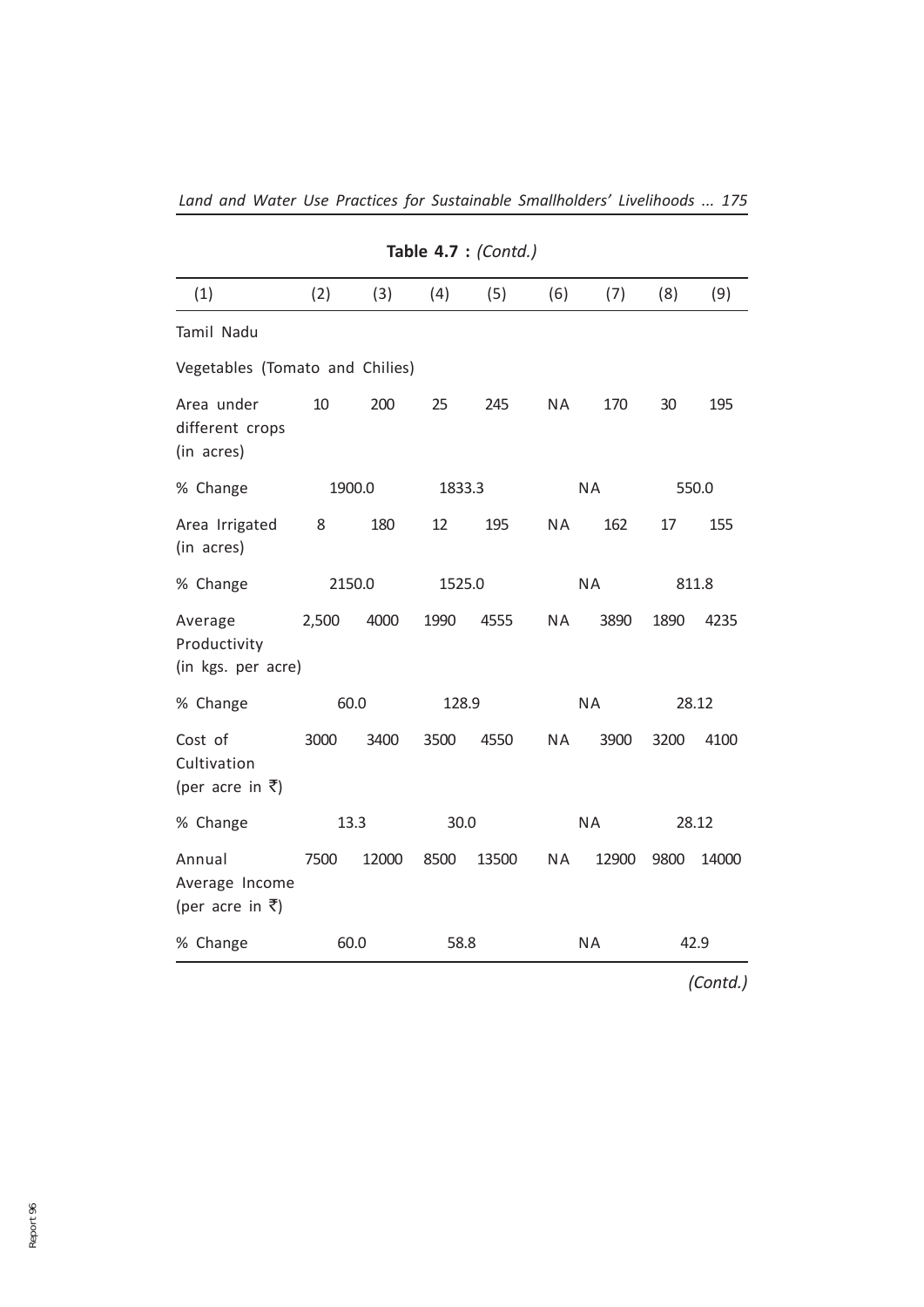| Table 4.7 : (Contd.)                                 |           |       |        |       |           |           |       |          |  |  |  |  |
|------------------------------------------------------|-----------|-------|--------|-------|-----------|-----------|-------|----------|--|--|--|--|
| (1)                                                  | (2)       | (3)   | (4)    | (5)   | (6)       | (7)       | (8)   | (9)      |  |  |  |  |
| Tamil Nadu                                           |           |       |        |       |           |           |       |          |  |  |  |  |
| Vegetables (Tomato and Chilies)                      |           |       |        |       |           |           |       |          |  |  |  |  |
| Area under<br>different crops<br>(in acres)          | 10<br>200 |       | 25     | 245   | <b>NA</b> | 170       | 30    | 195      |  |  |  |  |
| % Change                                             | 1900.0    |       | 1833.3 |       |           | <b>NA</b> | 550.0 |          |  |  |  |  |
| Area Irrigated<br>(in acres)                         | 8         | 180   | 12     | 195   | <b>NA</b> | 162       | 17    | 155      |  |  |  |  |
| % Change                                             | 2150.0    |       | 1525.0 |       |           | <b>NA</b> |       | 811.8    |  |  |  |  |
| Average<br>Productivity<br>(in kgs. per acre)        | 2,500     | 4000  | 1990   | 4555  | <b>NA</b> | 3890      | 1890  | 4235     |  |  |  |  |
| % Change                                             | 60.0      |       | 128.9  |       |           | <b>NA</b> |       | 28.12    |  |  |  |  |
| Cost of<br>Cultivation<br>(per acre in $\bar{z}$ )   | 3000      | 3400  | 3500   | 4550  | <b>NA</b> | 3900      | 3200  | 4100     |  |  |  |  |
| % Change                                             |           | 13.3  | 30.0   |       |           | <b>NA</b> |       | 28.12    |  |  |  |  |
| Annual<br>Average Income<br>(per acre in $\bar{z}$ ) | 7500      | 12000 | 8500   | 13500 | <b>NA</b> | 12900     | 9800  | 14000    |  |  |  |  |
| % Change                                             |           | 60.0  | 58.8   |       |           | <b>NA</b> | 42.9  |          |  |  |  |  |
|                                                      |           |       |        |       |           |           |       | (Contd.) |  |  |  |  |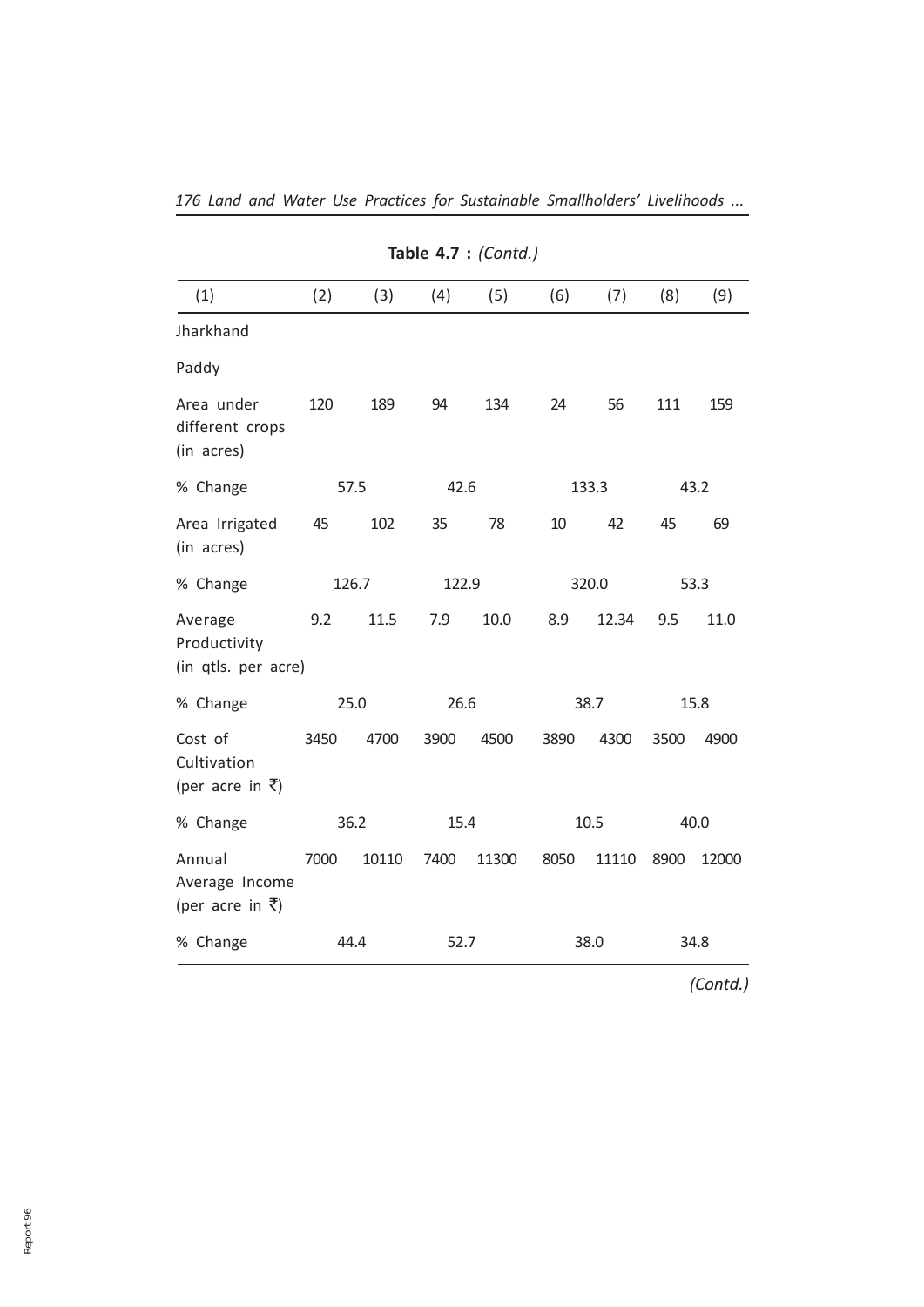| Table 4.7 : (Contd.)                           |       |       |       |       |      |       |      |       |  |  |  |  |
|------------------------------------------------|-------|-------|-------|-------|------|-------|------|-------|--|--|--|--|
| (1)                                            | (2)   | (3)   | (4)   | (5)   | (6)  | (7)   | (8)  | (9)   |  |  |  |  |
| Jharkhand                                      |       |       |       |       |      |       |      |       |  |  |  |  |
| Paddy                                          |       |       |       |       |      |       |      |       |  |  |  |  |
| Area under<br>different crops<br>(in acres)    | 120   | 189   | 94    | 134   | 24   | 56    | 111  | 159   |  |  |  |  |
| % Change                                       |       | 57.5  | 42.6  |       |      | 133.3 | 43.2 |       |  |  |  |  |
| Area Irrigated<br>(in acres)                   | 45    | 102   | 35    | 78    | 10   | 42    | 45   | 69    |  |  |  |  |
| % Change                                       | 126.7 |       | 122.9 |       |      | 320.0 |      | 53.3  |  |  |  |  |
| Average<br>Productivity<br>(in qtls. per acre) | 9.2   | 11.5  | 7.9   | 10.0  | 8.9  | 12.34 | 9.5  | 11.0  |  |  |  |  |
| % Change                                       |       | 25.0  | 26.6  |       |      | 38.7  |      | 15.8  |  |  |  |  |
| Cost of<br>Cultivation<br>(per acre in ₹)      | 3450  | 4700  | 3900  | 4500  | 3890 | 4300  | 3500 | 4900  |  |  |  |  |
| % Change                                       |       | 36.2  | 15.4  |       |      | 10.5  |      | 40.0  |  |  |  |  |
| Annual<br>Average Income<br>(per acre in ₹)    | 7000  | 10110 | 7400  | 11300 | 8050 | 11110 | 8900 | 12000 |  |  |  |  |
| % Change                                       |       | 44.4  | 52.7  |       |      | 38.0  |      | 34.8  |  |  |  |  |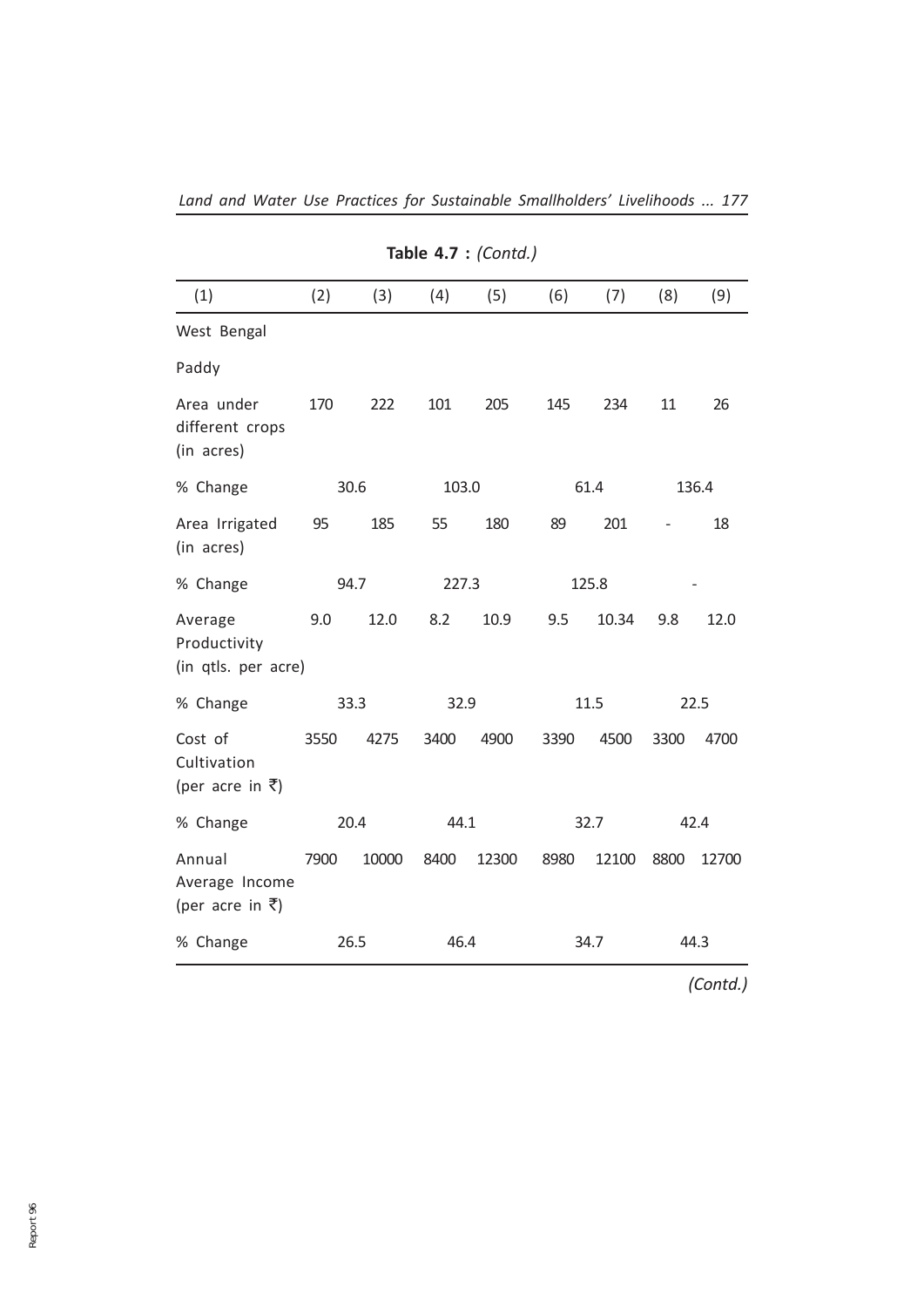| <b>lable 4.7</b> : (Contd.)                    |      |       |       |       |      |       |       |       |  |  |  |  |  |
|------------------------------------------------|------|-------|-------|-------|------|-------|-------|-------|--|--|--|--|--|
| (1)                                            | (2)  | (3)   | (4)   | (5)   | (6)  | (7)   | (8)   | (9)   |  |  |  |  |  |
| West Bengal                                    |      |       |       |       |      |       |       |       |  |  |  |  |  |
| Paddy                                          |      |       |       |       |      |       |       |       |  |  |  |  |  |
| Area under<br>different crops<br>(in acres)    | 170  | 222   | 101   | 205   | 145  | 234   | 11    | 26    |  |  |  |  |  |
| % Change                                       | 30.6 |       | 103.0 |       |      | 61.4  | 136.4 |       |  |  |  |  |  |
| Area Irrigated<br>(in acres)                   | 95   | 185   | 55    | 180   | 89   | 201   |       | 18    |  |  |  |  |  |
| % Change                                       | 94.7 |       | 227.3 |       |      | 125.8 |       |       |  |  |  |  |  |
| Average<br>Productivity<br>(in qtls. per acre) | 9.0  | 12.0  | 8.2   | 10.9  | 9.5  | 10.34 | 9.8   | 12.0  |  |  |  |  |  |
| % Change                                       | 33.3 |       | 32.9  |       |      | 11.5  | 22.5  |       |  |  |  |  |  |
| Cost of<br>Cultivation<br>(per acre in ₹)      | 3550 | 4275  | 3400  | 4900  | 3390 | 4500  | 3300  | 4700  |  |  |  |  |  |
| % Change                                       | 20.4 |       | 44.1  |       |      | 32.7  |       | 42.4  |  |  |  |  |  |
| Annual<br>Average Income<br>(per acre in ₹)    | 7900 | 10000 | 8400  | 12300 | 8980 | 12100 | 8800  | 12700 |  |  |  |  |  |
| % Change                                       | 26.5 |       | 46.4  |       |      | 34.7  | 44.3  |       |  |  |  |  |  |

**Table 4.7 :** *(Contd.)*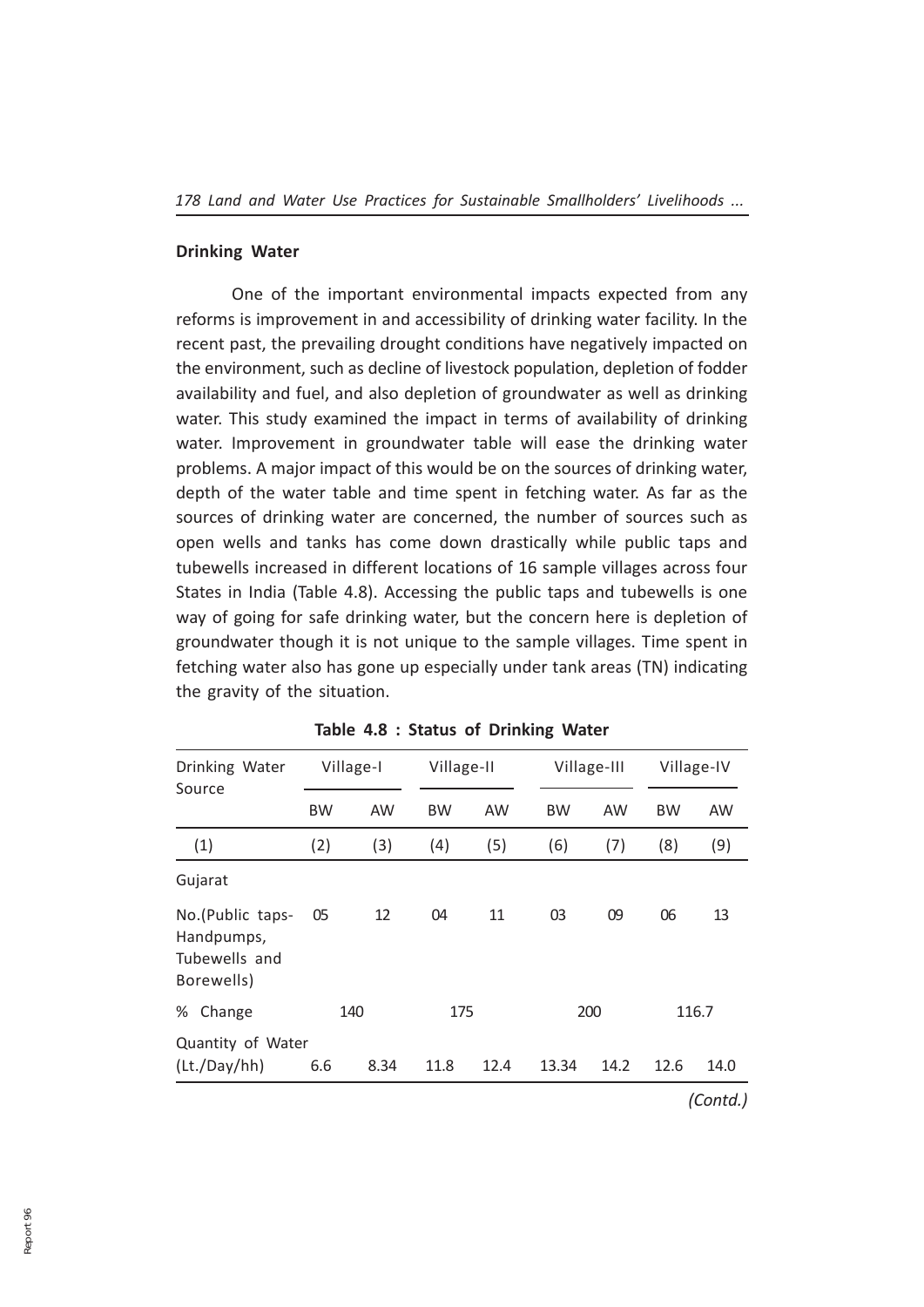#### **Drinking Water**

One of the important environmental impacts expected from any reforms is improvement in and accessibility of drinking water facility. In the recent past, the prevailing drought conditions have negatively impacted on the environment, such as decline of livestock population, depletion of fodder availability and fuel, and also depletion of groundwater as well as drinking water. This study examined the impact in terms of availability of drinking water. Improvement in groundwater table will ease the drinking water problems. A major impact of this would be on the sources of drinking water, depth of the water table and time spent in fetching water. As far as the sources of drinking water are concerned, the number of sources such as open wells and tanks has come down drastically while public taps and tubewells increased in different locations of 16 sample villages across four States in India (Table 4.8). Accessing the public taps and tubewells is one way of going for safe drinking water, but the concern here is depletion of groundwater though it is not unique to the sample villages. Time spent in fetching water also has gone up especially under tank areas (TN) indicating the gravity of the situation.

| Drinking Water                                                | Village-I |           | Village-II |      |           | Village-III | Village-IV |           |
|---------------------------------------------------------------|-----------|-----------|------------|------|-----------|-------------|------------|-----------|
| Source                                                        | <b>BW</b> | <b>AW</b> | <b>BW</b>  | AW   | <b>BW</b> | AW          | <b>BW</b>  | <b>AW</b> |
| (1)                                                           | (2)       | (3)       | (4)        | (5)  | (6)       | (7)         | (8)        | (9)       |
| Gujarat                                                       |           |           |            |      |           |             |            |           |
| No.(Public taps-<br>Handpumps,<br>Tubewells and<br>Borewells) | 12<br>05  |           | 04         | 11   | 03        | 09          | 06         | 13        |
| Change<br>%                                                   | 140       |           | 175        |      | 200       |             | 116.7      |           |
| Quantity of Water<br>(Lt./Day/hh)                             | 6.6       | 8.34      | 11.8       | 12.4 | 13.34     | 14.2        | 12.6       | 14.0      |

|  |  |  |  |  | Table 4.8 : Status of Drinking Water |  |
|--|--|--|--|--|--------------------------------------|--|
|--|--|--|--|--|--------------------------------------|--|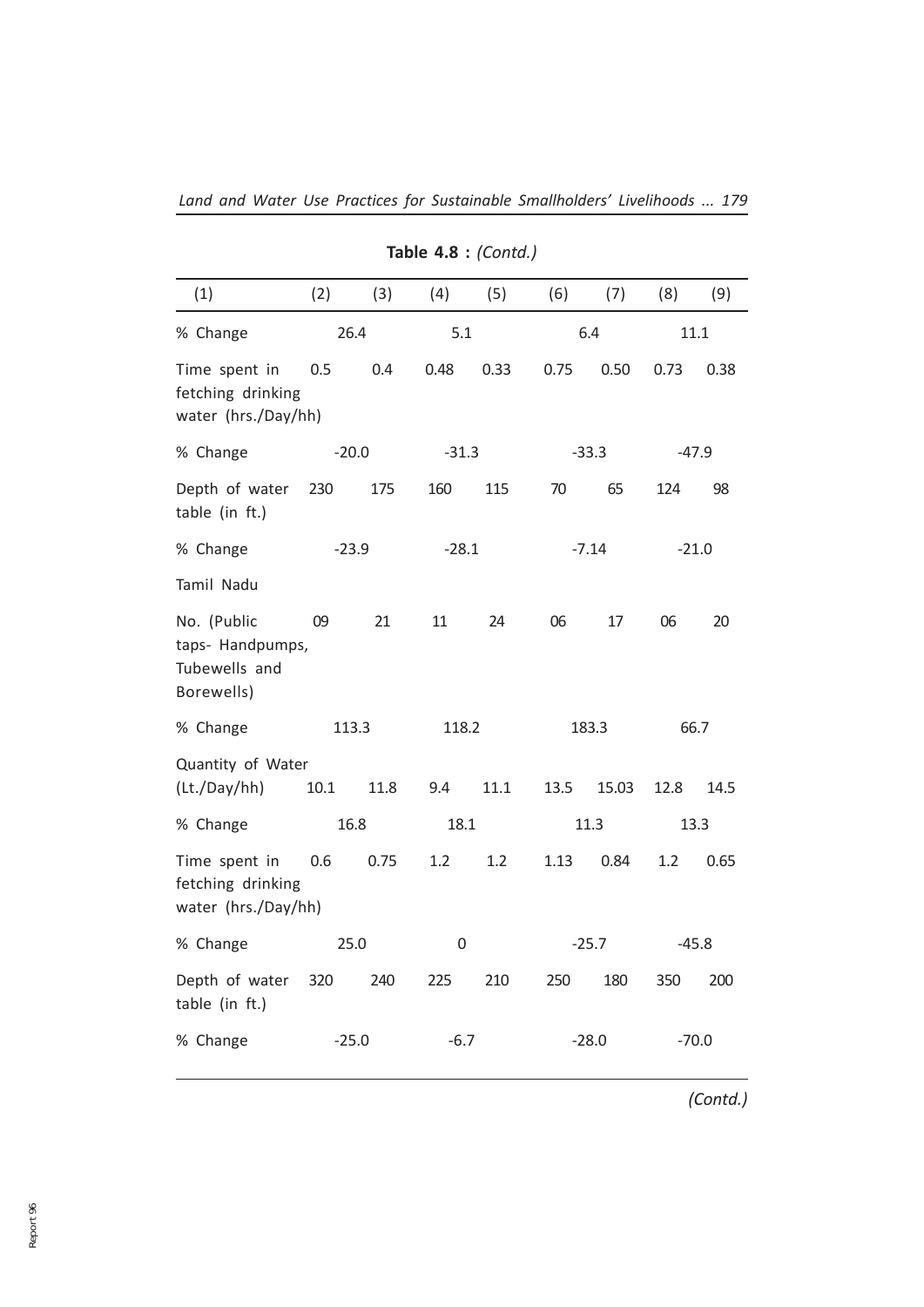| $i$ awic 4.0 . (Conta.)                                        |         |      |                  |      |       |         |         |      |  |  |  |  |
|----------------------------------------------------------------|---------|------|------------------|------|-------|---------|---------|------|--|--|--|--|
| (1)                                                            | (2)     | (3)  | (4)              | (5)  | (6)   | (7)     | (8)     | (9)  |  |  |  |  |
| % Change                                                       | 26.4    |      | 5.1              |      |       | 6.4     |         | 11.1 |  |  |  |  |
| Time spent in<br>fetching drinking<br>water (hrs./Day/hh)      | 0.5     | 0.4  | 0.48<br>0.33     |      | 0.75  | 0.50    | 0.73    | 0.38 |  |  |  |  |
| % Change                                                       | $-20.0$ |      | $-31.3$          |      |       | $-33.3$ | $-47.9$ |      |  |  |  |  |
| Depth of water<br>table (in ft.)                               | 230     | 175  | 160              | 115  | 70    | 65      | 124     | 98   |  |  |  |  |
| % Change                                                       | $-23.9$ |      | $-28.1$          |      |       | $-7.14$ | $-21.0$ |      |  |  |  |  |
| Tamil Nadu                                                     |         |      |                  |      |       |         |         |      |  |  |  |  |
| No. (Public<br>taps- Handpumps,<br>Tubewells and<br>Borewells) | 09      | 21   | 11               | 24   | 06    | 17      | 06      | 20   |  |  |  |  |
| % Change                                                       | 113.3   |      | 118.2            |      | 183.3 |         | 66.7    |      |  |  |  |  |
| Quantity of Water<br>(Lt./Day/hh)                              | 10.1    | 11.8 | 9.4              | 11.1 | 13.5  | 15.03   | 12.8    | 14.5 |  |  |  |  |
| % Change                                                       | 16.8    |      | 18.1             |      |       | 11.3    |         | 13.3 |  |  |  |  |
| Time spent in<br>fetching drinking<br>water (hrs./Day/hh)      | 0.6     | 0.75 | 1.2              | 1.2  | 1.13  | 0.84    | 1.2     | 0.65 |  |  |  |  |
| % Change                                                       | 25.0    |      | $\boldsymbol{0}$ |      |       | $-25.7$ | $-45.8$ |      |  |  |  |  |
| Depth of water<br>table (in ft.)                               | 320     | 240  | 225              | 210  | 250   | 180     | 350     | 200  |  |  |  |  |
| % Change                                                       | $-25.0$ |      | $-6.7$           |      |       | $-28.0$ | $-70.0$ |      |  |  |  |  |

**Table 4.8 :** *(Contd.)*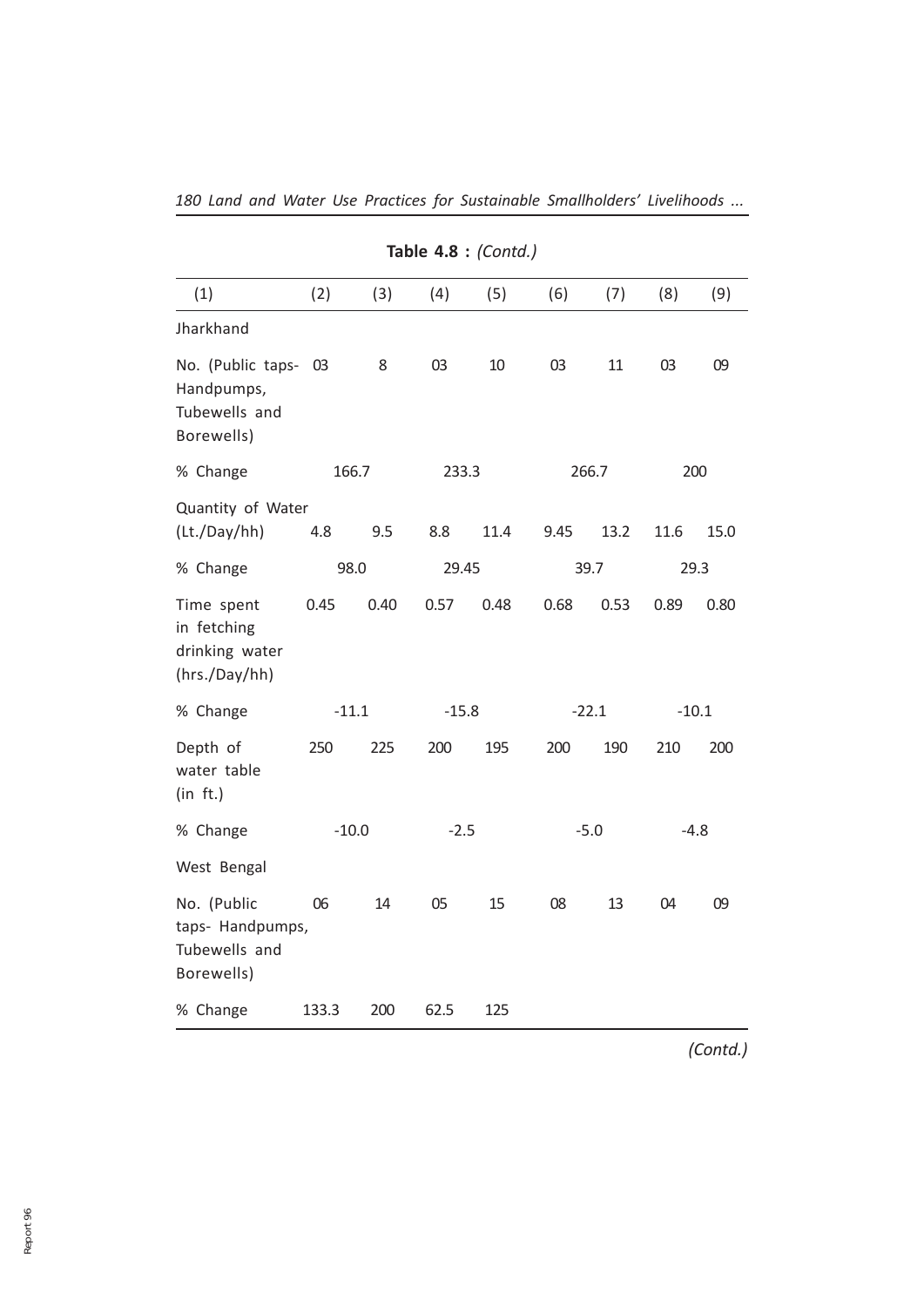|  |  |  |  |  |  |  |  | 180 Land and Water Use Practices for Sustainable Smallholders' Livelihoods |  |  |
|--|--|--|--|--|--|--|--|----------------------------------------------------------------------------|--|--|
|--|--|--|--|--|--|--|--|----------------------------------------------------------------------------|--|--|

|                                                                   | Table 4.8 : (Contd.) |         |        |               |       |         |      |         |  |  |  |  |  |  |
|-------------------------------------------------------------------|----------------------|---------|--------|---------------|-------|---------|------|---------|--|--|--|--|--|--|
| (1)                                                               | (2)                  | (3)     | (4)    | (5)           | (6)   | (7)     | (8)  | (9)     |  |  |  |  |  |  |
| Jharkhand                                                         |                      |         |        |               |       |         |      |         |  |  |  |  |  |  |
| No. (Public taps- 03<br>Handpumps,<br>Tubewells and<br>Borewells) |                      | 8       | 03     | 10            | 03    | 11      | 03   | 09      |  |  |  |  |  |  |
| % Change                                                          |                      | 166.7   | 233.3  |               | 266.7 |         |      | 200     |  |  |  |  |  |  |
| Quantity of Water<br>(Lt./Day/hh)                                 | 4.8                  | 9.5     | 8.8    | 11.4          | 9.45  | 13.2    | 11.6 | 15.0    |  |  |  |  |  |  |
| % Change                                                          |                      | 98.0    |        | 29.45<br>39.7 |       |         | 29.3 |         |  |  |  |  |  |  |
| Time spent<br>in fetching<br>drinking water<br>(hrs./Day/hh)      | 0.45                 | 0.40    | 0.57   | 0.48          | 0.68  | 0.53    | 0.89 | 0.80    |  |  |  |  |  |  |
| % Change                                                          | $-11.1$              |         |        | $-15.8$       |       | $-22.1$ |      | $-10.1$ |  |  |  |  |  |  |
| Depth of<br>water table<br>(in ft.)                               | 250                  | 225     | 200    | 195           | 200   | 190     | 210  | 200     |  |  |  |  |  |  |
| % Change                                                          |                      | $-10.0$ | $-2.5$ |               |       | $-5.0$  |      | $-4.8$  |  |  |  |  |  |  |
| West Bengal                                                       |                      |         |        |               |       |         |      |         |  |  |  |  |  |  |
| No. (Public<br>taps- Handpumps,<br>Tubewells and<br>Borewells)    | 06                   | 14      | 05     | 15            | 08    | 13      | 04   | 09      |  |  |  |  |  |  |
| % Change                                                          | 133.3                | 200     | 62.5   | 125           |       |         |      |         |  |  |  |  |  |  |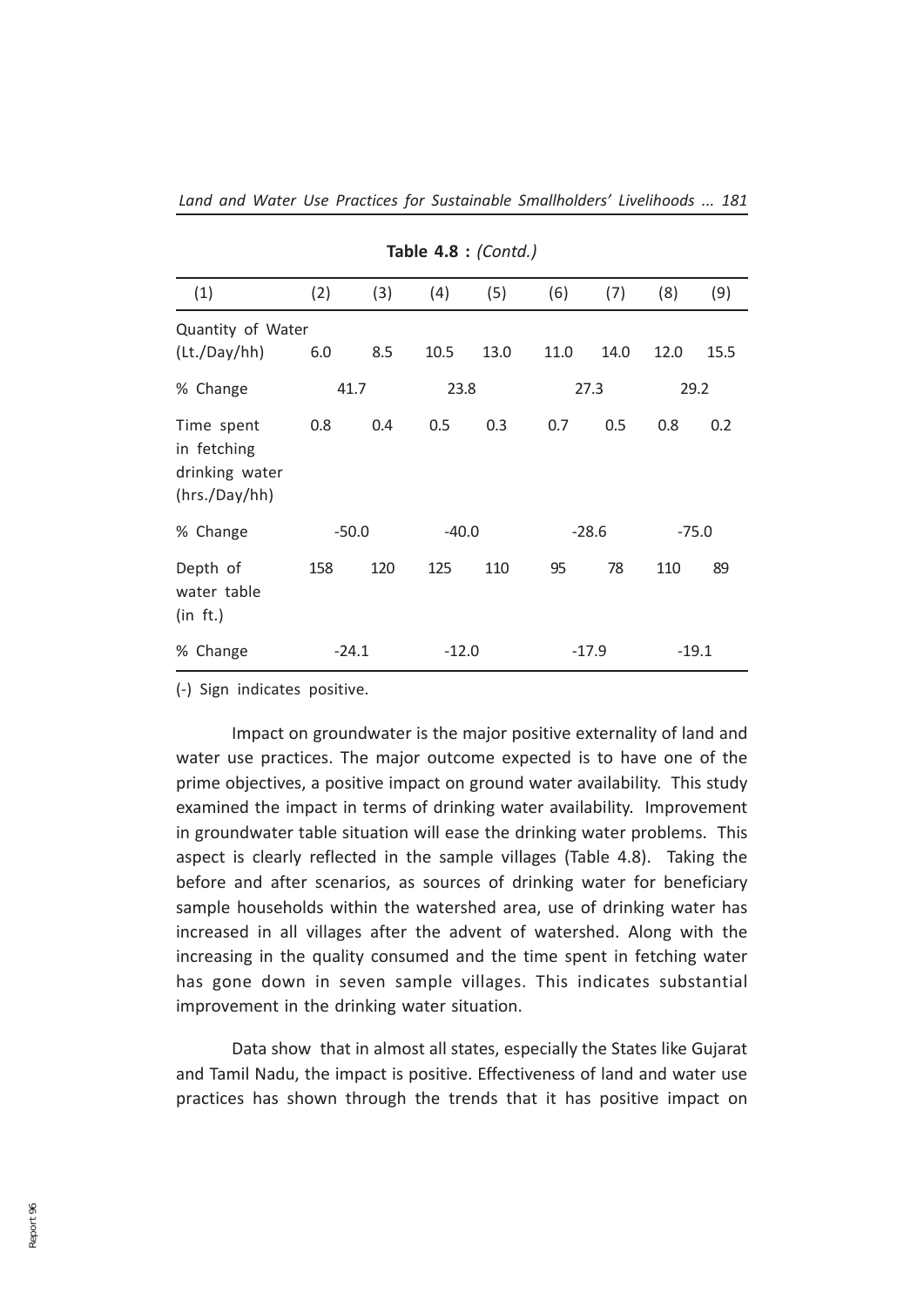|                                                              |     |         |         | $1$ and $4.0$ . $1$ Control $1$ |      |         |      |         |
|--------------------------------------------------------------|-----|---------|---------|---------------------------------|------|---------|------|---------|
| (1)                                                          | (2) | (3)     | (4)     | (5)                             | (6)  | (7)     | (8)  | (9)     |
| Quantity of Water                                            |     |         |         |                                 |      |         |      |         |
| (Lt./Day/hh)                                                 | 6.0 | 8.5     | 10.5    | 13.0                            | 11.0 | 14.0    | 12.0 | 15.5    |
| % Change                                                     |     | 41.7    | 23.8    |                                 |      | 27.3    |      | 29.2    |
| Time spent<br>in fetching<br>drinking water<br>(hrs./Day/hh) | 0.8 | 0.4     | 0.5     | 0.3                             | 0.7  | 0.5     | 0.8  | 0.2     |
| % Change                                                     |     | $-50.0$ | $-40.0$ |                                 |      | $-28.6$ |      | $-75.0$ |
| Depth of<br>water table<br>(in ft.)                          | 158 | 120     | 125     | 110                             | 95   | 78      | 110  | 89      |
| % Change                                                     |     | $-24.1$ | $-12.0$ |                                 |      | $-17.9$ |      | $-19.1$ |

**Table 4.8 :** *(Contd.)*

(-) Sign indicates positive.

Impact on groundwater is the major positive externality of land and water use practices. The major outcome expected is to have one of the prime objectives, a positive impact on ground water availability. This study examined the impact in terms of drinking water availability. Improvement in groundwater table situation will ease the drinking water problems. This aspect is clearly reflected in the sample villages (Table 4.8). Taking the before and after scenarios, as sources of drinking water for beneficiary sample households within the watershed area, use of drinking water has increased in all villages after the advent of watershed. Along with the increasing in the quality consumed and the time spent in fetching water has gone down in seven sample villages. This indicates substantial improvement in the drinking water situation.

Data show that in almost all states, especially the States like Gujarat and Tamil Nadu, the impact is positive. Effectiveness of land and water use practices has shown through the trends that it has positive impact on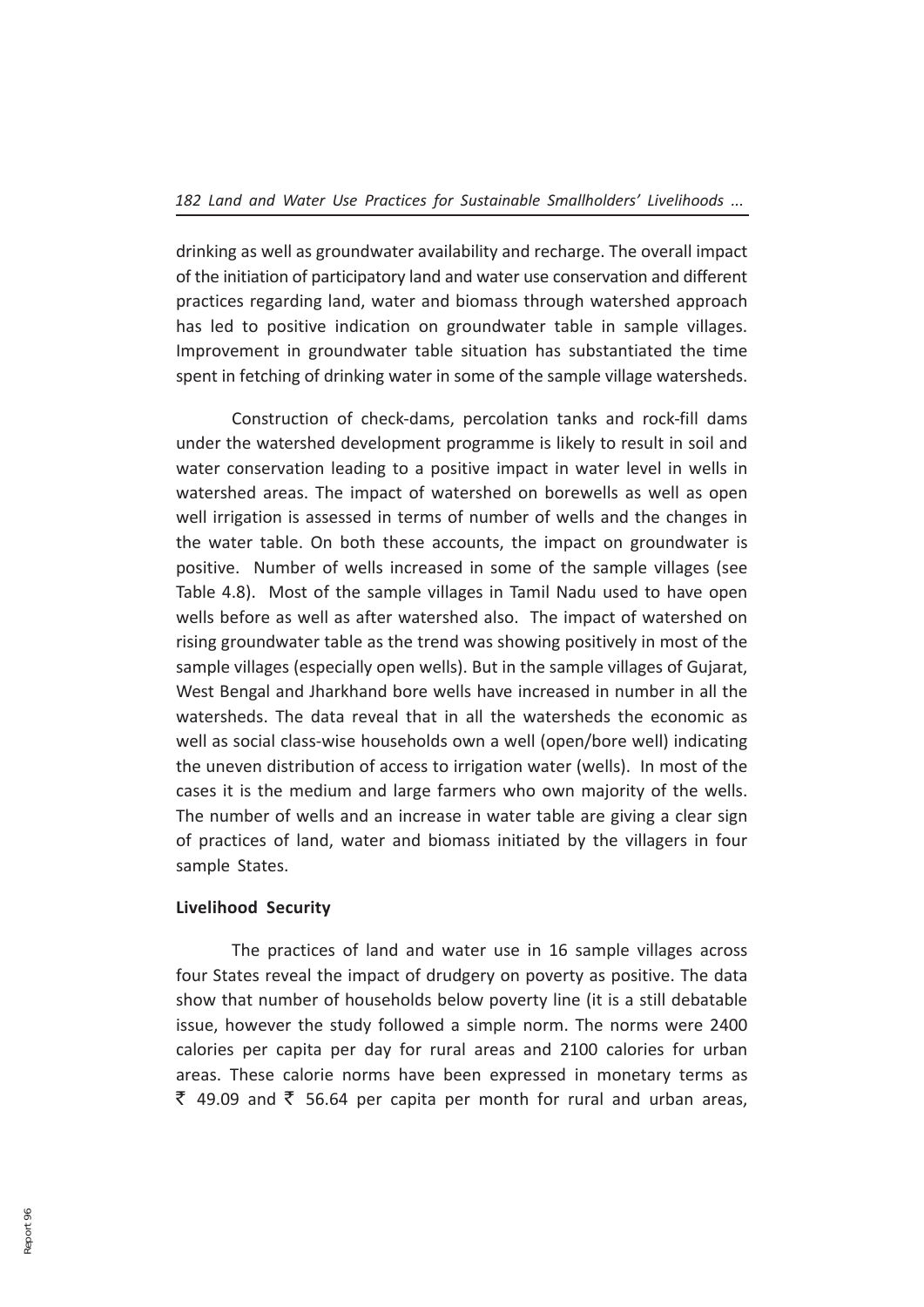drinking as well as groundwater availability and recharge. The overall impact of the initiation of participatory land and water use conservation and different practices regarding land, water and biomass through watershed approach has led to positive indication on groundwater table in sample villages. Improvement in groundwater table situation has substantiated the time spent in fetching of drinking water in some of the sample village watersheds.

Construction of check-dams, percolation tanks and rock-fill dams under the watershed development programme is likely to result in soil and water conservation leading to a positive impact in water level in wells in watershed areas. The impact of watershed on borewells as well as open well irrigation is assessed in terms of number of wells and the changes in the water table. On both these accounts, the impact on groundwater is positive. Number of wells increased in some of the sample villages (see Table 4.8). Most of the sample villages in Tamil Nadu used to have open wells before as well as after watershed also. The impact of watershed on rising groundwater table as the trend was showing positively in most of the sample villages (especially open wells). But in the sample villages of Gujarat, West Bengal and Jharkhand bore wells have increased in number in all the watersheds. The data reveal that in all the watersheds the economic as well as social class-wise households own a well (open/bore well) indicating the uneven distribution of access to irrigation water (wells). In most of the cases it is the medium and large farmers who own majority of the wells. The number of wells and an increase in water table are giving a clear sign of practices of land, water and biomass initiated by the villagers in four sample States.

### **Livelihood Security**

The practices of land and water use in 16 sample villages across four States reveal the impact of drudgery on poverty as positive. The data show that number of households below poverty line (it is a still debatable issue, however the study followed a simple norm. The norms were 2400 calories per capita per day for rural areas and 2100 calories for urban areas. These calorie norms have been expressed in monetary terms as ₹ 49.09 and ₹ 56.64 per capita per month for rural and urban areas,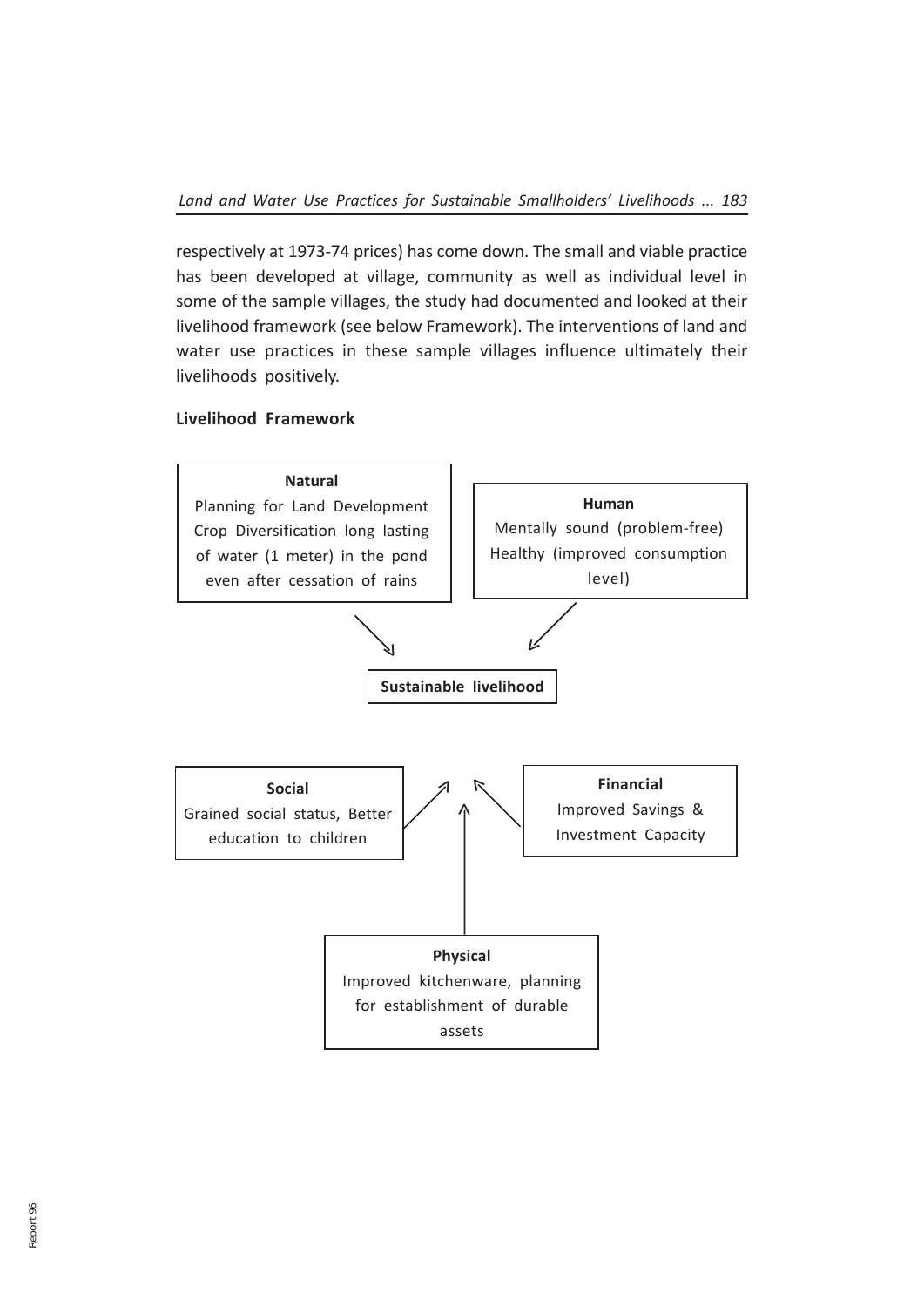respectively at 1973-74 prices) has come down. The small and viable practice has been developed at village, community as well as individual level in some of the sample villages, the study had documented and looked at their livelihood framework (see below Framework). The interventions of land and water use practices in these sample villages influence ultimately their livelihoods positively.

### **Livelihood Framework**



Report 96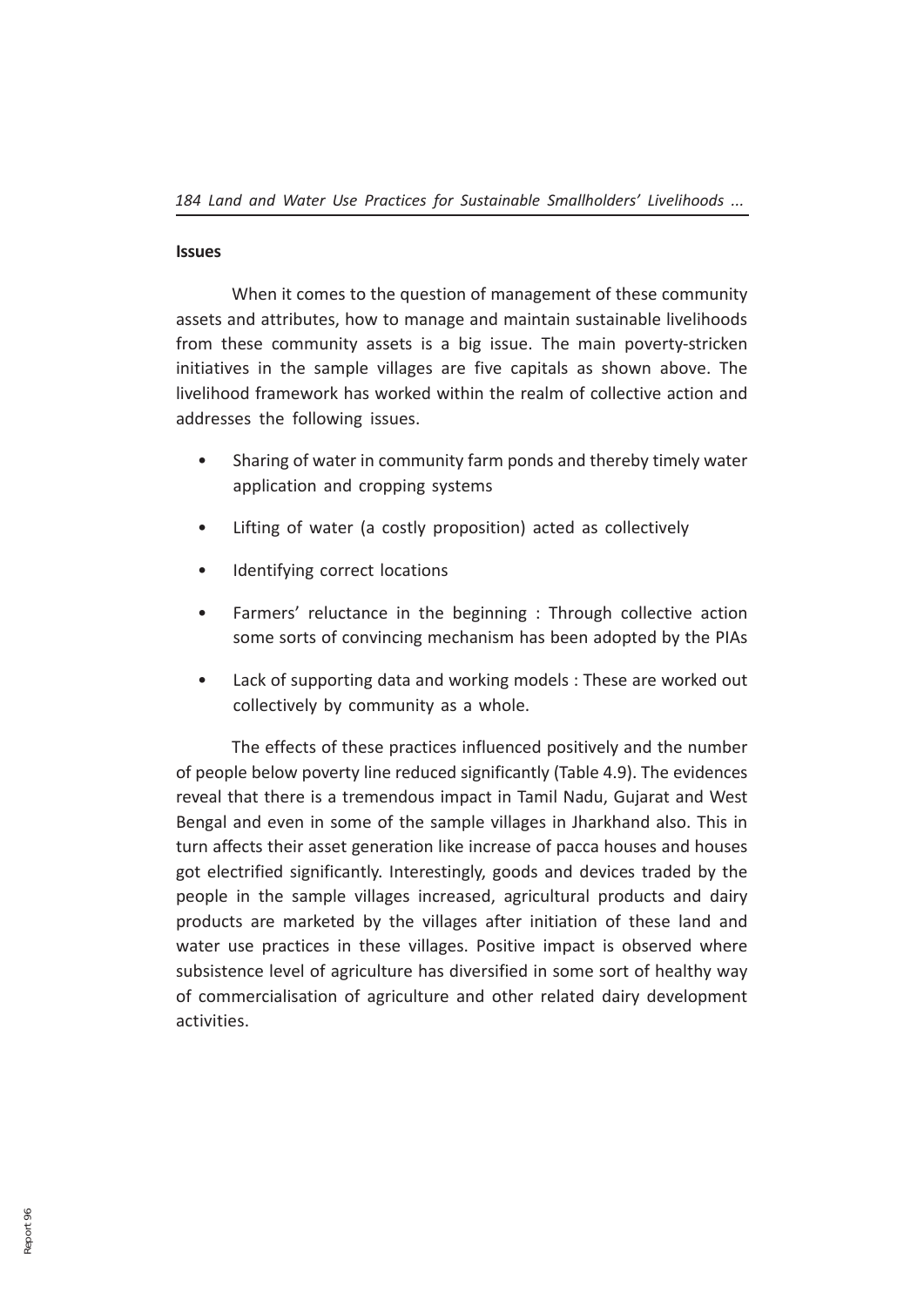### **Issues**

When it comes to the question of management of these community assets and attributes, how to manage and maintain sustainable livelihoods from these community assets is a big issue. The main poverty-stricken initiatives in the sample villages are five capitals as shown above. The livelihood framework has worked within the realm of collective action and addresses the following issues.

- Sharing of water in community farm ponds and thereby timely water application and cropping systems
- Lifting of water (a costly proposition) acted as collectively
- Identifying correct locations
- Farmers' reluctance in the beginning : Through collective action some sorts of convincing mechanism has been adopted by the PIAs
- Lack of supporting data and working models : These are worked out collectively by community as a whole.

The effects of these practices influenced positively and the number of people below poverty line reduced significantly (Table 4.9). The evidences reveal that there is a tremendous impact in Tamil Nadu, Gujarat and West Bengal and even in some of the sample villages in Jharkhand also. This in turn affects their asset generation like increase of pacca houses and houses got electrified significantly. Interestingly, goods and devices traded by the people in the sample villages increased, agricultural products and dairy products are marketed by the villages after initiation of these land and water use practices in these villages. Positive impact is observed where subsistence level of agriculture has diversified in some sort of healthy way of commercialisation of agriculture and other related dairy development activities.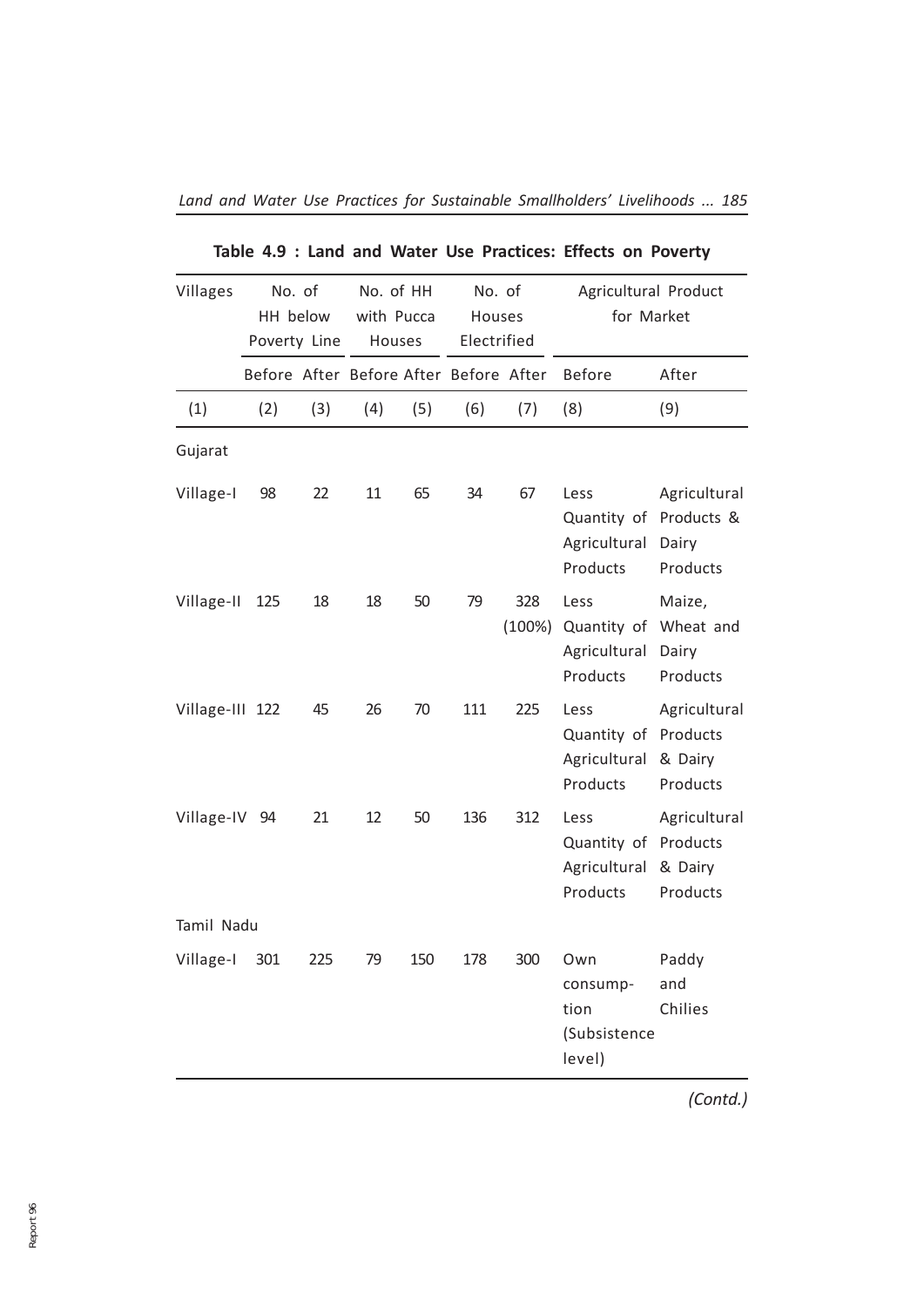| Villages        | No. of<br>HH below<br>Poverty Line |     | No. of HH<br>with Pucca<br><b>Houses</b> |     | No. of<br>Houses<br>Electrified        |               | Agricultural Product<br>for Market                         |                                     |
|-----------------|------------------------------------|-----|------------------------------------------|-----|----------------------------------------|---------------|------------------------------------------------------------|-------------------------------------|
|                 |                                    |     |                                          |     | Before After Before After Before After |               | <b>Before</b>                                              | After                               |
| (1)             | (2)                                | (3) | (4)                                      | (5) | (6)                                    | (7)           | (8)                                                        | (9)                                 |
| Gujarat         |                                    |     |                                          |     |                                        |               |                                                            |                                     |
| Village-I       | 98                                 | 22  | 11                                       | 65  | 34                                     | 67            | Less<br>Quantity of Products &<br>Agricultural<br>Products | Agricultural<br>Dairy<br>Products   |
| Village-II      | 125                                | 18  | 18                                       | 50  | 79                                     | 328<br>(100%) | Less<br>Quantity of Wheat and<br>Agricultural<br>Products  | Maize,<br>Dairy<br>Products         |
| Village-III 122 |                                    | 45  | 26                                       | 70  | 111                                    | 225           | Less<br>Quantity of Products<br>Agricultural<br>Products   | Agricultural<br>& Dairy<br>Products |
| Village-IV      | 94                                 | 21  | 12                                       | 50  | 136                                    | 312           | Less<br>Quantity of Products<br>Agricultural<br>Products   | Agricultural<br>& Dairy<br>Products |
| Tamil Nadu      |                                    |     |                                          |     |                                        |               |                                                            |                                     |
| Village-I       | 301                                | 225 | 79                                       | 150 | 178                                    | 300           | Own<br>consump-<br>tion<br>(Subsistence<br>level)          | Paddy<br>and<br>Chilies             |

**Table 4.9 : Land and Water Use Practices: Effects on Poverty**

*(Contd.)*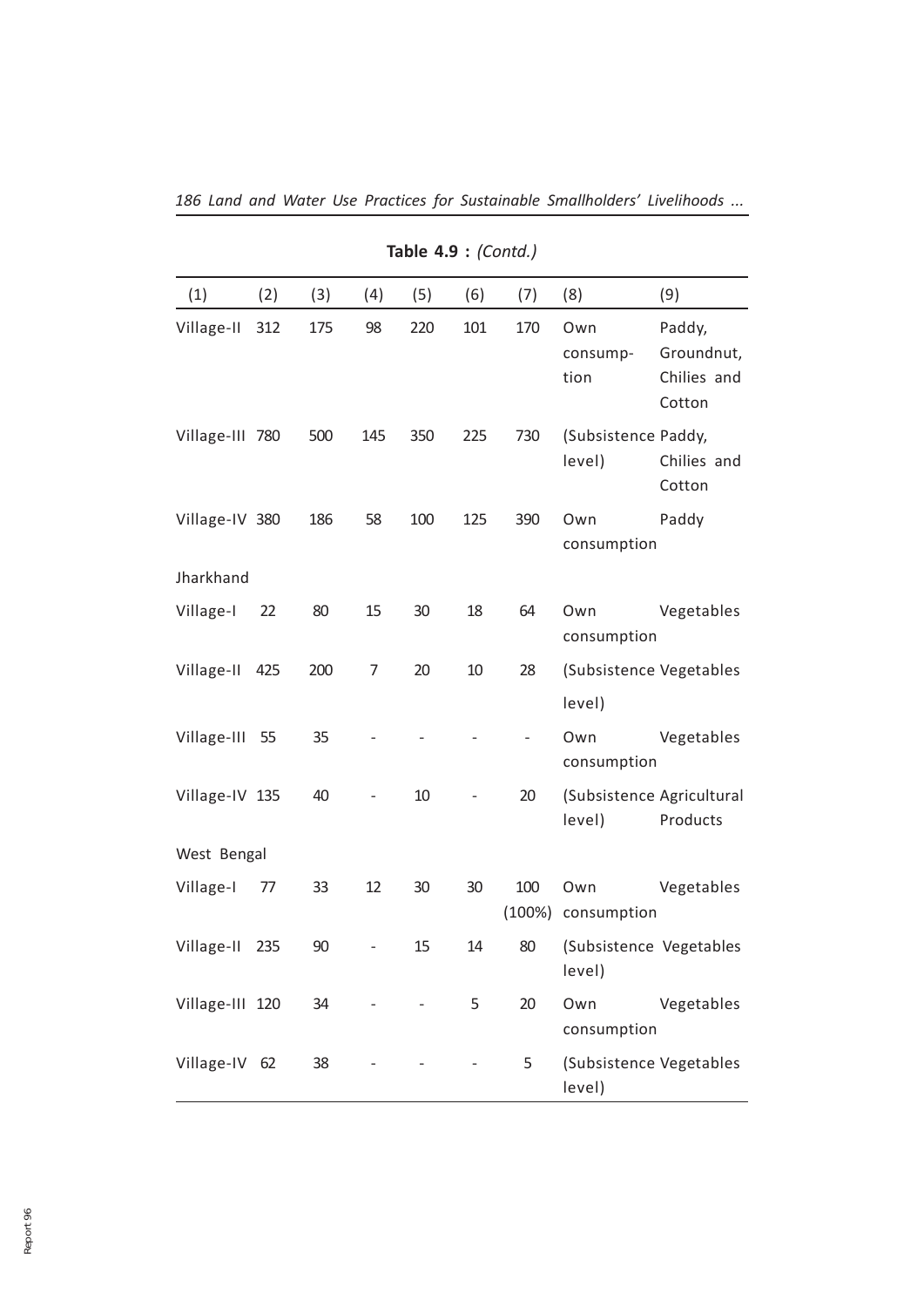| (1)             | (2) | (3) | (4) | (5) | (6) | (7)                      | (8)                                 | (9)                                           |
|-----------------|-----|-----|-----|-----|-----|--------------------------|-------------------------------------|-----------------------------------------------|
| Village-II      | 312 | 175 | 98  | 220 | 101 | 170                      | Own<br>consump-<br>tion             | Paddy,<br>Groundnut,<br>Chilies and<br>Cotton |
| Village-III 780 |     | 500 | 145 | 350 | 225 | 730                      | (Subsistence Paddy,<br>level)       | Chilies and<br>Cotton                         |
| Village-IV 380  |     | 186 | 58  | 100 | 125 | 390                      | Own<br>consumption                  | Paddy                                         |
| Jharkhand       |     |     |     |     |     |                          |                                     |                                               |
| Village-I       | 22  | 80  | 15  | 30  | 18  | 64                       | Own<br>consumption                  | Vegetables                                    |
| Village-II 425  |     | 200 | 7   | 20  | 10  | 28                       | (Subsistence Vegetables             |                                               |
|                 |     |     |     |     |     |                          | level)                              |                                               |
| Village-III 55  |     | 35  |     |     |     | $\overline{\phantom{0}}$ | Own<br>consumption                  | Vegetables                                    |
| Village-IV 135  |     | 40  |     | 10  |     | 20                       | (Subsistence Agricultural<br>level) | Products                                      |
| West Bengal     |     |     |     |     |     |                          |                                     |                                               |
| Village-I       | 77  | 33  | 12  | 30  | 30  | 100<br>(100%)            | Own<br>consumption                  | Vegetables                                    |
| Village-II      | 235 | 90  |     | 15  | 14  | 80                       | (Subsistence Vegetables<br>level)   |                                               |
| Village-III 120 |     | 34  |     |     | 5   | 20                       | Own<br>consumption                  | Vegetables                                    |
| Village-IV 62   |     | 38  |     |     |     | 5                        | (Subsistence Vegetables<br>level)   |                                               |

**Table 4.9 :** *(Contd.)*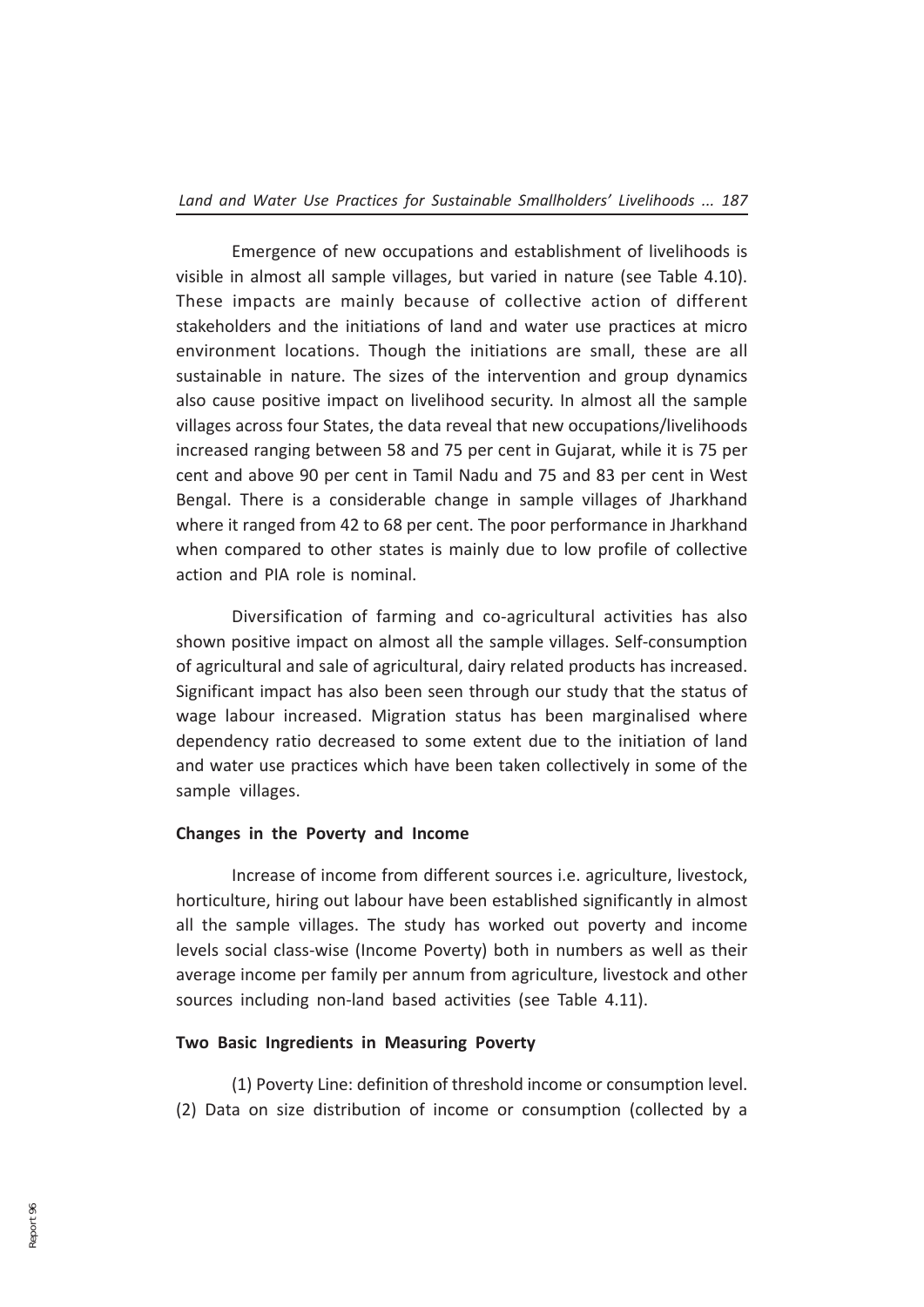Emergence of new occupations and establishment of livelihoods is visible in almost all sample villages, but varied in nature (see Table 4.10). These impacts are mainly because of collective action of different stakeholders and the initiations of land and water use practices at micro environment locations. Though the initiations are small, these are all sustainable in nature. The sizes of the intervention and group dynamics also cause positive impact on livelihood security. In almost all the sample villages across four States, the data reveal that new occupations/livelihoods increased ranging between 58 and 75 per cent in Gujarat, while it is 75 per cent and above 90 per cent in Tamil Nadu and 75 and 83 per cent in West Bengal. There is a considerable change in sample villages of Jharkhand where it ranged from 42 to 68 per cent. The poor performance in Jharkhand when compared to other states is mainly due to low profile of collective action and PIA role is nominal.

Diversification of farming and co-agricultural activities has also shown positive impact on almost all the sample villages. Self-consumption of agricultural and sale of agricultural, dairy related products has increased. Significant impact has also been seen through our study that the status of wage labour increased. Migration status has been marginalised where dependency ratio decreased to some extent due to the initiation of land and water use practices which have been taken collectively in some of the sample villages.

### **Changes in the Poverty and Income**

Increase of income from different sources i.e. agriculture, livestock, horticulture, hiring out labour have been established significantly in almost all the sample villages. The study has worked out poverty and income levels social class-wise (Income Poverty) both in numbers as well as their average income per family per annum from agriculture, livestock and other sources including non-land based activities (see Table 4.11).

### **Two Basic Ingredients in Measuring Poverty**

(1) Poverty Line: definition of threshold income or consumption level. (2) Data on size distribution of income or consumption (collected by a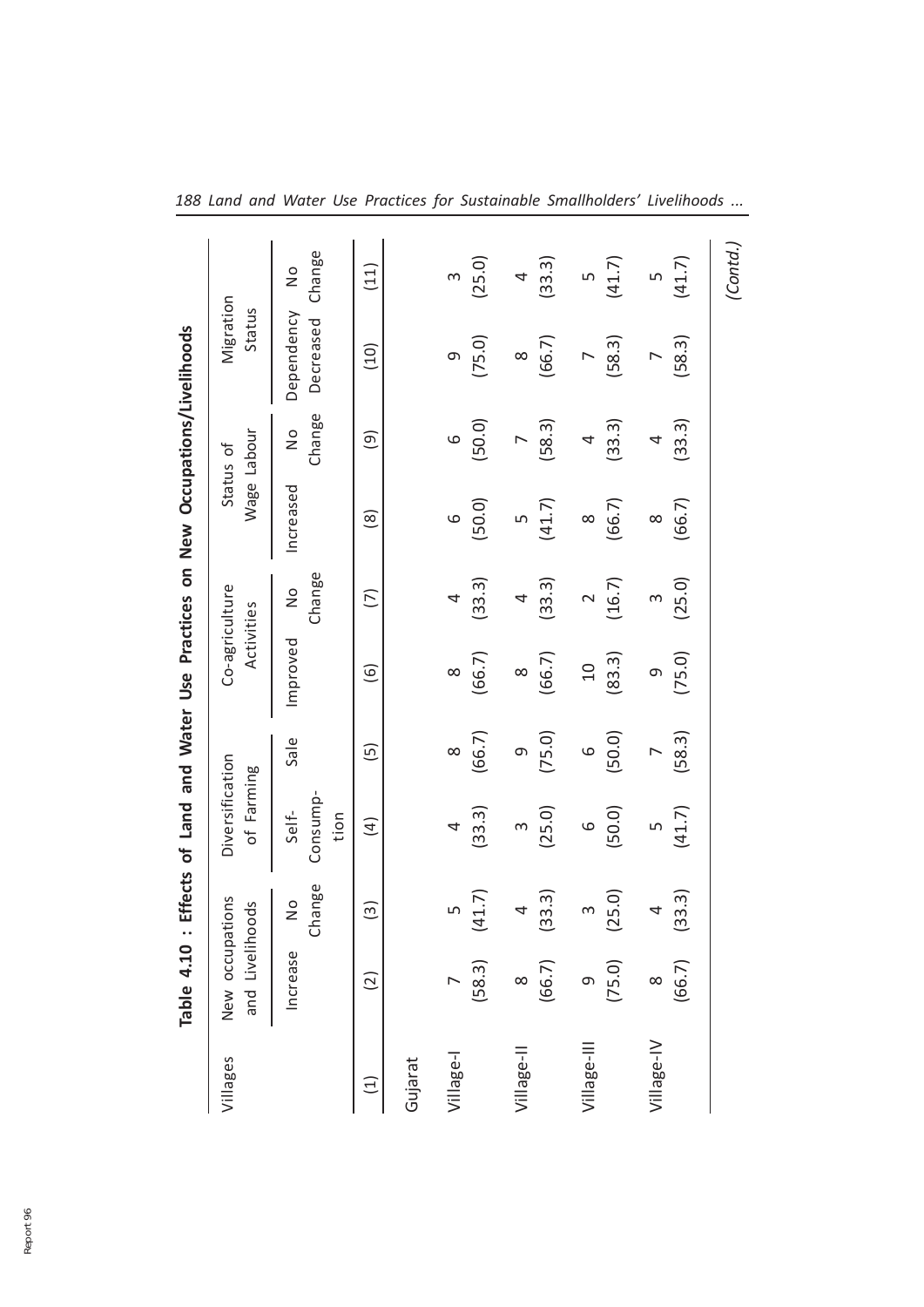|                           | Table 4.10 :                    |                         |                               |                    | Effects of Land and Water Use Practices on New Occupations/Livelihoods |                             |                    |                            |                                    |                         |
|---------------------------|---------------------------------|-------------------------|-------------------------------|--------------------|------------------------------------------------------------------------|-----------------------------|--------------------|----------------------------|------------------------------------|-------------------------|
| Villages                  | New occupations<br>and Liveliho | ads                     | Diversification<br>of Farming |                    | Co-agriculture<br>Activities                                           |                             |                    | Wage Labour<br>Status of   | Migration<br>Status                |                         |
|                           | Increase                        | Change<br>$\frac{1}{2}$ | Consump-<br>$S$ elf-<br>tion  | Sale               | Improved                                                               | Change<br>$\frac{1}{2}$     | Increased          | Change<br>$\frac{1}{2}$    | Dependency<br>Decreased            | Change<br>$\frac{1}{2}$ |
| $\widetilde{\mathcal{H}}$ | $\widetilde{\Omega}$            | $\widehat{S}$           | $\left( 4\right)$             | $\widetilde{5}$    | $\overline{6}$                                                         | $\widehat{\subset}$         | $\circled{s}$      | ම                          | (10)                               | (11)                    |
| Gujarat                   |                                 |                         |                               |                    |                                                                        |                             |                    |                            |                                    |                         |
| Village-I                 | (58.3)                          | (41.7)<br>ഥ             | (33.3)<br>4                   | (66.7)<br>$\infty$ | (66.7)<br>$\infty$                                                     | (33.3)<br>4                 | (50.0)<br>$\circ$  | (50.0)<br>$\circ$          | (75.0)<br>$\sigma$                 | (25.0)<br>3             |
| Village-II                | (66.7)<br>$\infty$              | 33.3<br>4               | (25.0)<br>$\infty$            | (75.0)<br>G        | (66.7)<br>$\infty$                                                     | (33.3)<br>4                 | (41.7)<br>LN       | (58.3)<br>$\triangleright$ | (66.7)<br>$\infty$                 | (33.3)<br>4             |
| Village-III               | (75.0)<br>O                     | (25.0)<br>S             | (50.0)<br>$\circ$             | (50.0)<br>$\circ$  | (83.3)<br>$\Omega$                                                     | (16.7)<br>$\mathbf{\Omega}$ | (66.7)<br>$\infty$ | (33.3)<br>4                | (58.3)<br>$\overline{\phantom{0}}$ | (41.7)<br>LŊ            |
| Village-IV                | (66.7)<br>$\infty$              | (33.3)<br>4             | (41.7)<br>Б                   | (58.3)             | (75.0)<br>$\sigma$                                                     | (25.0)<br>3                 | (66.7)<br>$\infty$ | (33.3)<br>4                | (58.3)<br>$\overline{ }$           | (41.7)<br>LN            |
|                           |                                 |                         |                               |                    |                                                                        |                             |                    |                            |                                    | (Contd.)                |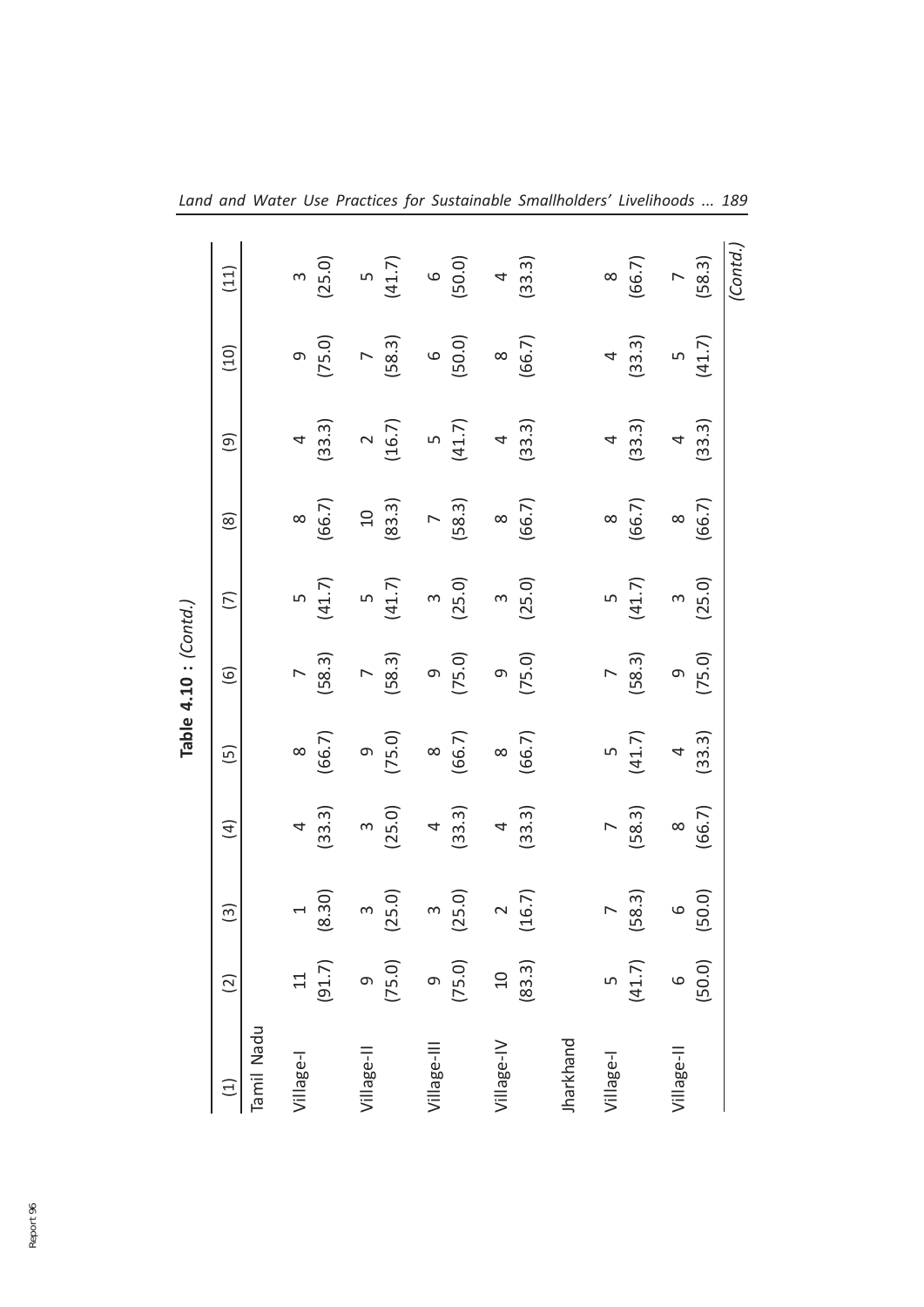|                          |                           |                                           |                          | <b>Table</b>                       | 4.10: (Contd.)     |                                           |                                            |                                                |                          |                                                         |
|--------------------------|---------------------------|-------------------------------------------|--------------------------|------------------------------------|--------------------|-------------------------------------------|--------------------------------------------|------------------------------------------------|--------------------------|---------------------------------------------------------|
| $\overline{\phantom{0}}$ | (2)                       | $\left( \frac{3}{2} \right)$              | $\left(4\right)$         | $\widetilde{5}$                    | $\overline{6}$     | $(\bar{z})$                               | $\left( 8\right)$                          | $\left( \begin{matrix} 9 \end{matrix} \right)$ | (10)                     | (11)                                                    |
| Tamil Nadu               |                           |                                           |                          |                                    |                    |                                           |                                            |                                                |                          |                                                         |
| Village-I                | (91.7)<br>$\overline{11}$ | $\begin{pmatrix} 1 \\ 8.30 \end{pmatrix}$ | (33.3)<br>$\overline{a}$ | (66.7)<br>$\infty$                 | (58.3)             | $\frac{5}{(41.7)}$                        | (66.7)<br>$\infty$                         | (33.3)<br>$\overline{a}$                       | (75.0)<br>$\sigma$       |                                                         |
| Village-II               | (75.0)                    | (25.0)                                    | (25.0)<br>$\infty$       | (75.0)                             | (58.3)             | $\begin{pmatrix} 5 \\ 41.7 \end{pmatrix}$ | $\begin{pmatrix} 10 \\ 83.3 \end{pmatrix}$ | $\frac{2}{(16.7)}$                             | $7$<br>(58.3)            | $(25.0)$<br>$(5.0)$<br>$(41.7)$<br>$(50.0)$<br>$(50.0)$ |
| Village-III              | (75.0)                    | (25.0)                                    | (33.3)<br>$\overline{a}$ | (66.7)                             | (75.0)             | (25.0)                                    | $7$<br>(58.3)                              | $\begin{pmatrix} 5 \\ 41.7 \end{pmatrix}$      | (50.0)<br>$\circ$        |                                                         |
| Village-IV               | (83.3)<br>$\frac{1}{2}$   | $\frac{2}{(16.7)}$                        | (33.3)<br>$\overline{a}$ | (66.7)<br>$\infty$                 | (75.0)<br>$\circ$  | $\frac{3}{(25.0)}$                        | (66.7)                                     | (33.3)<br>$\overline{a}$                       | (66.7)<br>$\infty$       | (33.3)                                                  |
| Jharkhand                |                           |                                           |                          |                                    |                    |                                           |                                            |                                                |                          |                                                         |
| Village-I                | (41.7)                    | $7$<br>(58.3)                             | (58.3)                   | (41.7)<br>L                        | $7$<br>(58.3)      | $\begin{pmatrix} 5 \\ 41.7 \end{pmatrix}$ | (66.7)<br>$\infty$                         | $\begin{pmatrix} 4 \\ 33.3 \end{pmatrix}$      | (33.3)<br>$\overline{a}$ |                                                         |
| Village-II               | (50.0)<br>$\circ$         | (50.0)<br>$\mathsf \omega$                | (66.7)<br>$\infty$       | (33.3)<br>$\overline{\phantom{a}}$ | (75.0)<br>$\sigma$ | $\frac{3}{(25.0)}$                        | (66.7)                                     | (33.3)<br>$\overline{a}$                       | (41.7)<br>$\overline{a}$ | $(66.7)$<br>$7$<br>$(58.3)$                             |
|                          |                           |                                           |                          |                                    |                    |                                           |                                            |                                                |                          | (Const.)                                                |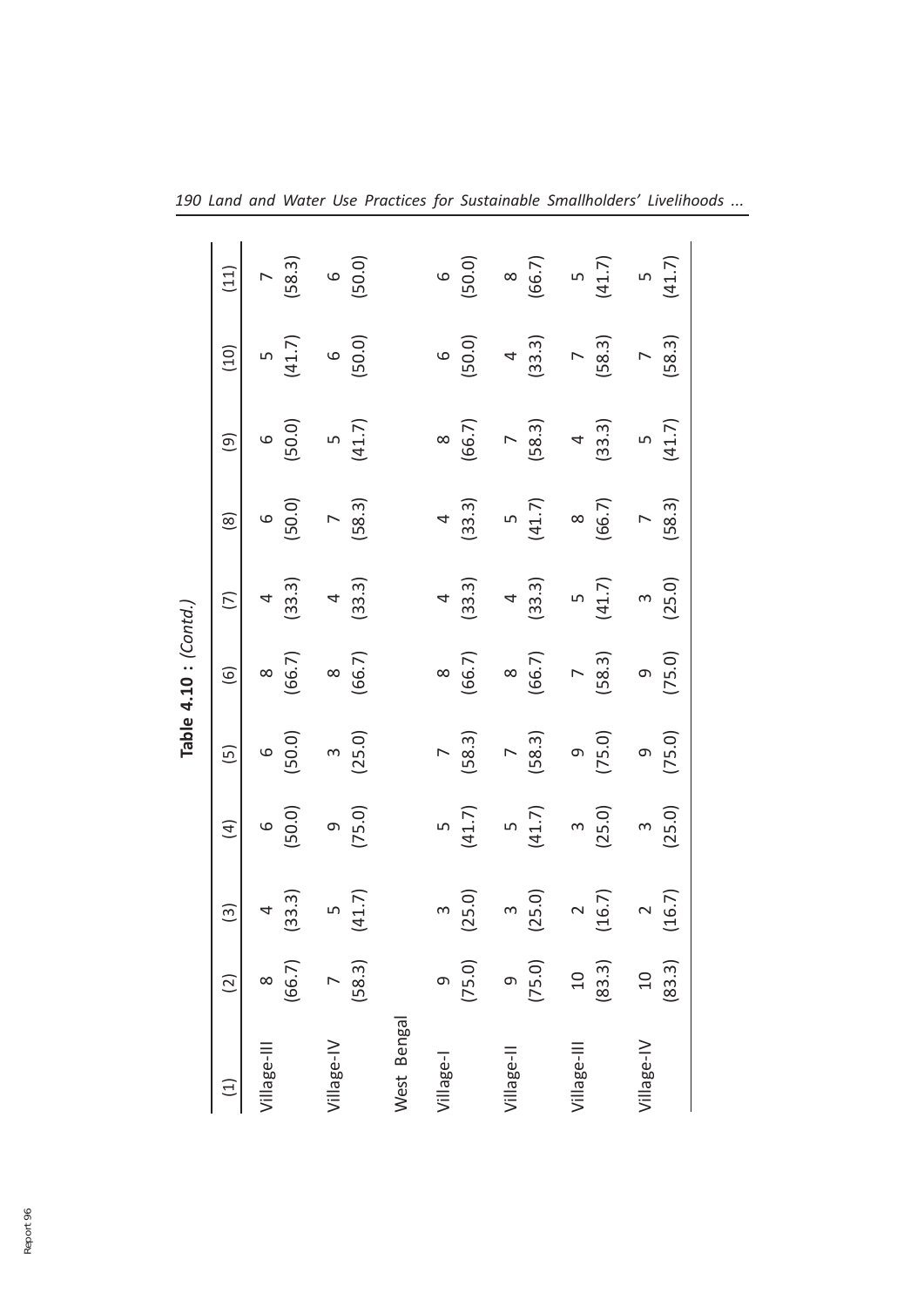|                    |                    |                                                                                                |                                                                                                                                   | Table                                                                                                   |                                                                 | (Contd.)                                                                       |                                                                                       |                                                                                                  |                                                                        |                                                                                                         |
|--------------------|--------------------|------------------------------------------------------------------------------------------------|-----------------------------------------------------------------------------------------------------------------------------------|---------------------------------------------------------------------------------------------------------|-----------------------------------------------------------------|--------------------------------------------------------------------------------|---------------------------------------------------------------------------------------|--------------------------------------------------------------------------------------------------|------------------------------------------------------------------------|---------------------------------------------------------------------------------------------------------|
|                    | $\widehat{\Omega}$ |                                                                                                |                                                                                                                                   |                                                                                                         |                                                                 |                                                                                |                                                                                       |                                                                                                  |                                                                        |                                                                                                         |
| illage-III         | (66.7)             | $\begin{array}{c c}\n (3) \\  & 4 \\  (33.3) \\  & 5 \\  (41.7)\n\end{array}$                  | $\begin{array}{c cc}\n\text{(4)} & \text{(50.0)} & \text{(50.0)} \\ \text{(50.0)} & \text{(50.0)} & \text{(50.0)} \\ \end{array}$ | $\begin{array}{c cc}\n(5) & & & \\ 6 & 6 & & \\ (50.0) & & & \\ & & 3 & \\ (25.0) & & & \\ \end{array}$ | (6)<br>8<br>(66.7)<br>8<br>8<br>(66.7)                          | $\begin{array}{c cc}\n\hline\n12 \\ \hline\n43.3 \\ \hline\n33.3\n\end{array}$ | $\begin{array}{c cc}\n & 6 & \\ 6 & 6 & \\  & 7 & \\  & 7 & \\  & 8 & 3\n\end{array}$ | $\begin{array}{c cc}\n(9) & & & \\ 6 & & & \\ (50.0) & & & \\  & & 5 & \\  & & & 5\n\end{array}$ | $(10)$<br>$5$<br>$(41.7)$<br>$6$<br>$(50.0)$                           | $\begin{array}{c cc}\n & & 111 \\  & 7 & \\  & 58.3 & \\  & 6 & \\  & 6 & \\  & 150.0 & \\ \end{array}$ |
| illage-IV          | (58.3)             |                                                                                                |                                                                                                                                   |                                                                                                         |                                                                 |                                                                                |                                                                                       |                                                                                                  |                                                                        |                                                                                                         |
| <b>Nest Bengal</b> |                    |                                                                                                |                                                                                                                                   |                                                                                                         |                                                                 |                                                                                |                                                                                       |                                                                                                  |                                                                        |                                                                                                         |
| l-agelli/          | (75.0)             |                                                                                                |                                                                                                                                   |                                                                                                         |                                                                 |                                                                                |                                                                                       |                                                                                                  |                                                                        |                                                                                                         |
| Il-əgelli'         | (75.0)<br>တ        |                                                                                                |                                                                                                                                   |                                                                                                         |                                                                 |                                                                                |                                                                                       |                                                                                                  |                                                                        |                                                                                                         |
| Village-III        | (83.3)<br>S        | $\begin{array}{cc}\n 3 \\  (25.0) \\  & 3 \\  (25.0) \\  & 2 \\  (16.7) \\  & 2\n \end{array}$ | $(41.7)$<br>$(5)$<br>$(5)$<br>$(41.7)$<br>$(25.0)$<br>$(25.0)$                                                                    | $(58.3)$<br>$(58.3)$<br>$(58.3)$<br>$(75.0)$<br>$(75.0)$                                                | $(66.7)$<br>$(66.7)$<br>$8$<br>$(58.3)$<br>$7$<br>9<br>$(75.0)$ | $(33.3)$<br>$(33.3)$<br>$(33.3)$<br>$(41.7)$<br>$(25.0)$                       | $(33.3)$<br>$(41.7)$<br>$(66.7)$<br>$(58.3)$<br>$(58.3)$                              | $(66.7)$<br>$(58.3)$<br>$(58.3)$<br>$(33.3)$<br>$(41.7)$                                         | $(50.0)$<br>$(50.0)$<br>$(33.3)$<br>$7$<br>$(58.3)$<br>$7$<br>$(58.3)$ | $(50.0)$<br>$(50.0)$<br>$(66.7)$<br>$(41.7)$<br>$(5$<br>$(5)$<br>$(5)$<br>$(61.7)$                      |
| Village-IV         | (83.3)             |                                                                                                |                                                                                                                                   |                                                                                                         |                                                                 |                                                                                |                                                                                       |                                                                                                  |                                                                        |                                                                                                         |
|                    |                    |                                                                                                |                                                                                                                                   |                                                                                                         |                                                                 |                                                                                |                                                                                       |                                                                                                  |                                                                        |                                                                                                         |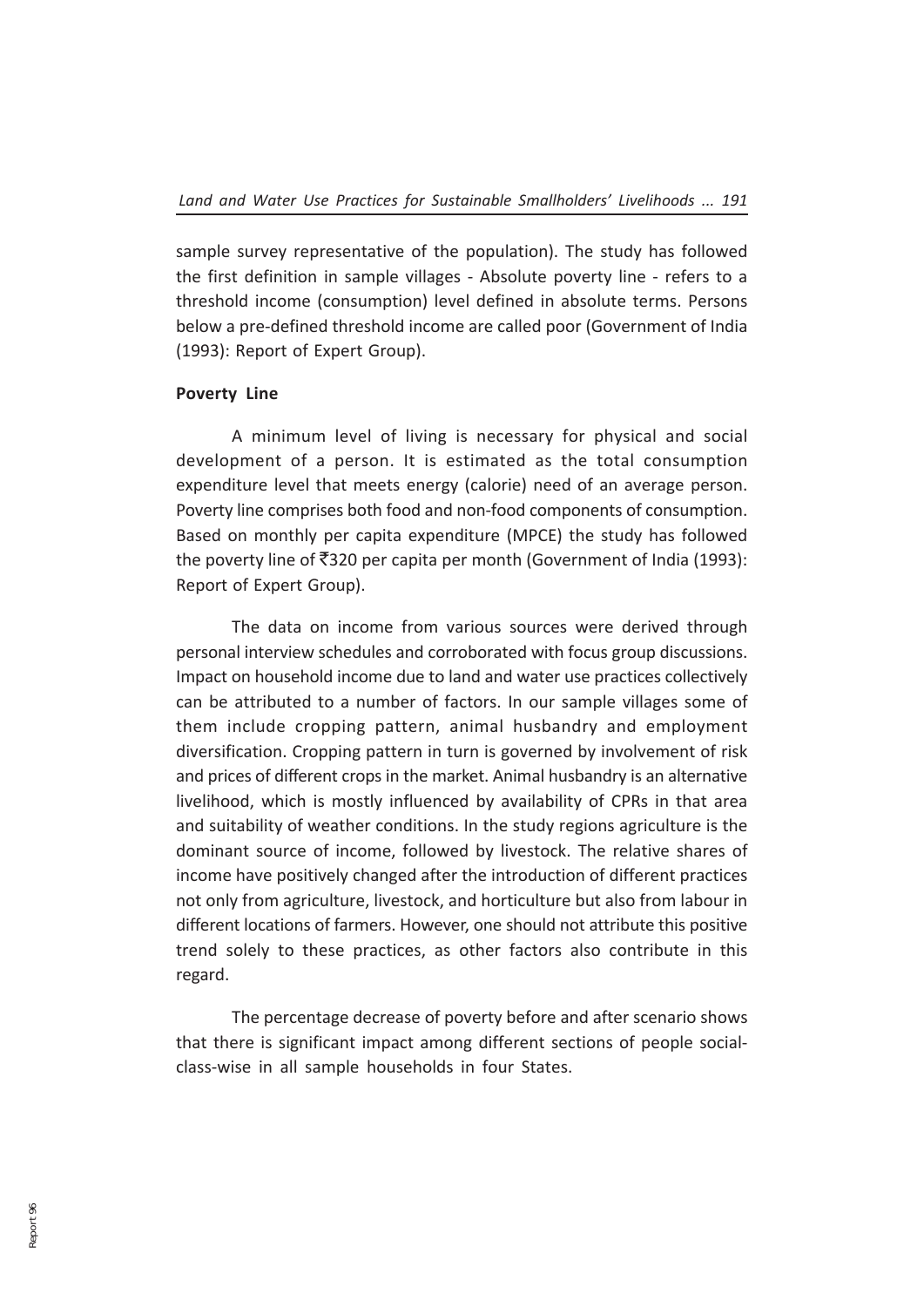sample survey representative of the population). The study has followed the first definition in sample villages - Absolute poverty line - refers to a threshold income (consumption) level defined in absolute terms. Persons below a pre-defined threshold income are called poor (Government of India (1993): Report of Expert Group).

### **Poverty Line**

A minimum level of living is necessary for physical and social development of a person. It is estimated as the total consumption expenditure level that meets energy (calorie) need of an average person. Poverty line comprises both food and non-food components of consumption. Based on monthly per capita expenditure (MPCE) the study has followed the poverty line of  $\overline{5}320$  per capita per month (Government of India (1993): Report of Expert Group).

The data on income from various sources were derived through personal interview schedules and corroborated with focus group discussions. Impact on household income due to land and water use practices collectively can be attributed to a number of factors. In our sample villages some of them include cropping pattern, animal husbandry and employment diversification. Cropping pattern in turn is governed by involvement of risk and prices of different crops in the market. Animal husbandry is an alternative livelihood, which is mostly influenced by availability of CPRs in that area and suitability of weather conditions. In the study regions agriculture is the dominant source of income, followed by livestock. The relative shares of income have positively changed after the introduction of different practices not only from agriculture, livestock, and horticulture but also from labour in different locations of farmers. However, one should not attribute this positive trend solely to these practices, as other factors also contribute in this regard.

The percentage decrease of poverty before and after scenario shows that there is significant impact among different sections of people socialclass-wise in all sample households in four States.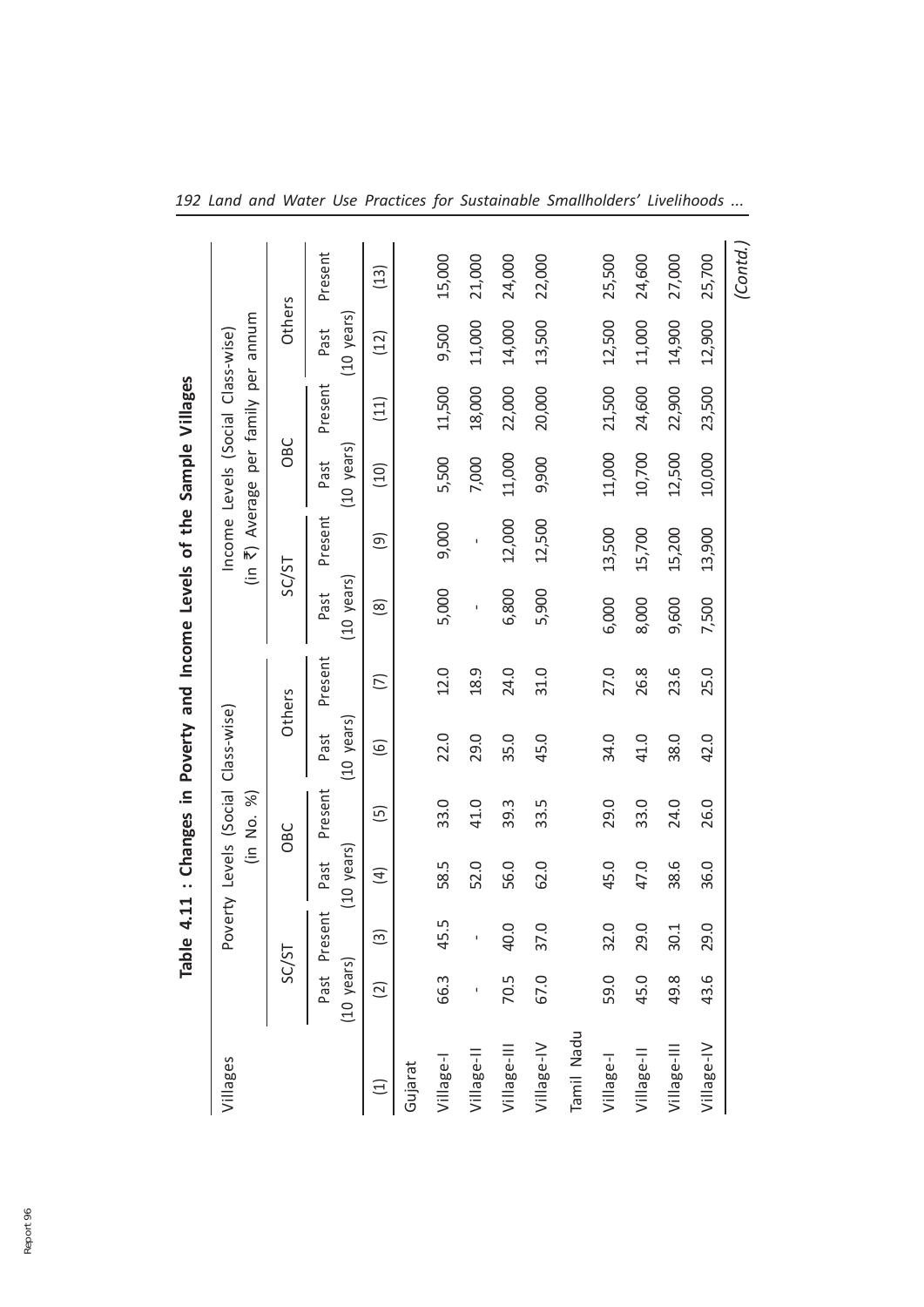|                          |                | Table                           |                    |                          |                                    |                          |                    | 4.11 : Changes in Poverty and Income Levels of the Sample Villages |                      |                                                     |                              |          |
|--------------------------|----------------|---------------------------------|--------------------|--------------------------|------------------------------------|--------------------------|--------------------|--------------------------------------------------------------------|----------------------|-----------------------------------------------------|------------------------------|----------|
| Villages                 |                |                                 |                    | (in No. %)               | Poverty Levels (Social Class-wise) |                          |                    | (in ₹) Average                                                     |                      | Income Levels (Social Class-wise)<br>per family per | annum                        |          |
|                          |                | SC/ST                           |                    | OBC                      |                                    | Others                   |                    | SC/ST                                                              | OBC                  |                                                     | Others                       |          |
|                          | (10 years)     | Past Present                    | (10 years)<br>Past | Present                  | $(10 \text{ years})$<br>Past       | Present                  | (10 years)<br>Past | Present                                                            | $(10$ years)<br>Past | Present                                             | $(10 \text{ years})$<br>Past | Present  |
| $\overline{\phantom{0}}$ | $\overline{c}$ | ି                               | $\widehat{E}$      | $\widehat{\mathfrak{g}}$ | $\odot$                            | $\overline{\mathcal{L}}$ | $\circledR$        | ම                                                                  | (10)                 | (11)                                                | (12)                         | (13)     |
| Gujarat                  |                |                                 |                    |                          |                                    |                          |                    |                                                                    |                      |                                                     |                              |          |
| Village-I                | 66.3           | ŗ.<br>45                        | 58.5               | 33.0                     | 22.0                               | 12.0                     | 5,000              | 9,000                                                              | 5,500                | 11,500                                              | 9,500                        | 15,000   |
| Village-II               |                | ı                               | 52.0               | 41.0                     | 29.0                               | 18.9                     | $\mathsf I$        | I.                                                                 | 7,000                | 18,000                                              | 11,000                       | 21,000   |
| Village-III              | 70.5           | O<br>Q.                         | 56.0               | 39.3                     | 35.0                               | 24.0                     | 6,800              | 12,000                                                             | 11,000               | 22,000                                              | 14,000                       | 24,000   |
| Village-IV               | 67.0           | 37.0                            | 62.0               | 33.5                     | 45.0                               | 31.0                     | 5,900              | 12,500                                                             | 9,900                | 20,000                                              | 13,500                       | 22,000   |
| Tamil Nadu               |                |                                 |                    |                          |                                    |                          |                    |                                                                    |                      |                                                     |                              |          |
| Village-I                | 59.0           | $\circ$<br>32.                  | 45.0               | 29.0                     | 34.0                               | 27.0                     | 6,000              | 13,500                                                             | 11,000               | 21,500                                              | 12,500                       | 25,500   |
| Village-II               | 45.0           | $\circ$<br>29.                  | 47.0               | 33.0                     | 41.0                               | 26.8                     | 8,000              | 15,700                                                             | 10,700               | 24,600                                              | 11,000                       | 24,600   |
| Village-III              | 49.8           | $\overline{\phantom{0}}$<br>30. | 38.6               | 24.0                     | 38.0                               | 23.6                     | 9,600              | 15,200                                                             | 12,500               | 22,900                                              | 14,900                       | 27,000   |
| Village-IV               | 43.6           | Q<br>29                         | 36.0               | 26.0                     | 42.0                               | 25.0                     | 7,500              | 13,900                                                             | 10,000               | 23,500                                              | 12,900                       | 25,700   |
|                          |                |                                 |                    |                          |                                    |                          |                    |                                                                    |                      |                                                     |                              | (Contd.) |

*192 Land and Water Use Practices for Sustainable Smallholders' Livelihoods ...*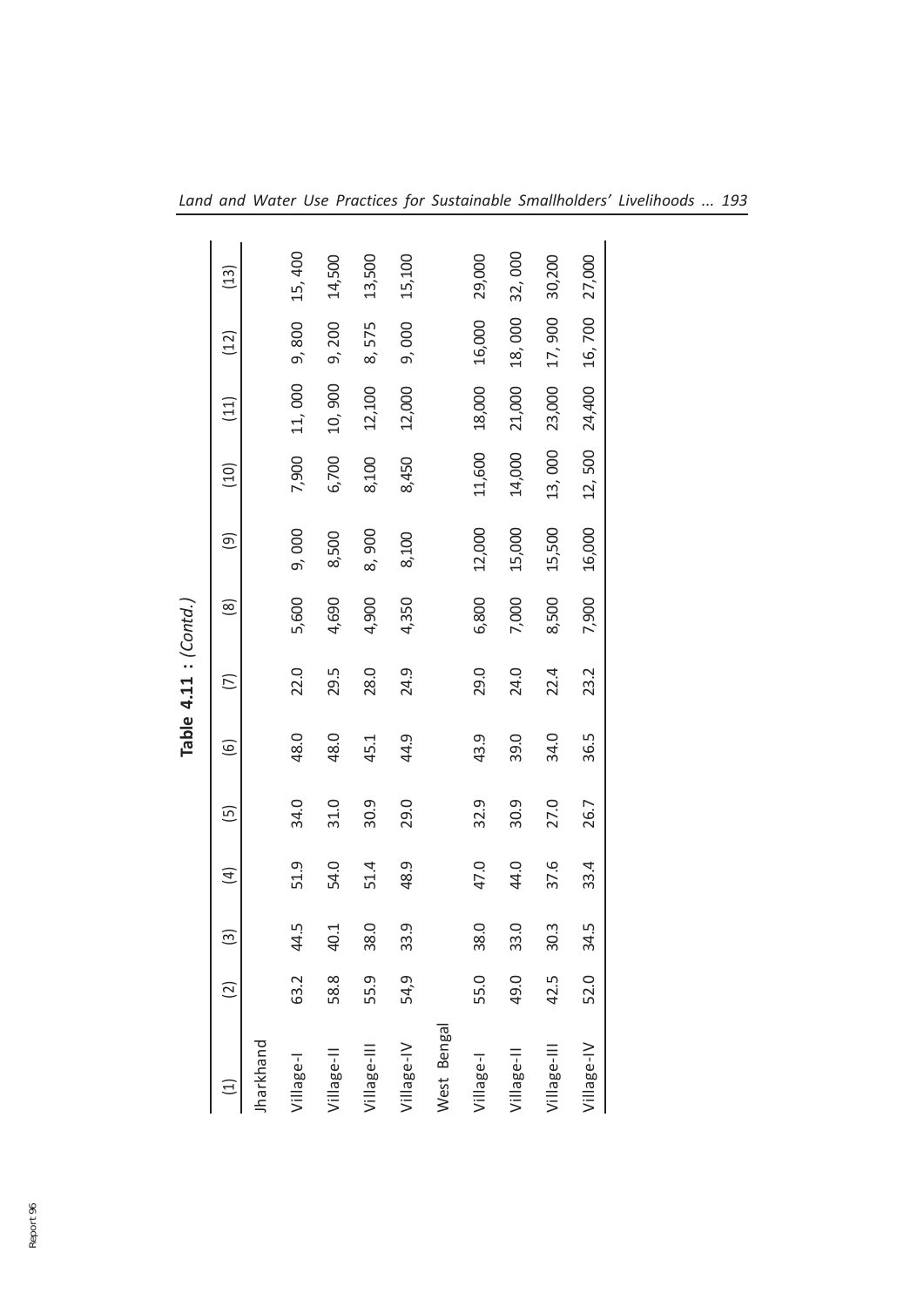|                |       |                   |                         |      |                        | Table 4.11 : (Contd.) |             |        |        |        |        |         |
|----------------|-------|-------------------|-------------------------|------|------------------------|-----------------------|-------------|--------|--------|--------|--------|---------|
| $\overline{ }$ | $\Xi$ | $\widetilde{\Xi}$ | $\widehat{\mathcal{A}}$ | 6    | $\widehat{\mathbf{e}}$ | Ξ                     | $\circledR$ | ම      | (10)   | (11)   | (12)   | (13)    |
| Jharkhand      |       |                   |                         |      |                        |                       |             |        |        |        |        |         |
| Village-I      | 63.2  | ഥ<br>4            | 51.9                    | 34.0 | 48.0                   | 22.0                  | 5,600       | 9,000  | 7,900  | 11,000 | 9,800  | 15, 400 |
| Village-II     | 58.8  | ⊣<br>Q.           | 54.0                    | 31.0 | 48.0                   | 29.5                  | 4,690       | 8,500  | 6,700  | 10,900 | 9,200  | 14,500  |
| Village-II     | 55.9  | 0<br>38.          | 51.4                    | 30.9 | 45.1                   | 28.0                  | 4,900       | 8,900  | 8,100  | 12,100 | 8,575  | 13,500  |
| Village-IV     | 54,9  | ഗ<br>33.          | 48.9                    | 29.0 | 44.9                   | 24.9                  | 4,350       | 8,100  | 8,450  | 12,000 | 9,000  | 15,100  |
| West Bengal    |       |                   |                         |      |                        |                       |             |        |        |        |        |         |
| Village-I      | 55.0  | $\circ$<br>38.    | 47.0                    | 32.9 | 43.9                   | 29.0                  | 6,800       | 12,000 | 11,600 | 18,000 | 16,000 | 29,000  |
| Village-II     | 49.0  | 0<br>33.          | 44.0                    | 30.9 | 39.0                   | 24.0                  | 7,000       | 15,000 | 14,000 | 21,000 | 18,000 | 32,000  |
| Village-III    | 42.5  | S<br>30.          | 37.6                    | 27.0 | 34.0                   | 22.4                  | 8,500       | 15,500 | 13,000 | 23,000 | 17,900 | 30,200  |
| Village-IV     | 52.0  | ഗ<br>34.          | 33.4                    | 26.7 | 36.5                   | 23.2                  | 7,900       | 16,000 | 12,500 | 24,400 | 16,700 | 27,000  |
|                |       |                   |                         |      |                        |                       |             |        |        |        |        |         |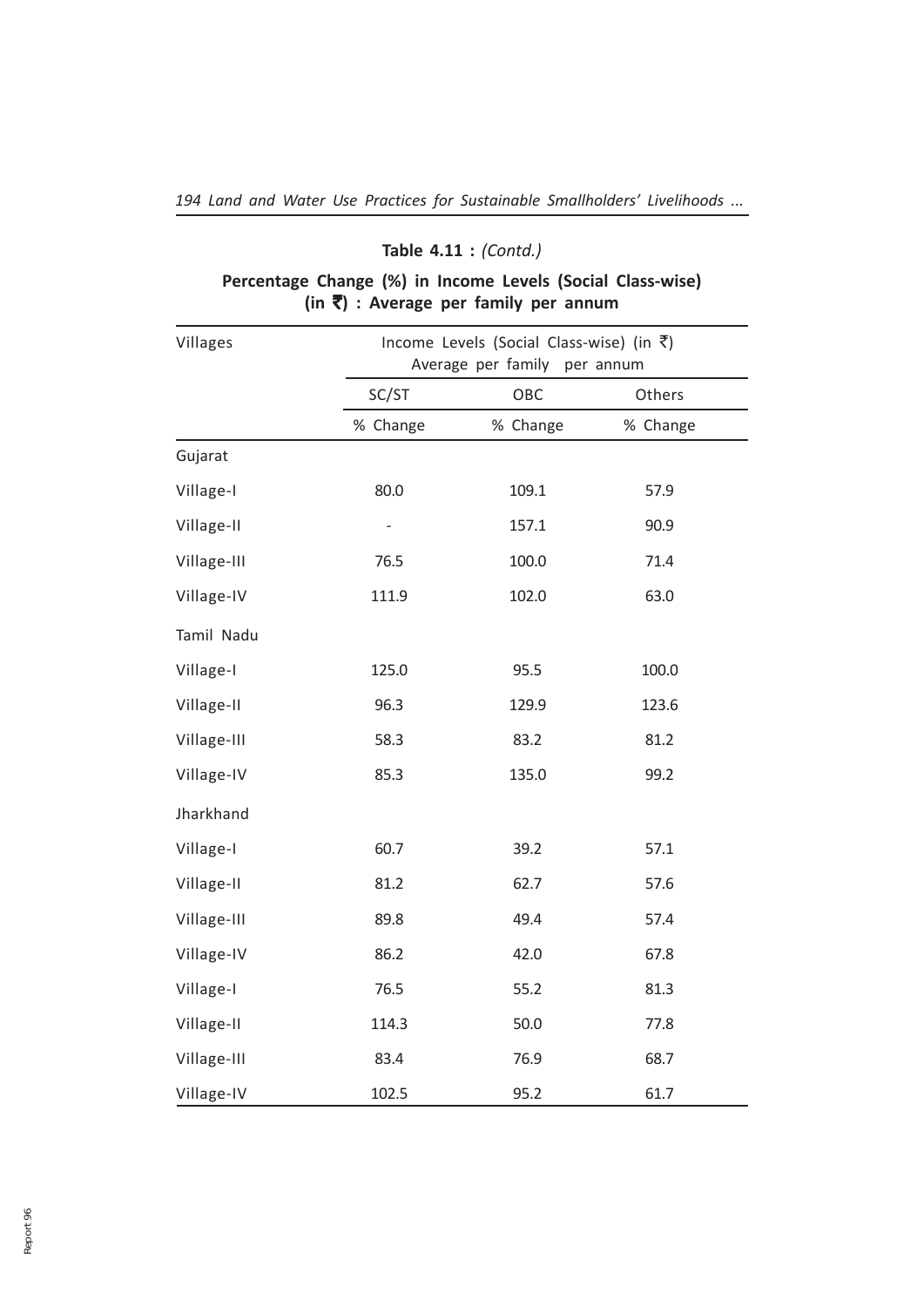*194 Land and Water Use Practices for Sustainable Smallholders' Livelihoods ...*

# **Table 4.11 :** *(Contd.)*

# **Percentage Change (%) in Income Levels (Social Class-wise) (in** `**) : Average per family per annum**

| Villages    |          | Income Levels (Social Class-wise) (in ₹)<br>Average per family per annum |          |
|-------------|----------|--------------------------------------------------------------------------|----------|
|             | SC/ST    | OBC                                                                      | Others   |
|             | % Change | % Change                                                                 | % Change |
| Gujarat     |          |                                                                          |          |
| Village-I   | 80.0     | 109.1                                                                    | 57.9     |
| Village-II  |          | 157.1                                                                    | 90.9     |
| Village-III | 76.5     | 100.0                                                                    | 71.4     |
| Village-IV  | 111.9    | 102.0                                                                    | 63.0     |
| Tamil Nadu  |          |                                                                          |          |
| Village-I   | 125.0    | 95.5                                                                     | 100.0    |
| Village-II  | 96.3     | 129.9                                                                    | 123.6    |
| Village-III | 58.3     | 83.2                                                                     | 81.2     |
| Village-IV  | 85.3     | 135.0                                                                    | 99.2     |
| Jharkhand   |          |                                                                          |          |
| Village-I   | 60.7     | 39.2                                                                     | 57.1     |
| Village-II  | 81.2     | 62.7                                                                     | 57.6     |
| Village-III | 89.8     | 49.4                                                                     | 57.4     |
| Village-IV  | 86.2     | 42.0                                                                     | 67.8     |
| Village-I   | 76.5     | 55.2                                                                     | 81.3     |
| Village-II  | 114.3    | 50.0                                                                     | 77.8     |
| Village-III | 83.4     | 76.9                                                                     | 68.7     |
| Village-IV  | 102.5    | 95.2                                                                     | 61.7     |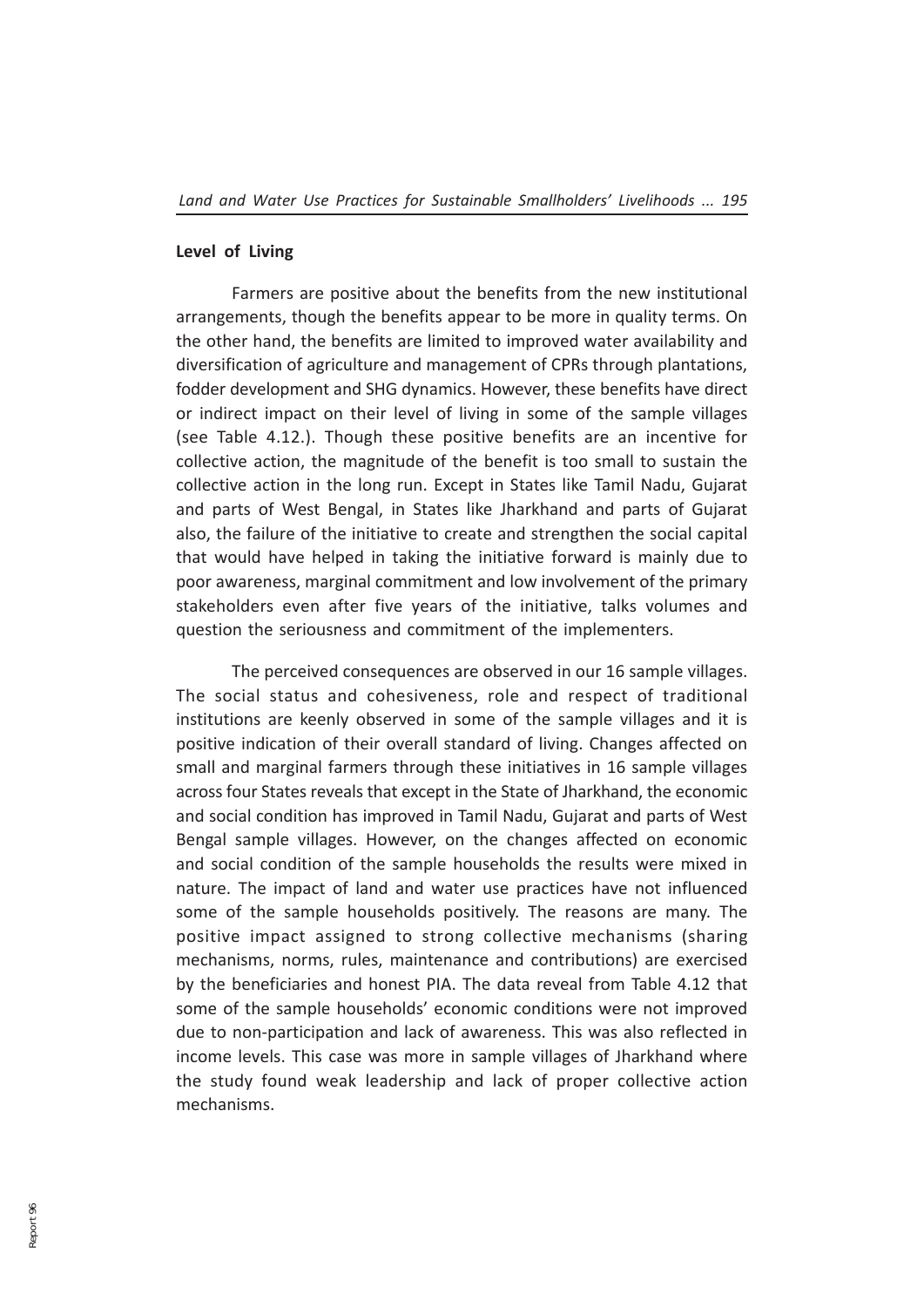### **Level of Living**

Farmers are positive about the benefits from the new institutional arrangements, though the benefits appear to be more in quality terms. On the other hand, the benefits are limited to improved water availability and diversification of agriculture and management of CPRs through plantations, fodder development and SHG dynamics. However, these benefits have direct or indirect impact on their level of living in some of the sample villages (see Table 4.12.). Though these positive benefits are an incentive for collective action, the magnitude of the benefit is too small to sustain the collective action in the long run. Except in States like Tamil Nadu, Gujarat and parts of West Bengal, in States like Jharkhand and parts of Gujarat also, the failure of the initiative to create and strengthen the social capital that would have helped in taking the initiative forward is mainly due to poor awareness, marginal commitment and low involvement of the primary stakeholders even after five years of the initiative, talks volumes and question the seriousness and commitment of the implementers.

The perceived consequences are observed in our 16 sample villages. The social status and cohesiveness, role and respect of traditional institutions are keenly observed in some of the sample villages and it is positive indication of their overall standard of living. Changes affected on small and marginal farmers through these initiatives in 16 sample villages across four States reveals that except in the State of Jharkhand, the economic and social condition has improved in Tamil Nadu, Gujarat and parts of West Bengal sample villages. However, on the changes affected on economic and social condition of the sample households the results were mixed in nature. The impact of land and water use practices have not influenced some of the sample households positively. The reasons are many. The positive impact assigned to strong collective mechanisms (sharing mechanisms, norms, rules, maintenance and contributions) are exercised by the beneficiaries and honest PIA. The data reveal from Table 4.12 that some of the sample households' economic conditions were not improved due to non-participation and lack of awareness. This was also reflected in income levels. This case was more in sample villages of Jharkhand where the study found weak leadership and lack of proper collective action mechanisms.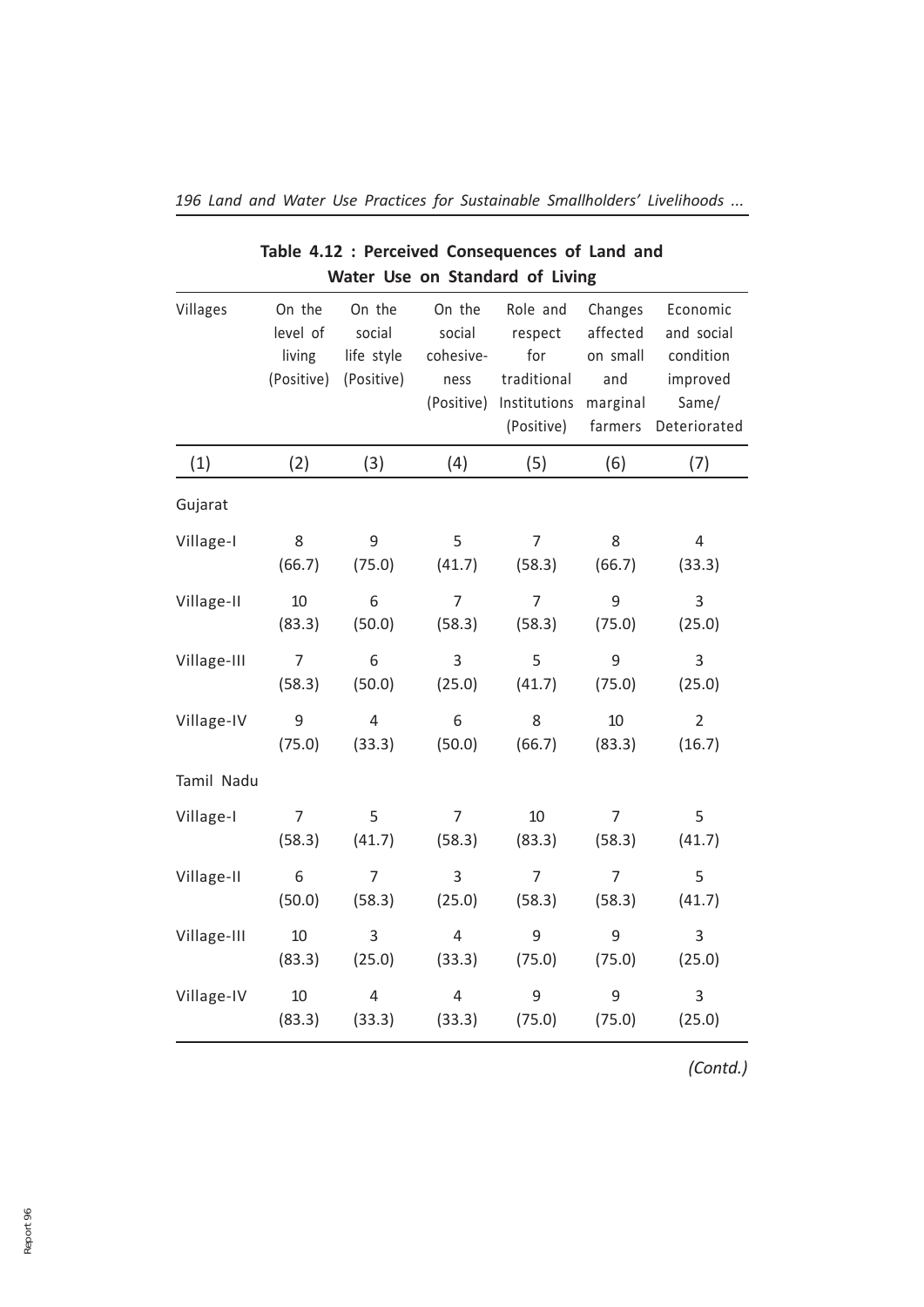|  |  |  |  |  |  |  |  | 196 Land and Water Use Practices for Sustainable Smallholders' Livelihoods |  |  |
|--|--|--|--|--|--|--|--|----------------------------------------------------------------------------|--|--|
|--|--|--|--|--|--|--|--|----------------------------------------------------------------------------|--|--|

|             |                                            |                                              |                                                     | Water Use on Standard of Living                                         |                                                               |                                                                          |
|-------------|--------------------------------------------|----------------------------------------------|-----------------------------------------------------|-------------------------------------------------------------------------|---------------------------------------------------------------|--------------------------------------------------------------------------|
| Villages    | On the<br>level of<br>living<br>(Positive) | On the<br>social<br>life style<br>(Positive) | On the<br>social<br>cohesive-<br>ness<br>(Positive) | Role and<br>respect<br>for<br>traditional<br>Institutions<br>(Positive) | Changes<br>affected<br>on small<br>and<br>marginal<br>farmers | Economic<br>and social<br>condition<br>improved<br>Same/<br>Deteriorated |
| (1)         | (2)                                        | (3)                                          | (4)                                                 | (5)                                                                     | (6)                                                           | (7)                                                                      |
| Gujarat     |                                            |                                              |                                                     |                                                                         |                                                               |                                                                          |
| Village-I   | 8                                          | 9                                            | 5                                                   | $\overline{7}$                                                          | 8                                                             | $\overline{4}$                                                           |
|             | (66.7)                                     | (75.0)                                       | (41.7)                                              | (58.3)                                                                  | (66.7)                                                        | (33.3)                                                                   |
| Village-II  | 10                                         | 6                                            | $\overline{7}$                                      | $\overline{7}$                                                          | 9                                                             | 3                                                                        |
|             | (83.3)                                     | (50.0)                                       | (58.3)                                              | (58.3)                                                                  | (75.0)                                                        | (25.0)                                                                   |
| Village-III | $\overline{7}$                             | 6                                            | 3                                                   | 5                                                                       | 9                                                             | 3                                                                        |
|             | (58.3)                                     | (50.0)                                       | (25.0)                                              | (41.7)                                                                  | (75.0)                                                        | (25.0)                                                                   |
| Village-IV  | 9                                          | $\overline{\mathbf{4}}$                      | 6                                                   | 8                                                                       | 10                                                            | $\overline{2}$                                                           |
|             | (75.0)                                     | (33.3)                                       | (50.0)                                              | (66.7)                                                                  | (83.3)                                                        | (16.7)                                                                   |
| Tamil Nadu  |                                            |                                              |                                                     |                                                                         |                                                               |                                                                          |
| Village-I   | $\overline{7}$                             | 5                                            | $\overline{7}$                                      | 10                                                                      | $\overline{7}$                                                | 5                                                                        |
|             | (58.3)                                     | (41.7)                                       | (58.3)                                              | (83.3)                                                                  | (58.3)                                                        | (41.7)                                                                   |
| Village-II  | 6                                          | $\overline{7}$                               | 3                                                   | $\overline{7}$                                                          | $\overline{7}$                                                | 5                                                                        |
|             | (50.0)                                     | (58.3)                                       | (25.0)                                              | (58.3)                                                                  | (58.3)                                                        | (41.7)                                                                   |
| Village-III | 10                                         | 3                                            | $\overline{4}$                                      | 9                                                                       | $\overline{9}$                                                | 3                                                                        |
|             | (83.3)                                     | (25.0)                                       | (33.3)                                              | (75.0)                                                                  | (75.0)                                                        | (25.0)                                                                   |
| Village-IV  | 10                                         | $\overline{\mathcal{L}}$                     | $\overline{4}$                                      | 9                                                                       | 9                                                             | 3                                                                        |
|             | (83.3)                                     | (33.3)                                       | (33.3)                                              | (75.0)                                                                  | (75.0)                                                        | (25.0)                                                                   |

# **Table 4.12 : Perceived Consequences of Land and Water Use on Standard of Living**

*(Contd.)*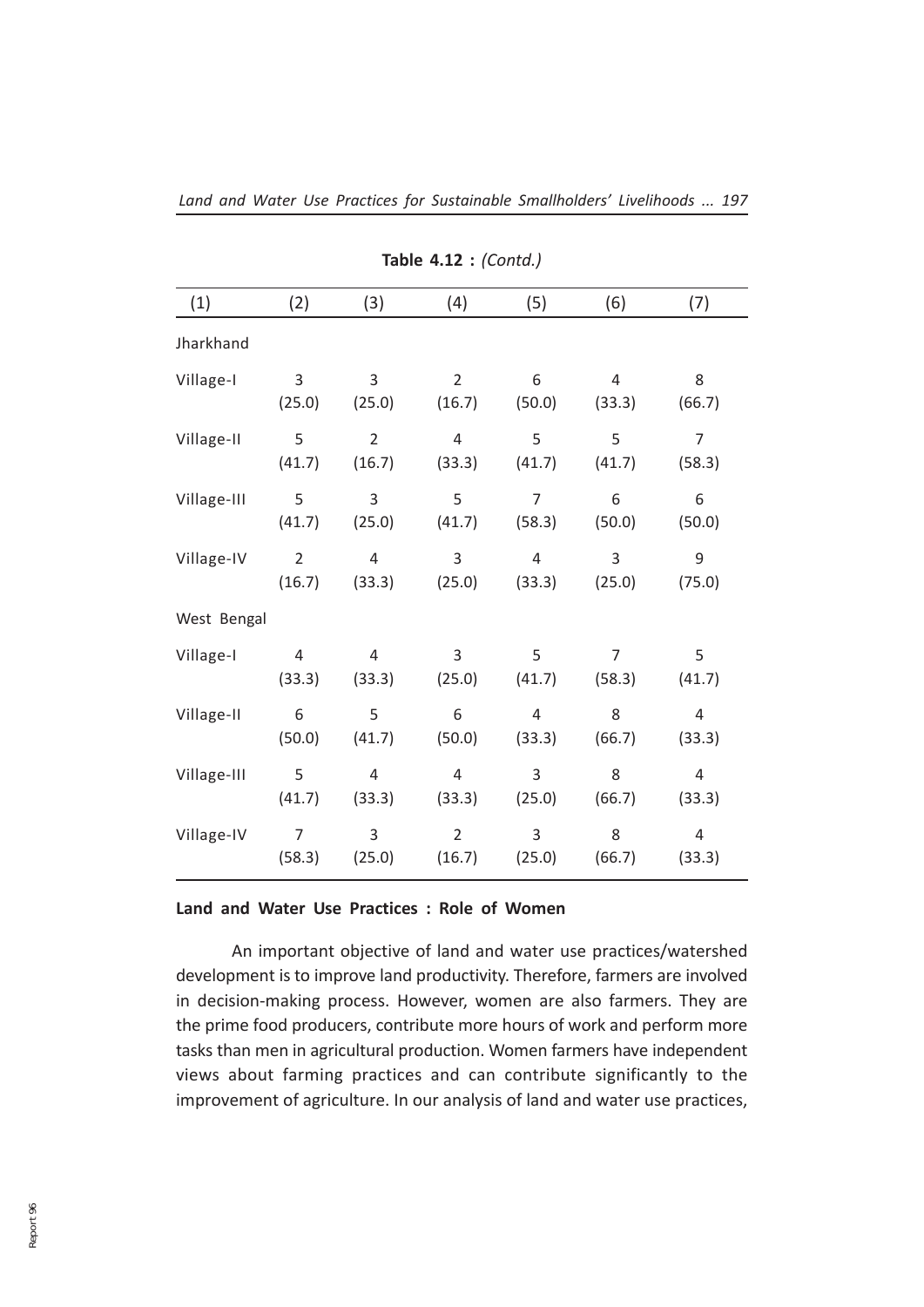| (1)         | (2)                      | (3)                      | (4)            | (5)                                 | (6)                      | (7)            |
|-------------|--------------------------|--------------------------|----------------|-------------------------------------|--------------------------|----------------|
| Jharkhand   |                          |                          |                |                                     |                          |                |
| Village-I   | 3                        | $\mathsf{3}$             | $\overline{2}$ | 6                                   | 4                        | 8              |
|             | (25.0)                   | (25.0)                   | (16.7)         | (50.0)                              | (33.3)                   | (66.7)         |
| Village-II  | 5                        | $\overline{2}$           | $\overline{4}$ | 5                                   | 5                        | $\overline{7}$ |
|             | (41.7)                   | (16.7)                   | (33.3)         | (41.7)                              | (41.7)                   | (58.3)         |
| Village-III | 5                        | 3                        | 5              | $\overline{7}$                      | 6                        | 6              |
|             | (41.7)                   | (25.0)                   | (41.7)         | (58.3)                              | (50.0)                   | (50.0)         |
| Village-IV  | $\overline{2}$<br>(16.7) | $\overline{4}$<br>(33.3) | 3<br>(25.0)    | $\overline{4}$<br>(33.3)            | 3<br>(25.0)              | 9<br>(75.0)    |
| West Bengal |                          |                          |                |                                     |                          |                |
| Village-I   | $\overline{4}$<br>(33.3) | $\overline{4}$<br>(33.3) | 3              | 5 <sub>1</sub><br>$(25.0)$ $(41.7)$ | $\overline{7}$<br>(58.3) | 5<br>(41.7)    |
| Village-II  | $6\overline{6}$          | 5                        | 6              | $\overline{4}$                      | 8                        | 4              |
|             | (50.0)                   | (41.7)                   | (50.0)         | (33.3)                              | (66.7)                   | (33.3)         |
| Village-III | 5                        | $\overline{4}$           | $\overline{4}$ | 3                                   | 8                        | $\overline{4}$ |
|             | (41.7)                   | (33.3)                   | (33.3)         | (25.0)                              | (66.7)                   | (33.3)         |
| Village-IV  | $\overline{7}$           | 3                        | $\overline{2}$ | 3                                   | 8                        | 4              |
|             | (58.3)                   | (25.0)                   | (16.7)         | (25.0)                              | (66.7)                   | (33.3)         |

**Table 4.12 :** *(Contd.)*

### **Land and Water Use Practices : Role of Women**

An important objective of land and water use practices/watershed development is to improve land productivity. Therefore, farmers are involved in decision-making process. However, women are also farmers. They are the prime food producers, contribute more hours of work and perform more tasks than men in agricultural production. Women farmers have independent views about farming practices and can contribute significantly to the improvement of agriculture. In our analysis of land and water use practices,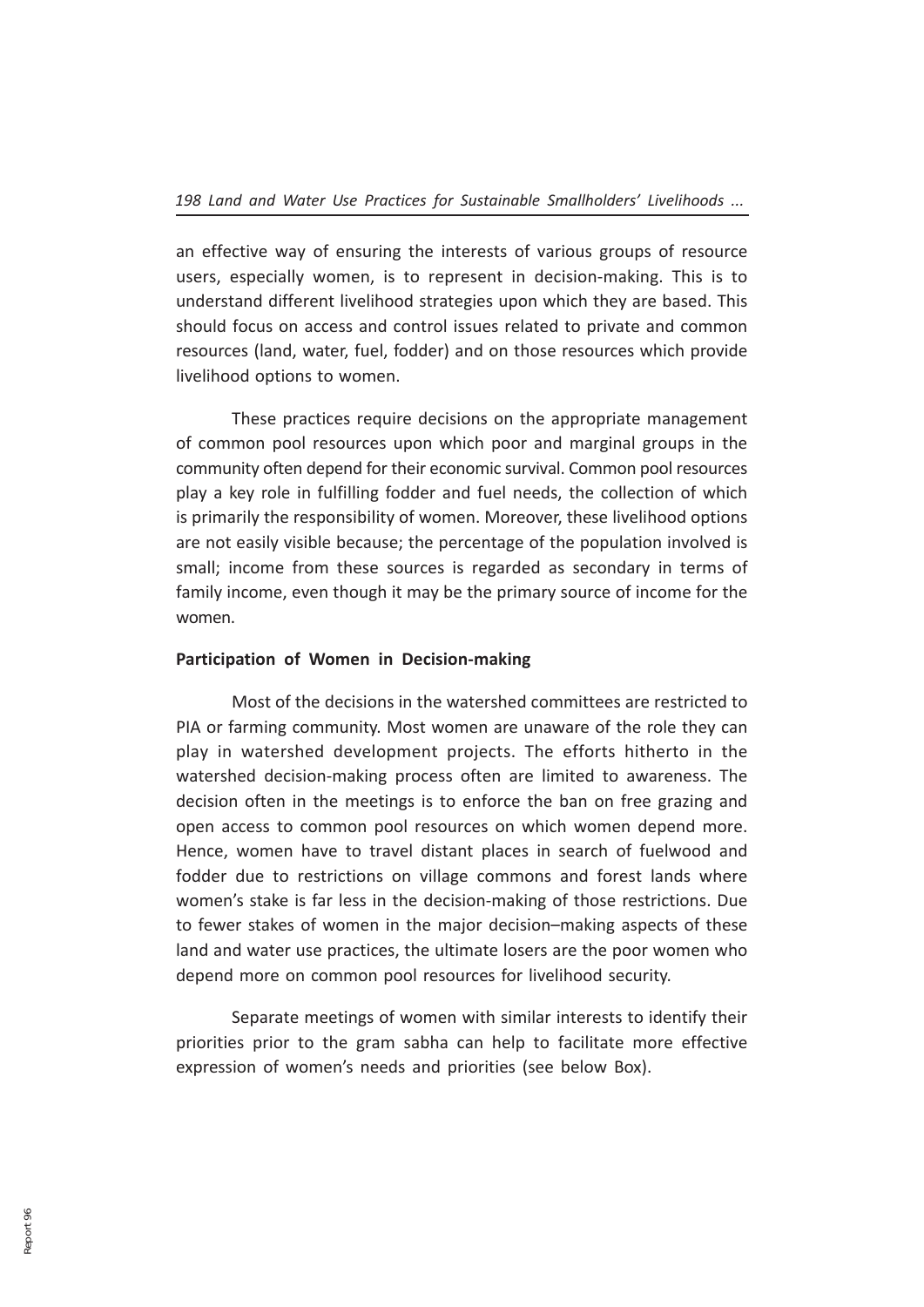an effective way of ensuring the interests of various groups of resource users, especially women, is to represent in decision-making. This is to understand different livelihood strategies upon which they are based. This should focus on access and control issues related to private and common resources (land, water, fuel, fodder) and on those resources which provide livelihood options to women.

These practices require decisions on the appropriate management of common pool resources upon which poor and marginal groups in the community often depend for their economic survival. Common pool resources play a key role in fulfilling fodder and fuel needs, the collection of which is primarily the responsibility of women. Moreover, these livelihood options are not easily visible because; the percentage of the population involved is small; income from these sources is regarded as secondary in terms of family income, even though it may be the primary source of income for the women.

### **Participation of Women in Decision-making**

Most of the decisions in the watershed committees are restricted to PIA or farming community. Most women are unaware of the role they can play in watershed development projects. The efforts hitherto in the watershed decision-making process often are limited to awareness. The decision often in the meetings is to enforce the ban on free grazing and open access to common pool resources on which women depend more. Hence, women have to travel distant places in search of fuelwood and fodder due to restrictions on village commons and forest lands where women's stake is far less in the decision-making of those restrictions. Due to fewer stakes of women in the major decision–making aspects of these land and water use practices, the ultimate losers are the poor women who depend more on common pool resources for livelihood security.

Separate meetings of women with similar interests to identify their priorities prior to the gram sabha can help to facilitate more effective expression of women's needs and priorities (see below Box).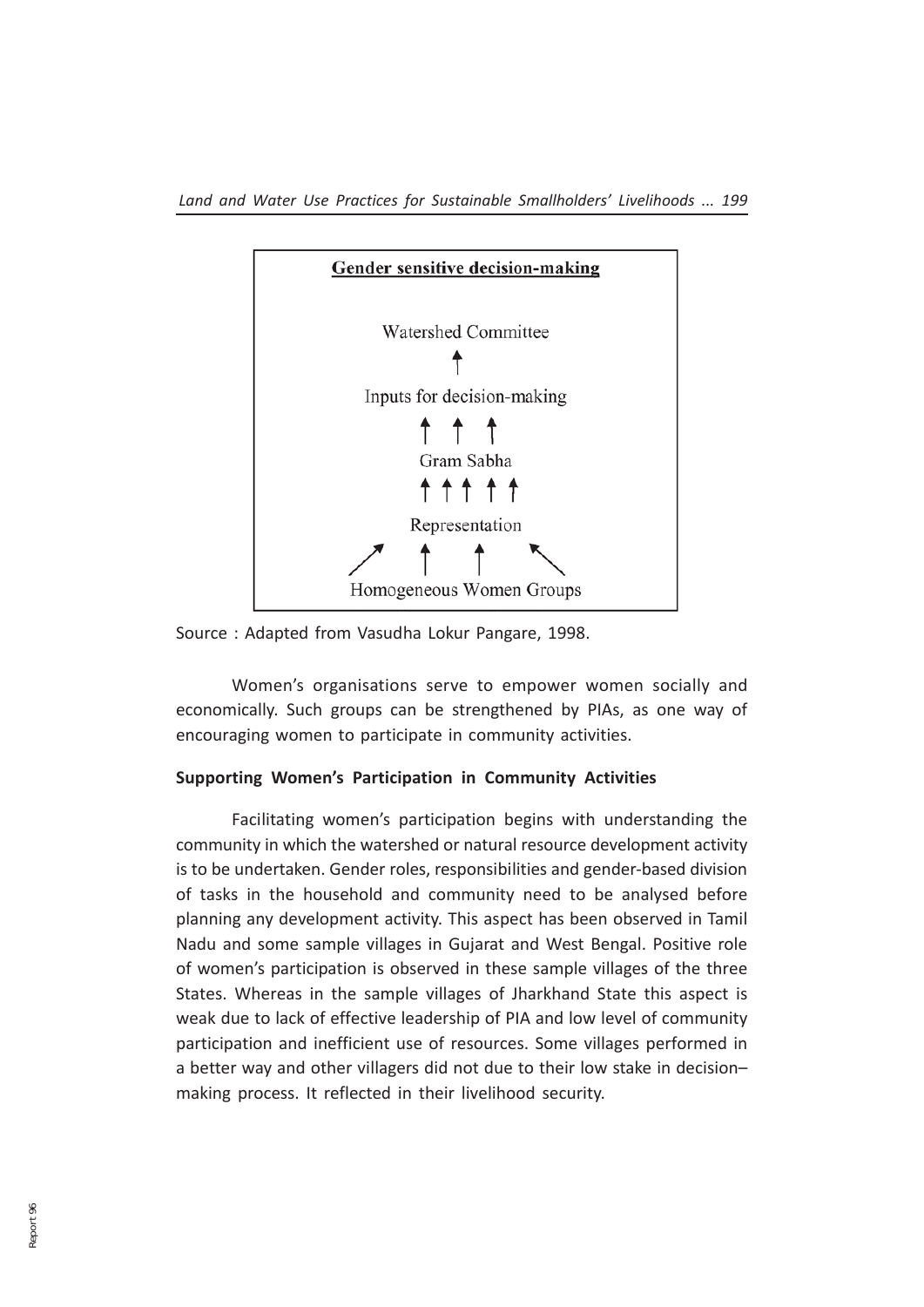

Source : Adapted from Vasudha Lokur Pangare, 1998.

Women's organisations serve to empower women socially and economically. Such groups can be strengthened by PIAs, as one way of encouraging women to participate in community activities.

### **Supporting Women's Participation in Community Activities**

Facilitating women's participation begins with understanding the community in which the watershed or natural resource development activity is to be undertaken. Gender roles, responsibilities and gender-based division of tasks in the household and community need to be analysed before planning any development activity. This aspect has been observed in Tamil Nadu and some sample villages in Gujarat and West Bengal. Positive role of women's participation is observed in these sample villages of the three States. Whereas in the sample villages of Jharkhand State this aspect is weak due to lack of effective leadership of PIA and low level of community participation and inefficient use of resources. Some villages performed in a better way and other villagers did not due to their low stake in decision– making process. It reflected in their livelihood security.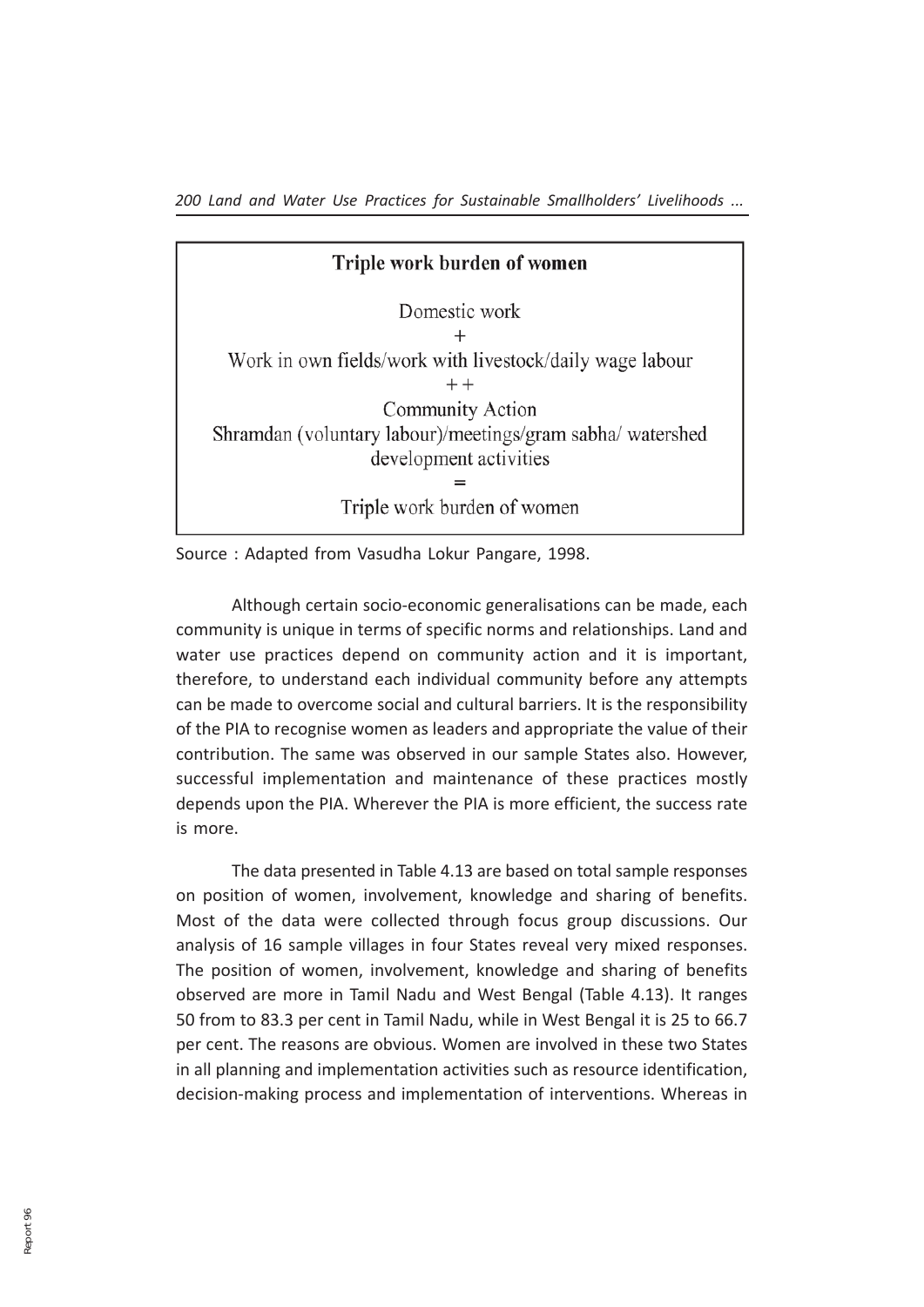*200 Land and Water Use Practices for Sustainable Smallholders' Livelihoods ...*

| Triple work burden of women                                |  |
|------------------------------------------------------------|--|
| Domestic work                                              |  |
| $^+$                                                       |  |
| Work in own fields/work with livestock/daily wage labour   |  |
| $+ +$                                                      |  |
| Community Action                                           |  |
| Shramdan (voluntary labour)/meetings/gram sabha/ watershed |  |
| development activities                                     |  |
|                                                            |  |
| Triple work burden of women                                |  |
|                                                            |  |

Source : Adapted from Vasudha Lokur Pangare, 1998.

Although certain socio-economic generalisations can be made, each community is unique in terms of specific norms and relationships. Land and water use practices depend on community action and it is important, therefore, to understand each individual community before any attempts can be made to overcome social and cultural barriers. It is the responsibility of the PIA to recognise women as leaders and appropriate the value of their contribution. The same was observed in our sample States also. However, successful implementation and maintenance of these practices mostly depends upon the PIA. Wherever the PIA is more efficient, the success rate is more.

The data presented in Table 4.13 are based on total sample responses on position of women, involvement, knowledge and sharing of benefits. Most of the data were collected through focus group discussions. Our analysis of 16 sample villages in four States reveal very mixed responses. The position of women, involvement, knowledge and sharing of benefits observed are more in Tamil Nadu and West Bengal (Table 4.13). It ranges 50 from to 83.3 per cent in Tamil Nadu, while in West Bengal it is 25 to 66.7 per cent. The reasons are obvious. Women are involved in these two States in all planning and implementation activities such as resource identification, decision-making process and implementation of interventions. Whereas in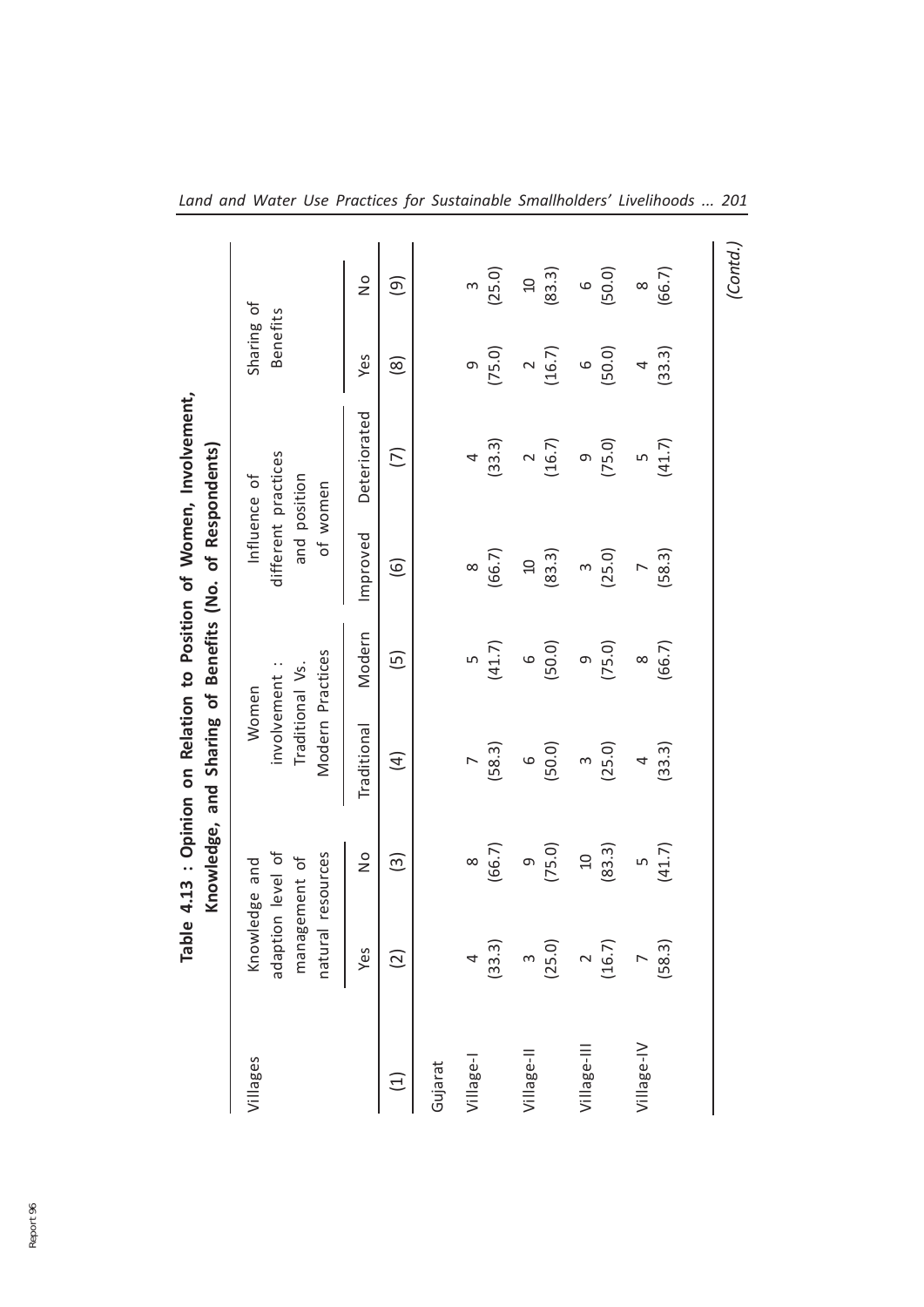|             | $\mathbf  \omega$<br>Tabl.                             | Knowledge,               | and Sharing of                                                |                    | Benefits (No. of Respondents)                                   | 4.13 : Opinion on Relation to Position of Women, Involvement, |                        |                    |
|-------------|--------------------------------------------------------|--------------------------|---------------------------------------------------------------|--------------------|-----------------------------------------------------------------|---------------------------------------------------------------|------------------------|--------------------|
| Villages    | adaption level of<br>management of<br>Knowl<br>natural | resources<br>edge and    | Modern Practices<br>involvement :<br>Traditional Vs.<br>Women |                    | different practices<br>and position<br>Influence of<br>of women |                                                               | Sharing of<br>Benefits |                    |
|             | Yes                                                    | $\frac{1}{2}$            | Traditional                                                   | Modern             | Improved                                                        | Deteriorated                                                  | Yes                    | $\frac{0}{2}$      |
| Ξ           | $\widehat{c}$                                          | $\widehat{S}$            | $\widehat{d}$                                                 | $\overline{5}$     | $\odot$                                                         | $\overline{C}$                                                | $\circled{s}$          | ම                  |
| Gujarat     |                                                        |                          |                                                               |                    |                                                                 |                                                               |                        |                    |
| Village-I   | (33.3)                                                 | (66.7)<br>$\infty$       | (58.3)<br>$\overline{ }$                                      | (41.7)<br>LŊ       | (66.7)<br>$\infty$                                              | (33.3)                                                        | (75.0)<br>$\sigma$     | (25.0)<br>$\infty$ |
| Village-II  | (25.0)                                                 | (75.0)                   | (50.0)                                                        | (50.0)             | (83.3)<br>$\Box$                                                | (16.7)                                                        | $\frac{2}{(16.7)}$     | (83.3)<br>$\Omega$ |
| Village-III | (16.7)                                                 | (83.3)<br>$\Omega$       | (25.0)<br>$\infty$                                            | (75.0)<br>$\sigma$ | (25.0)<br>$\infty$                                              | (75.0)<br>$\sigma$                                            | (50.0)<br>$\circ$      | (50.0)<br>$\circ$  |
| Village-IV  | (58.3)                                                 | (41.7)<br>$\overline{5}$ | (33.3)<br>4                                                   | (66.7)<br>$\infty$ | (58.3)<br>$\overline{a}$                                        | (41.7)<br>$\overline{5}$                                      | (33.3)<br>4            | (66.7)<br>$\infty$ |
|             |                                                        |                          |                                                               |                    |                                                                 |                                                               |                        | (Contd.)           |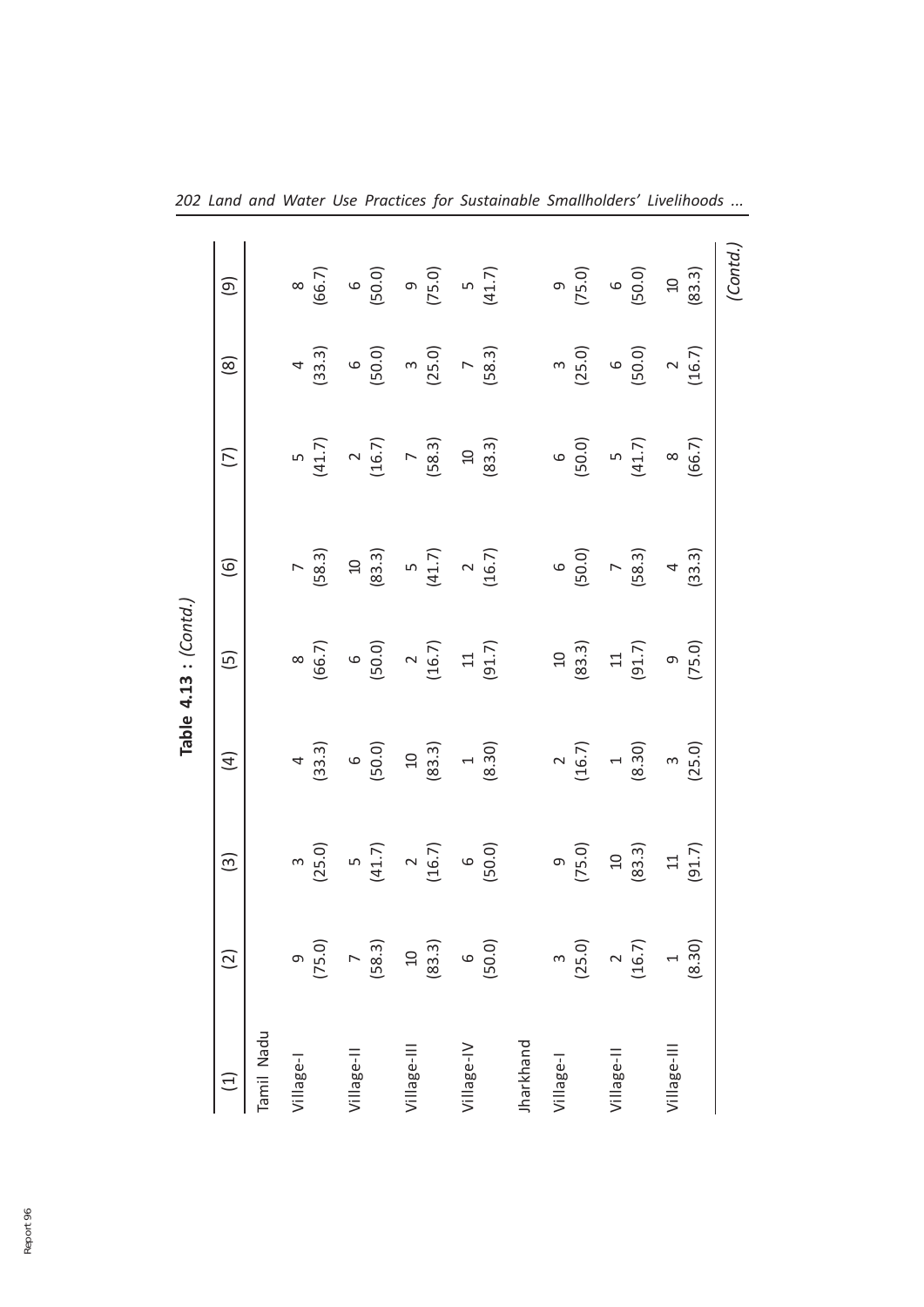|                   |                             |                                           |                                            | Table 4.13: (Contd., |                                            |                         |                                    |                    |
|-------------------|-----------------------------|-------------------------------------------|--------------------------------------------|----------------------|--------------------------------------------|-------------------------|------------------------------------|--------------------|
| $\ominus$         | (2)                         | $\widetilde{\Xi}$                         | $\left( 4\right)$                          | $\widetilde{5}$      | $\widetilde{\Theta}$                       | $\widehat{\subset}$     | $\circledR$                        | $\overline{e}$     |
| <b>Tamil Nadu</b> |                             |                                           |                                            |                      |                                            |                         |                                    |                    |
| Village-I         | (75.0)<br>$\mathsf{\sigma}$ | (25.0)<br>$\infty$                        | (33.3)<br>4                                | (66.7)<br>$\infty$   | (58.3)                                     | (41.7)<br>L             | (33.3)<br>4                        | (66.7)<br>$\infty$ |
| Village-II        | (58.3)                      | (41.7)                                    | (50.0)                                     | (50.0)               | $\begin{pmatrix} 10 \\ 83.3 \end{pmatrix}$ | $\frac{2}{(16.7)}$      | (50.0)                             | (50.0)             |
| Village-III       | (83.3)<br>$\Omega$          | $\begin{pmatrix} 2 \\ 16.7 \end{pmatrix}$ | $\begin{pmatrix} 10 \\ 83.3 \end{pmatrix}$ | $\frac{2}{(16.7)}$   | $\begin{pmatrix} 5 \\ 41.7 \end{pmatrix}$  | (58.3)                  | (25.0)                             | (75.0)             |
| Village-IV        | (50.0)                      | (50.0)                                    | $\begin{pmatrix} 1 \\ 8.30 \end{pmatrix}$  | (91.7)<br>$\Xi$      | $\frac{2}{(16.7)}$                         | (83.3)<br>$\frac{1}{2}$ | (58.3)<br>$\overline{\phantom{0}}$ | $\frac{5}{(41.7)}$ |
| Jharkhand         |                             |                                           |                                            |                      |                                            |                         |                                    |                    |
| Village-I         | (25.0)<br>$\infty$          | (75.0)<br>$\sigma$                        | $\frac{2}{(16.7)}$                         | (83.3)<br>$\Omega$   | (50.0)<br>$\circ$                          | (50.0)<br>$\circ$       | (25.0)<br>$\infty$                 | (75.0)<br>$\circ$  |
| Village-II        | (16.7)<br>$\sim$            | $\begin{array}{c} 10 \\ 83.3 \end{array}$ | $\begin{pmatrix} 1 \\ 8.30 \end{pmatrix}$  | (91.7)<br>$\Xi$      | (58.3)                                     | (41.7)<br>L             | (50.0)                             | (50.0)             |
| Village-III       | (8.30)                      | (91.7)<br>$\Xi$                           | (25.0)                                     | (75.0)<br>$\sigma$   | (33.3)<br>$\overline{\mathcal{A}}$         | (66.7)<br>$\infty$      | $\frac{2}{(16.7)}$                 | (83.3)<br>$\Xi$    |
|                   |                             |                                           |                                            |                      |                                            |                         |                                    | (Contd.)           |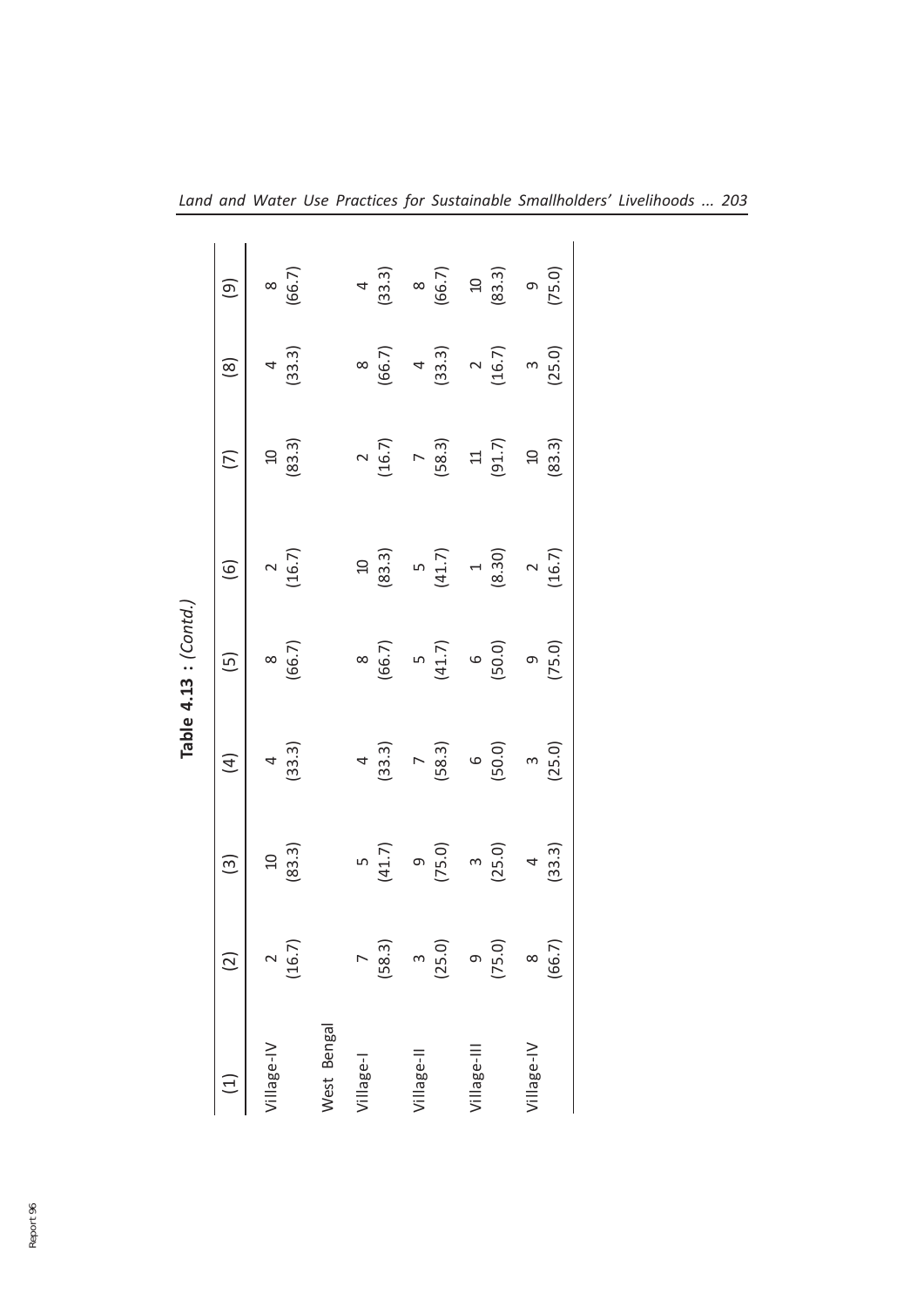|             |                    |                                                                                                                                                                                                                               |                                                          | Table 4.13 : (Contd.,                                    |                                                                                                   |                                                                        |                                                          |                                                                     |
|-------------|--------------------|-------------------------------------------------------------------------------------------------------------------------------------------------------------------------------------------------------------------------------|----------------------------------------------------------|----------------------------------------------------------|---------------------------------------------------------------------------------------------------|------------------------------------------------------------------------|----------------------------------------------------------|---------------------------------------------------------------------|
|             |                    | $\widehat{\mathfrak{S}}$                                                                                                                                                                                                      | $\widehat{\mathcal{F}}$                                  | $\overline{5}$                                           | $\widehat{\Theta}$                                                                                | (5)                                                                    | $\circledS$                                              | $\widehat{\mathcal{C}}$                                             |
| illage-IV   | (16.7)             | $10$<br>(83.3)                                                                                                                                                                                                                | $\begin{pmatrix} 4 \\ 33.3 \end{pmatrix}$                | $\begin{pmatrix} 8 \\ 66.7 \end{pmatrix}$                | $\begin{pmatrix} 2 \\ 16.7 \end{pmatrix}$                                                         | $\frac{10}{(83.3)}$                                                    | $\begin{pmatrix} 4 \\ 33.3 \end{pmatrix}$                | $\begin{pmatrix} 8 \\ 66.7 \end{pmatrix}$                           |
| West Bengal |                    |                                                                                                                                                                                                                               |                                                          |                                                          |                                                                                                   |                                                                        |                                                          |                                                                     |
| illage-l    | (58.3)             |                                                                                                                                                                                                                               |                                                          |                                                          |                                                                                                   |                                                                        |                                                          |                                                                     |
| ll-agelli/  | (25.0)             | $\begin{bmatrix} 5 \\ 41.7 \end{bmatrix}$<br>$\begin{bmatrix} 9 \\ 75.0 \end{bmatrix}$<br>$\begin{bmatrix} 75.0 \\ 3 \end{bmatrix}$<br>$\begin{bmatrix} 25.0 \\ 4 \end{bmatrix}$<br>$\begin{bmatrix} 4 \\ 33.3 \end{bmatrix}$ | $(33.3)$<br>$(58.3)$<br>$(50.0)$<br>$(50.0)$<br>$(25.0)$ | $(66.7)$<br>$(50.7)$<br>$(41.7)$<br>$(50.0)$<br>$(75.0)$ | 10<br>(83.3)<br>5<br>(41.7)<br>$\begin{pmatrix} 5 & 1 \\ 4 & 1 \\ 8 & 30 \end{pmatrix}$<br>(16.7) | $(16.7)$<br>$(58.3)$<br>$(58.3)$<br>$(10.7)$<br>$(91.7)$<br>$(0.33.3)$ | $(66.7)$<br>$(33.3)$<br>$(16.7)$<br>$(16.7)$<br>$(25.0)$ | $(33.3)$<br>$(35.3)$<br>$(66.7)$<br>$(10.3)$<br>$(83.3)$<br>$(9.3)$ |
| Village-III | (75.0)<br>$\circ$  |                                                                                                                                                                                                                               |                                                          |                                                          |                                                                                                   |                                                                        |                                                          |                                                                     |
| Village-IV  | (66.7)<br>$\infty$ |                                                                                                                                                                                                                               |                                                          |                                                          |                                                                                                   |                                                                        |                                                          | (75.0)                                                              |
|             |                    |                                                                                                                                                                                                                               |                                                          |                                                          |                                                                                                   |                                                                        |                                                          |                                                                     |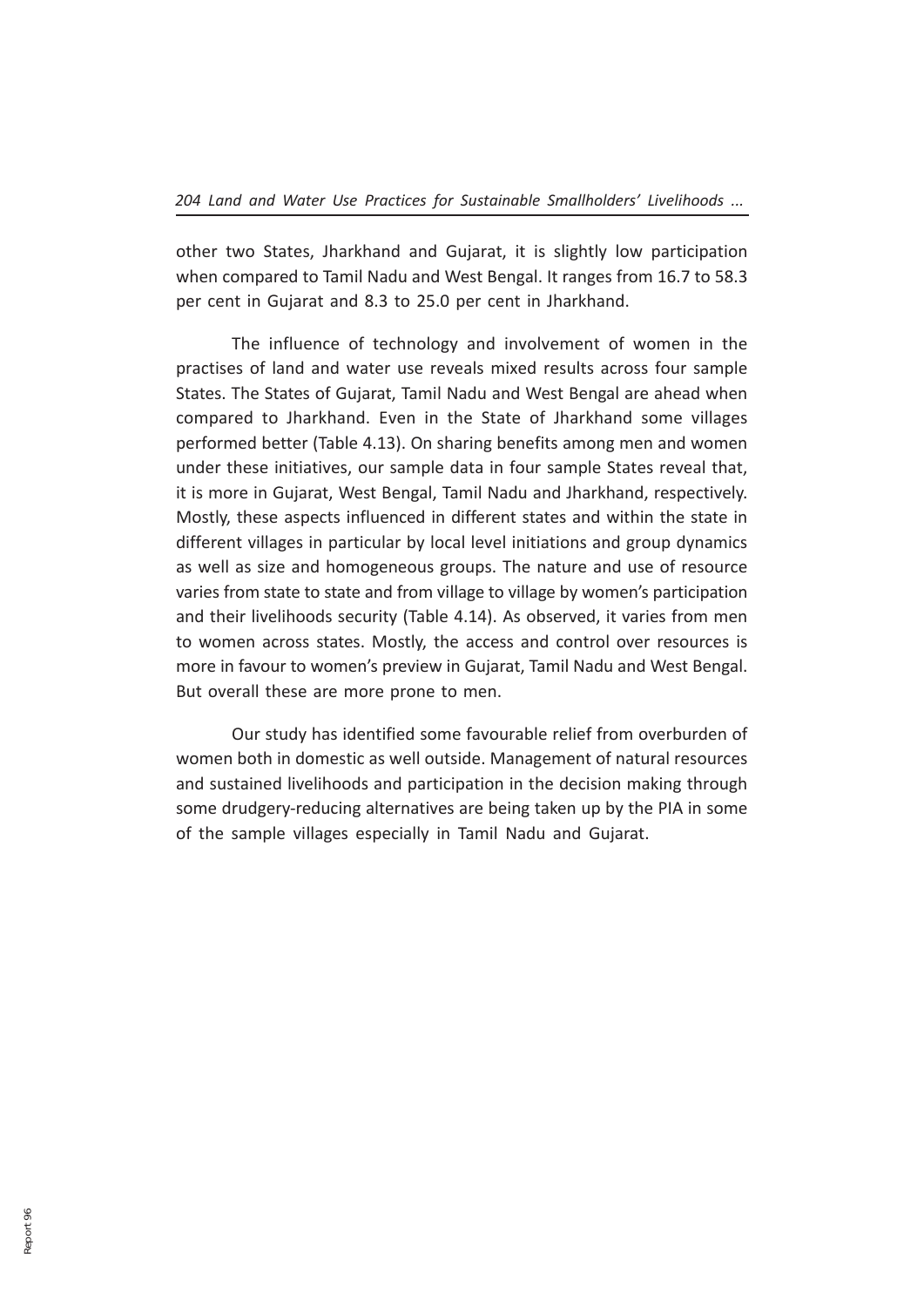other two States, Jharkhand and Gujarat, it is slightly low participation when compared to Tamil Nadu and West Bengal. It ranges from 16.7 to 58.3 per cent in Gujarat and 8.3 to 25.0 per cent in Jharkhand.

The influence of technology and involvement of women in the practises of land and water use reveals mixed results across four sample States. The States of Gujarat, Tamil Nadu and West Bengal are ahead when compared to Jharkhand. Even in the State of Jharkhand some villages performed better (Table 4.13). On sharing benefits among men and women under these initiatives, our sample data in four sample States reveal that, it is more in Gujarat, West Bengal, Tamil Nadu and Jharkhand, respectively. Mostly, these aspects influenced in different states and within the state in different villages in particular by local level initiations and group dynamics as well as size and homogeneous groups. The nature and use of resource varies from state to state and from village to village by women's participation and their livelihoods security (Table 4.14). As observed, it varies from men to women across states. Mostly, the access and control over resources is more in favour to women's preview in Gujarat, Tamil Nadu and West Bengal. But overall these are more prone to men.

Our study has identified some favourable relief from overburden of women both in domestic as well outside. Management of natural resources and sustained livelihoods and participation in the decision making through some drudgery-reducing alternatives are being taken up by the PIA in some of the sample villages especially in Tamil Nadu and Gujarat.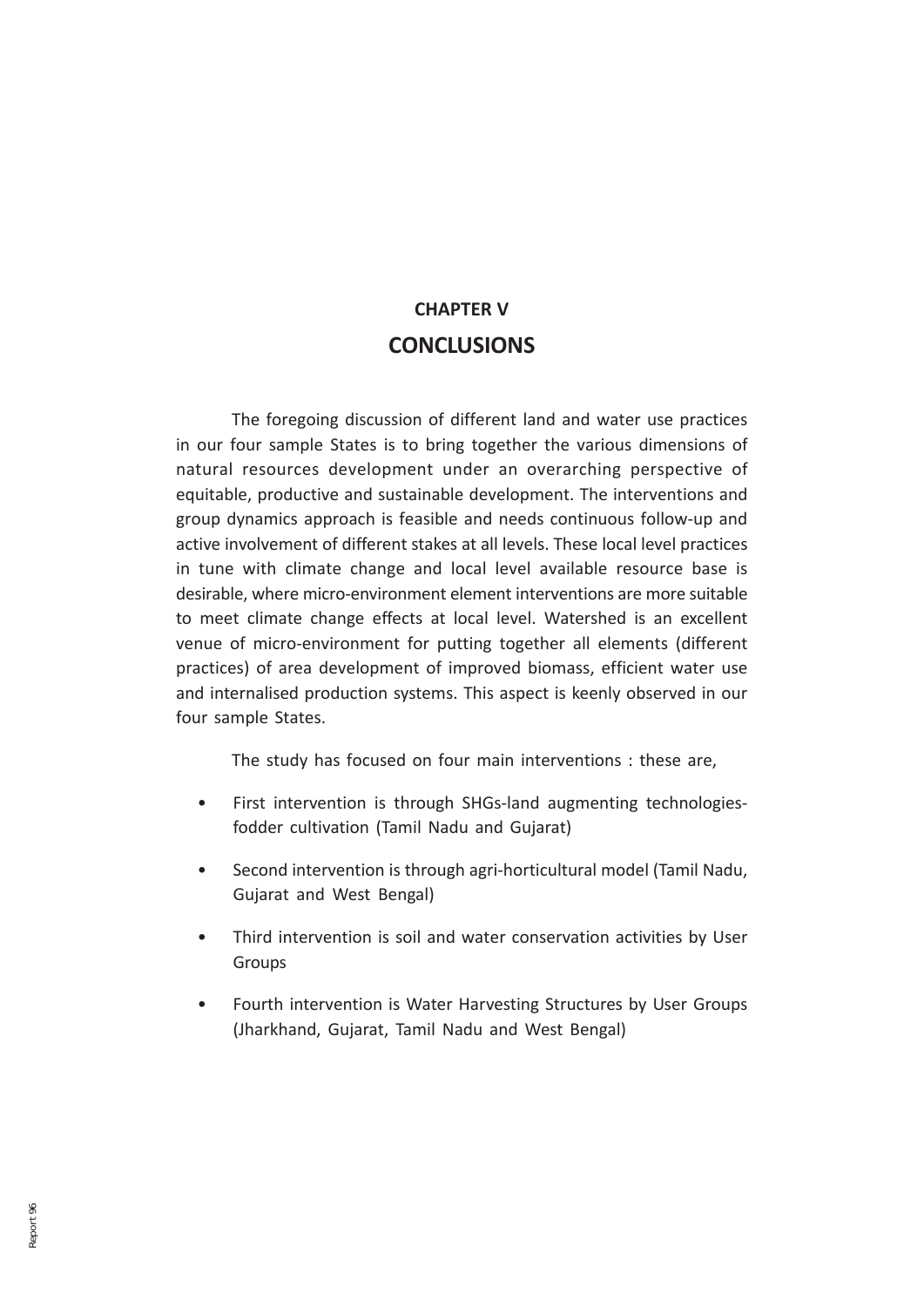# **CHAPTER V CONCLUSIONS**

The foregoing discussion of different land and water use practices in our four sample States is to bring together the various dimensions of natural resources development under an overarching perspective of equitable, productive and sustainable development. The interventions and group dynamics approach is feasible and needs continuous follow-up and active involvement of different stakes at all levels. These local level practices in tune with climate change and local level available resource base is desirable, where micro-environment element interventions are more suitable to meet climate change effects at local level. Watershed is an excellent venue of micro-environment for putting together all elements (different practices) of area development of improved biomass, efficient water use and internalised production systems. This aspect is keenly observed in our four sample States.

The study has focused on four main interventions : these are,

- First intervention is through SHGs-land augmenting technologiesfodder cultivation (Tamil Nadu and Gujarat)
- Second intervention is through agri-horticultural model (Tamil Nadu, Gujarat and West Bengal)
- Third intervention is soil and water conservation activities by User Groups
- Fourth intervention is Water Harvesting Structures by User Groups (Jharkhand, Gujarat, Tamil Nadu and West Bengal)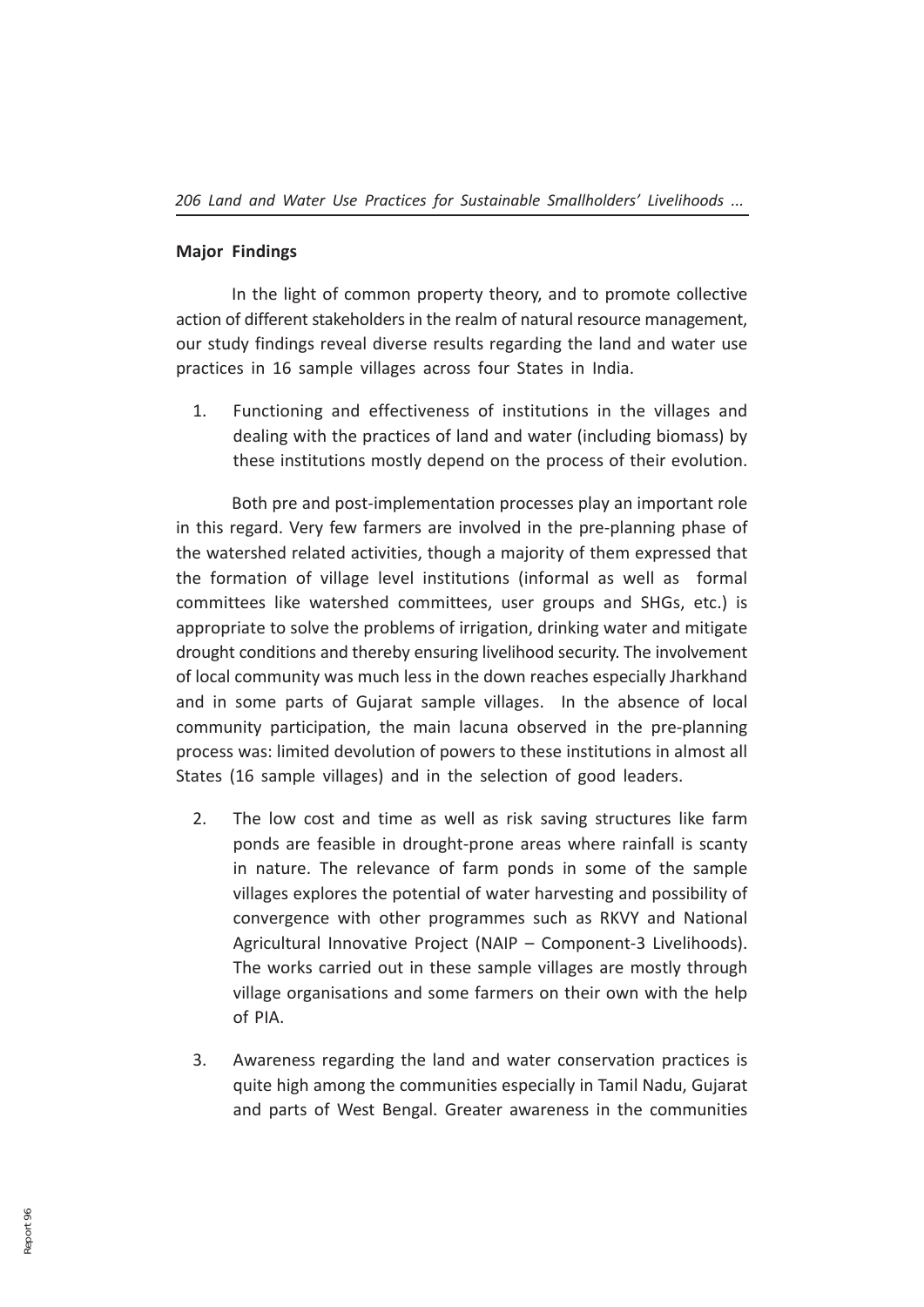### **Major Findings**

In the light of common property theory, and to promote collective action of different stakeholders in the realm of natural resource management, our study findings reveal diverse results regarding the land and water use practices in 16 sample villages across four States in India.

1. Functioning and effectiveness of institutions in the villages and dealing with the practices of land and water (including biomass) by these institutions mostly depend on the process of their evolution.

Both pre and post-implementation processes play an important role in this regard. Very few farmers are involved in the pre-planning phase of the watershed related activities, though a majority of them expressed that the formation of village level institutions (informal as well as formal committees like watershed committees, user groups and SHGs, etc.) is appropriate to solve the problems of irrigation, drinking water and mitigate drought conditions and thereby ensuring livelihood security. The involvement of local community was much less in the down reaches especially Jharkhand and in some parts of Gujarat sample villages. In the absence of local community participation, the main lacuna observed in the pre-planning process was: limited devolution of powers to these institutions in almost all States (16 sample villages) and in the selection of good leaders.

- 2. The low cost and time as well as risk saving structures like farm ponds are feasible in drought-prone areas where rainfall is scanty in nature. The relevance of farm ponds in some of the sample villages explores the potential of water harvesting and possibility of convergence with other programmes such as RKVY and National Agricultural Innovative Project (NAIP – Component-3 Livelihoods). The works carried out in these sample villages are mostly through village organisations and some farmers on their own with the help of PIA.
- 3. Awareness regarding the land and water conservation practices is quite high among the communities especially in Tamil Nadu, Gujarat and parts of West Bengal. Greater awareness in the communities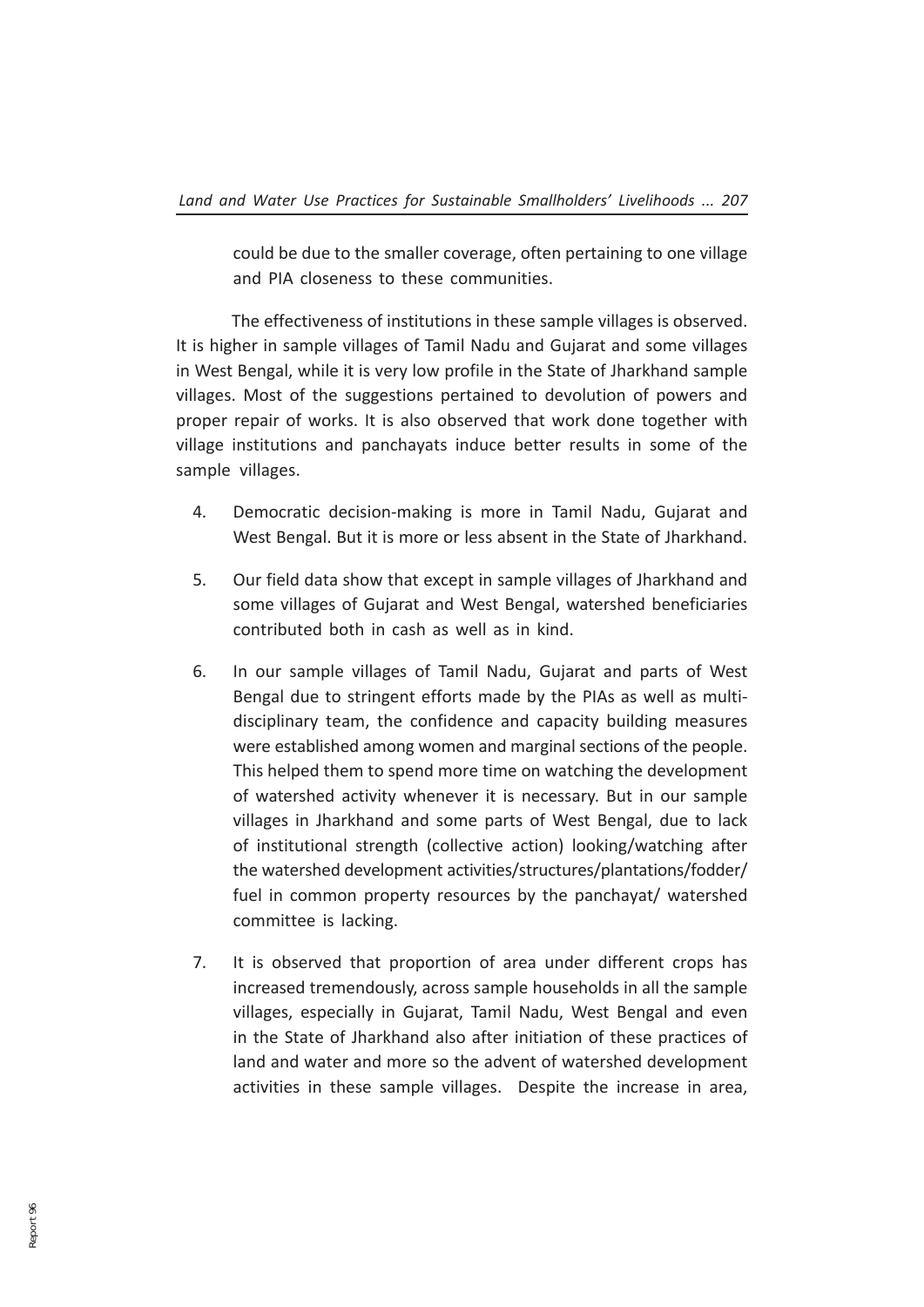could be due to the smaller coverage, often pertaining to one village and PIA closeness to these communities.

The effectiveness of institutions in these sample villages is observed. It is higher in sample villages of Tamil Nadu and Gujarat and some villages in West Bengal, while it is very low profile in the State of Jharkhand sample villages. Most of the suggestions pertained to devolution of powers and proper repair of works. It is also observed that work done together with village institutions and panchayats induce better results in some of the sample villages.

- 4. Democratic decision-making is more in Tamil Nadu, Gujarat and West Bengal. But it is more or less absent in the State of Jharkhand.
- 5. Our field data show that except in sample villages of Jharkhand and some villages of Gujarat and West Bengal, watershed beneficiaries contributed both in cash as well as in kind.
- 6. In our sample villages of Tamil Nadu, Gujarat and parts of West Bengal due to stringent efforts made by the PIAs as well as multidisciplinary team, the confidence and capacity building measures were established among women and marginal sections of the people. This helped them to spend more time on watching the development of watershed activity whenever it is necessary. But in our sample villages in Jharkhand and some parts of West Bengal, due to lack of institutional strength (collective action) looking/watching after the watershed development activities/structures/plantations/fodder/ fuel in common property resources by the panchayat/ watershed committee is lacking.
- 7. It is observed that proportion of area under different crops has increased tremendously, across sample households in all the sample villages, especially in Gujarat, Tamil Nadu, West Bengal and even in the State of Jharkhand also after initiation of these practices of land and water and more so the advent of watershed development activities in these sample villages. Despite the increase in area,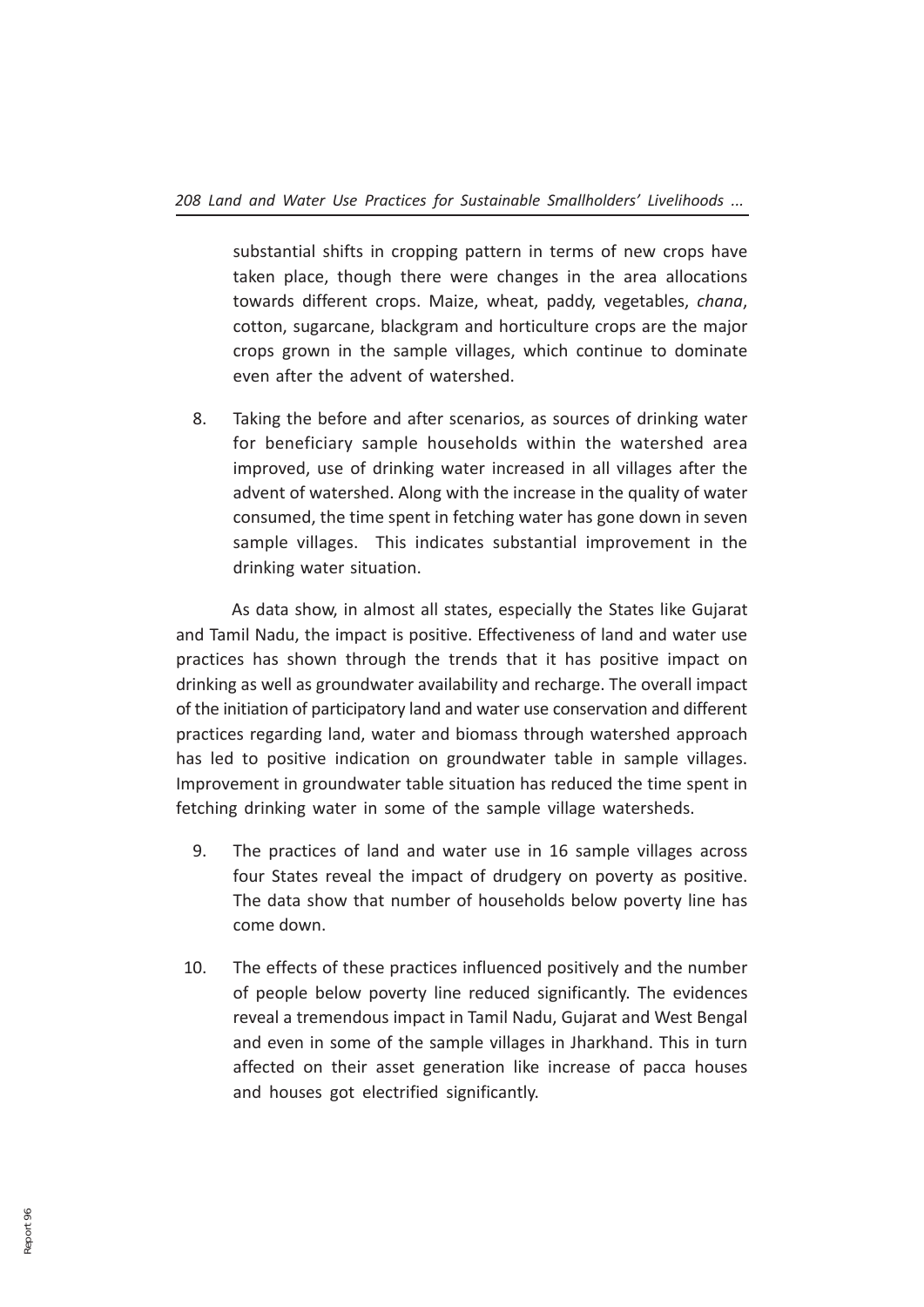substantial shifts in cropping pattern in terms of new crops have taken place, though there were changes in the area allocations towards different crops. Maize, wheat, paddy, vegetables, *chana*, cotton, sugarcane, blackgram and horticulture crops are the major crops grown in the sample villages, which continue to dominate even after the advent of watershed.

8. Taking the before and after scenarios, as sources of drinking water for beneficiary sample households within the watershed area improved, use of drinking water increased in all villages after the advent of watershed. Along with the increase in the quality of water consumed, the time spent in fetching water has gone down in seven sample villages. This indicates substantial improvement in the drinking water situation.

As data show, in almost all states, especially the States like Gujarat and Tamil Nadu, the impact is positive. Effectiveness of land and water use practices has shown through the trends that it has positive impact on drinking as well as groundwater availability and recharge. The overall impact of the initiation of participatory land and water use conservation and different practices regarding land, water and biomass through watershed approach has led to positive indication on groundwater table in sample villages. Improvement in groundwater table situation has reduced the time spent in fetching drinking water in some of the sample village watersheds.

- 9. The practices of land and water use in 16 sample villages across four States reveal the impact of drudgery on poverty as positive. The data show that number of households below poverty line has come down.
- 10. The effects of these practices influenced positively and the number of people below poverty line reduced significantly. The evidences reveal a tremendous impact in Tamil Nadu, Gujarat and West Bengal and even in some of the sample villages in Jharkhand. This in turn affected on their asset generation like increase of pacca houses and houses got electrified significantly.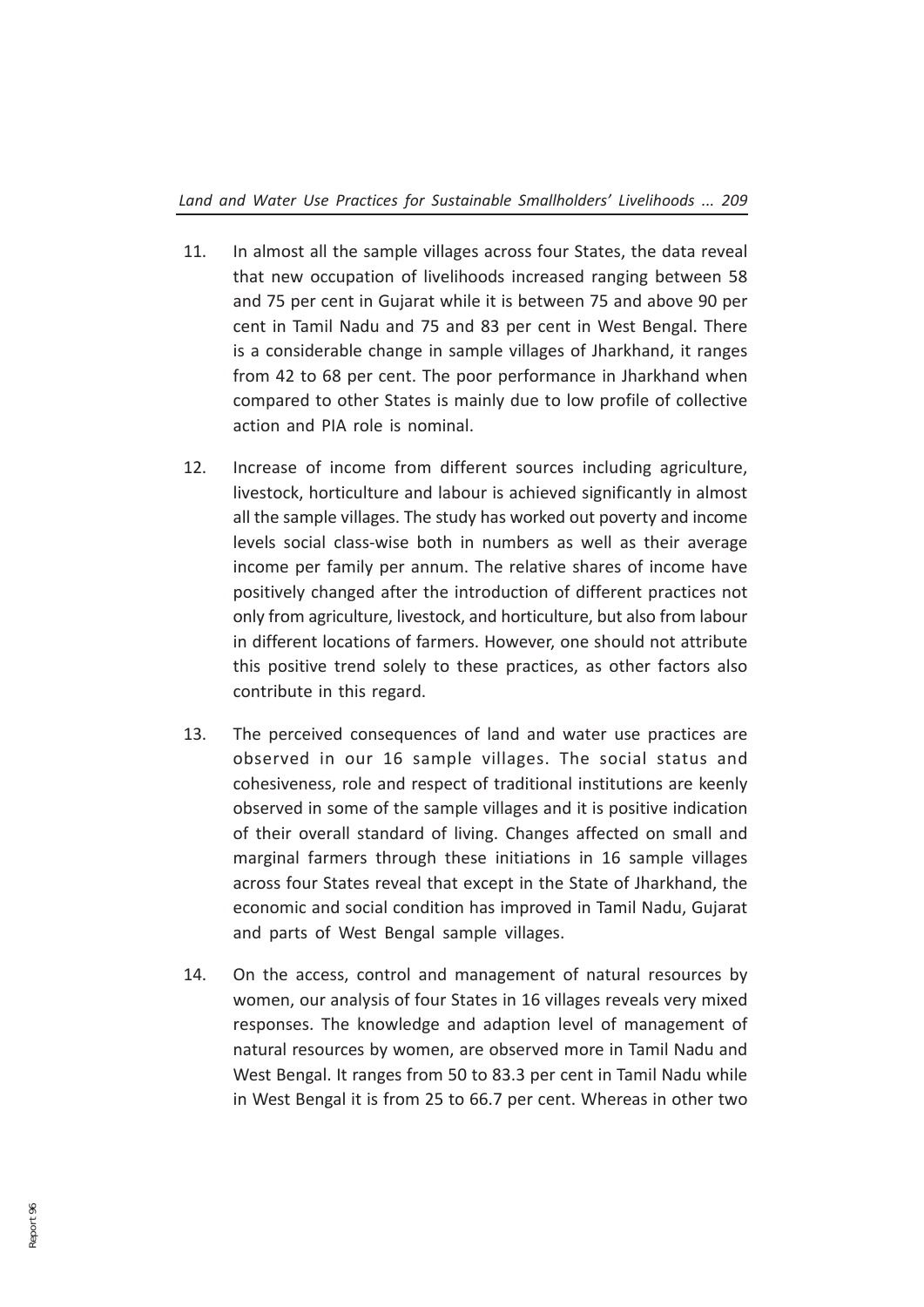- 11. In almost all the sample villages across four States, the data reveal that new occupation of livelihoods increased ranging between 58 and 75 per cent in Gujarat while it is between 75 and above 90 per cent in Tamil Nadu and 75 and 83 per cent in West Bengal. There is a considerable change in sample villages of Jharkhand, it ranges from 42 to 68 per cent. The poor performance in Jharkhand when compared to other States is mainly due to low profile of collective action and PIA role is nominal.
- 12. Increase of income from different sources including agriculture, livestock, horticulture and labour is achieved significantly in almost all the sample villages. The study has worked out poverty and income levels social class-wise both in numbers as well as their average income per family per annum. The relative shares of income have positively changed after the introduction of different practices not only from agriculture, livestock, and horticulture, but also from labour in different locations of farmers. However, one should not attribute this positive trend solely to these practices, as other factors also contribute in this regard.
- 13. The perceived consequences of land and water use practices are observed in our 16 sample villages. The social status and cohesiveness, role and respect of traditional institutions are keenly observed in some of the sample villages and it is positive indication of their overall standard of living. Changes affected on small and marginal farmers through these initiations in 16 sample villages across four States reveal that except in the State of Jharkhand, the economic and social condition has improved in Tamil Nadu, Gujarat and parts of West Bengal sample villages.
- 14. On the access, control and management of natural resources by women, our analysis of four States in 16 villages reveals very mixed responses. The knowledge and adaption level of management of natural resources by women, are observed more in Tamil Nadu and West Bengal. It ranges from 50 to 83.3 per cent in Tamil Nadu while in West Bengal it is from 25 to 66.7 per cent. Whereas in other two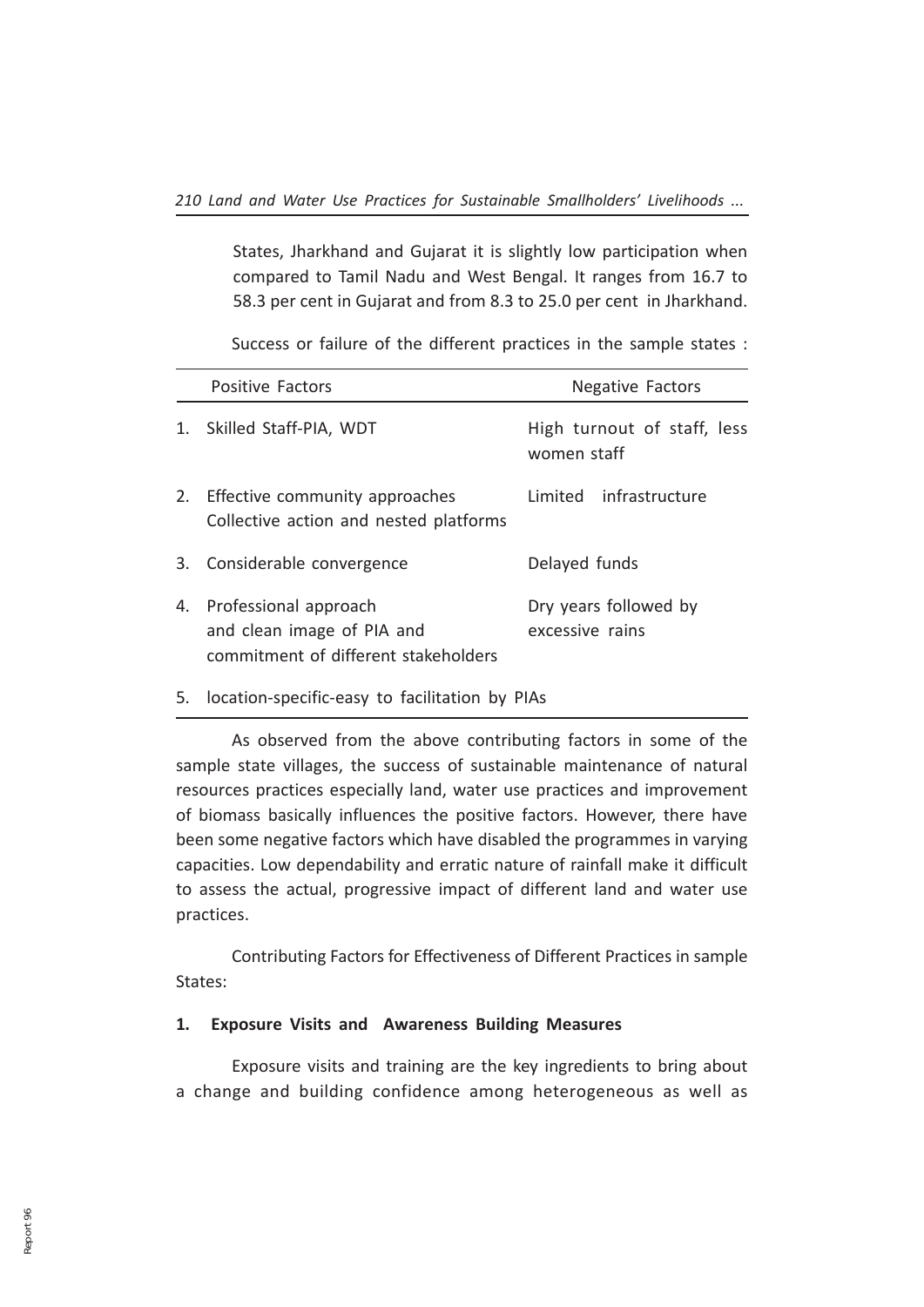States, Jharkhand and Gujarat it is slightly low participation when compared to Tamil Nadu and West Bengal. It ranges from 16.7 to 58.3 per cent in Gujarat and from 8.3 to 25.0 per cent in Jharkhand.

Positive Factors **Negative Factors** 1. Skilled Staff-PIA, WDT High turnout of staff, less women staff 2. Effective community approaches Limited infrastructure Collective action and nested platforms 3. Considerable convergence **Delayed funds** 4. Professional approach Dry years followed by and clean image of PIA and excessive rains commitment of different stakeholders

Success or failure of the different practices in the sample states :

### 5. location-specific-easy to facilitation by PIAs

As observed from the above contributing factors in some of the sample state villages, the success of sustainable maintenance of natural resources practices especially land, water use practices and improvement of biomass basically influences the positive factors. However, there have been some negative factors which have disabled the programmes in varying capacities. Low dependability and erratic nature of rainfall make it difficult to assess the actual, progressive impact of different land and water use practices.

Contributing Factors for Effectiveness of Different Practices in sample States:

### **1. Exposure Visits and Awareness Building Measures**

Exposure visits and training are the key ingredients to bring about a change and building confidence among heterogeneous as well as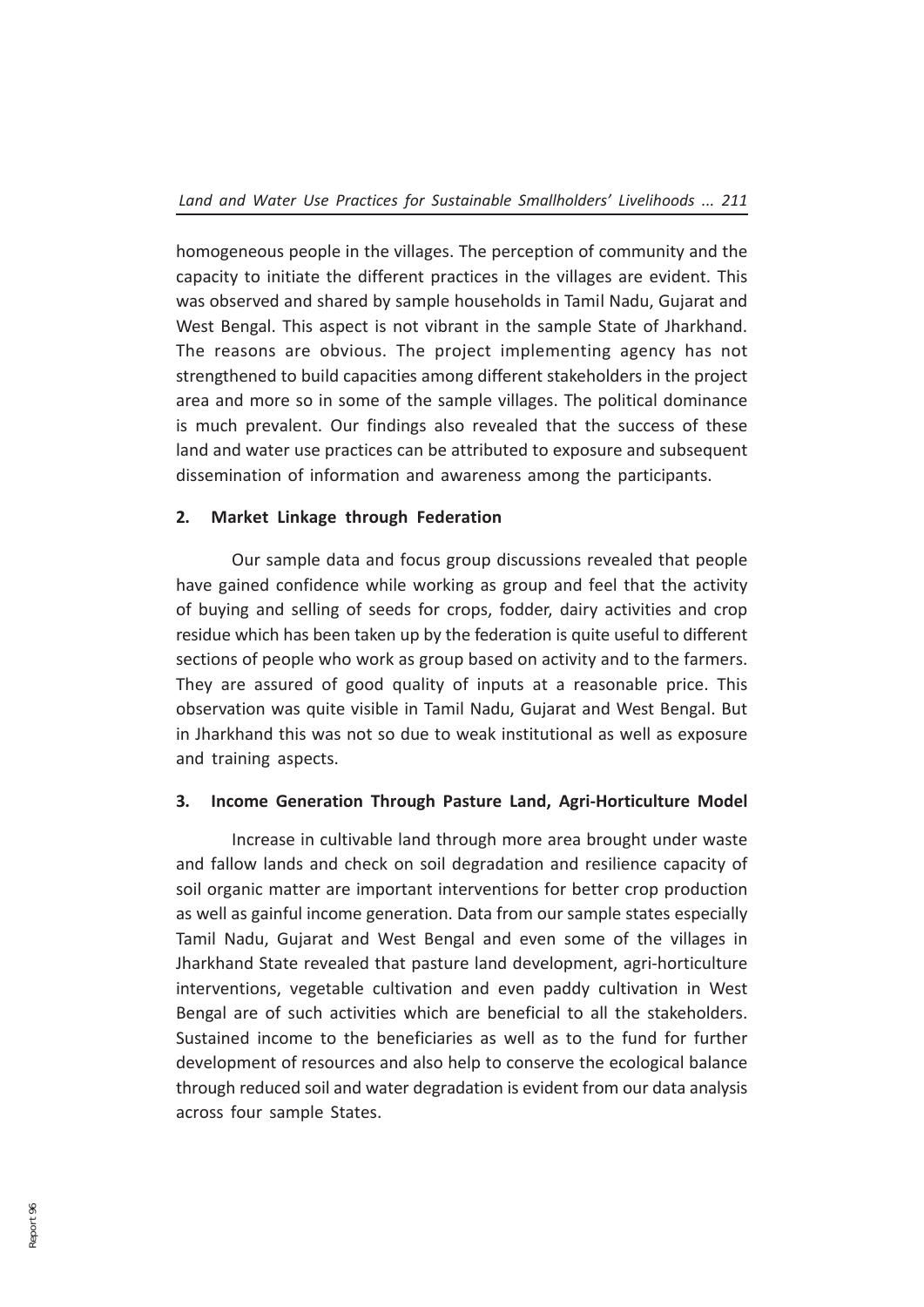homogeneous people in the villages. The perception of community and the capacity to initiate the different practices in the villages are evident. This was observed and shared by sample households in Tamil Nadu, Gujarat and West Bengal. This aspect is not vibrant in the sample State of Jharkhand. The reasons are obvious. The project implementing agency has not strengthened to build capacities among different stakeholders in the project area and more so in some of the sample villages. The political dominance is much prevalent. Our findings also revealed that the success of these land and water use practices can be attributed to exposure and subsequent dissemination of information and awareness among the participants.

# **2. Market Linkage through Federation**

Our sample data and focus group discussions revealed that people have gained confidence while working as group and feel that the activity of buying and selling of seeds for crops, fodder, dairy activities and crop residue which has been taken up by the federation is quite useful to different sections of people who work as group based on activity and to the farmers. They are assured of good quality of inputs at a reasonable price. This observation was quite visible in Tamil Nadu, Gujarat and West Bengal. But in Jharkhand this was not so due to weak institutional as well as exposure and training aspects.

# **3. Income Generation Through Pasture Land, Agri-Horticulture Model**

Increase in cultivable land through more area brought under waste and fallow lands and check on soil degradation and resilience capacity of soil organic matter are important interventions for better crop production as well as gainful income generation. Data from our sample states especially Tamil Nadu, Gujarat and West Bengal and even some of the villages in Jharkhand State revealed that pasture land development, agri-horticulture interventions, vegetable cultivation and even paddy cultivation in West Bengal are of such activities which are beneficial to all the stakeholders. Sustained income to the beneficiaries as well as to the fund for further development of resources and also help to conserve the ecological balance through reduced soil and water degradation is evident from our data analysis across four sample States.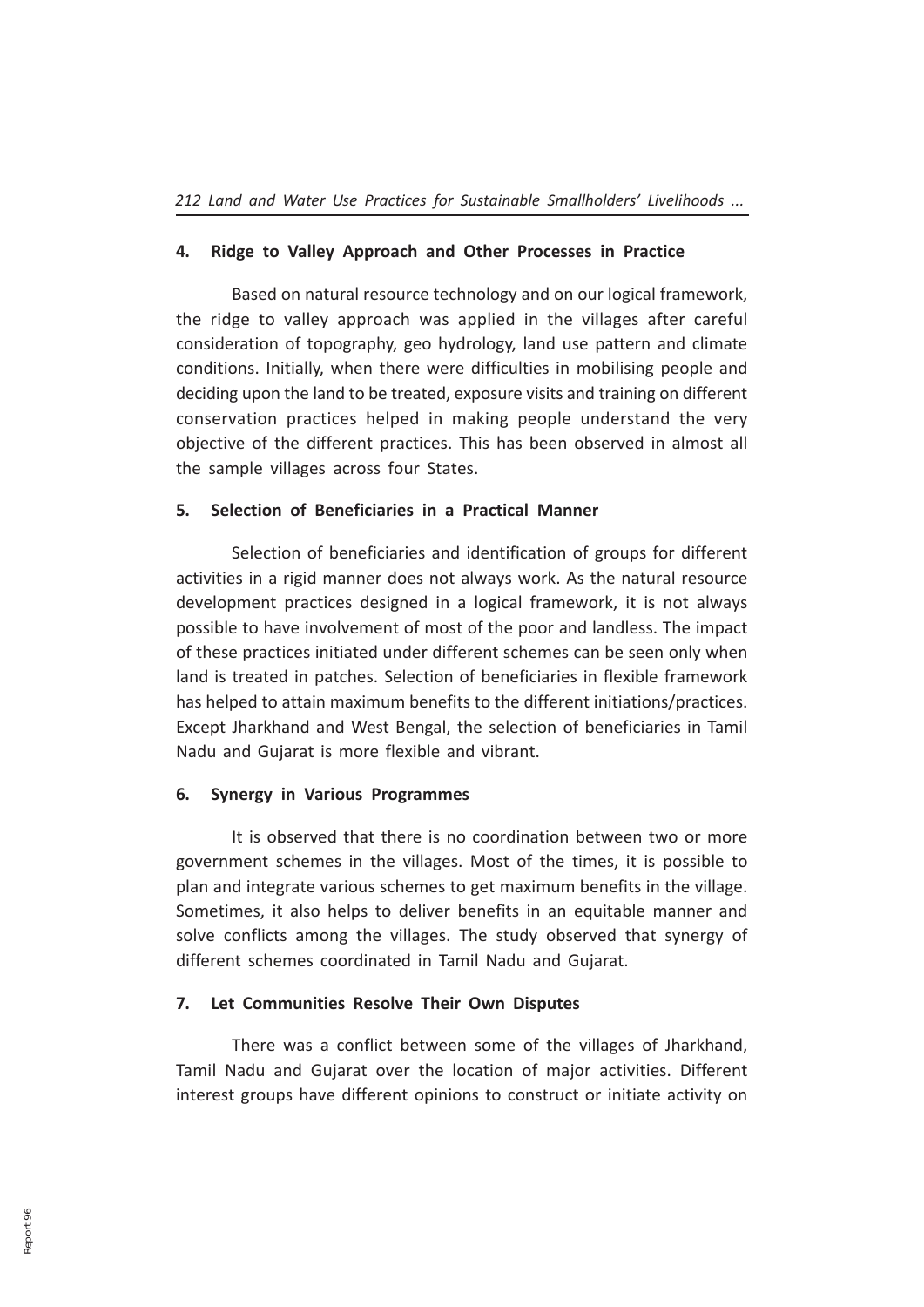### **4. Ridge to Valley Approach and Other Processes in Practice**

Based on natural resource technology and on our logical framework, the ridge to valley approach was applied in the villages after careful consideration of topography, geo hydrology, land use pattern and climate conditions. Initially, when there were difficulties in mobilising people and deciding upon the land to be treated, exposure visits and training on different conservation practices helped in making people understand the very objective of the different practices. This has been observed in almost all the sample villages across four States.

### **5. Selection of Beneficiaries in a Practical Manner**

Selection of beneficiaries and identification of groups for different activities in a rigid manner does not always work. As the natural resource development practices designed in a logical framework, it is not always possible to have involvement of most of the poor and landless. The impact of these practices initiated under different schemes can be seen only when land is treated in patches. Selection of beneficiaries in flexible framework has helped to attain maximum benefits to the different initiations/practices. Except Jharkhand and West Bengal, the selection of beneficiaries in Tamil Nadu and Gujarat is more flexible and vibrant.

# **6. Synergy in Various Programmes**

It is observed that there is no coordination between two or more government schemes in the villages. Most of the times, it is possible to plan and integrate various schemes to get maximum benefits in the village. Sometimes, it also helps to deliver benefits in an equitable manner and solve conflicts among the villages. The study observed that synergy of different schemes coordinated in Tamil Nadu and Gujarat.

# **7. Let Communities Resolve Their Own Disputes**

There was a conflict between some of the villages of Jharkhand, Tamil Nadu and Gujarat over the location of major activities. Different interest groups have different opinions to construct or initiate activity on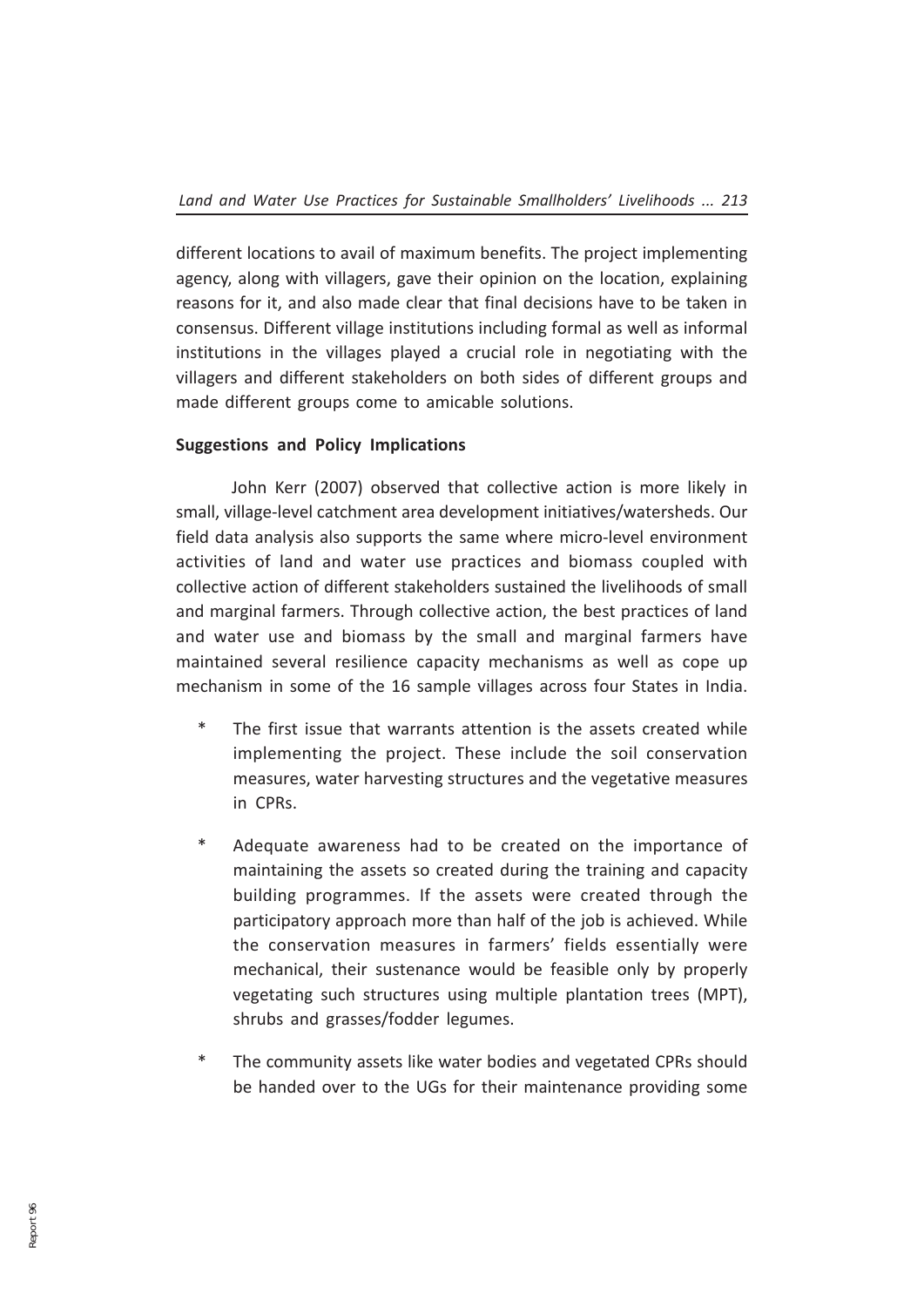different locations to avail of maximum benefits. The project implementing agency, along with villagers, gave their opinion on the location, explaining reasons for it, and also made clear that final decisions have to be taken in consensus. Different village institutions including formal as well as informal institutions in the villages played a crucial role in negotiating with the villagers and different stakeholders on both sides of different groups and made different groups come to amicable solutions.

### **Suggestions and Policy Implications**

John Kerr (2007) observed that collective action is more likely in small, village-level catchment area development initiatives/watersheds. Our field data analysis also supports the same where micro-level environment activities of land and water use practices and biomass coupled with collective action of different stakeholders sustained the livelihoods of small and marginal farmers. Through collective action, the best practices of land and water use and biomass by the small and marginal farmers have maintained several resilience capacity mechanisms as well as cope up mechanism in some of the 16 sample villages across four States in India.

- \* The first issue that warrants attention is the assets created while implementing the project. These include the soil conservation measures, water harvesting structures and the vegetative measures in CPRs.
- \* Adequate awareness had to be created on the importance of maintaining the assets so created during the training and capacity building programmes. If the assets were created through the participatory approach more than half of the job is achieved. While the conservation measures in farmers' fields essentially were mechanical, their sustenance would be feasible only by properly vegetating such structures using multiple plantation trees (MPT), shrubs and grasses/fodder legumes.
- The community assets like water bodies and vegetated CPRs should be handed over to the UGs for their maintenance providing some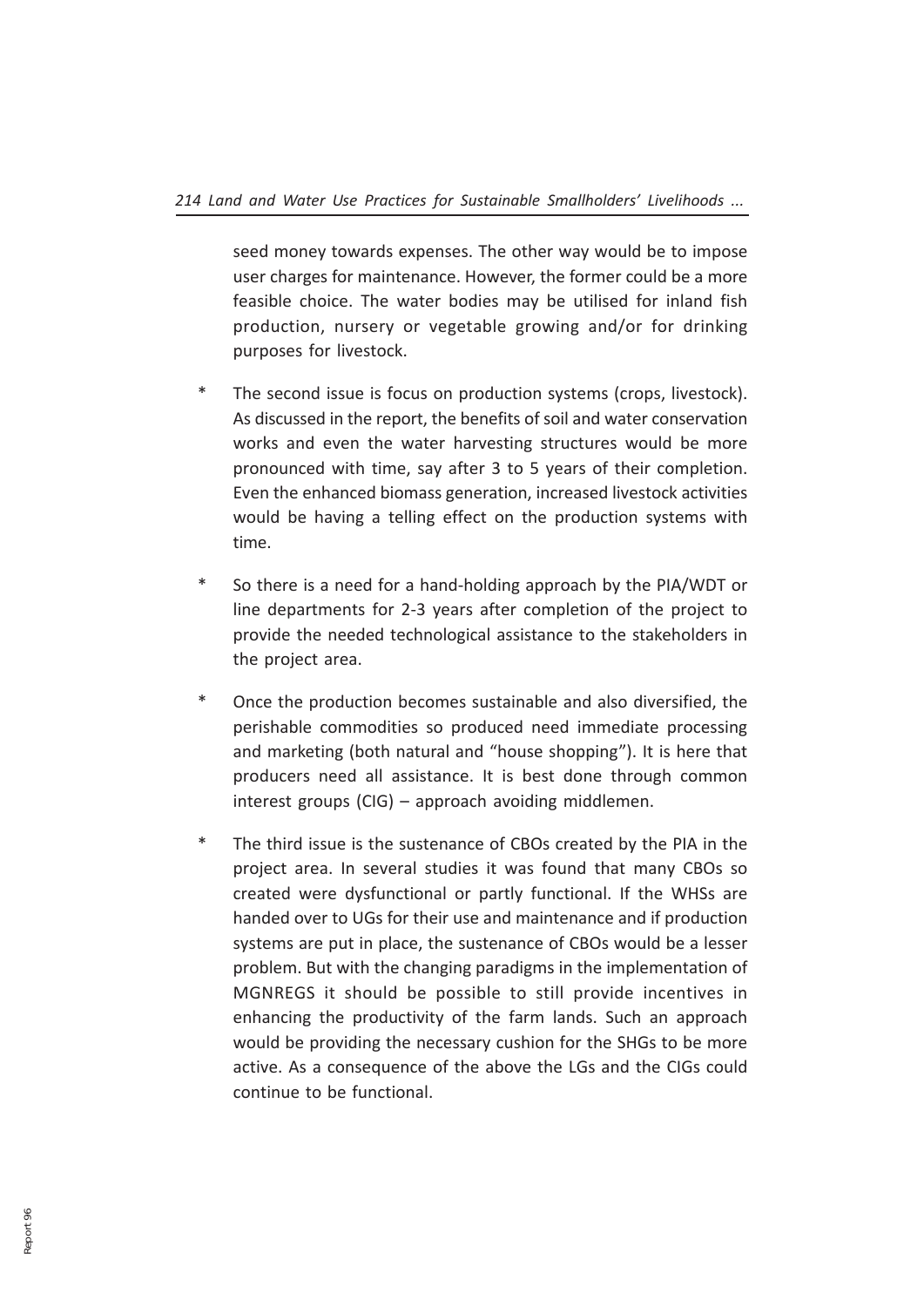seed money towards expenses. The other way would be to impose user charges for maintenance. However, the former could be a more feasible choice. The water bodies may be utilised for inland fish production, nursery or vegetable growing and/or for drinking purposes for livestock.

- \* The second issue is focus on production systems (crops, livestock). As discussed in the report, the benefits of soil and water conservation works and even the water harvesting structures would be more pronounced with time, say after 3 to 5 years of their completion. Even the enhanced biomass generation, increased livestock activities would be having a telling effect on the production systems with time.
- So there is a need for a hand-holding approach by the PIA/WDT or line departments for 2-3 years after completion of the project to provide the needed technological assistance to the stakeholders in the project area.
- \* Once the production becomes sustainable and also diversified, the perishable commodities so produced need immediate processing and marketing (both natural and "house shopping"). It is here that producers need all assistance. It is best done through common interest groups (CIG) – approach avoiding middlemen.
- \* The third issue is the sustenance of CBOs created by the PIA in the project area. In several studies it was found that many CBOs so created were dysfunctional or partly functional. If the WHSs are handed over to UGs for their use and maintenance and if production systems are put in place, the sustenance of CBOs would be a lesser problem. But with the changing paradigms in the implementation of MGNREGS it should be possible to still provide incentives in enhancing the productivity of the farm lands. Such an approach would be providing the necessary cushion for the SHGs to be more active. As a consequence of the above the LGs and the CIGs could continue to be functional.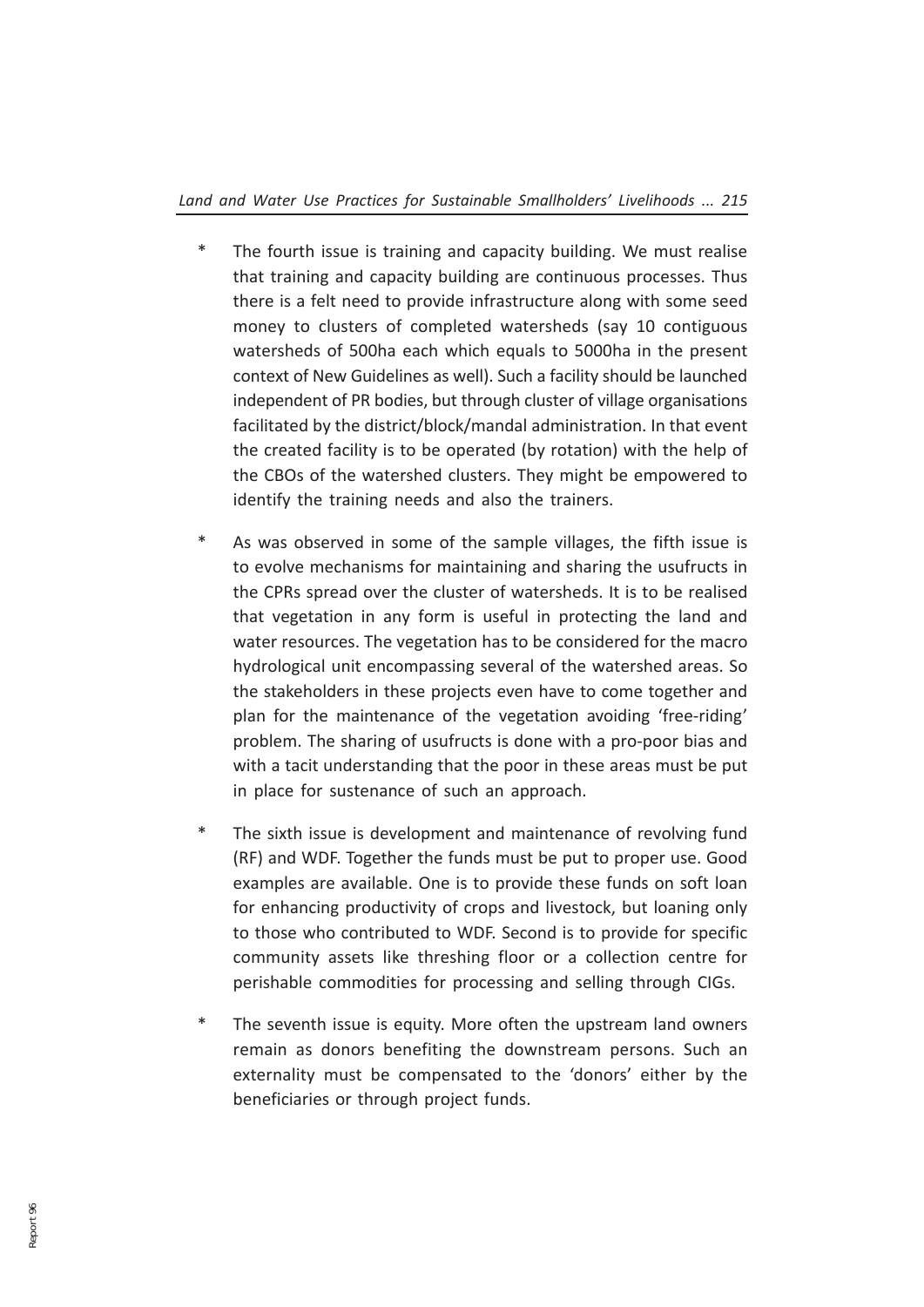- The fourth issue is training and capacity building. We must realise that training and capacity building are continuous processes. Thus there is a felt need to provide infrastructure along with some seed money to clusters of completed watersheds (say 10 contiguous watersheds of 500ha each which equals to 5000ha in the present context of New Guidelines as well). Such a facility should be launched independent of PR bodies, but through cluster of village organisations facilitated by the district/block/mandal administration. In that event the created facility is to be operated (by rotation) with the help of the CBOs of the watershed clusters. They might be empowered to identify the training needs and also the trainers.
- \* As was observed in some of the sample villages, the fifth issue is to evolve mechanisms for maintaining and sharing the usufructs in the CPRs spread over the cluster of watersheds. It is to be realised that vegetation in any form is useful in protecting the land and water resources. The vegetation has to be considered for the macro hydrological unit encompassing several of the watershed areas. So the stakeholders in these projects even have to come together and plan for the maintenance of the vegetation avoiding 'free-riding' problem. The sharing of usufructs is done with a pro-poor bias and with a tacit understanding that the poor in these areas must be put in place for sustenance of such an approach.
- \* The sixth issue is development and maintenance of revolving fund (RF) and WDF. Together the funds must be put to proper use. Good examples are available. One is to provide these funds on soft loan for enhancing productivity of crops and livestock, but loaning only to those who contributed to WDF. Second is to provide for specific community assets like threshing floor or a collection centre for perishable commodities for processing and selling through CIGs.
- \* The seventh issue is equity. More often the upstream land owners remain as donors benefiting the downstream persons. Such an externality must be compensated to the 'donors' either by the beneficiaries or through project funds.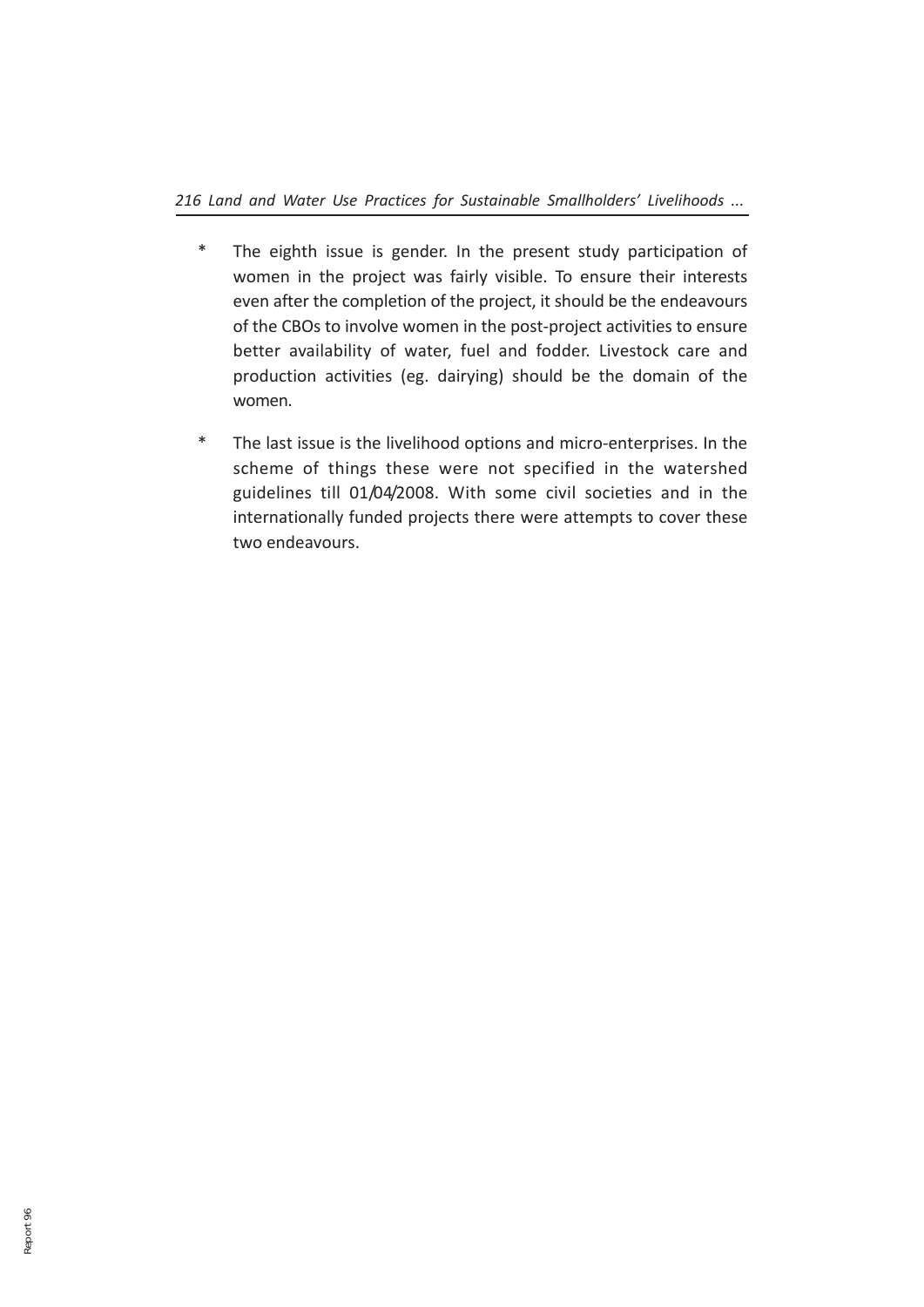- \* The eighth issue is gender. In the present study participation of women in the project was fairly visible. To ensure their interests even after the completion of the project, it should be the endeavours of the CBOs to involve women in the post-project activities to ensure better availability of water, fuel and fodder. Livestock care and production activities (eg. dairying) should be the domain of the women.
- \* The last issue is the livelihood options and micro-enterprises. In the scheme of things these were not specified in the watershed guidelines till 01/04/2008. With some civil societies and in the internationally funded projects there were attempts to cover these two endeavours.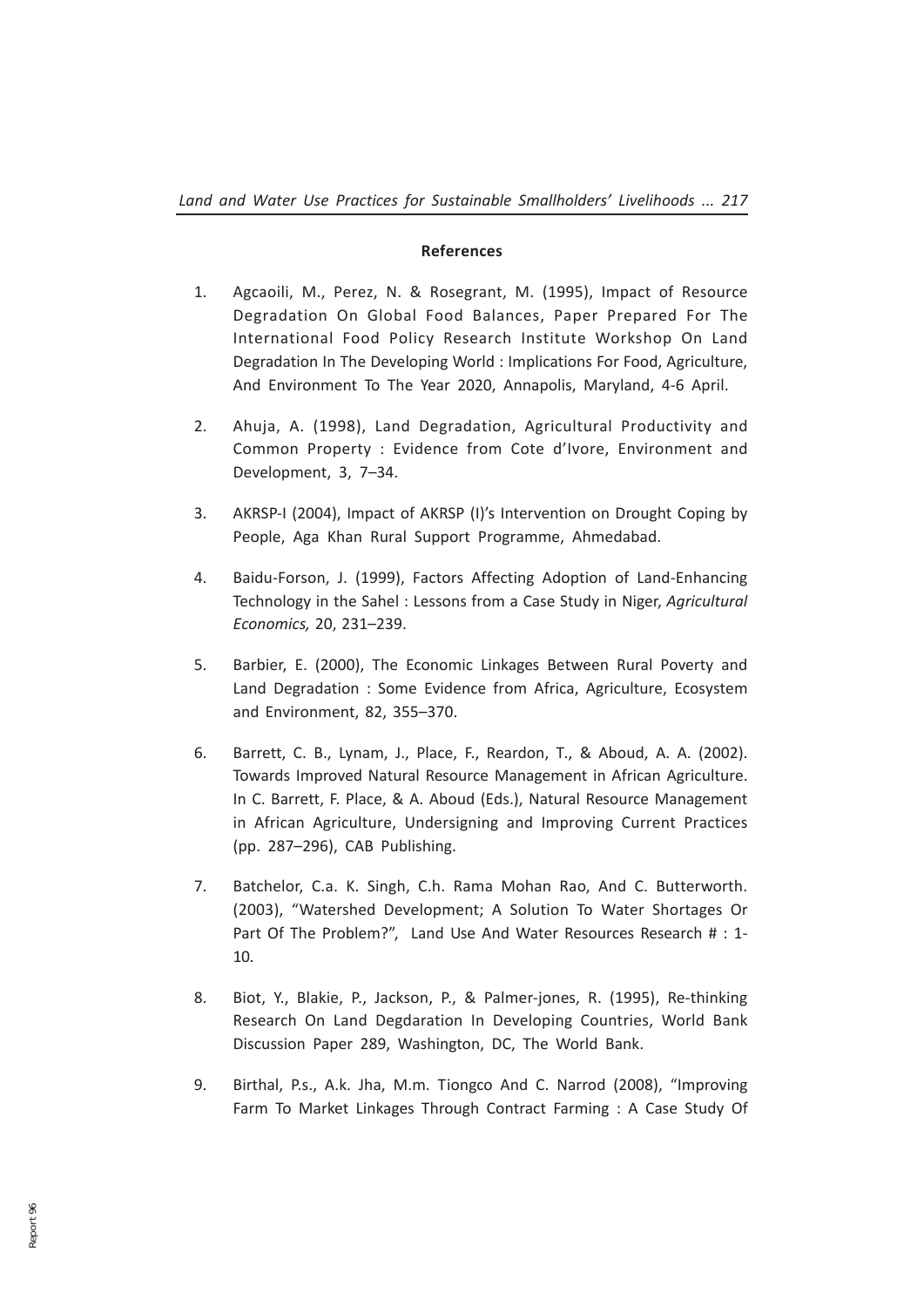#### **References**

- 1. Agcaoili, M., Perez, N. & Rosegrant, M. (1995), Impact of Resource Degradation On Global Food Balances, Paper Prepared For The International Food Policy Research Institute Workshop On Land Degradation In The Developing World : Implications For Food, Agriculture, And Environment To The Year 2020, Annapolis, Maryland, 4-6 April.
- 2. Ahuja, A. (1998), Land Degradation, Agricultural Productivity and Common Property : Evidence from Cote d'Ivore, Environment and Development, 3, 7–34.
- 3. AKRSP-I (2004), Impact of AKRSP (I)'s Intervention on Drought Coping by People, Aga Khan Rural Support Programme, Ahmedabad.
- 4. Baidu-Forson, J. (1999), Factors Affecting Adoption of Land-Enhancing Technology in the Sahel : Lessons from a Case Study in Niger, *Agricultural Economics,* 20, 231–239.
- 5. Barbier, E. (2000), The Economic Linkages Between Rural Poverty and Land Degradation : Some Evidence from Africa, Agriculture, Ecosystem and Environment, 82, 355–370.
- 6. Barrett, C. B., Lynam, J., Place, F., Reardon, T., & Aboud, A. A. (2002). Towards Improved Natural Resource Management in African Agriculture. In C. Barrett, F. Place, & A. Aboud (Eds.), Natural Resource Management in African Agriculture, Undersigning and Improving Current Practices (pp. 287–296), CAB Publishing.
- 7. Batchelor, C.a. K. Singh, C.h. Rama Mohan Rao, And C. Butterworth. (2003), "Watershed Development; A Solution To Water Shortages Or Part Of The Problem?", Land Use And Water Resources Research # : 1-10.
- 8. Biot, Y., Blakie, P., Jackson, P., & Palmer-jones, R. (1995), Re-thinking Research On Land Degdaration In Developing Countries, World Bank Discussion Paper 289, Washington, DC, The World Bank.
- 9. Birthal, P.s., A.k. Jha, M.m. Tiongco And C. Narrod (2008), "Improving Farm To Market Linkages Through Contract Farming : A Case Study Of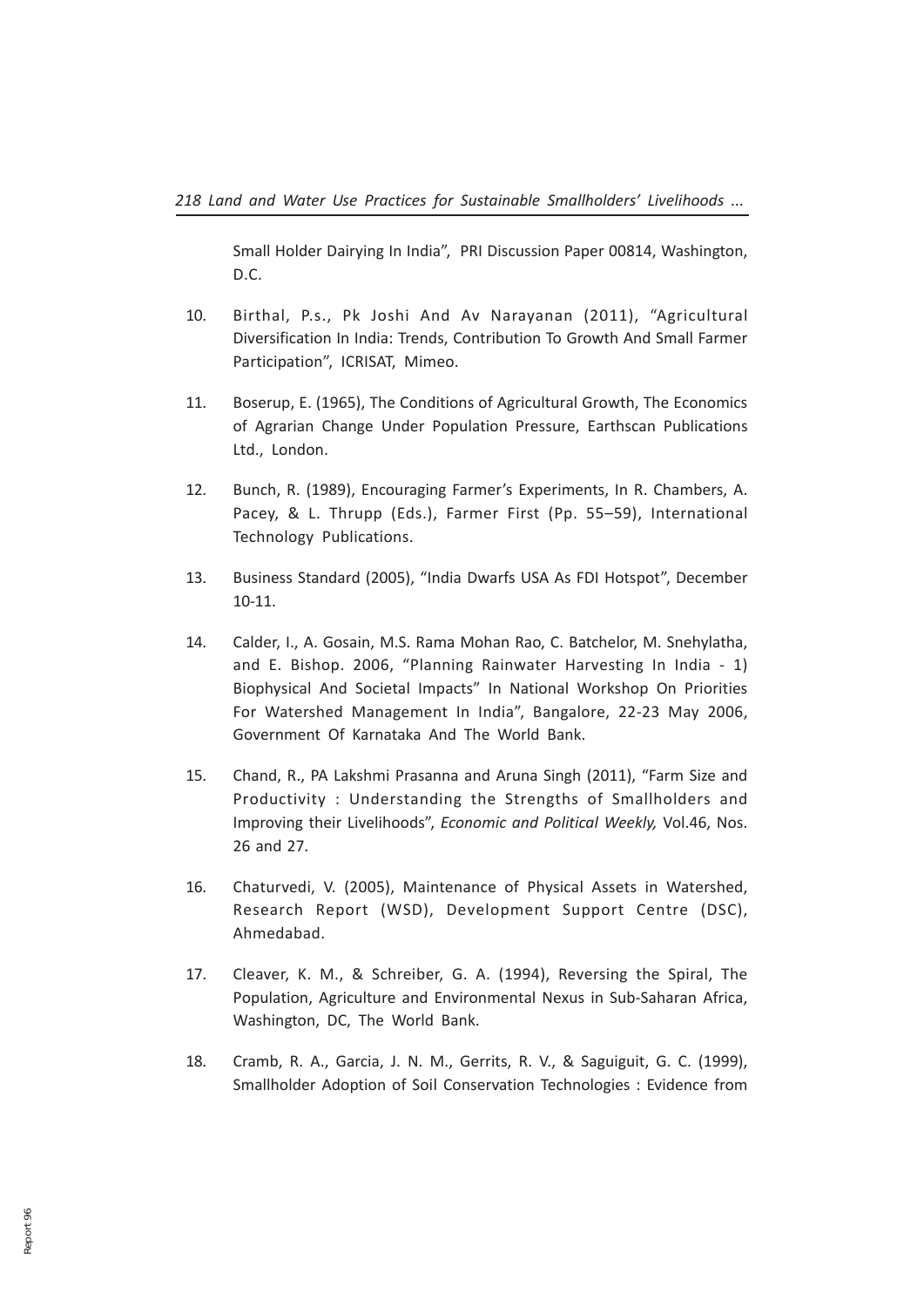Small Holder Dairying In India", PRI Discussion Paper 00814, Washington, D.C.

- 10. Birthal, P.s., Pk Joshi And Av Narayanan (2011), "Agricultural Diversification In India: Trends, Contribution To Growth And Small Farmer Participation", ICRISAT, Mimeo.
- 11. Boserup, E. (1965), The Conditions of Agricultural Growth, The Economics of Agrarian Change Under Population Pressure, Earthscan Publications Ltd., London.
- 12. Bunch, R. (1989), Encouraging Farmer's Experiments, In R. Chambers, A. Pacey, & L. Thrupp (Eds.), Farmer First (Pp. 55–59), International Technology Publications.
- 13. Business Standard (2005), "India Dwarfs USA As FDI Hotspot", December 10-11.
- 14. Calder, I., A. Gosain, M.S. Rama Mohan Rao, C. Batchelor, M. Snehylatha, and E. Bishop. 2006, "Planning Rainwater Harvesting In India - 1) Biophysical And Societal Impacts" In National Workshop On Priorities For Watershed Management In India", Bangalore, 22-23 May 2006, Government Of Karnataka And The World Bank.
- 15. Chand, R., PA Lakshmi Prasanna and Aruna Singh (2011), "Farm Size and Productivity : Understanding the Strengths of Smallholders and Improving their Livelihoods", *Economic and Political Weekly,* Vol.46, Nos. 26 and 27.
- 16. Chaturvedi, V. (2005), Maintenance of Physical Assets in Watershed, Research Report (WSD), Development Support Centre (DSC), Ahmedabad.
- 17. Cleaver, K. M., & Schreiber, G. A. (1994), Reversing the Spiral, The Population, Agriculture and Environmental Nexus in Sub-Saharan Africa, Washington, DC, The World Bank.
- 18. Cramb, R. A., Garcia, J. N. M., Gerrits, R. V., & Saguiguit, G. C. (1999), Smallholder Adoption of Soil Conservation Technologies : Evidence from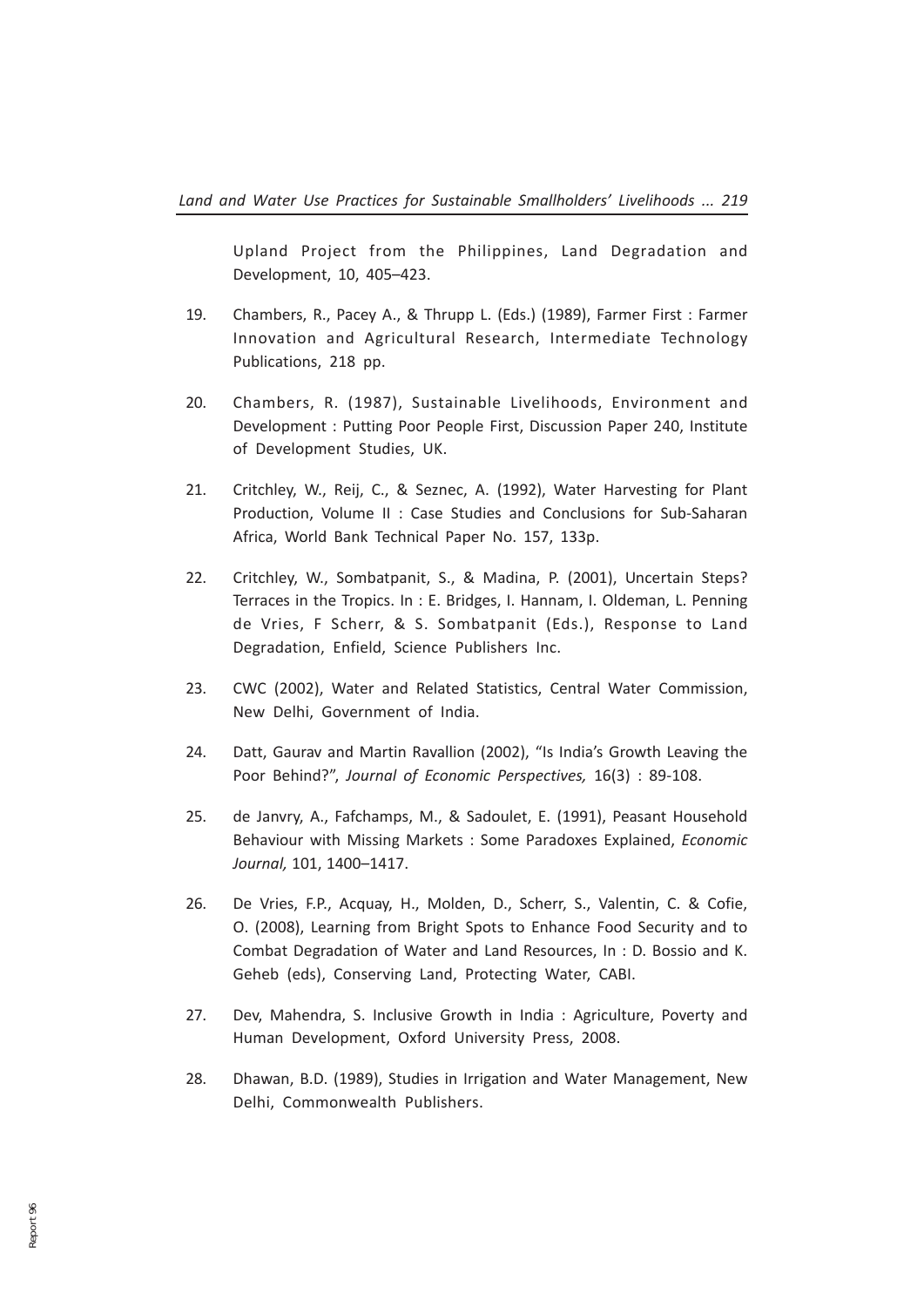Upland Project from the Philippines, Land Degradation and Development, 10, 405–423.

- 19. Chambers, R., Pacey A., & Thrupp L. (Eds.) (1989), Farmer First : Farmer Innovation and Agricultural Research, Intermediate Technology Publications, 218 pp.
- 20. Chambers, R. (1987), Sustainable Livelihoods, Environment and Development : Putting Poor People First, Discussion Paper 240, Institute of Development Studies, UK.
- 21. Critchley, W., Reij, C., & Seznec, A. (1992), Water Harvesting for Plant Production, Volume II : Case Studies and Conclusions for Sub-Saharan Africa, World Bank Technical Paper No. 157, 133p.
- 22. Critchley, W., Sombatpanit, S., & Madina, P. (2001), Uncertain Steps? Terraces in the Tropics. In : E. Bridges, I. Hannam, I. Oldeman, L. Penning de Vries, F Scherr, & S. Sombatpanit (Eds.), Response to Land Degradation, Enfield, Science Publishers Inc.
- 23. CWC (2002), Water and Related Statistics, Central Water Commission, New Delhi, Government of India.
- 24. Datt, Gaurav and Martin Ravallion (2002), "Is India's Growth Leaving the Poor Behind?", *Journal of Economic Perspectives,* 16(3) : 89-108.
- 25. de Janvry, A., Fafchamps, M., & Sadoulet, E. (1991), Peasant Household Behaviour with Missing Markets : Some Paradoxes Explained, *Economic Journal,* 101, 1400–1417.
- 26. De Vries, F.P., Acquay, H., Molden, D., Scherr, S., Valentin, C. & Cofie, O. (2008), Learning from Bright Spots to Enhance Food Security and to Combat Degradation of Water and Land Resources, In : D. Bossio and K. Geheb (eds), Conserving Land, Protecting Water, CABI.
- 27. Dev, Mahendra, S. Inclusive Growth in India : Agriculture, Poverty and Human Development, Oxford University Press, 2008.
- 28. Dhawan, B.D. (1989), Studies in Irrigation and Water Management, New Delhi, Commonwealth Publishers.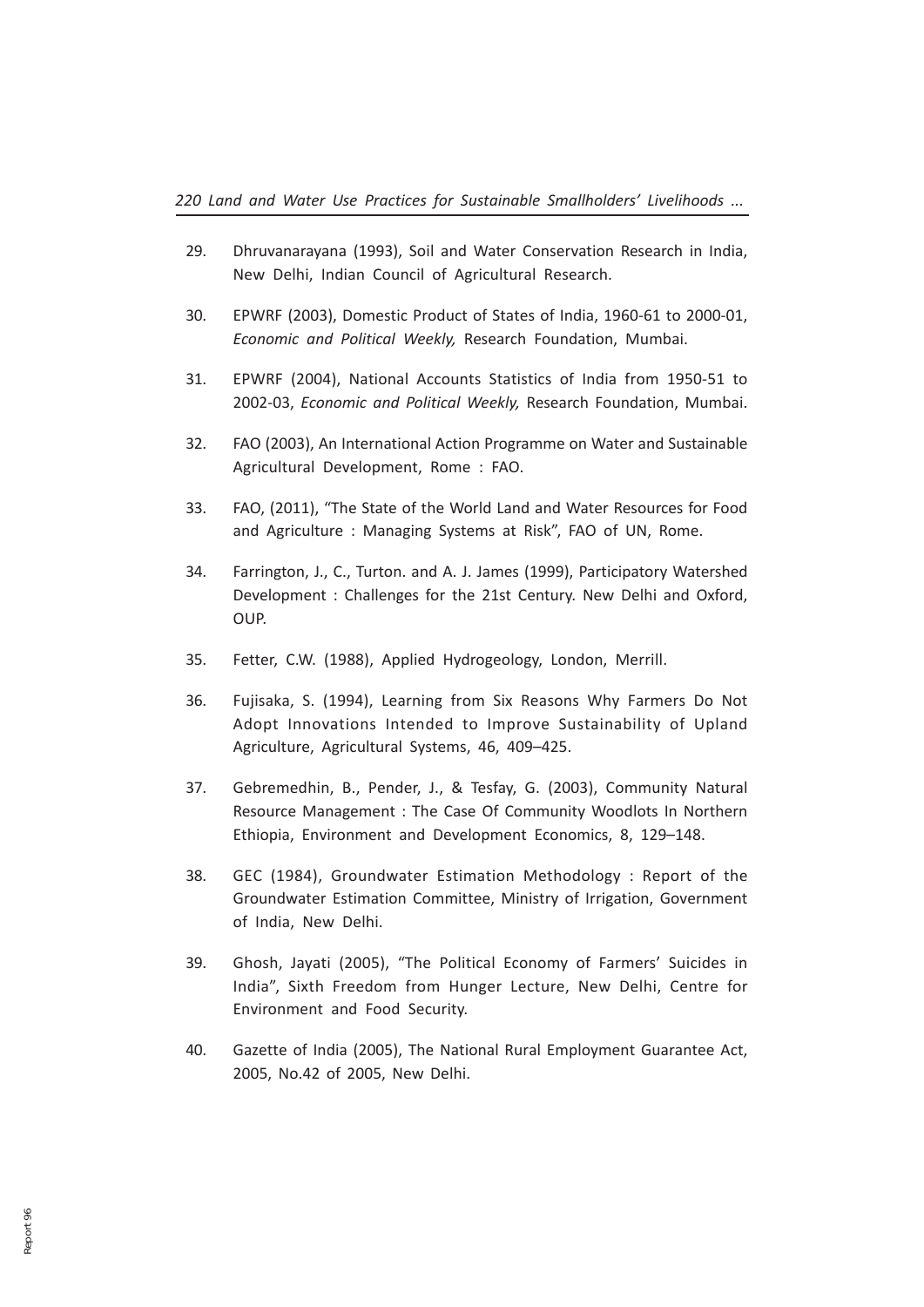- 29. Dhruvanarayana (1993), Soil and Water Conservation Research in India, New Delhi, Indian Council of Agricultural Research.
- 30. EPWRF (2003), Domestic Product of States of India, 1960-61 to 2000-01, *Economic and Political Weekly,* Research Foundation, Mumbai.
- 31. EPWRF (2004), National Accounts Statistics of India from 1950-51 to 2002-03, *Economic and Political Weekly,* Research Foundation, Mumbai.
- 32. FAO (2003), An International Action Programme on Water and Sustainable Agricultural Development, Rome : FAO.
- 33. FAO, (2011), "The State of the World Land and Water Resources for Food and Agriculture : Managing Systems at Risk", FAO of UN, Rome.
- 34. Farrington, J., C., Turton. and A. J. James (1999), Participatory Watershed Development : Challenges for the 21st Century. New Delhi and Oxford, OUP.
- 35. Fetter, C.W. (1988), Applied Hydrogeology, London, Merrill.
- 36. Fujisaka, S. (1994), Learning from Six Reasons Why Farmers Do Not Adopt Innovations Intended to Improve Sustainability of Upland Agriculture, Agricultural Systems, 46, 409–425.
- 37. Gebremedhin, B., Pender, J., & Tesfay, G. (2003), Community Natural Resource Management : The Case Of Community Woodlots In Northern Ethiopia, Environment and Development Economics, 8, 129–148.
- 38. GEC (1984), Groundwater Estimation Methodology : Report of the Groundwater Estimation Committee, Ministry of Irrigation, Government of India, New Delhi.
- 39. Ghosh, Jayati (2005), "The Political Economy of Farmers' Suicides in India", Sixth Freedom from Hunger Lecture, New Delhi, Centre for Environment and Food Security.
- 40. Gazette of India (2005), The National Rural Employment Guarantee Act, 2005, No.42 of 2005, New Delhi.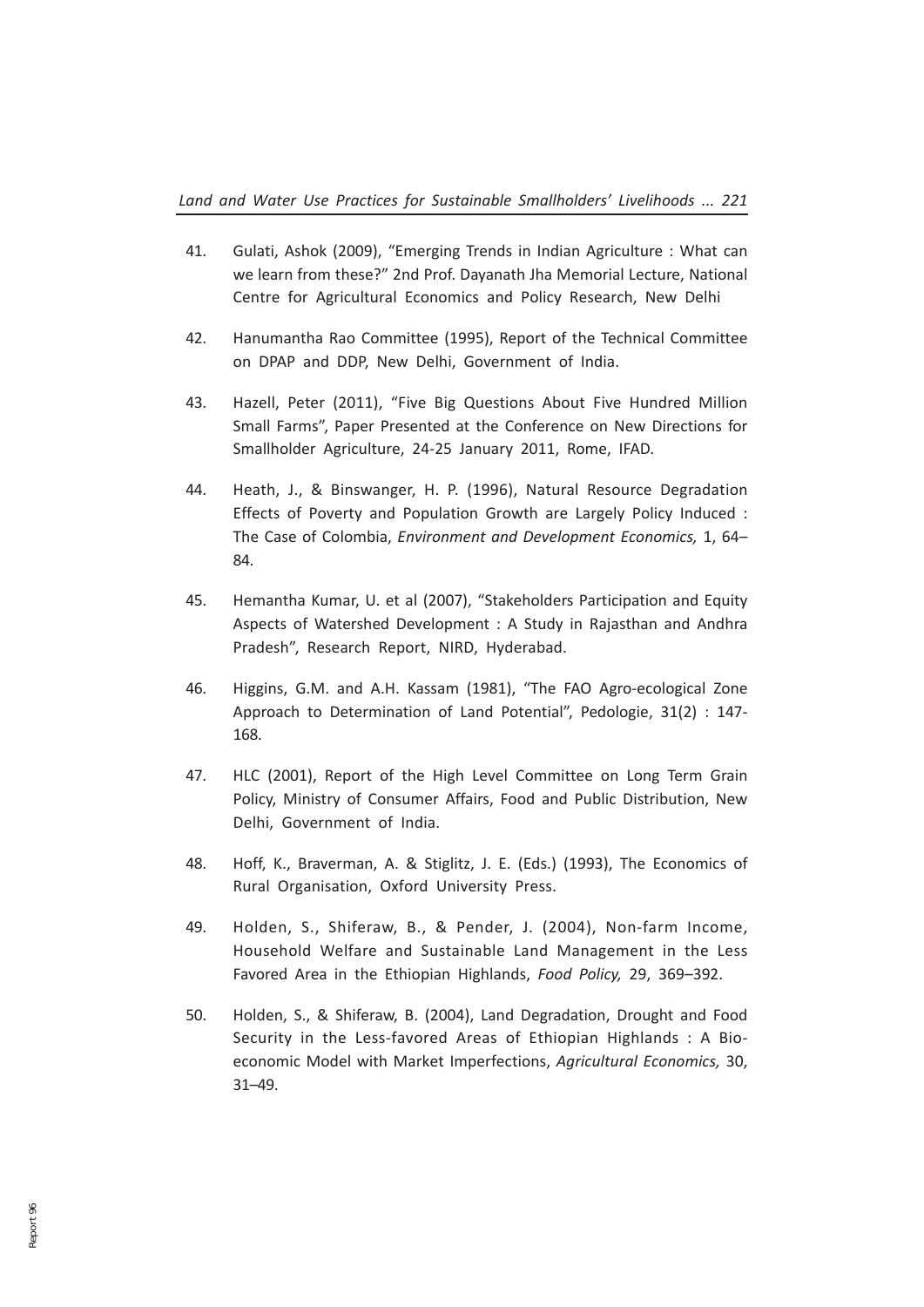- 41. Gulati, Ashok (2009), "Emerging Trends in Indian Agriculture : What can we learn from these?" 2nd Prof. Dayanath Jha Memorial Lecture, National Centre for Agricultural Economics and Policy Research, New Delhi
- 42. Hanumantha Rao Committee (1995), Report of the Technical Committee on DPAP and DDP, New Delhi, Government of India.
- 43. Hazell, Peter (2011), "Five Big Questions About Five Hundred Million Small Farms", Paper Presented at the Conference on New Directions for Smallholder Agriculture, 24-25 January 2011, Rome, IFAD.
- 44. Heath, J., & Binswanger, H. P. (1996), Natural Resource Degradation Effects of Poverty and Population Growth are Largely Policy Induced : The Case of Colombia, *Environment and Development Economics,* 1, 64– 84.
- 45. Hemantha Kumar, U. et al (2007), "Stakeholders Participation and Equity Aspects of Watershed Development : A Study in Rajasthan and Andhra Pradesh", Research Report, NIRD, Hyderabad.
- 46. Higgins, G.M. and A.H. Kassam (1981), "The FAO Agro-ecological Zone Approach to Determination of Land Potential", Pedologie, 31(2) : 147- 168.
- 47. HLC (2001), Report of the High Level Committee on Long Term Grain Policy, Ministry of Consumer Affairs, Food and Public Distribution, New Delhi, Government of India.
- 48. Hoff, K., Braverman, A. & Stiglitz, J. E. (Eds.) (1993), The Economics of Rural Organisation, Oxford University Press.
- 49. Holden, S., Shiferaw, B., & Pender, J. (2004), Non-farm Income, Household Welfare and Sustainable Land Management in the Less Favored Area in the Ethiopian Highlands, *Food Policy,* 29, 369–392.
- 50. Holden, S., & Shiferaw, B. (2004), Land Degradation, Drought and Food Security in the Less-favored Areas of Ethiopian Highlands : A Bioeconomic Model with Market Imperfections, *Agricultural Economics,* 30, 31–49.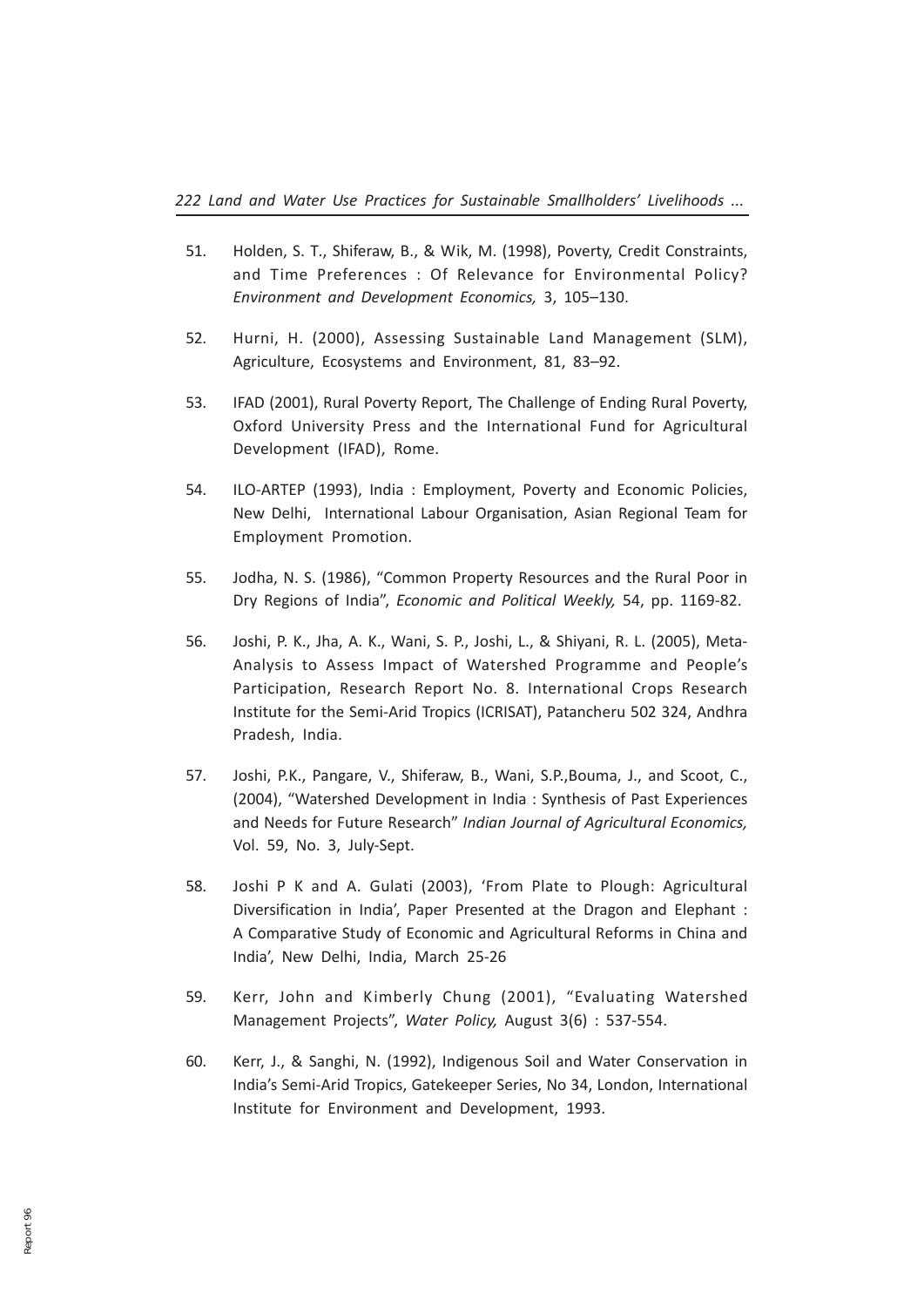- 51. Holden, S. T., Shiferaw, B., & Wik, M. (1998), Poverty, Credit Constraints, and Time Preferences : Of Relevance for Environmental Policy? *Environment and Development Economics,* 3, 105–130.
- 52. Hurni, H. (2000), Assessing Sustainable Land Management (SLM), Agriculture, Ecosystems and Environment, 81, 83–92.
- 53. IFAD (2001), Rural Poverty Report, The Challenge of Ending Rural Poverty, Oxford University Press and the International Fund for Agricultural Development (IFAD), Rome.
- 54. ILO-ARTEP (1993), India : Employment, Poverty and Economic Policies, New Delhi, International Labour Organisation, Asian Regional Team for Employment Promotion.
- 55. Jodha, N. S. (1986), "Common Property Resources and the Rural Poor in Dry Regions of India", *Economic and Political Weekly,* 54, pp. 1169-82.
- 56. Joshi, P. K., Jha, A. K., Wani, S. P., Joshi, L., & Shiyani, R. L. (2005), Meta-Analysis to Assess Impact of Watershed Programme and People's Participation, Research Report No. 8. International Crops Research Institute for the Semi-Arid Tropics (ICRISAT), Patancheru 502 324, Andhra Pradesh, India.
- 57. Joshi, P.K., Pangare, V., Shiferaw, B., Wani, S.P.,Bouma, J., and Scoot, C., (2004), "Watershed Development in India : Synthesis of Past Experiences and Needs for Future Research" *Indian Journal of Agricultural Economics,* Vol. 59, No. 3, July-Sept.
- 58. Joshi P K and A. Gulati (2003), 'From Plate to Plough: Agricultural Diversification in India', Paper Presented at the Dragon and Elephant : A Comparative Study of Economic and Agricultural Reforms in China and India', New Delhi, India, March 25-26
- 59. Kerr, John and Kimberly Chung (2001), "Evaluating Watershed Management Projects", *Water Policy,* August 3(6) : 537-554.
- 60. Kerr, J., & Sanghi, N. (1992), Indigenous Soil and Water Conservation in India's Semi-Arid Tropics, Gatekeeper Series, No 34, London, International Institute for Environment and Development, 1993.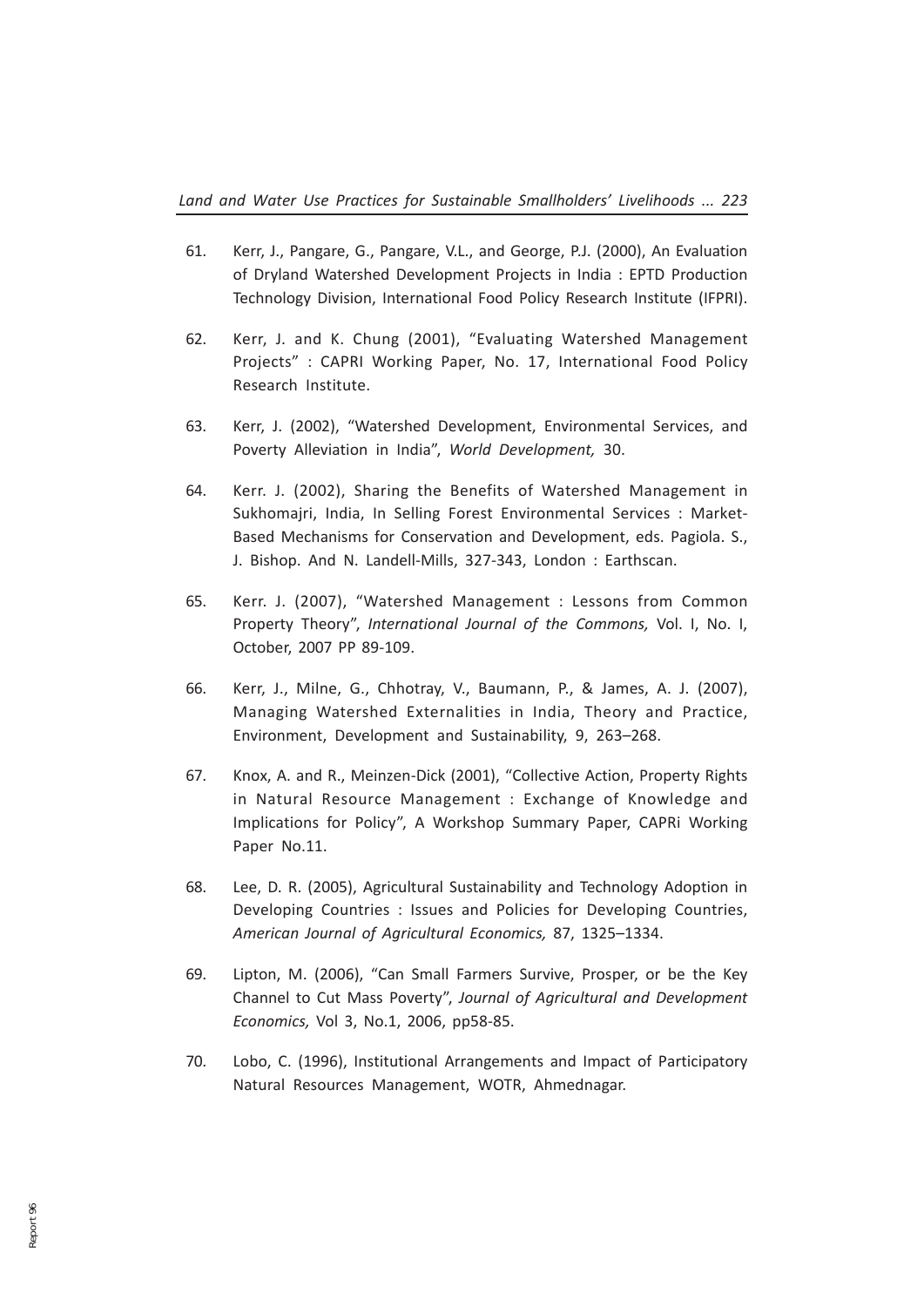- 61. Kerr, J., Pangare, G., Pangare, V.L., and George, P.J. (2000), An Evaluation of Dryland Watershed Development Projects in India : EPTD Production Technology Division, International Food Policy Research Institute (IFPRI).
- 62. Kerr, J. and K. Chung (2001), "Evaluating Watershed Management Projects" : CAPRI Working Paper, No. 17, International Food Policy Research Institute.
- 63. Kerr, J. (2002), "Watershed Development, Environmental Services, and Poverty Alleviation in India", *World Development,* 30.
- 64. Kerr. J. (2002), Sharing the Benefits of Watershed Management in Sukhomajri, India, In Selling Forest Environmental Services : Market-Based Mechanisms for Conservation and Development, eds. Pagiola. S., J. Bishop. And N. Landell-Mills, 327-343, London : Earthscan.
- 65. Kerr. J. (2007), "Watershed Management : Lessons from Common Property Theory", *International Journal of the Commons,* Vol. I, No. I, October, 2007 PP 89-109.
- 66. Kerr, J., Milne, G., Chhotray, V., Baumann, P., & James, A. J. (2007), Managing Watershed Externalities in India, Theory and Practice, Environment, Development and Sustainability, 9, 263–268.
- 67. Knox, A. and R., Meinzen-Dick (2001), "Collective Action, Property Rights in Natural Resource Management : Exchange of Knowledge and Implications for Policy", A Workshop Summary Paper, CAPRi Working Paper No.11.
- 68. Lee, D. R. (2005), Agricultural Sustainability and Technology Adoption in Developing Countries : Issues and Policies for Developing Countries, *American Journal of Agricultural Economics,* 87, 1325–1334.
- 69. Lipton, M. (2006), "Can Small Farmers Survive, Prosper, or be the Key Channel to Cut Mass Poverty", *Journal of Agricultural and Development Economics,* Vol 3, No.1, 2006, pp58-85.
- 70. Lobo, C. (1996), Institutional Arrangements and Impact of Participatory Natural Resources Management, WOTR, Ahmednagar.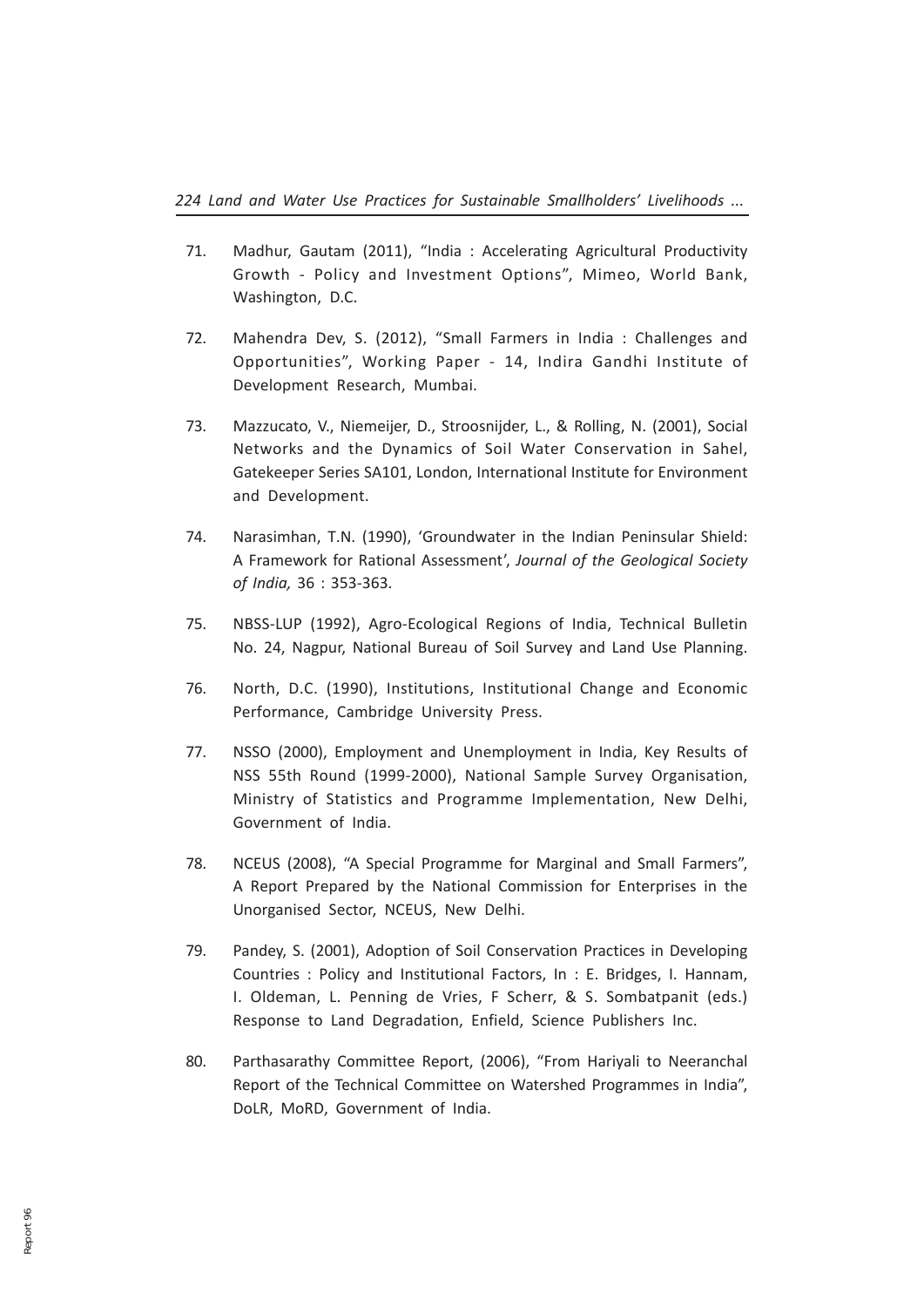- 71. Madhur, Gautam (2011), "India : Accelerating Agricultural Productivity Growth - Policy and Investment Options", Mimeo, World Bank, Washington, D.C.
- 72. Mahendra Dev, S. (2012), "Small Farmers in India : Challenges and Opportunities", Working Paper - 14, Indira Gandhi Institute of Development Research, Mumbai.
- 73. Mazzucato, V., Niemeijer, D., Stroosnijder, L., & Rolling, N. (2001), Social Networks and the Dynamics of Soil Water Conservation in Sahel, Gatekeeper Series SA101, London, International Institute for Environment and Development.
- 74. Narasimhan, T.N. (1990), 'Groundwater in the Indian Peninsular Shield: A Framework for Rational Assessment', *Journal of the Geological Society of India,* 36 : 353-363.
- 75. NBSS-LUP (1992), Agro-Ecological Regions of India, Technical Bulletin No. 24, Nagpur, National Bureau of Soil Survey and Land Use Planning.
- 76. North, D.C. (1990), Institutions, Institutional Change and Economic Performance, Cambridge University Press.
- 77. NSSO (2000), Employment and Unemployment in India, Key Results of NSS 55th Round (1999-2000), National Sample Survey Organisation, Ministry of Statistics and Programme Implementation, New Delhi, Government of India.
- 78. NCEUS (2008), "A Special Programme for Marginal and Small Farmers", A Report Prepared by the National Commission for Enterprises in the Unorganised Sector, NCEUS, New Delhi.
- 79. Pandey, S. (2001), Adoption of Soil Conservation Practices in Developing Countries : Policy and Institutional Factors, In : E. Bridges, I. Hannam, I. Oldeman, L. Penning de Vries, F Scherr, & S. Sombatpanit (eds.) Response to Land Degradation, Enfield, Science Publishers Inc.
- 80. Parthasarathy Committee Report, (2006), "From Hariyali to Neeranchal Report of the Technical Committee on Watershed Programmes in India", DoLR, MoRD, Government of India.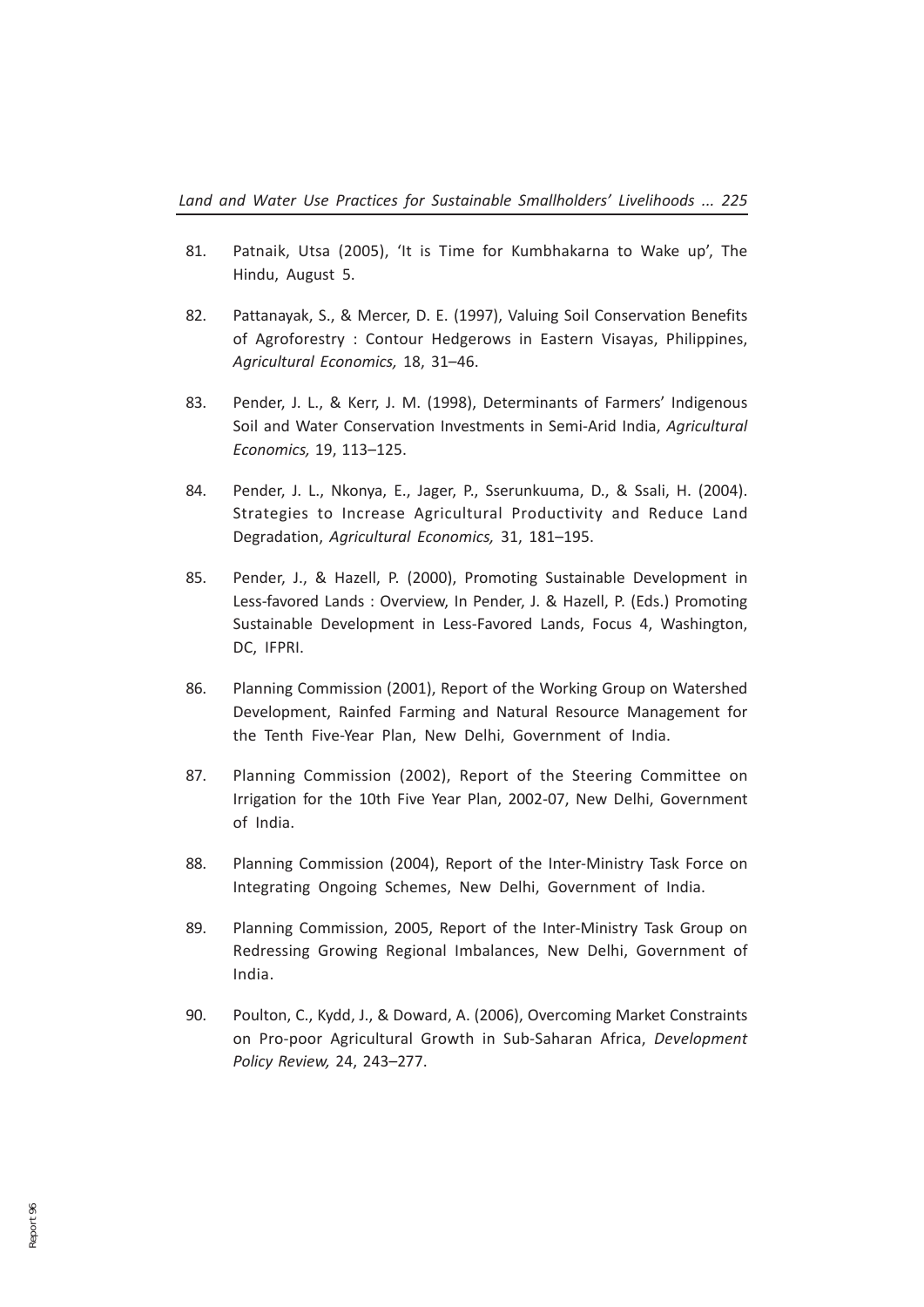- 81. Patnaik, Utsa (2005), 'It is Time for Kumbhakarna to Wake up', The Hindu, August 5.
- 82. Pattanayak, S., & Mercer, D. E. (1997), Valuing Soil Conservation Benefits of Agroforestry : Contour Hedgerows in Eastern Visayas, Philippines, *Agricultural Economics,* 18, 31–46.
- 83. Pender, J. L., & Kerr, J. M. (1998), Determinants of Farmers' Indigenous Soil and Water Conservation Investments in Semi-Arid India, *Agricultural Economics,* 19, 113–125.
- 84. Pender, J. L., Nkonya, E., Jager, P., Sserunkuuma, D., & Ssali, H. (2004). Strategies to Increase Agricultural Productivity and Reduce Land Degradation, *Agricultural Economics,* 31, 181–195.
- 85. Pender, J., & Hazell, P. (2000), Promoting Sustainable Development in Less-favored Lands : Overview, In Pender, J. & Hazell, P. (Eds.) Promoting Sustainable Development in Less-Favored Lands, Focus 4, Washington, DC, IFPRI.
- 86. Planning Commission (2001), Report of the Working Group on Watershed Development, Rainfed Farming and Natural Resource Management for the Tenth Five-Year Plan, New Delhi, Government of India.
- 87. Planning Commission (2002), Report of the Steering Committee on Irrigation for the 10th Five Year Plan, 2002-07, New Delhi, Government of India.
- 88. Planning Commission (2004), Report of the Inter-Ministry Task Force on Integrating Ongoing Schemes, New Delhi, Government of India.
- 89. Planning Commission, 2005, Report of the Inter-Ministry Task Group on Redressing Growing Regional Imbalances, New Delhi, Government of India.
- 90. Poulton, C., Kydd, J., & Doward, A. (2006), Overcoming Market Constraints on Pro-poor Agricultural Growth in Sub-Saharan Africa, *Development Policy Review,* 24, 243–277.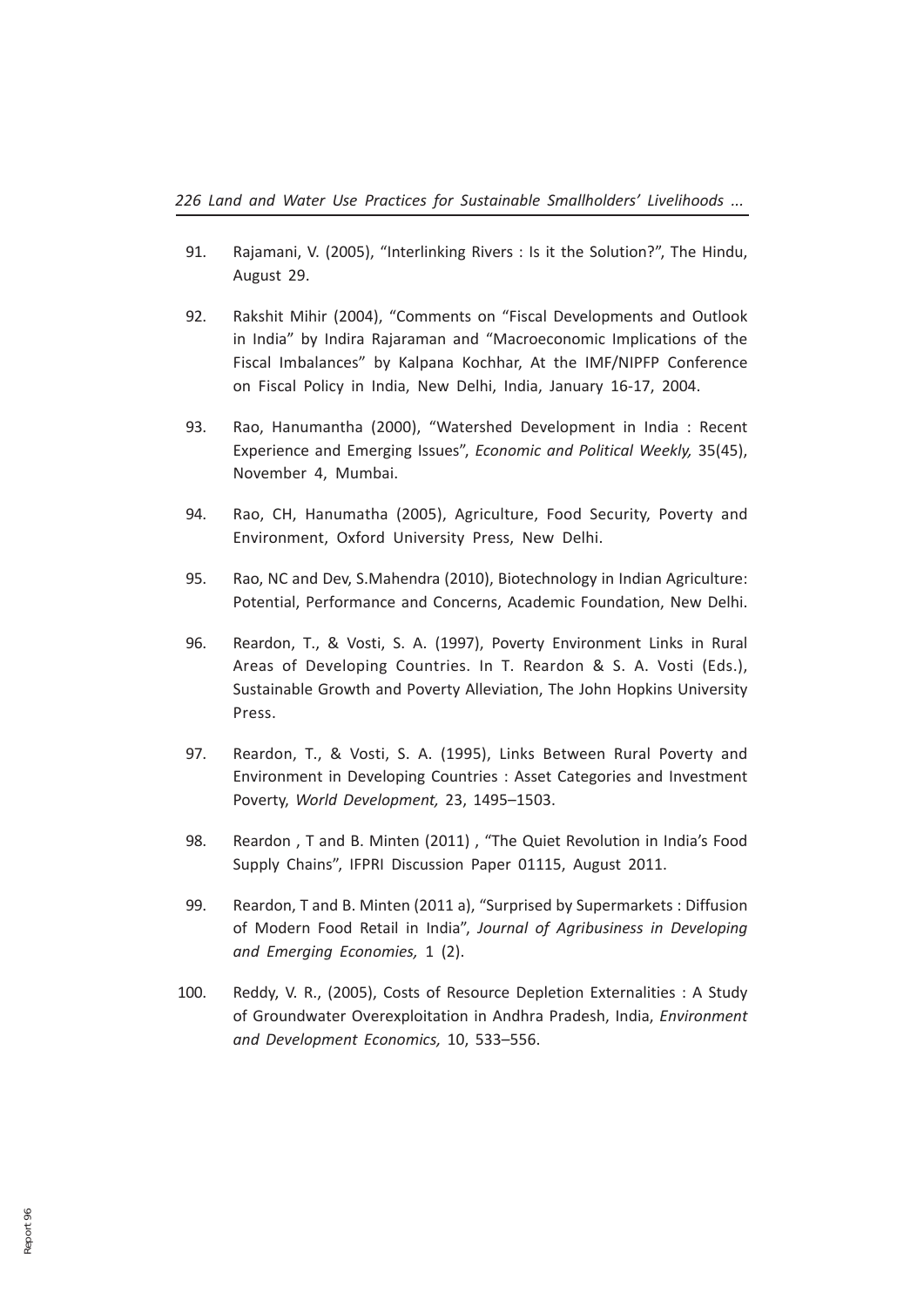- 91. Rajamani, V. (2005), "Interlinking Rivers : Is it the Solution?", The Hindu, August 29.
- 92. Rakshit Mihir (2004), "Comments on "Fiscal Developments and Outlook in India" by Indira Rajaraman and "Macroeconomic Implications of the Fiscal Imbalances" by Kalpana Kochhar, At the IMF/NIPFP Conference on Fiscal Policy in India, New Delhi, India, January 16-17, 2004.
- 93. Rao, Hanumantha (2000), "Watershed Development in India : Recent Experience and Emerging Issues", *Economic and Political Weekly,* 35(45), November 4, Mumbai.
- 94. Rao, CH, Hanumatha (2005), Agriculture, Food Security, Poverty and Environment, Oxford University Press, New Delhi.
- 95. Rao, NC and Dev, S.Mahendra (2010), Biotechnology in Indian Agriculture: Potential, Performance and Concerns, Academic Foundation, New Delhi.
- 96. Reardon, T., & Vosti, S. A. (1997), Poverty Environment Links in Rural Areas of Developing Countries. In T. Reardon & S. A. Vosti (Eds.), Sustainable Growth and Poverty Alleviation, The John Hopkins University Press.
- 97. Reardon, T., & Vosti, S. A. (1995), Links Between Rural Poverty and Environment in Developing Countries : Asset Categories and Investment Poverty, *World Development,* 23, 1495–1503.
- 98. Reardon , T and B. Minten (2011) , "The Quiet Revolution in India's Food Supply Chains", IFPRI Discussion Paper 01115, August 2011.
- 99. Reardon, T and B. Minten (2011 a), "Surprised by Supermarkets : Diffusion of Modern Food Retail in India", *Journal of Agribusiness in Developing and Emerging Economies,* 1 (2).
- 100. Reddy, V. R., (2005), Costs of Resource Depletion Externalities : A Study of Groundwater Overexploitation in Andhra Pradesh, India, *Environment and Development Economics,* 10, 533–556.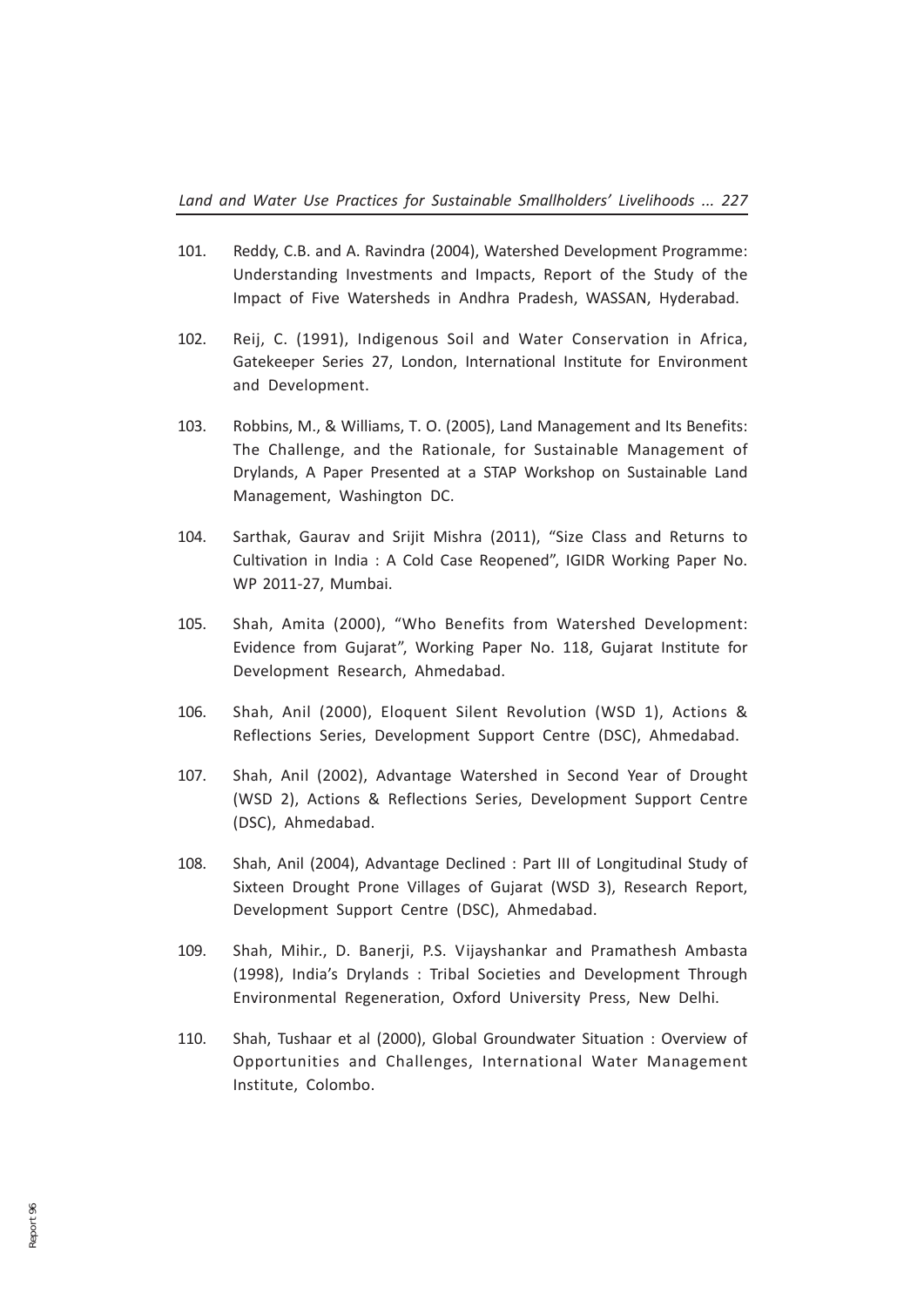- 101. Reddy, C.B. and A. Ravindra (2004), Watershed Development Programme: Understanding Investments and Impacts, Report of the Study of the Impact of Five Watersheds in Andhra Pradesh, WASSAN, Hyderabad.
- 102. Reij, C. (1991), Indigenous Soil and Water Conservation in Africa, Gatekeeper Series 27, London, International Institute for Environment and Development.
- 103. Robbins, M., & Williams, T. O. (2005), Land Management and Its Benefits: The Challenge, and the Rationale, for Sustainable Management of Drylands, A Paper Presented at a STAP Workshop on Sustainable Land Management, Washington DC.
- 104. Sarthak, Gaurav and Srijit Mishra (2011), "Size Class and Returns to Cultivation in India : A Cold Case Reopened", IGIDR Working Paper No. WP 2011-27, Mumbai.
- 105. Shah, Amita (2000), "Who Benefits from Watershed Development: Evidence from Gujarat", Working Paper No. 118, Gujarat Institute for Development Research, Ahmedabad.
- 106. Shah, Anil (2000), Eloquent Silent Revolution (WSD 1), Actions & Reflections Series, Development Support Centre (DSC), Ahmedabad.
- 107. Shah, Anil (2002), Advantage Watershed in Second Year of Drought (WSD 2), Actions & Reflections Series, Development Support Centre (DSC), Ahmedabad.
- 108. Shah, Anil (2004), Advantage Declined : Part III of Longitudinal Study of Sixteen Drought Prone Villages of Gujarat (WSD 3), Research Report, Development Support Centre (DSC), Ahmedabad.
- 109. Shah, Mihir., D. Banerji, P.S. Vijayshankar and Pramathesh Ambasta (1998), India's Drylands : Tribal Societies and Development Through Environmental Regeneration, Oxford University Press, New Delhi.
- 110. Shah, Tushaar et al (2000), Global Groundwater Situation : Overview of Opportunities and Challenges, International Water Management Institute, Colombo.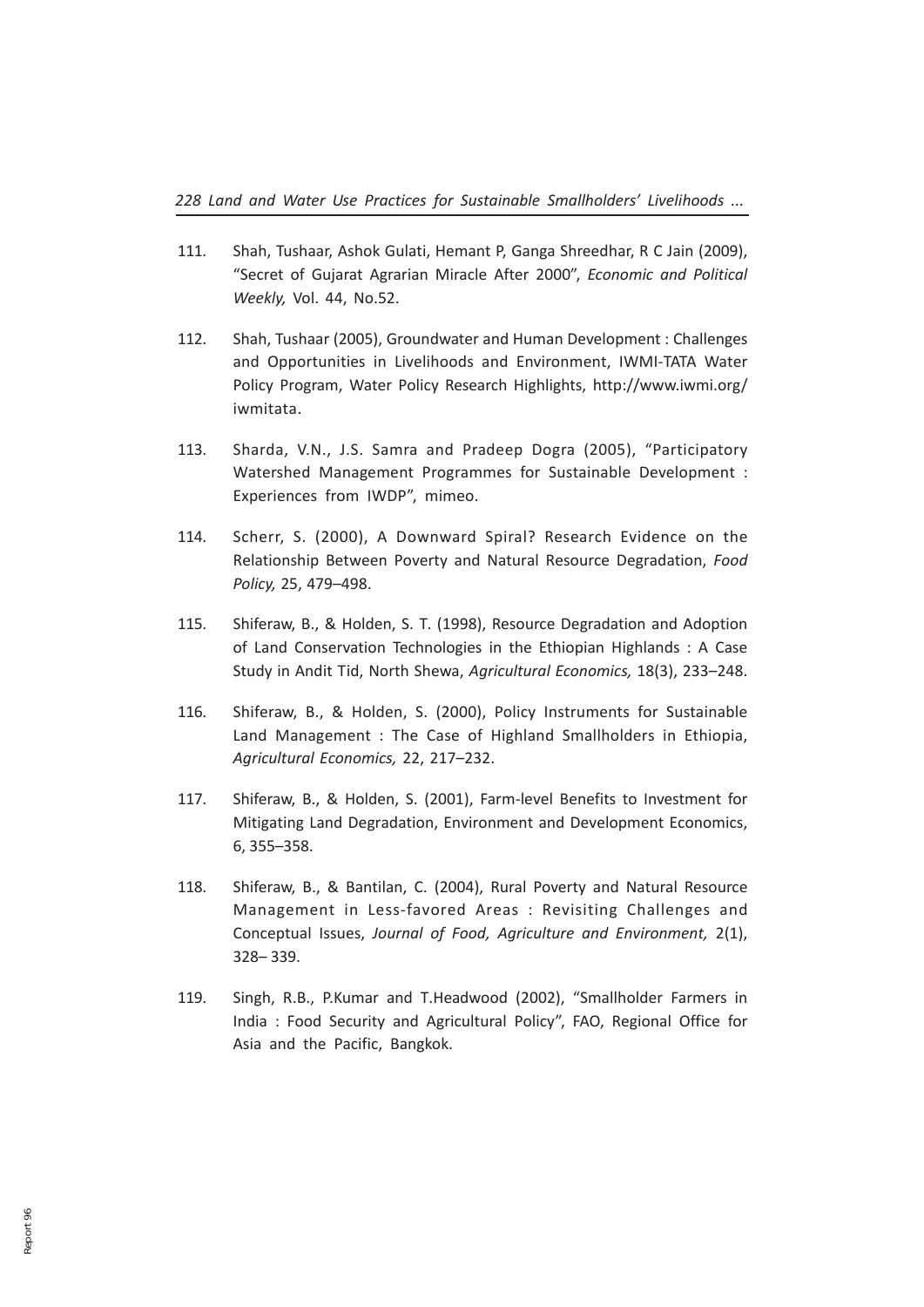- 111. Shah, Tushaar, Ashok Gulati, Hemant P, Ganga Shreedhar, R C Jain (2009), "Secret of Gujarat Agrarian Miracle After 2000", *Economic and Political Weekly,* Vol. 44, No.52.
- 112. Shah, Tushaar (2005), Groundwater and Human Development : Challenges and Opportunities in Livelihoods and Environment, IWMI-TATA Water Policy Program, Water Policy Research Highlights, http://www.iwmi.org/ iwmitata.
- 113. Sharda, V.N., J.S. Samra and Pradeep Dogra (2005), "Participatory Watershed Management Programmes for Sustainable Development : Experiences from IWDP", mimeo.
- 114. Scherr, S. (2000), A Downward Spiral? Research Evidence on the Relationship Between Poverty and Natural Resource Degradation, *Food Policy,* 25, 479–498.
- 115. Shiferaw, B., & Holden, S. T. (1998), Resource Degradation and Adoption of Land Conservation Technologies in the Ethiopian Highlands : A Case Study in Andit Tid, North Shewa, *Agricultural Economics,* 18(3), 233–248.
- 116. Shiferaw, B., & Holden, S. (2000), Policy Instruments for Sustainable Land Management : The Case of Highland Smallholders in Ethiopia, *Agricultural Economics,* 22, 217–232.
- 117. Shiferaw, B., & Holden, S. (2001), Farm-level Benefits to Investment for Mitigating Land Degradation, Environment and Development Economics, 6, 355–358.
- 118. Shiferaw, B., & Bantilan, C. (2004), Rural Poverty and Natural Resource Management in Less-favored Areas : Revisiting Challenges and Conceptual Issues, *Journal of Food, Agriculture and Environment,* 2(1), 328– 339.
- 119. Singh, R.B., P.Kumar and T.Headwood (2002), "Smallholder Farmers in India : Food Security and Agricultural Policy", FAO, Regional Office for Asia and the Pacific, Bangkok.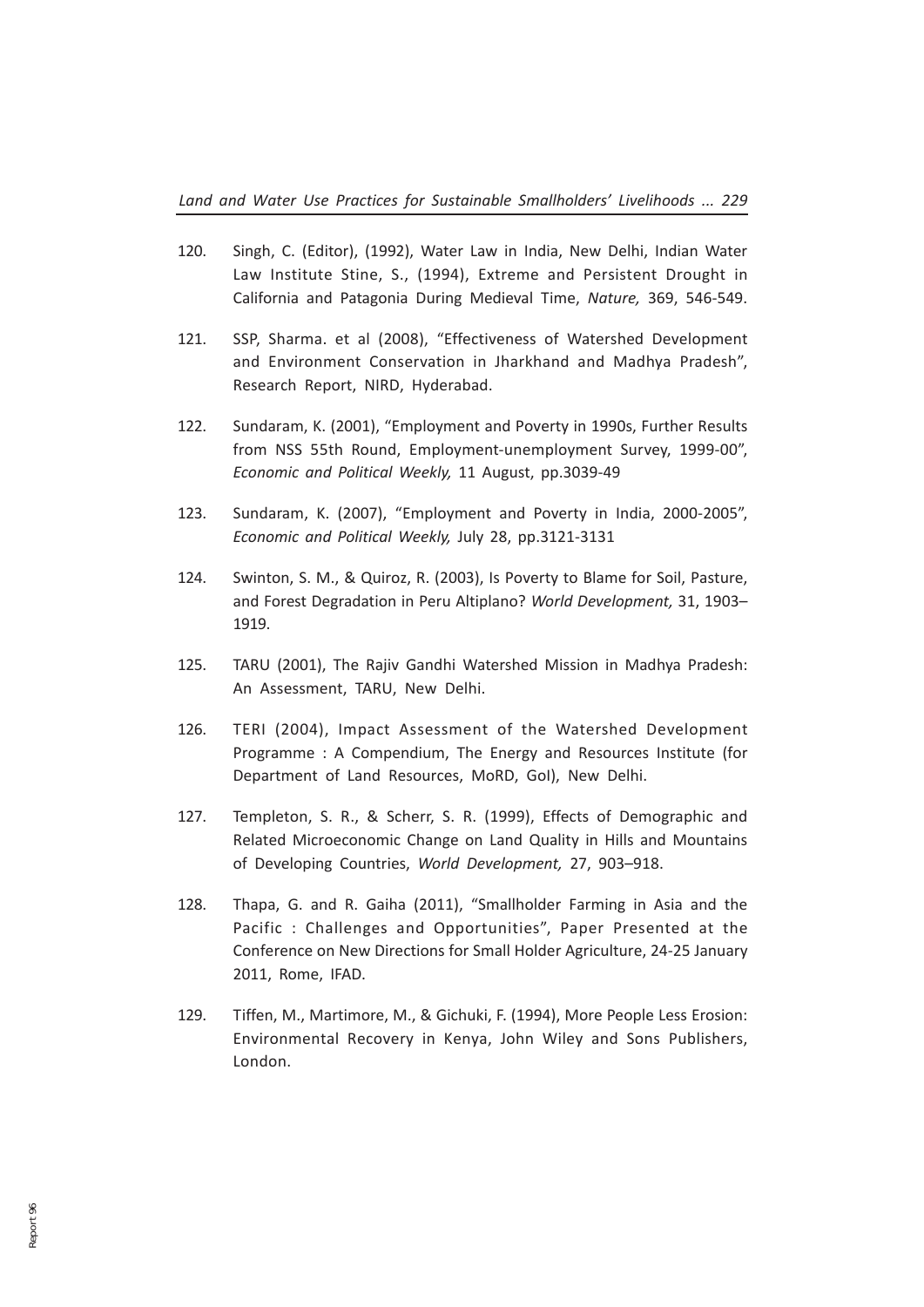- 120. Singh, C. (Editor), (1992), Water Law in India, New Delhi, Indian Water Law Institute Stine, S., (1994), Extreme and Persistent Drought in California and Patagonia During Medieval Time, *Nature,* 369, 546-549.
- 121. SSP, Sharma. et al (2008), "Effectiveness of Watershed Development and Environment Conservation in Jharkhand and Madhya Pradesh", Research Report, NIRD, Hyderabad.
- 122. Sundaram, K. (2001), "Employment and Poverty in 1990s, Further Results from NSS 55th Round, Employment-unemployment Survey, 1999-00", *Economic and Political Weekly,* 11 August, pp.3039-49
- 123. Sundaram, K. (2007), "Employment and Poverty in India, 2000-2005", *Economic and Political Weekly,* July 28, pp.3121-3131
- 124. Swinton, S. M., & Quiroz, R. (2003), Is Poverty to Blame for Soil, Pasture, and Forest Degradation in Peru Altiplano? *World Development,* 31, 1903– 1919.
- 125. TARU (2001), The Rajiv Gandhi Watershed Mission in Madhya Pradesh: An Assessment, TARU, New Delhi.
- 126. TERI (2004), Impact Assessment of the Watershed Development Programme : A Compendium, The Energy and Resources Institute (for Department of Land Resources, MoRD, GoI), New Delhi.
- 127. Templeton, S. R., & Scherr, S. R. (1999), Effects of Demographic and Related Microeconomic Change on Land Quality in Hills and Mountains of Developing Countries, *World Development,* 27, 903–918.
- 128. Thapa, G. and R. Gaiha (2011), "Smallholder Farming in Asia and the Pacific : Challenges and Opportunities", Paper Presented at the Conference on New Directions for Small Holder Agriculture, 24-25 January 2011, Rome, IFAD.
- 129. Tiffen, M., Martimore, M., & Gichuki, F. (1994), More People Less Erosion: Environmental Recovery in Kenya, John Wiley and Sons Publishers, London.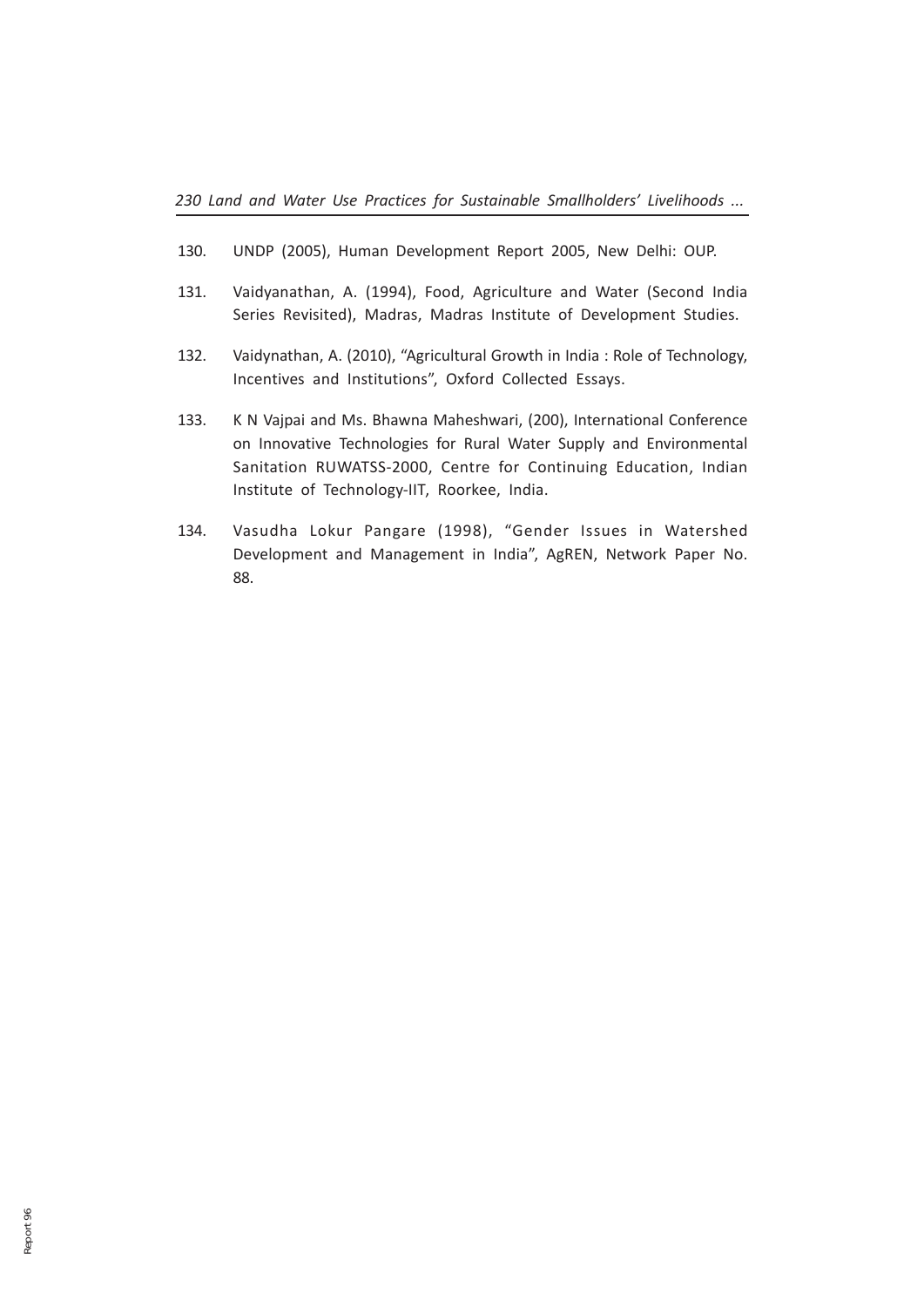- 130. UNDP (2005), Human Development Report 2005, New Delhi: OUP.
- 131. Vaidyanathan, A. (1994), Food, Agriculture and Water (Second India Series Revisited), Madras, Madras Institute of Development Studies.
- 132. Vaidynathan, A. (2010), "Agricultural Growth in India : Role of Technology, Incentives and Institutions", Oxford Collected Essays.
- 133. K N Vajpai and Ms. Bhawna Maheshwari, (200), International Conference on Innovative Technologies for Rural Water Supply and Environmental Sanitation RUWATSS-2000, Centre for Continuing Education, Indian Institute of Technology-IIT, Roorkee, India.
- 134. Vasudha Lokur Pangare (1998), "Gender Issues in Watershed Development and Management in India", AgREN, Network Paper No. 88.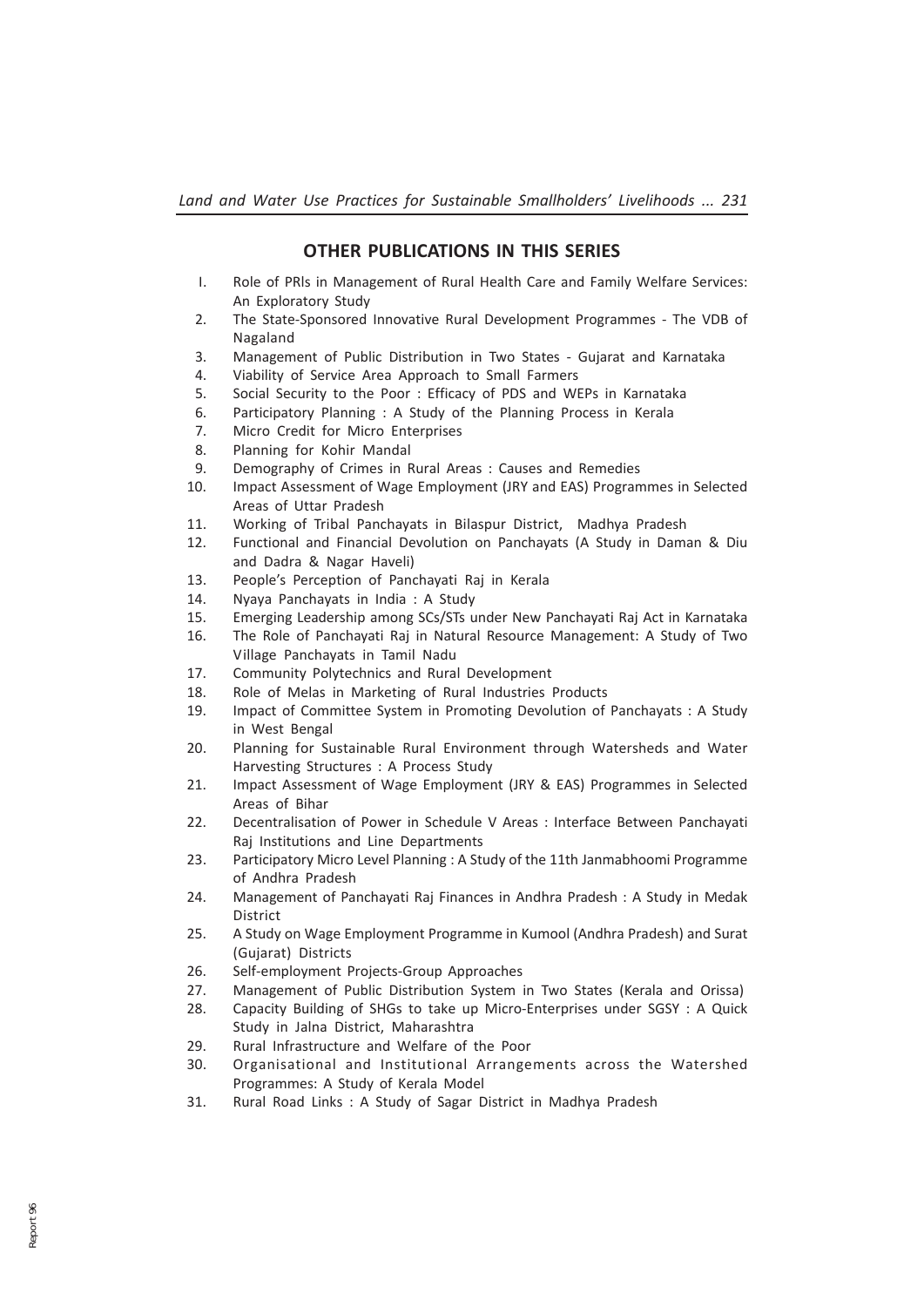### **OTHER PUBLICATIONS IN THIS SERIES**

- I. Role of PRls in Management of Rural Health Care and Family Welfare Services: An Exploratory Study
- 2. The State-Sponsored Innovative Rural Development Programmes The VDB of Nagaland
- 3. Management of Public Distribution in Two States Gujarat and Karnataka
- 4. Viability of Service Area Approach to Small Farmers
- 5. Social Security to the Poor : Efficacy of PDS and WEPs in Karnataka
- 6. Participatory Planning : A Study of the Planning Process in Kerala
- 7. Micro Credit for Micro Enterprises
- 8. Planning for Kohir Mandal
- 9. Demography of Crimes in Rural Areas : Causes and Remedies
- 10. Impact Assessment of Wage Employment (JRY and EAS) Programmes in Selected Areas of Uttar Pradesh
- 11. Working of Tribal Panchayats in Bilaspur District, Madhya Pradesh
- 12. Functional and Financial Devolution on Panchayats (A Study in Daman & Diu and Dadra & Nagar Haveli)
- 13. People's Perception of Panchayati Raj in Kerala
- 14. Nyaya Panchayats in India : A Study
- 15. Emerging Leadership among SCs/STs under New Panchayati Raj Act in Karnataka
- 16. The Role of Panchayati Raj in Natural Resource Management: A Study of Two Village Panchayats in Tamil Nadu
- 17. Community Polytechnics and Rural Development
- 18. Role of Melas in Marketing of Rural Industries Products
- 19. Impact of Committee System in Promoting Devolution of Panchayats : A Study in West Bengal
- 20. Planning for Sustainable Rural Environment through Watersheds and Water Harvesting Structures : A Process Study
- 21. Impact Assessment of Wage Employment (JRY & EAS) Programmes in Selected Areas of Bihar
- 22. Decentralisation of Power in Schedule V Areas : Interface Between Panchayati Raj Institutions and Line Departments
- 23. Participatory Micro Level Planning : A Study of the 11th Janmabhoomi Programme of Andhra Pradesh
- 24. Management of Panchayati Raj Finances in Andhra Pradesh : A Study in Medak District
- 25. A Study on Wage Employment Programme in Kumool (Andhra Pradesh) and Surat (Gujarat) Districts
- 26. Self-employment Projects-Group Approaches
- 27. Management of Public Distribution System in Two States (Kerala and Orissa)
- 28. Capacity Building of SHGs to take up Micro-Enterprises under SGSY : A Quick Study in Jalna District, Maharashtra
- 29. Rural Infrastructure and Welfare of the Poor
- 30. Organisational and Institutional Arrangements across the Watershed Programmes: A Study of Kerala Model
- 31. Rural Road Links : A Study of Sagar District in Madhya Pradesh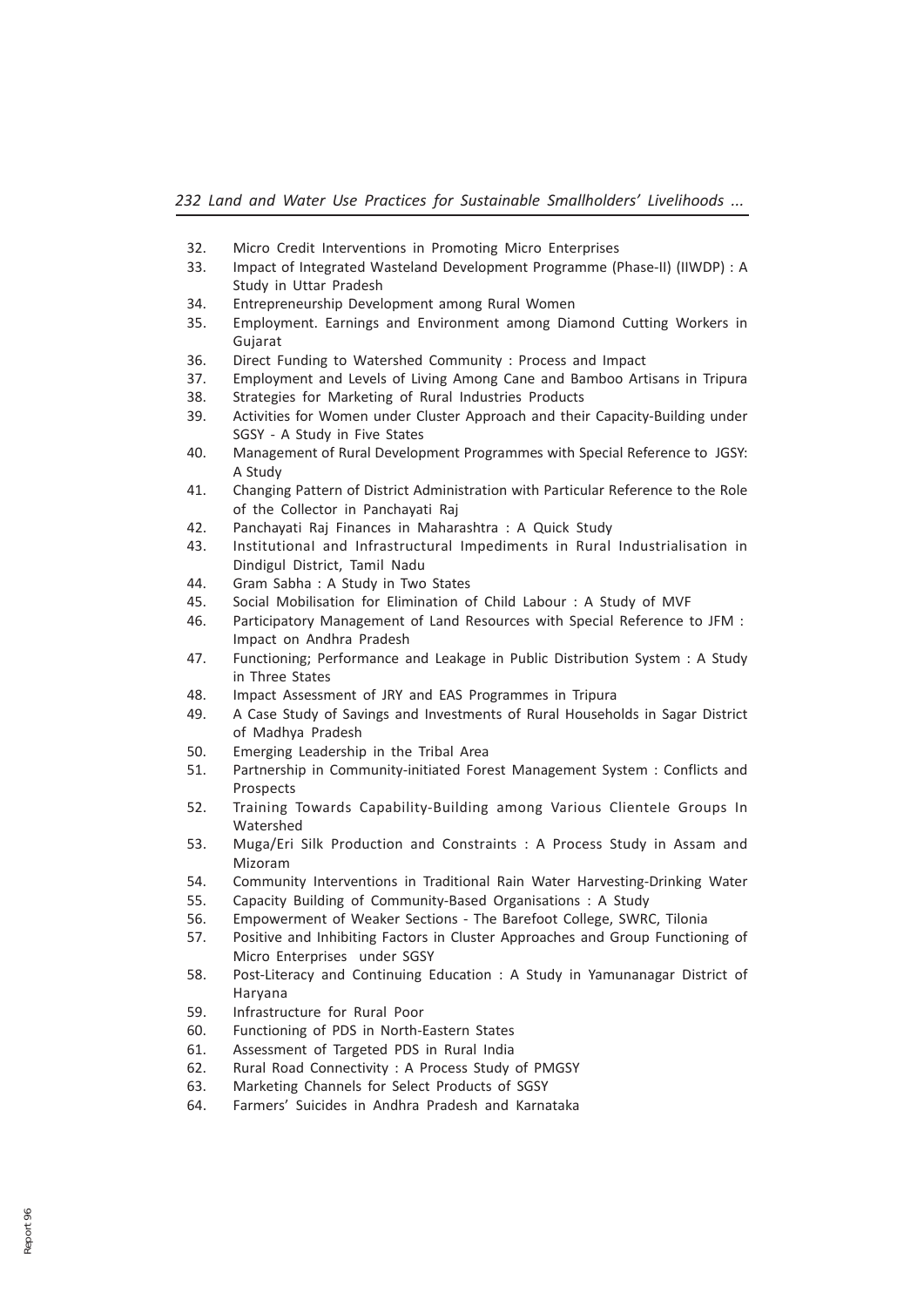- 32. Micro Credit Interventions in Promoting Micro Enterprises
- 33. Impact of Integrated Wasteland Development Programme (Phase-II) (IIWDP) : A Study in Uttar Pradesh
- 34. Entrepreneurship Development among Rural Women
- 35. Employment. Earnings and Environment among Diamond Cutting Workers in Gujarat
- 36. Direct Funding to Watershed Community : Process and Impact
- 37. Employment and Levels of Living Among Cane and Bamboo Artisans in Tripura
- 38. Strategies for Marketing of Rural Industries Products
- 39. Activities for Women under Cluster Approach and their Capacity-Building under SGSY - A Study in Five States
- 40. Management of Rural Development Programmes with Special Reference to JGSY: A Study
- 41. Changing Pattern of District Administration with Particular Reference to the Role of the Collector in Panchayati Raj
- 42. Panchayati Raj Finances in Maharashtra : A Quick Study
- 43. InstitutionaI and Infrastructural Impediments in Rural Industrialisation in Dindigul District, Tamil Nadu
- 44. Gram Sabha : A Study in Two States
- 45. Social Mobilisation for Elimination of Child Labour : A Study of MVF
- 46. Participatory Management of Land Resources with Special Reference to JFM : Impact on Andhra Pradesh
- 47. Functioning; Performance and Leakage in Public Distribution System : A Study in Three States
- 48. Impact Assessment of JRY and EAS Programmes in Tripura
- 49. A Case Study of Savings and Investments of Rural Households in Sagar District of Madhya Pradesh
- 50. Emerging Leadership in the Tribal Area
- 51. Partnership in Community-initiated Forest Management System : Conflicts and Prospects
- 52. Training Towards Capability-Building among Various Clientele Groups In Watershed
- 53. Muga/Eri Silk Production and Constraints : A Process Study in Assam and Mizoram
- 54. Community Interventions in Traditional Rain Water Harvesting-Drinking Water
- 55. Capacity Building of Community-Based Organisations : A Study
- 56. Empowerment of Weaker Sections The Barefoot College, SWRC, Tilonia
- 57. Positive and Inhibiting Factors in Cluster Approaches and Group Functioning of Micro Enterprises under SGSY
- 58. Post-Literacy and Continuing Education : A Study in Yamunanagar District of Haryana
- 59. Infrastructure for Rural Poor
- 60. Functioning of PDS in North-Eastern States
- 61. Assessment of Targeted PDS in Rural India
- 62. Rural Road Connectivity : A Process Study of PMGSY
- 63. Marketing Channels for Select Products of SGSY
- 64. Farmers' Suicides in Andhra Pradesh and Karnataka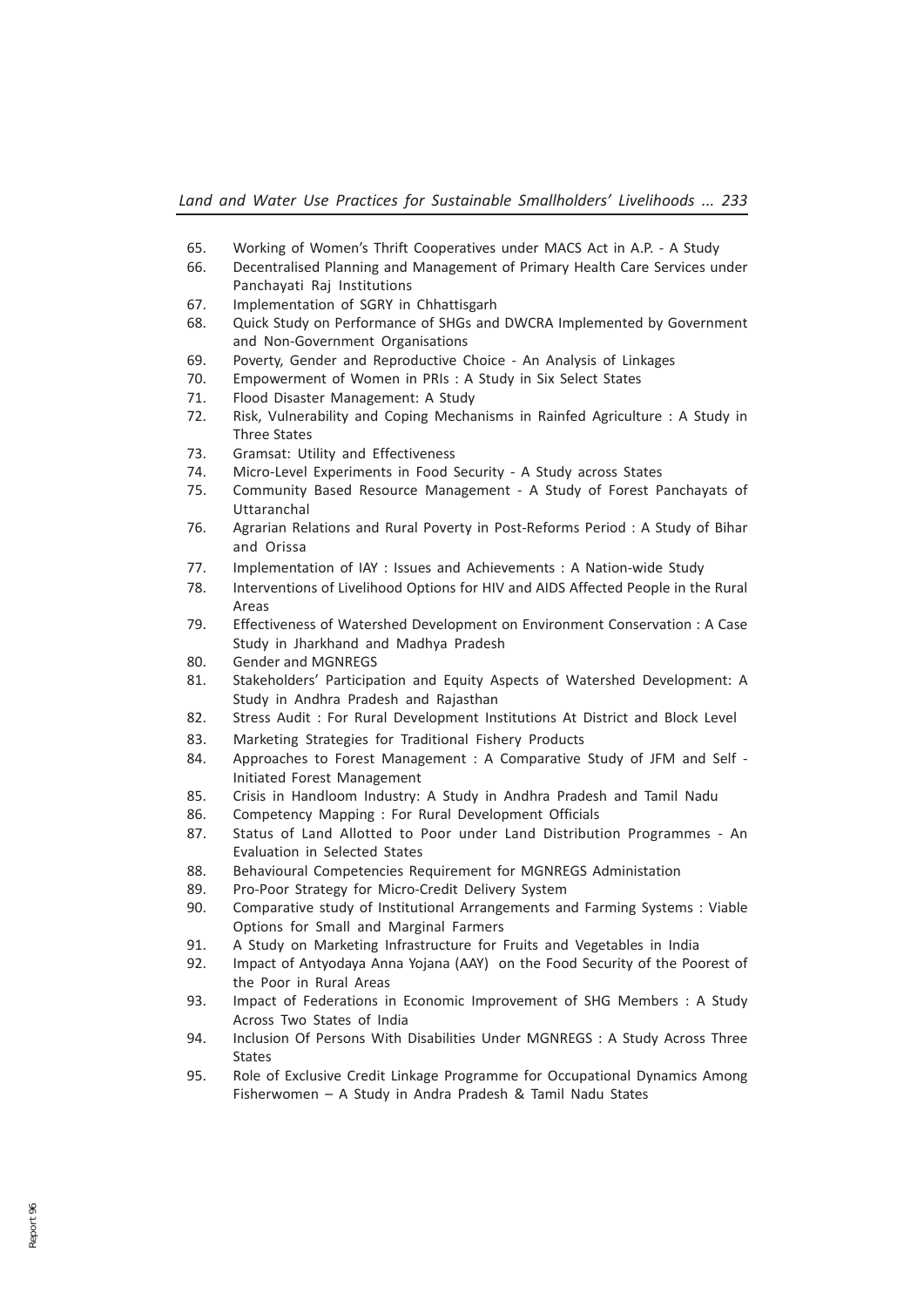- 65. Working of Women's Thrift Cooperatives under MACS Act in A.P. A Study
- 66. Decentralised Planning and Management of Primary Health Care Services under Panchayati Raj Institutions
- 67. Implementation of SGRY in Chhattisgarh
- 68. Quick Study on Performance of SHGs and DWCRA Implemented by Government and Non-Government Organisations
- 69. Poverty, Gender and Reproductive Choice An Analysis of Linkages
- 70. Empowerment of Women in PRIs : A Study in Six Select States
- 71. Flood Disaster Management: A Study
- 72. Risk, Vulnerability and Coping Mechanisms in Rainfed Agriculture : A Study in Three States
- 73. Gramsat: Utility and Effectiveness
- 74. Micro-Level Experiments in Food Security A Study across States
- 75. Community Based Resource Management A Study of Forest Panchayats of **Uttaranchal**
- 76. Agrarian Relations and Rural Poverty in Post-Reforms Period : A Study of Bihar and Orissa
- 77. Implementation of IAY : Issues and Achievements : A Nation-wide Study
- 78. Interventions of Livelihood Options for HIV and AIDS Affected People in the Rural Areas
- 79. Effectiveness of Watershed Development on Environment Conservation : A Case Study in Jharkhand and Madhya Pradesh
- 80. Gender and MGNREGS
- 81. Stakeholders' Participation and Equity Aspects of Watershed Development: A Study in Andhra Pradesh and Rajasthan
- 82. Stress Audit : For Rural Development Institutions At District and Block Level
- 83. Marketing Strategies for Traditional Fishery Products
- 84. Approaches to Forest Management : A Comparative Study of JFM and Self Initiated Forest Management
- 85. Crisis in Handloom Industry: A Study in Andhra Pradesh and Tamil Nadu
- 86. Competency Mapping : For Rural Development Officials
- 87. Status of Land Allotted to Poor under Land Distribution Programmes An Evaluation in Selected States
- 88. Behavioural Competencies Requirement for MGNREGS Administation
- 89. Pro-Poor Strategy for Micro-Credit Delivery System
- 90. Comparative study of Institutional Arrangements and Farming Systems : Viable Options for Small and Marginal Farmers
- 91. A Study on Marketing Infrastructure for Fruits and Vegetables in India
- 92. Impact of Antyodaya Anna Yojana (AAY) on the Food Security of the Poorest of the Poor in Rural Areas
- 93. Impact of Federations in Economic Improvement of SHG Members : A Study Across Two States of India
- 94. Inclusion Of Persons With Disabilities Under MGNREGS : A Study Across Three States
- 95. Role of Exclusive Credit Linkage Programme for Occupational Dynamics Among Fisherwomen – A Study in Andra Pradesh & Tamil Nadu States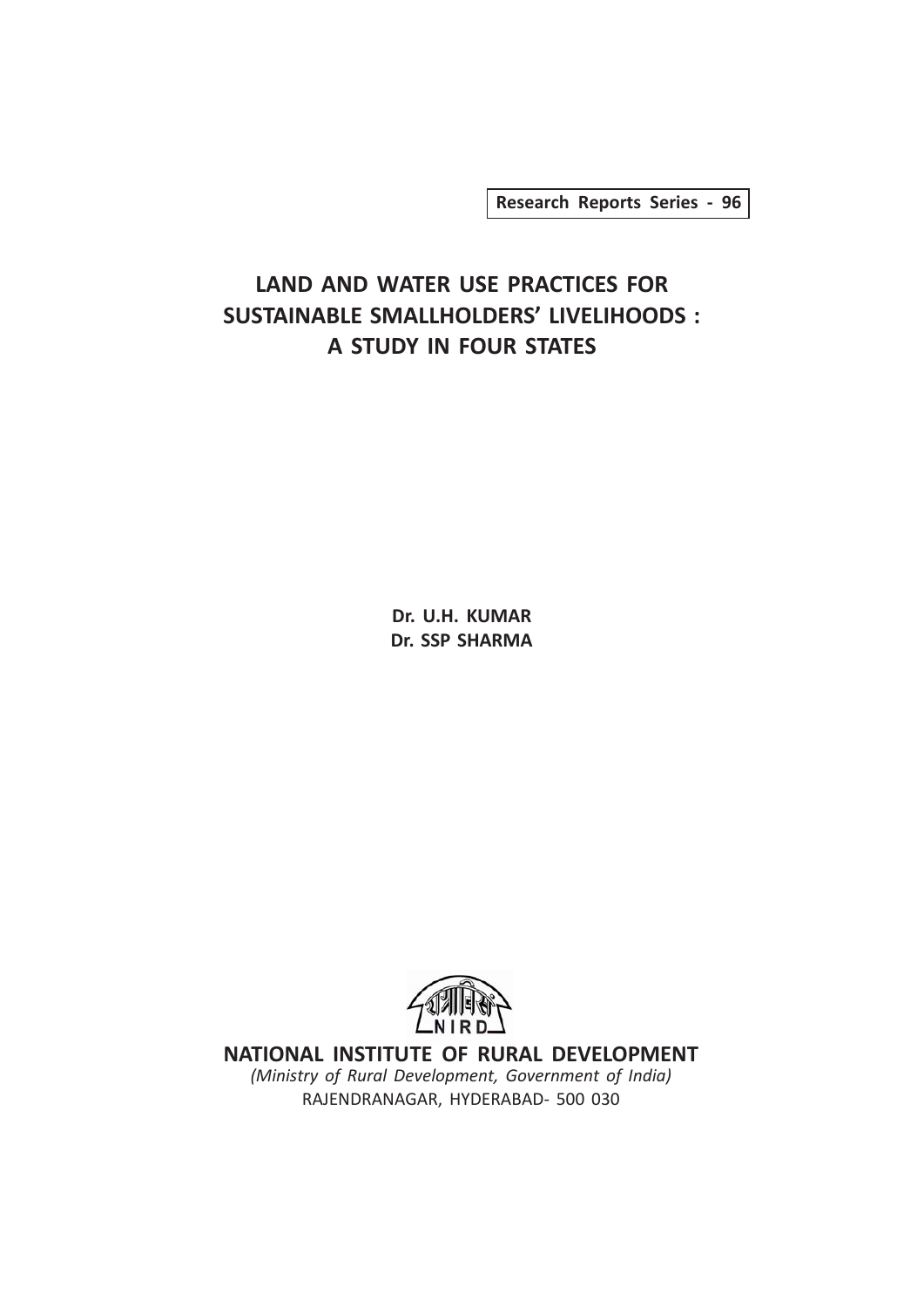**Research Reports Series - 96**

# **LAND AND WATER USE PRACTICES FOR SUSTAINABLE SMALLHOLDERS' LIVELIHOODS : A STUDY IN FOUR STATES**

**Dr. U.H. KUMAR Dr. SSP SHARMA**



**NATIONAL INSTITUTE OF RURAL DEVELOPMENT** *(Ministry of Rural Development, Government of India)* RAJENDRANAGAR, HYDERABAD- 500 030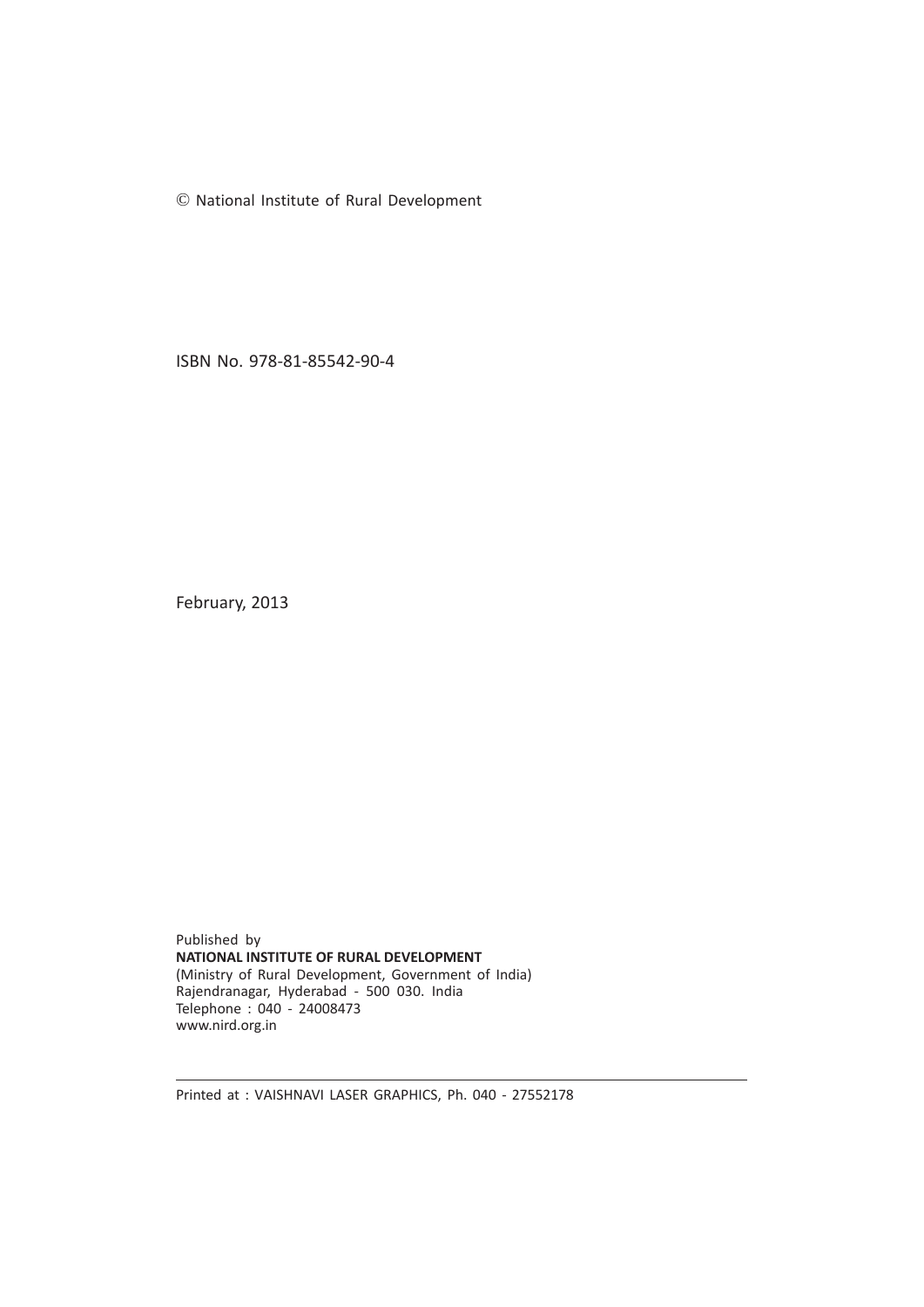© National Institute of Rural Development

ISBN No. 978-81-85542-90-4

February, 2013

Published by **NATIONAL INSTITUTE OF RURAL DEVELOPMENT** (Ministry of Rural Development, Government of India) Rajendranagar, Hyderabad - 500 030. India Telephone : 040 - 24008473 www.nird.org.in

Printed at : VAISHNAVI LASER GRAPHICS, Ph. 040 - 27552178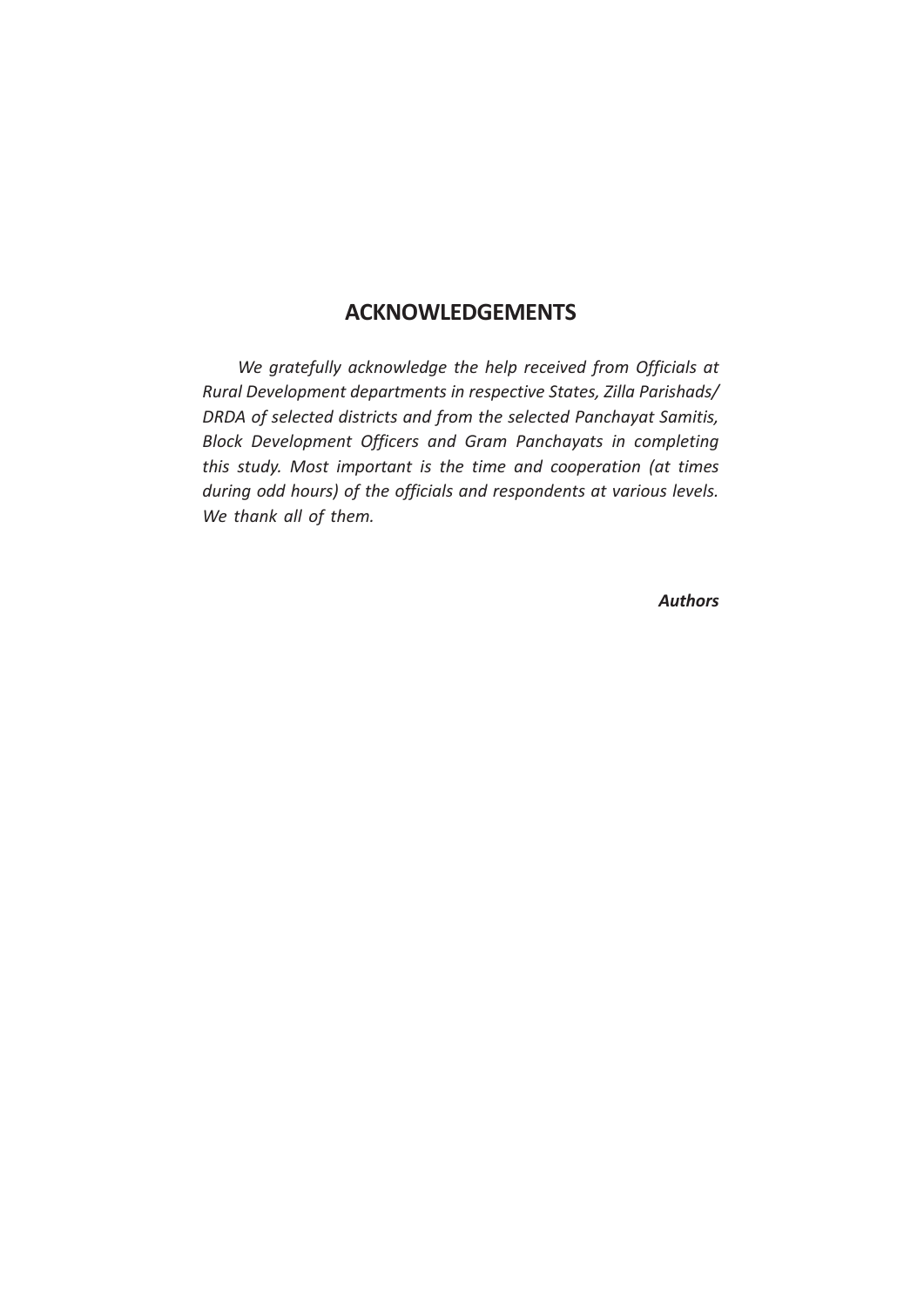### **ACKNOWLEDGEMENTS**

*We gratefully acknowledge the help received from Officials at Rural Development departments in respective States, Zilla Parishads/ DRDA of selected districts and from the selected Panchayat Samitis, Block Development Officers and Gram Panchayats in completing this study. Most important is the time and cooperation (at times during odd hours) of the officials and respondents at various levels. We thank all of them.*

*Authors*